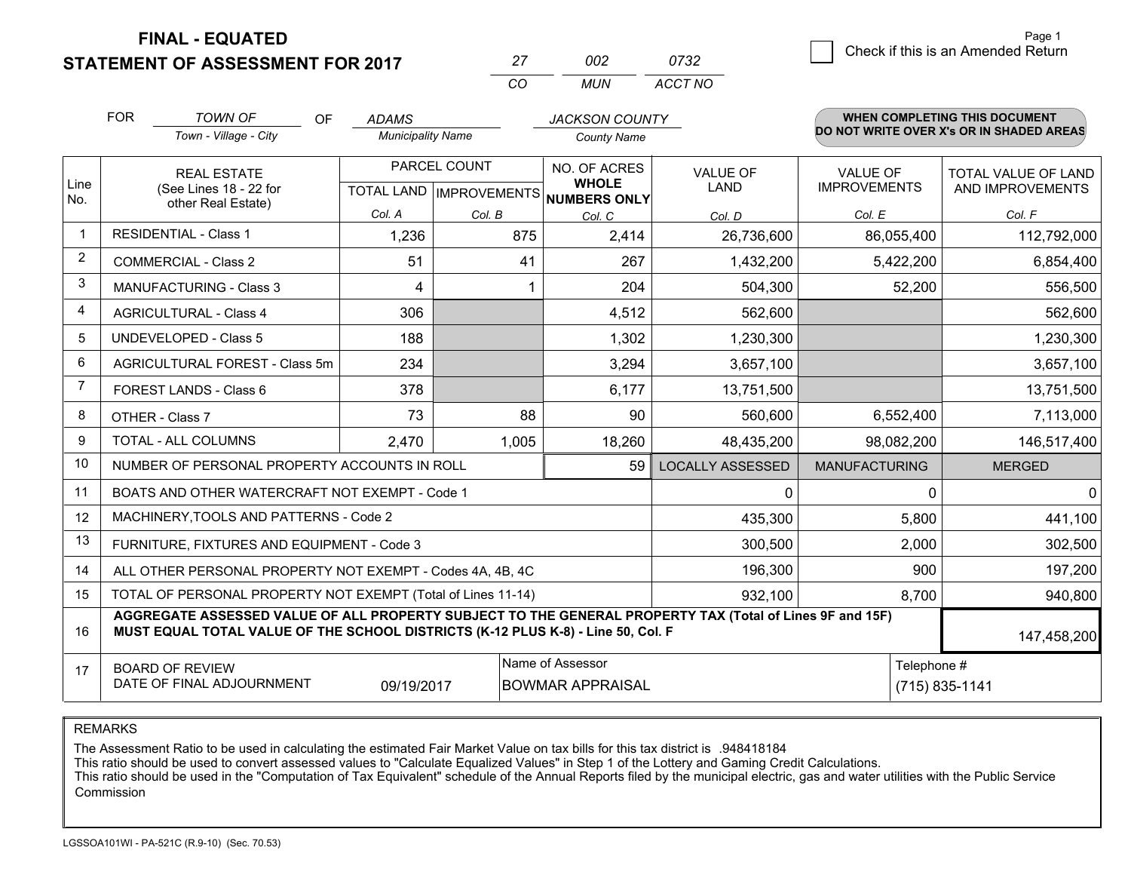**STATEMENT OF ASSESSMENT FOR 2017** 

|          | פחח   | N732    |
|----------|-------|---------|
| $\cdots$ | MI IN | ACCT NO |

|                | <b>FOR</b>                                                                                                                                                                                   | <b>TOWN OF</b><br><b>OF</b>                               | <b>ADAMS</b>             |              | <b>JACKSON COUNTY</b>                |                         |                      | <b>WHEN COMPLETING THIS DOCUMENT</b>     |
|----------------|----------------------------------------------------------------------------------------------------------------------------------------------------------------------------------------------|-----------------------------------------------------------|--------------------------|--------------|--------------------------------------|-------------------------|----------------------|------------------------------------------|
|                |                                                                                                                                                                                              | Town - Village - City                                     | <b>Municipality Name</b> |              | <b>County Name</b>                   |                         |                      | DO NOT WRITE OVER X's OR IN SHADED AREAS |
| Line           |                                                                                                                                                                                              | <b>REAL ESTATE</b>                                        |                          | PARCEL COUNT | NO. OF ACRES<br><b>WHOLE</b>         | <b>VALUE OF</b>         | <b>VALUE OF</b>      | <b>TOTAL VALUE OF LAND</b>               |
| No.            |                                                                                                                                                                                              | (See Lines 18 - 22 for<br>other Real Estate)              |                          |              | TOTAL LAND IMPROVEMENTS NUMBERS ONLY | LAND                    | <b>IMPROVEMENTS</b>  | AND IMPROVEMENTS                         |
|                |                                                                                                                                                                                              |                                                           | Col. A                   | Col. B       | Col. C                               | Col. D                  | Col. E               | Col. F                                   |
| $\mathbf{1}$   |                                                                                                                                                                                              | <b>RESIDENTIAL - Class 1</b>                              | 1,236                    | 875          | 2,414                                | 26,736,600              | 86,055,400           | 112,792,000                              |
| 2              |                                                                                                                                                                                              | <b>COMMERCIAL - Class 2</b>                               | 51                       | 41           | 267                                  | 1,432,200               | 5,422,200            | 6,854,400                                |
| 3              |                                                                                                                                                                                              | <b>MANUFACTURING - Class 3</b>                            | 4                        |              | 204                                  | 504,300                 | 52,200               | 556,500                                  |
| 4              |                                                                                                                                                                                              | <b>AGRICULTURAL - Class 4</b>                             | 306                      |              | 4,512                                | 562,600                 |                      | 562,600                                  |
| 5              |                                                                                                                                                                                              | <b>UNDEVELOPED - Class 5</b>                              | 188                      |              | 1,302                                | 1,230,300               |                      | 1,230,300                                |
| 6              |                                                                                                                                                                                              | AGRICULTURAL FOREST - Class 5m                            | 234                      |              | 3,294                                | 3,657,100               |                      | 3,657,100                                |
| $\overline{7}$ |                                                                                                                                                                                              | FOREST LANDS - Class 6                                    | 378                      |              | 6,177                                | 13,751,500              |                      | 13,751,500                               |
| 8              |                                                                                                                                                                                              | OTHER - Class 7                                           | 73                       | 88           | 90                                   | 560,600                 | 6,552,400            | 7,113,000                                |
| 9              |                                                                                                                                                                                              | TOTAL - ALL COLUMNS                                       | 2,470                    | 1,005        | 18,260                               | 48,435,200              | 98,082,200           | 146,517,400                              |
| 10             |                                                                                                                                                                                              | NUMBER OF PERSONAL PROPERTY ACCOUNTS IN ROLL              |                          |              | 59                                   | <b>LOCALLY ASSESSED</b> | <b>MANUFACTURING</b> | <b>MERGED</b>                            |
| 11             |                                                                                                                                                                                              | BOATS AND OTHER WATERCRAFT NOT EXEMPT - Code 1            |                          |              |                                      | $\mathbf{0}$            | $\Omega$             | $\mathbf 0$                              |
| 12             |                                                                                                                                                                                              | MACHINERY, TOOLS AND PATTERNS - Code 2                    |                          |              |                                      | 435,300                 | 5,800                | 441,100                                  |
| 13             |                                                                                                                                                                                              | FURNITURE, FIXTURES AND EQUIPMENT - Code 3                |                          |              |                                      | 300,500                 | 2,000                | 302,500                                  |
| 14             |                                                                                                                                                                                              | ALL OTHER PERSONAL PROPERTY NOT EXEMPT - Codes 4A, 4B, 4C |                          |              |                                      | 196,300                 | 900                  | 197,200                                  |
| 15             | TOTAL OF PERSONAL PROPERTY NOT EXEMPT (Total of Lines 11-14)<br>932,100                                                                                                                      |                                                           |                          |              |                                      |                         | 8,700                | 940,800                                  |
| 16             | AGGREGATE ASSESSED VALUE OF ALL PROPERTY SUBJECT TO THE GENERAL PROPERTY TAX (Total of Lines 9F and 15F)<br>MUST EQUAL TOTAL VALUE OF THE SCHOOL DISTRICTS (K-12 PLUS K-8) - Line 50, Col. F |                                                           |                          |              |                                      |                         |                      | 147,458,200                              |
| 17             | Name of Assessor<br>Telephone #<br><b>BOARD OF REVIEW</b><br>DATE OF FINAL ADJOURNMENT<br>09/19/2017<br><b>BOWMAR APPRAISAL</b><br>(715) 835-1141                                            |                                                           |                          |              |                                      |                         |                      |                                          |

REMARKS

The Assessment Ratio to be used in calculating the estimated Fair Market Value on tax bills for this tax district is .948418184<br>This ratio should be used to convert assessed values to "Calculate Equalized Values" in Step 1 Commission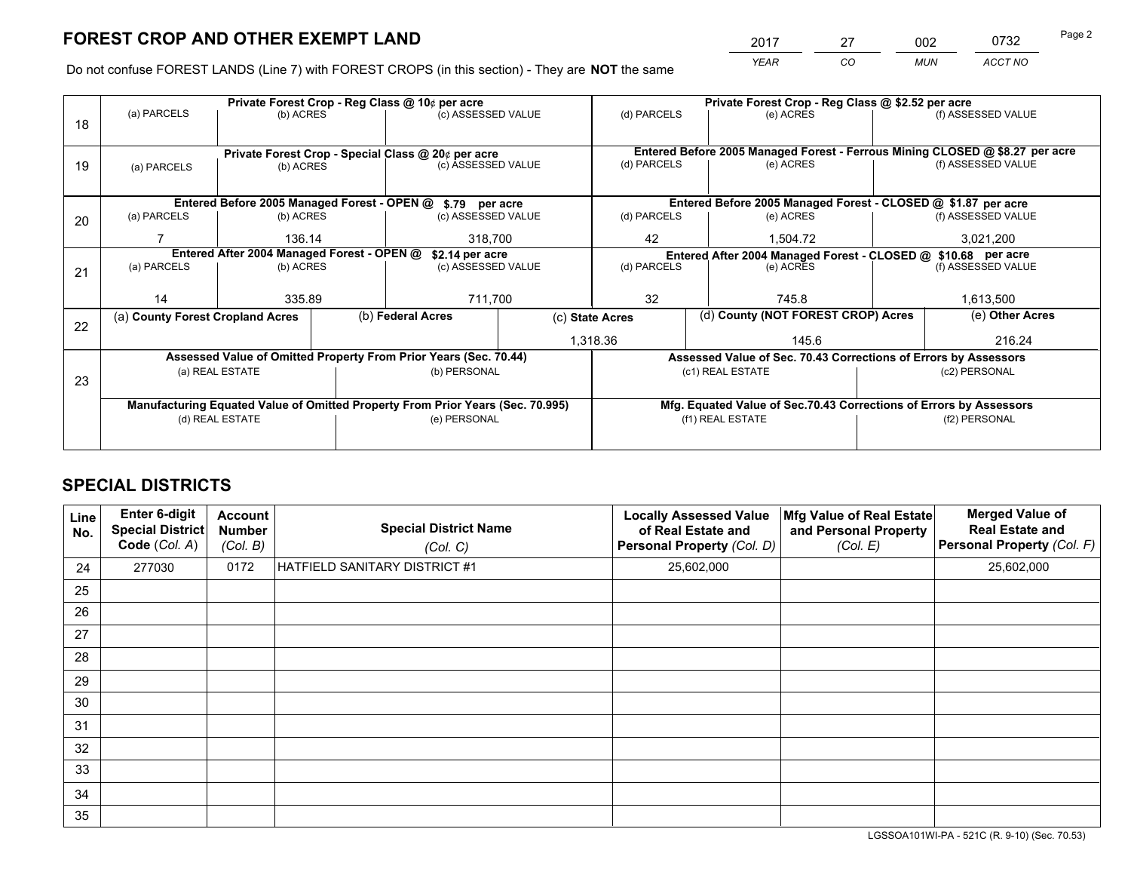*YEAR CO MUN ACCT NO* 2017 27 002 0732

Do not confuse FOREST LANDS (Line 7) with FOREST CROPS (in this section) - They are **NOT** the same

|    |                                                                                |                                                               |  | Private Forest Crop - Reg Class @ 10¢ per acre                   |                                                               | Private Forest Crop - Reg Class @ \$2.52 per acre                  |                                                                              |                    |                    |  |
|----|--------------------------------------------------------------------------------|---------------------------------------------------------------|--|------------------------------------------------------------------|---------------------------------------------------------------|--------------------------------------------------------------------|------------------------------------------------------------------------------|--------------------|--------------------|--|
| 18 | (a) PARCELS                                                                    | (b) ACRES                                                     |  | (c) ASSESSED VALUE                                               |                                                               | (d) PARCELS                                                        | (e) ACRES                                                                    |                    | (f) ASSESSED VALUE |  |
|    |                                                                                |                                                               |  |                                                                  |                                                               |                                                                    |                                                                              |                    |                    |  |
|    |                                                                                |                                                               |  | Private Forest Crop - Special Class @ 20¢ per acre               |                                                               |                                                                    | Entered Before 2005 Managed Forest - Ferrous Mining CLOSED @ \$8.27 per acre |                    |                    |  |
| 19 | (a) PARCELS                                                                    | (b) ACRES                                                     |  | (c) ASSESSED VALUE                                               |                                                               | (d) PARCELS                                                        | (e) ACRES                                                                    |                    | (f) ASSESSED VALUE |  |
|    |                                                                                |                                                               |  |                                                                  |                                                               |                                                                    |                                                                              |                    |                    |  |
|    |                                                                                | Entered Before 2005 Managed Forest - OPEN @                   |  | \$.79 per acre                                                   |                                                               |                                                                    | Entered Before 2005 Managed Forest - CLOSED @ \$1.87 per acre                |                    |                    |  |
| 20 | (a) PARCELS                                                                    | (b) ACRES                                                     |  | (c) ASSESSED VALUE                                               |                                                               | (d) PARCELS                                                        | (e) ACRES                                                                    |                    | (f) ASSESSED VALUE |  |
|    |                                                                                | 136.14                                                        |  |                                                                  | 42<br>318,700                                                 |                                                                    | 1.504.72                                                                     |                    | 3,021,200          |  |
|    |                                                                                | Entered After 2004 Managed Forest - OPEN @<br>\$2.14 per acre |  |                                                                  | Entered After 2004 Managed Forest - CLOSED @ \$10.68 per acre |                                                                    |                                                                              |                    |                    |  |
| 21 | (a) PARCELS                                                                    | (b) ACRES                                                     |  | (c) ASSESSED VALUE                                               |                                                               | (d) PARCELS                                                        | (e) ACRES                                                                    | (f) ASSESSED VALUE |                    |  |
|    |                                                                                |                                                               |  |                                                                  |                                                               |                                                                    |                                                                              |                    |                    |  |
|    | 14                                                                             | 335.89                                                        |  | 711,700                                                          |                                                               | 32                                                                 | 745.8                                                                        |                    | 1,613,500          |  |
| 22 | (a) County Forest Cropland Acres                                               |                                                               |  | (b) Federal Acres                                                |                                                               | (c) State Acres                                                    | (d) County (NOT FOREST CROP) Acres                                           |                    | (e) Other Acres    |  |
|    |                                                                                |                                                               |  |                                                                  |                                                               | 1,318.36                                                           | 145.6                                                                        |                    | 216.24             |  |
|    |                                                                                |                                                               |  | Assessed Value of Omitted Property From Prior Years (Sec. 70.44) |                                                               | Assessed Value of Sec. 70.43 Corrections of Errors by Assessors    |                                                                              |                    |                    |  |
| 23 |                                                                                | (a) REAL ESTATE                                               |  | (b) PERSONAL                                                     |                                                               |                                                                    | (c1) REAL ESTATE                                                             |                    | (c2) PERSONAL      |  |
|    |                                                                                |                                                               |  |                                                                  |                                                               |                                                                    |                                                                              |                    |                    |  |
|    | Manufacturing Equated Value of Omitted Property From Prior Years (Sec. 70.995) |                                                               |  |                                                                  |                                                               | Mfg. Equated Value of Sec.70.43 Corrections of Errors by Assessors |                                                                              |                    |                    |  |
|    | (d) REAL ESTATE                                                                |                                                               |  | (e) PERSONAL                                                     |                                                               |                                                                    | (f1) REAL ESTATE                                                             |                    | (f2) PERSONAL      |  |
|    |                                                                                |                                                               |  |                                                                  |                                                               |                                                                    |                                                                              |                    |                    |  |

## **SPECIAL DISTRICTS**

| Line<br>No. | Enter 6-digit<br><b>Special District</b><br>Code (Col. A) | <b>Account</b><br><b>Number</b><br>(Col. B) | <b>Special District Name</b><br>(Col. C) | <b>Locally Assessed Value</b><br>of Real Estate and<br>Personal Property (Col. D) | Mfg Value of Real Estate<br>and Personal Property<br>(Col. E) | <b>Merged Value of</b><br><b>Real Estate and</b><br>Personal Property (Col. F) |
|-------------|-----------------------------------------------------------|---------------------------------------------|------------------------------------------|-----------------------------------------------------------------------------------|---------------------------------------------------------------|--------------------------------------------------------------------------------|
| 24          | 277030                                                    | 0172                                        | HATFIELD SANITARY DISTRICT #1            | 25,602,000                                                                        |                                                               | 25,602,000                                                                     |
| 25          |                                                           |                                             |                                          |                                                                                   |                                                               |                                                                                |
| 26          |                                                           |                                             |                                          |                                                                                   |                                                               |                                                                                |
| 27          |                                                           |                                             |                                          |                                                                                   |                                                               |                                                                                |
| 28          |                                                           |                                             |                                          |                                                                                   |                                                               |                                                                                |
| 29          |                                                           |                                             |                                          |                                                                                   |                                                               |                                                                                |
| 30          |                                                           |                                             |                                          |                                                                                   |                                                               |                                                                                |
| 31          |                                                           |                                             |                                          |                                                                                   |                                                               |                                                                                |
| 32          |                                                           |                                             |                                          |                                                                                   |                                                               |                                                                                |
| 33          |                                                           |                                             |                                          |                                                                                   |                                                               |                                                                                |
| 34          |                                                           |                                             |                                          |                                                                                   |                                                               |                                                                                |
| 35          |                                                           |                                             |                                          |                                                                                   |                                                               |                                                                                |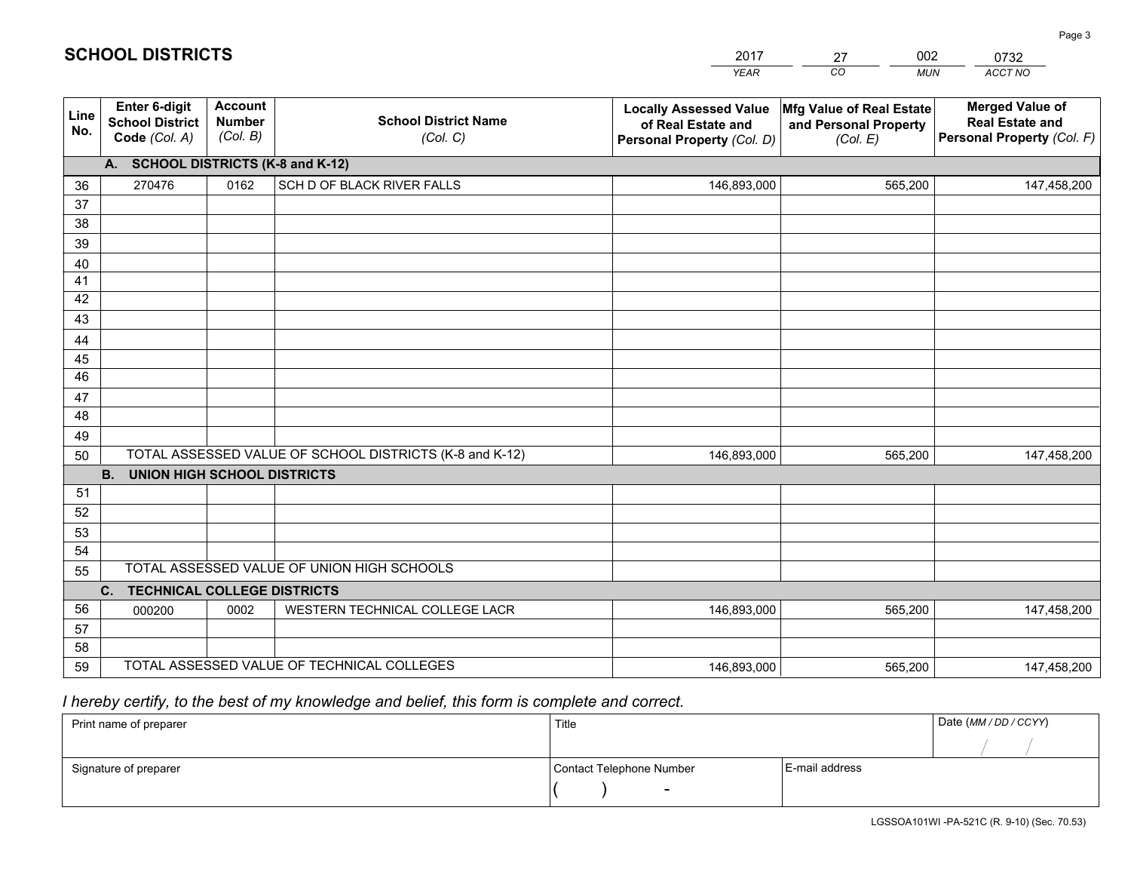|             |                                                          |                                             |                                                         | <b>YEAR</b>                                                                       | CO<br><b>MUN</b>                                              | ACCT NO                                                                        |
|-------------|----------------------------------------------------------|---------------------------------------------|---------------------------------------------------------|-----------------------------------------------------------------------------------|---------------------------------------------------------------|--------------------------------------------------------------------------------|
| Line<br>No. | Enter 6-digit<br><b>School District</b><br>Code (Col. A) | <b>Account</b><br><b>Number</b><br>(Col. B) | <b>School District Name</b><br>(Col. C)                 | <b>Locally Assessed Value</b><br>of Real Estate and<br>Personal Property (Col. D) | Mfg Value of Real Estate<br>and Personal Property<br>(Col. E) | <b>Merged Value of</b><br><b>Real Estate and</b><br>Personal Property (Col. F) |
|             | A. SCHOOL DISTRICTS (K-8 and K-12)                       |                                             |                                                         |                                                                                   |                                                               |                                                                                |
| 36          | 270476                                                   | 0162                                        | SCH D OF BLACK RIVER FALLS                              | 146,893,000                                                                       | 565,200                                                       | 147,458,200                                                                    |
| 37          |                                                          |                                             |                                                         |                                                                                   |                                                               |                                                                                |
| 38          |                                                          |                                             |                                                         |                                                                                   |                                                               |                                                                                |
| 39          |                                                          |                                             |                                                         |                                                                                   |                                                               |                                                                                |
| 40          |                                                          |                                             |                                                         |                                                                                   |                                                               |                                                                                |
| 41          |                                                          |                                             |                                                         |                                                                                   |                                                               |                                                                                |
| 42<br>43    |                                                          |                                             |                                                         |                                                                                   |                                                               |                                                                                |
|             |                                                          |                                             |                                                         |                                                                                   |                                                               |                                                                                |
| 44<br>45    |                                                          |                                             |                                                         |                                                                                   |                                                               |                                                                                |
| 46          |                                                          |                                             |                                                         |                                                                                   |                                                               |                                                                                |
| 47          |                                                          |                                             |                                                         |                                                                                   |                                                               |                                                                                |
| 48          |                                                          |                                             |                                                         |                                                                                   |                                                               |                                                                                |
| 49          |                                                          |                                             |                                                         |                                                                                   |                                                               |                                                                                |
| 50          |                                                          |                                             | TOTAL ASSESSED VALUE OF SCHOOL DISTRICTS (K-8 and K-12) | 146,893,000                                                                       | 565,200                                                       | 147,458,200                                                                    |
|             | <b>B.</b><br><b>UNION HIGH SCHOOL DISTRICTS</b>          |                                             |                                                         |                                                                                   |                                                               |                                                                                |
| 51          |                                                          |                                             |                                                         |                                                                                   |                                                               |                                                                                |
| 52          |                                                          |                                             |                                                         |                                                                                   |                                                               |                                                                                |
| 53          |                                                          |                                             |                                                         |                                                                                   |                                                               |                                                                                |
| 54          |                                                          |                                             |                                                         |                                                                                   |                                                               |                                                                                |
| 55          |                                                          |                                             | TOTAL ASSESSED VALUE OF UNION HIGH SCHOOLS              |                                                                                   |                                                               |                                                                                |
|             | C <sub>1</sub><br><b>TECHNICAL COLLEGE DISTRICTS</b>     |                                             |                                                         |                                                                                   |                                                               |                                                                                |
| 56          | 000200                                                   | 0002                                        | WESTERN TECHNICAL COLLEGE LACR                          | 146,893,000                                                                       | 565,200                                                       | 147,458,200                                                                    |
| 57<br>58    |                                                          |                                             |                                                         |                                                                                   |                                                               |                                                                                |
| 59          |                                                          |                                             | TOTAL ASSESSED VALUE OF TECHNICAL COLLEGES              | 146,893,000                                                                       | 565,200                                                       | 147,458,200                                                                    |
|             |                                                          |                                             |                                                         |                                                                                   |                                                               |                                                                                |

2017

27

002

## *I hereby certify, to the best of my knowledge and belief, this form is complete and correct.*

**SCHOOL DISTRICTS**

| Print name of preparer | Title                    |                | Date (MM / DD / CCYY) |
|------------------------|--------------------------|----------------|-----------------------|
|                        |                          |                |                       |
| Signature of preparer  | Contact Telephone Number | E-mail address |                       |
|                        | $\overline{\phantom{0}}$ |                |                       |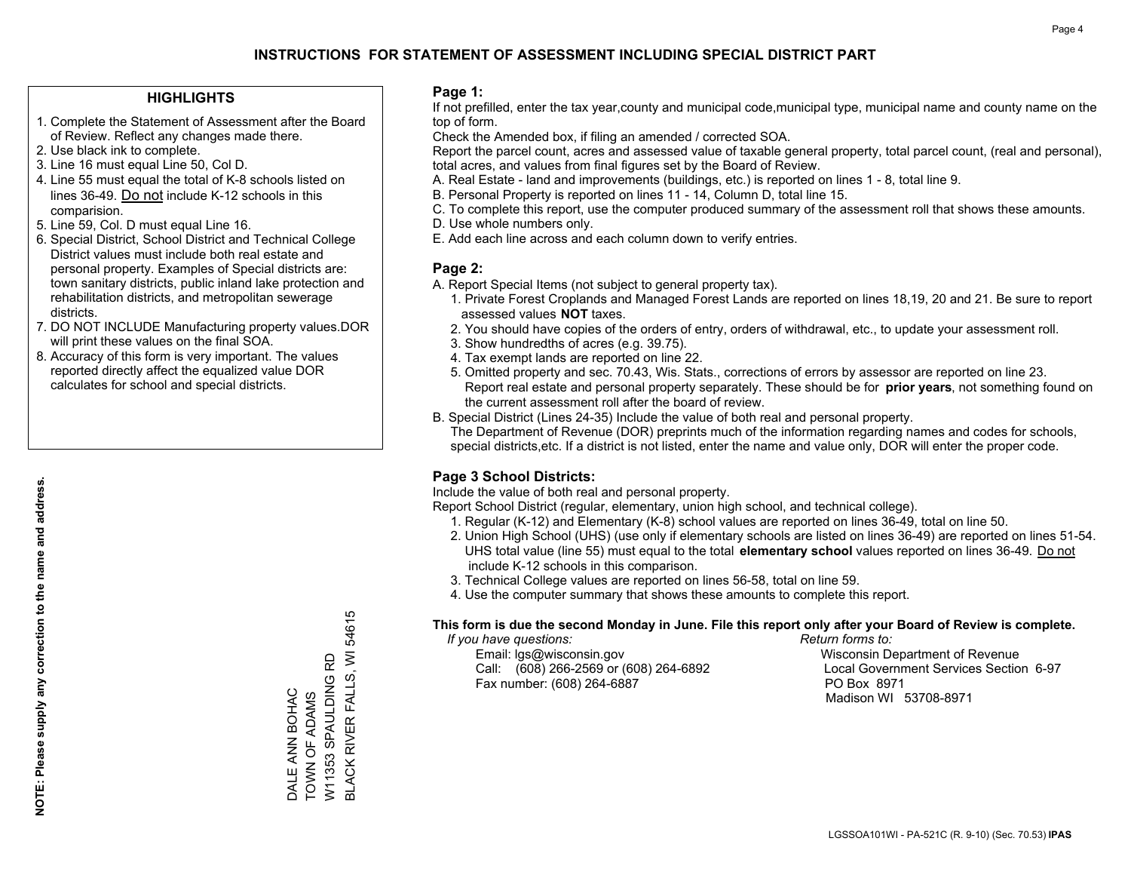#### **HIGHLIGHTS**

- 1. Complete the Statement of Assessment after the Board of Review. Reflect any changes made there.
- 2. Use black ink to complete.
- 3. Line 16 must equal Line 50, Col D.
- 4. Line 55 must equal the total of K-8 schools listed on lines 36-49. Do not include K-12 schools in this comparision.
- 5. Line 59, Col. D must equal Line 16.
- 6. Special District, School District and Technical College District values must include both real estate and personal property. Examples of Special districts are: town sanitary districts, public inland lake protection and rehabilitation districts, and metropolitan sewerage districts.
- 7. DO NOT INCLUDE Manufacturing property values.DOR will print these values on the final SOA.

DALE ANN BOHAC TOWN OF ADAMS W11353 SPAULDING RD

DALE ANN BOHAC<br>TOWN OF ADAMS

BLACK RIVER FALLS, WI 54615

**BLACK RIVER FALLS, WI 54615** 

W11353 SPAULDING RD

 8. Accuracy of this form is very important. The values reported directly affect the equalized value DOR calculates for school and special districts.

#### **Page 1:**

 If not prefilled, enter the tax year,county and municipal code,municipal type, municipal name and county name on the top of form.

Check the Amended box, if filing an amended / corrected SOA.

 Report the parcel count, acres and assessed value of taxable general property, total parcel count, (real and personal), total acres, and values from final figures set by the Board of Review.

- A. Real Estate land and improvements (buildings, etc.) is reported on lines 1 8, total line 9.
- B. Personal Property is reported on lines 11 14, Column D, total line 15.
- C. To complete this report, use the computer produced summary of the assessment roll that shows these amounts.
- D. Use whole numbers only.
- E. Add each line across and each column down to verify entries.

#### **Page 2:**

- A. Report Special Items (not subject to general property tax).
- 1. Private Forest Croplands and Managed Forest Lands are reported on lines 18,19, 20 and 21. Be sure to report assessed values **NOT** taxes.
- 2. You should have copies of the orders of entry, orders of withdrawal, etc., to update your assessment roll.
	- 3. Show hundredths of acres (e.g. 39.75).
- 4. Tax exempt lands are reported on line 22.
- 5. Omitted property and sec. 70.43, Wis. Stats., corrections of errors by assessor are reported on line 23. Report real estate and personal property separately. These should be for **prior years**, not something found on the current assessment roll after the board of review.
- B. Special District (Lines 24-35) Include the value of both real and personal property.
- The Department of Revenue (DOR) preprints much of the information regarding names and codes for schools, special districts,etc. If a district is not listed, enter the name and value only, DOR will enter the proper code.

### **Page 3 School Districts:**

Include the value of both real and personal property.

Report School District (regular, elementary, union high school, and technical college).

- 1. Regular (K-12) and Elementary (K-8) school values are reported on lines 36-49, total on line 50.
- 2. Union High School (UHS) (use only if elementary schools are listed on lines 36-49) are reported on lines 51-54. UHS total value (line 55) must equal to the total **elementary school** values reported on lines 36-49. Do notinclude K-12 schools in this comparison.
- 3. Technical College values are reported on lines 56-58, total on line 59.
- 4. Use the computer summary that shows these amounts to complete this report.

#### **This form is due the second Monday in June. File this report only after your Board of Review is complete.**

 *If you have questions: Return forms to:*

 Email: lgs@wisconsin.gov Wisconsin Department of RevenueCall:  $(608)$  266-2569 or  $(608)$  264-6892 Fax number: (608) 264-6887 PO Box 8971

Local Government Services Section 6-97 Madison WI 53708-8971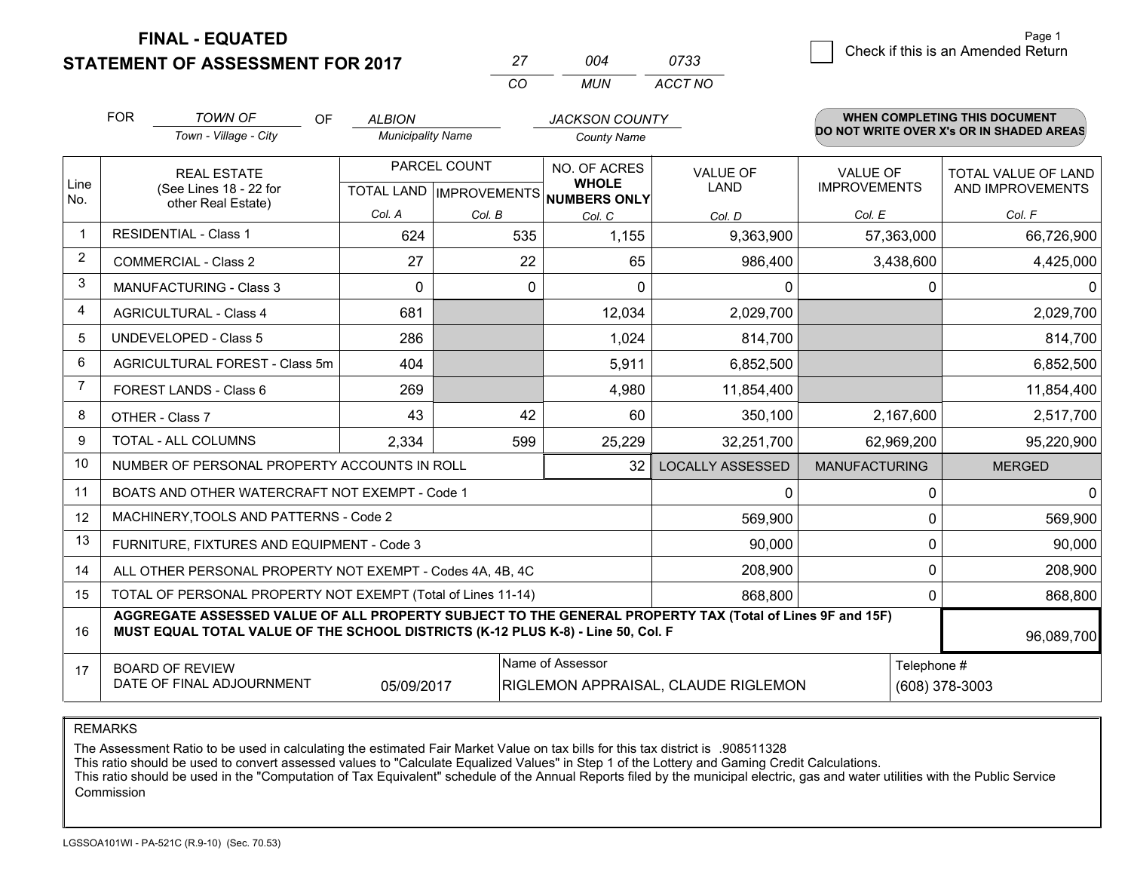**STATEMENT OF ASSESSMENT FOR 2017** 

|          | ∩∩⊿   | 0733    |
|----------|-------|---------|
| $\cdots$ | MI IN | ACCT NO |

|                | <b>FOR</b>                                                                                                                                                                                   | <b>TOWN OF</b><br>OF                           | <b>ALBION</b>            |                           | <b>JACKSON COUNTY</b>        |                                     |                      | <b>WHEN COMPLETING THIS DOCUMENT</b>     |
|----------------|----------------------------------------------------------------------------------------------------------------------------------------------------------------------------------------------|------------------------------------------------|--------------------------|---------------------------|------------------------------|-------------------------------------|----------------------|------------------------------------------|
|                |                                                                                                                                                                                              | Town - Village - City                          | <b>Municipality Name</b> |                           | <b>County Name</b>           |                                     |                      | DO NOT WRITE OVER X's OR IN SHADED AREAS |
|                |                                                                                                                                                                                              | <b>REAL ESTATE</b>                             |                          | PARCEL COUNT              | NO. OF ACRES                 | <b>VALUE OF</b>                     | <b>VALUE OF</b>      | TOTAL VALUE OF LAND                      |
| Line<br>No.    |                                                                                                                                                                                              | (See Lines 18 - 22 for<br>other Real Estate)   |                          | TOTAL LAND   IMPROVEMENTS | <b>WHOLE</b><br>NUMBERS ONLY | LAND                                | <b>IMPROVEMENTS</b>  | AND IMPROVEMENTS                         |
|                |                                                                                                                                                                                              |                                                | Col. A                   | Col. B                    | Col. C                       | Col. D                              | Col. E               | Col. F                                   |
|                |                                                                                                                                                                                              | <b>RESIDENTIAL - Class 1</b>                   | 624                      | 535                       | 1,155                        | 9,363,900                           | 57,363,000           | 66,726,900                               |
| 2              |                                                                                                                                                                                              | <b>COMMERCIAL - Class 2</b>                    | 27                       | 22                        | 65                           | 986,400                             | 3,438,600            | 4,425,000                                |
| 3              |                                                                                                                                                                                              | <b>MANUFACTURING - Class 3</b>                 | $\Omega$                 | $\Omega$                  | $\Omega$                     | 0                                   | 0                    | $\Omega$                                 |
| 4              |                                                                                                                                                                                              | <b>AGRICULTURAL - Class 4</b>                  | 681                      |                           | 12,034                       | 2,029,700                           |                      | 2,029,700                                |
| 5              |                                                                                                                                                                                              | UNDEVELOPED - Class 5                          | 286                      |                           | 1,024                        | 814,700                             |                      | 814,700                                  |
| 6              |                                                                                                                                                                                              | AGRICULTURAL FOREST - Class 5m                 | 404                      |                           | 5,911                        | 6,852,500                           |                      | 6,852,500                                |
| $\overline{7}$ |                                                                                                                                                                                              | FOREST LANDS - Class 6                         | 269                      |                           | 4,980                        | 11,854,400                          |                      | 11,854,400                               |
| 8              |                                                                                                                                                                                              | OTHER - Class 7                                | 43                       | 42                        | 60                           | 350,100                             | 2,167,600            | 2,517,700                                |
| 9              |                                                                                                                                                                                              | TOTAL - ALL COLUMNS                            | 2,334                    | 599                       | 25,229                       | 32,251,700                          | 62,969,200           | 95,220,900                               |
| 10             |                                                                                                                                                                                              | NUMBER OF PERSONAL PROPERTY ACCOUNTS IN ROLL   |                          |                           | 32                           | <b>LOCALLY ASSESSED</b>             | <b>MANUFACTURING</b> | <b>MERGED</b>                            |
| 11             |                                                                                                                                                                                              | BOATS AND OTHER WATERCRAFT NOT EXEMPT - Code 1 |                          |                           |                              | 0                                   | 0                    | $\Omega$                                 |
| 12             |                                                                                                                                                                                              | MACHINERY, TOOLS AND PATTERNS - Code 2         |                          |                           |                              | 569,900                             | 0                    | 569,900                                  |
| 13             |                                                                                                                                                                                              | FURNITURE, FIXTURES AND EQUIPMENT - Code 3     |                          |                           |                              | 90,000                              | 0                    | 90,000                                   |
| 14             | 208,900<br>ALL OTHER PERSONAL PROPERTY NOT EXEMPT - Codes 4A, 4B, 4C                                                                                                                         |                                                |                          |                           |                              |                                     |                      | 0<br>208,900                             |
| 15             | TOTAL OF PERSONAL PROPERTY NOT EXEMPT (Total of Lines 11-14)<br>868,800                                                                                                                      |                                                |                          |                           |                              |                                     |                      | 868,800<br>0                             |
| 16             | AGGREGATE ASSESSED VALUE OF ALL PROPERTY SUBJECT TO THE GENERAL PROPERTY TAX (Total of Lines 9F and 15F)<br>MUST EQUAL TOTAL VALUE OF THE SCHOOL DISTRICTS (K-12 PLUS K-8) - Line 50, Col. F |                                                |                          |                           |                              |                                     |                      | 96,089,700                               |
| 17             |                                                                                                                                                                                              | <b>BOARD OF REVIEW</b>                         |                          |                           | Name of Assessor             |                                     | Telephone #          |                                          |
|                |                                                                                                                                                                                              | DATE OF FINAL ADJOURNMENT                      | 05/09/2017               |                           |                              | RIGLEMON APPRAISAL, CLAUDE RIGLEMON |                      | (608) 378-3003                           |

REMARKS

The Assessment Ratio to be used in calculating the estimated Fair Market Value on tax bills for this tax district is .908511328

This ratio should be used to convert assessed values to "Calculate Equalized Values" in Step 1 of the Lottery and Gaming Credit Calculations.<br>This ratio should be used in the "Computation of Tax Equivalent" schedule of the Commission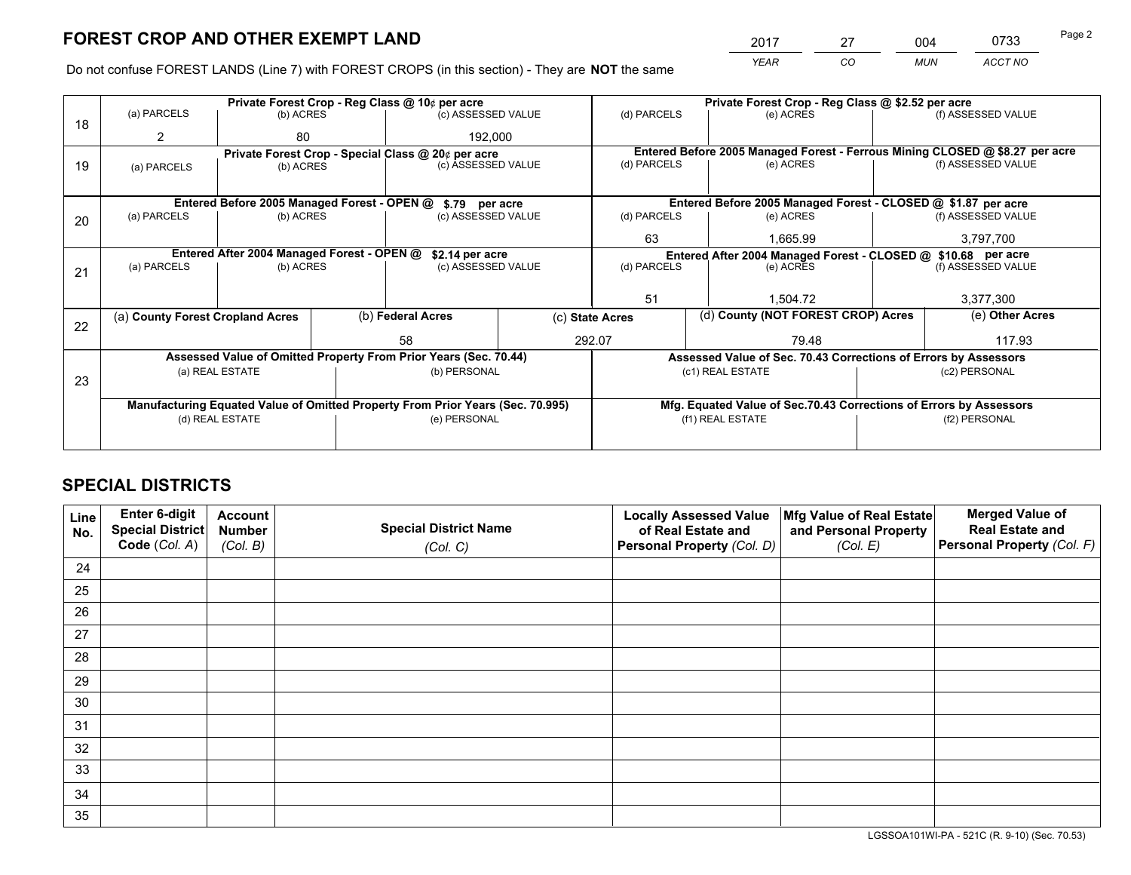*YEAR CO MUN ACCT NO* 2017 27 004 0733

Do not confuse FOREST LANDS (Line 7) with FOREST CROPS (in this section) - They are **NOT** the same

|    |                                                                                |                 |  | Private Forest Crop - Reg Class @ 10¢ per acre                   |  | Private Forest Crop - Reg Class @ \$2.52 per acre                  |                                                                              |                                                               |                    |  |
|----|--------------------------------------------------------------------------------|-----------------|--|------------------------------------------------------------------|--|--------------------------------------------------------------------|------------------------------------------------------------------------------|---------------------------------------------------------------|--------------------|--|
| 18 | (a) PARCELS                                                                    | (b) ACRES       |  | (c) ASSESSED VALUE                                               |  | (d) PARCELS                                                        | (e) ACRES                                                                    |                                                               | (f) ASSESSED VALUE |  |
|    | 2                                                                              | 80              |  | 192,000                                                          |  |                                                                    |                                                                              |                                                               |                    |  |
|    |                                                                                |                 |  | Private Forest Crop - Special Class @ 20¢ per acre               |  |                                                                    | Entered Before 2005 Managed Forest - Ferrous Mining CLOSED @ \$8.27 per acre |                                                               |                    |  |
| 19 | (a) PARCELS                                                                    | (b) ACRES       |  | (c) ASSESSED VALUE                                               |  | (d) PARCELS                                                        | (e) ACRES                                                                    |                                                               | (f) ASSESSED VALUE |  |
|    |                                                                                |                 |  |                                                                  |  |                                                                    |                                                                              |                                                               |                    |  |
|    |                                                                                |                 |  | Entered Before 2005 Managed Forest - OPEN @ \$.79 per acre       |  |                                                                    | Entered Before 2005 Managed Forest - CLOSED @ \$1.87 per acre                |                                                               |                    |  |
| 20 | (a) PARCELS                                                                    | (b) ACRES       |  | (c) ASSESSED VALUE                                               |  | (d) PARCELS                                                        | (e) ACRES                                                                    |                                                               | (f) ASSESSED VALUE |  |
|    |                                                                                |                 |  |                                                                  |  | 63                                                                 | 1,665.99                                                                     |                                                               | 3,797,700          |  |
|    | Entered After 2004 Managed Forest - OPEN @                                     |                 |  | \$2.14 per acre                                                  |  |                                                                    |                                                                              | Entered After 2004 Managed Forest - CLOSED @ \$10.68 per acre |                    |  |
| 21 | (a) PARCELS                                                                    | (b) ACRES       |  | (c) ASSESSED VALUE                                               |  | (d) PARCELS                                                        | (e) ACRES                                                                    |                                                               | (f) ASSESSED VALUE |  |
|    |                                                                                |                 |  |                                                                  |  |                                                                    |                                                                              |                                                               |                    |  |
|    |                                                                                |                 |  |                                                                  |  | 51                                                                 | 1,504.72                                                                     |                                                               | 3,377,300          |  |
| 22 | (a) County Forest Cropland Acres                                               |                 |  | (b) Federal Acres                                                |  | (c) State Acres                                                    | (d) County (NOT FOREST CROP) Acres                                           |                                                               | (e) Other Acres    |  |
|    |                                                                                |                 |  | 58                                                               |  | 292.07                                                             | 79.48                                                                        |                                                               | 117.93             |  |
|    |                                                                                |                 |  | Assessed Value of Omitted Property From Prior Years (Sec. 70.44) |  |                                                                    | Assessed Value of Sec. 70.43 Corrections of Errors by Assessors              |                                                               |                    |  |
|    |                                                                                | (a) REAL ESTATE |  | (b) PERSONAL                                                     |  | (c1) REAL ESTATE                                                   |                                                                              |                                                               | (c2) PERSONAL      |  |
| 23 |                                                                                |                 |  |                                                                  |  |                                                                    |                                                                              |                                                               |                    |  |
|    | Manufacturing Equated Value of Omitted Property From Prior Years (Sec. 70.995) |                 |  |                                                                  |  | Mfg. Equated Value of Sec.70.43 Corrections of Errors by Assessors |                                                                              |                                                               |                    |  |
|    | (d) REAL ESTATE                                                                |                 |  | (e) PERSONAL                                                     |  |                                                                    | (f1) REAL ESTATE                                                             |                                                               | (f2) PERSONAL      |  |
|    |                                                                                |                 |  |                                                                  |  |                                                                    |                                                                              |                                                               |                    |  |

## **SPECIAL DISTRICTS**

| Line<br>No. | Enter 6-digit<br>Special District<br>Code (Col. A) | <b>Account</b><br><b>Number</b><br>(Col. B) | <b>Special District Name</b><br>(Col. C) | <b>Locally Assessed Value</b><br>of Real Estate and<br>Personal Property (Col. D) | Mfg Value of Real Estate<br>and Personal Property<br>(Col. E) | <b>Merged Value of</b><br><b>Real Estate and</b><br>Personal Property (Col. F) |
|-------------|----------------------------------------------------|---------------------------------------------|------------------------------------------|-----------------------------------------------------------------------------------|---------------------------------------------------------------|--------------------------------------------------------------------------------|
| 24          |                                                    |                                             |                                          |                                                                                   |                                                               |                                                                                |
| 25          |                                                    |                                             |                                          |                                                                                   |                                                               |                                                                                |
| 26          |                                                    |                                             |                                          |                                                                                   |                                                               |                                                                                |
| 27          |                                                    |                                             |                                          |                                                                                   |                                                               |                                                                                |
| 28          |                                                    |                                             |                                          |                                                                                   |                                                               |                                                                                |
| 29          |                                                    |                                             |                                          |                                                                                   |                                                               |                                                                                |
| 30          |                                                    |                                             |                                          |                                                                                   |                                                               |                                                                                |
| 31          |                                                    |                                             |                                          |                                                                                   |                                                               |                                                                                |
| 32          |                                                    |                                             |                                          |                                                                                   |                                                               |                                                                                |
| 33          |                                                    |                                             |                                          |                                                                                   |                                                               |                                                                                |
| 34          |                                                    |                                             |                                          |                                                                                   |                                                               |                                                                                |
| 35          |                                                    |                                             |                                          |                                                                                   |                                                               |                                                                                |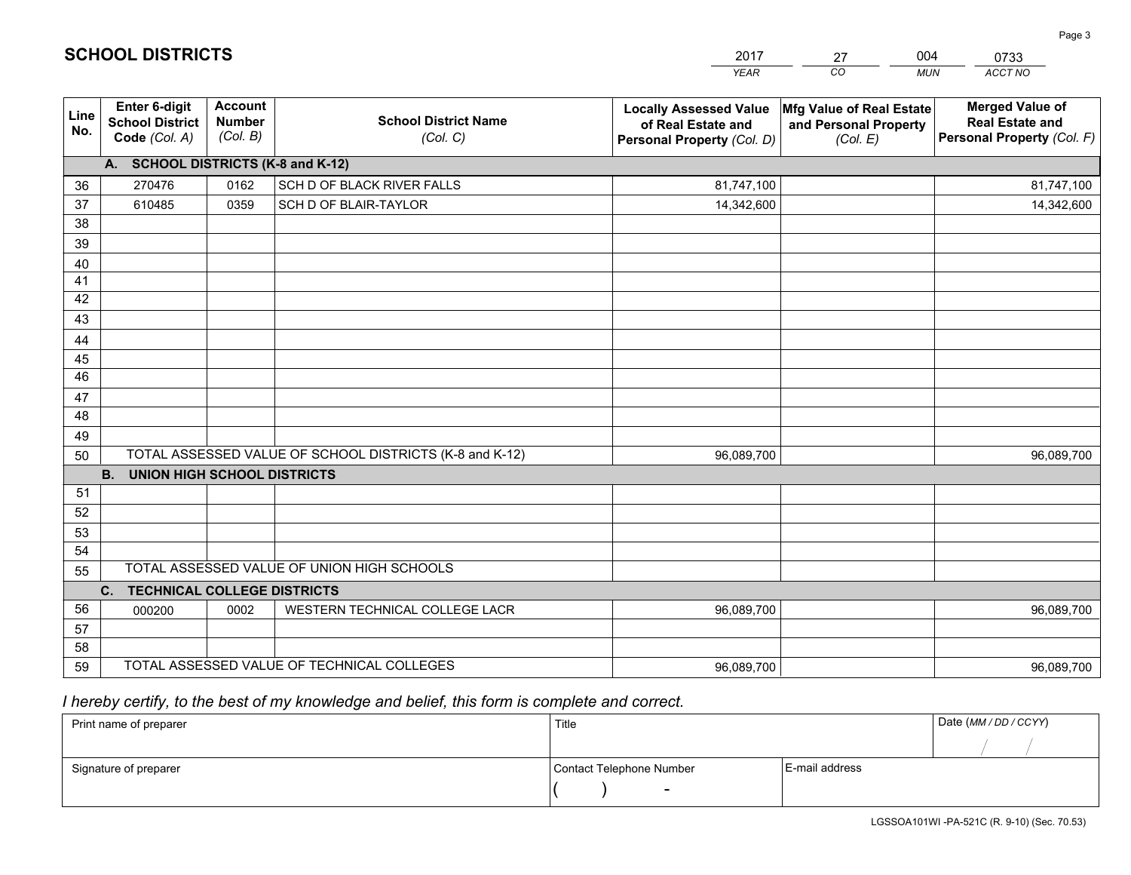|             |                                                          |                                             |                                                         | YEAR                                                                              | CO<br><b>MUN</b>                                              | ACCT NO                                                                        |
|-------------|----------------------------------------------------------|---------------------------------------------|---------------------------------------------------------|-----------------------------------------------------------------------------------|---------------------------------------------------------------|--------------------------------------------------------------------------------|
| Line<br>No. | Enter 6-digit<br><b>School District</b><br>Code (Col. A) | <b>Account</b><br><b>Number</b><br>(Col. B) | <b>School District Name</b><br>(Col. C)                 | <b>Locally Assessed Value</b><br>of Real Estate and<br>Personal Property (Col. D) | Mfg Value of Real Estate<br>and Personal Property<br>(Col. E) | <b>Merged Value of</b><br><b>Real Estate and</b><br>Personal Property (Col. F) |
|             | A. SCHOOL DISTRICTS (K-8 and K-12)                       |                                             |                                                         |                                                                                   |                                                               |                                                                                |
| 36          | 270476                                                   | 0162                                        | SCH D OF BLACK RIVER FALLS                              | 81,747,100                                                                        |                                                               | 81,747,100                                                                     |
| 37          | 610485                                                   | 0359                                        | SCH D OF BLAIR-TAYLOR                                   | 14,342,600                                                                        |                                                               | 14,342,600                                                                     |
| 38          |                                                          |                                             |                                                         |                                                                                   |                                                               |                                                                                |
| 39          |                                                          |                                             |                                                         |                                                                                   |                                                               |                                                                                |
| 40          |                                                          |                                             |                                                         |                                                                                   |                                                               |                                                                                |
| 41          |                                                          |                                             |                                                         |                                                                                   |                                                               |                                                                                |
| 42          |                                                          |                                             |                                                         |                                                                                   |                                                               |                                                                                |
| 43          |                                                          |                                             |                                                         |                                                                                   |                                                               |                                                                                |
| 44          |                                                          |                                             |                                                         |                                                                                   |                                                               |                                                                                |
| 45          |                                                          |                                             |                                                         |                                                                                   |                                                               |                                                                                |
| 46          |                                                          |                                             |                                                         |                                                                                   |                                                               |                                                                                |
| 47          |                                                          |                                             |                                                         |                                                                                   |                                                               |                                                                                |
| 48          |                                                          |                                             |                                                         |                                                                                   |                                                               |                                                                                |
| 49          |                                                          |                                             | TOTAL ASSESSED VALUE OF SCHOOL DISTRICTS (K-8 and K-12) |                                                                                   |                                                               |                                                                                |
| 50          | <b>B.</b><br><b>UNION HIGH SCHOOL DISTRICTS</b>          |                                             |                                                         | 96,089,700                                                                        |                                                               | 96,089,700                                                                     |
| 51          |                                                          |                                             |                                                         |                                                                                   |                                                               |                                                                                |
| 52          |                                                          |                                             |                                                         |                                                                                   |                                                               |                                                                                |
| 53          |                                                          |                                             |                                                         |                                                                                   |                                                               |                                                                                |
| 54          |                                                          |                                             |                                                         |                                                                                   |                                                               |                                                                                |
| 55          |                                                          |                                             | TOTAL ASSESSED VALUE OF UNION HIGH SCHOOLS              |                                                                                   |                                                               |                                                                                |
|             | C.<br><b>TECHNICAL COLLEGE DISTRICTS</b>                 |                                             |                                                         |                                                                                   |                                                               |                                                                                |
| 56          | 000200                                                   | 0002                                        | WESTERN TECHNICAL COLLEGE LACR                          | 96,089,700                                                                        |                                                               | 96,089,700                                                                     |
| 57          |                                                          |                                             |                                                         |                                                                                   |                                                               |                                                                                |
| 58          |                                                          |                                             |                                                         |                                                                                   |                                                               |                                                                                |
| 59          |                                                          |                                             | TOTAL ASSESSED VALUE OF TECHNICAL COLLEGES              | 96,089,700                                                                        |                                                               | 96,089,700                                                                     |

2017

27

004

 *I hereby certify, to the best of my knowledge and belief, this form is complete and correct.*

**SCHOOL DISTRICTS**

| Print name of preparer | Title                    |                | Date (MM / DD / CCYY) |
|------------------------|--------------------------|----------------|-----------------------|
|                        |                          |                |                       |
| Signature of preparer  | Contact Telephone Number | E-mail address |                       |
|                        | $\overline{\phantom{a}}$ |                |                       |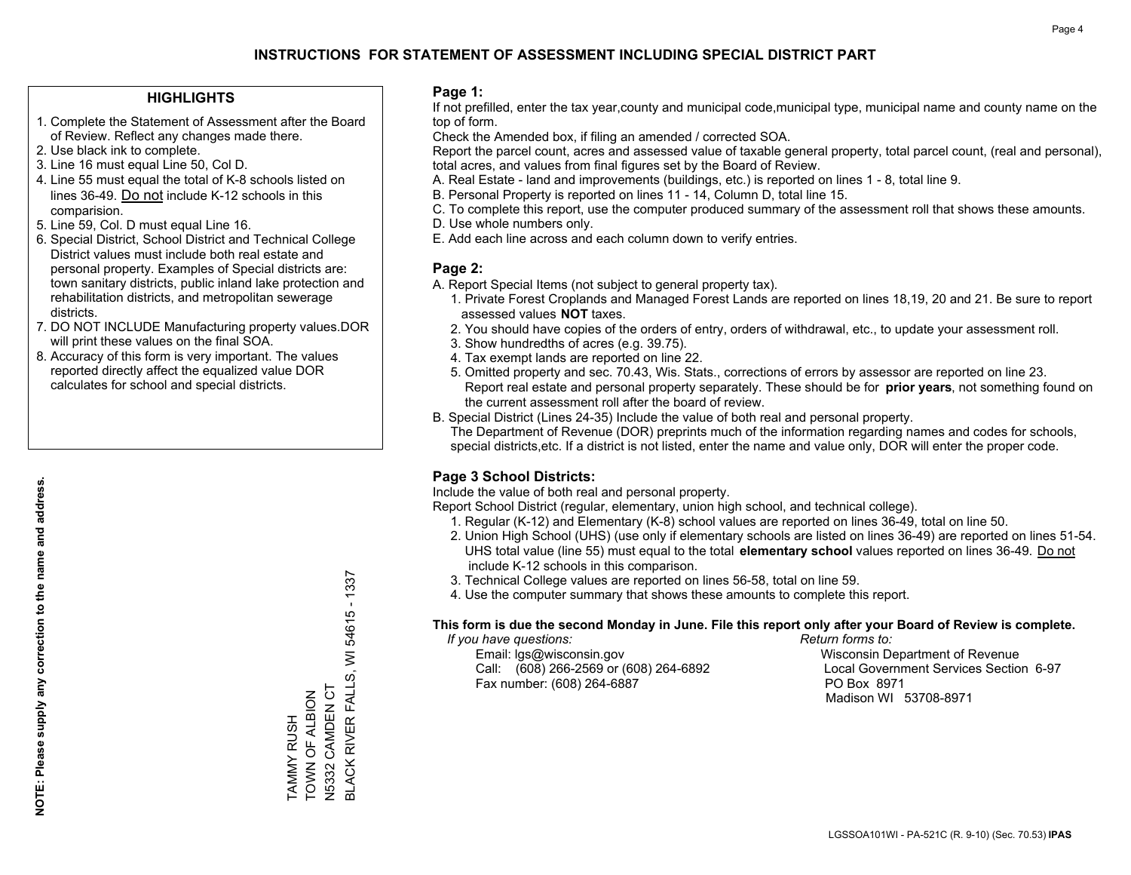#### **HIGHLIGHTS**

- 1. Complete the Statement of Assessment after the Board of Review. Reflect any changes made there.
- 2. Use black ink to complete.
- 3. Line 16 must equal Line 50, Col D.
- 4. Line 55 must equal the total of K-8 schools listed on lines 36-49. Do not include K-12 schools in this comparision.
- 5. Line 59, Col. D must equal Line 16.
- 6. Special District, School District and Technical College District values must include both real estate and personal property. Examples of Special districts are: town sanitary districts, public inland lake protection and rehabilitation districts, and metropolitan sewerage districts.
- 7. DO NOT INCLUDE Manufacturing property values.DOR will print these values on the final SOA.
- 8. Accuracy of this form is very important. The values reported directly affect the equalized value DOR calculates for school and special districts.

#### **Page 1:**

 If not prefilled, enter the tax year,county and municipal code,municipal type, municipal name and county name on the top of form.

Check the Amended box, if filing an amended / corrected SOA.

 Report the parcel count, acres and assessed value of taxable general property, total parcel count, (real and personal), total acres, and values from final figures set by the Board of Review.

- A. Real Estate land and improvements (buildings, etc.) is reported on lines 1 8, total line 9.
- B. Personal Property is reported on lines 11 14, Column D, total line 15.
- C. To complete this report, use the computer produced summary of the assessment roll that shows these amounts.
- D. Use whole numbers only.
- E. Add each line across and each column down to verify entries.

#### **Page 2:**

- A. Report Special Items (not subject to general property tax).
- 1. Private Forest Croplands and Managed Forest Lands are reported on lines 18,19, 20 and 21. Be sure to report assessed values **NOT** taxes.
- 2. You should have copies of the orders of entry, orders of withdrawal, etc., to update your assessment roll.
	- 3. Show hundredths of acres (e.g. 39.75).
- 4. Tax exempt lands are reported on line 22.
- 5. Omitted property and sec. 70.43, Wis. Stats., corrections of errors by assessor are reported on line 23. Report real estate and personal property separately. These should be for **prior years**, not something found on the current assessment roll after the board of review.
- B. Special District (Lines 24-35) Include the value of both real and personal property.
- The Department of Revenue (DOR) preprints much of the information regarding names and codes for schools, special districts,etc. If a district is not listed, enter the name and value only, DOR will enter the proper code.

### **Page 3 School Districts:**

Include the value of both real and personal property.

Report School District (regular, elementary, union high school, and technical college).

- 1. Regular (K-12) and Elementary (K-8) school values are reported on lines 36-49, total on line 50.
- 2. Union High School (UHS) (use only if elementary schools are listed on lines 36-49) are reported on lines 51-54. UHS total value (line 55) must equal to the total **elementary school** values reported on lines 36-49. Do notinclude K-12 schools in this comparison.
- 3. Technical College values are reported on lines 56-58, total on line 59.
- 4. Use the computer summary that shows these amounts to complete this report.

#### **This form is due the second Monday in June. File this report only after your Board of Review is complete.**

 *If you have questions: Return forms to:*

 Email: lgs@wisconsin.gov Wisconsin Department of RevenueCall:  $(608)$  266-2569 or  $(608)$  264-6892 Fax number: (608) 264-6887 PO Box 8971

Local Government Services Section 6-97 Madison WI 53708-8971

BLACK RIVER FALLS, WI 54615 - 1337 BLACK RIVER FALLS, WI 54615 - 1337 N5332 CAMDEN CT TOWN OF ALBION TAMMY RUSH<br>TOWN OF ALBION TAMMY RUSH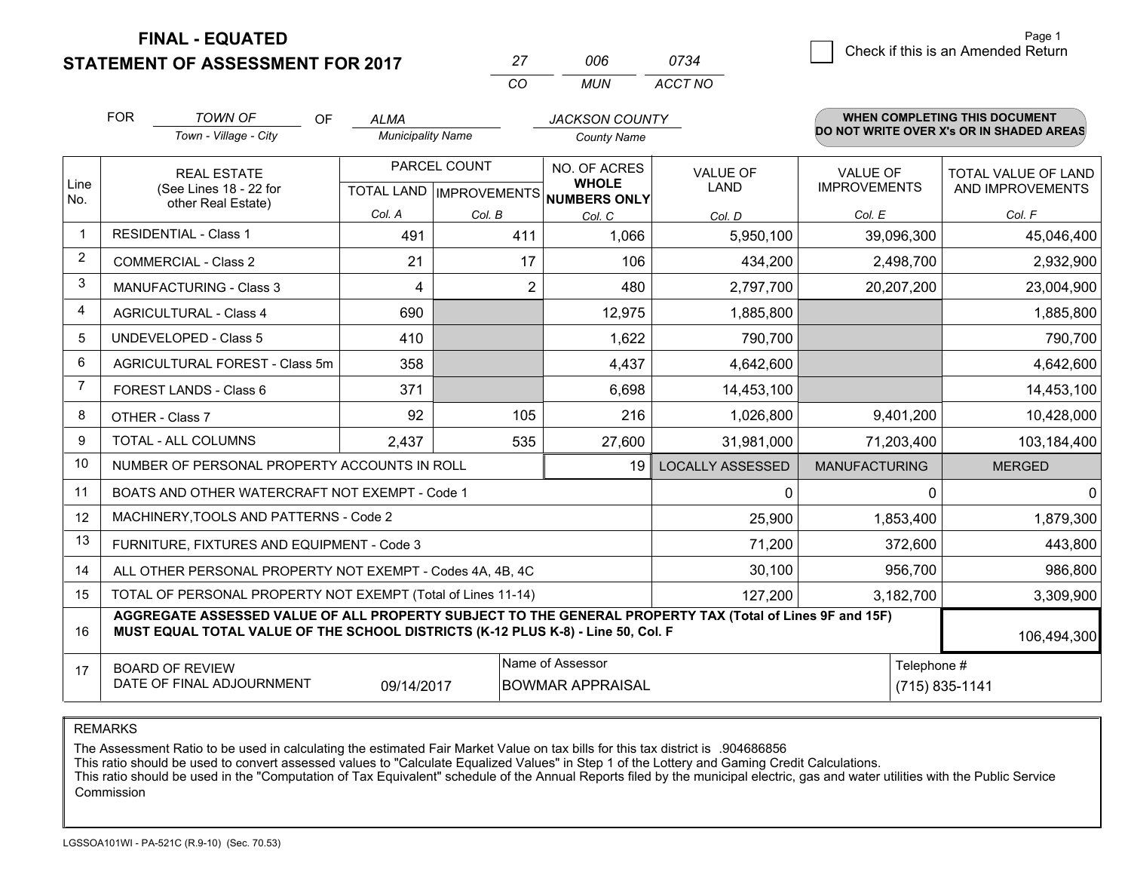**STATEMENT OF ASSESSMENT FOR 2017** 

| 27       | nnr   | 0734    |
|----------|-------|---------|
| $\cdots$ | MI IN | ACCT NO |

|      | <b>FOR</b>                                                                           | <b>TOWN OF</b><br>OF                                                             | <b>ALMA</b>              |                           | <b>JACKSON COUNTY</b> |                                                                                                          |                      | <b>WHEN COMPLETING THIS DOCUMENT</b>     |
|------|--------------------------------------------------------------------------------------|----------------------------------------------------------------------------------|--------------------------|---------------------------|-----------------------|----------------------------------------------------------------------------------------------------------|----------------------|------------------------------------------|
|      |                                                                                      | Town - Village - City                                                            | <b>Municipality Name</b> |                           | <b>County Name</b>    |                                                                                                          |                      | DO NOT WRITE OVER X's OR IN SHADED AREAS |
| Line |                                                                                      | PARCEL COUNT<br>NO. OF ACRES<br><b>REAL ESTATE</b><br><b>WHOLE</b>               |                          | <b>VALUE OF</b>           | <b>VALUE OF</b>       | TOTAL VALUE OF LAND                                                                                      |                      |                                          |
| No.  |                                                                                      | (See Lines 18 - 22 for<br>other Real Estate)                                     |                          | TOTAL LAND   IMPROVEMENTS | NUMBERS ONLY          | <b>LAND</b>                                                                                              | <b>IMPROVEMENTS</b>  | AND IMPROVEMENTS                         |
|      |                                                                                      |                                                                                  | Col. A                   | Col. B                    | Col. C                | Col. D                                                                                                   | Col. E               | Col. F                                   |
|      | <b>RESIDENTIAL - Class 1</b>                                                         |                                                                                  | 491                      | 411                       | 1,066                 | 5,950,100                                                                                                | 39,096,300           | 45,046,400                               |
| 2    | <b>COMMERCIAL - Class 2</b>                                                          |                                                                                  | 21                       | 17                        | 106                   | 434,200                                                                                                  | 2,498,700            | 2,932,900                                |
| 3    |                                                                                      | <b>MANUFACTURING - Class 3</b>                                                   | 4                        |                           | $\overline{2}$<br>480 | 2,797,700                                                                                                | 20,207,200           | 23,004,900                               |
| 4    | <b>AGRICULTURAL - Class 4</b>                                                        |                                                                                  | 690                      |                           | 12,975                | 1,885,800                                                                                                |                      | 1,885,800                                |
| 5    | <b>UNDEVELOPED - Class 5</b>                                                         |                                                                                  | 410                      |                           | 1,622                 | 790,700                                                                                                  |                      | 790,700                                  |
| 6    |                                                                                      | AGRICULTURAL FOREST - Class 5m                                                   | 358                      |                           | 4,437                 | 4,642,600                                                                                                |                      | 4,642,600                                |
|      | FOREST LANDS - Class 6                                                               |                                                                                  | 371                      |                           | 6,698                 | 14,453,100                                                                                               |                      | 14,453,100                               |
| 8    | OTHER - Class 7                                                                      |                                                                                  | 92                       | 105                       | 216                   | 1,026,800                                                                                                | 9,401,200            | 10,428,000                               |
| 9    | TOTAL - ALL COLUMNS                                                                  |                                                                                  | 2,437                    | 535                       | 27,600                | 31,981,000                                                                                               | 71,203,400           | 103,184,400                              |
| 10   |                                                                                      | NUMBER OF PERSONAL PROPERTY ACCOUNTS IN ROLL                                     |                          |                           | 19                    | <b>LOCALLY ASSESSED</b>                                                                                  | <b>MANUFACTURING</b> | <b>MERGED</b>                            |
| 11   |                                                                                      | BOATS AND OTHER WATERCRAFT NOT EXEMPT - Code 1                                   |                          |                           |                       | 0                                                                                                        |                      | $\Omega$<br>0                            |
| 12   |                                                                                      | MACHINERY, TOOLS AND PATTERNS - Code 2                                           |                          |                           |                       | 25,900                                                                                                   | 1,853,400            | 1,879,300                                |
| 13   |                                                                                      | FURNITURE, FIXTURES AND EQUIPMENT - Code 3                                       |                          |                           |                       | 71,200                                                                                                   | 372,600              | 443,800                                  |
| 14   |                                                                                      | ALL OTHER PERSONAL PROPERTY NOT EXEMPT - Codes 4A, 4B, 4C                        |                          |                           |                       | 30,100                                                                                                   | 956,700              | 986,800                                  |
| 15   | TOTAL OF PERSONAL PROPERTY NOT EXEMPT (Total of Lines 11-14)                         |                                                                                  |                          |                           |                       | 127,200                                                                                                  | 3,182,700            | 3,309,900                                |
| 16   |                                                                                      | MUST EQUAL TOTAL VALUE OF THE SCHOOL DISTRICTS (K-12 PLUS K-8) - Line 50, Col. F |                          |                           |                       | AGGREGATE ASSESSED VALUE OF ALL PROPERTY SUBJECT TO THE GENERAL PROPERTY TAX (Total of Lines 9F and 15F) |                      | 106,494,300                              |
| 17   | <b>BOARD OF REVIEW</b>                                                               |                                                                                  |                          |                           | Name of Assessor      |                                                                                                          |                      | Telephone #                              |
|      | DATE OF FINAL ADJOURNMENT<br>(715) 835-1141<br>09/14/2017<br><b>BOWMAR APPRAISAL</b> |                                                                                  |                          |                           |                       |                                                                                                          |                      |                                          |

REMARKS

The Assessment Ratio to be used in calculating the estimated Fair Market Value on tax bills for this tax district is .904686856<br>This ratio should be used to convert assessed values to "Calculate Equalized Values" in Step 1 Commission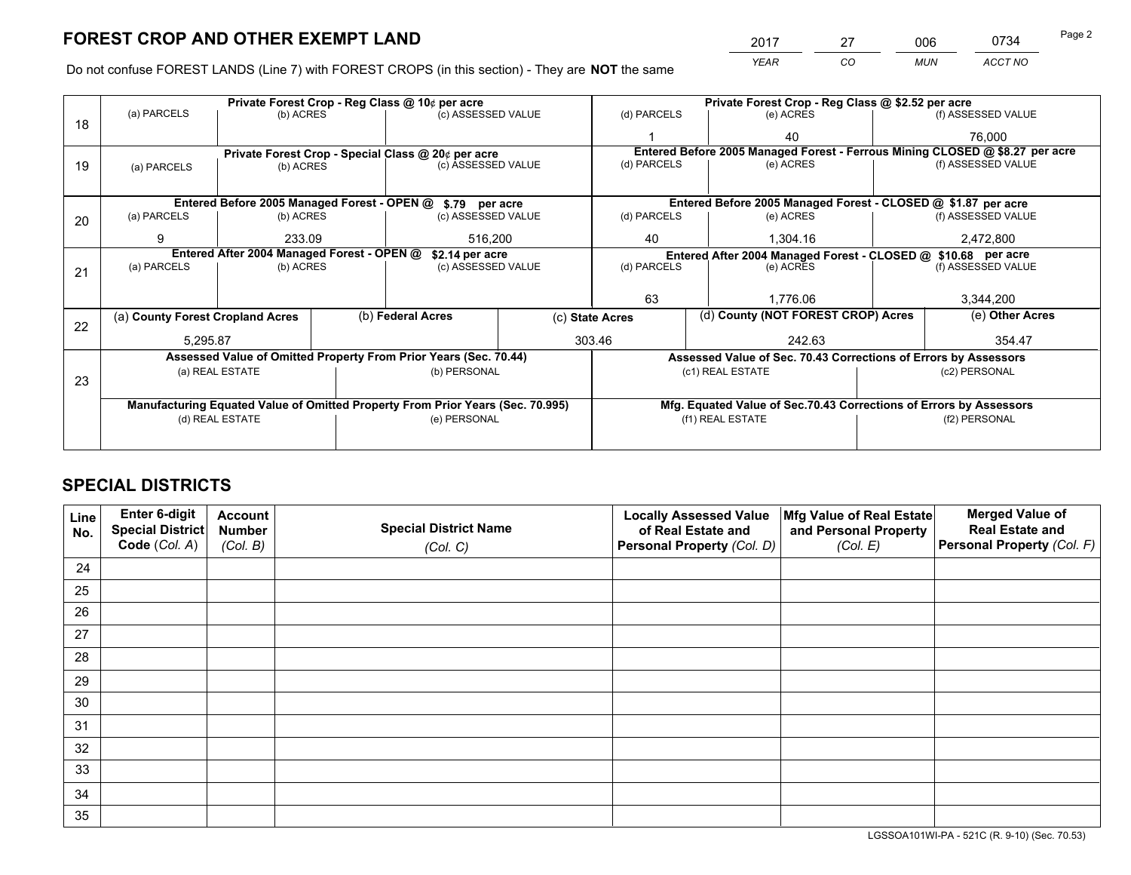*YEAR CO MUN ACCT NO* 2017 27 006 0734 Page 2

Do not confuse FOREST LANDS (Line 7) with FOREST CROPS (in this section) - They are **NOT** the same

|    |                                                                                |                                 |  | Private Forest Crop - Reg Class @ 10¢ per acre                   |                                   | Private Forest Crop - Reg Class @ \$2.52 per acre                  |                                                                              |  |                    |  |
|----|--------------------------------------------------------------------------------|---------------------------------|--|------------------------------------------------------------------|-----------------------------------|--------------------------------------------------------------------|------------------------------------------------------------------------------|--|--------------------|--|
| 18 | (a) PARCELS                                                                    | (b) ACRES                       |  | (c) ASSESSED VALUE                                               |                                   | (d) PARCELS                                                        | (e) ACRES                                                                    |  | (f) ASSESSED VALUE |  |
|    |                                                                                |                                 |  |                                                                  |                                   |                                                                    | 40                                                                           |  | 76.000             |  |
|    |                                                                                |                                 |  | Private Forest Crop - Special Class @ 20¢ per acre               |                                   |                                                                    | Entered Before 2005 Managed Forest - Ferrous Mining CLOSED @ \$8.27 per acre |  |                    |  |
| 19 | (a) PARCELS                                                                    | (b) ACRES                       |  | (c) ASSESSED VALUE                                               |                                   | (d) PARCELS                                                        | (e) ACRES                                                                    |  | (f) ASSESSED VALUE |  |
|    |                                                                                |                                 |  |                                                                  |                                   |                                                                    |                                                                              |  |                    |  |
|    |                                                                                |                                 |  | Entered Before 2005 Managed Forest - OPEN @ \$.79 per acre       |                                   |                                                                    | Entered Before 2005 Managed Forest - CLOSED @ \$1.87 per acre                |  |                    |  |
| 20 | (a) PARCELS                                                                    | (b) ACRES<br>(c) ASSESSED VALUE |  | (d) PARCELS                                                      | (e) ACRES                         |                                                                    | (f) ASSESSED VALUE                                                           |  |                    |  |
|    | 9                                                                              | 233.09                          |  | 516,200                                                          |                                   | 40                                                                 | 1,304.16                                                                     |  | 2,472,800          |  |
|    | Entered After 2004 Managed Forest - OPEN @                                     |                                 |  | \$2.14 per acre                                                  |                                   |                                                                    | Entered After 2004 Managed Forest - CLOSED @ \$10.68 per acre                |  |                    |  |
| 21 | (a) PARCELS                                                                    | (b) ACRES                       |  |                                                                  | (d) PARCELS<br>(c) ASSESSED VALUE |                                                                    | (e) ACRES                                                                    |  | (f) ASSESSED VALUE |  |
|    |                                                                                |                                 |  |                                                                  |                                   |                                                                    |                                                                              |  |                    |  |
|    |                                                                                |                                 |  |                                                                  |                                   | 63                                                                 | 1.776.06                                                                     |  | 3,344,200          |  |
| 22 | (a) County Forest Cropland Acres                                               |                                 |  | (b) Federal Acres                                                |                                   | (c) State Acres                                                    | (d) County (NOT FOREST CROP) Acres                                           |  | (e) Other Acres    |  |
|    | 5,295.87                                                                       |                                 |  |                                                                  |                                   | 303.46                                                             | 242.63                                                                       |  | 354.47             |  |
|    |                                                                                |                                 |  | Assessed Value of Omitted Property From Prior Years (Sec. 70.44) |                                   |                                                                    | Assessed Value of Sec. 70.43 Corrections of Errors by Assessors              |  |                    |  |
| 23 |                                                                                | (a) REAL ESTATE                 |  | (b) PERSONAL                                                     |                                   |                                                                    | (c1) REAL ESTATE                                                             |  | (c2) PERSONAL      |  |
|    |                                                                                |                                 |  |                                                                  |                                   |                                                                    |                                                                              |  |                    |  |
|    | Manufacturing Equated Value of Omitted Property From Prior Years (Sec. 70.995) |                                 |  |                                                                  |                                   | Mfg. Equated Value of Sec.70.43 Corrections of Errors by Assessors |                                                                              |  |                    |  |
|    |                                                                                | (d) REAL ESTATE                 |  | (e) PERSONAL                                                     |                                   | (f1) REAL ESTATE                                                   |                                                                              |  | (f2) PERSONAL      |  |
|    |                                                                                |                                 |  |                                                                  |                                   |                                                                    |                                                                              |  |                    |  |

## **SPECIAL DISTRICTS**

| Line<br>No. | Enter 6-digit<br>Special District<br>Code (Col. A) | <b>Account</b><br><b>Number</b> | <b>Special District Name</b> | <b>Locally Assessed Value</b><br>of Real Estate and | Mfg Value of Real Estate<br>and Personal Property | <b>Merged Value of</b><br><b>Real Estate and</b><br>Personal Property (Col. F) |
|-------------|----------------------------------------------------|---------------------------------|------------------------------|-----------------------------------------------------|---------------------------------------------------|--------------------------------------------------------------------------------|
|             |                                                    | (Col. B)                        | (Col. C)                     | Personal Property (Col. D)                          | (Col. E)                                          |                                                                                |
| 24          |                                                    |                                 |                              |                                                     |                                                   |                                                                                |
| 25          |                                                    |                                 |                              |                                                     |                                                   |                                                                                |
| 26          |                                                    |                                 |                              |                                                     |                                                   |                                                                                |
| 27          |                                                    |                                 |                              |                                                     |                                                   |                                                                                |
| 28          |                                                    |                                 |                              |                                                     |                                                   |                                                                                |
| 29          |                                                    |                                 |                              |                                                     |                                                   |                                                                                |
| 30          |                                                    |                                 |                              |                                                     |                                                   |                                                                                |
| 31          |                                                    |                                 |                              |                                                     |                                                   |                                                                                |
| 32          |                                                    |                                 |                              |                                                     |                                                   |                                                                                |
| 33          |                                                    |                                 |                              |                                                     |                                                   |                                                                                |
| 34          |                                                    |                                 |                              |                                                     |                                                   |                                                                                |
| 35          |                                                    |                                 |                              |                                                     |                                                   |                                                                                |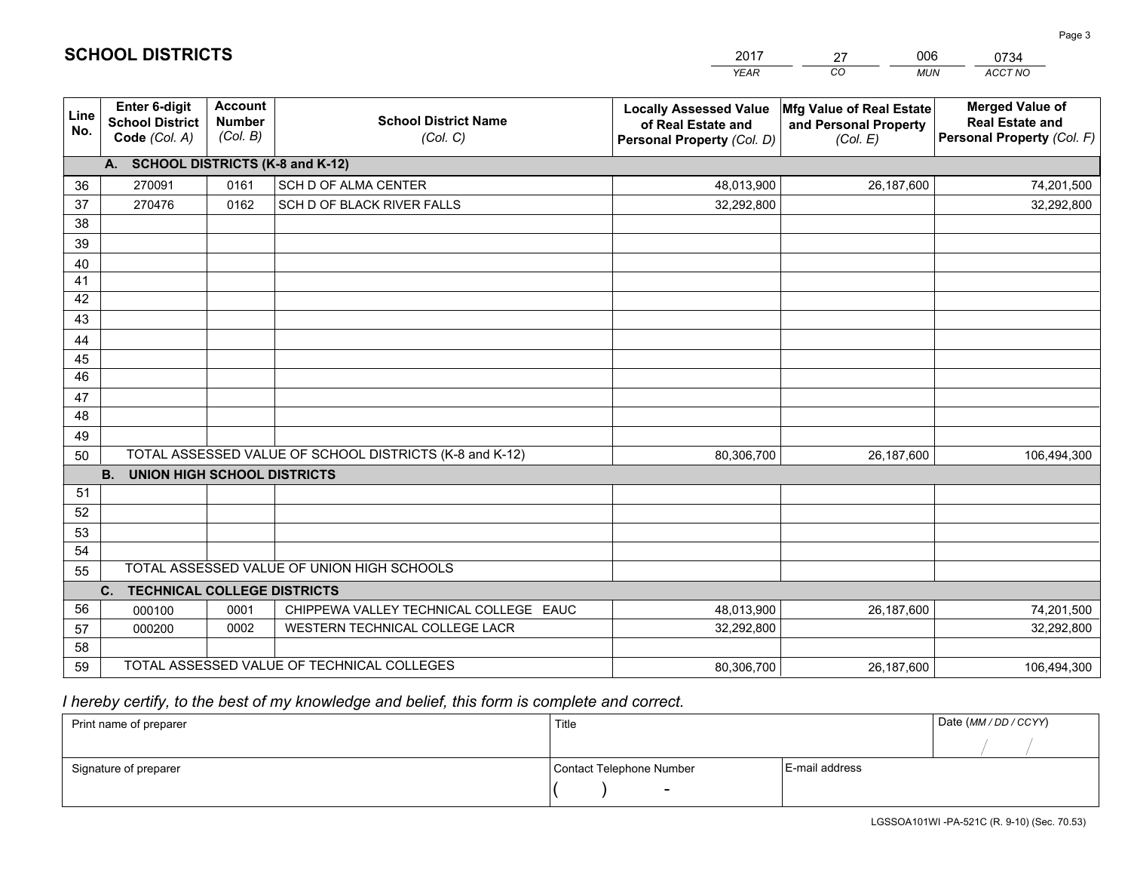|             |                                                                 |                                             |                                                         | <b>YEAR</b>                                                                       | CO.<br><b>MUN</b>                                             | ACCT NO                                                                        |
|-------------|-----------------------------------------------------------------|---------------------------------------------|---------------------------------------------------------|-----------------------------------------------------------------------------------|---------------------------------------------------------------|--------------------------------------------------------------------------------|
| Line<br>No. | <b>Enter 6-digit</b><br><b>School District</b><br>Code (Col. A) | <b>Account</b><br><b>Number</b><br>(Col. B) | <b>School District Name</b><br>(Col. C)                 | <b>Locally Assessed Value</b><br>of Real Estate and<br>Personal Property (Col. D) | Mfg Value of Real Estate<br>and Personal Property<br>(Col. E) | <b>Merged Value of</b><br><b>Real Estate and</b><br>Personal Property (Col. F) |
|             | A. SCHOOL DISTRICTS (K-8 and K-12)                              |                                             |                                                         |                                                                                   |                                                               |                                                                                |
| 36          | 270091                                                          | 0161                                        | SCH D OF ALMA CENTER                                    | 48,013,900                                                                        | 26,187,600                                                    | 74,201,500                                                                     |
| 37          | 270476                                                          | 0162                                        | SCH D OF BLACK RIVER FALLS                              | 32,292,800                                                                        |                                                               | 32,292,800                                                                     |
| 38          |                                                                 |                                             |                                                         |                                                                                   |                                                               |                                                                                |
| 39          |                                                                 |                                             |                                                         |                                                                                   |                                                               |                                                                                |
| 40          |                                                                 |                                             |                                                         |                                                                                   |                                                               |                                                                                |
| 41<br>42    |                                                                 |                                             |                                                         |                                                                                   |                                                               |                                                                                |
|             |                                                                 |                                             |                                                         |                                                                                   |                                                               |                                                                                |
| 43          |                                                                 |                                             |                                                         |                                                                                   |                                                               |                                                                                |
| 44<br>45    |                                                                 |                                             |                                                         |                                                                                   |                                                               |                                                                                |
| 46          |                                                                 |                                             |                                                         |                                                                                   |                                                               |                                                                                |
| 47          |                                                                 |                                             |                                                         |                                                                                   |                                                               |                                                                                |
| 48          |                                                                 |                                             |                                                         |                                                                                   |                                                               |                                                                                |
| 49          |                                                                 |                                             |                                                         |                                                                                   |                                                               |                                                                                |
| 50          |                                                                 |                                             | TOTAL ASSESSED VALUE OF SCHOOL DISTRICTS (K-8 and K-12) | 80,306,700                                                                        | 26,187,600                                                    | 106,494,300                                                                    |
|             | <b>B. UNION HIGH SCHOOL DISTRICTS</b>                           |                                             |                                                         |                                                                                   |                                                               |                                                                                |
| 51          |                                                                 |                                             |                                                         |                                                                                   |                                                               |                                                                                |
| 52          |                                                                 |                                             |                                                         |                                                                                   |                                                               |                                                                                |
| 53          |                                                                 |                                             |                                                         |                                                                                   |                                                               |                                                                                |
| 54          |                                                                 |                                             |                                                         |                                                                                   |                                                               |                                                                                |
| 55          |                                                                 |                                             | TOTAL ASSESSED VALUE OF UNION HIGH SCHOOLS              |                                                                                   |                                                               |                                                                                |
|             | C.<br><b>TECHNICAL COLLEGE DISTRICTS</b>                        |                                             |                                                         |                                                                                   |                                                               |                                                                                |
| 56          | 000100                                                          | 0001                                        | CHIPPEWA VALLEY TECHNICAL COLLEGE EAUC                  | 48,013,900                                                                        | 26,187,600                                                    | 74,201,500                                                                     |
| 57          | 000200                                                          | 0002                                        | WESTERN TECHNICAL COLLEGE LACR                          | 32,292,800                                                                        |                                                               | 32,292,800                                                                     |
| 58          |                                                                 |                                             |                                                         |                                                                                   |                                                               |                                                                                |
| 59          |                                                                 |                                             | TOTAL ASSESSED VALUE OF TECHNICAL COLLEGES              | 80,306,700                                                                        | 26,187,600                                                    | 106,494,300                                                                    |

2017

27

006

# *I hereby certify, to the best of my knowledge and belief, this form is complete and correct.*

**SCHOOL DISTRICTS**

| Print name of preparer | Title                    |                | Date (MM / DD / CCYY) |
|------------------------|--------------------------|----------------|-----------------------|
|                        |                          |                |                       |
| Signature of preparer  | Contact Telephone Number | E-mail address |                       |
|                        | $\overline{\phantom{0}}$ |                |                       |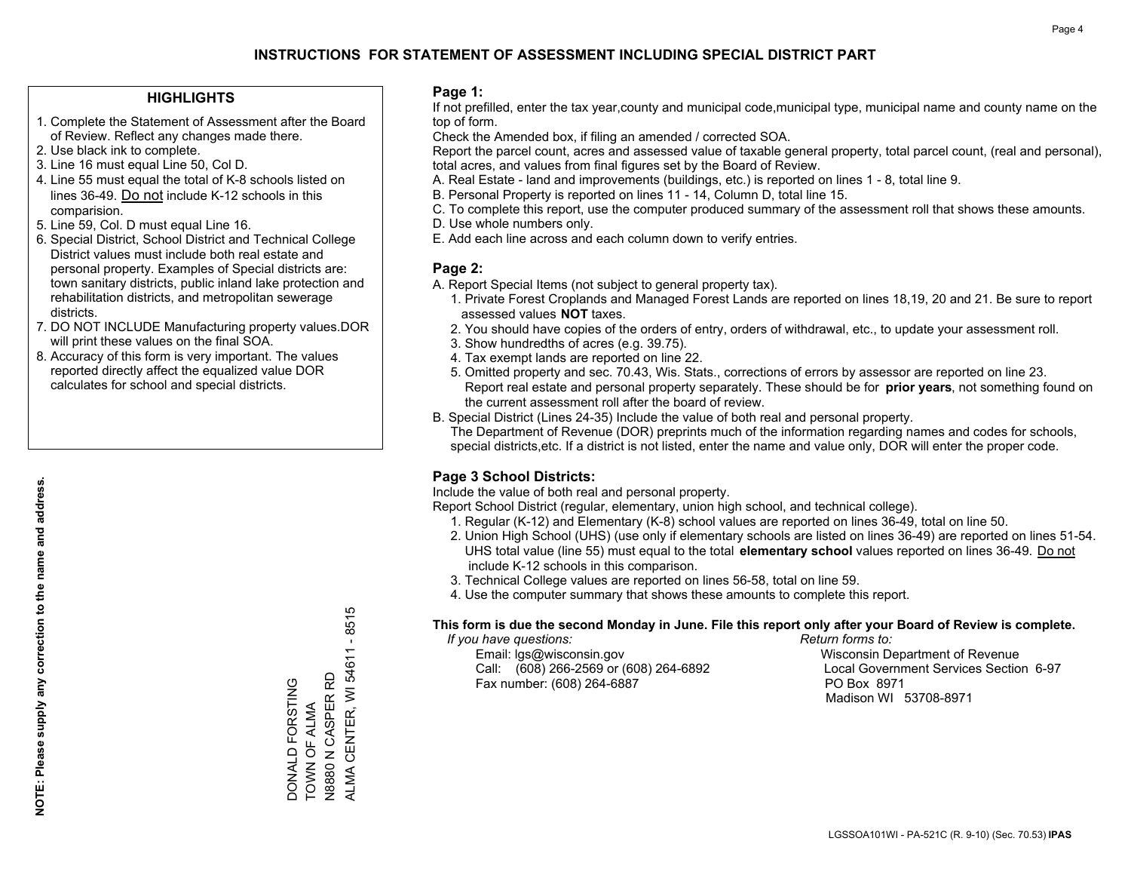#### **HIGHLIGHTS**

- 1. Complete the Statement of Assessment after the Board of Review. Reflect any changes made there.
- 2. Use black ink to complete.
- 3. Line 16 must equal Line 50, Col D.
- 4. Line 55 must equal the total of K-8 schools listed on lines 36-49. Do not include K-12 schools in this comparision.
- 5. Line 59, Col. D must equal Line 16.
- 6. Special District, School District and Technical College District values must include both real estate and personal property. Examples of Special districts are: town sanitary districts, public inland lake protection and rehabilitation districts, and metropolitan sewerage districts.
- 7. DO NOT INCLUDE Manufacturing property values.DOR will print these values on the final SOA.

DONALD FORSTING TOWN OF ALMA N8880 N CASPER RD

DONALD FORSTING

TOWN OF ALMA<br>N8880 N CASPER RD

ALMA CENTER, WI 54611 - 8515

ALMA CENTER, WI 54611

 $-8515$ 

 8. Accuracy of this form is very important. The values reported directly affect the equalized value DOR calculates for school and special districts.

#### **Page 1:**

 If not prefilled, enter the tax year,county and municipal code,municipal type, municipal name and county name on the top of form.

Check the Amended box, if filing an amended / corrected SOA.

 Report the parcel count, acres and assessed value of taxable general property, total parcel count, (real and personal), total acres, and values from final figures set by the Board of Review.

- A. Real Estate land and improvements (buildings, etc.) is reported on lines 1 8, total line 9.
- B. Personal Property is reported on lines 11 14, Column D, total line 15.
- C. To complete this report, use the computer produced summary of the assessment roll that shows these amounts.
- D. Use whole numbers only.
- E. Add each line across and each column down to verify entries.

#### **Page 2:**

- A. Report Special Items (not subject to general property tax).
- 1. Private Forest Croplands and Managed Forest Lands are reported on lines 18,19, 20 and 21. Be sure to report assessed values **NOT** taxes.
- 2. You should have copies of the orders of entry, orders of withdrawal, etc., to update your assessment roll.
	- 3. Show hundredths of acres (e.g. 39.75).
- 4. Tax exempt lands are reported on line 22.
- 5. Omitted property and sec. 70.43, Wis. Stats., corrections of errors by assessor are reported on line 23. Report real estate and personal property separately. These should be for **prior years**, not something found on the current assessment roll after the board of review.
- B. Special District (Lines 24-35) Include the value of both real and personal property.
- The Department of Revenue (DOR) preprints much of the information regarding names and codes for schools, special districts,etc. If a district is not listed, enter the name and value only, DOR will enter the proper code.

### **Page 3 School Districts:**

Include the value of both real and personal property.

Report School District (regular, elementary, union high school, and technical college).

- 1. Regular (K-12) and Elementary (K-8) school values are reported on lines 36-49, total on line 50.
- 2. Union High School (UHS) (use only if elementary schools are listed on lines 36-49) are reported on lines 51-54. UHS total value (line 55) must equal to the total **elementary school** values reported on lines 36-49. Do notinclude K-12 schools in this comparison.
- 3. Technical College values are reported on lines 56-58, total on line 59.
- 4. Use the computer summary that shows these amounts to complete this report.

#### **This form is due the second Monday in June. File this report only after your Board of Review is complete.**

 *If you have questions: Return forms to:*

 Email: lgs@wisconsin.gov Wisconsin Department of RevenueCall:  $(608)$  266-2569 or  $(608)$  264-6892 Fax number: (608) 264-6887 PO Box 8971

Local Government Services Section 6-97 Madison WI 53708-8971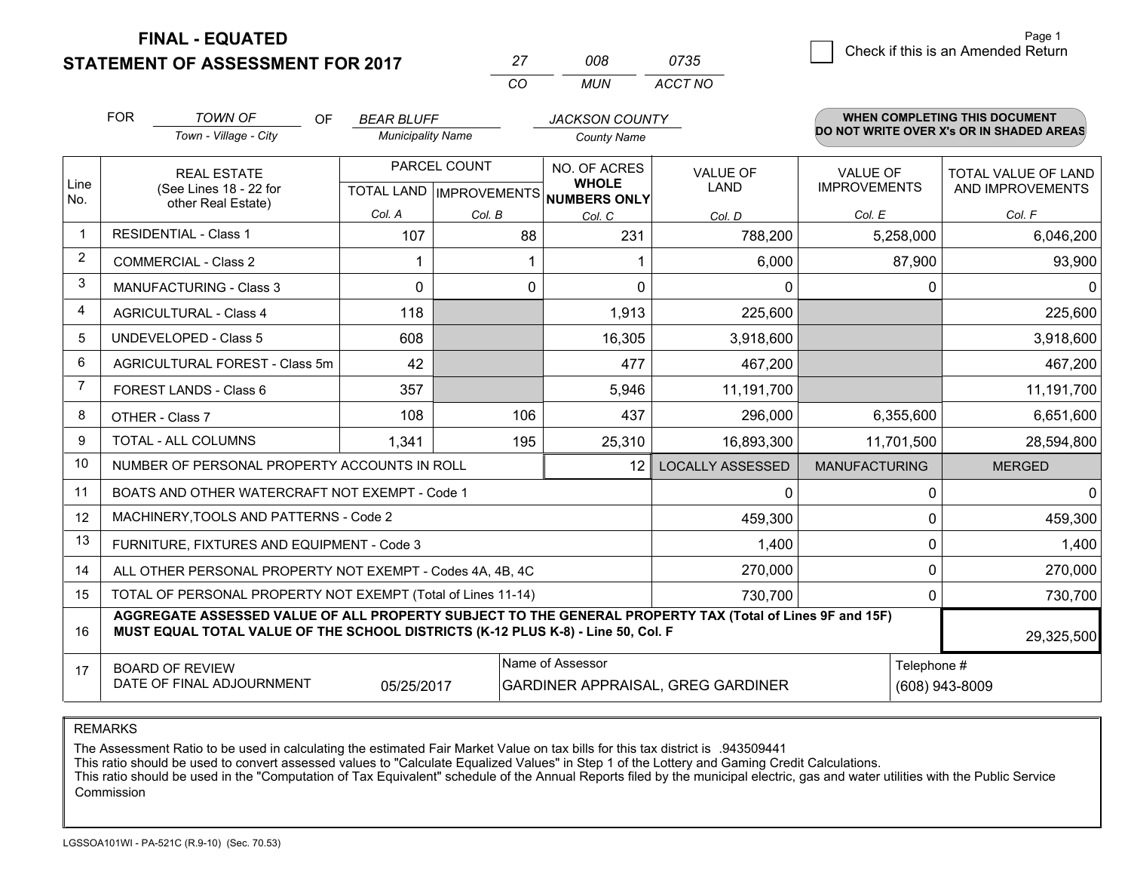**STATEMENT OF ASSESSMENT FOR 2017** 

|          | nnr   | 0735    |
|----------|-------|---------|
| $\cdots$ | MI IN | ACCT NO |

|             | <b>FOR</b>                                                                                                                                                                                   | <b>TOWN OF</b><br>OF                                         | <b>BEAR BLUFF</b>        |                                           | <b>JACKSON COUNTY</b>                               |                                |                      | <b>WHEN COMPLETING THIS DOCUMENT</b>     |
|-------------|----------------------------------------------------------------------------------------------------------------------------------------------------------------------------------------------|--------------------------------------------------------------|--------------------------|-------------------------------------------|-----------------------------------------------------|--------------------------------|----------------------|------------------------------------------|
|             |                                                                                                                                                                                              | Town - Village - City                                        | <b>Municipality Name</b> |                                           | <b>County Name</b>                                  |                                |                      | DO NOT WRITE OVER X's OR IN SHADED AREAS |
| Line<br>No. | <b>REAL ESTATE</b><br>(See Lines 18 - 22 for                                                                                                                                                 |                                                              |                          | PARCEL COUNT<br>TOTAL LAND   IMPROVEMENTS | NO. OF ACRES<br><b>WHOLE</b><br><b>NUMBERS ONLY</b> | <b>VALUE OF</b><br><b>LAND</b> |                      | TOTAL VALUE OF LAND<br>AND IMPROVEMENTS  |
|             |                                                                                                                                                                                              | other Real Estate)                                           | Col. A                   | Col. B                                    | Col. C                                              | Col. D                         | Col. E               | Col. F                                   |
|             | <b>RESIDENTIAL - Class 1</b>                                                                                                                                                                 |                                                              | 107                      | 88                                        | 231                                                 | 788,200                        | 5,258,000            | 6,046,200                                |
| 2           |                                                                                                                                                                                              | <b>COMMERCIAL - Class 2</b>                                  |                          |                                           |                                                     | 6,000                          | 87,900               | 93,900                                   |
| 3           |                                                                                                                                                                                              | MANUFACTURING - Class 3                                      | 0                        | 0                                         | $\Omega$                                            | 0                              | 0                    | $\mathbf{0}$                             |
| 4           |                                                                                                                                                                                              | <b>AGRICULTURAL - Class 4</b>                                | 118                      |                                           | 1,913                                               | 225,600                        |                      | 225,600                                  |
| 5           |                                                                                                                                                                                              | <b>UNDEVELOPED - Class 5</b>                                 | 608                      |                                           | 16,305                                              | 3,918,600                      |                      | 3,918,600                                |
| 6           |                                                                                                                                                                                              | AGRICULTURAL FOREST - Class 5m                               | 42                       |                                           | 477                                                 | 467,200                        |                      | 467,200                                  |
| 7           |                                                                                                                                                                                              | FOREST LANDS - Class 6                                       | 357                      |                                           | 5,946                                               | 11,191,700                     |                      | 11,191,700                               |
| 8           |                                                                                                                                                                                              | OTHER - Class 7                                              | 108                      | 106                                       | 437                                                 | 296,000                        | 6,355,600            | 6,651,600                                |
| 9           |                                                                                                                                                                                              | TOTAL - ALL COLUMNS                                          | 1,341                    | 195                                       | 25,310                                              | 16,893,300                     | 11,701,500           | 28,594,800                               |
| 10          |                                                                                                                                                                                              | NUMBER OF PERSONAL PROPERTY ACCOUNTS IN ROLL                 |                          |                                           | 12                                                  | <b>LOCALLY ASSESSED</b>        | <b>MANUFACTURING</b> | <b>MERGED</b>                            |
| 11          |                                                                                                                                                                                              | BOATS AND OTHER WATERCRAFT NOT EXEMPT - Code 1               |                          |                                           |                                                     | 0                              | 0                    | 0                                        |
| 12          |                                                                                                                                                                                              | MACHINERY, TOOLS AND PATTERNS - Code 2                       |                          |                                           |                                                     | 459,300                        | $\Omega$             | 459,300                                  |
| 13          |                                                                                                                                                                                              | FURNITURE, FIXTURES AND EQUIPMENT - Code 3                   |                          |                                           |                                                     | 1,400                          | $\Omega$             | 1,400                                    |
| 14          |                                                                                                                                                                                              | ALL OTHER PERSONAL PROPERTY NOT EXEMPT - Codes 4A, 4B, 4C    |                          |                                           |                                                     | 270,000                        | 0                    | 270,000                                  |
| 15          |                                                                                                                                                                                              | TOTAL OF PERSONAL PROPERTY NOT EXEMPT (Total of Lines 11-14) |                          |                                           | 730,700                                             | $\Omega$                       | 730,700              |                                          |
| 16          | AGGREGATE ASSESSED VALUE OF ALL PROPERTY SUBJECT TO THE GENERAL PROPERTY TAX (Total of Lines 9F and 15F)<br>MUST EQUAL TOTAL VALUE OF THE SCHOOL DISTRICTS (K-12 PLUS K-8) - Line 50, Col. F |                                                              |                          |                                           |                                                     |                                | 29,325,500           |                                          |
| 17          | Name of Assessor<br>Telephone #<br><b>BOARD OF REVIEW</b><br>DATE OF FINAL ADJOURNMENT<br>05/25/2017<br>GARDINER APPRAISAL, GREG GARDINER                                                    |                                                              |                          |                                           |                                                     |                                | (608) 943-8009       |                                          |

REMARKS

The Assessment Ratio to be used in calculating the estimated Fair Market Value on tax bills for this tax district is .943509441<br>This ratio should be used to convert assessed values to "Calculate Equalized Values" in Step 1 Commission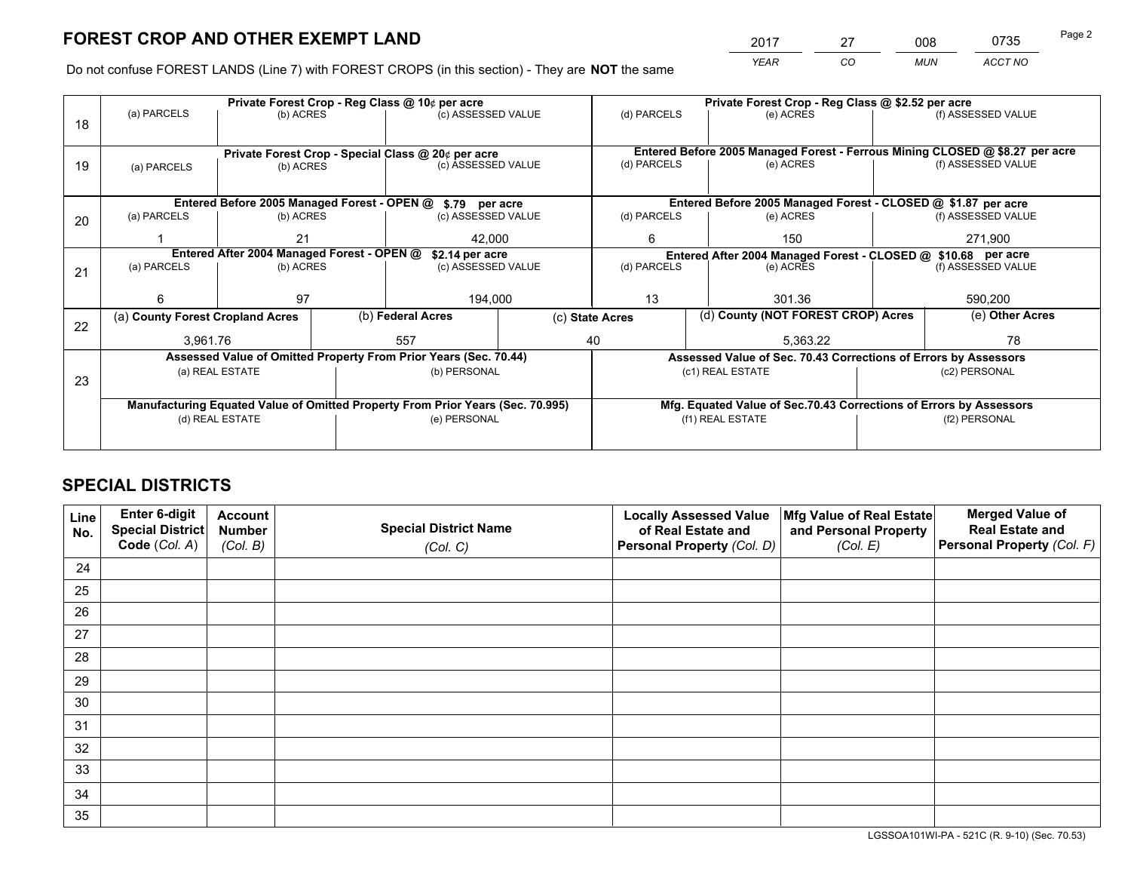*YEAR CO MUN ACCT NO* 2017 27 008 0735 Page 2

Do not confuse FOREST LANDS (Line 7) with FOREST CROPS (in this section) - They are **NOT** the same

|    |                                                                                |                                             |  | Private Forest Crop - Reg Class @ 10¢ per acre                   |                    | Private Forest Crop - Reg Class @ \$2.52 per acre                            |                                                                              |                                                                    |                    |  |
|----|--------------------------------------------------------------------------------|---------------------------------------------|--|------------------------------------------------------------------|--------------------|------------------------------------------------------------------------------|------------------------------------------------------------------------------|--------------------------------------------------------------------|--------------------|--|
| 18 | (a) PARCELS                                                                    | (b) ACRES                                   |  | (c) ASSESSED VALUE                                               |                    | (d) PARCELS                                                                  | (e) ACRES                                                                    |                                                                    | (f) ASSESSED VALUE |  |
|    |                                                                                |                                             |  |                                                                  |                    |                                                                              |                                                                              |                                                                    |                    |  |
|    |                                                                                |                                             |  | Private Forest Crop - Special Class @ 20¢ per acre               |                    |                                                                              | Entered Before 2005 Managed Forest - Ferrous Mining CLOSED @ \$8.27 per acre |                                                                    |                    |  |
| 19 | (a) PARCELS                                                                    | (b) ACRES                                   |  | (c) ASSESSED VALUE                                               |                    | (d) PARCELS                                                                  | (e) ACRES                                                                    |                                                                    | (f) ASSESSED VALUE |  |
|    |                                                                                |                                             |  |                                                                  |                    |                                                                              |                                                                              |                                                                    |                    |  |
|    |                                                                                | Entered Before 2005 Managed Forest - OPEN @ |  | \$.79 per acre                                                   |                    |                                                                              | Entered Before 2005 Managed Forest - CLOSED @ \$1.87 per acre                |                                                                    |                    |  |
| 20 | (a) PARCELS                                                                    | (b) ACRES                                   |  | (c) ASSESSED VALUE                                               |                    | (d) PARCELS                                                                  | (e) ACRES                                                                    |                                                                    | (f) ASSESSED VALUE |  |
|    |                                                                                | 21                                          |  | 42.000                                                           |                    | 6                                                                            | 150                                                                          |                                                                    | 271.900            |  |
|    |                                                                                | Entered After 2004 Managed Forest - OPEN @  |  | \$2.14 per acre                                                  |                    | Entered After 2004 Managed Forest - CLOSED @ \$10.68 per acre<br>(d) PARCELS |                                                                              |                                                                    |                    |  |
| 21 | (a) PARCELS                                                                    | (b) ACRES                                   |  |                                                                  | (c) ASSESSED VALUE |                                                                              | (e) ACRES                                                                    |                                                                    | (f) ASSESSED VALUE |  |
|    |                                                                                |                                             |  |                                                                  |                    |                                                                              |                                                                              |                                                                    |                    |  |
|    | 6                                                                              | 97                                          |  | 194,000                                                          |                    | 13                                                                           | 301.36                                                                       |                                                                    | 590,200            |  |
| 22 | (a) County Forest Cropland Acres                                               |                                             |  | (b) Federal Acres                                                | (c) State Acres    |                                                                              | (d) County (NOT FOREST CROP) Acres                                           |                                                                    | (e) Other Acres    |  |
|    | 3,961.76                                                                       |                                             |  | 557                                                              |                    | 40                                                                           | 5,363.22                                                                     |                                                                    | 78                 |  |
|    |                                                                                |                                             |  | Assessed Value of Omitted Property From Prior Years (Sec. 70.44) |                    |                                                                              | Assessed Value of Sec. 70.43 Corrections of Errors by Assessors              |                                                                    |                    |  |
| 23 |                                                                                | (a) REAL ESTATE                             |  | (b) PERSONAL                                                     |                    |                                                                              | (c1) REAL ESTATE                                                             |                                                                    | (c2) PERSONAL      |  |
|    |                                                                                |                                             |  |                                                                  |                    |                                                                              |                                                                              |                                                                    |                    |  |
|    | Manufacturing Equated Value of Omitted Property From Prior Years (Sec. 70.995) |                                             |  |                                                                  |                    |                                                                              |                                                                              | Mfg. Equated Value of Sec.70.43 Corrections of Errors by Assessors |                    |  |
|    |                                                                                | (d) REAL ESTATE                             |  | (e) PERSONAL                                                     |                    | (f1) REAL ESTATE                                                             |                                                                              |                                                                    | (f2) PERSONAL      |  |
|    |                                                                                |                                             |  |                                                                  |                    |                                                                              |                                                                              |                                                                    |                    |  |

## **SPECIAL DISTRICTS**

| Line<br>No. | Enter 6-digit<br><b>Special District</b> | <b>Account</b><br><b>Number</b> | <b>Special District Name</b> | <b>Locally Assessed Value</b><br>of Real Estate and | Mfg Value of Real Estate<br>and Personal Property | <b>Merged Value of</b><br><b>Real Estate and</b> |
|-------------|------------------------------------------|---------------------------------|------------------------------|-----------------------------------------------------|---------------------------------------------------|--------------------------------------------------|
|             | Code (Col. A)                            | (Col. B)                        | (Col. C)                     | Personal Property (Col. D)                          | (Col. E)                                          | Personal Property (Col. F)                       |
| 24          |                                          |                                 |                              |                                                     |                                                   |                                                  |
| 25          |                                          |                                 |                              |                                                     |                                                   |                                                  |
| 26          |                                          |                                 |                              |                                                     |                                                   |                                                  |
| 27          |                                          |                                 |                              |                                                     |                                                   |                                                  |
| 28          |                                          |                                 |                              |                                                     |                                                   |                                                  |
| 29          |                                          |                                 |                              |                                                     |                                                   |                                                  |
| 30          |                                          |                                 |                              |                                                     |                                                   |                                                  |
| 31          |                                          |                                 |                              |                                                     |                                                   |                                                  |
| 32          |                                          |                                 |                              |                                                     |                                                   |                                                  |
| 33          |                                          |                                 |                              |                                                     |                                                   |                                                  |
| 34          |                                          |                                 |                              |                                                     |                                                   |                                                  |
| 35          |                                          |                                 |                              |                                                     |                                                   |                                                  |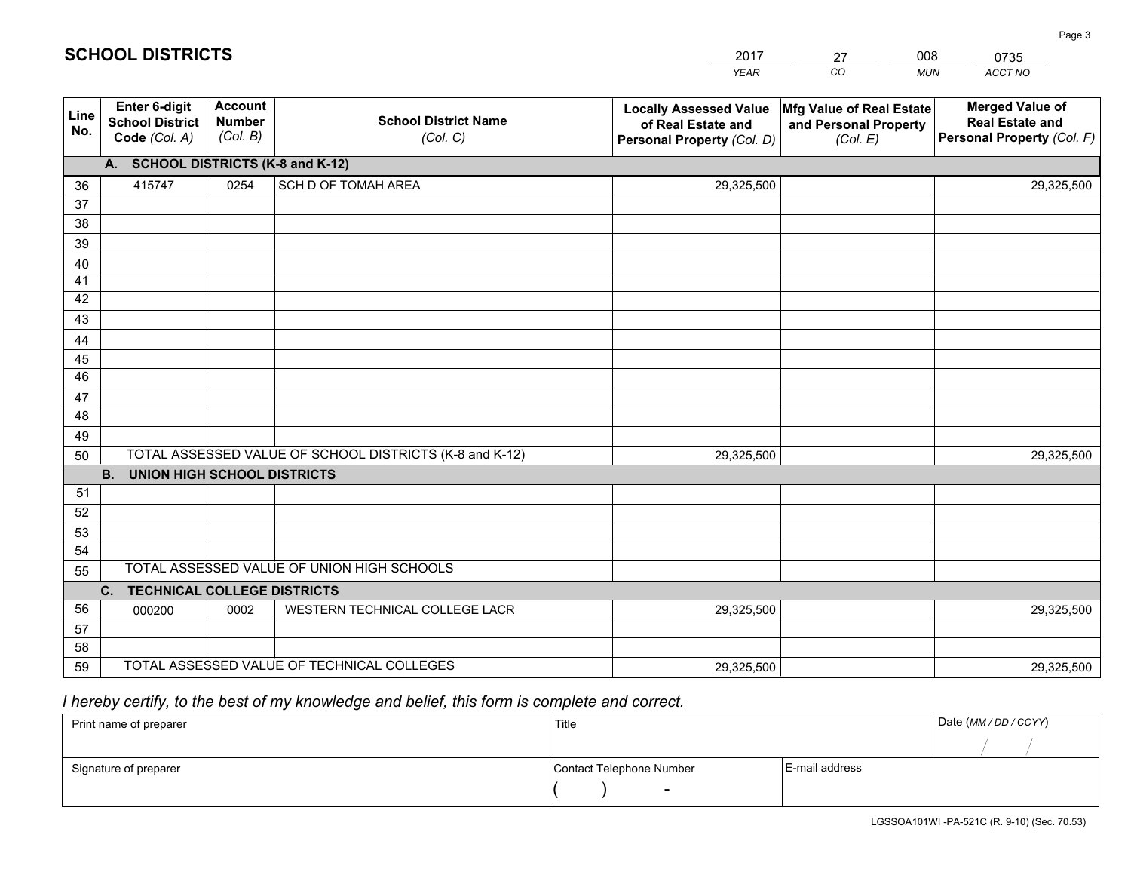|             |                                                          |                                             |                                                         | YEAR                                                                              | CO.<br><b>MUN</b>                                             | ACCT NO                                                                        |
|-------------|----------------------------------------------------------|---------------------------------------------|---------------------------------------------------------|-----------------------------------------------------------------------------------|---------------------------------------------------------------|--------------------------------------------------------------------------------|
| Line<br>No. | Enter 6-digit<br><b>School District</b><br>Code (Col. A) | <b>Account</b><br><b>Number</b><br>(Col. B) | <b>School District Name</b><br>(Col. C)                 | <b>Locally Assessed Value</b><br>of Real Estate and<br>Personal Property (Col. D) | Mfg Value of Real Estate<br>and Personal Property<br>(Col. E) | <b>Merged Value of</b><br><b>Real Estate and</b><br>Personal Property (Col. F) |
|             | A. SCHOOL DISTRICTS (K-8 and K-12)                       |                                             |                                                         |                                                                                   |                                                               |                                                                                |
| 36          | 415747                                                   | 0254                                        | SCH D OF TOMAH AREA                                     | 29,325,500                                                                        |                                                               | 29,325,500                                                                     |
| 37          |                                                          |                                             |                                                         |                                                                                   |                                                               |                                                                                |
| 38          |                                                          |                                             |                                                         |                                                                                   |                                                               |                                                                                |
| 39          |                                                          |                                             |                                                         |                                                                                   |                                                               |                                                                                |
| 40          |                                                          |                                             |                                                         |                                                                                   |                                                               |                                                                                |
| 41          |                                                          |                                             |                                                         |                                                                                   |                                                               |                                                                                |
| 42          |                                                          |                                             |                                                         |                                                                                   |                                                               |                                                                                |
| 43          |                                                          |                                             |                                                         |                                                                                   |                                                               |                                                                                |
| 44          |                                                          |                                             |                                                         |                                                                                   |                                                               |                                                                                |
| 45<br>46    |                                                          |                                             |                                                         |                                                                                   |                                                               |                                                                                |
| 47          |                                                          |                                             |                                                         |                                                                                   |                                                               |                                                                                |
| 48          |                                                          |                                             |                                                         |                                                                                   |                                                               |                                                                                |
| 49          |                                                          |                                             |                                                         |                                                                                   |                                                               |                                                                                |
| 50          |                                                          |                                             | TOTAL ASSESSED VALUE OF SCHOOL DISTRICTS (K-8 and K-12) | 29,325,500                                                                        |                                                               | 29,325,500                                                                     |
|             | <b>UNION HIGH SCHOOL DISTRICTS</b><br><b>B.</b>          |                                             |                                                         |                                                                                   |                                                               |                                                                                |
| 51          |                                                          |                                             |                                                         |                                                                                   |                                                               |                                                                                |
| 52          |                                                          |                                             |                                                         |                                                                                   |                                                               |                                                                                |
| 53          |                                                          |                                             |                                                         |                                                                                   |                                                               |                                                                                |
| 54          |                                                          |                                             |                                                         |                                                                                   |                                                               |                                                                                |
| 55          |                                                          |                                             | TOTAL ASSESSED VALUE OF UNION HIGH SCHOOLS              |                                                                                   |                                                               |                                                                                |
|             | C.<br><b>TECHNICAL COLLEGE DISTRICTS</b>                 |                                             |                                                         |                                                                                   |                                                               |                                                                                |
| 56          | 000200                                                   | 0002                                        | WESTERN TECHNICAL COLLEGE LACR                          | 29,325,500                                                                        |                                                               | 29,325,500                                                                     |
| 57          |                                                          |                                             |                                                         |                                                                                   |                                                               |                                                                                |
| 58          |                                                          |                                             |                                                         |                                                                                   |                                                               |                                                                                |
| 59          |                                                          |                                             | TOTAL ASSESSED VALUE OF TECHNICAL COLLEGES              | 29,325,500                                                                        |                                                               | 29,325,500                                                                     |

2017

27

008

 *I hereby certify, to the best of my knowledge and belief, this form is complete and correct.*

**SCHOOL DISTRICTS**

| Print name of preparer | Title                    |                | Date (MM / DD / CCYY) |
|------------------------|--------------------------|----------------|-----------------------|
|                        |                          |                |                       |
| Signature of preparer  | Contact Telephone Number | E-mail address |                       |
|                        | $\overline{\phantom{a}}$ |                |                       |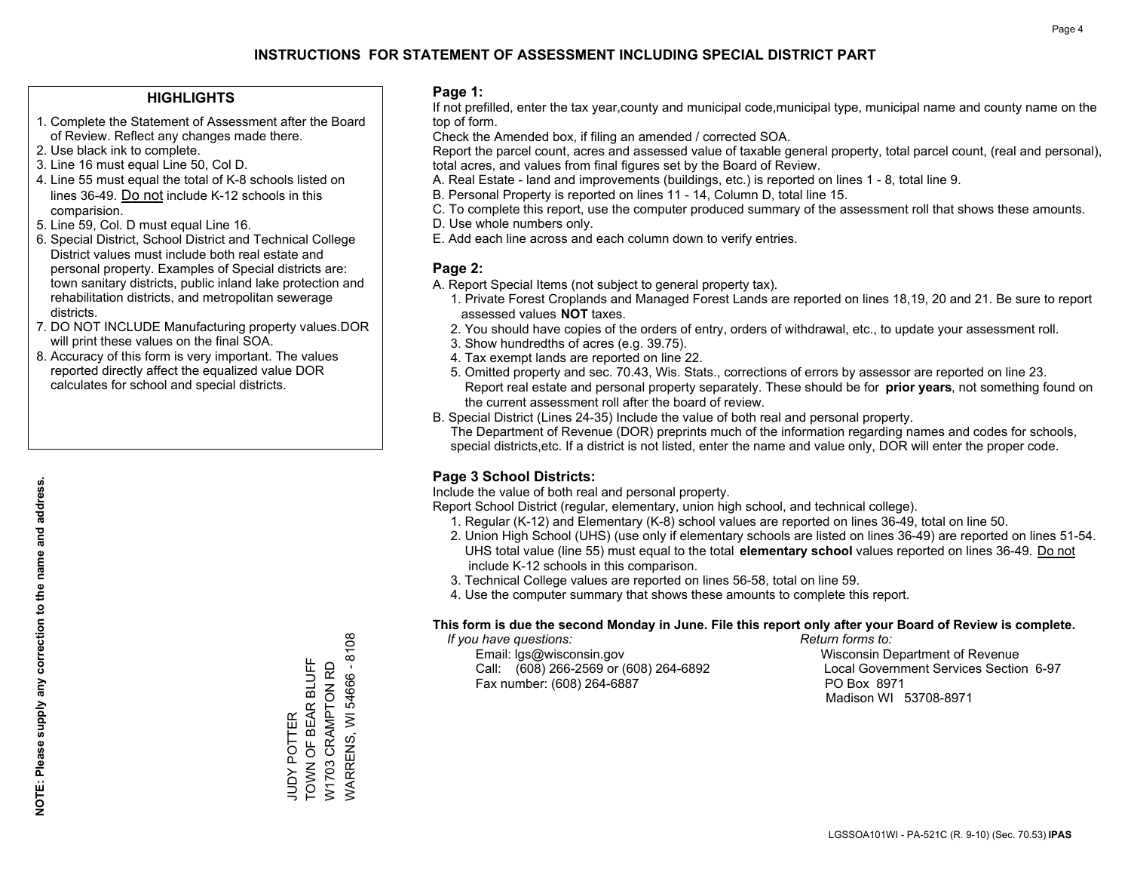#### **HIGHLIGHTS**

- 1. Complete the Statement of Assessment after the Board of Review. Reflect any changes made there.
- 2. Use black ink to complete.
- 3. Line 16 must equal Line 50, Col D.
- 4. Line 55 must equal the total of K-8 schools listed on lines 36-49. Do not include K-12 schools in this comparision.
- 5. Line 59, Col. D must equal Line 16.
- 6. Special District, School District and Technical College District values must include both real estate and personal property. Examples of Special districts are: town sanitary districts, public inland lake protection and rehabilitation districts, and metropolitan sewerage districts.
- 7. DO NOT INCLUDE Manufacturing property values.DOR will print these values on the final SOA.
- 8. Accuracy of this form is very important. The values reported directly affect the equalized value DOR calculates for school and special districts.

#### **Page 1:**

 If not prefilled, enter the tax year,county and municipal code,municipal type, municipal name and county name on the top of form.

Check the Amended box, if filing an amended / corrected SOA.

 Report the parcel count, acres and assessed value of taxable general property, total parcel count, (real and personal), total acres, and values from final figures set by the Board of Review.

- A. Real Estate land and improvements (buildings, etc.) is reported on lines 1 8, total line 9.
- B. Personal Property is reported on lines 11 14, Column D, total line 15.
- C. To complete this report, use the computer produced summary of the assessment roll that shows these amounts.
- D. Use whole numbers only.
- E. Add each line across and each column down to verify entries.

### **Page 2:**

- A. Report Special Items (not subject to general property tax).
- 1. Private Forest Croplands and Managed Forest Lands are reported on lines 18,19, 20 and 21. Be sure to report assessed values **NOT** taxes.
- 2. You should have copies of the orders of entry, orders of withdrawal, etc., to update your assessment roll.
	- 3. Show hundredths of acres (e.g. 39.75).
- 4. Tax exempt lands are reported on line 22.
- 5. Omitted property and sec. 70.43, Wis. Stats., corrections of errors by assessor are reported on line 23. Report real estate and personal property separately. These should be for **prior years**, not something found on the current assessment roll after the board of review.
- B. Special District (Lines 24-35) Include the value of both real and personal property.

 The Department of Revenue (DOR) preprints much of the information regarding names and codes for schools, special districts,etc. If a district is not listed, enter the name and value only, DOR will enter the proper code.

### **Page 3 School Districts:**

Include the value of both real and personal property.

Report School District (regular, elementary, union high school, and technical college).

- 1. Regular (K-12) and Elementary (K-8) school values are reported on lines 36-49, total on line 50.
- 2. Union High School (UHS) (use only if elementary schools are listed on lines 36-49) are reported on lines 51-54. UHS total value (line 55) must equal to the total **elementary school** values reported on lines 36-49. Do notinclude K-12 schools in this comparison.
- 3. Technical College values are reported on lines 56-58, total on line 59.
- 4. Use the computer summary that shows these amounts to complete this report.

#### **This form is due the second Monday in June. File this report only after your Board of Review is complete.**

 *If you have questions: Return forms to:*

 Email: lgs@wisconsin.gov Wisconsin Department of RevenueCall:  $(608)$  266-2569 or  $(608)$  264-6892 Fax number: (608) 264-6887 PO Box 8971

Local Government Services Section 6-97 Madison WI 53708-8971

WARRENS, WI 54666 - 8108 WARRENS, WI 54666 - 8108 TOWN OF BEAR BLUFF TOWN OF BEAR BLUFF W1703 CRAMPTON RD W1703 CRAMPTON RD **JUDY POTTER** JUDY POTTER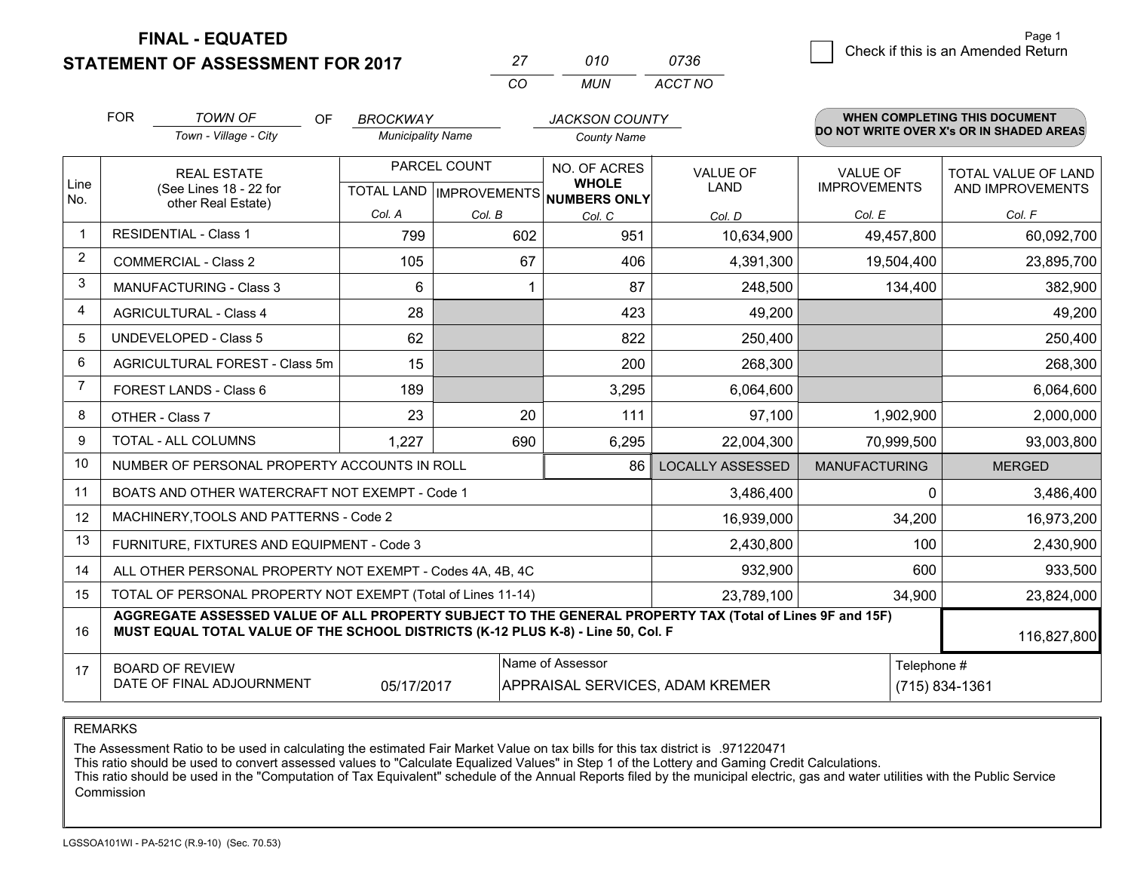**STATEMENT OF ASSESSMENT FOR 2017** 

| 27  | 010 | 0736    |
|-----|-----|---------|
| CO. | MUN | ACCT NO |

|                | <b>FOR</b>                                                                                                                                                                                   | <b>TOWN OF</b><br>OF.                          | <b>BROCKWAY</b>                                  |        | <b>JACKSON COUNTY</b>                        |                         |                                        | <b>WHEN COMPLETING THIS DOCUMENT</b>           |
|----------------|----------------------------------------------------------------------------------------------------------------------------------------------------------------------------------------------|------------------------------------------------|--------------------------------------------------|--------|----------------------------------------------|-------------------------|----------------------------------------|------------------------------------------------|
|                |                                                                                                                                                                                              | Town - Village - City                          | <b>Municipality Name</b>                         |        | <b>County Name</b>                           |                         |                                        | DO NOT WRITE OVER X's OR IN SHADED AREAS       |
| Line<br>No.    | <b>REAL ESTATE</b><br>(See Lines 18 - 22 for                                                                                                                                                 |                                                | PARCEL COUNT<br><b>TOTAL LAND   IMPROVEMENTS</b> |        | NO. OF ACRES<br><b>WHOLE</b><br>NUMBERS ONLY | <b>VALUE OF</b><br>LAND | <b>VALUE OF</b><br><b>IMPROVEMENTS</b> | <b>TOTAL VALUE OF LAND</b><br>AND IMPROVEMENTS |
|                |                                                                                                                                                                                              | other Real Estate)                             | Col. A                                           | Col. B | Col. C                                       | Col. D                  | Col. E                                 | Col. F                                         |
|                |                                                                                                                                                                                              | <b>RESIDENTIAL - Class 1</b>                   | 799                                              | 602    | 951                                          | 10,634,900              | 49,457,800                             | 60,092,700                                     |
| $\overline{2}$ |                                                                                                                                                                                              | <b>COMMERCIAL - Class 2</b>                    | 105                                              | 67     | 406                                          | 4,391,300               | 19,504,400                             | 23,895,700                                     |
| 3              |                                                                                                                                                                                              | MANUFACTURING - Class 3                        | 6                                                |        | 87                                           | 248,500                 | 134,400                                | 382,900                                        |
| 4              |                                                                                                                                                                                              | <b>AGRICULTURAL - Class 4</b>                  | 28                                               |        | 423                                          | 49,200                  |                                        | 49,200                                         |
| 5              |                                                                                                                                                                                              | <b>UNDEVELOPED - Class 5</b>                   | 62                                               |        | 822                                          | 250,400                 |                                        | 250,400                                        |
| 6              |                                                                                                                                                                                              | AGRICULTURAL FOREST - Class 5m                 | 15                                               |        | 200                                          | 268,300                 |                                        | 268,300                                        |
|                |                                                                                                                                                                                              | FOREST LANDS - Class 6                         | 189                                              |        | 3,295                                        | 6,064,600               |                                        | 6,064,600                                      |
| 8              |                                                                                                                                                                                              | OTHER - Class 7                                | 23                                               | 20     | 111                                          | 97,100                  | 1,902,900                              | 2,000,000                                      |
| 9              |                                                                                                                                                                                              | TOTAL - ALL COLUMNS                            | 1,227                                            | 690    | 6,295                                        | 22,004,300              | 70,999,500                             | 93,003,800                                     |
| 10             |                                                                                                                                                                                              | NUMBER OF PERSONAL PROPERTY ACCOUNTS IN ROLL   |                                                  |        | 86                                           | <b>LOCALLY ASSESSED</b> | <b>MANUFACTURING</b>                   | <b>MERGED</b>                                  |
| 11             |                                                                                                                                                                                              | BOATS AND OTHER WATERCRAFT NOT EXEMPT - Code 1 |                                                  |        |                                              | 3,486,400               | 0                                      | 3,486,400                                      |
| 12             |                                                                                                                                                                                              | MACHINERY, TOOLS AND PATTERNS - Code 2         |                                                  |        |                                              | 16,939,000              | 34,200                                 | 16,973,200                                     |
| 13             |                                                                                                                                                                                              | FURNITURE, FIXTURES AND EQUIPMENT - Code 3     |                                                  |        |                                              | 2,430,800               | 100                                    | 2,430,900                                      |
| 14             | 932,900<br>ALL OTHER PERSONAL PROPERTY NOT EXEMPT - Codes 4A, 4B, 4C                                                                                                                         |                                                |                                                  |        |                                              |                         | 600                                    | 933,500                                        |
| 15             | TOTAL OF PERSONAL PROPERTY NOT EXEMPT (Total of Lines 11-14)<br>23,789,100                                                                                                                   |                                                |                                                  |        |                                              |                         | 34,900                                 | 23,824,000                                     |
| 16             | AGGREGATE ASSESSED VALUE OF ALL PROPERTY SUBJECT TO THE GENERAL PROPERTY TAX (Total of Lines 9F and 15F)<br>MUST EQUAL TOTAL VALUE OF THE SCHOOL DISTRICTS (K-12 PLUS K-8) - Line 50, Col. F |                                                |                                                  |        |                                              |                         | 116,827,800                            |                                                |
| 17             | Name of Assessor<br>Telephone #<br><b>BOARD OF REVIEW</b><br>DATE OF FINAL ADJOURNMENT<br>(715) 834-1361<br>05/17/2017<br>APPRAISAL SERVICES, ADAM KREMER                                    |                                                |                                                  |        |                                              |                         |                                        |                                                |

REMARKS

The Assessment Ratio to be used in calculating the estimated Fair Market Value on tax bills for this tax district is .971220471<br>This ratio should be used to convert assessed values to "Calculate Equalized Values" in Step 1 Commission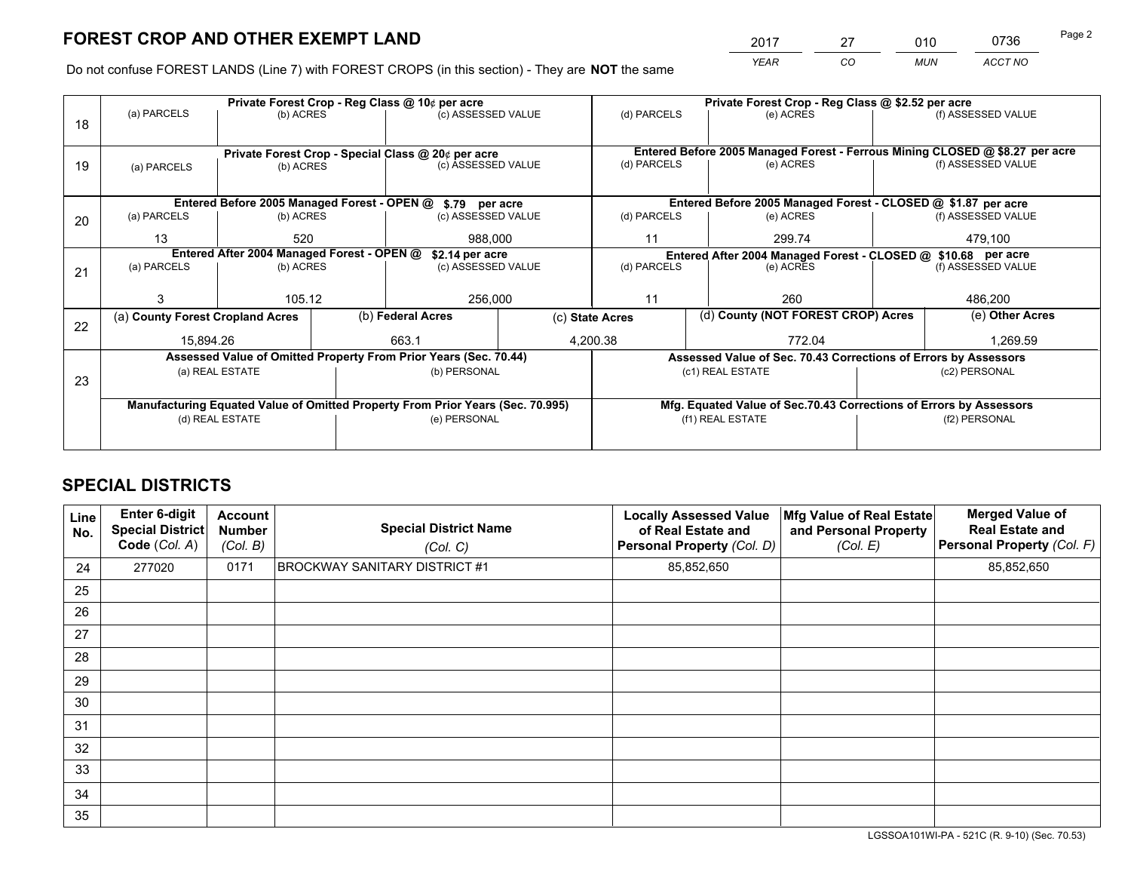*YEAR CO MUN ACCT NO* <sup>2017</sup> <sup>27</sup> <sup>010</sup> <sup>0736</sup>

Do not confuse FOREST LANDS (Line 7) with FOREST CROPS (in this section) - They are **NOT** the same

|    |                                  |                                            | Private Forest Crop - Reg Class @ 10¢ per acre                                 |  |                                                               | Private Forest Crop - Reg Class @ \$2.52 per acre                            |  |                    |  |
|----|----------------------------------|--------------------------------------------|--------------------------------------------------------------------------------|--|---------------------------------------------------------------|------------------------------------------------------------------------------|--|--------------------|--|
| 18 | (a) PARCELS                      | (b) ACRES                                  | (c) ASSESSED VALUE                                                             |  | (d) PARCELS                                                   | (e) ACRES                                                                    |  | (f) ASSESSED VALUE |  |
|    |                                  |                                            |                                                                                |  |                                                               |                                                                              |  |                    |  |
|    |                                  |                                            | Private Forest Crop - Special Class @ 20¢ per acre                             |  |                                                               | Entered Before 2005 Managed Forest - Ferrous Mining CLOSED @ \$8.27 per acre |  |                    |  |
| 19 | (a) PARCELS                      | (b) ACRES                                  | (c) ASSESSED VALUE                                                             |  | (d) PARCELS                                                   | (e) ACRES                                                                    |  | (f) ASSESSED VALUE |  |
|    |                                  |                                            |                                                                                |  |                                                               |                                                                              |  |                    |  |
|    |                                  |                                            | Entered Before 2005 Managed Forest - OPEN @ \$.79 per acre                     |  | Entered Before 2005 Managed Forest - CLOSED @ \$1.87 per acre |                                                                              |  |                    |  |
| 20 | (a) PARCELS                      | (b) ACRES                                  | (c) ASSESSED VALUE                                                             |  | (d) PARCELS                                                   | (e) ACRES                                                                    |  | (f) ASSESSED VALUE |  |
|    | 13                               | 520                                        | 988.000                                                                        |  | 11                                                            | 299.74                                                                       |  | 479,100            |  |
|    |                                  | Entered After 2004 Managed Forest - OPEN @ | \$2.14 per acre                                                                |  |                                                               | Entered After 2004 Managed Forest - CLOSED @ \$10.68 per acre                |  |                    |  |
| 21 | (a) PARCELS                      | (b) ACRES                                  | (c) ASSESSED VALUE                                                             |  | (d) PARCELS                                                   | (e) ACRES                                                                    |  |                    |  |
|    |                                  |                                            |                                                                                |  |                                                               |                                                                              |  |                    |  |
|    | 3                                | 105.12                                     | 256,000                                                                        |  | 11                                                            | 260                                                                          |  | 486,200            |  |
| 22 | (a) County Forest Cropland Acres |                                            | (b) Federal Acres                                                              |  | (c) State Acres                                               | (d) County (NOT FOREST CROP) Acres                                           |  | (e) Other Acres    |  |
|    | 15,894.26                        |                                            | 663.1                                                                          |  | 4,200.38                                                      | 772.04                                                                       |  | 1,269.59           |  |
|    |                                  |                                            | Assessed Value of Omitted Property From Prior Years (Sec. 70.44)               |  |                                                               | Assessed Value of Sec. 70.43 Corrections of Errors by Assessors              |  |                    |  |
| 23 |                                  | (a) REAL ESTATE                            | (b) PERSONAL                                                                   |  |                                                               | (c1) REAL ESTATE                                                             |  | (c2) PERSONAL      |  |
|    |                                  |                                            |                                                                                |  |                                                               |                                                                              |  |                    |  |
|    |                                  |                                            | Manufacturing Equated Value of Omitted Property From Prior Years (Sec. 70.995) |  |                                                               | Mfg. Equated Value of Sec.70.43 Corrections of Errors by Assessors           |  |                    |  |
|    |                                  | (d) REAL ESTATE                            | (e) PERSONAL                                                                   |  |                                                               | (f1) REAL ESTATE                                                             |  | (f2) PERSONAL      |  |
|    |                                  |                                            |                                                                                |  |                                                               |                                                                              |  |                    |  |

## **SPECIAL DISTRICTS**

| Line<br>No. | <b>Enter 6-digit</b><br><b>Special District</b><br>Code (Col. A) | <b>Account</b><br><b>Number</b><br>(Col. B) | <b>Special District Name</b><br>(Col. C) | <b>Locally Assessed Value</b><br>of Real Estate and<br>Personal Property (Col. D) | Mfg Value of Real Estate<br>and Personal Property<br>(Col. E) | <b>Merged Value of</b><br><b>Real Estate and</b><br>Personal Property (Col. F) |
|-------------|------------------------------------------------------------------|---------------------------------------------|------------------------------------------|-----------------------------------------------------------------------------------|---------------------------------------------------------------|--------------------------------------------------------------------------------|
| 24          | 277020                                                           | 0171                                        | BROCKWAY SANITARY DISTRICT #1            | 85,852,650                                                                        |                                                               | 85,852,650                                                                     |
| 25          |                                                                  |                                             |                                          |                                                                                   |                                                               |                                                                                |
| 26          |                                                                  |                                             |                                          |                                                                                   |                                                               |                                                                                |
| 27          |                                                                  |                                             |                                          |                                                                                   |                                                               |                                                                                |
| 28          |                                                                  |                                             |                                          |                                                                                   |                                                               |                                                                                |
| 29          |                                                                  |                                             |                                          |                                                                                   |                                                               |                                                                                |
| 30          |                                                                  |                                             |                                          |                                                                                   |                                                               |                                                                                |
| 31          |                                                                  |                                             |                                          |                                                                                   |                                                               |                                                                                |
| 32          |                                                                  |                                             |                                          |                                                                                   |                                                               |                                                                                |
| 33          |                                                                  |                                             |                                          |                                                                                   |                                                               |                                                                                |
| 34          |                                                                  |                                             |                                          |                                                                                   |                                                               |                                                                                |
| 35          |                                                                  |                                             |                                          |                                                                                   |                                                               |                                                                                |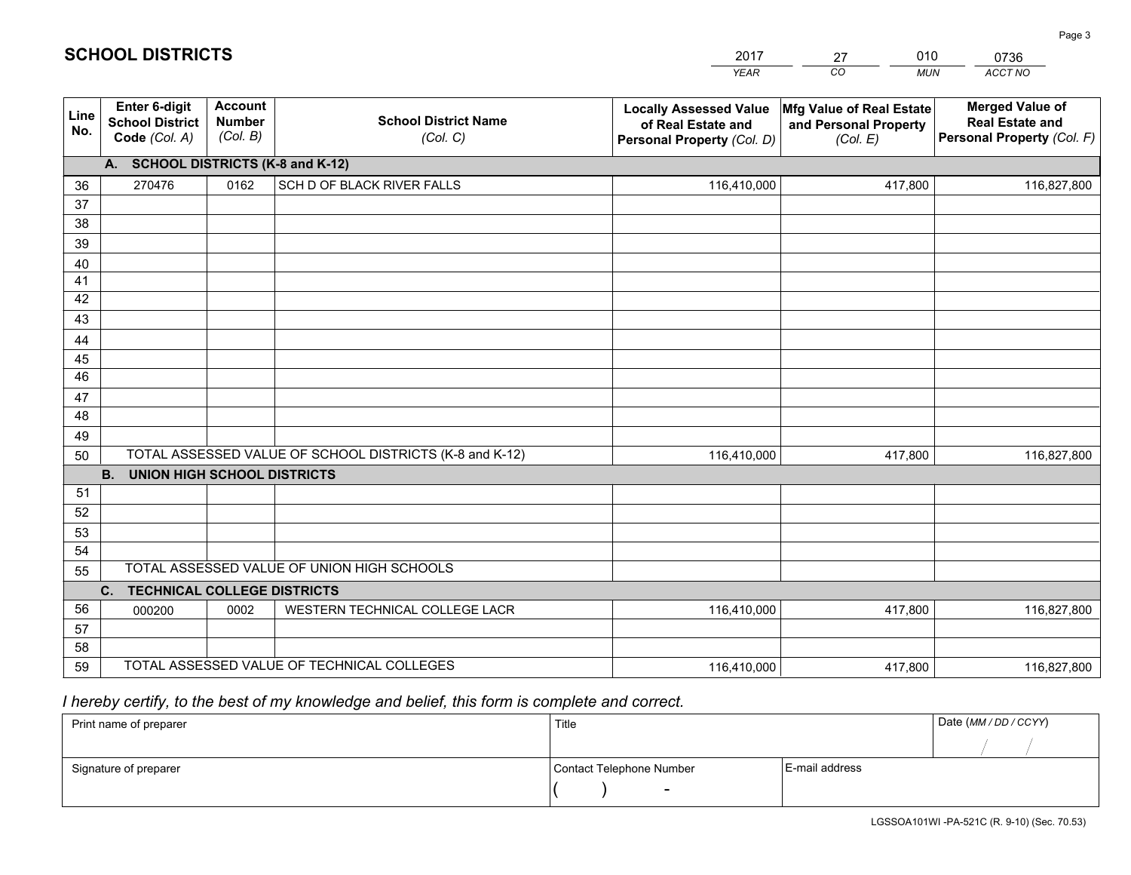|             |                                                          |                                             |                                                         | <b>YEAR</b>                                                                       | CO<br><b>MUN</b>                                              | ACCT NO                                                                        |
|-------------|----------------------------------------------------------|---------------------------------------------|---------------------------------------------------------|-----------------------------------------------------------------------------------|---------------------------------------------------------------|--------------------------------------------------------------------------------|
| Line<br>No. | Enter 6-digit<br><b>School District</b><br>Code (Col. A) | <b>Account</b><br><b>Number</b><br>(Col. B) | <b>School District Name</b><br>(Col. C)                 | <b>Locally Assessed Value</b><br>of Real Estate and<br>Personal Property (Col. D) | Mfg Value of Real Estate<br>and Personal Property<br>(Col. E) | <b>Merged Value of</b><br><b>Real Estate and</b><br>Personal Property (Col. F) |
|             | <b>SCHOOL DISTRICTS (K-8 and K-12)</b><br>А.             |                                             |                                                         |                                                                                   |                                                               |                                                                                |
| 36          | 270476                                                   | 0162                                        | SCH D OF BLACK RIVER FALLS                              | 116,410,000                                                                       | 417,800                                                       | 116,827,800                                                                    |
| 37          |                                                          |                                             |                                                         |                                                                                   |                                                               |                                                                                |
| 38          |                                                          |                                             |                                                         |                                                                                   |                                                               |                                                                                |
| 39          |                                                          |                                             |                                                         |                                                                                   |                                                               |                                                                                |
| 40          |                                                          |                                             |                                                         |                                                                                   |                                                               |                                                                                |
| 41<br>42    |                                                          |                                             |                                                         |                                                                                   |                                                               |                                                                                |
| 43          |                                                          |                                             |                                                         |                                                                                   |                                                               |                                                                                |
| 44          |                                                          |                                             |                                                         |                                                                                   |                                                               |                                                                                |
| 45          |                                                          |                                             |                                                         |                                                                                   |                                                               |                                                                                |
| 46          |                                                          |                                             |                                                         |                                                                                   |                                                               |                                                                                |
| 47          |                                                          |                                             |                                                         |                                                                                   |                                                               |                                                                                |
| 48          |                                                          |                                             |                                                         |                                                                                   |                                                               |                                                                                |
| 49          |                                                          |                                             |                                                         |                                                                                   |                                                               |                                                                                |
| 50          |                                                          |                                             | TOTAL ASSESSED VALUE OF SCHOOL DISTRICTS (K-8 and K-12) | 116,410,000                                                                       | 417,800                                                       | 116,827,800                                                                    |
|             | <b>B.</b><br><b>UNION HIGH SCHOOL DISTRICTS</b>          |                                             |                                                         |                                                                                   |                                                               |                                                                                |
| 51          |                                                          |                                             |                                                         |                                                                                   |                                                               |                                                                                |
| 52          |                                                          |                                             |                                                         |                                                                                   |                                                               |                                                                                |
| 53          |                                                          |                                             |                                                         |                                                                                   |                                                               |                                                                                |
| 54          |                                                          |                                             | TOTAL ASSESSED VALUE OF UNION HIGH SCHOOLS              |                                                                                   |                                                               |                                                                                |
| 55          |                                                          |                                             |                                                         |                                                                                   |                                                               |                                                                                |
| 56          | C.<br><b>TECHNICAL COLLEGE DISTRICTS</b><br>000200       | 0002                                        | WESTERN TECHNICAL COLLEGE LACR                          | 116,410,000                                                                       | 417,800                                                       | 116,827,800                                                                    |
| 57          |                                                          |                                             |                                                         |                                                                                   |                                                               |                                                                                |
| 58          |                                                          |                                             |                                                         |                                                                                   |                                                               |                                                                                |
| 59          |                                                          |                                             | TOTAL ASSESSED VALUE OF TECHNICAL COLLEGES              | 116,410,000                                                                       | 417,800                                                       | 116,827,800                                                                    |

# *I hereby certify, to the best of my knowledge and belief, this form is complete and correct.*

| Print name of preparer | Title                    |                  | Date (MM / DD / CCYY) |
|------------------------|--------------------------|------------------|-----------------------|
|                        |                          |                  |                       |
| Signature of preparer  | Contact Telephone Number | l E-mail address |                       |
|                        | $\overline{\phantom{0}}$ |                  |                       |

# **SCHOOL DISTRICTS**

| 2017                            |     | 010                     |
|---------------------------------|-----|-------------------------|
| ᆮᅀᆷ<br>$\overline{\phantom{a}}$ | רזי | <b>MIINI</b><br><br>. . |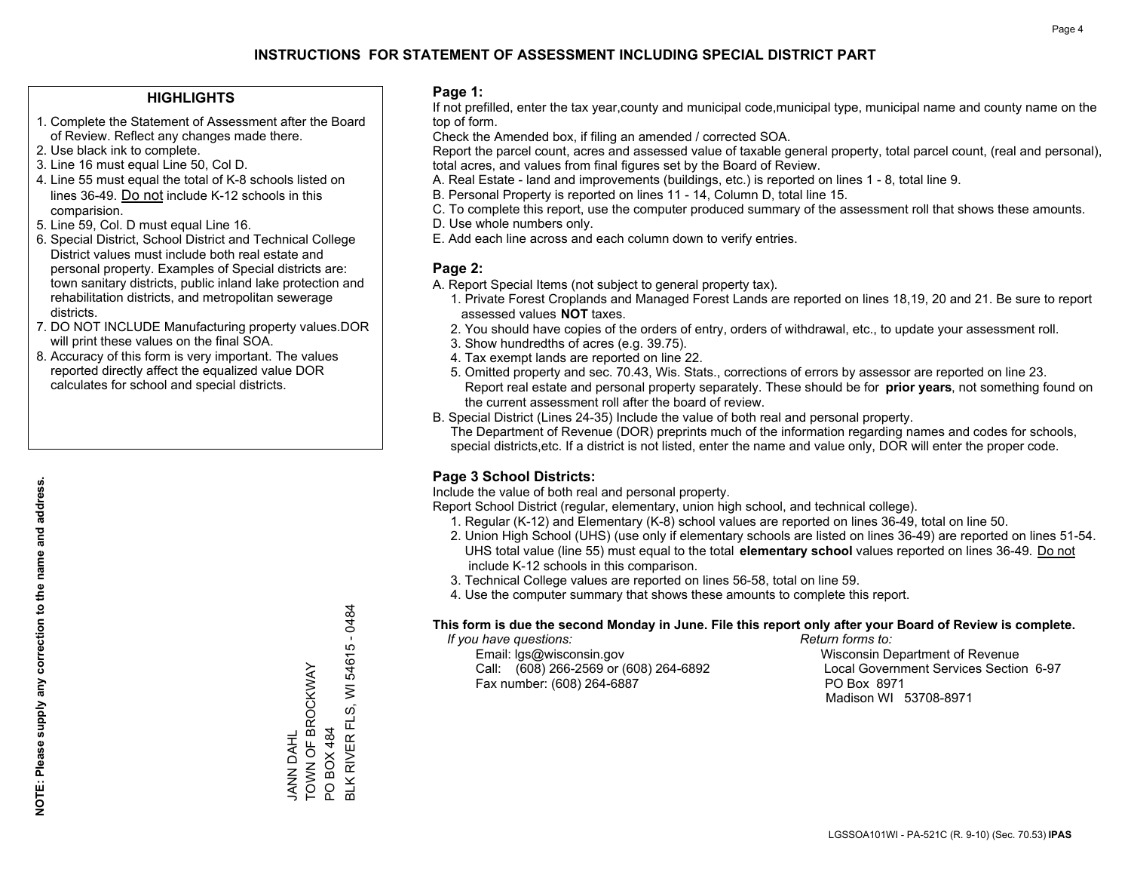#### **HIGHLIGHTS**

- 1. Complete the Statement of Assessment after the Board of Review. Reflect any changes made there.
- 2. Use black ink to complete.
- 3. Line 16 must equal Line 50, Col D.
- 4. Line 55 must equal the total of K-8 schools listed on lines 36-49. Do not include K-12 schools in this comparision.
- 5. Line 59, Col. D must equal Line 16.
- 6. Special District, School District and Technical College District values must include both real estate and personal property. Examples of Special districts are: town sanitary districts, public inland lake protection and rehabilitation districts, and metropolitan sewerage districts.
- 7. DO NOT INCLUDE Manufacturing property values.DOR will print these values on the final SOA.
- 8. Accuracy of this form is very important. The values reported directly affect the equalized value DOR calculates for school and special districts.

#### **Page 1:**

 If not prefilled, enter the tax year,county and municipal code,municipal type, municipal name and county name on the top of form.

Check the Amended box, if filing an amended / corrected SOA.

 Report the parcel count, acres and assessed value of taxable general property, total parcel count, (real and personal), total acres, and values from final figures set by the Board of Review.

- A. Real Estate land and improvements (buildings, etc.) is reported on lines 1 8, total line 9.
- B. Personal Property is reported on lines 11 14, Column D, total line 15.
- C. To complete this report, use the computer produced summary of the assessment roll that shows these amounts.
- D. Use whole numbers only.
- E. Add each line across and each column down to verify entries.

#### **Page 2:**

- A. Report Special Items (not subject to general property tax).
- 1. Private Forest Croplands and Managed Forest Lands are reported on lines 18,19, 20 and 21. Be sure to report assessed values **NOT** taxes.
- 2. You should have copies of the orders of entry, orders of withdrawal, etc., to update your assessment roll.
	- 3. Show hundredths of acres (e.g. 39.75).
- 4. Tax exempt lands are reported on line 22.
- 5. Omitted property and sec. 70.43, Wis. Stats., corrections of errors by assessor are reported on line 23. Report real estate and personal property separately. These should be for **prior years**, not something found on the current assessment roll after the board of review.
- B. Special District (Lines 24-35) Include the value of both real and personal property.
- The Department of Revenue (DOR) preprints much of the information regarding names and codes for schools, special districts,etc. If a district is not listed, enter the name and value only, DOR will enter the proper code.

### **Page 3 School Districts:**

Include the value of both real and personal property.

Report School District (regular, elementary, union high school, and technical college).

- 1. Regular (K-12) and Elementary (K-8) school values are reported on lines 36-49, total on line 50.
- 2. Union High School (UHS) (use only if elementary schools are listed on lines 36-49) are reported on lines 51-54. UHS total value (line 55) must equal to the total **elementary school** values reported on lines 36-49. Do notinclude K-12 schools in this comparison.
- 3. Technical College values are reported on lines 56-58, total on line 59.
- 4. Use the computer summary that shows these amounts to complete this report.

#### **This form is due the second Monday in June. File this report only after your Board of Review is complete.**

 *If you have questions: Return forms to:*

 Email: lgs@wisconsin.gov Wisconsin Department of RevenueCall:  $(608)$  266-2569 or  $(608)$  264-6892 Fax number: (608) 264-6887 PO Box 8971

Local Government Services Section 6-97 Madison WI 53708-8971

 $-0484$ BLK RIVER FLS, WI 54615 - 0484 54615 TOWN OF BROCKWAY TOWN OF BROCKWAY  $\overline{\overline{z}}$ **BLK RIVER FLS,** PO BOX 484 JANN DAHL PO BOX 484 JANN DAHL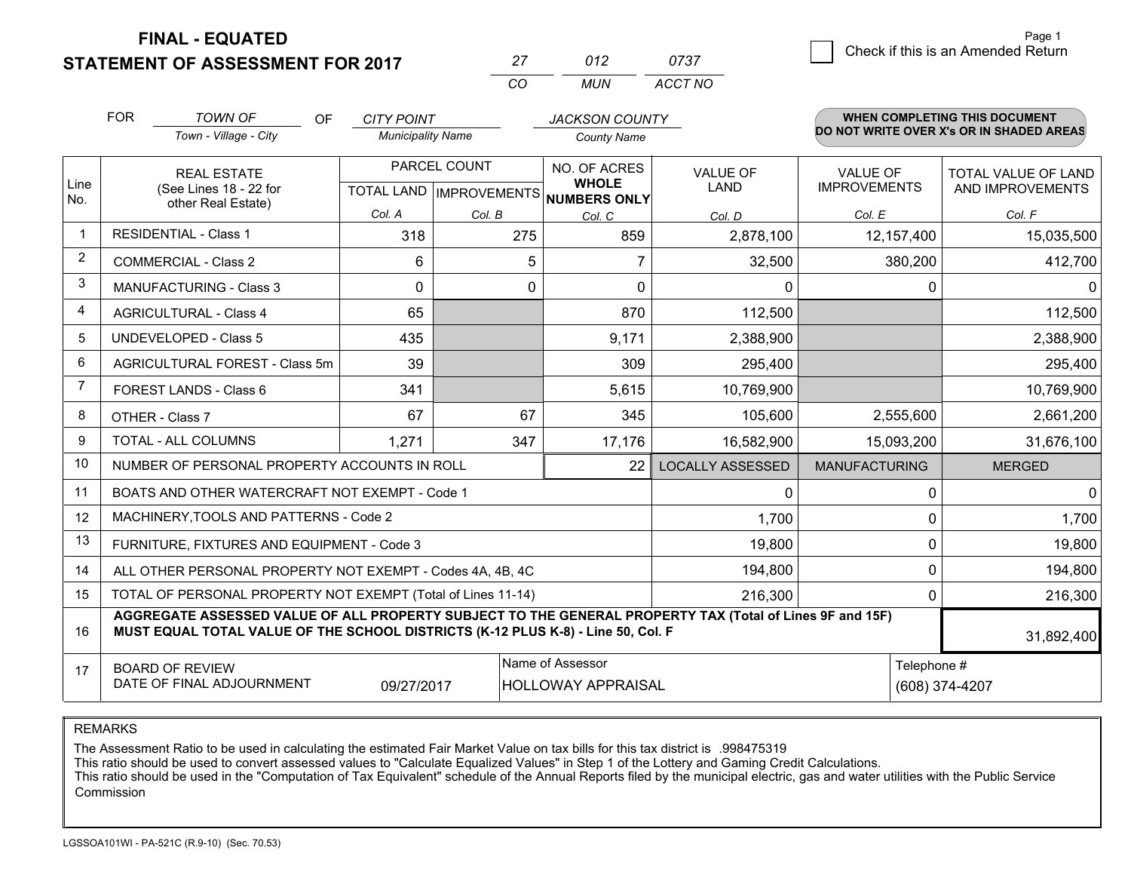**STATEMENT OF ASSESSMENT FOR 2017** 

|          | (112) | 0737    |
|----------|-------|---------|
| $\cdots$ | MUN   | ACCT NO |

|             | <b>FOR</b>                                                                                                                                                                                   | <b>TOWN OF</b><br><b>OF</b>                               | <b>CITY POINT</b>        |                                           | <b>JACKSON COUNTY</b>        |                                |                                        | WHEN COMPLETING THIS DOCUMENT                  |
|-------------|----------------------------------------------------------------------------------------------------------------------------------------------------------------------------------------------|-----------------------------------------------------------|--------------------------|-------------------------------------------|------------------------------|--------------------------------|----------------------------------------|------------------------------------------------|
|             |                                                                                                                                                                                              | Town - Village - City                                     | <b>Municipality Name</b> |                                           | <b>County Name</b>           |                                |                                        | DO NOT WRITE OVER X's OR IN SHADED AREAS       |
| Line        |                                                                                                                                                                                              | <b>REAL ESTATE</b><br>(See Lines 18 - 22 for              |                          | PARCEL COUNT<br>TOTAL LAND   IMPROVEMENTS | NO. OF ACRES<br><b>WHOLE</b> | <b>VALUE OF</b><br><b>LAND</b> | <b>VALUE OF</b><br><b>IMPROVEMENTS</b> | <b>TOTAL VALUE OF LAND</b><br>AND IMPROVEMENTS |
| No.         |                                                                                                                                                                                              | other Real Estate)                                        | Col. A                   | Col. B                                    | NUMBERS ONLY<br>Col. C       | Col. D                         | Col. E                                 | Col. F                                         |
| $\mathbf 1$ |                                                                                                                                                                                              | <b>RESIDENTIAL - Class 1</b>                              | 318                      | 275                                       | 859                          | 2,878,100                      | 12,157,400                             | 15,035,500                                     |
| 2           |                                                                                                                                                                                              | <b>COMMERCIAL - Class 2</b>                               | 6                        | 5                                         |                              | 32,500                         | 380,200                                | 412,700                                        |
| 3           |                                                                                                                                                                                              | <b>MANUFACTURING - Class 3</b>                            | $\Omega$                 | 0                                         | $\Omega$                     | 0                              | $\Omega$                               | $\mathbf{0}$                                   |
| 4           |                                                                                                                                                                                              | <b>AGRICULTURAL - Class 4</b>                             | 65                       |                                           | 870                          | 112,500                        |                                        | 112,500                                        |
| 5           |                                                                                                                                                                                              | <b>UNDEVELOPED - Class 5</b>                              | 435                      |                                           | 9,171                        | 2,388,900                      |                                        | 2,388,900                                      |
| 6           |                                                                                                                                                                                              | AGRICULTURAL FOREST - Class 5m                            | 39                       |                                           | 309                          | 295,400                        |                                        | 295,400                                        |
| 7           |                                                                                                                                                                                              | FOREST LANDS - Class 6                                    | 341                      |                                           | 5,615                        | 10,769,900                     |                                        | 10,769,900                                     |
| 8           |                                                                                                                                                                                              | OTHER - Class 7                                           | 67                       | 67                                        | 345                          | 105,600                        | 2,555,600                              | 2,661,200                                      |
| 9           |                                                                                                                                                                                              | TOTAL - ALL COLUMNS                                       | 1,271                    | 347                                       | 17,176                       | 16,582,900                     | 15,093,200                             | 31,676,100                                     |
| 10          |                                                                                                                                                                                              | NUMBER OF PERSONAL PROPERTY ACCOUNTS IN ROLL              |                          |                                           | 22                           | <b>LOCALLY ASSESSED</b>        | <b>MANUFACTURING</b>                   | <b>MERGED</b>                                  |
| 11          |                                                                                                                                                                                              | BOATS AND OTHER WATERCRAFT NOT EXEMPT - Code 1            |                          |                                           |                              | 0                              | $\Omega$                               | $\mathbf{0}$                                   |
| 12          |                                                                                                                                                                                              | MACHINERY, TOOLS AND PATTERNS - Code 2                    |                          |                                           |                              | 1,700                          | 0                                      | 1,700                                          |
| 13          |                                                                                                                                                                                              | FURNITURE, FIXTURES AND EQUIPMENT - Code 3                |                          |                                           |                              | 19,800                         | $\Omega$                               | 19,800                                         |
| 14          |                                                                                                                                                                                              | ALL OTHER PERSONAL PROPERTY NOT EXEMPT - Codes 4A, 4B, 4C |                          |                                           |                              | 194,800                        | 0                                      | 194,800                                        |
| 15          | TOTAL OF PERSONAL PROPERTY NOT EXEMPT (Total of Lines 11-14)<br>216,300                                                                                                                      |                                                           |                          |                                           |                              |                                | 216,300<br>0                           |                                                |
| 16          | AGGREGATE ASSESSED VALUE OF ALL PROPERTY SUBJECT TO THE GENERAL PROPERTY TAX (Total of Lines 9F and 15F)<br>MUST EQUAL TOTAL VALUE OF THE SCHOOL DISTRICTS (K-12 PLUS K-8) - Line 50, Col. F |                                                           |                          |                                           |                              | 31,892,400                     |                                        |                                                |
| 17          | Name of Assessor<br>Telephone #<br><b>BOARD OF REVIEW</b><br>DATE OF FINAL ADJOURNMENT<br>09/27/2017<br><b>HOLLOWAY APPRAISAL</b><br>(608) 374-4207                                          |                                                           |                          |                                           |                              |                                |                                        |                                                |

REMARKS

The Assessment Ratio to be used in calculating the estimated Fair Market Value on tax bills for this tax district is .998475319<br>This ratio should be used to convert assessed values to "Calculate Equalized Values" in Step 1 Commission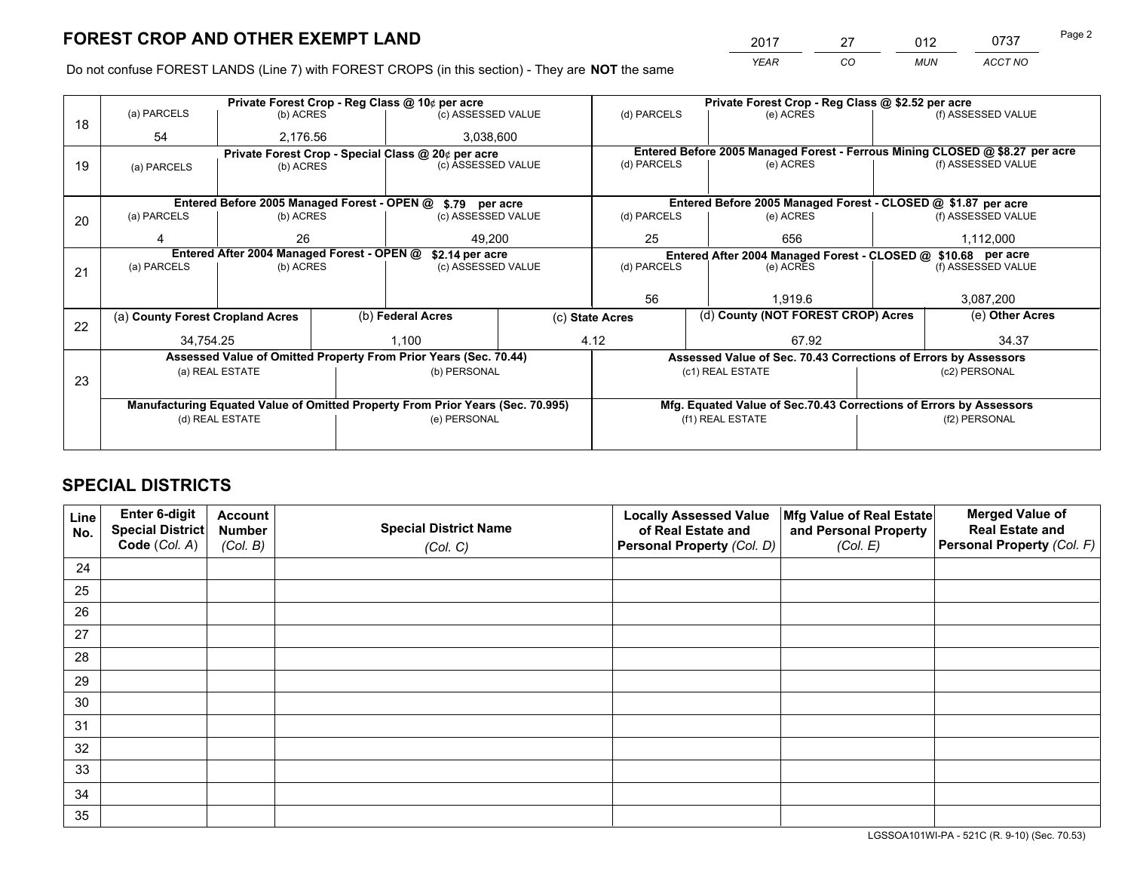*YEAR CO MUN ACCT NO* 2017 27 012 0737

Do not confuse FOREST LANDS (Line 7) with FOREST CROPS (in this section) - They are **NOT** the same

|    |                                                                                |                                             | Private Forest Crop - Reg Class @ \$2.52 per acre |                                                                      |  |                                                               |  |                                                                    |  |                                                                              |  |  |
|----|--------------------------------------------------------------------------------|---------------------------------------------|---------------------------------------------------|----------------------------------------------------------------------|--|---------------------------------------------------------------|--|--------------------------------------------------------------------|--|------------------------------------------------------------------------------|--|--|
| 18 | (a) PARCELS                                                                    | (b) ACRES                                   |                                                   | Private Forest Crop - Reg Class @ 10¢ per acre<br>(c) ASSESSED VALUE |  | (d) PARCELS                                                   |  | (e) ACRES                                                          |  | (f) ASSESSED VALUE                                                           |  |  |
|    | 54                                                                             | 2,176.56                                    |                                                   | 3,038,600                                                            |  |                                                               |  |                                                                    |  |                                                                              |  |  |
|    |                                                                                |                                             |                                                   | Private Forest Crop - Special Class @ 20¢ per acre                   |  |                                                               |  |                                                                    |  | Entered Before 2005 Managed Forest - Ferrous Mining CLOSED @ \$8.27 per acre |  |  |
| 19 | (a) PARCELS                                                                    | (b) ACRES                                   |                                                   | (c) ASSESSED VALUE                                                   |  | (d) PARCELS                                                   |  | (e) ACRES                                                          |  | (f) ASSESSED VALUE                                                           |  |  |
|    |                                                                                |                                             |                                                   |                                                                      |  |                                                               |  |                                                                    |  |                                                                              |  |  |
|    |                                                                                | Entered Before 2005 Managed Forest - OPEN @ |                                                   | \$.79 per acre                                                       |  | Entered Before 2005 Managed Forest - CLOSED @ \$1.87 per acre |  |                                                                    |  |                                                                              |  |  |
| 20 | (a) PARCELS                                                                    | (b) ACRES                                   |                                                   | (c) ASSESSED VALUE                                                   |  | (d) PARCELS                                                   |  | (e) ACRES                                                          |  | (f) ASSESSED VALUE                                                           |  |  |
|    |                                                                                | 26                                          |                                                   | 49,200                                                               |  | 25                                                            |  | 656                                                                |  | 1,112,000                                                                    |  |  |
|    | Entered After 2004 Managed Forest - OPEN @                                     |                                             |                                                   | \$2.14 per acre                                                      |  |                                                               |  |                                                                    |  | Entered After 2004 Managed Forest - CLOSED @ \$10.68 per acre                |  |  |
| 21 | (a) PARCELS<br>(b) ACRES                                                       |                                             |                                                   | (c) ASSESSED VALUE                                                   |  | (d) PARCELS<br>(f) ASSESSED VALUE<br>(e) ACRES                |  |                                                                    |  |                                                                              |  |  |
|    |                                                                                |                                             |                                                   |                                                                      |  |                                                               |  |                                                                    |  |                                                                              |  |  |
|    |                                                                                |                                             |                                                   |                                                                      |  | 56                                                            |  | 1,919.6                                                            |  | 3,087,200                                                                    |  |  |
|    | (a) County Forest Cropland Acres                                               |                                             |                                                   | (b) Federal Acres                                                    |  | (c) State Acres                                               |  | (d) County (NOT FOREST CROP) Acres                                 |  | (e) Other Acres                                                              |  |  |
| 22 | 34.754.25                                                                      |                                             |                                                   | 1.100                                                                |  | 4.12                                                          |  | 67.92                                                              |  | 34.37                                                                        |  |  |
|    |                                                                                |                                             |                                                   | Assessed Value of Omitted Property From Prior Years (Sec. 70.44)     |  |                                                               |  | Assessed Value of Sec. 70.43 Corrections of Errors by Assessors    |  |                                                                              |  |  |
|    |                                                                                | (a) REAL ESTATE                             |                                                   | (b) PERSONAL                                                         |  |                                                               |  | (c1) REAL ESTATE                                                   |  | (c2) PERSONAL                                                                |  |  |
| 23 |                                                                                |                                             |                                                   |                                                                      |  |                                                               |  |                                                                    |  |                                                                              |  |  |
|    | Manufacturing Equated Value of Omitted Property From Prior Years (Sec. 70.995) |                                             |                                                   |                                                                      |  |                                                               |  | Mfg. Equated Value of Sec.70.43 Corrections of Errors by Assessors |  |                                                                              |  |  |
|    |                                                                                | (d) REAL ESTATE                             |                                                   | (e) PERSONAL                                                         |  |                                                               |  | (f1) REAL ESTATE                                                   |  | (f2) PERSONAL                                                                |  |  |
|    |                                                                                |                                             |                                                   |                                                                      |  |                                                               |  |                                                                    |  |                                                                              |  |  |

## **SPECIAL DISTRICTS**

| Line<br>No. | Enter 6-digit<br>Special District<br>Code (Col. A) | <b>Account</b><br><b>Number</b><br>(Col. B) | <b>Special District Name</b><br>(Col. C) | <b>Locally Assessed Value</b><br>of Real Estate and<br>Personal Property (Col. D) | Mfg Value of Real Estate<br>and Personal Property<br>(Col. E) | <b>Merged Value of</b><br><b>Real Estate and</b><br>Personal Property (Col. F) |
|-------------|----------------------------------------------------|---------------------------------------------|------------------------------------------|-----------------------------------------------------------------------------------|---------------------------------------------------------------|--------------------------------------------------------------------------------|
| 24          |                                                    |                                             |                                          |                                                                                   |                                                               |                                                                                |
| 25          |                                                    |                                             |                                          |                                                                                   |                                                               |                                                                                |
| 26          |                                                    |                                             |                                          |                                                                                   |                                                               |                                                                                |
| 27          |                                                    |                                             |                                          |                                                                                   |                                                               |                                                                                |
| 28          |                                                    |                                             |                                          |                                                                                   |                                                               |                                                                                |
| 29          |                                                    |                                             |                                          |                                                                                   |                                                               |                                                                                |
| 30          |                                                    |                                             |                                          |                                                                                   |                                                               |                                                                                |
| 31          |                                                    |                                             |                                          |                                                                                   |                                                               |                                                                                |
| 32          |                                                    |                                             |                                          |                                                                                   |                                                               |                                                                                |
| 33          |                                                    |                                             |                                          |                                                                                   |                                                               |                                                                                |
| 34          |                                                    |                                             |                                          |                                                                                   |                                                               |                                                                                |
| 35          |                                                    |                                             |                                          |                                                                                   |                                                               |                                                                                |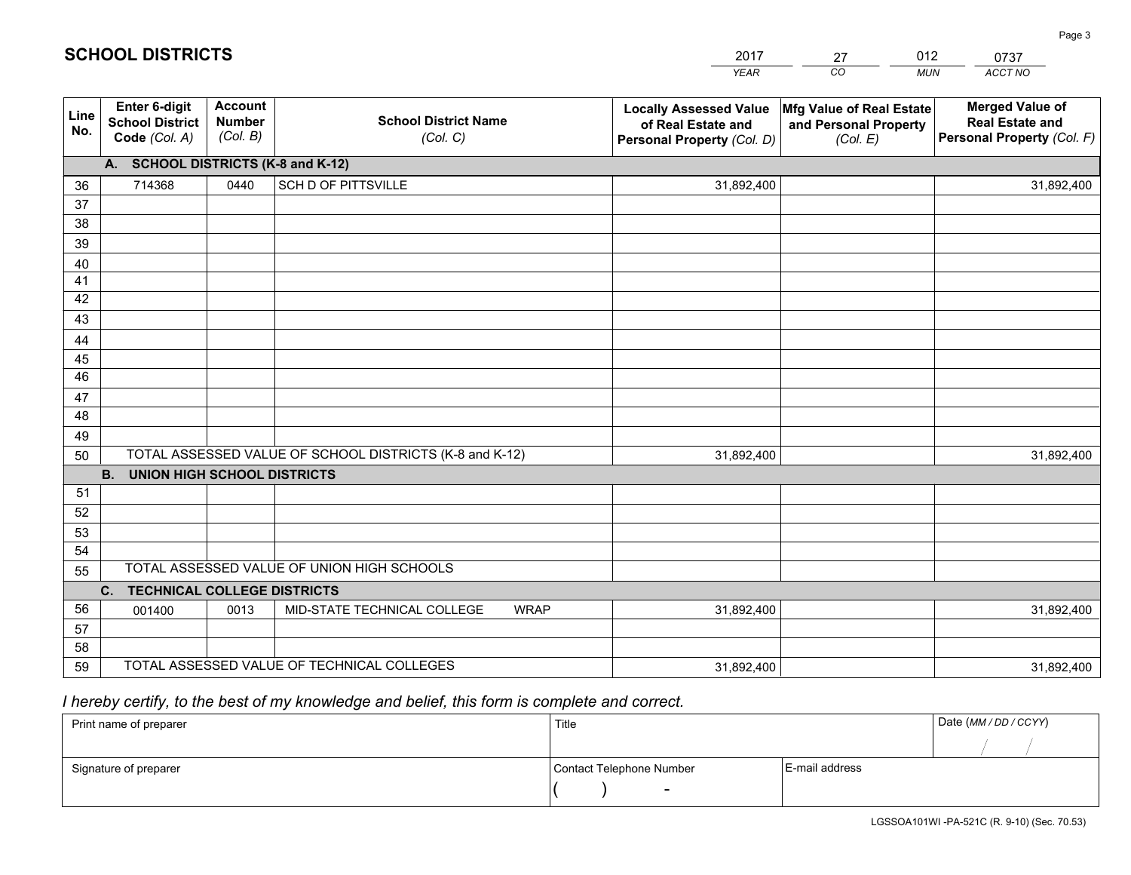|             |                                                          |                                             |                                                         | <b>YEAR</b>                                                                       | CO<br><b>MUN</b>                                              | ACCT NO                                                                        |
|-------------|----------------------------------------------------------|---------------------------------------------|---------------------------------------------------------|-----------------------------------------------------------------------------------|---------------------------------------------------------------|--------------------------------------------------------------------------------|
| Line<br>No. | Enter 6-digit<br><b>School District</b><br>Code (Col. A) | <b>Account</b><br><b>Number</b><br>(Col. B) | <b>School District Name</b><br>(Col. C)                 | <b>Locally Assessed Value</b><br>of Real Estate and<br>Personal Property (Col. D) | Mfg Value of Real Estate<br>and Personal Property<br>(Col. E) | <b>Merged Value of</b><br><b>Real Estate and</b><br>Personal Property (Col. F) |
|             | A. SCHOOL DISTRICTS (K-8 and K-12)                       |                                             |                                                         |                                                                                   |                                                               |                                                                                |
| 36          | 714368                                                   | 0440                                        | <b>SCH D OF PITTSVILLE</b>                              | 31,892,400                                                                        |                                                               | 31,892,400                                                                     |
| 37          |                                                          |                                             |                                                         |                                                                                   |                                                               |                                                                                |
| 38          |                                                          |                                             |                                                         |                                                                                   |                                                               |                                                                                |
| 39          |                                                          |                                             |                                                         |                                                                                   |                                                               |                                                                                |
| 40          |                                                          |                                             |                                                         |                                                                                   |                                                               |                                                                                |
| 41          |                                                          |                                             |                                                         |                                                                                   |                                                               |                                                                                |
| 42          |                                                          |                                             |                                                         |                                                                                   |                                                               |                                                                                |
| 43          |                                                          |                                             |                                                         |                                                                                   |                                                               |                                                                                |
| 44          |                                                          |                                             |                                                         |                                                                                   |                                                               |                                                                                |
| 45<br>46    |                                                          |                                             |                                                         |                                                                                   |                                                               |                                                                                |
|             |                                                          |                                             |                                                         |                                                                                   |                                                               |                                                                                |
| 47<br>48    |                                                          |                                             |                                                         |                                                                                   |                                                               |                                                                                |
| 49          |                                                          |                                             |                                                         |                                                                                   |                                                               |                                                                                |
| 50          |                                                          |                                             | TOTAL ASSESSED VALUE OF SCHOOL DISTRICTS (K-8 and K-12) | 31,892,400                                                                        |                                                               | 31,892,400                                                                     |
|             | <b>B.</b><br><b>UNION HIGH SCHOOL DISTRICTS</b>          |                                             |                                                         |                                                                                   |                                                               |                                                                                |
| 51          |                                                          |                                             |                                                         |                                                                                   |                                                               |                                                                                |
| 52          |                                                          |                                             |                                                         |                                                                                   |                                                               |                                                                                |
| 53          |                                                          |                                             |                                                         |                                                                                   |                                                               |                                                                                |
| 54          |                                                          |                                             |                                                         |                                                                                   |                                                               |                                                                                |
| 55          |                                                          |                                             | TOTAL ASSESSED VALUE OF UNION HIGH SCHOOLS              |                                                                                   |                                                               |                                                                                |
|             | C.<br><b>TECHNICAL COLLEGE DISTRICTS</b>                 |                                             |                                                         |                                                                                   |                                                               |                                                                                |
| 56          | 001400                                                   | 0013                                        | MID-STATE TECHNICAL COLLEGE<br><b>WRAP</b>              | 31,892,400                                                                        |                                                               | 31,892,400                                                                     |
| 57          |                                                          |                                             |                                                         |                                                                                   |                                                               |                                                                                |
| 58          |                                                          |                                             |                                                         |                                                                                   |                                                               |                                                                                |
| 59          |                                                          |                                             | TOTAL ASSESSED VALUE OF TECHNICAL COLLEGES              | 31,892,400                                                                        |                                                               | 31,892,400                                                                     |

2017

27

012

 *I hereby certify, to the best of my knowledge and belief, this form is complete and correct.*

**SCHOOL DISTRICTS**

| Print name of preparer | Title                    |                | Date (MM / DD / CCYY) |
|------------------------|--------------------------|----------------|-----------------------|
|                        |                          |                |                       |
| Signature of preparer  | Contact Telephone Number | E-mail address |                       |
|                        | $\sim$                   |                |                       |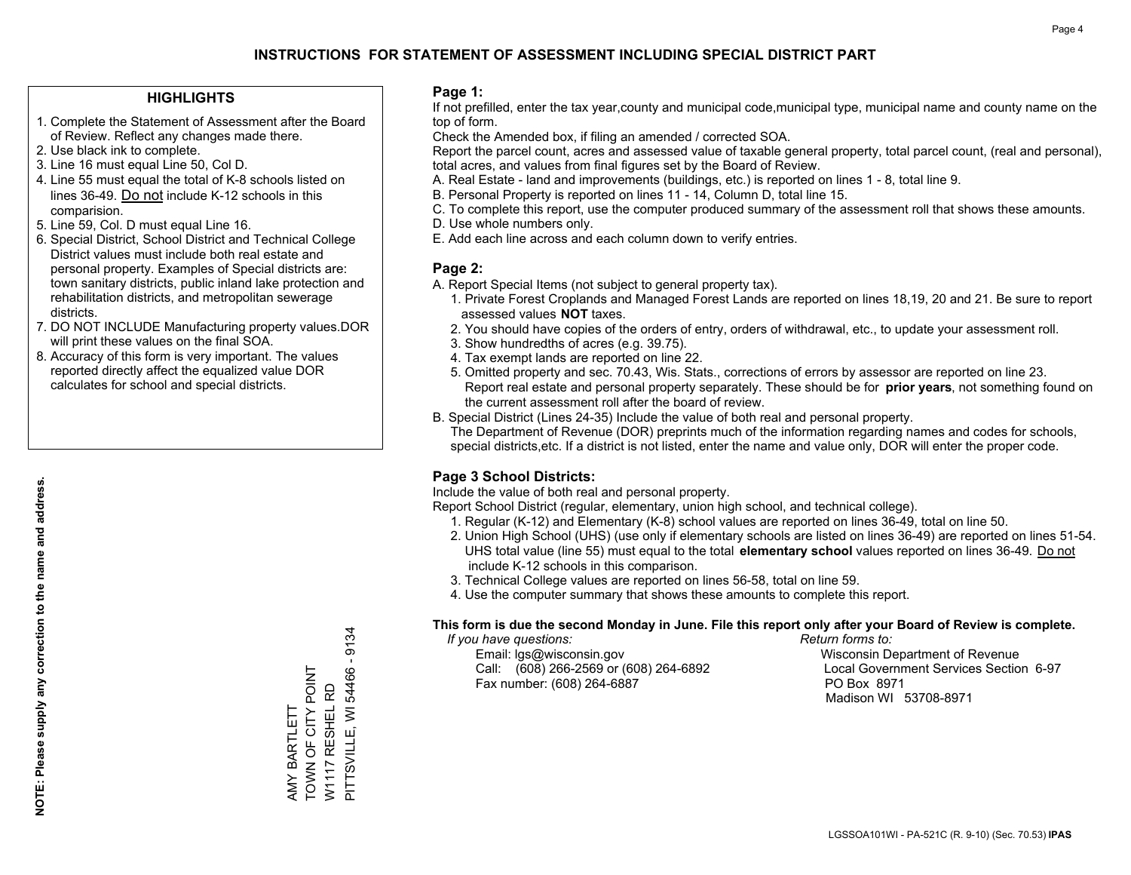#### **HIGHLIGHTS**

- 1. Complete the Statement of Assessment after the Board of Review. Reflect any changes made there.
- 2. Use black ink to complete.
- 3. Line 16 must equal Line 50, Col D.
- 4. Line 55 must equal the total of K-8 schools listed on lines 36-49. Do not include K-12 schools in this comparision.
- 5. Line 59, Col. D must equal Line 16.
- 6. Special District, School District and Technical College District values must include both real estate and personal property. Examples of Special districts are: town sanitary districts, public inland lake protection and rehabilitation districts, and metropolitan sewerage districts.
- 7. DO NOT INCLUDE Manufacturing property values.DOR will print these values on the final SOA.
- 8. Accuracy of this form is very important. The values reported directly affect the equalized value DOR calculates for school and special districts.

#### **Page 1:**

 If not prefilled, enter the tax year,county and municipal code,municipal type, municipal name and county name on the top of form.

Check the Amended box, if filing an amended / corrected SOA.

 Report the parcel count, acres and assessed value of taxable general property, total parcel count, (real and personal), total acres, and values from final figures set by the Board of Review.

- A. Real Estate land and improvements (buildings, etc.) is reported on lines 1 8, total line 9.
- B. Personal Property is reported on lines 11 14, Column D, total line 15.
- C. To complete this report, use the computer produced summary of the assessment roll that shows these amounts.
- D. Use whole numbers only.
- E. Add each line across and each column down to verify entries.

#### **Page 2:**

- A. Report Special Items (not subject to general property tax).
- 1. Private Forest Croplands and Managed Forest Lands are reported on lines 18,19, 20 and 21. Be sure to report assessed values **NOT** taxes.
- 2. You should have copies of the orders of entry, orders of withdrawal, etc., to update your assessment roll.
	- 3. Show hundredths of acres (e.g. 39.75).
- 4. Tax exempt lands are reported on line 22.
- 5. Omitted property and sec. 70.43, Wis. Stats., corrections of errors by assessor are reported on line 23. Report real estate and personal property separately. These should be for **prior years**, not something found on the current assessment roll after the board of review.
- B. Special District (Lines 24-35) Include the value of both real and personal property.
- The Department of Revenue (DOR) preprints much of the information regarding names and codes for schools, special districts,etc. If a district is not listed, enter the name and value only, DOR will enter the proper code.

### **Page 3 School Districts:**

Include the value of both real and personal property.

Report School District (regular, elementary, union high school, and technical college).

- 1. Regular (K-12) and Elementary (K-8) school values are reported on lines 36-49, total on line 50.
- 2. Union High School (UHS) (use only if elementary schools are listed on lines 36-49) are reported on lines 51-54. UHS total value (line 55) must equal to the total **elementary school** values reported on lines 36-49. Do notinclude K-12 schools in this comparison.
- 3. Technical College values are reported on lines 56-58, total on line 59.
- 4. Use the computer summary that shows these amounts to complete this report.

#### **This form is due the second Monday in June. File this report only after your Board of Review is complete.**

 *If you have questions: Return forms to:*

 Email: lgs@wisconsin.gov Wisconsin Department of RevenueCall:  $(608)$  266-2569 or  $(608)$  264-6892 Fax number: (608) 264-6887 PO Box 8971

Local Government Services Section 6-97 Madison WI 53708-8971

 $-9134$ PITTSVILLE, WI 54466 - 9134 TOWN OF CITY POINT 54466 TOWN OF CITY POINT RD W1117 RESHEL RD W1117 RESHEL F<br>PITTSVILLE, WI 5 AMY BARTLETT AMY BARTLETT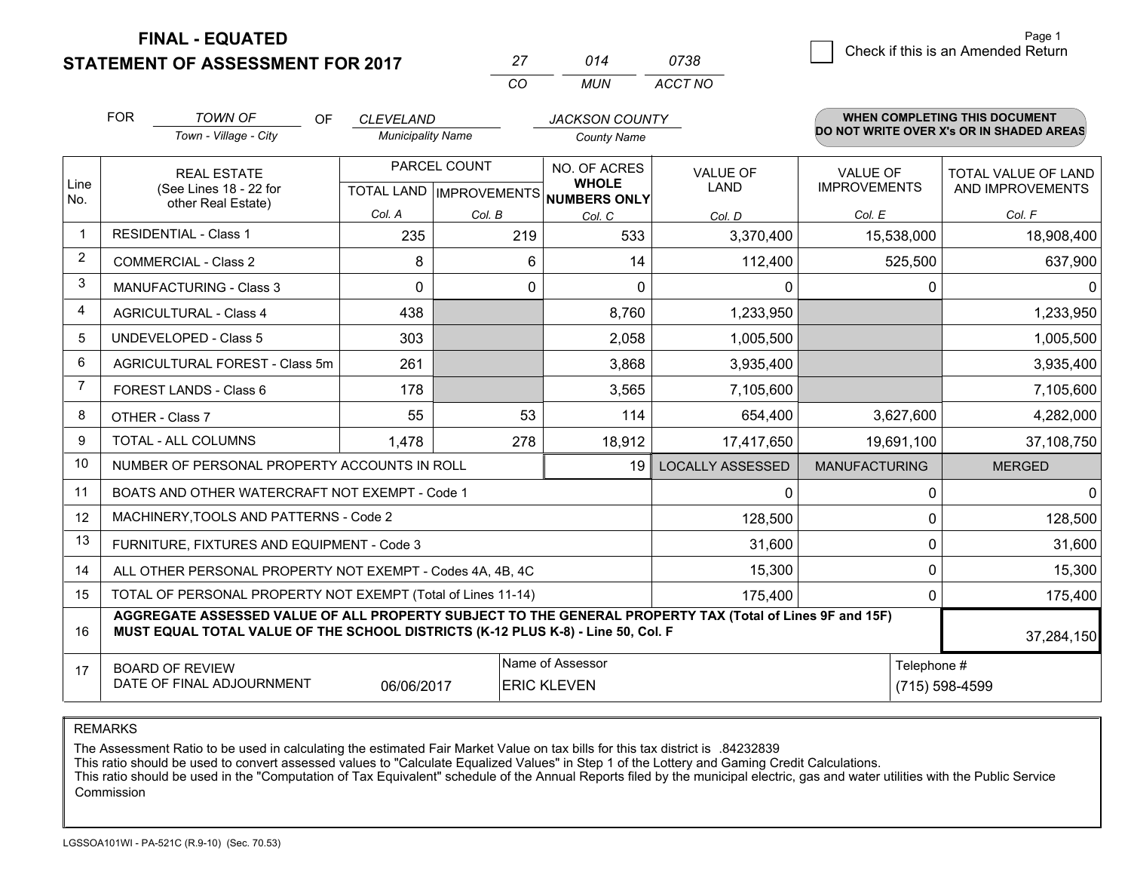**STATEMENT OF ASSESSMENT FOR 2017** 

|          | 014 | 0738    |
|----------|-----|---------|
| $\cdots$ | MUN | ACCT NO |

|                | <b>FOR</b>                                                                                                                                                                                                 | <b>TOWN OF</b><br><b>OF</b>                               | <b>CLEVELAND</b>         |                                           | <b>JACKSON COUNTY</b>         |                                |                                        | <b>WHEN COMPLETING THIS DOCUMENT</b>     |  |
|----------------|------------------------------------------------------------------------------------------------------------------------------------------------------------------------------------------------------------|-----------------------------------------------------------|--------------------------|-------------------------------------------|-------------------------------|--------------------------------|----------------------------------------|------------------------------------------|--|
|                |                                                                                                                                                                                                            | Town - Village - City                                     | <b>Municipality Name</b> |                                           | <b>County Name</b>            |                                |                                        | DO NOT WRITE OVER X's OR IN SHADED AREAS |  |
| Line           | <b>REAL ESTATE</b><br>(See Lines 18 - 22 for                                                                                                                                                               |                                                           |                          | PARCEL COUNT<br>TOTAL LAND   IMPROVEMENTS | NO. OF ACRES<br><b>WHOLE</b>  | <b>VALUE OF</b><br><b>LAND</b> | <b>VALUE OF</b><br><b>IMPROVEMENTS</b> | TOTAL VALUE OF LAND<br>AND IMPROVEMENTS  |  |
| No.            |                                                                                                                                                                                                            | other Real Estate)                                        | Col. A                   | Col. B                                    | <b>NUMBERS ONLY</b><br>Col. C | Col. D                         | Col. E                                 | Col. F                                   |  |
|                |                                                                                                                                                                                                            | <b>RESIDENTIAL - Class 1</b>                              | 235                      | 219                                       | 533                           | 3,370,400                      | 15,538,000                             | 18,908,400                               |  |
| 2              |                                                                                                                                                                                                            | <b>COMMERCIAL - Class 2</b>                               | 8                        | 6                                         | 14                            | 112,400                        | 525,500                                | 637,900                                  |  |
| 3              |                                                                                                                                                                                                            | <b>MANUFACTURING - Class 3</b>                            | 0                        | 0                                         | $\mathbf{0}$                  | 0                              | 0                                      | 0                                        |  |
| 4              |                                                                                                                                                                                                            | <b>AGRICULTURAL - Class 4</b>                             | 438                      |                                           | 8,760                         | 1,233,950                      |                                        | 1,233,950                                |  |
| 5              |                                                                                                                                                                                                            | <b>UNDEVELOPED - Class 5</b>                              | 303                      |                                           | 2,058                         | 1,005,500                      |                                        | 1,005,500                                |  |
| 6              |                                                                                                                                                                                                            | AGRICULTURAL FOREST - Class 5m                            | 261                      |                                           | 3,868                         | 3,935,400                      |                                        | 3,935,400                                |  |
| $\overline{7}$ |                                                                                                                                                                                                            | FOREST LANDS - Class 6                                    | 178                      |                                           | 3,565                         | 7,105,600                      |                                        | 7,105,600                                |  |
| 8              |                                                                                                                                                                                                            | OTHER - Class 7                                           | 55                       | 53                                        | 114                           | 654,400                        | 3,627,600                              | 4,282,000                                |  |
| 9              |                                                                                                                                                                                                            | TOTAL - ALL COLUMNS                                       | 1,478                    | 278                                       | 18,912                        | 17,417,650                     | 19,691,100                             | 37,108,750                               |  |
| 10             |                                                                                                                                                                                                            | NUMBER OF PERSONAL PROPERTY ACCOUNTS IN ROLL              |                          |                                           | 19                            | <b>LOCALLY ASSESSED</b>        | <b>MANUFACTURING</b>                   | <b>MERGED</b>                            |  |
| 11             |                                                                                                                                                                                                            | BOATS AND OTHER WATERCRAFT NOT EXEMPT - Code 1            |                          |                                           |                               | 0                              | 0                                      | $\Omega$                                 |  |
| 12             |                                                                                                                                                                                                            | MACHINERY, TOOLS AND PATTERNS - Code 2                    |                          |                                           |                               | 128,500                        | 0                                      | 128,500                                  |  |
| 13             |                                                                                                                                                                                                            | FURNITURE, FIXTURES AND EQUIPMENT - Code 3                |                          |                                           |                               | 31,600                         | 0                                      | 31,600                                   |  |
| 14             |                                                                                                                                                                                                            | ALL OTHER PERSONAL PROPERTY NOT EXEMPT - Codes 4A, 4B, 4C |                          |                                           |                               | 15,300                         | 0                                      | 15,300                                   |  |
| 15             | TOTAL OF PERSONAL PROPERTY NOT EXEMPT (Total of Lines 11-14)<br>175,400                                                                                                                                    |                                                           |                          |                                           |                               |                                |                                        | 175,400<br>0                             |  |
| 16             | AGGREGATE ASSESSED VALUE OF ALL PROPERTY SUBJECT TO THE GENERAL PROPERTY TAX (Total of Lines 9F and 15F)<br>MUST EQUAL TOTAL VALUE OF THE SCHOOL DISTRICTS (K-12 PLUS K-8) - Line 50, Col. F<br>37,284,150 |                                                           |                          |                                           |                               |                                |                                        |                                          |  |
| 17             | Name of Assessor<br>Telephone #<br><b>BOARD OF REVIEW</b><br>DATE OF FINAL ADJOURNMENT<br>06/06/2017<br><b>ERIC KLEVEN</b>                                                                                 |                                                           |                          |                                           |                               |                                |                                        | (715) 598-4599                           |  |

REMARKS

The Assessment Ratio to be used in calculating the estimated Fair Market Value on tax bills for this tax district is .84232839<br>This ratio should be used to convert assessed values to "Calculate Equalized Values" in Step 1 Commission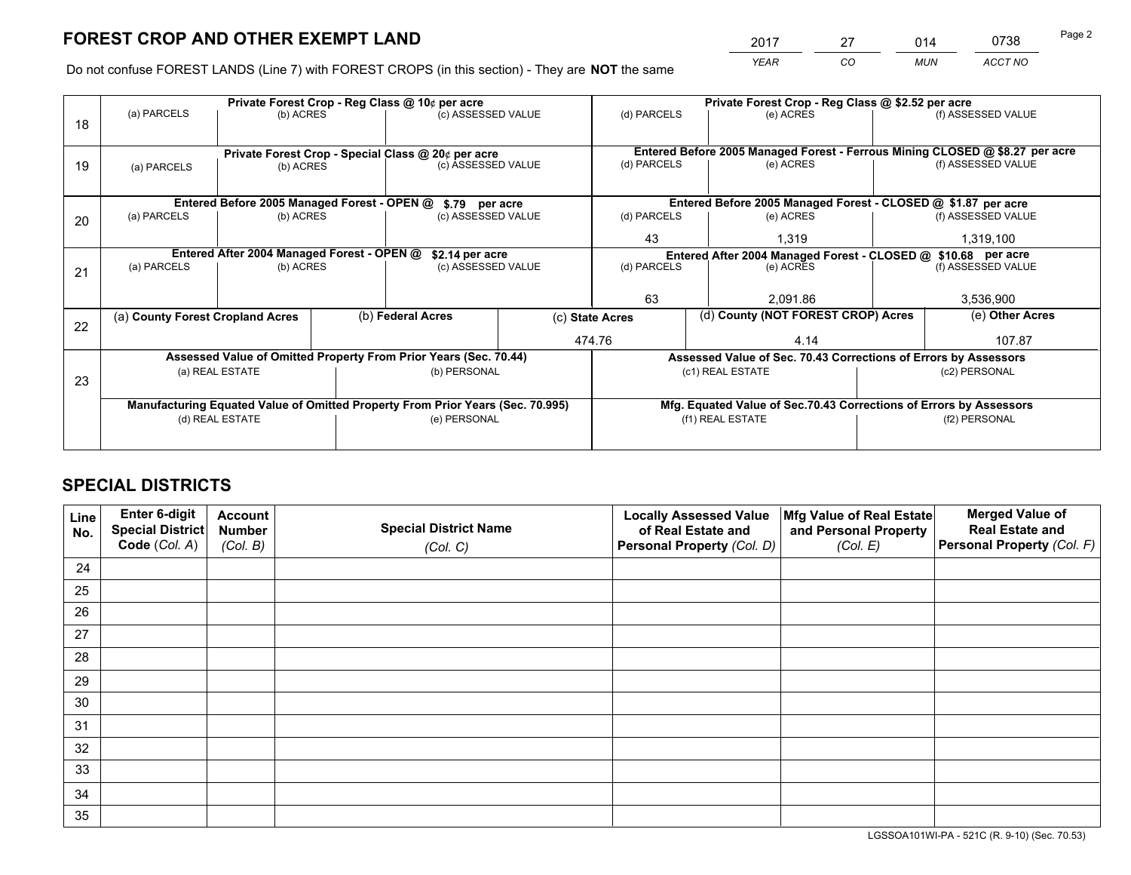*YEAR CO MUN ACCT NO* <sup>2017</sup> <sup>27</sup> <sup>014</sup> <sup>0738</sup>

Do not confuse FOREST LANDS (Line 7) with FOREST CROPS (in this section) - They are **NOT** the same

|    | Private Forest Crop - Reg Class @ 10¢ per acre                |                                             |  |                                                                                |             | Private Forest Crop - Reg Class @ \$2.52 per acre             |                                                                              |               |                    |
|----|---------------------------------------------------------------|---------------------------------------------|--|--------------------------------------------------------------------------------|-------------|---------------------------------------------------------------|------------------------------------------------------------------------------|---------------|--------------------|
| 18 | (a) PARCELS                                                   | (b) ACRES                                   |  | (c) ASSESSED VALUE                                                             |             | (d) PARCELS                                                   | (e) ACRES                                                                    |               | (f) ASSESSED VALUE |
|    |                                                               |                                             |  |                                                                                |             |                                                               |                                                                              |               |                    |
|    |                                                               |                                             |  | Private Forest Crop - Special Class @ 20¢ per acre                             |             |                                                               | Entered Before 2005 Managed Forest - Ferrous Mining CLOSED @ \$8.27 per acre |               |                    |
| 19 | (a) PARCELS                                                   | (b) ACRES                                   |  | (c) ASSESSED VALUE                                                             |             | (d) PARCELS                                                   | (e) ACRES                                                                    |               | (f) ASSESSED VALUE |
|    |                                                               |                                             |  |                                                                                |             |                                                               |                                                                              |               |                    |
|    |                                                               | Entered Before 2005 Managed Forest - OPEN @ |  | \$.79 per acre                                                                 |             |                                                               | Entered Before 2005 Managed Forest - CLOSED @ \$1.87 per acre                |               |                    |
| 20 | (a) PARCELS                                                   | (b) ACRES                                   |  | (c) ASSESSED VALUE                                                             |             | (d) PARCELS                                                   | (e) ACRES                                                                    |               | (f) ASSESSED VALUE |
|    |                                                               |                                             |  |                                                                                |             | 43                                                            | 1.319                                                                        |               | 1,319,100          |
|    | Entered After 2004 Managed Forest - OPEN @<br>\$2.14 per acre |                                             |  |                                                                                |             | Entered After 2004 Managed Forest - CLOSED @ \$10.68 per acre |                                                                              |               |                    |
| 21 | (a) PARCELS                                                   | (b) ACRES                                   |  | (c) ASSESSED VALUE                                                             | (d) PARCELS |                                                               | (e) ACRES                                                                    |               |                    |
|    |                                                               |                                             |  |                                                                                |             |                                                               |                                                                              |               |                    |
|    |                                                               |                                             |  |                                                                                |             | 63                                                            | 2,091.86                                                                     |               | 3,536,900          |
| 22 | (a) County Forest Cropland Acres                              |                                             |  | (b) Federal Acres                                                              |             | (c) State Acres                                               | (d) County (NOT FOREST CROP) Acres                                           |               | (e) Other Acres    |
|    |                                                               |                                             |  |                                                                                |             | 474.76<br>4.14                                                |                                                                              |               | 107.87             |
|    |                                                               |                                             |  | Assessed Value of Omitted Property From Prior Years (Sec. 70.44)               |             |                                                               | Assessed Value of Sec. 70.43 Corrections of Errors by Assessors              |               |                    |
| 23 |                                                               | (a) REAL ESTATE                             |  | (b) PERSONAL                                                                   |             |                                                               | (c1) REAL ESTATE                                                             | (c2) PERSONAL |                    |
|    |                                                               |                                             |  |                                                                                |             |                                                               |                                                                              |               |                    |
|    |                                                               |                                             |  | Manufacturing Equated Value of Omitted Property From Prior Years (Sec. 70.995) |             |                                                               | Mfg. Equated Value of Sec.70.43 Corrections of Errors by Assessors           |               |                    |
|    |                                                               | (d) REAL ESTATE                             |  | (e) PERSONAL                                                                   |             |                                                               | (f1) REAL ESTATE                                                             | (f2) PERSONAL |                    |
|    |                                                               |                                             |  |                                                                                |             |                                                               |                                                                              |               |                    |

## **SPECIAL DISTRICTS**

| Line<br>No. | Enter 6-digit<br>Special District<br>Code (Col. A) | <b>Account</b><br><b>Number</b> | <b>Special District Name</b> | <b>Locally Assessed Value</b><br>of Real Estate and | Mfg Value of Real Estate<br>and Personal Property | <b>Merged Value of</b><br><b>Real Estate and</b><br>Personal Property (Col. F) |
|-------------|----------------------------------------------------|---------------------------------|------------------------------|-----------------------------------------------------|---------------------------------------------------|--------------------------------------------------------------------------------|
|             |                                                    | (Col. B)                        | (Col. C)                     | Personal Property (Col. D)                          | (Col. E)                                          |                                                                                |
| 24          |                                                    |                                 |                              |                                                     |                                                   |                                                                                |
| 25          |                                                    |                                 |                              |                                                     |                                                   |                                                                                |
| 26          |                                                    |                                 |                              |                                                     |                                                   |                                                                                |
| 27          |                                                    |                                 |                              |                                                     |                                                   |                                                                                |
| 28          |                                                    |                                 |                              |                                                     |                                                   |                                                                                |
| 29          |                                                    |                                 |                              |                                                     |                                                   |                                                                                |
| 30          |                                                    |                                 |                              |                                                     |                                                   |                                                                                |
| 31          |                                                    |                                 |                              |                                                     |                                                   |                                                                                |
| 32          |                                                    |                                 |                              |                                                     |                                                   |                                                                                |
| 33          |                                                    |                                 |                              |                                                     |                                                   |                                                                                |
| 34          |                                                    |                                 |                              |                                                     |                                                   |                                                                                |
| 35          |                                                    |                                 |                              |                                                     |                                                   |                                                                                |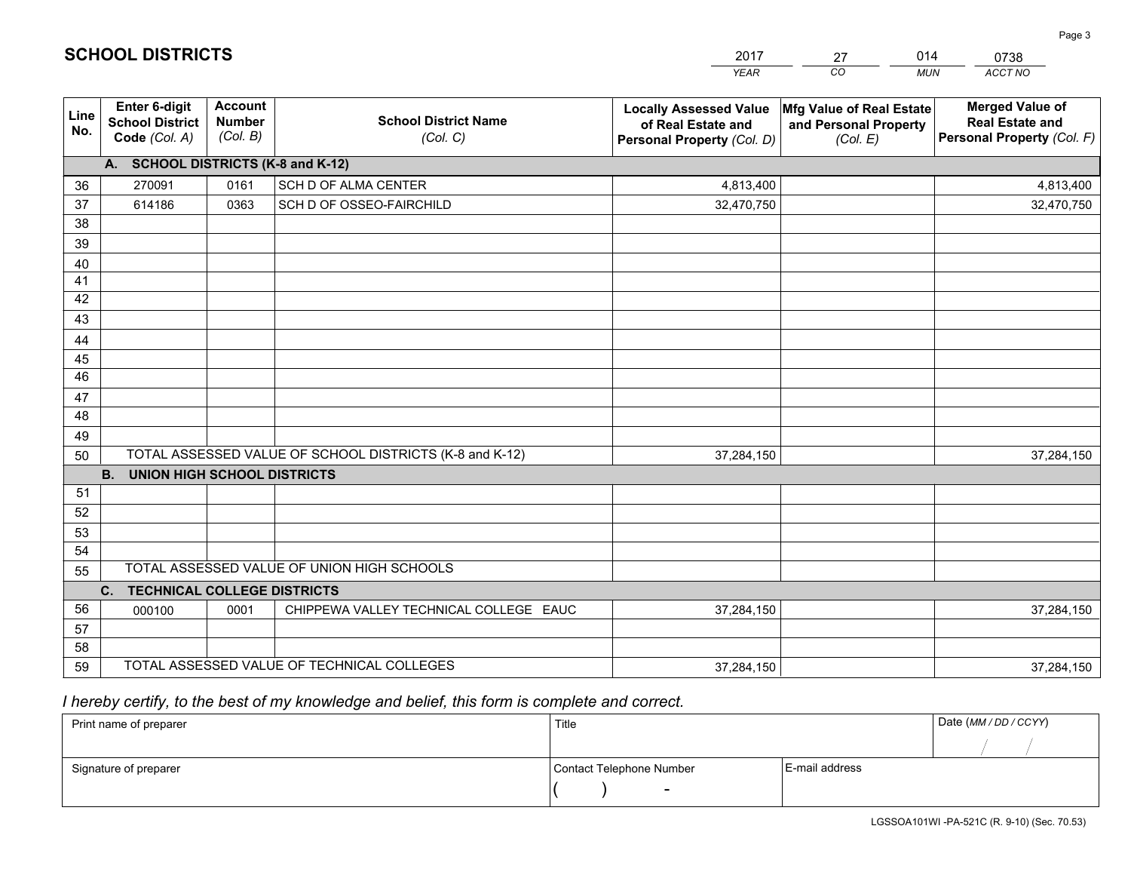|             |                                                          |                                             |                                                         | <b>YEAR</b>                                                                       | CO<br><b>MUN</b>                                              | ACCT NO                                                                        |
|-------------|----------------------------------------------------------|---------------------------------------------|---------------------------------------------------------|-----------------------------------------------------------------------------------|---------------------------------------------------------------|--------------------------------------------------------------------------------|
| Line<br>No. | Enter 6-digit<br><b>School District</b><br>Code (Col. A) | <b>Account</b><br><b>Number</b><br>(Col. B) | <b>School District Name</b><br>(Col. C)                 | <b>Locally Assessed Value</b><br>of Real Estate and<br>Personal Property (Col. D) | Mfg Value of Real Estate<br>and Personal Property<br>(Col. E) | <b>Merged Value of</b><br><b>Real Estate and</b><br>Personal Property (Col. F) |
|             | A. SCHOOL DISTRICTS (K-8 and K-12)                       |                                             |                                                         |                                                                                   |                                                               |                                                                                |
| 36          | 270091                                                   | 0161                                        | SCH D OF ALMA CENTER                                    | 4,813,400                                                                         |                                                               | 4,813,400                                                                      |
| 37          | 614186                                                   | 0363                                        | SCH D OF OSSEO-FAIRCHILD                                | 32,470,750                                                                        |                                                               | 32,470,750                                                                     |
| 38          |                                                          |                                             |                                                         |                                                                                   |                                                               |                                                                                |
| 39          |                                                          |                                             |                                                         |                                                                                   |                                                               |                                                                                |
| 40          |                                                          |                                             |                                                         |                                                                                   |                                                               |                                                                                |
| 41          |                                                          |                                             |                                                         |                                                                                   |                                                               |                                                                                |
| 42          |                                                          |                                             |                                                         |                                                                                   |                                                               |                                                                                |
| 43          |                                                          |                                             |                                                         |                                                                                   |                                                               |                                                                                |
| 44          |                                                          |                                             |                                                         |                                                                                   |                                                               |                                                                                |
| 45<br>46    |                                                          |                                             |                                                         |                                                                                   |                                                               |                                                                                |
| 47          |                                                          |                                             |                                                         |                                                                                   |                                                               |                                                                                |
| 48          |                                                          |                                             |                                                         |                                                                                   |                                                               |                                                                                |
| 49          |                                                          |                                             |                                                         |                                                                                   |                                                               |                                                                                |
| 50          |                                                          |                                             | TOTAL ASSESSED VALUE OF SCHOOL DISTRICTS (K-8 and K-12) | 37,284,150                                                                        |                                                               | 37,284,150                                                                     |
|             | <b>B.</b><br><b>UNION HIGH SCHOOL DISTRICTS</b>          |                                             |                                                         |                                                                                   |                                                               |                                                                                |
| 51          |                                                          |                                             |                                                         |                                                                                   |                                                               |                                                                                |
| 52          |                                                          |                                             |                                                         |                                                                                   |                                                               |                                                                                |
| 53          |                                                          |                                             |                                                         |                                                                                   |                                                               |                                                                                |
| 54          |                                                          |                                             |                                                         |                                                                                   |                                                               |                                                                                |
| 55          |                                                          |                                             | TOTAL ASSESSED VALUE OF UNION HIGH SCHOOLS              |                                                                                   |                                                               |                                                                                |
|             | C.<br><b>TECHNICAL COLLEGE DISTRICTS</b>                 |                                             |                                                         |                                                                                   |                                                               |                                                                                |
| 56          | 000100                                                   | 0001                                        | CHIPPEWA VALLEY TECHNICAL COLLEGE EAUC                  | 37,284,150                                                                        |                                                               | 37,284,150                                                                     |
| 57          |                                                          |                                             |                                                         |                                                                                   |                                                               |                                                                                |
| 58          |                                                          |                                             |                                                         |                                                                                   |                                                               |                                                                                |
| 59          |                                                          |                                             | TOTAL ASSESSED VALUE OF TECHNICAL COLLEGES              | 37,284,150                                                                        |                                                               | 37,284,150                                                                     |

 *I hereby certify, to the best of my knowledge and belief, this form is complete and correct.*

| Print name of preparer | Title                    |                | Date (MM / DD / CCYY) |
|------------------------|--------------------------|----------------|-----------------------|
|                        |                          |                |                       |
| Signature of preparer  | Contact Telephone Number | E-mail address |                       |
|                        | $\sim$                   |                |                       |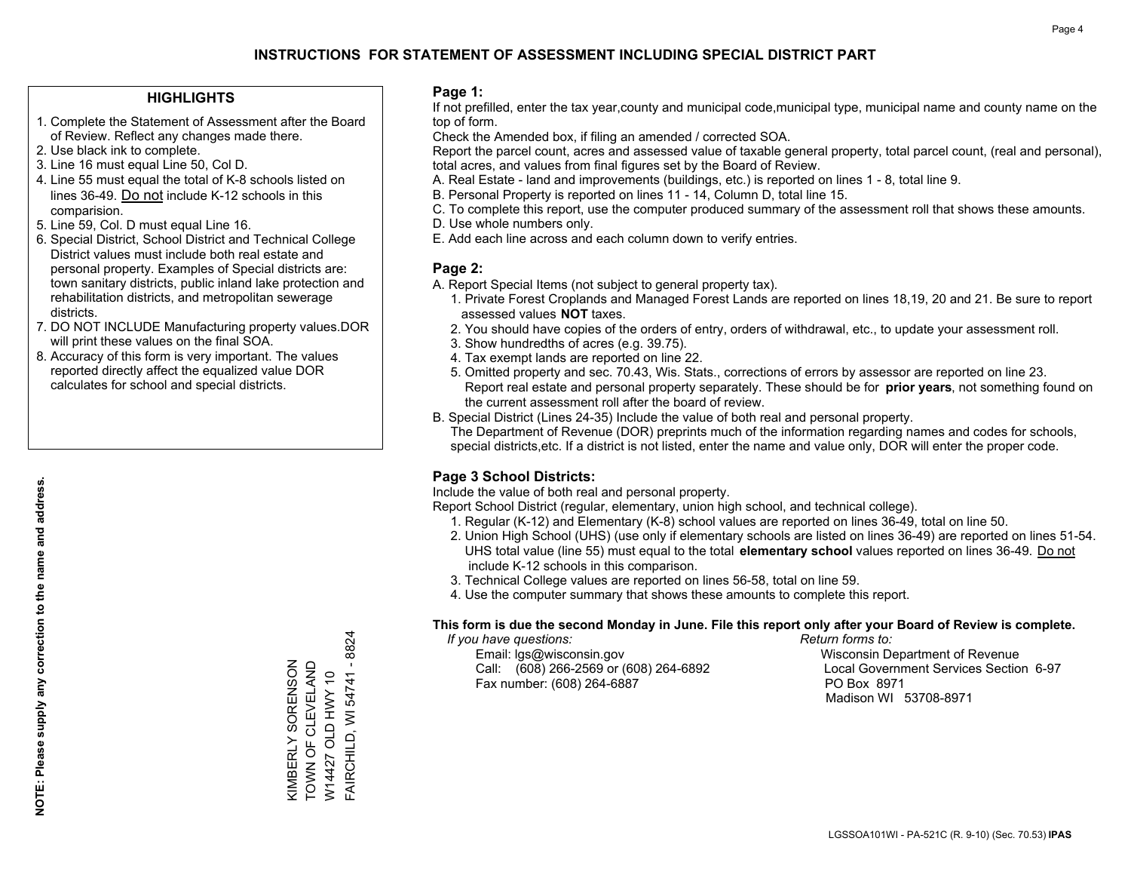#### **HIGHLIGHTS**

- 1. Complete the Statement of Assessment after the Board of Review. Reflect any changes made there.
- 2. Use black ink to complete.
- 3. Line 16 must equal Line 50, Col D.
- 4. Line 55 must equal the total of K-8 schools listed on lines 36-49. Do not include K-12 schools in this comparision.
- 5. Line 59, Col. D must equal Line 16.
- 6. Special District, School District and Technical College District values must include both real estate and personal property. Examples of Special districts are: town sanitary districts, public inland lake protection and rehabilitation districts, and metropolitan sewerage districts.
- 7. DO NOT INCLUDE Manufacturing property values.DOR will print these values on the final SOA.
- 8. Accuracy of this form is very important. The values reported directly affect the equalized value DOR calculates for school and special districts.

#### **Page 1:**

 If not prefilled, enter the tax year,county and municipal code,municipal type, municipal name and county name on the top of form.

Check the Amended box, if filing an amended / corrected SOA.

 Report the parcel count, acres and assessed value of taxable general property, total parcel count, (real and personal), total acres, and values from final figures set by the Board of Review.

- A. Real Estate land and improvements (buildings, etc.) is reported on lines 1 8, total line 9.
- B. Personal Property is reported on lines 11 14, Column D, total line 15.
- C. To complete this report, use the computer produced summary of the assessment roll that shows these amounts.
- D. Use whole numbers only.
- E. Add each line across and each column down to verify entries.

### **Page 2:**

- A. Report Special Items (not subject to general property tax).
- 1. Private Forest Croplands and Managed Forest Lands are reported on lines 18,19, 20 and 21. Be sure to report assessed values **NOT** taxes.
- 2. You should have copies of the orders of entry, orders of withdrawal, etc., to update your assessment roll.
	- 3. Show hundredths of acres (e.g. 39.75).
- 4. Tax exempt lands are reported on line 22.
- 5. Omitted property and sec. 70.43, Wis. Stats., corrections of errors by assessor are reported on line 23. Report real estate and personal property separately. These should be for **prior years**, not something found on the current assessment roll after the board of review.
- B. Special District (Lines 24-35) Include the value of both real and personal property.
- The Department of Revenue (DOR) preprints much of the information regarding names and codes for schools, special districts,etc. If a district is not listed, enter the name and value only, DOR will enter the proper code.

### **Page 3 School Districts:**

Include the value of both real and personal property.

Report School District (regular, elementary, union high school, and technical college).

- 1. Regular (K-12) and Elementary (K-8) school values are reported on lines 36-49, total on line 50.
- 2. Union High School (UHS) (use only if elementary schools are listed on lines 36-49) are reported on lines 51-54. UHS total value (line 55) must equal to the total **elementary school** values reported on lines 36-49. Do notinclude K-12 schools in this comparison.
- 3. Technical College values are reported on lines 56-58, total on line 59.
- 4. Use the computer summary that shows these amounts to complete this report.

#### **This form is due the second Monday in June. File this report only after your Board of Review is complete.**

 *If you have questions: Return forms to:*

 Email: lgs@wisconsin.gov Wisconsin Department of RevenueCall:  $(608)$  266-2569 or  $(608)$  264-6892 Fax number: (608) 264-6887 PO Box 8971

Local Government Services Section 6-97 Madison WI 53708-8971

FAIRCHILD, WI 54741 - 8824 FAIRCHILD, WI 54741 - 8824 TOWN OF CLEVELAND KIMBERLY SORENSON<br>TOWN OF CLEVELAND KIMBERLY SORENSON W14427 OLD HWY 10 W14427 OLD HWY 10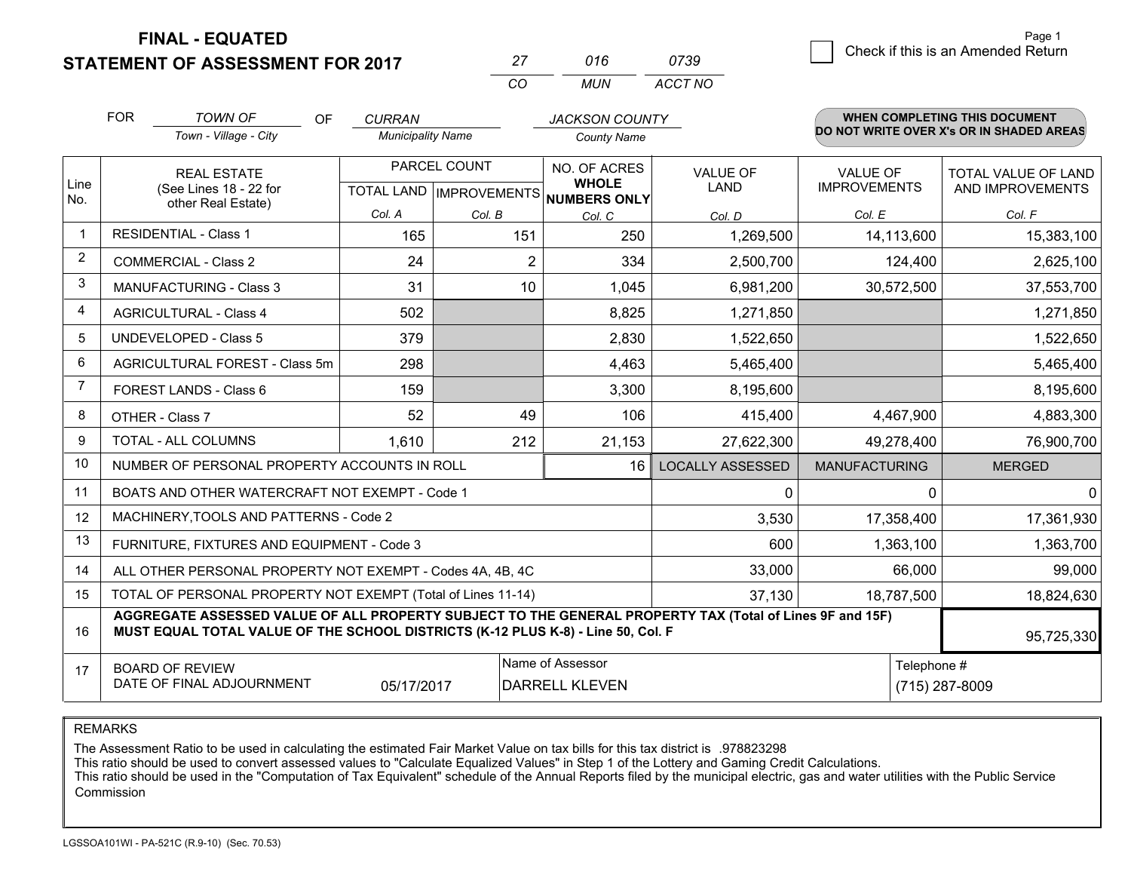**STATEMENT OF ASSESSMENT FOR 2017** 

|          | 016 | 0739    |
|----------|-----|---------|
| $\cdots$ | MUN | ACCT NO |

|                | <b>FOR</b>                                                                                                                                                                                                 | <b>TOWN OF</b><br><b>OF</b>                                  | <b>CURRAN</b>            |                | <b>JACKSON COUNTY</b>                                                |                                |                                        | WHEN COMPLETING THIS DOCUMENT            |  |
|----------------|------------------------------------------------------------------------------------------------------------------------------------------------------------------------------------------------------------|--------------------------------------------------------------|--------------------------|----------------|----------------------------------------------------------------------|--------------------------------|----------------------------------------|------------------------------------------|--|
|                |                                                                                                                                                                                                            | Town - Village - City                                        | <b>Municipality Name</b> |                | <b>County Name</b>                                                   |                                |                                        | DO NOT WRITE OVER X's OR IN SHADED AREAS |  |
| Line           |                                                                                                                                                                                                            | <b>REAL ESTATE</b><br>(See Lines 18 - 22 for                 |                          | PARCEL COUNT   | NO. OF ACRES<br><b>WHOLE</b><br>TOTAL LAND IMPROVEMENTS NUMBERS ONLY | <b>VALUE OF</b><br><b>LAND</b> | <b>VALUE OF</b><br><b>IMPROVEMENTS</b> | TOTAL VALUE OF LAND<br>AND IMPROVEMENTS  |  |
| No.            |                                                                                                                                                                                                            | other Real Estate)                                           | Col. A                   | Col. B         | Col. C                                                               | Col. D                         | Col. E                                 | Col. F                                   |  |
| $\mathbf{1}$   |                                                                                                                                                                                                            | <b>RESIDENTIAL - Class 1</b>                                 | 165                      | 151            | 250                                                                  | 1,269,500                      | 14,113,600                             | 15,383,100                               |  |
| $\overline{2}$ |                                                                                                                                                                                                            | <b>COMMERCIAL - Class 2</b>                                  | 24                       | $\overline{2}$ | 334                                                                  | 2,500,700                      | 124,400                                | 2,625,100                                |  |
| 3              |                                                                                                                                                                                                            | MANUFACTURING - Class 3                                      | 31                       | 10             | 1,045                                                                | 6,981,200                      | 30,572,500                             | 37,553,700                               |  |
| 4              |                                                                                                                                                                                                            | <b>AGRICULTURAL - Class 4</b>                                | 502                      |                | 8,825                                                                | 1,271,850                      |                                        | 1,271,850                                |  |
| 5              |                                                                                                                                                                                                            | <b>UNDEVELOPED - Class 5</b>                                 | 379                      |                | 2,830                                                                | 1,522,650                      |                                        | 1,522,650                                |  |
| 6              |                                                                                                                                                                                                            | AGRICULTURAL FOREST - Class 5m                               | 298                      |                | 4,463                                                                | 5,465,400                      |                                        | 5,465,400                                |  |
| $\overline{7}$ |                                                                                                                                                                                                            | FOREST LANDS - Class 6                                       | 159                      |                | 3,300                                                                | 8,195,600                      |                                        | 8,195,600                                |  |
| 8              |                                                                                                                                                                                                            | OTHER - Class 7                                              | 52                       | 49             | 106                                                                  | 415,400                        | 4,467,900                              | 4,883,300                                |  |
| 9              |                                                                                                                                                                                                            | TOTAL - ALL COLUMNS                                          | 1,610                    | 212            | 21,153                                                               | 27,622,300                     | 49,278,400                             | 76,900,700                               |  |
| 10             |                                                                                                                                                                                                            | NUMBER OF PERSONAL PROPERTY ACCOUNTS IN ROLL                 |                          |                | 16                                                                   | <b>LOCALLY ASSESSED</b>        | <b>MANUFACTURING</b>                   | <b>MERGED</b>                            |  |
| 11             |                                                                                                                                                                                                            | BOATS AND OTHER WATERCRAFT NOT EXEMPT - Code 1               |                          |                |                                                                      | 0                              | $\Omega$                               | $\mathbf{0}$                             |  |
| 12             |                                                                                                                                                                                                            | MACHINERY, TOOLS AND PATTERNS - Code 2                       |                          |                |                                                                      | 3,530                          | 17,358,400                             | 17,361,930                               |  |
| 13             |                                                                                                                                                                                                            | FURNITURE, FIXTURES AND EQUIPMENT - Code 3                   |                          |                |                                                                      | 600                            | 1,363,100                              | 1,363,700                                |  |
| 14             |                                                                                                                                                                                                            | ALL OTHER PERSONAL PROPERTY NOT EXEMPT - Codes 4A, 4B, 4C    |                          |                |                                                                      | 33,000                         | 66,000                                 | 99,000                                   |  |
| 15             |                                                                                                                                                                                                            | TOTAL OF PERSONAL PROPERTY NOT EXEMPT (Total of Lines 11-14) |                          |                |                                                                      | 37,130                         | 18,787,500                             | 18,824,630                               |  |
| 16             | AGGREGATE ASSESSED VALUE OF ALL PROPERTY SUBJECT TO THE GENERAL PROPERTY TAX (Total of Lines 9F and 15F)<br>MUST EQUAL TOTAL VALUE OF THE SCHOOL DISTRICTS (K-12 PLUS K-8) - Line 50, Col. F<br>95,725,330 |                                                              |                          |                |                                                                      |                                |                                        |                                          |  |
| 17             | Name of Assessor<br>Telephone #<br><b>BOARD OF REVIEW</b><br>DATE OF FINAL ADJOURNMENT<br>05/17/2017<br><b>DARRELL KLEVEN</b>                                                                              |                                                              |                          |                |                                                                      |                                |                                        | (715) 287-8009                           |  |

REMARKS

The Assessment Ratio to be used in calculating the estimated Fair Market Value on tax bills for this tax district is .978823298<br>This ratio should be used to convert assessed values to "Calculate Equalized Values" in Step 1 Commission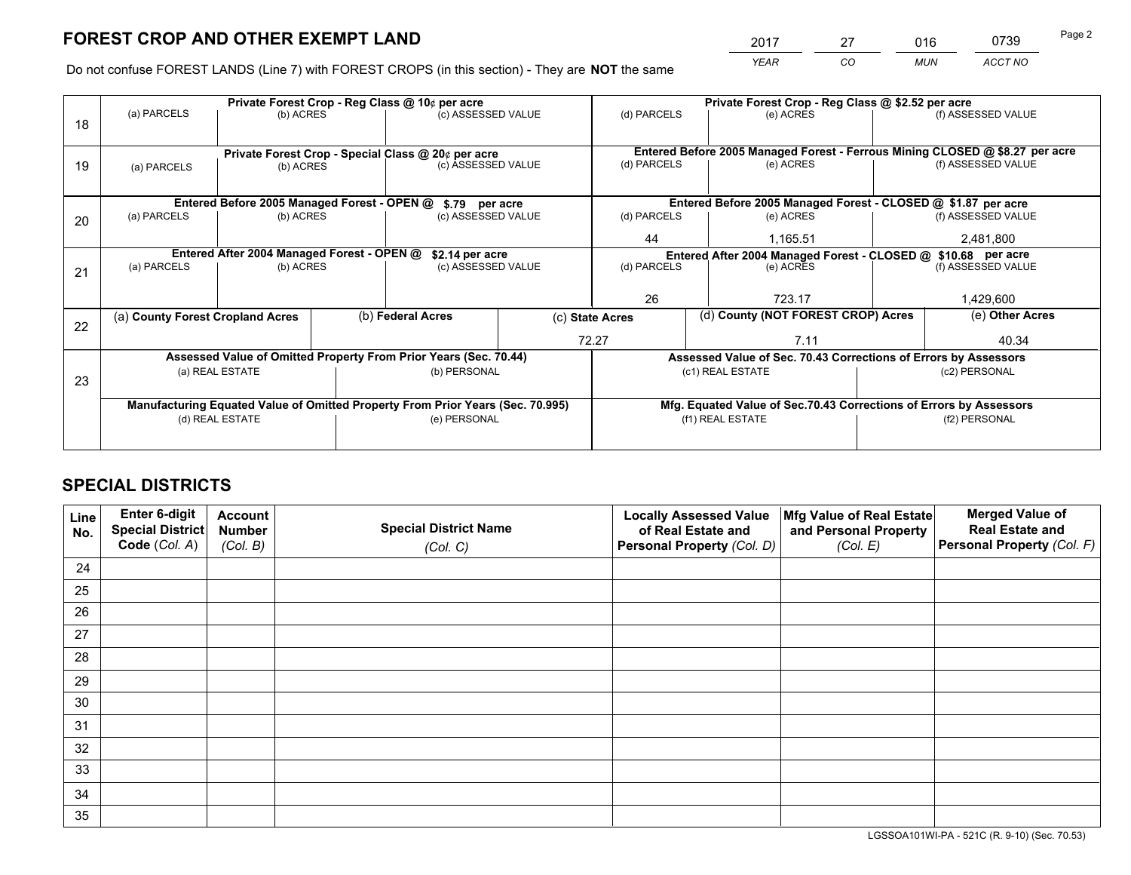*YEAR CO MUN ACCT NO* <sup>2017</sup> <sup>27</sup> <sup>016</sup> <sup>0739</sup>

Do not confuse FOREST LANDS (Line 7) with FOREST CROPS (in this section) - They are **NOT** the same

|                                                               |             |                 |                                                  |                                                                                                                    | Private Forest Crop - Reg Class @ \$2.52 per acre                                                                                                                                                                                                                                                                                                  |           |                                      |                                                                                                                                                                                                                                                                                                                              |
|---------------------------------------------------------------|-------------|-----------------|--------------------------------------------------|--------------------------------------------------------------------------------------------------------------------|----------------------------------------------------------------------------------------------------------------------------------------------------------------------------------------------------------------------------------------------------------------------------------------------------------------------------------------------------|-----------|--------------------------------------|------------------------------------------------------------------------------------------------------------------------------------------------------------------------------------------------------------------------------------------------------------------------------------------------------------------------------|
|                                                               |             |                 |                                                  |                                                                                                                    | (d) PARCELS                                                                                                                                                                                                                                                                                                                                        | (e) ACRES |                                      | (f) ASSESSED VALUE                                                                                                                                                                                                                                                                                                           |
|                                                               |             |                 |                                                  |                                                                                                                    |                                                                                                                                                                                                                                                                                                                                                    |           |                                      |                                                                                                                                                                                                                                                                                                                              |
|                                                               |             |                 |                                                  |                                                                                                                    |                                                                                                                                                                                                                                                                                                                                                    |           |                                      |                                                                                                                                                                                                                                                                                                                              |
| (a) PARCELS                                                   |             |                 |                                                  |                                                                                                                    | (d) PARCELS                                                                                                                                                                                                                                                                                                                                        | (e) ACRES |                                      | (f) ASSESSED VALUE                                                                                                                                                                                                                                                                                                           |
|                                                               |             |                 |                                                  |                                                                                                                    |                                                                                                                                                                                                                                                                                                                                                    |           |                                      |                                                                                                                                                                                                                                                                                                                              |
|                                                               |             |                 |                                                  |                                                                                                                    |                                                                                                                                                                                                                                                                                                                                                    |           |                                      |                                                                                                                                                                                                                                                                                                                              |
| (a) PARCELS                                                   |             |                 |                                                  |                                                                                                                    | (d) PARCELS                                                                                                                                                                                                                                                                                                                                        | (e) ACRES |                                      | (f) ASSESSED VALUE                                                                                                                                                                                                                                                                                                           |
|                                                               |             |                 |                                                  |                                                                                                                    | 44                                                                                                                                                                                                                                                                                                                                                 | 1.165.51  |                                      | 2,481,800                                                                                                                                                                                                                                                                                                                    |
| Entered After 2004 Managed Forest - OPEN @<br>\$2.14 per acre |             |                 |                                                  |                                                                                                                    | Entered After 2004 Managed Forest - CLOSED @ \$10.68 per acre                                                                                                                                                                                                                                                                                      |           |                                      |                                                                                                                                                                                                                                                                                                                              |
| (a) PARCELS                                                   |             |                 |                                                  |                                                                                                                    | (d) PARCELS                                                                                                                                                                                                                                                                                                                                        | (e) ACRES |                                      |                                                                                                                                                                                                                                                                                                                              |
|                                                               |             |                 |                                                  |                                                                                                                    |                                                                                                                                                                                                                                                                                                                                                    |           |                                      |                                                                                                                                                                                                                                                                                                                              |
|                                                               |             |                 |                                                  |                                                                                                                    | 26                                                                                                                                                                                                                                                                                                                                                 | 723.17    |                                      | 1,429,600                                                                                                                                                                                                                                                                                                                    |
| (a) County Forest Cropland Acres                              |             |                 |                                                  | (c) State Acres                                                                                                    |                                                                                                                                                                                                                                                                                                                                                    |           |                                      | (e) Other Acres                                                                                                                                                                                                                                                                                                              |
|                                                               |             |                 |                                                  |                                                                                                                    | 7.11                                                                                                                                                                                                                                                                                                                                               |           |                                      | 40.34                                                                                                                                                                                                                                                                                                                        |
|                                                               |             |                 |                                                  |                                                                                                                    |                                                                                                                                                                                                                                                                                                                                                    |           |                                      |                                                                                                                                                                                                                                                                                                                              |
|                                                               |             |                 |                                                  |                                                                                                                    |                                                                                                                                                                                                                                                                                                                                                    |           |                                      | (c2) PERSONAL                                                                                                                                                                                                                                                                                                                |
|                                                               |             |                 |                                                  |                                                                                                                    |                                                                                                                                                                                                                                                                                                                                                    |           |                                      |                                                                                                                                                                                                                                                                                                                              |
|                                                               |             |                 |                                                  |                                                                                                                    |                                                                                                                                                                                                                                                                                                                                                    |           |                                      |                                                                                                                                                                                                                                                                                                                              |
| (d) REAL ESTATE                                               |             |                 |                                                  |                                                                                                                    |                                                                                                                                                                                                                                                                                                                                                    |           |                                      | (f2) PERSONAL                                                                                                                                                                                                                                                                                                                |
|                                                               |             |                 |                                                  |                                                                                                                    |                                                                                                                                                                                                                                                                                                                                                    |           |                                      |                                                                                                                                                                                                                                                                                                                              |
|                                                               | (a) PARCELS | (a) REAL ESTATE | (b) ACRES<br>(b) ACRES<br>(b) ACRES<br>(b) ACRES | Private Forest Crop - Reg Class @ 10¢ per acre<br>Entered Before 2005 Managed Forest - OPEN @<br>(b) Federal Acres | (c) ASSESSED VALUE<br>Private Forest Crop - Special Class @ 20¢ per acre<br>(c) ASSESSED VALUE<br>\$.79 per acre<br>(c) ASSESSED VALUE<br>(c) ASSESSED VALUE<br>Assessed Value of Omitted Property From Prior Years (Sec. 70.44)<br>(b) PERSONAL<br>Manufacturing Equated Value of Omitted Property From Prior Years (Sec. 70.995)<br>(e) PERSONAL | 72.27     | (c1) REAL ESTATE<br>(f1) REAL ESTATE | Entered Before 2005 Managed Forest - Ferrous Mining CLOSED @ \$8.27 per acre<br>Entered Before 2005 Managed Forest - CLOSED @ \$1.87 per acre<br>(d) County (NOT FOREST CROP) Acres<br>Assessed Value of Sec. 70.43 Corrections of Errors by Assessors<br>Mfg. Equated Value of Sec.70.43 Corrections of Errors by Assessors |

## **SPECIAL DISTRICTS**

| Line<br>No. | Enter 6-digit<br>Special District<br>Code (Col. A) | <b>Account</b><br><b>Number</b><br>(Col. B) | <b>Special District Name</b><br>(Col. C) | <b>Locally Assessed Value</b><br>of Real Estate and<br>Personal Property (Col. D) | Mfg Value of Real Estate<br>and Personal Property<br>(Col. E) | <b>Merged Value of</b><br><b>Real Estate and</b><br>Personal Property (Col. F) |
|-------------|----------------------------------------------------|---------------------------------------------|------------------------------------------|-----------------------------------------------------------------------------------|---------------------------------------------------------------|--------------------------------------------------------------------------------|
| 24          |                                                    |                                             |                                          |                                                                                   |                                                               |                                                                                |
| 25          |                                                    |                                             |                                          |                                                                                   |                                                               |                                                                                |
| 26          |                                                    |                                             |                                          |                                                                                   |                                                               |                                                                                |
| 27          |                                                    |                                             |                                          |                                                                                   |                                                               |                                                                                |
| 28          |                                                    |                                             |                                          |                                                                                   |                                                               |                                                                                |
| 29          |                                                    |                                             |                                          |                                                                                   |                                                               |                                                                                |
| 30          |                                                    |                                             |                                          |                                                                                   |                                                               |                                                                                |
| 31          |                                                    |                                             |                                          |                                                                                   |                                                               |                                                                                |
| 32          |                                                    |                                             |                                          |                                                                                   |                                                               |                                                                                |
| 33          |                                                    |                                             |                                          |                                                                                   |                                                               |                                                                                |
| 34          |                                                    |                                             |                                          |                                                                                   |                                                               |                                                                                |
| 35          |                                                    |                                             |                                          |                                                                                   |                                                               |                                                                                |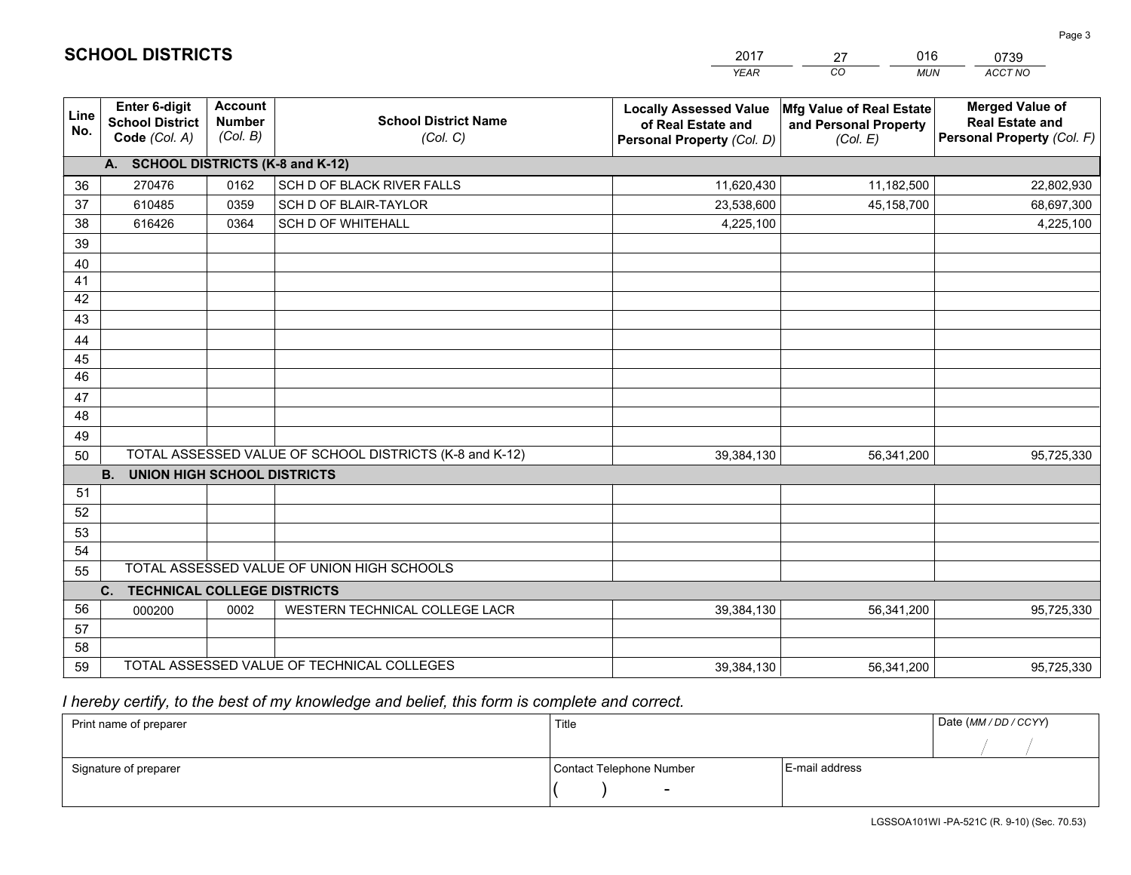|                       |                                                          |                                             |                                                         | YEAR                                                                              | CO.<br><b>MUN</b>                                             | ACCT NO                                                                        |
|-----------------------|----------------------------------------------------------|---------------------------------------------|---------------------------------------------------------|-----------------------------------------------------------------------------------|---------------------------------------------------------------|--------------------------------------------------------------------------------|
| Line<br>No.           | Enter 6-digit<br><b>School District</b><br>Code (Col. A) | <b>Account</b><br><b>Number</b><br>(Col. B) | <b>School District Name</b><br>(Col. C)                 | <b>Locally Assessed Value</b><br>of Real Estate and<br>Personal Property (Col. D) | Mfg Value of Real Estate<br>and Personal Property<br>(Col. E) | <b>Merged Value of</b><br><b>Real Estate and</b><br>Personal Property (Col. F) |
|                       | A. SCHOOL DISTRICTS (K-8 and K-12)                       |                                             |                                                         |                                                                                   |                                                               |                                                                                |
| 36                    | 270476                                                   | 0162                                        | SCH D OF BLACK RIVER FALLS                              | 11,620,430                                                                        | 11,182,500                                                    | 22,802,930                                                                     |
| 37                    | 610485                                                   | 0359                                        | SCH D OF BLAIR-TAYLOR                                   | 23,538,600                                                                        | 45,158,700                                                    | 68,697,300                                                                     |
| 38                    | 616426                                                   | 0364                                        | <b>SCH D OF WHITEHALL</b>                               | 4,225,100                                                                         |                                                               | 4,225,100                                                                      |
| 39                    |                                                          |                                             |                                                         |                                                                                   |                                                               |                                                                                |
| 40                    |                                                          |                                             |                                                         |                                                                                   |                                                               |                                                                                |
| 41                    |                                                          |                                             |                                                         |                                                                                   |                                                               |                                                                                |
| 42                    |                                                          |                                             |                                                         |                                                                                   |                                                               |                                                                                |
| 43                    |                                                          |                                             |                                                         |                                                                                   |                                                               |                                                                                |
| 44                    |                                                          |                                             |                                                         |                                                                                   |                                                               |                                                                                |
| 45<br>$\overline{46}$ |                                                          |                                             |                                                         |                                                                                   |                                                               |                                                                                |
|                       |                                                          |                                             |                                                         |                                                                                   |                                                               |                                                                                |
| 47<br>48              |                                                          |                                             |                                                         |                                                                                   |                                                               |                                                                                |
| 49                    |                                                          |                                             |                                                         |                                                                                   |                                                               |                                                                                |
| 50                    |                                                          |                                             | TOTAL ASSESSED VALUE OF SCHOOL DISTRICTS (K-8 and K-12) | 39,384,130                                                                        | 56,341,200                                                    | 95,725,330                                                                     |
|                       | <b>B.</b><br><b>UNION HIGH SCHOOL DISTRICTS</b>          |                                             |                                                         |                                                                                   |                                                               |                                                                                |
| 51                    |                                                          |                                             |                                                         |                                                                                   |                                                               |                                                                                |
| 52                    |                                                          |                                             |                                                         |                                                                                   |                                                               |                                                                                |
| 53                    |                                                          |                                             |                                                         |                                                                                   |                                                               |                                                                                |
| 54                    |                                                          |                                             |                                                         |                                                                                   |                                                               |                                                                                |
| 55                    |                                                          |                                             | TOTAL ASSESSED VALUE OF UNION HIGH SCHOOLS              |                                                                                   |                                                               |                                                                                |
|                       | C.<br><b>TECHNICAL COLLEGE DISTRICTS</b>                 |                                             |                                                         |                                                                                   |                                                               |                                                                                |
| 56                    | 000200                                                   | 0002                                        | WESTERN TECHNICAL COLLEGE LACR                          | 39,384,130                                                                        | 56,341,200                                                    | 95,725,330                                                                     |
| 57                    |                                                          |                                             |                                                         |                                                                                   |                                                               |                                                                                |
| 58                    |                                                          |                                             |                                                         |                                                                                   |                                                               |                                                                                |
| 59                    |                                                          |                                             | TOTAL ASSESSED VALUE OF TECHNICAL COLLEGES              | 39,384,130                                                                        | 56,341,200                                                    | 95,725,330                                                                     |

2017

27

016

 *I hereby certify, to the best of my knowledge and belief, this form is complete and correct.*

**SCHOOL DISTRICTS**

| Print name of preparer | Title                    | Date (MM / DD / CCYY) |  |
|------------------------|--------------------------|-----------------------|--|
|                        |                          |                       |  |
| Signature of preparer  | Contact Telephone Number | E-mail address        |  |
|                        | $\overline{\phantom{0}}$ |                       |  |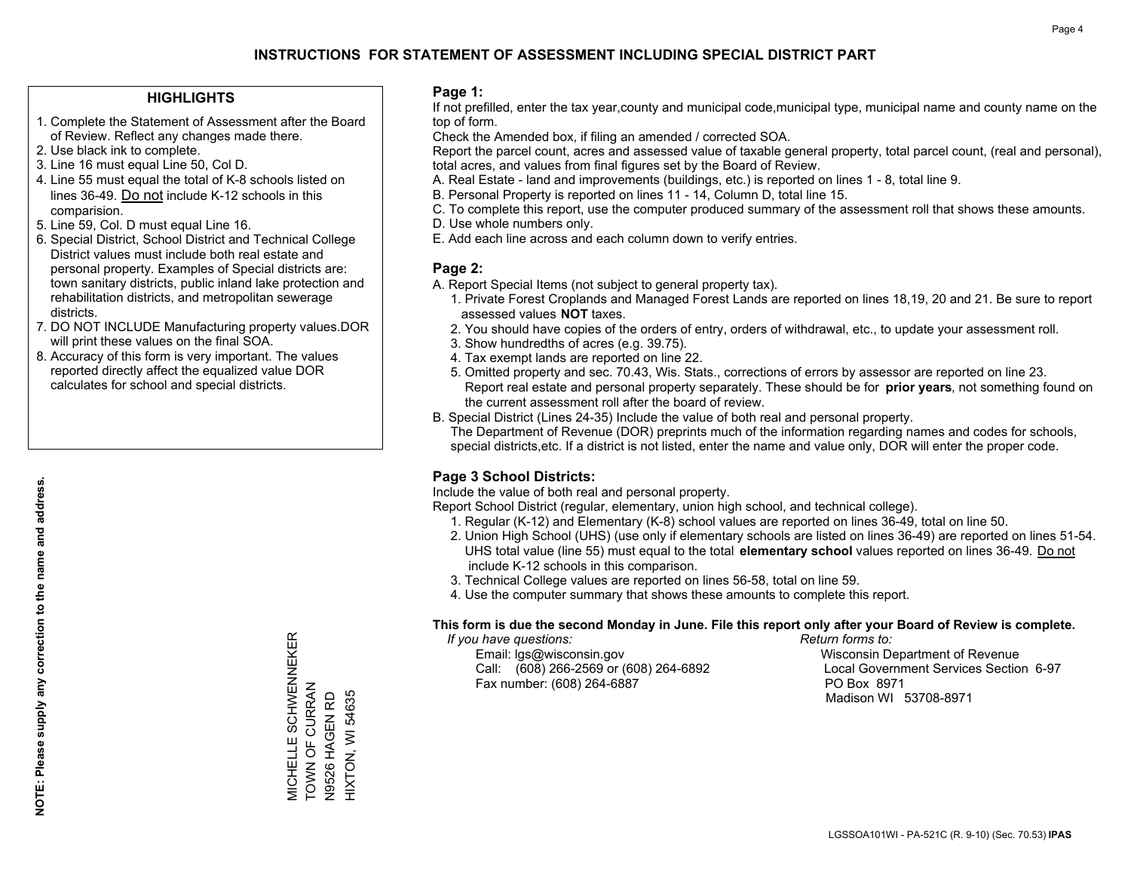#### **HIGHLIGHTS**

- 1. Complete the Statement of Assessment after the Board of Review. Reflect any changes made there.
- 2. Use black ink to complete.
- 3. Line 16 must equal Line 50, Col D.
- 4. Line 55 must equal the total of K-8 schools listed on lines 36-49. Do not include K-12 schools in this comparision.
- 5. Line 59, Col. D must equal Line 16.
- 6. Special District, School District and Technical College District values must include both real estate and personal property. Examples of Special districts are: town sanitary districts, public inland lake protection and rehabilitation districts, and metropolitan sewerage districts.
- 7. DO NOT INCLUDE Manufacturing property values.DOR will print these values on the final SOA.
- 8. Accuracy of this form is very important. The values reported directly affect the equalized value DOR calculates for school and special districts.

#### **Page 1:**

 If not prefilled, enter the tax year,county and municipal code,municipal type, municipal name and county name on the top of form.

Check the Amended box, if filing an amended / corrected SOA.

 Report the parcel count, acres and assessed value of taxable general property, total parcel count, (real and personal), total acres, and values from final figures set by the Board of Review.

- A. Real Estate land and improvements (buildings, etc.) is reported on lines 1 8, total line 9.
- B. Personal Property is reported on lines 11 14, Column D, total line 15.
- C. To complete this report, use the computer produced summary of the assessment roll that shows these amounts.
- D. Use whole numbers only.
- E. Add each line across and each column down to verify entries.

#### **Page 2:**

- A. Report Special Items (not subject to general property tax).
- 1. Private Forest Croplands and Managed Forest Lands are reported on lines 18,19, 20 and 21. Be sure to report assessed values **NOT** taxes.
- 2. You should have copies of the orders of entry, orders of withdrawal, etc., to update your assessment roll.
	- 3. Show hundredths of acres (e.g. 39.75).
- 4. Tax exempt lands are reported on line 22.
- 5. Omitted property and sec. 70.43, Wis. Stats., corrections of errors by assessor are reported on line 23. Report real estate and personal property separately. These should be for **prior years**, not something found on the current assessment roll after the board of review.
- B. Special District (Lines 24-35) Include the value of both real and personal property.

 The Department of Revenue (DOR) preprints much of the information regarding names and codes for schools, special districts,etc. If a district is not listed, enter the name and value only, DOR will enter the proper code.

### **Page 3 School Districts:**

Include the value of both real and personal property.

Report School District (regular, elementary, union high school, and technical college).

- 1. Regular (K-12) and Elementary (K-8) school values are reported on lines 36-49, total on line 50.
- 2. Union High School (UHS) (use only if elementary schools are listed on lines 36-49) are reported on lines 51-54. UHS total value (line 55) must equal to the total **elementary school** values reported on lines 36-49. Do notinclude K-12 schools in this comparison.
- 3. Technical College values are reported on lines 56-58, total on line 59.
- 4. Use the computer summary that shows these amounts to complete this report.

#### **This form is due the second Monday in June. File this report only after your Board of Review is complete.**

 *If you have questions: Return forms to:*

 Email: lgs@wisconsin.gov Wisconsin Department of RevenueCall:  $(608)$  266-2569 or  $(608)$  264-6892 Fax number: (608) 264-6887 PO Box 8971

Local Government Services Section 6-97 Madison WI 53708-8971

MICHELLE SCHWENNEKER<br>TOWN OF CURRAN<br>N9526 HAGEN RD MICHELLE SCHWENNEKER TOWN OF CURRAN HIXTON, WI 54635 N9526 HAGEN RD

HIXTON, WI 54635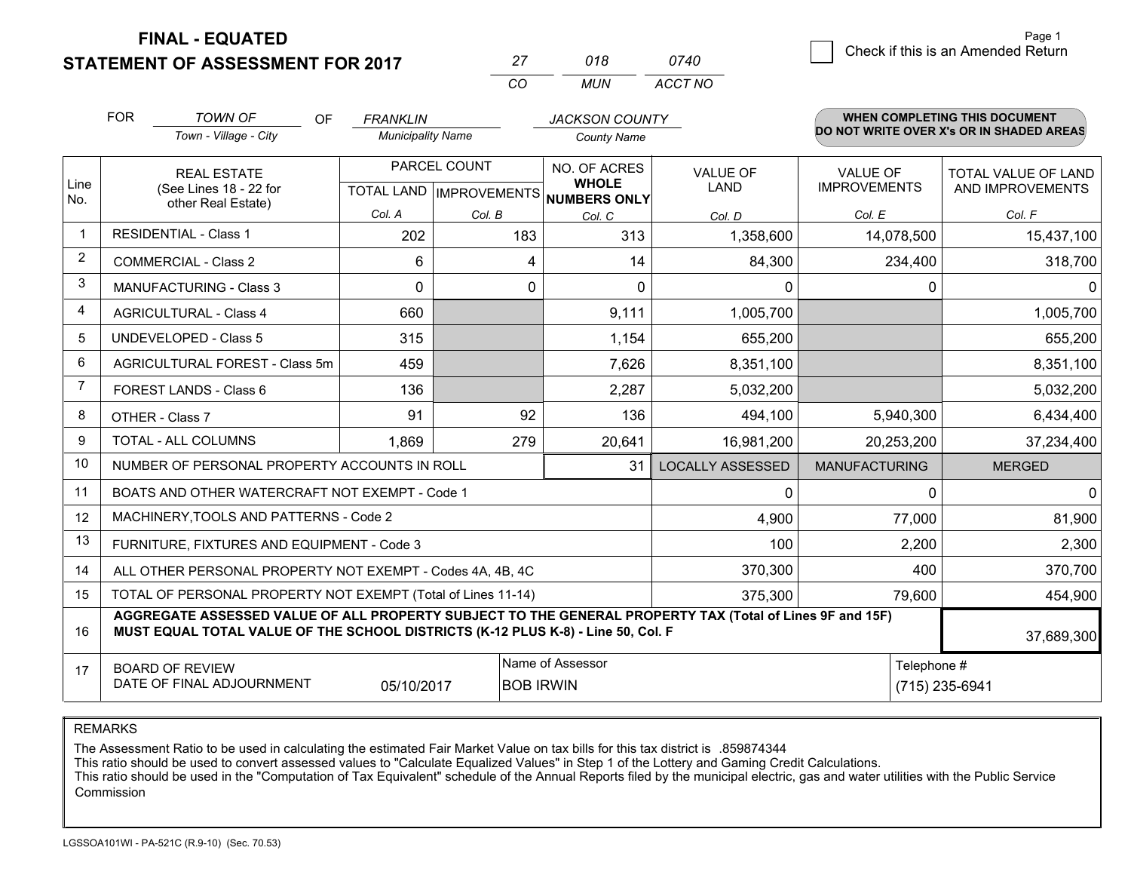**STATEMENT OF ASSESSMENT FOR 2017** 

|          | 018 | 0740    |
|----------|-----|---------|
| $\cdots$ | MUN | ACCT NO |

|                | <b>FOR</b>                                                                                                                                                                                   | <b>TOWN OF</b><br><b>OF</b>                               | <b>FRANKLIN</b>          |                                           | <b>JACKSON COUNTY</b>                               |                         |                                 | <b>WHEN COMPLETING THIS DOCUMENT</b>           |  |
|----------------|----------------------------------------------------------------------------------------------------------------------------------------------------------------------------------------------|-----------------------------------------------------------|--------------------------|-------------------------------------------|-----------------------------------------------------|-------------------------|---------------------------------|------------------------------------------------|--|
|                |                                                                                                                                                                                              | Town - Village - City                                     | <b>Municipality Name</b> |                                           | <b>County Name</b>                                  |                         |                                 | DO NOT WRITE OVER X's OR IN SHADED AREAS       |  |
| Line<br>No.    |                                                                                                                                                                                              | <b>REAL ESTATE</b><br>(See Lines 18 - 22 for              |                          | PARCEL COUNT<br>TOTAL LAND   IMPROVEMENTS | NO. OF ACRES<br><b>WHOLE</b><br><b>NUMBERS ONLY</b> | <b>VALUE OF</b><br>LAND | VALUE OF<br><b>IMPROVEMENTS</b> | <b>TOTAL VALUE OF LAND</b><br>AND IMPROVEMENTS |  |
|                |                                                                                                                                                                                              | other Real Estate)                                        | Col. A                   | Col. B                                    | Col. C                                              | Col. D                  | Col. E                          | Col. F                                         |  |
| $\mathbf{1}$   |                                                                                                                                                                                              | <b>RESIDENTIAL - Class 1</b>                              | 202                      | 183                                       | 313                                                 | 1,358,600               | 14,078,500                      | 15,437,100                                     |  |
| $\overline{2}$ |                                                                                                                                                                                              | <b>COMMERCIAL - Class 2</b>                               | 6                        | 4                                         | 14                                                  | 84,300                  | 234,400                         | 318,700                                        |  |
| 3              |                                                                                                                                                                                              | <b>MANUFACTURING - Class 3</b>                            | $\Omega$                 | 0                                         | $\Omega$                                            | $\mathbf{0}$            | 0                               | 0                                              |  |
| 4              |                                                                                                                                                                                              | <b>AGRICULTURAL - Class 4</b>                             | 660                      |                                           | 9,111                                               | 1,005,700               |                                 | 1,005,700                                      |  |
| 5              |                                                                                                                                                                                              | <b>UNDEVELOPED - Class 5</b>                              | 315                      |                                           | 1,154                                               | 655,200                 |                                 | 655,200                                        |  |
| 6              |                                                                                                                                                                                              | AGRICULTURAL FOREST - Class 5m                            | 459                      |                                           | 7,626                                               | 8,351,100               |                                 | 8,351,100                                      |  |
| 7              |                                                                                                                                                                                              | FOREST LANDS - Class 6                                    | 136                      |                                           | 2,287                                               | 5,032,200               |                                 | 5,032,200                                      |  |
| 8              |                                                                                                                                                                                              | OTHER - Class 7                                           | 91                       | 92                                        | 136                                                 | 494,100                 | 5,940,300                       | 6,434,400                                      |  |
| 9              |                                                                                                                                                                                              | TOTAL - ALL COLUMNS                                       | 1,869                    | 279                                       | 20,641                                              | 16,981,200              | 20,253,200                      | 37,234,400                                     |  |
| 10             |                                                                                                                                                                                              | NUMBER OF PERSONAL PROPERTY ACCOUNTS IN ROLL              |                          |                                           | 31                                                  | <b>LOCALLY ASSESSED</b> | <b>MANUFACTURING</b>            | <b>MERGED</b>                                  |  |
| 11             |                                                                                                                                                                                              | BOATS AND OTHER WATERCRAFT NOT EXEMPT - Code 1            |                          |                                           |                                                     | $\Omega$                | 0                               | $\Omega$                                       |  |
| 12             |                                                                                                                                                                                              | MACHINERY, TOOLS AND PATTERNS - Code 2                    |                          |                                           |                                                     | 4,900                   | 77,000                          | 81,900                                         |  |
| 13             |                                                                                                                                                                                              | FURNITURE, FIXTURES AND EQUIPMENT - Code 3                |                          |                                           |                                                     | 100                     | 2,200                           | 2,300                                          |  |
| 14             |                                                                                                                                                                                              | ALL OTHER PERSONAL PROPERTY NOT EXEMPT - Codes 4A, 4B, 4C |                          |                                           |                                                     | 370,300                 | 400                             | 370,700                                        |  |
| 15             | TOTAL OF PERSONAL PROPERTY NOT EXEMPT (Total of Lines 11-14)                                                                                                                                 |                                                           |                          |                                           |                                                     | 375,300                 | 79,600                          | 454,900                                        |  |
| 16             | AGGREGATE ASSESSED VALUE OF ALL PROPERTY SUBJECT TO THE GENERAL PROPERTY TAX (Total of Lines 9F and 15F)<br>MUST EQUAL TOTAL VALUE OF THE SCHOOL DISTRICTS (K-12 PLUS K-8) - Line 50, Col. F |                                                           |                          |                                           |                                                     |                         |                                 | 37,689,300                                     |  |
| 17             | Name of Assessor<br><b>BOARD OF REVIEW</b><br>DATE OF FINAL ADJOURNMENT<br>05/10/2017<br><b>BOB IRWIN</b>                                                                                    |                                                           |                          |                                           |                                                     |                         | Telephone #                     | (715) 235-6941                                 |  |

REMARKS

The Assessment Ratio to be used in calculating the estimated Fair Market Value on tax bills for this tax district is .859874344<br>This ratio should be used to convert assessed values to "Calculate Equalized Values" in Step 1 Commission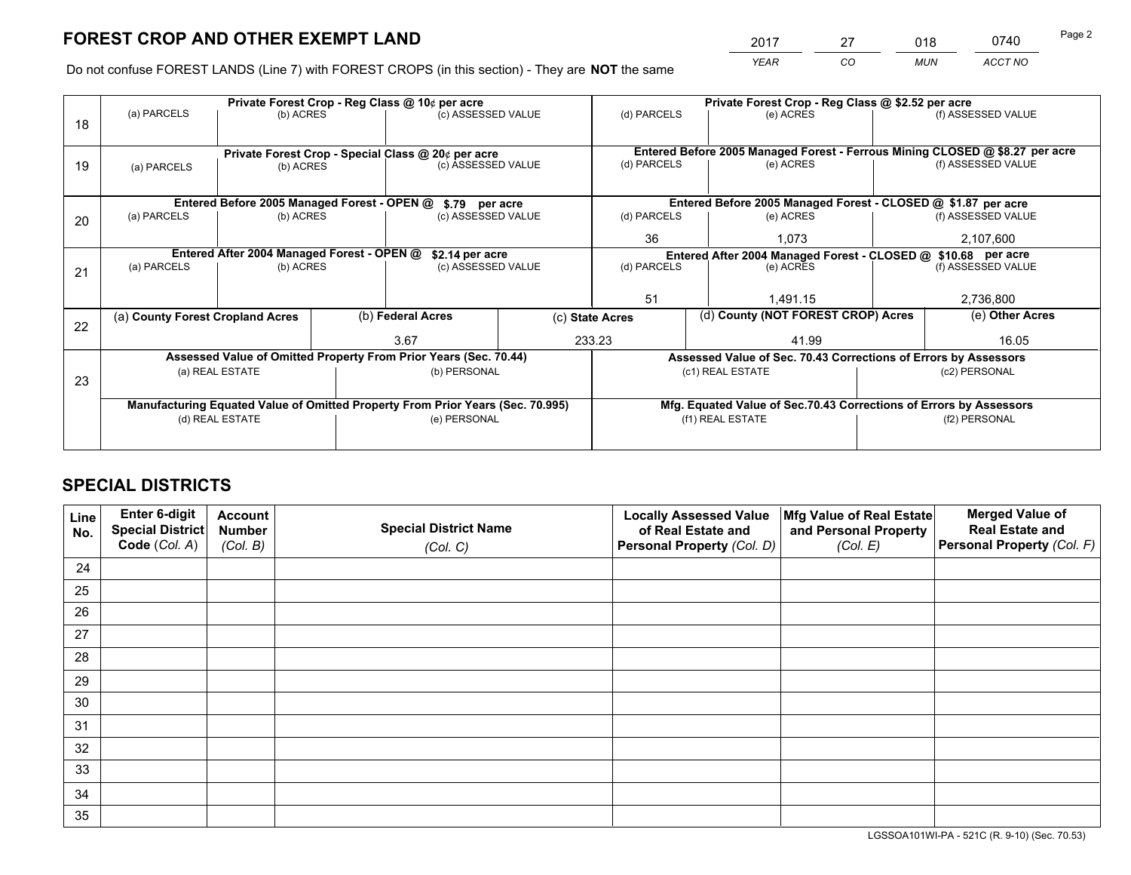*YEAR CO MUN ACCT NO* <sup>2017</sup> <sup>27</sup> <sup>018</sup> <sup>0740</sup>

Do not confuse FOREST LANDS (Line 7) with FOREST CROPS (in this section) - They are **NOT** the same

|    | Private Forest Crop - Reg Class @ 10¢ per acre                                 |                                             |  |                                                                  |  | Private Forest Crop - Reg Class @ \$2.52 per acre               |                                                                              |               |                    |  |
|----|--------------------------------------------------------------------------------|---------------------------------------------|--|------------------------------------------------------------------|--|-----------------------------------------------------------------|------------------------------------------------------------------------------|---------------|--------------------|--|
| 18 | (a) PARCELS                                                                    | (b) ACRES                                   |  | (c) ASSESSED VALUE                                               |  | (d) PARCELS                                                     | (e) ACRES                                                                    |               | (f) ASSESSED VALUE |  |
|    |                                                                                |                                             |  |                                                                  |  |                                                                 |                                                                              |               |                    |  |
|    | Private Forest Crop - Special Class @ 20¢ per acre                             |                                             |  |                                                                  |  |                                                                 | Entered Before 2005 Managed Forest - Ferrous Mining CLOSED @ \$8.27 per acre |               |                    |  |
| 19 | (a) PARCELS                                                                    | (b) ACRES                                   |  | (c) ASSESSED VALUE                                               |  | (d) PARCELS                                                     | (e) ACRES                                                                    |               | (f) ASSESSED VALUE |  |
|    |                                                                                |                                             |  |                                                                  |  |                                                                 |                                                                              |               |                    |  |
|    |                                                                                | Entered Before 2005 Managed Forest - OPEN @ |  | \$.79 per acre                                                   |  |                                                                 | Entered Before 2005 Managed Forest - CLOSED @ \$1.87 per acre                |               |                    |  |
| 20 | (a) PARCELS                                                                    | (b) ACRES                                   |  | (c) ASSESSED VALUE                                               |  | (d) PARCELS                                                     | (e) ACRES                                                                    |               | (f) ASSESSED VALUE |  |
|    |                                                                                |                                             |  |                                                                  |  | 36<br>1.073                                                     |                                                                              | 2,107,600     |                    |  |
|    | Entered After 2004 Managed Forest - OPEN @                                     |                                             |  | \$2.14 per acre                                                  |  | Entered After 2004 Managed Forest - CLOSED @ \$10.68 per acre   |                                                                              |               |                    |  |
| 21 | (a) PARCELS                                                                    | (b) ACRES                                   |  | (c) ASSESSED VALUE                                               |  | (d) PARCELS                                                     | (e) ACRES                                                                    |               |                    |  |
|    |                                                                                |                                             |  |                                                                  |  |                                                                 |                                                                              |               |                    |  |
|    |                                                                                |                                             |  |                                                                  |  | 51                                                              | 1.491.15                                                                     |               | 2,736,800          |  |
| 22 | (a) County Forest Cropland Acres                                               |                                             |  | (b) Federal Acres                                                |  | (d) County (NOT FOREST CROP) Acres<br>(c) State Acres           |                                                                              |               | (e) Other Acres    |  |
|    |                                                                                |                                             |  | 3.67                                                             |  | 233.23<br>41.99                                                 |                                                                              |               | 16.05              |  |
|    |                                                                                |                                             |  | Assessed Value of Omitted Property From Prior Years (Sec. 70.44) |  | Assessed Value of Sec. 70.43 Corrections of Errors by Assessors |                                                                              |               |                    |  |
|    | (a) REAL ESTATE                                                                |                                             |  | (b) PERSONAL                                                     |  | (c1) REAL ESTATE                                                |                                                                              | (c2) PERSONAL |                    |  |
| 23 |                                                                                |                                             |  |                                                                  |  |                                                                 |                                                                              |               |                    |  |
|    | Manufacturing Equated Value of Omitted Property From Prior Years (Sec. 70.995) |                                             |  |                                                                  |  |                                                                 | Mfg. Equated Value of Sec.70.43 Corrections of Errors by Assessors           |               |                    |  |
|    |                                                                                | (d) REAL ESTATE                             |  | (e) PERSONAL                                                     |  |                                                                 | (f1) REAL ESTATE                                                             |               | (f2) PERSONAL      |  |
|    |                                                                                |                                             |  |                                                                  |  |                                                                 |                                                                              |               |                    |  |

## **SPECIAL DISTRICTS**

| Line<br>No. | Enter 6-digit<br>Special District<br>Code (Col. A) | <b>Account</b><br><b>Number</b> | <b>Special District Name</b> | <b>Locally Assessed Value</b><br>of Real Estate and | Mfg Value of Real Estate<br>and Personal Property | <b>Merged Value of</b><br><b>Real Estate and</b><br>Personal Property (Col. F) |
|-------------|----------------------------------------------------|---------------------------------|------------------------------|-----------------------------------------------------|---------------------------------------------------|--------------------------------------------------------------------------------|
|             |                                                    | (Col. B)                        | (Col. C)                     | Personal Property (Col. D)                          | (Col. E)                                          |                                                                                |
| 24          |                                                    |                                 |                              |                                                     |                                                   |                                                                                |
| 25          |                                                    |                                 |                              |                                                     |                                                   |                                                                                |
| 26          |                                                    |                                 |                              |                                                     |                                                   |                                                                                |
| 27          |                                                    |                                 |                              |                                                     |                                                   |                                                                                |
| 28          |                                                    |                                 |                              |                                                     |                                                   |                                                                                |
| 29          |                                                    |                                 |                              |                                                     |                                                   |                                                                                |
| 30          |                                                    |                                 |                              |                                                     |                                                   |                                                                                |
| 31          |                                                    |                                 |                              |                                                     |                                                   |                                                                                |
| 32          |                                                    |                                 |                              |                                                     |                                                   |                                                                                |
| 33          |                                                    |                                 |                              |                                                     |                                                   |                                                                                |
| 34          |                                                    |                                 |                              |                                                     |                                                   |                                                                                |
| 35          |                                                    |                                 |                              |                                                     |                                                   |                                                                                |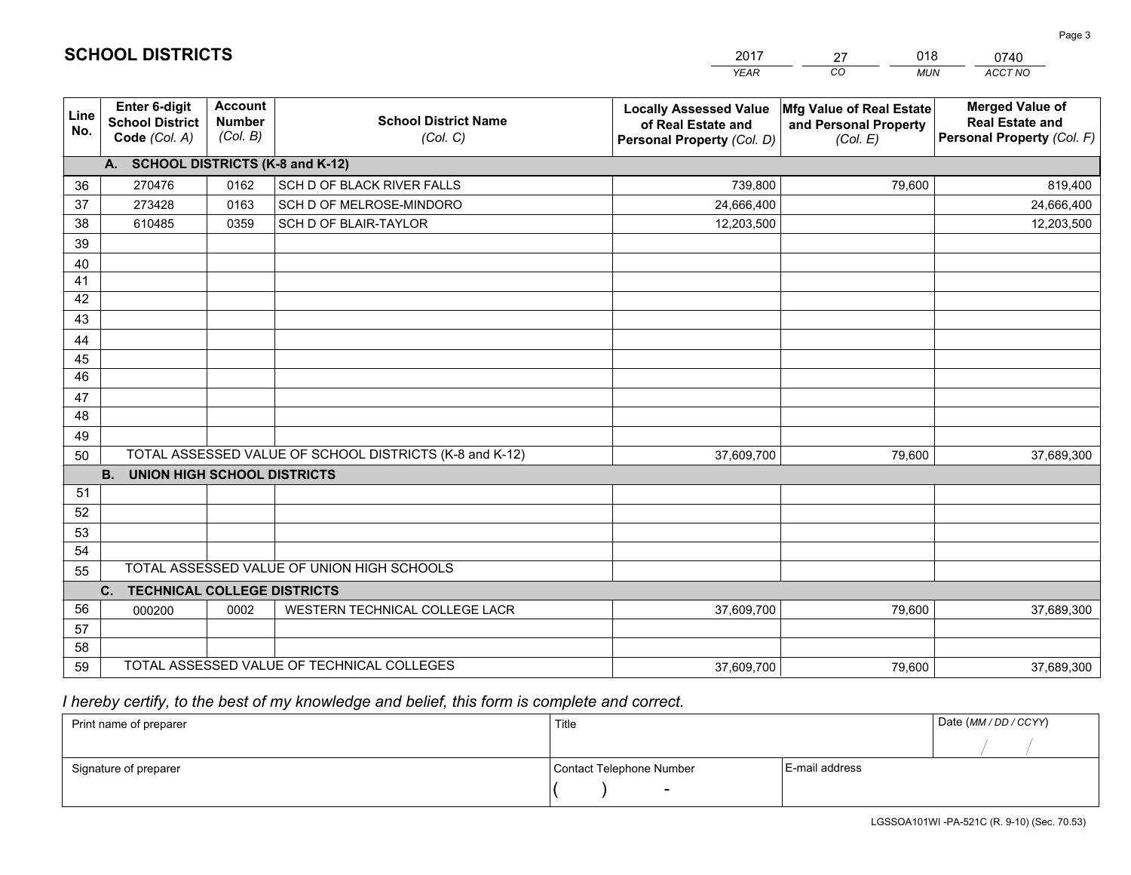|             |                                                                 |                                             |                                                         | <b>YEAR</b>                                                                       | CO.<br><b>MUN</b>                                             | ACCT NO                                                                        |
|-------------|-----------------------------------------------------------------|---------------------------------------------|---------------------------------------------------------|-----------------------------------------------------------------------------------|---------------------------------------------------------------|--------------------------------------------------------------------------------|
| Line<br>No. | <b>Enter 6-digit</b><br><b>School District</b><br>Code (Col. A) | <b>Account</b><br><b>Number</b><br>(Col. B) | <b>School District Name</b><br>(Col. C)                 | <b>Locally Assessed Value</b><br>of Real Estate and<br>Personal Property (Col. D) | Mfg Value of Real Estate<br>and Personal Property<br>(Col. E) | <b>Merged Value of</b><br><b>Real Estate and</b><br>Personal Property (Col. F) |
|             | A. SCHOOL DISTRICTS (K-8 and K-12)                              |                                             |                                                         |                                                                                   |                                                               |                                                                                |
| 36          | 270476                                                          | 0162                                        | SCH D OF BLACK RIVER FALLS                              | 739,800                                                                           | 79.600                                                        | 819,400                                                                        |
| 37          | 273428                                                          | 0163                                        | SCH D OF MELROSE-MINDORO                                | 24,666,400                                                                        |                                                               | 24,666,400                                                                     |
| 38          | 610485                                                          | 0359                                        | SCH D OF BLAIR-TAYLOR                                   | 12,203,500                                                                        |                                                               | 12,203,500                                                                     |
| 39          |                                                                 |                                             |                                                         |                                                                                   |                                                               |                                                                                |
| 40          |                                                                 |                                             |                                                         |                                                                                   |                                                               |                                                                                |
| 41          |                                                                 |                                             |                                                         |                                                                                   |                                                               |                                                                                |
| 42          |                                                                 |                                             |                                                         |                                                                                   |                                                               |                                                                                |
| 43          |                                                                 |                                             |                                                         |                                                                                   |                                                               |                                                                                |
| 44          |                                                                 |                                             |                                                         |                                                                                   |                                                               |                                                                                |
| 45          |                                                                 |                                             |                                                         |                                                                                   |                                                               |                                                                                |
| 46          |                                                                 |                                             |                                                         |                                                                                   |                                                               |                                                                                |
| 47          |                                                                 |                                             |                                                         |                                                                                   |                                                               |                                                                                |
| 48          |                                                                 |                                             |                                                         |                                                                                   |                                                               |                                                                                |
| 49          |                                                                 |                                             |                                                         |                                                                                   |                                                               |                                                                                |
| 50          |                                                                 |                                             | TOTAL ASSESSED VALUE OF SCHOOL DISTRICTS (K-8 and K-12) | 37,609,700                                                                        | 79,600                                                        | 37,689,300                                                                     |
|             | <b>B. UNION HIGH SCHOOL DISTRICTS</b>                           |                                             |                                                         |                                                                                   |                                                               |                                                                                |
| 51          |                                                                 |                                             |                                                         |                                                                                   |                                                               |                                                                                |
| 52          |                                                                 |                                             |                                                         |                                                                                   |                                                               |                                                                                |
| 53<br>54    |                                                                 |                                             |                                                         |                                                                                   |                                                               |                                                                                |
| 55          |                                                                 |                                             | TOTAL ASSESSED VALUE OF UNION HIGH SCHOOLS              |                                                                                   |                                                               |                                                                                |
|             | C.<br><b>TECHNICAL COLLEGE DISTRICTS</b>                        |                                             |                                                         |                                                                                   |                                                               |                                                                                |
| 56          | 000200                                                          | 0002                                        | WESTERN TECHNICAL COLLEGE LACR                          | 37,609,700                                                                        | 79,600                                                        | 37,689,300                                                                     |
| 57          |                                                                 |                                             |                                                         |                                                                                   |                                                               |                                                                                |
| 58          |                                                                 |                                             |                                                         |                                                                                   |                                                               |                                                                                |
| 59          |                                                                 |                                             | TOTAL ASSESSED VALUE OF TECHNICAL COLLEGES              | 37,609,700                                                                        | 79,600                                                        | 37,689,300                                                                     |

2017

27

018

 *I hereby certify, to the best of my knowledge and belief, this form is complete and correct.*

**SCHOOL DISTRICTS**

| Print name of preparer | Title                    | Date (MM / DD / CCYY) |  |
|------------------------|--------------------------|-----------------------|--|
|                        |                          |                       |  |
| Signature of preparer  | Contact Telephone Number | E-mail address        |  |
|                        | $\sim$                   |                       |  |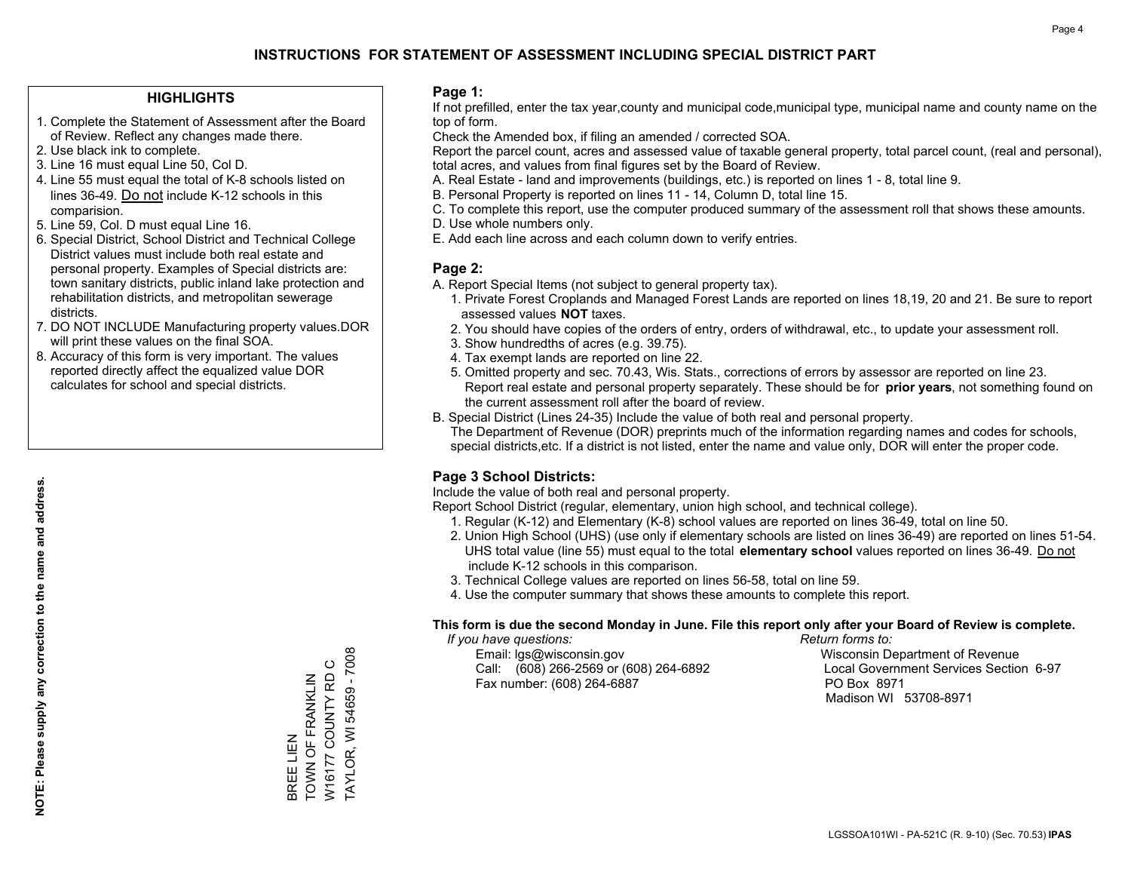#### **HIGHLIGHTS**

- 1. Complete the Statement of Assessment after the Board of Review. Reflect any changes made there.
- 2. Use black ink to complete.
- 3. Line 16 must equal Line 50, Col D.
- 4. Line 55 must equal the total of K-8 schools listed on lines 36-49. Do not include K-12 schools in this comparision.
- 5. Line 59, Col. D must equal Line 16.
- 6. Special District, School District and Technical College District values must include both real estate and personal property. Examples of Special districts are: town sanitary districts, public inland lake protection and rehabilitation districts, and metropolitan sewerage districts.
- 7. DO NOT INCLUDE Manufacturing property values.DOR will print these values on the final SOA.
- 8. Accuracy of this form is very important. The values reported directly affect the equalized value DOR calculates for school and special districts.

#### **Page 1:**

 If not prefilled, enter the tax year,county and municipal code,municipal type, municipal name and county name on the top of form.

Check the Amended box, if filing an amended / corrected SOA.

 Report the parcel count, acres and assessed value of taxable general property, total parcel count, (real and personal), total acres, and values from final figures set by the Board of Review.

- A. Real Estate land and improvements (buildings, etc.) is reported on lines 1 8, total line 9.
- B. Personal Property is reported on lines 11 14, Column D, total line 15.
- C. To complete this report, use the computer produced summary of the assessment roll that shows these amounts.
- D. Use whole numbers only.
- E. Add each line across and each column down to verify entries.

### **Page 2:**

- A. Report Special Items (not subject to general property tax).
- 1. Private Forest Croplands and Managed Forest Lands are reported on lines 18,19, 20 and 21. Be sure to report assessed values **NOT** taxes.
- 2. You should have copies of the orders of entry, orders of withdrawal, etc., to update your assessment roll.
	- 3. Show hundredths of acres (e.g. 39.75).
- 4. Tax exempt lands are reported on line 22.
- 5. Omitted property and sec. 70.43, Wis. Stats., corrections of errors by assessor are reported on line 23. Report real estate and personal property separately. These should be for **prior years**, not something found on the current assessment roll after the board of review.
- B. Special District (Lines 24-35) Include the value of both real and personal property.
- The Department of Revenue (DOR) preprints much of the information regarding names and codes for schools, special districts,etc. If a district is not listed, enter the name and value only, DOR will enter the proper code.

### **Page 3 School Districts:**

Include the value of both real and personal property.

Report School District (regular, elementary, union high school, and technical college).

- 1. Regular (K-12) and Elementary (K-8) school values are reported on lines 36-49, total on line 50.
- 2. Union High School (UHS) (use only if elementary schools are listed on lines 36-49) are reported on lines 51-54. UHS total value (line 55) must equal to the total **elementary school** values reported on lines 36-49. Do notinclude K-12 schools in this comparison.
- 3. Technical College values are reported on lines 56-58, total on line 59.
- 4. Use the computer summary that shows these amounts to complete this report.

#### **This form is due the second Monday in June. File this report only after your Board of Review is complete.**

 *If you have questions: Return forms to:*

 Email: lgs@wisconsin.gov Wisconsin Department of RevenueCall:  $(608)$  266-2569 or  $(608)$  264-6892 Fax number: (608) 264-6887 PO Box 8971

Local Government Services Section 6-97 Madison WI 53708-8971

**NOTE: Please supply any correction to the name and address.**

NOTE: Please supply any correction to the name and address.

TAYLOR, WI 54659 - 7008 TAYLOR, WI 54659 - 7008 BREE LIEN<br>TOWN OF FRANKLIN<br>W16177 COUNTY RD C W16177 COUNTY RD C TOWN OF FRANKLIN BREE LIEN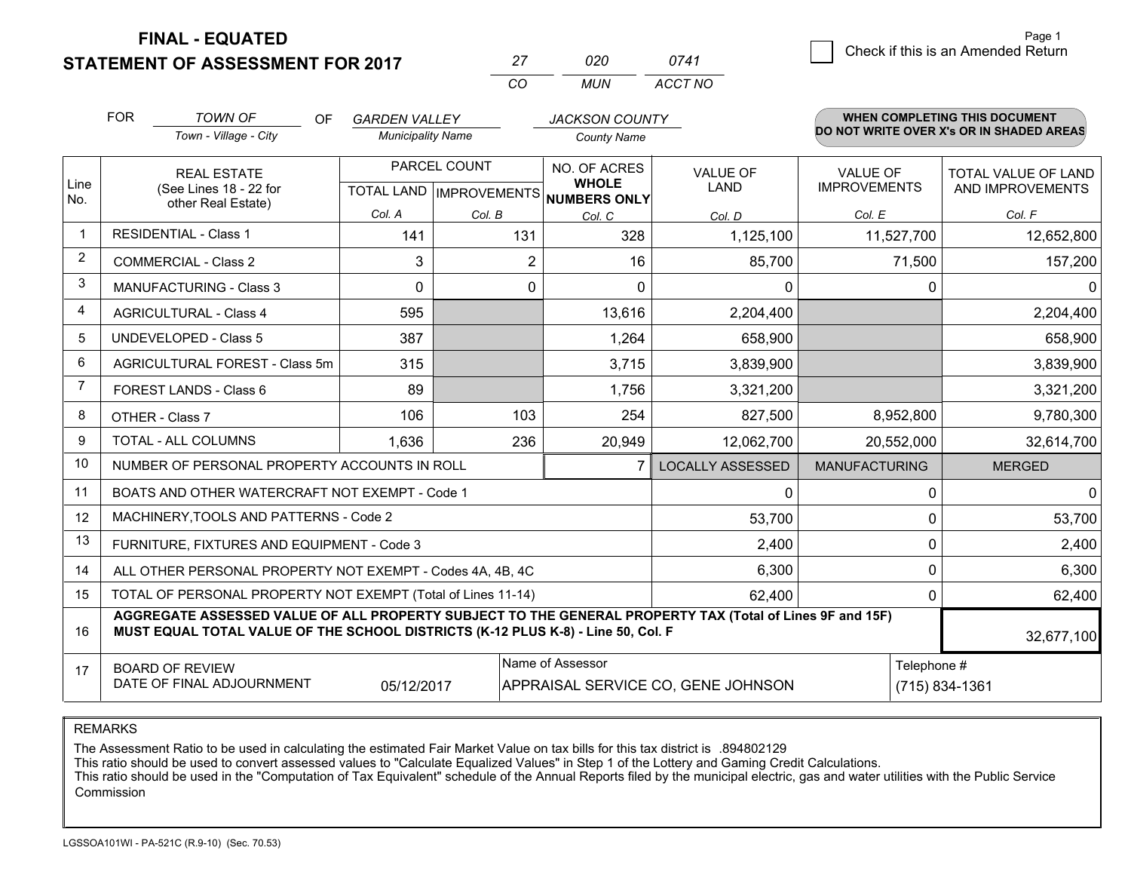**STATEMENT OF ASSESSMENT FOR 2017** 

**FINAL - EQUATED**

| 0741 | Check if this is an Amended Return |
|------|------------------------------------|
|------|------------------------------------|

*ACCT NO*

|                | <b>FOR</b>                                                                                                                                                                                   | <b>TOWN OF</b><br><b>OF</b>                                  | <b>GARDEN VALLEY</b>     |                | <b>JACKSON COUNTY</b>                    |                         |                                        | <b>WHEN COMPLETING THIS DOCUMENT</b>           |
|----------------|----------------------------------------------------------------------------------------------------------------------------------------------------------------------------------------------|--------------------------------------------------------------|--------------------------|----------------|------------------------------------------|-------------------------|----------------------------------------|------------------------------------------------|
|                |                                                                                                                                                                                              | Town - Village - City                                        | <b>Municipality Name</b> |                | <b>County Name</b>                       |                         |                                        | DO NOT WRITE OVER X's OR IN SHADED AREAS       |
| Line           |                                                                                                                                                                                              | <b>REAL ESTATE</b><br>(See Lines 18 - 22 for                 | PARCEL COUNT             |                | NO. OF ACRES<br><b>WHOLE</b>             | <b>VALUE OF</b><br>LAND | <b>VALUE OF</b><br><b>IMPROVEMENTS</b> | <b>TOTAL VALUE OF LAND</b><br>AND IMPROVEMENTS |
| No.            |                                                                                                                                                                                              | other Real Estate)                                           |                          |                | TOTAL LAND   IMPROVEMENTS   NUMBERS ONLY |                         |                                        |                                                |
|                |                                                                                                                                                                                              |                                                              | Col. A                   | Col. B         | Col. C                                   | Col. D                  | Col. E                                 | Col. F                                         |
| $\mathbf 1$    |                                                                                                                                                                                              | <b>RESIDENTIAL - Class 1</b>                                 | 141                      | 131            | 328                                      | 1,125,100               | 11,527,700                             | 12,652,800                                     |
| 2              |                                                                                                                                                                                              | <b>COMMERCIAL - Class 2</b>                                  | 3                        | $\overline{2}$ | 16                                       | 85,700                  | 71,500                                 | 157,200                                        |
| 3              |                                                                                                                                                                                              | <b>MANUFACTURING - Class 3</b>                               | $\mathbf 0$              | 0              | $\Omega$                                 | 0                       | $\Omega$                               | $\mathbf{0}$                                   |
| $\overline{4}$ |                                                                                                                                                                                              | <b>AGRICULTURAL - Class 4</b>                                | 595                      |                | 13,616                                   | 2,204,400               |                                        | 2,204,400                                      |
| 5              |                                                                                                                                                                                              | <b>UNDEVELOPED - Class 5</b>                                 | 387                      |                | 1,264                                    | 658,900                 |                                        | 658,900                                        |
| 6              |                                                                                                                                                                                              | AGRICULTURAL FOREST - Class 5m                               | 315                      |                | 3,715                                    | 3,839,900               |                                        | 3,839,900                                      |
| 7              |                                                                                                                                                                                              | FOREST LANDS - Class 6                                       | 89                       |                | 1,756                                    | 3,321,200               |                                        | 3,321,200                                      |
| 8              |                                                                                                                                                                                              | OTHER - Class 7                                              | 106                      | 103            | 254                                      | 827,500                 | 8,952,800                              | 9,780,300                                      |
| 9              |                                                                                                                                                                                              | TOTAL - ALL COLUMNS                                          | 1,636                    | 236            | 20,949                                   | 12,062,700              | 20,552,000                             | 32,614,700                                     |
| 10             |                                                                                                                                                                                              | NUMBER OF PERSONAL PROPERTY ACCOUNTS IN ROLL                 |                          |                |                                          | <b>LOCALLY ASSESSED</b> | <b>MANUFACTURING</b>                   | <b>MERGED</b>                                  |
| 11             |                                                                                                                                                                                              | BOATS AND OTHER WATERCRAFT NOT EXEMPT - Code 1               |                          |                |                                          | 0                       | $\Omega$                               | $\mathbf{0}$                                   |
| 12             |                                                                                                                                                                                              | MACHINERY, TOOLS AND PATTERNS - Code 2                       |                          |                |                                          | 53,700                  | $\mathbf{0}$                           | 53,700                                         |
| 13             |                                                                                                                                                                                              | FURNITURE, FIXTURES AND EQUIPMENT - Code 3                   |                          |                |                                          | 2,400                   | $\Omega$                               | 2,400                                          |
| 14             |                                                                                                                                                                                              | ALL OTHER PERSONAL PROPERTY NOT EXEMPT - Codes 4A, 4B, 4C    |                          |                |                                          | 6,300                   | $\mathbf 0$                            | 6,300                                          |
| 15             |                                                                                                                                                                                              | TOTAL OF PERSONAL PROPERTY NOT EXEMPT (Total of Lines 11-14) |                          |                |                                          | 62,400                  | $\mathbf{0}$                           | 62,400                                         |
| 16             | AGGREGATE ASSESSED VALUE OF ALL PROPERTY SUBJECT TO THE GENERAL PROPERTY TAX (Total of Lines 9F and 15F)<br>MUST EQUAL TOTAL VALUE OF THE SCHOOL DISTRICTS (K-12 PLUS K-8) - Line 50, Col. F |                                                              |                          |                |                                          |                         |                                        | 32,677,100                                     |
| 17             |                                                                                                                                                                                              | <b>BOARD OF REVIEW</b>                                       |                          |                | Name of Assessor                         |                         | Telephone #                            |                                                |
|                | DATE OF FINAL ADJOURNMENT<br>APPRAISAL SERVICE CO, GENE JOHNSON<br>(715) 834-1361<br>05/12/2017                                                                                              |                                                              |                          |                |                                          |                         |                                        |                                                |

*CO*

*MUN*

*<sup>27</sup> <sup>020</sup>*

REMARKS

The Assessment Ratio to be used in calculating the estimated Fair Market Value on tax bills for this tax district is .894802129<br>This ratio should be used to convert assessed values to "Calculate Equalized Values" in Step 1 Commission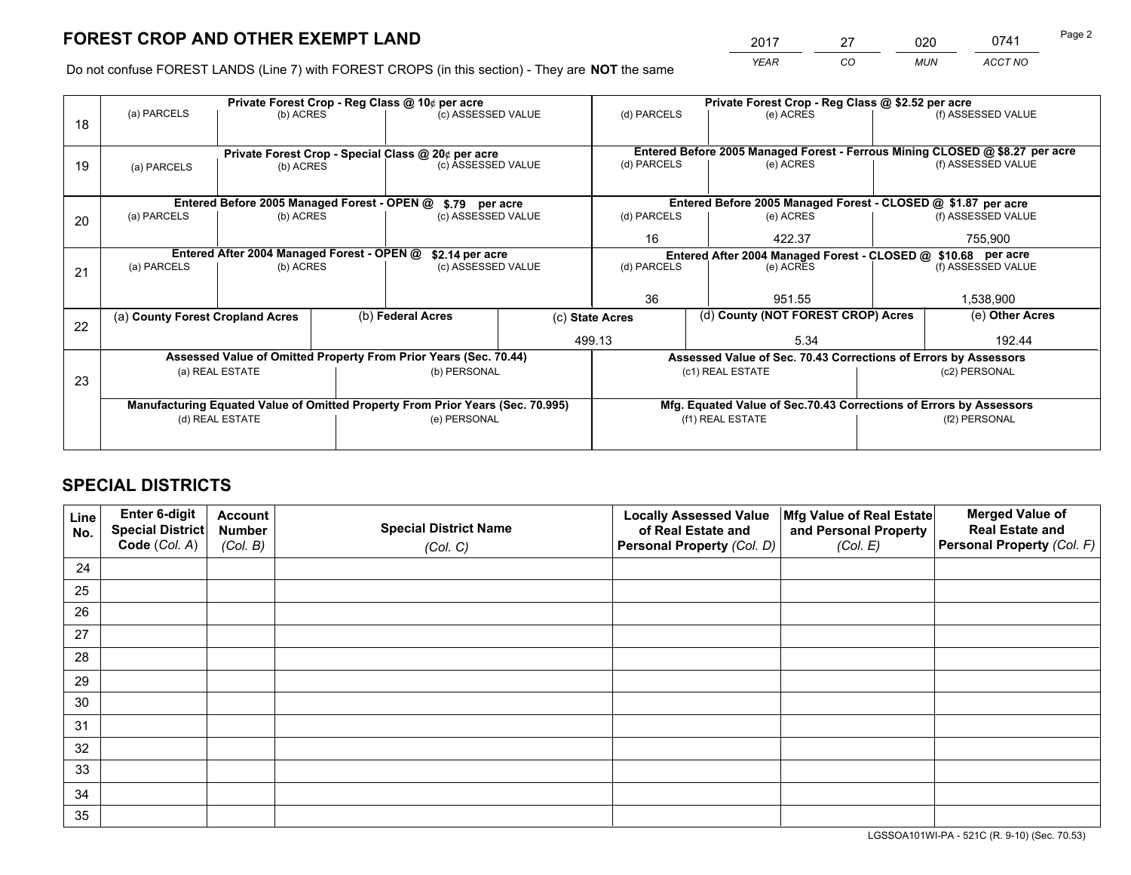*YEAR CO MUN ACCT NO* 2017 27 020 0741 Page 2

Do not confuse FOREST LANDS (Line 7) with FOREST CROPS (in this section) - They are **NOT** the same

|    |                                                               |                                             |  | Private Forest Crop - Reg Class @ 10¢ per acre                                 |                                                                              | Private Forest Crop - Reg Class @ \$2.52 per acre |                                                                    |           |                    |  |
|----|---------------------------------------------------------------|---------------------------------------------|--|--------------------------------------------------------------------------------|------------------------------------------------------------------------------|---------------------------------------------------|--------------------------------------------------------------------|-----------|--------------------|--|
| 18 | (a) PARCELS                                                   | (b) ACRES                                   |  | (c) ASSESSED VALUE                                                             |                                                                              | (d) PARCELS                                       | (e) ACRES                                                          |           | (f) ASSESSED VALUE |  |
|    |                                                               |                                             |  |                                                                                |                                                                              |                                                   |                                                                    |           |                    |  |
|    | Private Forest Crop - Special Class @ 20¢ per acre            |                                             |  |                                                                                | Entered Before 2005 Managed Forest - Ferrous Mining CLOSED @ \$8.27 per acre |                                                   |                                                                    |           |                    |  |
| 19 | (a) PARCELS                                                   | (b) ACRES                                   |  | (c) ASSESSED VALUE                                                             |                                                                              | (d) PARCELS                                       | (e) ACRES                                                          |           | (f) ASSESSED VALUE |  |
|    |                                                               |                                             |  |                                                                                |                                                                              |                                                   |                                                                    |           |                    |  |
|    |                                                               | Entered Before 2005 Managed Forest - OPEN @ |  | \$.79 per acre                                                                 |                                                                              |                                                   | Entered Before 2005 Managed Forest - CLOSED @ \$1.87 per acre      |           |                    |  |
| 20 | (a) PARCELS                                                   | (b) ACRES                                   |  | (c) ASSESSED VALUE                                                             |                                                                              | (d) PARCELS                                       | (e) ACRES                                                          |           | (f) ASSESSED VALUE |  |
|    |                                                               |                                             |  | 16                                                                             | 422.37                                                                       |                                                   | 755,900                                                            |           |                    |  |
|    | Entered After 2004 Managed Forest - OPEN @<br>\$2.14 per acre |                                             |  |                                                                                |                                                                              |                                                   | Entered After 2004 Managed Forest - CLOSED @ \$10.68 per acre      |           |                    |  |
| 21 | (a) PARCELS                                                   | (b) ACRES                                   |  | (c) ASSESSED VALUE                                                             | (d) PARCELS                                                                  |                                                   | (e) ACRES                                                          |           |                    |  |
|    |                                                               |                                             |  |                                                                                |                                                                              |                                                   |                                                                    |           |                    |  |
|    |                                                               |                                             |  |                                                                                |                                                                              | 36<br>951.55                                      |                                                                    | 1,538,900 |                    |  |
| 22 | (a) County Forest Cropland Acres                              |                                             |  | (b) Federal Acres                                                              | (c) State Acres                                                              |                                                   | (d) County (NOT FOREST CROP) Acres                                 |           | (e) Other Acres    |  |
|    |                                                               |                                             |  |                                                                                | 499.13                                                                       |                                                   | 5.34                                                               |           | 192.44             |  |
|    |                                                               |                                             |  | Assessed Value of Omitted Property From Prior Years (Sec. 70.44)               |                                                                              |                                                   | Assessed Value of Sec. 70.43 Corrections of Errors by Assessors    |           |                    |  |
| 23 |                                                               | (a) REAL ESTATE                             |  | (b) PERSONAL                                                                   |                                                                              |                                                   | (c1) REAL ESTATE                                                   |           | (c2) PERSONAL      |  |
|    |                                                               |                                             |  |                                                                                |                                                                              |                                                   |                                                                    |           |                    |  |
|    |                                                               |                                             |  | Manufacturing Equated Value of Omitted Property From Prior Years (Sec. 70.995) |                                                                              |                                                   | Mfg. Equated Value of Sec.70.43 Corrections of Errors by Assessors |           |                    |  |
|    | (e) PERSONAL<br>(d) REAL ESTATE                               |                                             |  | (f1) REAL ESTATE                                                               |                                                                              | (f2) PERSONAL                                     |                                                                    |           |                    |  |
|    |                                                               |                                             |  |                                                                                |                                                                              |                                                   |                                                                    |           |                    |  |

## **SPECIAL DISTRICTS**

| Line<br>No. | Enter 6-digit<br>Special District<br>Code (Col. A) | <b>Account</b><br><b>Number</b><br>(Col. B) | <b>Special District Name</b><br>(Col. C) | <b>Locally Assessed Value</b><br>of Real Estate and<br>Personal Property (Col. D) | Mfg Value of Real Estate<br>and Personal Property<br>(Col. E) | <b>Merged Value of</b><br><b>Real Estate and</b><br>Personal Property (Col. F) |
|-------------|----------------------------------------------------|---------------------------------------------|------------------------------------------|-----------------------------------------------------------------------------------|---------------------------------------------------------------|--------------------------------------------------------------------------------|
| 24          |                                                    |                                             |                                          |                                                                                   |                                                               |                                                                                |
| 25          |                                                    |                                             |                                          |                                                                                   |                                                               |                                                                                |
| 26          |                                                    |                                             |                                          |                                                                                   |                                                               |                                                                                |
| 27          |                                                    |                                             |                                          |                                                                                   |                                                               |                                                                                |
| 28          |                                                    |                                             |                                          |                                                                                   |                                                               |                                                                                |
| 29          |                                                    |                                             |                                          |                                                                                   |                                                               |                                                                                |
| 30          |                                                    |                                             |                                          |                                                                                   |                                                               |                                                                                |
| 31          |                                                    |                                             |                                          |                                                                                   |                                                               |                                                                                |
| 32          |                                                    |                                             |                                          |                                                                                   |                                                               |                                                                                |
| 33          |                                                    |                                             |                                          |                                                                                   |                                                               |                                                                                |
| 34          |                                                    |                                             |                                          |                                                                                   |                                                               |                                                                                |
| 35          |                                                    |                                             |                                          |                                                                                   |                                                               |                                                                                |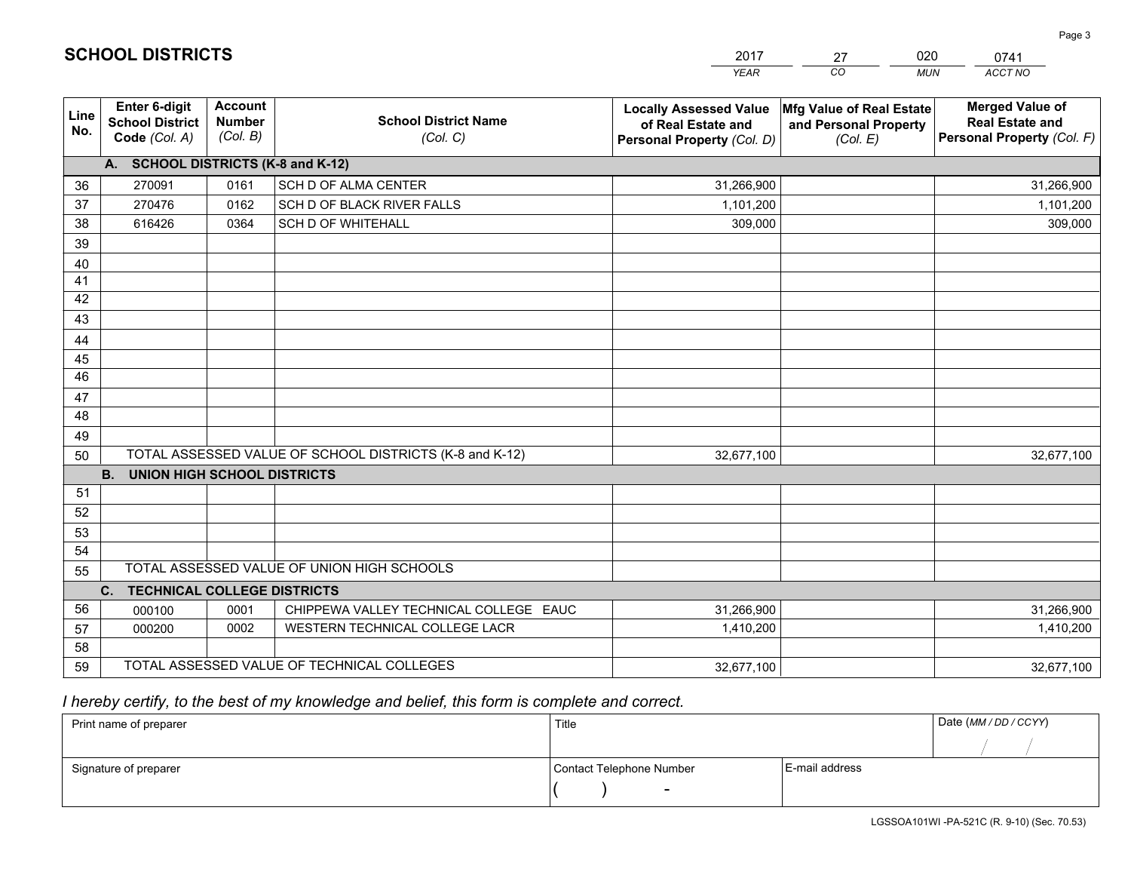|             |                                                          |                                             |                                                         | <b>YEAR</b>                                                                       | CO<br><b>MUN</b>                                              | <b>ACCT NO</b>                                                                 |
|-------------|----------------------------------------------------------|---------------------------------------------|---------------------------------------------------------|-----------------------------------------------------------------------------------|---------------------------------------------------------------|--------------------------------------------------------------------------------|
| Line<br>No. | Enter 6-digit<br><b>School District</b><br>Code (Col. A) | <b>Account</b><br><b>Number</b><br>(Col. B) | <b>School District Name</b><br>(Col. C)                 | <b>Locally Assessed Value</b><br>of Real Estate and<br>Personal Property (Col. D) | Mfg Value of Real Estate<br>and Personal Property<br>(Col. E) | <b>Merged Value of</b><br><b>Real Estate and</b><br>Personal Property (Col. F) |
|             | A. SCHOOL DISTRICTS (K-8 and K-12)                       |                                             |                                                         |                                                                                   |                                                               |                                                                                |
| 36          | 270091                                                   | 0161                                        | <b>SCH D OF ALMA CENTER</b>                             | 31,266,900                                                                        |                                                               | 31,266,900                                                                     |
| 37          | 270476                                                   | 0162                                        | SCH D OF BLACK RIVER FALLS                              | 1,101,200                                                                         |                                                               | 1,101,200                                                                      |
| 38          | 616426                                                   | 0364                                        | <b>SCH D OF WHITEHALL</b>                               | 309,000                                                                           |                                                               | 309,000                                                                        |
| 39          |                                                          |                                             |                                                         |                                                                                   |                                                               |                                                                                |
| 40          |                                                          |                                             |                                                         |                                                                                   |                                                               |                                                                                |
| 41          |                                                          |                                             |                                                         |                                                                                   |                                                               |                                                                                |
| 42          |                                                          |                                             |                                                         |                                                                                   |                                                               |                                                                                |
| 43          |                                                          |                                             |                                                         |                                                                                   |                                                               |                                                                                |
| 44          |                                                          |                                             |                                                         |                                                                                   |                                                               |                                                                                |
| 45          |                                                          |                                             |                                                         |                                                                                   |                                                               |                                                                                |
| 46          |                                                          |                                             |                                                         |                                                                                   |                                                               |                                                                                |
| 47          |                                                          |                                             |                                                         |                                                                                   |                                                               |                                                                                |
| 48          |                                                          |                                             |                                                         |                                                                                   |                                                               |                                                                                |
| 49          |                                                          |                                             |                                                         |                                                                                   |                                                               |                                                                                |
| 50          |                                                          |                                             | TOTAL ASSESSED VALUE OF SCHOOL DISTRICTS (K-8 and K-12) | 32,677,100                                                                        |                                                               | 32,677,100                                                                     |
|             | <b>B.</b><br><b>UNION HIGH SCHOOL DISTRICTS</b>          |                                             |                                                         |                                                                                   |                                                               |                                                                                |
| 51          |                                                          |                                             |                                                         |                                                                                   |                                                               |                                                                                |
| 52          |                                                          |                                             |                                                         |                                                                                   |                                                               |                                                                                |
| 53          |                                                          |                                             |                                                         |                                                                                   |                                                               |                                                                                |
| 54          |                                                          |                                             |                                                         |                                                                                   |                                                               |                                                                                |
| 55          |                                                          |                                             | TOTAL ASSESSED VALUE OF UNION HIGH SCHOOLS              |                                                                                   |                                                               |                                                                                |
|             | C.<br><b>TECHNICAL COLLEGE DISTRICTS</b>                 |                                             |                                                         |                                                                                   |                                                               |                                                                                |
| 56          | 000100                                                   | 0001                                        | CHIPPEWA VALLEY TECHNICAL COLLEGE EAUC                  | 31,266,900                                                                        |                                                               | 31,266,900                                                                     |
| 57          | 000200                                                   | 0002                                        | WESTERN TECHNICAL COLLEGE LACR                          | 1,410,200                                                                         |                                                               | 1,410,200                                                                      |
| 58          |                                                          |                                             |                                                         |                                                                                   |                                                               |                                                                                |
| 59          |                                                          |                                             | TOTAL ASSESSED VALUE OF TECHNICAL COLLEGES              | 32,677,100                                                                        |                                                               | 32,677,100                                                                     |

27

020

## *I hereby certify, to the best of my knowledge and belief, this form is complete and correct.*

**SCHOOL DISTRICTS**

| Print name of preparer | Title                    |                | Date (MM / DD / CCYY) |
|------------------------|--------------------------|----------------|-----------------------|
|                        |                          |                |                       |
| Signature of preparer  | Contact Telephone Number | E-mail address |                       |
|                        | $\overline{\phantom{0}}$ |                |                       |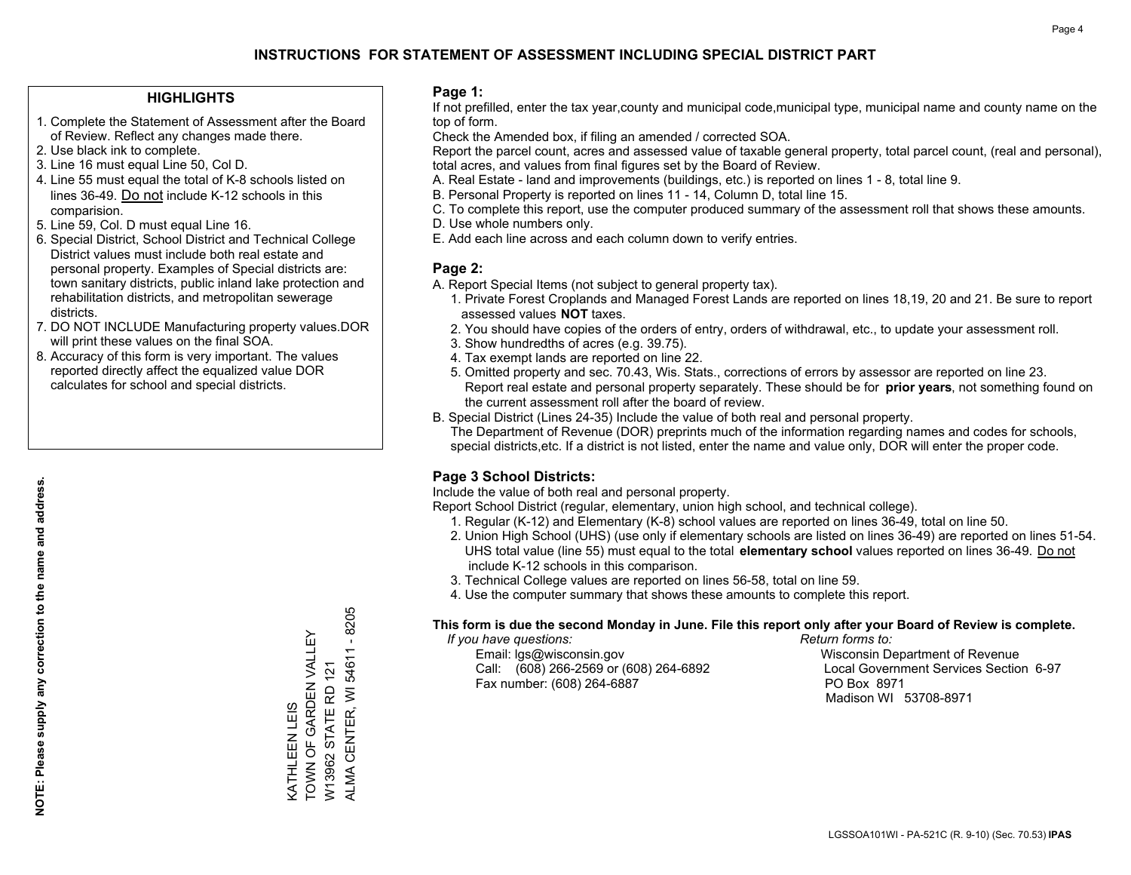#### **HIGHLIGHTS**

- 1. Complete the Statement of Assessment after the Board of Review. Reflect any changes made there.
- 2. Use black ink to complete.
- 3. Line 16 must equal Line 50, Col D.
- 4. Line 55 must equal the total of K-8 schools listed on lines 36-49. Do not include K-12 schools in this comparision.
- 5. Line 59, Col. D must equal Line 16.
- 6. Special District, School District and Technical College District values must include both real estate and personal property. Examples of Special districts are: town sanitary districts, public inland lake protection and rehabilitation districts, and metropolitan sewerage districts.
- 7. DO NOT INCLUDE Manufacturing property values.DOR will print these values on the final SOA.
- 8. Accuracy of this form is very important. The values reported directly affect the equalized value DOR calculates for school and special districts.

#### **Page 1:**

 If not prefilled, enter the tax year,county and municipal code,municipal type, municipal name and county name on the top of form.

Check the Amended box, if filing an amended / corrected SOA.

 Report the parcel count, acres and assessed value of taxable general property, total parcel count, (real and personal), total acres, and values from final figures set by the Board of Review.

- A. Real Estate land and improvements (buildings, etc.) is reported on lines 1 8, total line 9.
- B. Personal Property is reported on lines 11 14, Column D, total line 15.
- C. To complete this report, use the computer produced summary of the assessment roll that shows these amounts.
- D. Use whole numbers only.
- E. Add each line across and each column down to verify entries.

#### **Page 2:**

- A. Report Special Items (not subject to general property tax).
- 1. Private Forest Croplands and Managed Forest Lands are reported on lines 18,19, 20 and 21. Be sure to report assessed values **NOT** taxes.
- 2. You should have copies of the orders of entry, orders of withdrawal, etc., to update your assessment roll.
	- 3. Show hundredths of acres (e.g. 39.75).
- 4. Tax exempt lands are reported on line 22.
- 5. Omitted property and sec. 70.43, Wis. Stats., corrections of errors by assessor are reported on line 23. Report real estate and personal property separately. These should be for **prior years**, not something found on the current assessment roll after the board of review.
- B. Special District (Lines 24-35) Include the value of both real and personal property.
- The Department of Revenue (DOR) preprints much of the information regarding names and codes for schools, special districts,etc. If a district is not listed, enter the name and value only, DOR will enter the proper code.

### **Page 3 School Districts:**

Include the value of both real and personal property.

Report School District (regular, elementary, union high school, and technical college).

- 1. Regular (K-12) and Elementary (K-8) school values are reported on lines 36-49, total on line 50.
- 2. Union High School (UHS) (use only if elementary schools are listed on lines 36-49) are reported on lines 51-54. UHS total value (line 55) must equal to the total **elementary school** values reported on lines 36-49. Do notinclude K-12 schools in this comparison.
- 3. Technical College values are reported on lines 56-58, total on line 59.
- 4. Use the computer summary that shows these amounts to complete this report.

#### **This form is due the second Monday in June. File this report only after your Board of Review is complete.**

 *If you have questions: Return forms to:*

 Email: lgs@wisconsin.gov Wisconsin Department of RevenueCall:  $(608)$  266-2569 or  $(608)$  264-6892 Fax number: (608) 264-6887 PO Box 8971

Local Government Services Section 6-97 Madison WI 53708-8971

 $-8205$ ALMA CENTER, WI 54611 - 8205 TOWN OF GARDEN VALLEY KATHLEEN LEIS<br>TOWN OF GARDEN VALLEY ALMA CENTER, WI 54611 W13962 STATE RD 121 W13962 STATE RD 121 KATHLEEN LEIS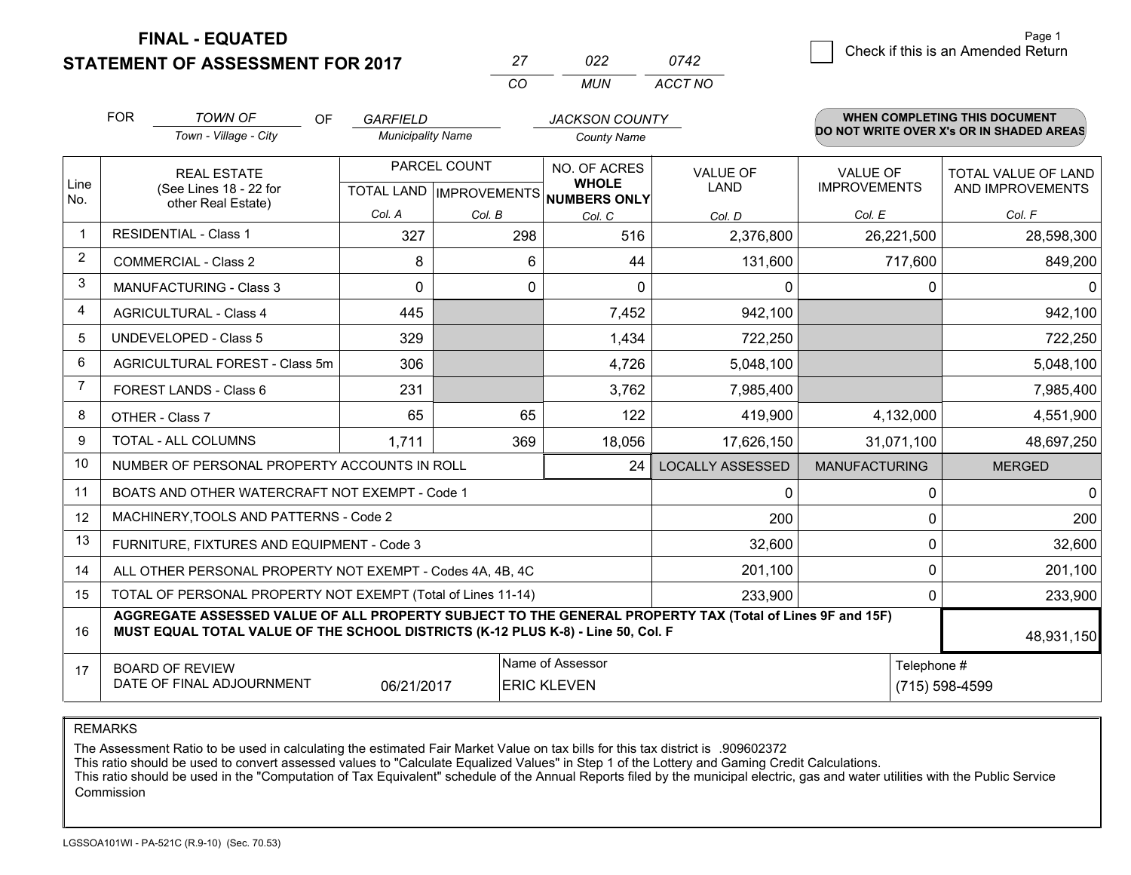**FINAL - EQUATED**

**STATEMENT OF ASSESSMENT FOR 2017** 

|          | פפח   | 42      |
|----------|-------|---------|
| $\cdots$ | MI IN | ACCT NO |

|              | <b>FOR</b>                                                                                                                                                                                   | <b>TOWN OF</b><br><b>OF</b><br>Town - Village - City         | <b>GARFIELD</b><br><b>Municipality Name</b>          |          | <b>JACKSON COUNTY</b><br><b>County Name</b> |                                |                                        | <b>WHEN COMPLETING THIS DOCUMENT</b><br>DO NOT WRITE OVER X's OR IN SHADED AREAS |  |
|--------------|----------------------------------------------------------------------------------------------------------------------------------------------------------------------------------------------|--------------------------------------------------------------|------------------------------------------------------|----------|---------------------------------------------|--------------------------------|----------------------------------------|----------------------------------------------------------------------------------|--|
| Line<br>No.  | <b>REAL ESTATE</b><br>(See Lines 18 - 22 for<br>other Real Estate)                                                                                                                           |                                                              | PARCEL COUNT<br>TOTAL LAND IMPROVEMENTS NUMBERS ONLY |          | NO. OF ACRES<br><b>WHOLE</b>                | <b>VALUE OF</b><br><b>LAND</b> | <b>VALUE OF</b><br><b>IMPROVEMENTS</b> | <b>TOTAL VALUE OF LAND</b><br>AND IMPROVEMENTS                                   |  |
|              |                                                                                                                                                                                              |                                                              | Col. A                                               | Col. B   | Col. C                                      | Col. D                         | Col. E                                 | Col. F                                                                           |  |
| $\mathbf{1}$ | <b>RESIDENTIAL - Class 1</b>                                                                                                                                                                 |                                                              | 327                                                  | 298      | 516                                         | 2,376,800                      | 26,221,500                             | 28,598,300                                                                       |  |
| 2            |                                                                                                                                                                                              | <b>COMMERCIAL - Class 2</b>                                  | 8                                                    | 6        | 44                                          | 131,600                        | 717,600                                | 849,200                                                                          |  |
| 3            |                                                                                                                                                                                              | <b>MANUFACTURING - Class 3</b>                               | $\Omega$                                             | $\Omega$ | $\Omega$                                    | 0                              | $\Omega$                               | $\Omega$                                                                         |  |
| 4            |                                                                                                                                                                                              | <b>AGRICULTURAL - Class 4</b>                                | 445                                                  |          | 7,452                                       | 942,100                        |                                        | 942,100                                                                          |  |
| 5            |                                                                                                                                                                                              | UNDEVELOPED - Class 5                                        | 329                                                  |          | 1,434                                       | 722,250                        |                                        | 722,250                                                                          |  |
| 6            |                                                                                                                                                                                              | AGRICULTURAL FOREST - Class 5m                               | 306                                                  |          | 4,726                                       | 5,048,100                      |                                        | 5,048,100                                                                        |  |
| 7            |                                                                                                                                                                                              | FOREST LANDS - Class 6                                       | 231                                                  |          | 3,762                                       | 7,985,400                      |                                        | 7,985,400                                                                        |  |
| 8            |                                                                                                                                                                                              | OTHER - Class 7                                              | 65                                                   | 65       | 122                                         | 419,900                        | 4,132,000                              | 4,551,900                                                                        |  |
| 9            |                                                                                                                                                                                              | TOTAL - ALL COLUMNS                                          | 1,711                                                | 369      | 18,056                                      | 17,626,150                     | 31,071,100                             | 48,697,250                                                                       |  |
| 10           |                                                                                                                                                                                              | NUMBER OF PERSONAL PROPERTY ACCOUNTS IN ROLL                 |                                                      |          | 24                                          | <b>LOCALLY ASSESSED</b>        | <b>MANUFACTURING</b>                   | <b>MERGED</b>                                                                    |  |
| 11           |                                                                                                                                                                                              | BOATS AND OTHER WATERCRAFT NOT EXEMPT - Code 1               |                                                      |          |                                             | 0                              | $\mathbf 0$                            | 0                                                                                |  |
| 12           |                                                                                                                                                                                              | MACHINERY, TOOLS AND PATTERNS - Code 2                       |                                                      |          |                                             | 200                            | $\mathbf{0}$                           | 200                                                                              |  |
| 13           |                                                                                                                                                                                              | FURNITURE, FIXTURES AND EQUIPMENT - Code 3                   |                                                      |          |                                             | 32,600                         | $\mathbf{0}$                           | 32,600                                                                           |  |
| 14           |                                                                                                                                                                                              | ALL OTHER PERSONAL PROPERTY NOT EXEMPT - Codes 4A, 4B, 4C    |                                                      |          |                                             | 201,100                        | $\mathbf 0$                            | 201,100                                                                          |  |
| 15           |                                                                                                                                                                                              | TOTAL OF PERSONAL PROPERTY NOT EXEMPT (Total of Lines 11-14) |                                                      |          |                                             | 233,900                        | $\mathbf{0}$                           | 233,900                                                                          |  |
| 16           | AGGREGATE ASSESSED VALUE OF ALL PROPERTY SUBJECT TO THE GENERAL PROPERTY TAX (Total of Lines 9F and 15F)<br>MUST EQUAL TOTAL VALUE OF THE SCHOOL DISTRICTS (K-12 PLUS K-8) - Line 50, Col. F |                                                              |                                                      |          |                                             |                                |                                        | 48,931,150                                                                       |  |
| 17           |                                                                                                                                                                                              | <b>BOARD OF REVIEW</b><br>DATE OF FINAL ADJOURNMENT          | 06/21/2017                                           |          | Name of Assessor<br><b>ERIC KLEVEN</b>      | Telephone #<br>(715) 598-4599  |                                        |                                                                                  |  |

REMARKS

The Assessment Ratio to be used in calculating the estimated Fair Market Value on tax bills for this tax district is .909602372<br>This ratio should be used to convert assessed values to "Calculate Equalized Values" in Step 1 Commission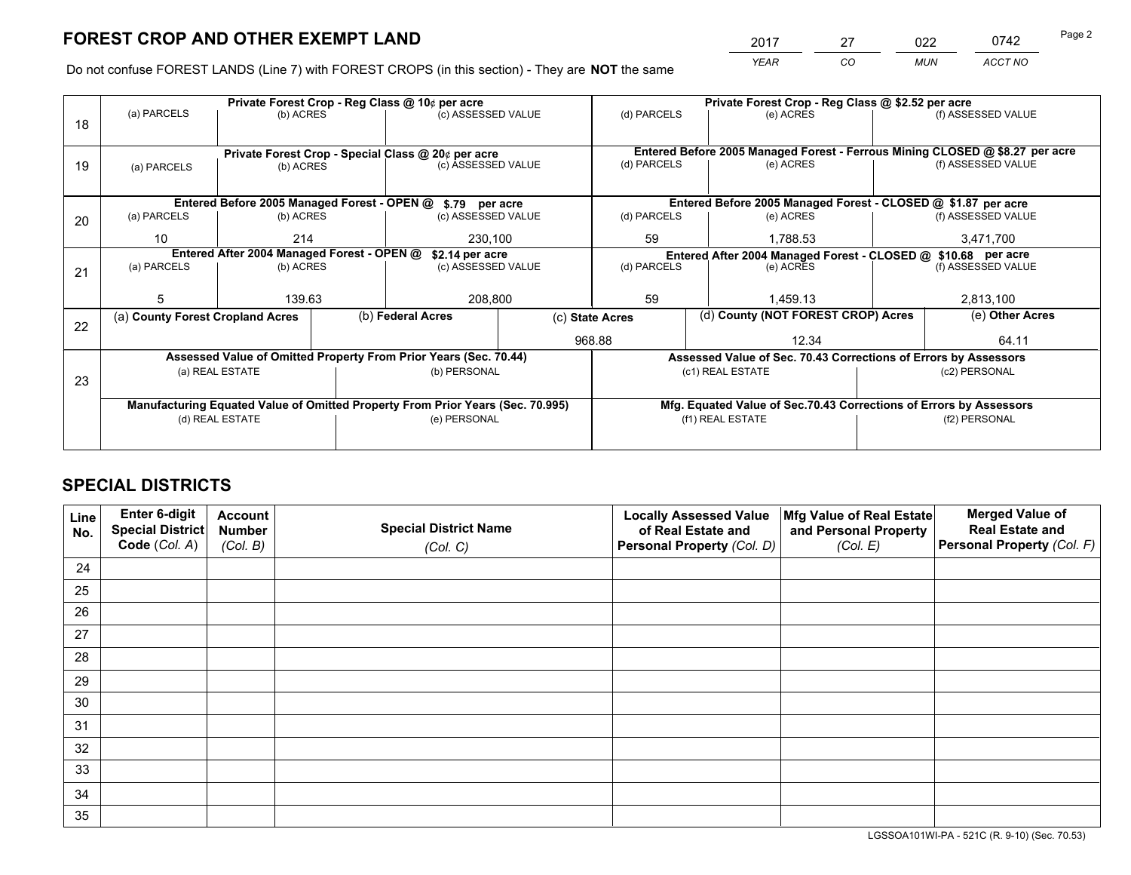*YEAR CO MUN ACCT NO* 2017 27 022 0742

Do not confuse FOREST LANDS (Line 7) with FOREST CROPS (in this section) - They are **NOT** the same

|    |                                                                                |                                                                                     |  | Private Forest Crop - Reg Class @ 10¢ per acre                   |                                                                                                                 | Private Forest Crop - Reg Class @ \$2.52 per acre |                                                                              |                 |               |                                                                    |  |
|----|--------------------------------------------------------------------------------|-------------------------------------------------------------------------------------|--|------------------------------------------------------------------|-----------------------------------------------------------------------------------------------------------------|---------------------------------------------------|------------------------------------------------------------------------------|-----------------|---------------|--------------------------------------------------------------------|--|
| 18 | (a) PARCELS                                                                    | (b) ACRES                                                                           |  | (c) ASSESSED VALUE                                               |                                                                                                                 | (d) PARCELS                                       | (e) ACRES                                                                    |                 |               | (f) ASSESSED VALUE                                                 |  |
|    |                                                                                |                                                                                     |  |                                                                  |                                                                                                                 |                                                   |                                                                              |                 |               |                                                                    |  |
|    |                                                                                |                                                                                     |  | Private Forest Crop - Special Class @ 20¢ per acre               |                                                                                                                 |                                                   | Entered Before 2005 Managed Forest - Ferrous Mining CLOSED @ \$8.27 per acre |                 |               |                                                                    |  |
| 19 | (a) PARCELS                                                                    | (b) ACRES                                                                           |  | (c) ASSESSED VALUE                                               |                                                                                                                 | (d) PARCELS                                       | (e) ACRES                                                                    |                 |               | (f) ASSESSED VALUE                                                 |  |
|    |                                                                                |                                                                                     |  |                                                                  |                                                                                                                 |                                                   |                                                                              |                 |               |                                                                    |  |
|    |                                                                                |                                                                                     |  | Entered Before 2005 Managed Forest - OPEN @ \$.79 per acre       |                                                                                                                 |                                                   | Entered Before 2005 Managed Forest - CLOSED @ \$1.87 per acre                |                 |               |                                                                    |  |
| 20 | (a) PARCELS                                                                    | (b) ACRES                                                                           |  | (c) ASSESSED VALUE                                               |                                                                                                                 | (d) PARCELS                                       | (e) ACRES                                                                    |                 |               | (f) ASSESSED VALUE                                                 |  |
|    | 10                                                                             | 214                                                                                 |  | 230,100                                                          |                                                                                                                 | 59                                                |                                                                              | 1,788.53        |               | 3,471,700                                                          |  |
|    |                                                                                |                                                                                     |  |                                                                  |                                                                                                                 |                                                   |                                                                              |                 |               |                                                                    |  |
|    |                                                                                | Entered After 2004 Managed Forest - OPEN @<br>\$2.14 per acre<br>(c) ASSESSED VALUE |  |                                                                  | Entered After 2004 Managed Forest - CLOSED @ \$10.68 per acre<br>(d) PARCELS<br>(f) ASSESSED VALUE<br>(e) ACRES |                                                   |                                                                              |                 |               |                                                                    |  |
| 21 | (a) PARCELS                                                                    | (b) ACRES                                                                           |  |                                                                  |                                                                                                                 |                                                   |                                                                              |                 |               |                                                                    |  |
|    |                                                                                |                                                                                     |  |                                                                  |                                                                                                                 |                                                   |                                                                              |                 |               |                                                                    |  |
|    | 5                                                                              | 139.63                                                                              |  | 208,800                                                          |                                                                                                                 | 59                                                | 1,459.13                                                                     |                 |               | 2,813,100                                                          |  |
|    | (a) County Forest Cropland Acres                                               |                                                                                     |  | (b) Federal Acres<br>(c) State Acres                             |                                                                                                                 | (d) County (NOT FOREST CROP) Acres                |                                                                              | (e) Other Acres |               |                                                                    |  |
| 22 |                                                                                |                                                                                     |  |                                                                  |                                                                                                                 | 968.88                                            |                                                                              | 12.34           |               | 64.11                                                              |  |
|    |                                                                                |                                                                                     |  | Assessed Value of Omitted Property From Prior Years (Sec. 70.44) |                                                                                                                 |                                                   | Assessed Value of Sec. 70.43 Corrections of Errors by Assessors              |                 |               |                                                                    |  |
|    |                                                                                | (a) REAL ESTATE                                                                     |  |                                                                  |                                                                                                                 |                                                   |                                                                              |                 |               |                                                                    |  |
| 23 |                                                                                |                                                                                     |  | (b) PERSONAL                                                     |                                                                                                                 |                                                   | (c1) REAL ESTATE                                                             |                 | (c2) PERSONAL |                                                                    |  |
|    |                                                                                |                                                                                     |  |                                                                  |                                                                                                                 |                                                   |                                                                              |                 |               |                                                                    |  |
|    | Manufacturing Equated Value of Omitted Property From Prior Years (Sec. 70.995) |                                                                                     |  |                                                                  |                                                                                                                 |                                                   |                                                                              |                 |               | Mfg. Equated Value of Sec.70.43 Corrections of Errors by Assessors |  |
|    |                                                                                | (d) REAL ESTATE                                                                     |  | (e) PERSONAL                                                     |                                                                                                                 | (f1) REAL ESTATE                                  |                                                                              |                 | (f2) PERSONAL |                                                                    |  |
|    |                                                                                |                                                                                     |  |                                                                  |                                                                                                                 |                                                   |                                                                              |                 |               |                                                                    |  |
|    |                                                                                |                                                                                     |  |                                                                  |                                                                                                                 |                                                   |                                                                              |                 |               |                                                                    |  |

## **SPECIAL DISTRICTS**

| Line<br>No. | Enter 6-digit<br><b>Special District</b> | <b>Account</b><br><b>Number</b> | <b>Special District Name</b> | <b>Locally Assessed Value</b><br>of Real Estate and | Mfg Value of Real Estate<br>and Personal Property | <b>Merged Value of</b><br><b>Real Estate and</b> |
|-------------|------------------------------------------|---------------------------------|------------------------------|-----------------------------------------------------|---------------------------------------------------|--------------------------------------------------|
|             | Code (Col. A)                            | (Col. B)                        | (Col. C)                     | Personal Property (Col. D)                          | (Col. E)                                          | Personal Property (Col. F)                       |
| 24          |                                          |                                 |                              |                                                     |                                                   |                                                  |
| 25          |                                          |                                 |                              |                                                     |                                                   |                                                  |
| 26          |                                          |                                 |                              |                                                     |                                                   |                                                  |
| 27          |                                          |                                 |                              |                                                     |                                                   |                                                  |
| 28          |                                          |                                 |                              |                                                     |                                                   |                                                  |
| 29          |                                          |                                 |                              |                                                     |                                                   |                                                  |
| 30          |                                          |                                 |                              |                                                     |                                                   |                                                  |
| 31          |                                          |                                 |                              |                                                     |                                                   |                                                  |
| 32          |                                          |                                 |                              |                                                     |                                                   |                                                  |
| 33          |                                          |                                 |                              |                                                     |                                                   |                                                  |
| 34          |                                          |                                 |                              |                                                     |                                                   |                                                  |
| 35          |                                          |                                 |                              |                                                     |                                                   |                                                  |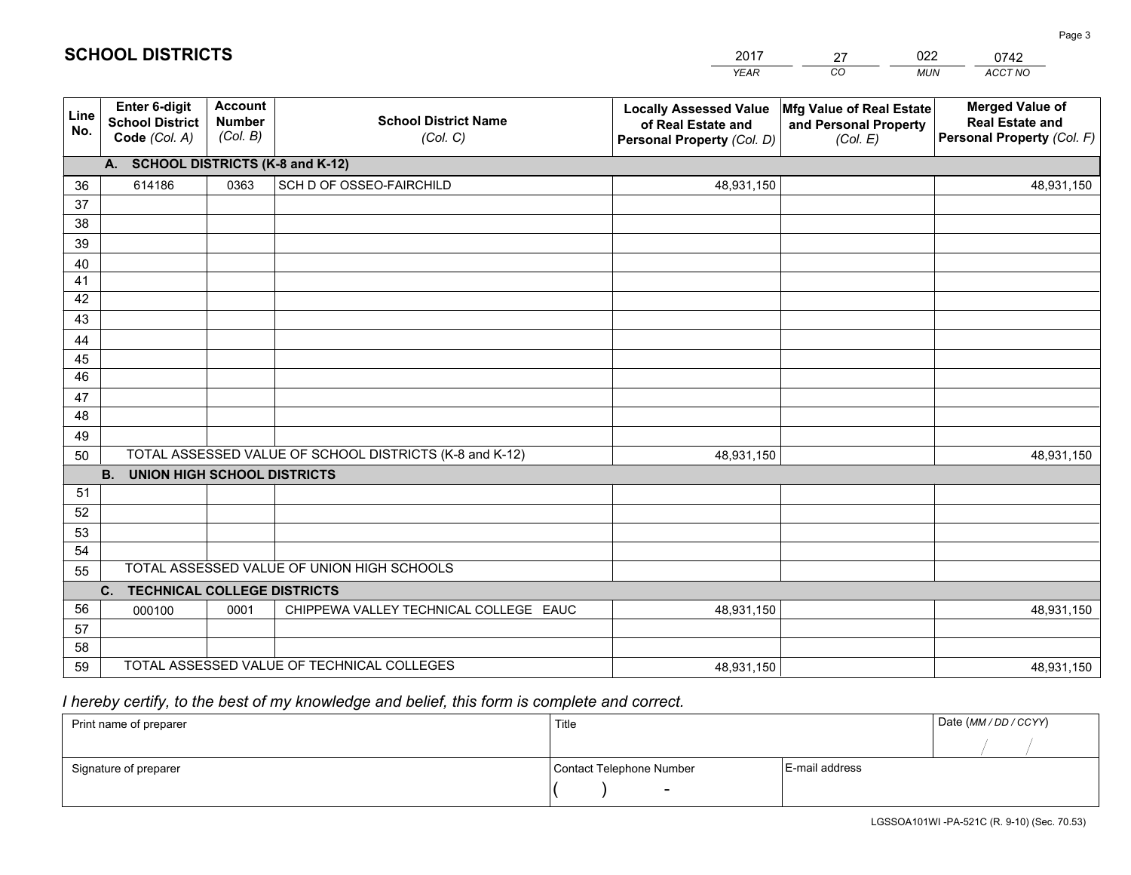|             |                                                          |                                             |                                                         | <b>YEAR</b>                                                                       | CO<br><b>MUN</b>                                              | ACCT NO                                                                        |
|-------------|----------------------------------------------------------|---------------------------------------------|---------------------------------------------------------|-----------------------------------------------------------------------------------|---------------------------------------------------------------|--------------------------------------------------------------------------------|
| Line<br>No. | Enter 6-digit<br><b>School District</b><br>Code (Col. A) | <b>Account</b><br><b>Number</b><br>(Col. B) | <b>School District Name</b><br>(Col. C)                 | <b>Locally Assessed Value</b><br>of Real Estate and<br>Personal Property (Col. D) | Mfg Value of Real Estate<br>and Personal Property<br>(Col. E) | <b>Merged Value of</b><br><b>Real Estate and</b><br>Personal Property (Col. F) |
|             | A. SCHOOL DISTRICTS (K-8 and K-12)                       |                                             |                                                         |                                                                                   |                                                               |                                                                                |
| 36          | 614186                                                   | 0363                                        | SCH D OF OSSEO-FAIRCHILD                                | 48,931,150                                                                        |                                                               | 48,931,150                                                                     |
| 37          |                                                          |                                             |                                                         |                                                                                   |                                                               |                                                                                |
| 38          |                                                          |                                             |                                                         |                                                                                   |                                                               |                                                                                |
| 39          |                                                          |                                             |                                                         |                                                                                   |                                                               |                                                                                |
| 40          |                                                          |                                             |                                                         |                                                                                   |                                                               |                                                                                |
| 41          |                                                          |                                             |                                                         |                                                                                   |                                                               |                                                                                |
| 42          |                                                          |                                             |                                                         |                                                                                   |                                                               |                                                                                |
| 43          |                                                          |                                             |                                                         |                                                                                   |                                                               |                                                                                |
| 44          |                                                          |                                             |                                                         |                                                                                   |                                                               |                                                                                |
| 45<br>46    |                                                          |                                             |                                                         |                                                                                   |                                                               |                                                                                |
|             |                                                          |                                             |                                                         |                                                                                   |                                                               |                                                                                |
| 47<br>48    |                                                          |                                             |                                                         |                                                                                   |                                                               |                                                                                |
| 49          |                                                          |                                             |                                                         |                                                                                   |                                                               |                                                                                |
| 50          |                                                          |                                             | TOTAL ASSESSED VALUE OF SCHOOL DISTRICTS (K-8 and K-12) | 48,931,150                                                                        |                                                               | 48,931,150                                                                     |
|             | <b>B.</b><br><b>UNION HIGH SCHOOL DISTRICTS</b>          |                                             |                                                         |                                                                                   |                                                               |                                                                                |
| 51          |                                                          |                                             |                                                         |                                                                                   |                                                               |                                                                                |
| 52          |                                                          |                                             |                                                         |                                                                                   |                                                               |                                                                                |
| 53          |                                                          |                                             |                                                         |                                                                                   |                                                               |                                                                                |
| 54          |                                                          |                                             |                                                         |                                                                                   |                                                               |                                                                                |
| 55          |                                                          |                                             | TOTAL ASSESSED VALUE OF UNION HIGH SCHOOLS              |                                                                                   |                                                               |                                                                                |
|             | C. TECHNICAL COLLEGE DISTRICTS                           |                                             |                                                         |                                                                                   |                                                               |                                                                                |
| 56          | 000100                                                   | 0001                                        | CHIPPEWA VALLEY TECHNICAL COLLEGE EAUC                  | 48,931,150                                                                        |                                                               | 48,931,150                                                                     |
| 57          |                                                          |                                             |                                                         |                                                                                   |                                                               |                                                                                |
| 58          |                                                          |                                             |                                                         |                                                                                   |                                                               |                                                                                |
| 59          |                                                          |                                             | TOTAL ASSESSED VALUE OF TECHNICAL COLLEGES              | 48,931,150                                                                        |                                                               | 48,931,150                                                                     |

27

022

## *I hereby certify, to the best of my knowledge and belief, this form is complete and correct.*

**SCHOOL DISTRICTS**

| Print name of preparer | Title                    |                | Date (MM / DD / CCYY) |
|------------------------|--------------------------|----------------|-----------------------|
|                        |                          |                |                       |
| Signature of preparer  | Contact Telephone Number | E-mail address |                       |
|                        | $\sim$                   |                |                       |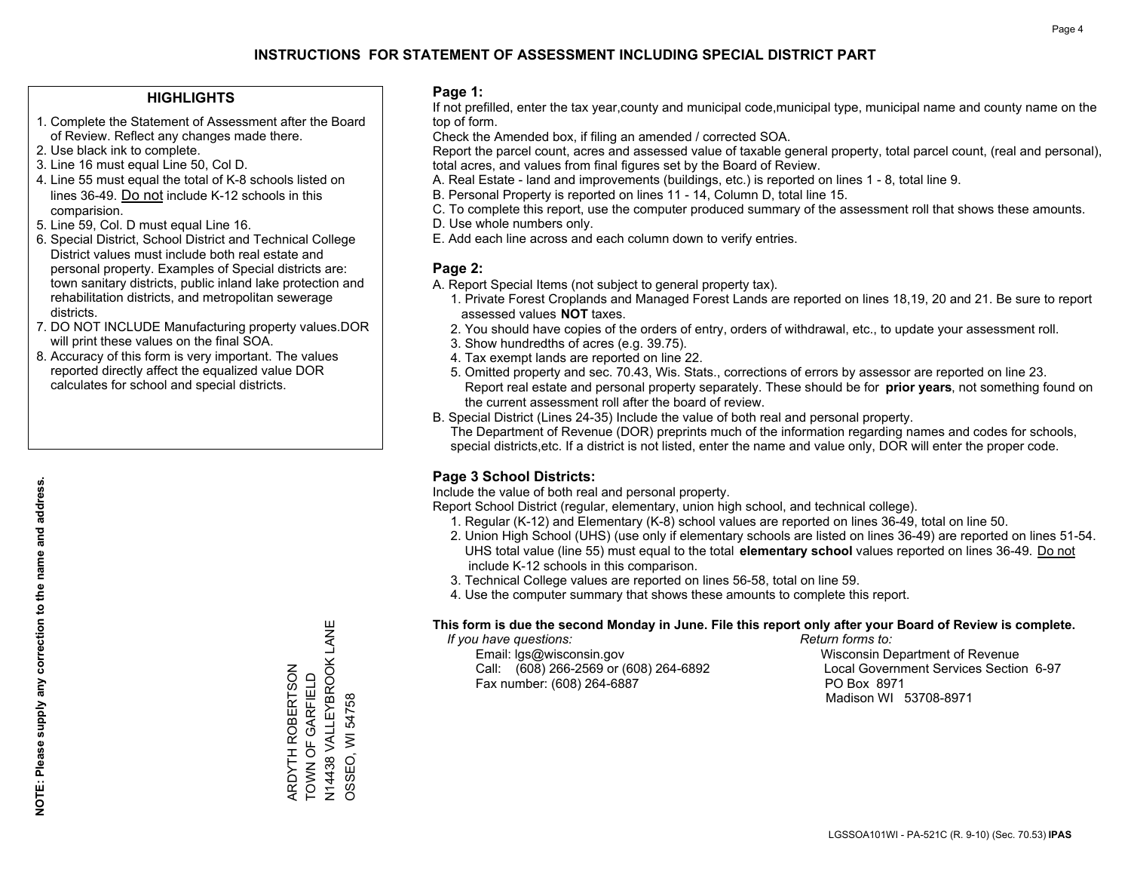#### **HIGHLIGHTS**

- 1. Complete the Statement of Assessment after the Board of Review. Reflect any changes made there.
- 2. Use black ink to complete.
- 3. Line 16 must equal Line 50, Col D.
- 4. Line 55 must equal the total of K-8 schools listed on lines 36-49. Do not include K-12 schools in this comparision.
- 5. Line 59, Col. D must equal Line 16.
- 6. Special District, School District and Technical College District values must include both real estate and personal property. Examples of Special districts are: town sanitary districts, public inland lake protection and rehabilitation districts, and metropolitan sewerage districts.
- 7. DO NOT INCLUDE Manufacturing property values.DOR will print these values on the final SOA.
- 8. Accuracy of this form is very important. The values reported directly affect the equalized value DOR calculates for school and special districts.

#### **Page 1:**

 If not prefilled, enter the tax year,county and municipal code,municipal type, municipal name and county name on the top of form.

Check the Amended box, if filing an amended / corrected SOA.

 Report the parcel count, acres and assessed value of taxable general property, total parcel count, (real and personal), total acres, and values from final figures set by the Board of Review.

- A. Real Estate land and improvements (buildings, etc.) is reported on lines 1 8, total line 9.
- B. Personal Property is reported on lines 11 14, Column D, total line 15.
- C. To complete this report, use the computer produced summary of the assessment roll that shows these amounts.
- D. Use whole numbers only.
- E. Add each line across and each column down to verify entries.

#### **Page 2:**

- A. Report Special Items (not subject to general property tax).
- 1. Private Forest Croplands and Managed Forest Lands are reported on lines 18,19, 20 and 21. Be sure to report assessed values **NOT** taxes.
- 2. You should have copies of the orders of entry, orders of withdrawal, etc., to update your assessment roll.
	- 3. Show hundredths of acres (e.g. 39.75).
- 4. Tax exempt lands are reported on line 22.
- 5. Omitted property and sec. 70.43, Wis. Stats., corrections of errors by assessor are reported on line 23. Report real estate and personal property separately. These should be for **prior years**, not something found on the current assessment roll after the board of review.
- B. Special District (Lines 24-35) Include the value of both real and personal property.

 The Department of Revenue (DOR) preprints much of the information regarding names and codes for schools, special districts,etc. If a district is not listed, enter the name and value only, DOR will enter the proper code.

### **Page 3 School Districts:**

Include the value of both real and personal property.

Report School District (regular, elementary, union high school, and technical college).

- 1. Regular (K-12) and Elementary (K-8) school values are reported on lines 36-49, total on line 50.
- 2. Union High School (UHS) (use only if elementary schools are listed on lines 36-49) are reported on lines 51-54. UHS total value (line 55) must equal to the total **elementary school** values reported on lines 36-49. Do notinclude K-12 schools in this comparison.
- 3. Technical College values are reported on lines 56-58, total on line 59.
- 4. Use the computer summary that shows these amounts to complete this report.

#### **This form is due the second Monday in June. File this report only after your Board of Review is complete.**

 *If you have questions: Return forms to:*

 Email: lgs@wisconsin.gov Wisconsin Department of RevenueCall:  $(608)$  266-2569 or  $(608)$  264-6892 Fax number: (608) 264-6887 PO Box 8971

Local Government Services Section 6-97 Madison WI 53708-8971

N14438 VALLEYBROOK LANE<br>OSSEO, WI 54758 N14438 VALLEYBROOK LANE ARDYTH ROBERTSON<br>TOWN OF GARFIELD ARDYTH ROBERTSON TOWN OF GARFIELD OSSEO, WI 54758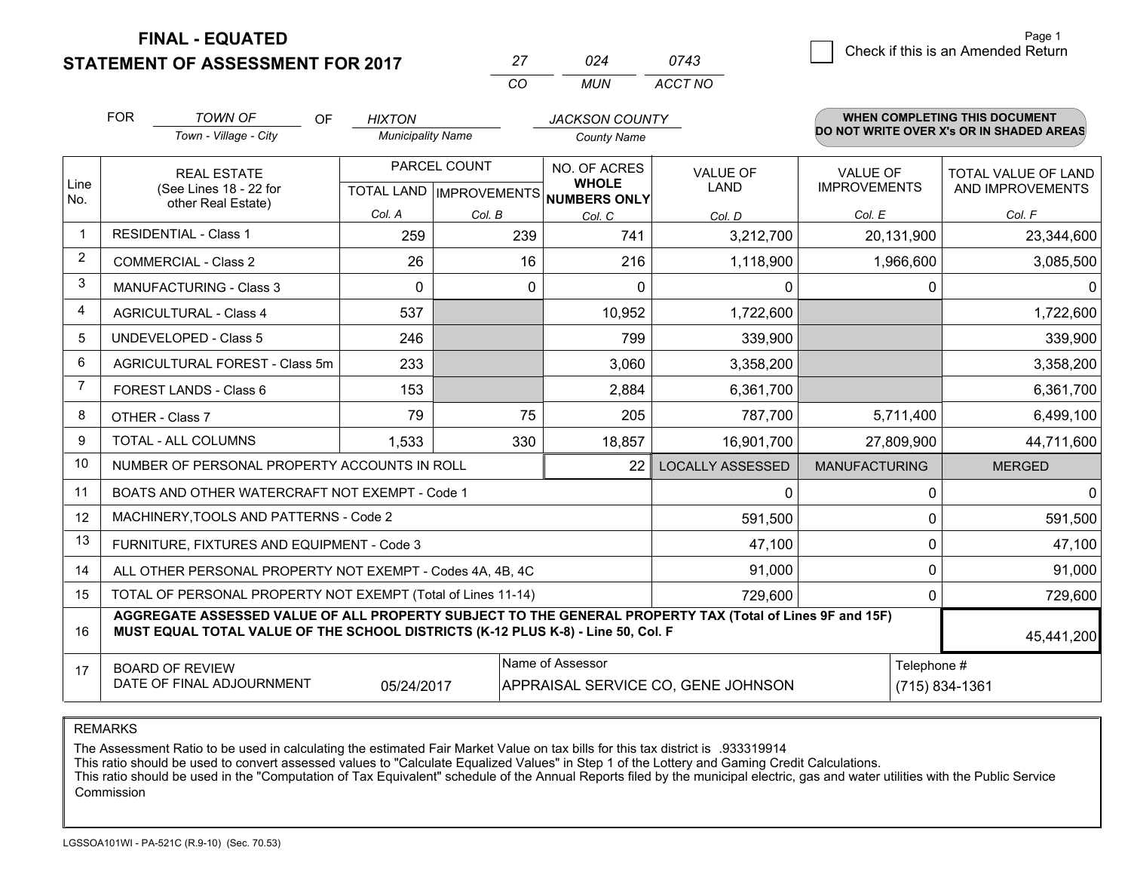**FINAL - EQUATED**

**STATEMENT OF ASSESSMENT FOR 2017** 

|          |       | 0743    |
|----------|-------|---------|
| $\cdots$ | MI IN | ACCT NO |

|                | <b>FOR</b>                                                                    | <b>TOWN OF</b><br><b>OF</b>                                                                                                                                                                  | <b>HIXTON</b>                             |        | <b>JACKSON COUNTY</b>        |                         |                                        | <b>WHEN COMPLETING THIS DOCUMENT</b>           |
|----------------|-------------------------------------------------------------------------------|----------------------------------------------------------------------------------------------------------------------------------------------------------------------------------------------|-------------------------------------------|--------|------------------------------|-------------------------|----------------------------------------|------------------------------------------------|
|                |                                                                               | Town - Village - City                                                                                                                                                                        | <b>Municipality Name</b>                  |        | <b>County Name</b>           |                         |                                        | DO NOT WRITE OVER X's OR IN SHADED AREAS       |
| Line           |                                                                               | <b>REAL ESTATE</b><br>(See Lines 18 - 22 for                                                                                                                                                 | PARCEL COUNT<br>TOTAL LAND   IMPROVEMENTS |        | NO. OF ACRES<br><b>WHOLE</b> | VALUE OF<br><b>LAND</b> | <b>VALUE OF</b><br><b>IMPROVEMENTS</b> | <b>TOTAL VALUE OF LAND</b><br>AND IMPROVEMENTS |
| No.            |                                                                               | other Real Estate)                                                                                                                                                                           | Col. A                                    | Col. B | NUMBERS ONLY<br>Col. C       | Col. D                  | Col. E                                 | Col. F                                         |
| $\mathbf{1}$   |                                                                               | <b>RESIDENTIAL - Class 1</b>                                                                                                                                                                 | 259                                       | 239    | 741                          | 3,212,700               | 20,131,900                             | 23,344,600                                     |
| $\overline{2}$ |                                                                               | <b>COMMERCIAL - Class 2</b>                                                                                                                                                                  | 26                                        | 16     | 216                          | 1,118,900               | 1,966,600                              | 3,085,500                                      |
| 3              |                                                                               | <b>MANUFACTURING - Class 3</b>                                                                                                                                                               | 0                                         | 0      | $\mathbf{0}$                 | 0                       | 0                                      |                                                |
| $\overline{4}$ |                                                                               | <b>AGRICULTURAL - Class 4</b>                                                                                                                                                                | 537                                       |        | 10,952                       | 1,722,600               |                                        | 1,722,600                                      |
| 5              |                                                                               | <b>UNDEVELOPED - Class 5</b>                                                                                                                                                                 | 246                                       |        | 799                          | 339,900                 |                                        | 339,900                                        |
| 6              |                                                                               | AGRICULTURAL FOREST - Class 5m                                                                                                                                                               | 233                                       |        | 3,060                        | 3,358,200               |                                        | 3,358,200                                      |
| 7              |                                                                               | FOREST LANDS - Class 6                                                                                                                                                                       | 153                                       |        | 2,884                        | 6,361,700               |                                        | 6,361,700                                      |
| 8              |                                                                               | OTHER - Class 7                                                                                                                                                                              | 79                                        | 75     | 205                          | 787,700                 | 5,711,400                              | 6,499,100                                      |
| 9              |                                                                               | TOTAL - ALL COLUMNS                                                                                                                                                                          | 1,533                                     | 330    | 18,857                       | 16,901,700              | 27,809,900                             | 44,711,600                                     |
| 10             |                                                                               | NUMBER OF PERSONAL PROPERTY ACCOUNTS IN ROLL                                                                                                                                                 |                                           |        | 22                           | <b>LOCALLY ASSESSED</b> | <b>MANUFACTURING</b>                   | <b>MERGED</b>                                  |
| 11             |                                                                               | BOATS AND OTHER WATERCRAFT NOT EXEMPT - Code 1                                                                                                                                               |                                           |        |                              | $\Omega$                | 0                                      |                                                |
| 12             |                                                                               | MACHINERY, TOOLS AND PATTERNS - Code 2                                                                                                                                                       |                                           |        |                              | 591,500                 | 0                                      | 591,500                                        |
| 13             |                                                                               | FURNITURE, FIXTURES AND EQUIPMENT - Code 3                                                                                                                                                   |                                           |        |                              | 47,100                  | 0                                      | 47,100                                         |
| 14             |                                                                               | ALL OTHER PERSONAL PROPERTY NOT EXEMPT - Codes 4A, 4B, 4C                                                                                                                                    |                                           |        |                              | 91,000                  | $\Omega$                               | 91,000                                         |
| 15             | TOTAL OF PERSONAL PROPERTY NOT EXEMPT (Total of Lines 11-14)<br>729,600       |                                                                                                                                                                                              |                                           |        |                              |                         | $\Omega$                               | 729,600                                        |
| 16             |                                                                               | AGGREGATE ASSESSED VALUE OF ALL PROPERTY SUBJECT TO THE GENERAL PROPERTY TAX (Total of Lines 9F and 15F)<br>MUST EQUAL TOTAL VALUE OF THE SCHOOL DISTRICTS (K-12 PLUS K-8) - Line 50, Col. F |                                           |        |                              |                         |                                        | 45,441,200                                     |
| 17             |                                                                               | <b>BOARD OF REVIEW</b>                                                                                                                                                                       |                                           |        | Name of Assessor             |                         | Telephone #                            |                                                |
|                | DATE OF FINAL ADJOURNMENT<br>APPRAISAL SERVICE CO, GENE JOHNSON<br>05/24/2017 |                                                                                                                                                                                              |                                           |        |                              |                         | (715) 834-1361                         |                                                |

REMARKS

The Assessment Ratio to be used in calculating the estimated Fair Market Value on tax bills for this tax district is .933319914<br>This ratio should be used to convert assessed values to "Calculate Equalized Values" in Step 1 Commission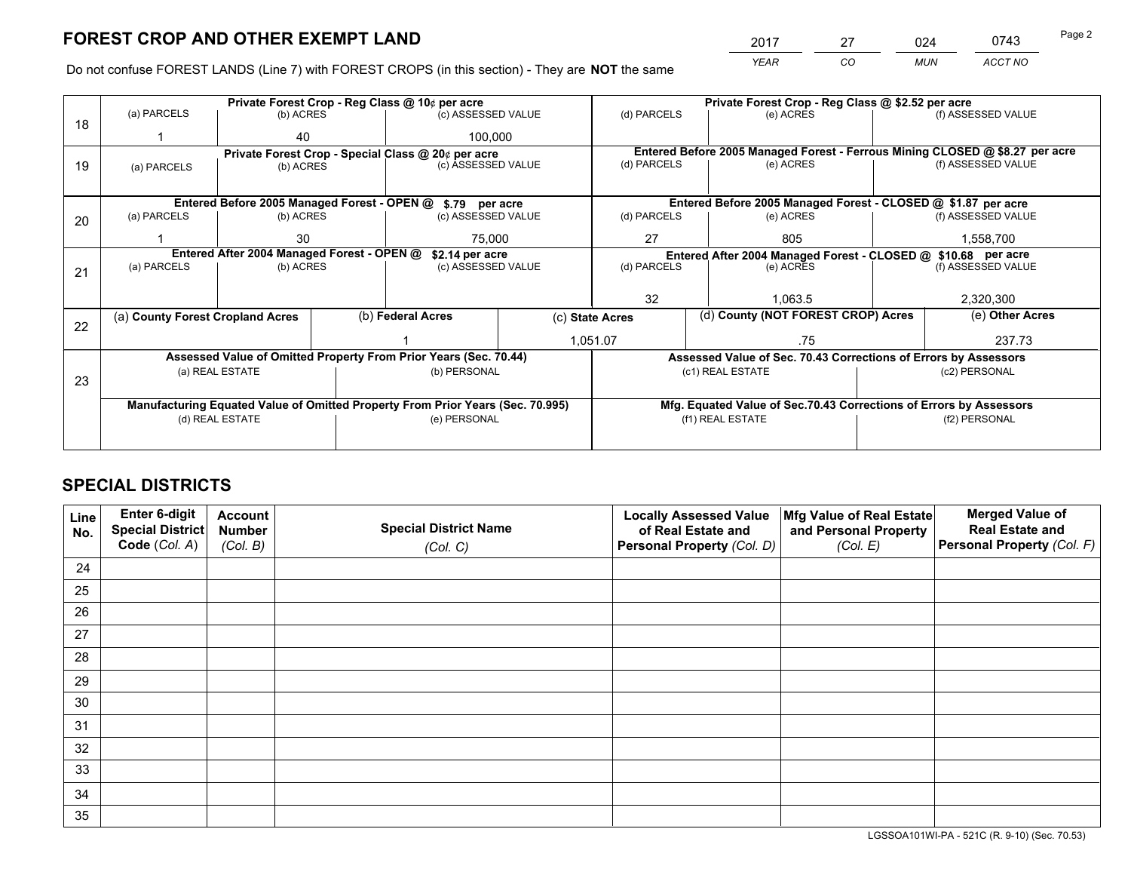*YEAR CO MUN ACCT NO* <sup>2017</sup> <sup>27</sup> <sup>024</sup> <sup>0743</sup> Page 2

Do not confuse FOREST LANDS (Line 7) with FOREST CROPS (in this section) - They are **NOT** the same

|    | Private Forest Crop - Reg Class @ 10¢ per acre                                 |                                             |  |                                                                  |  |                                                                              | Private Forest Crop - Reg Class @ \$2.52 per acre                  |               |                    |  |
|----|--------------------------------------------------------------------------------|---------------------------------------------|--|------------------------------------------------------------------|--|------------------------------------------------------------------------------|--------------------------------------------------------------------|---------------|--------------------|--|
| 18 | (a) PARCELS                                                                    | (b) ACRES                                   |  | (c) ASSESSED VALUE                                               |  | (d) PARCELS                                                                  | (e) ACRES                                                          |               | (f) ASSESSED VALUE |  |
|    |                                                                                | 40                                          |  | 100.000                                                          |  |                                                                              |                                                                    |               |                    |  |
|    | Private Forest Crop - Special Class @ 20¢ per acre                             |                                             |  |                                                                  |  | Entered Before 2005 Managed Forest - Ferrous Mining CLOSED @ \$8.27 per acre |                                                                    |               |                    |  |
| 19 | (a) PARCELS                                                                    | (b) ACRES                                   |  | (c) ASSESSED VALUE                                               |  | (d) PARCELS                                                                  | (e) ACRES                                                          |               | (f) ASSESSED VALUE |  |
|    |                                                                                |                                             |  |                                                                  |  |                                                                              |                                                                    |               |                    |  |
|    |                                                                                | Entered Before 2005 Managed Forest - OPEN @ |  | \$.79 per acre                                                   |  |                                                                              | Entered Before 2005 Managed Forest - CLOSED @ \$1.87 per acre      |               |                    |  |
| 20 | (a) PARCELS                                                                    | (b) ACRES                                   |  | (c) ASSESSED VALUE                                               |  | (d) PARCELS                                                                  | (e) ACRES                                                          |               | (f) ASSESSED VALUE |  |
|    |                                                                                | 30                                          |  | 75,000                                                           |  | 27                                                                           | 805                                                                |               | 1,558,700          |  |
|    | Entered After 2004 Managed Forest - OPEN @                                     |                                             |  | \$2.14 per acre                                                  |  | Entered After 2004 Managed Forest - CLOSED @ \$10.68 per acre                |                                                                    |               |                    |  |
| 21 | (a) PARCELS                                                                    | (b) ACRES                                   |  | (c) ASSESSED VALUE                                               |  | (d) PARCELS                                                                  | (e) ACRES                                                          |               | (f) ASSESSED VALUE |  |
|    |                                                                                |                                             |  |                                                                  |  |                                                                              |                                                                    |               |                    |  |
|    |                                                                                |                                             |  |                                                                  |  | 32                                                                           | 1.063.5                                                            |               | 2,320,300          |  |
|    | (a) County Forest Cropland Acres                                               |                                             |  | (b) Federal Acres                                                |  | (d) County (NOT FOREST CROP) Acres<br>(c) State Acres                        |                                                                    |               | (e) Other Acres    |  |
| 22 |                                                                                |                                             |  |                                                                  |  |                                                                              |                                                                    |               |                    |  |
|    |                                                                                |                                             |  |                                                                  |  | 1,051.07                                                                     | .75                                                                |               | 237.73             |  |
|    |                                                                                |                                             |  | Assessed Value of Omitted Property From Prior Years (Sec. 70.44) |  |                                                                              | Assessed Value of Sec. 70.43 Corrections of Errors by Assessors    |               |                    |  |
| 23 |                                                                                | (a) REAL ESTATE                             |  | (b) PERSONAL                                                     |  |                                                                              | (c1) REAL ESTATE                                                   |               | (c2) PERSONAL      |  |
|    |                                                                                |                                             |  |                                                                  |  |                                                                              |                                                                    |               |                    |  |
|    | Manufacturing Equated Value of Omitted Property From Prior Years (Sec. 70.995) |                                             |  |                                                                  |  |                                                                              | Mfg. Equated Value of Sec.70.43 Corrections of Errors by Assessors |               |                    |  |
|    |                                                                                | (d) REAL ESTATE                             |  | (e) PERSONAL                                                     |  | (f1) REAL ESTATE                                                             |                                                                    | (f2) PERSONAL |                    |  |
|    |                                                                                |                                             |  |                                                                  |  |                                                                              |                                                                    |               |                    |  |

## **SPECIAL DISTRICTS**

| Line<br>No. | Enter 6-digit<br>Special District<br>Code (Col. A) | <b>Account</b><br><b>Number</b> | <b>Special District Name</b> | <b>Locally Assessed Value</b><br>of Real Estate and | Mfg Value of Real Estate<br>and Personal Property | <b>Merged Value of</b><br><b>Real Estate and</b><br>Personal Property (Col. F) |
|-------------|----------------------------------------------------|---------------------------------|------------------------------|-----------------------------------------------------|---------------------------------------------------|--------------------------------------------------------------------------------|
|             |                                                    | (Col. B)                        | (Col. C)                     | Personal Property (Col. D)                          | (Col. E)                                          |                                                                                |
| 24          |                                                    |                                 |                              |                                                     |                                                   |                                                                                |
| 25          |                                                    |                                 |                              |                                                     |                                                   |                                                                                |
| 26          |                                                    |                                 |                              |                                                     |                                                   |                                                                                |
| 27          |                                                    |                                 |                              |                                                     |                                                   |                                                                                |
| 28          |                                                    |                                 |                              |                                                     |                                                   |                                                                                |
| 29          |                                                    |                                 |                              |                                                     |                                                   |                                                                                |
| 30          |                                                    |                                 |                              |                                                     |                                                   |                                                                                |
| 31          |                                                    |                                 |                              |                                                     |                                                   |                                                                                |
| 32          |                                                    |                                 |                              |                                                     |                                                   |                                                                                |
| 33          |                                                    |                                 |                              |                                                     |                                                   |                                                                                |
| 34          |                                                    |                                 |                              |                                                     |                                                   |                                                                                |
| 35          |                                                    |                                 |                              |                                                     |                                                   |                                                                                |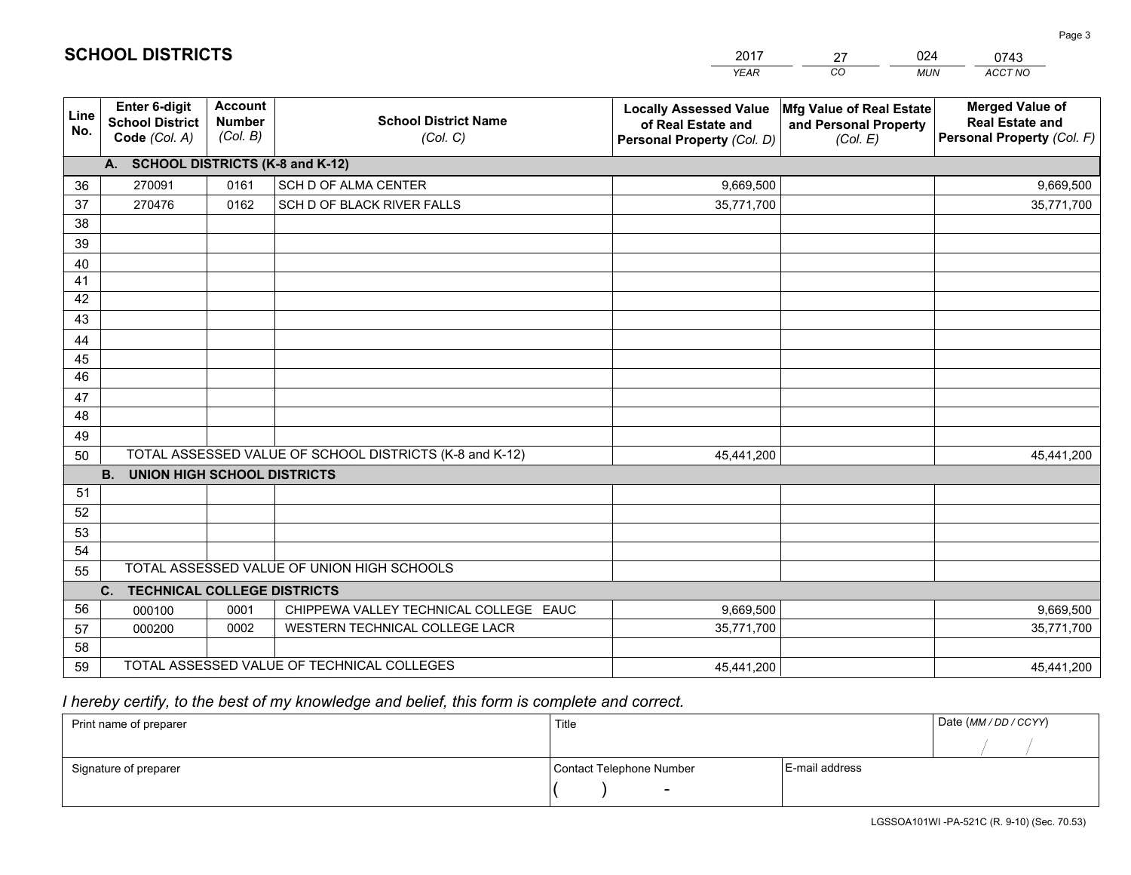|             |                                                          |                                             |                                                         | <b>YEAR</b>                                                                       | CO.<br><b>MUN</b>                                             | ACCT NO                                                                        |
|-------------|----------------------------------------------------------|---------------------------------------------|---------------------------------------------------------|-----------------------------------------------------------------------------------|---------------------------------------------------------------|--------------------------------------------------------------------------------|
| Line<br>No. | Enter 6-digit<br><b>School District</b><br>Code (Col. A) | <b>Account</b><br><b>Number</b><br>(Col. B) | <b>School District Name</b><br>(Col. C)                 | <b>Locally Assessed Value</b><br>of Real Estate and<br>Personal Property (Col. D) | Mfg Value of Real Estate<br>and Personal Property<br>(Col. E) | <b>Merged Value of</b><br><b>Real Estate and</b><br>Personal Property (Col. F) |
|             | A. SCHOOL DISTRICTS (K-8 and K-12)                       |                                             |                                                         |                                                                                   |                                                               |                                                                                |
| 36          | 270091                                                   | 0161                                        | <b>SCH D OF ALMA CENTER</b>                             | 9,669,500                                                                         |                                                               | 9,669,500                                                                      |
| 37          | 270476                                                   | 0162                                        | SCH D OF BLACK RIVER FALLS                              | 35,771,700                                                                        |                                                               | 35,771,700                                                                     |
| 38          |                                                          |                                             |                                                         |                                                                                   |                                                               |                                                                                |
| 39          |                                                          |                                             |                                                         |                                                                                   |                                                               |                                                                                |
| 40          |                                                          |                                             |                                                         |                                                                                   |                                                               |                                                                                |
| 41          |                                                          |                                             |                                                         |                                                                                   |                                                               |                                                                                |
| 42          |                                                          |                                             |                                                         |                                                                                   |                                                               |                                                                                |
| 43          |                                                          |                                             |                                                         |                                                                                   |                                                               |                                                                                |
| 44          |                                                          |                                             |                                                         |                                                                                   |                                                               |                                                                                |
| 45          |                                                          |                                             |                                                         |                                                                                   |                                                               |                                                                                |
| 46          |                                                          |                                             |                                                         |                                                                                   |                                                               |                                                                                |
| 47          |                                                          |                                             |                                                         |                                                                                   |                                                               |                                                                                |
| 48          |                                                          |                                             |                                                         |                                                                                   |                                                               |                                                                                |
| 49          |                                                          |                                             |                                                         |                                                                                   |                                                               |                                                                                |
| 50          |                                                          |                                             | TOTAL ASSESSED VALUE OF SCHOOL DISTRICTS (K-8 and K-12) | 45,441,200                                                                        |                                                               | 45,441,200                                                                     |
|             | <b>B.</b><br><b>UNION HIGH SCHOOL DISTRICTS</b>          |                                             |                                                         |                                                                                   |                                                               |                                                                                |
| 51          |                                                          |                                             |                                                         |                                                                                   |                                                               |                                                                                |
| 52          |                                                          |                                             |                                                         |                                                                                   |                                                               |                                                                                |
| 53          |                                                          |                                             |                                                         |                                                                                   |                                                               |                                                                                |
| 54          |                                                          |                                             |                                                         |                                                                                   |                                                               |                                                                                |
| 55          |                                                          |                                             | TOTAL ASSESSED VALUE OF UNION HIGH SCHOOLS              |                                                                                   |                                                               |                                                                                |
|             | C.<br><b>TECHNICAL COLLEGE DISTRICTS</b>                 |                                             |                                                         |                                                                                   |                                                               |                                                                                |
| 56          | 000100                                                   | 0001                                        | CHIPPEWA VALLEY TECHNICAL COLLEGE EAUC                  | 9,669,500                                                                         |                                                               | 9,669,500                                                                      |
| 57          | 000200                                                   | 0002                                        | WESTERN TECHNICAL COLLEGE LACR                          | 35,771,700                                                                        |                                                               | 35,771,700                                                                     |
| 58          |                                                          |                                             |                                                         |                                                                                   |                                                               |                                                                                |
| 59          |                                                          |                                             | TOTAL ASSESSED VALUE OF TECHNICAL COLLEGES              | 45,441,200                                                                        |                                                               | 45,441,200                                                                     |

27

024

## *I hereby certify, to the best of my knowledge and belief, this form is complete and correct.*

**SCHOOL DISTRICTS**

| Print name of preparer | Title                    |                | Date (MM / DD / CCYY) |
|------------------------|--------------------------|----------------|-----------------------|
|                        |                          |                |                       |
| Signature of preparer  | Contact Telephone Number | E-mail address |                       |
|                        | $\overline{\phantom{0}}$ |                |                       |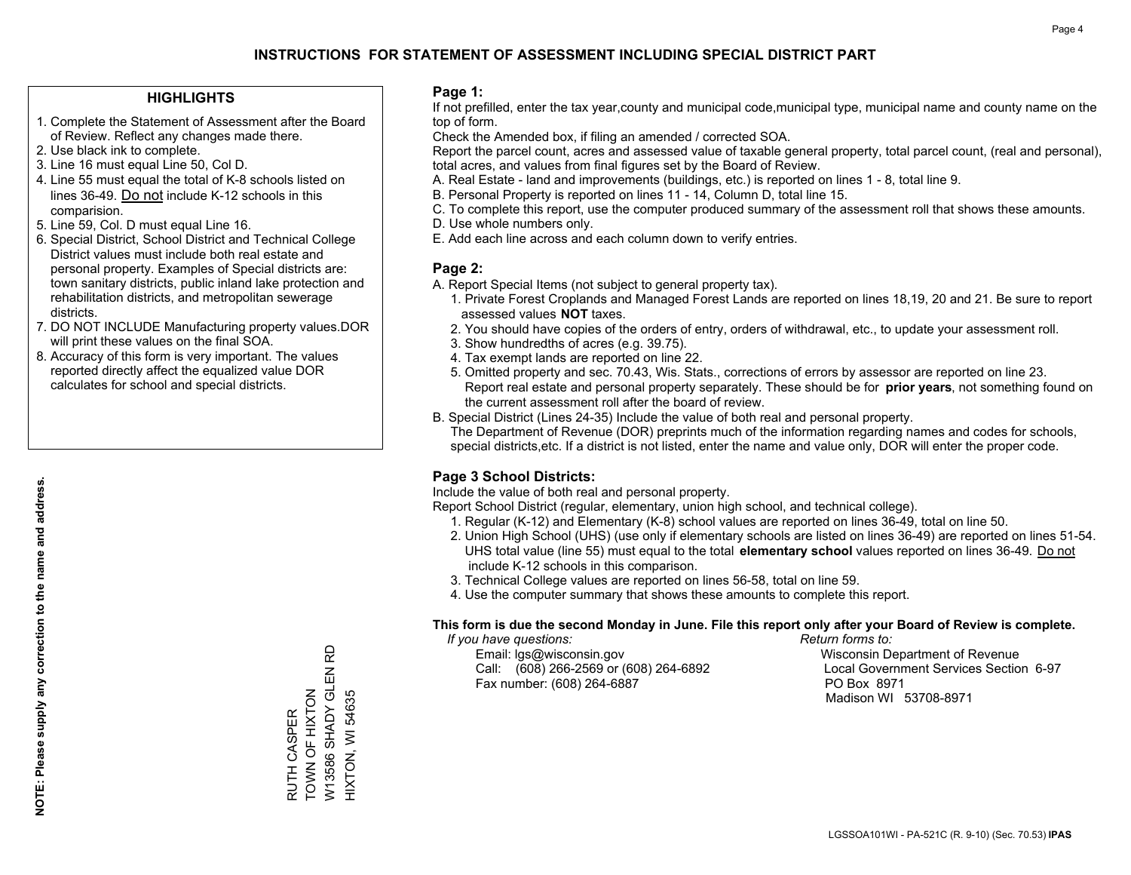#### **HIGHLIGHTS**

- 1. Complete the Statement of Assessment after the Board of Review. Reflect any changes made there.
- 2. Use black ink to complete.
- 3. Line 16 must equal Line 50, Col D.
- 4. Line 55 must equal the total of K-8 schools listed on lines 36-49. Do not include K-12 schools in this comparision.
- 5. Line 59, Col. D must equal Line 16.
- 6. Special District, School District and Technical College District values must include both real estate and personal property. Examples of Special districts are: town sanitary districts, public inland lake protection and rehabilitation districts, and metropolitan sewerage districts.
- 7. DO NOT INCLUDE Manufacturing property values.DOR will print these values on the final SOA.
- 8. Accuracy of this form is very important. The values reported directly affect the equalized value DOR calculates for school and special districts.

#### **Page 1:**

 If not prefilled, enter the tax year,county and municipal code,municipal type, municipal name and county name on the top of form.

Check the Amended box, if filing an amended / corrected SOA.

 Report the parcel count, acres and assessed value of taxable general property, total parcel count, (real and personal), total acres, and values from final figures set by the Board of Review.

- A. Real Estate land and improvements (buildings, etc.) is reported on lines 1 8, total line 9.
- B. Personal Property is reported on lines 11 14, Column D, total line 15.
- C. To complete this report, use the computer produced summary of the assessment roll that shows these amounts.
- D. Use whole numbers only.
- E. Add each line across and each column down to verify entries.

#### **Page 2:**

- A. Report Special Items (not subject to general property tax).
- 1. Private Forest Croplands and Managed Forest Lands are reported on lines 18,19, 20 and 21. Be sure to report assessed values **NOT** taxes.
- 2. You should have copies of the orders of entry, orders of withdrawal, etc., to update your assessment roll.
	- 3. Show hundredths of acres (e.g. 39.75).
- 4. Tax exempt lands are reported on line 22.
- 5. Omitted property and sec. 70.43, Wis. Stats., corrections of errors by assessor are reported on line 23. Report real estate and personal property separately. These should be for **prior years**, not something found on the current assessment roll after the board of review.
- B. Special District (Lines 24-35) Include the value of both real and personal property.
- The Department of Revenue (DOR) preprints much of the information regarding names and codes for schools, special districts,etc. If a district is not listed, enter the name and value only, DOR will enter the proper code.

### **Page 3 School Districts:**

Include the value of both real and personal property.

Report School District (regular, elementary, union high school, and technical college).

- 1. Regular (K-12) and Elementary (K-8) school values are reported on lines 36-49, total on line 50.
- 2. Union High School (UHS) (use only if elementary schools are listed on lines 36-49) are reported on lines 51-54. UHS total value (line 55) must equal to the total **elementary school** values reported on lines 36-49. Do notinclude K-12 schools in this comparison.
- 3. Technical College values are reported on lines 56-58, total on line 59.
- 4. Use the computer summary that shows these amounts to complete this report.

#### **This form is due the second Monday in June. File this report only after your Board of Review is complete.**

 *If you have questions: Return forms to:*

 Email: lgs@wisconsin.gov Wisconsin Department of RevenueCall:  $(608)$  266-2569 or  $(608)$  264-6892 Fax number: (608) 264-6887 PO Box 8971

Local Government Services Section 6-97 Madison WI 53708-8971

윤 W13586 SHADY GLEN RD W13586 SHADY GLEN RUTH CASPER<br>TOWN OF HIXTON TOWN OF HIXTON HIXTON, WI 54635 HIXTON, WI 54635 RUTH CASPER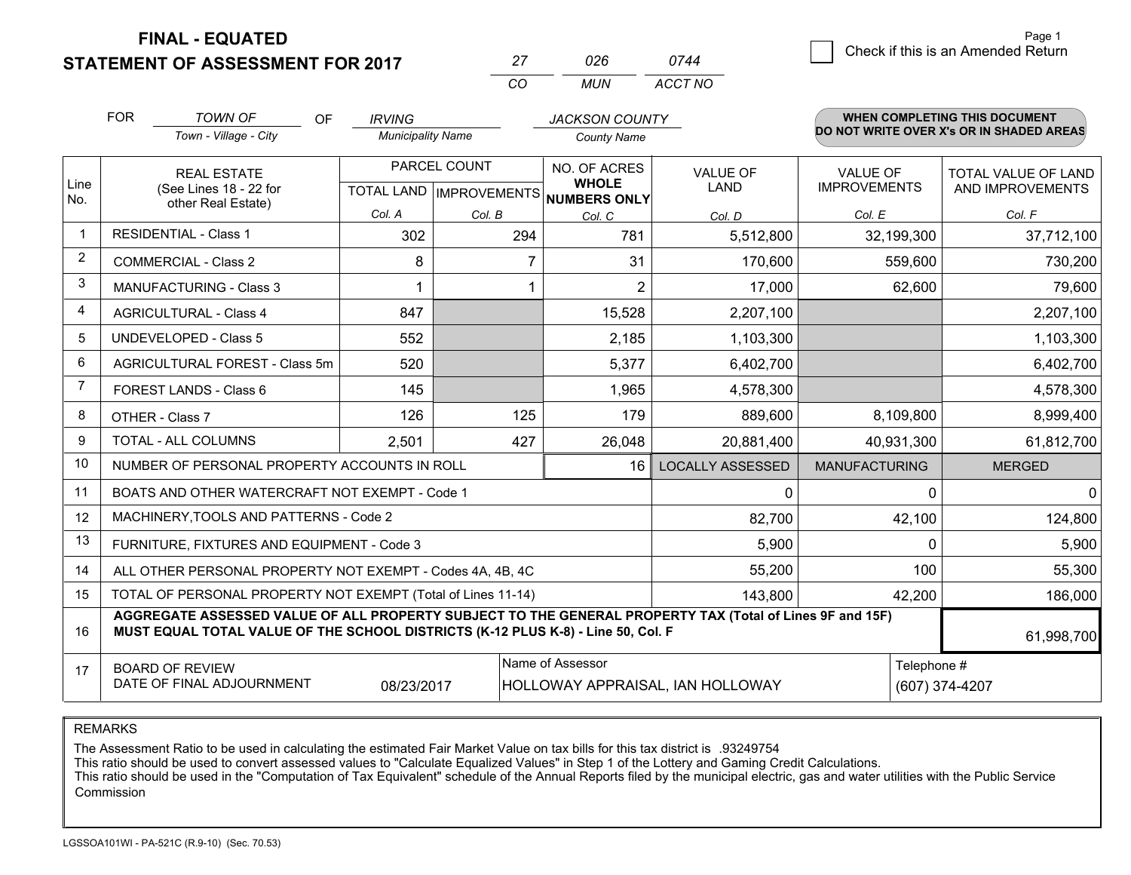**FINAL - EQUATED**

**STATEMENT OF ASSESSMENT FOR 2017** 

|          | ハツド   | 744     |
|----------|-------|---------|
| $\cdots$ | MI IN | ACCT NO |

|                | <b>FOR</b>                                                                                                                                                                                   | <b>TOWN OF</b><br><b>OF</b>                               | <b>IRVING</b>            |                                           | <b>JACKSON COUNTY</b>        |                                |                                        | <b>WHEN COMPLETING THIS DOCUMENT</b>     |
|----------------|----------------------------------------------------------------------------------------------------------------------------------------------------------------------------------------------|-----------------------------------------------------------|--------------------------|-------------------------------------------|------------------------------|--------------------------------|----------------------------------------|------------------------------------------|
|                |                                                                                                                                                                                              | Town - Village - City                                     | <b>Municipality Name</b> |                                           | <b>County Name</b>           |                                |                                        | DO NOT WRITE OVER X's OR IN SHADED AREAS |
| Line           |                                                                                                                                                                                              | <b>REAL ESTATE</b><br>(See Lines 18 - 22 for              |                          | PARCEL COUNT<br>TOTAL LAND   IMPROVEMENTS | NO. OF ACRES<br><b>WHOLE</b> | <b>VALUE OF</b><br><b>LAND</b> | <b>VALUE OF</b><br><b>IMPROVEMENTS</b> | TOTAL VALUE OF LAND<br>AND IMPROVEMENTS  |
| No.            |                                                                                                                                                                                              | other Real Estate)                                        | Col. A                   | Col. B                                    | NUMBERS ONLY<br>Col. C       | Col. D                         | Col. E                                 | Col. F                                   |
|                |                                                                                                                                                                                              | <b>RESIDENTIAL - Class 1</b>                              | 302                      | 294                                       | 781                          | 5,512,800                      | 32,199,300                             | 37,712,100                               |
| $\overline{2}$ |                                                                                                                                                                                              | <b>COMMERCIAL - Class 2</b>                               | 8                        |                                           | 31                           | 170,600                        | 559,600                                | 730,200                                  |
| 3              |                                                                                                                                                                                              | <b>MANUFACTURING - Class 3</b>                            |                          |                                           | $\overline{2}$               | 17,000                         | 62,600                                 | 79,600                                   |
| 4              |                                                                                                                                                                                              | <b>AGRICULTURAL - Class 4</b>                             | 847                      |                                           | 15,528                       | 2,207,100                      |                                        | 2,207,100                                |
| 5              |                                                                                                                                                                                              | <b>UNDEVELOPED - Class 5</b>                              | 552                      |                                           | 2,185                        | 1,103,300                      |                                        | 1,103,300                                |
| 6              |                                                                                                                                                                                              | AGRICULTURAL FOREST - Class 5m                            | 520                      |                                           | 5,377                        | 6,402,700                      |                                        | 6,402,700                                |
| 7              |                                                                                                                                                                                              | FOREST LANDS - Class 6                                    | 145                      |                                           | 1,965                        | 4,578,300                      |                                        | 4,578,300                                |
| 8              |                                                                                                                                                                                              | OTHER - Class 7                                           | 126                      | 125                                       | 179                          | 889,600                        | 8,109,800                              | 8,999,400                                |
| 9              |                                                                                                                                                                                              | TOTAL - ALL COLUMNS                                       | 2,501                    | 427                                       | 26,048                       | 20,881,400                     | 40,931,300                             | 61,812,700                               |
| 10             |                                                                                                                                                                                              | NUMBER OF PERSONAL PROPERTY ACCOUNTS IN ROLL              |                          |                                           | 16                           | <b>LOCALLY ASSESSED</b>        | <b>MANUFACTURING</b>                   | <b>MERGED</b>                            |
| 11             |                                                                                                                                                                                              | BOATS AND OTHER WATERCRAFT NOT EXEMPT - Code 1            |                          |                                           |                              | 0                              | $\Omega$                               | 0                                        |
| 12             |                                                                                                                                                                                              | MACHINERY, TOOLS AND PATTERNS - Code 2                    |                          |                                           |                              | 82,700                         | 42,100                                 | 124,800                                  |
| 13             |                                                                                                                                                                                              | FURNITURE, FIXTURES AND EQUIPMENT - Code 3                |                          |                                           |                              | 5,900                          | $\Omega$                               | 5,900                                    |
| 14             |                                                                                                                                                                                              | ALL OTHER PERSONAL PROPERTY NOT EXEMPT - Codes 4A, 4B, 4C |                          |                                           |                              | 55,200                         | 100                                    | 55,300                                   |
| 15             | TOTAL OF PERSONAL PROPERTY NOT EXEMPT (Total of Lines 11-14)<br>143,800                                                                                                                      |                                                           |                          |                                           |                              |                                | 42,200                                 | 186,000                                  |
| 16             | AGGREGATE ASSESSED VALUE OF ALL PROPERTY SUBJECT TO THE GENERAL PROPERTY TAX (Total of Lines 9F and 15F)<br>MUST EQUAL TOTAL VALUE OF THE SCHOOL DISTRICTS (K-12 PLUS K-8) - Line 50, Col. F |                                                           |                          |                                           |                              |                                | 61,998,700                             |                                          |
| 17             | Name of Assessor<br>Telephone #<br><b>BOARD OF REVIEW</b><br>DATE OF FINAL ADJOURNMENT<br>08/23/2017<br>(607) 374-4207<br>HOLLOWAY APPRAISAL, IAN HOLLOWAY                                   |                                                           |                          |                                           |                              |                                |                                        |                                          |

#### REMARKS

The Assessment Ratio to be used in calculating the estimated Fair Market Value on tax bills for this tax district is .93249754<br>This ratio should be used to convert assessed values to "Calculate Equalized Values" in Step 1 Commission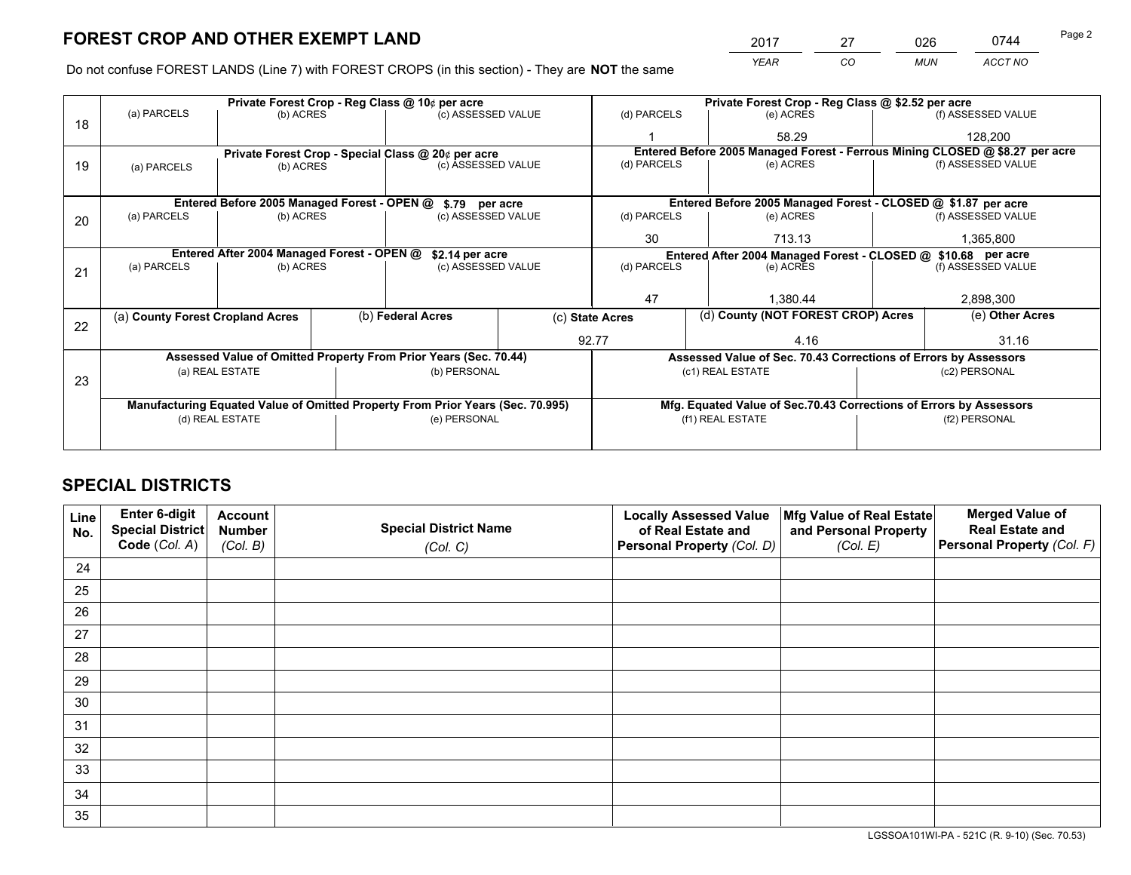*YEAR CO MUN ACCT NO* 2017 27 026 0744 Page 2

Do not confuse FOREST LANDS (Line 7) with FOREST CROPS (in this section) - They are **NOT** the same

|    | Private Forest Crop - Reg Class @ 10¢ per acre                                 |                                             |  |                                                                  |                                   | Private Forest Crop - Reg Class @ \$2.52 per acre                  |                                                                              |  |                    |  |
|----|--------------------------------------------------------------------------------|---------------------------------------------|--|------------------------------------------------------------------|-----------------------------------|--------------------------------------------------------------------|------------------------------------------------------------------------------|--|--------------------|--|
| 18 | (a) PARCELS                                                                    | (b) ACRES                                   |  | (c) ASSESSED VALUE                                               |                                   | (d) PARCELS                                                        | (e) ACRES                                                                    |  | (f) ASSESSED VALUE |  |
|    |                                                                                |                                             |  |                                                                  |                                   |                                                                    | 58.29                                                                        |  | 128.200            |  |
|    |                                                                                |                                             |  | Private Forest Crop - Special Class @ 20¢ per acre               |                                   |                                                                    | Entered Before 2005 Managed Forest - Ferrous Mining CLOSED @ \$8.27 per acre |  |                    |  |
| 19 | (a) PARCELS                                                                    | (b) ACRES                                   |  | (c) ASSESSED VALUE                                               |                                   | (d) PARCELS                                                        | (e) ACRES                                                                    |  | (f) ASSESSED VALUE |  |
|    |                                                                                |                                             |  |                                                                  |                                   |                                                                    |                                                                              |  |                    |  |
|    |                                                                                | Entered Before 2005 Managed Forest - OPEN @ |  | \$.79 per acre                                                   |                                   |                                                                    | Entered Before 2005 Managed Forest - CLOSED @ \$1.87 per acre                |  |                    |  |
| 20 | (a) PARCELS                                                                    | (b) ACRES                                   |  | (c) ASSESSED VALUE                                               |                                   | (d) PARCELS                                                        | (e) ACRES                                                                    |  | (f) ASSESSED VALUE |  |
|    |                                                                                |                                             |  | 30                                                               | 713.13                            |                                                                    | 1,365,800                                                                    |  |                    |  |
|    | Entered After 2004 Managed Forest - OPEN @<br>\$2.14 per acre                  |                                             |  |                                                                  |                                   |                                                                    | Entered After 2004 Managed Forest - CLOSED @ \$10.68 per acre                |  |                    |  |
| 21 | (a) PARCELS                                                                    | (b) ACRES                                   |  |                                                                  | (d) PARCELS<br>(c) ASSESSED VALUE |                                                                    | (e) ACRES                                                                    |  | (f) ASSESSED VALUE |  |
|    |                                                                                |                                             |  |                                                                  |                                   |                                                                    |                                                                              |  |                    |  |
|    |                                                                                |                                             |  |                                                                  |                                   | 47                                                                 | 1,380.44                                                                     |  | 2,898,300          |  |
| 22 | (a) County Forest Cropland Acres                                               |                                             |  | (b) Federal Acres                                                |                                   | (c) State Acres                                                    | (d) County (NOT FOREST CROP) Acres                                           |  | (e) Other Acres    |  |
|    |                                                                                |                                             |  |                                                                  |                                   | 92.77                                                              | 4.16                                                                         |  | 31.16              |  |
|    |                                                                                |                                             |  | Assessed Value of Omitted Property From Prior Years (Sec. 70.44) |                                   |                                                                    | Assessed Value of Sec. 70.43 Corrections of Errors by Assessors              |  |                    |  |
|    |                                                                                | (a) REAL ESTATE                             |  | (b) PERSONAL                                                     |                                   |                                                                    | (c1) REAL ESTATE                                                             |  | (c2) PERSONAL      |  |
| 23 |                                                                                |                                             |  |                                                                  |                                   |                                                                    |                                                                              |  |                    |  |
|    | Manufacturing Equated Value of Omitted Property From Prior Years (Sec. 70.995) |                                             |  |                                                                  |                                   | Mfg. Equated Value of Sec.70.43 Corrections of Errors by Assessors |                                                                              |  |                    |  |
|    |                                                                                | (d) REAL ESTATE                             |  | (e) PERSONAL                                                     |                                   |                                                                    | (f1) REAL ESTATE                                                             |  | (f2) PERSONAL      |  |
|    |                                                                                |                                             |  |                                                                  |                                   |                                                                    |                                                                              |  |                    |  |

## **SPECIAL DISTRICTS**

| Line<br>No. | Enter 6-digit<br>Special District<br>Code (Col. A) | <b>Account</b><br><b>Number</b> | <b>Special District Name</b> | <b>Locally Assessed Value</b><br>of Real Estate and | Mfg Value of Real Estate<br>and Personal Property | <b>Merged Value of</b><br><b>Real Estate and</b><br>Personal Property (Col. F) |
|-------------|----------------------------------------------------|---------------------------------|------------------------------|-----------------------------------------------------|---------------------------------------------------|--------------------------------------------------------------------------------|
|             |                                                    | (Col. B)                        | (Col. C)                     | Personal Property (Col. D)                          | (Col. E)                                          |                                                                                |
| 24          |                                                    |                                 |                              |                                                     |                                                   |                                                                                |
| 25          |                                                    |                                 |                              |                                                     |                                                   |                                                                                |
| 26          |                                                    |                                 |                              |                                                     |                                                   |                                                                                |
| 27          |                                                    |                                 |                              |                                                     |                                                   |                                                                                |
| 28          |                                                    |                                 |                              |                                                     |                                                   |                                                                                |
| 29          |                                                    |                                 |                              |                                                     |                                                   |                                                                                |
| 30          |                                                    |                                 |                              |                                                     |                                                   |                                                                                |
| 31          |                                                    |                                 |                              |                                                     |                                                   |                                                                                |
| 32          |                                                    |                                 |                              |                                                     |                                                   |                                                                                |
| 33          |                                                    |                                 |                              |                                                     |                                                   |                                                                                |
| 34          |                                                    |                                 |                              |                                                     |                                                   |                                                                                |
| 35          |                                                    |                                 |                              |                                                     |                                                   |                                                                                |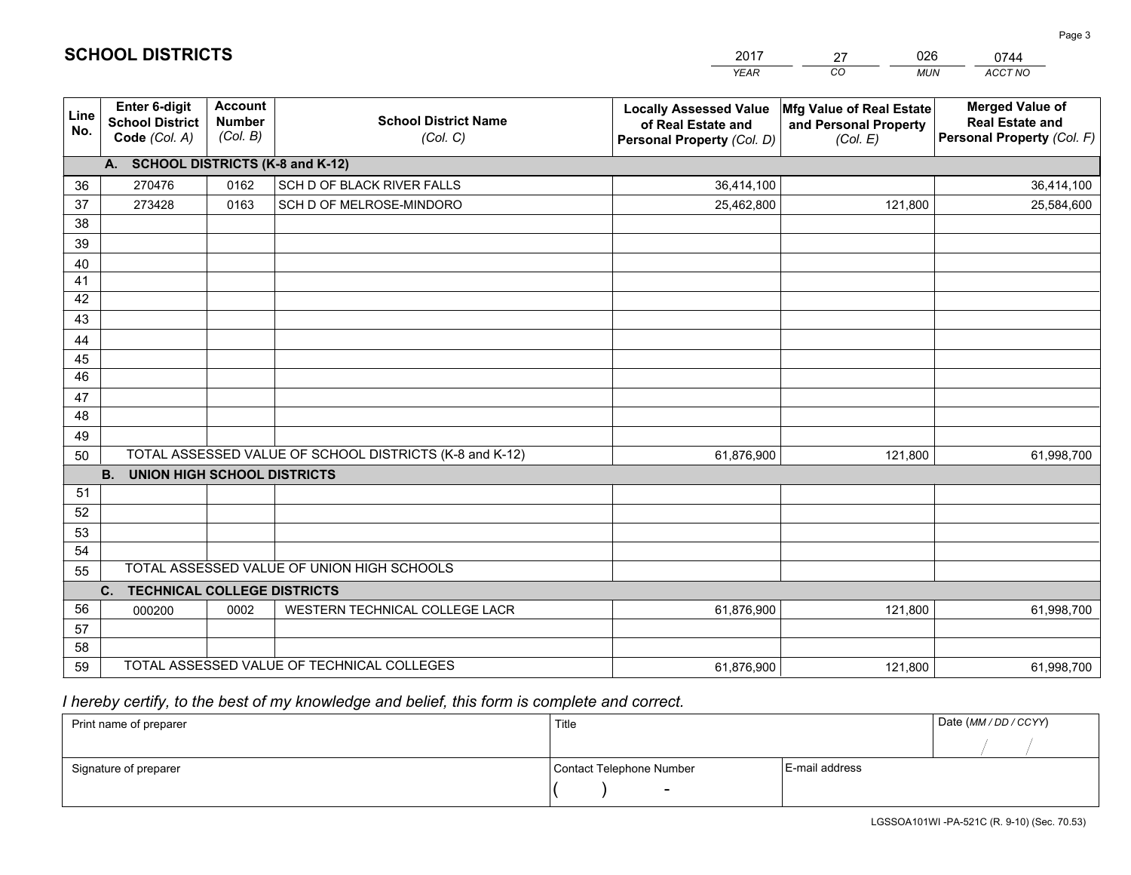|             |                                                                 |                                             |                                                         | <b>YEAR</b>                                                                       | CO<br><b>MUN</b>                                              | ACCT NO                                                                        |
|-------------|-----------------------------------------------------------------|---------------------------------------------|---------------------------------------------------------|-----------------------------------------------------------------------------------|---------------------------------------------------------------|--------------------------------------------------------------------------------|
| Line<br>No. | <b>Enter 6-digit</b><br><b>School District</b><br>Code (Col. A) | <b>Account</b><br><b>Number</b><br>(Col. B) | <b>School District Name</b><br>(Col. C)                 | <b>Locally Assessed Value</b><br>of Real Estate and<br>Personal Property (Col. D) | Mfg Value of Real Estate<br>and Personal Property<br>(Col. E) | <b>Merged Value of</b><br><b>Real Estate and</b><br>Personal Property (Col. F) |
|             | A. SCHOOL DISTRICTS (K-8 and K-12)                              |                                             |                                                         |                                                                                   |                                                               |                                                                                |
| 36          | 270476                                                          | 0162                                        | SCH D OF BLACK RIVER FALLS                              | 36,414,100                                                                        |                                                               | 36,414,100                                                                     |
| 37          | 273428                                                          | 0163                                        | SCH D OF MELROSE-MINDORO                                | 25,462,800                                                                        | 121,800                                                       | 25,584,600                                                                     |
| 38          |                                                                 |                                             |                                                         |                                                                                   |                                                               |                                                                                |
| 39          |                                                                 |                                             |                                                         |                                                                                   |                                                               |                                                                                |
| 40          |                                                                 |                                             |                                                         |                                                                                   |                                                               |                                                                                |
| 41          |                                                                 |                                             |                                                         |                                                                                   |                                                               |                                                                                |
| 42          |                                                                 |                                             |                                                         |                                                                                   |                                                               |                                                                                |
| 43          |                                                                 |                                             |                                                         |                                                                                   |                                                               |                                                                                |
| 44          |                                                                 |                                             |                                                         |                                                                                   |                                                               |                                                                                |
| 45<br>46    |                                                                 |                                             |                                                         |                                                                                   |                                                               |                                                                                |
|             |                                                                 |                                             |                                                         |                                                                                   |                                                               |                                                                                |
| 47<br>48    |                                                                 |                                             |                                                         |                                                                                   |                                                               |                                                                                |
| 49          |                                                                 |                                             |                                                         |                                                                                   |                                                               |                                                                                |
| 50          |                                                                 |                                             | TOTAL ASSESSED VALUE OF SCHOOL DISTRICTS (K-8 and K-12) | 61,876,900                                                                        | 121,800                                                       | 61,998,700                                                                     |
|             | <b>B.</b><br><b>UNION HIGH SCHOOL DISTRICTS</b>                 |                                             |                                                         |                                                                                   |                                                               |                                                                                |
| 51          |                                                                 |                                             |                                                         |                                                                                   |                                                               |                                                                                |
| 52          |                                                                 |                                             |                                                         |                                                                                   |                                                               |                                                                                |
| 53          |                                                                 |                                             |                                                         |                                                                                   |                                                               |                                                                                |
| 54          |                                                                 |                                             |                                                         |                                                                                   |                                                               |                                                                                |
| 55          |                                                                 |                                             | TOTAL ASSESSED VALUE OF UNION HIGH SCHOOLS              |                                                                                   |                                                               |                                                                                |
|             | C.<br><b>TECHNICAL COLLEGE DISTRICTS</b>                        |                                             |                                                         |                                                                                   |                                                               |                                                                                |
| 56          | 000200                                                          | 0002                                        | WESTERN TECHNICAL COLLEGE LACR                          | 61,876,900                                                                        | 121,800                                                       | 61,998,700                                                                     |
| 57          |                                                                 |                                             |                                                         |                                                                                   |                                                               |                                                                                |
| 58          |                                                                 |                                             |                                                         |                                                                                   |                                                               |                                                                                |
| 59          |                                                                 |                                             | TOTAL ASSESSED VALUE OF TECHNICAL COLLEGES              | 61,876,900                                                                        | 121,800                                                       | 61,998,700                                                                     |

27

026

 *I hereby certify, to the best of my knowledge and belief, this form is complete and correct.*

**SCHOOL DISTRICTS**

| Print name of preparer | Title                    |                | Date (MM / DD / CCYY) |
|------------------------|--------------------------|----------------|-----------------------|
|                        |                          |                |                       |
| Signature of preparer  | Contact Telephone Number | E-mail address |                       |
|                        | $\sim$                   |                |                       |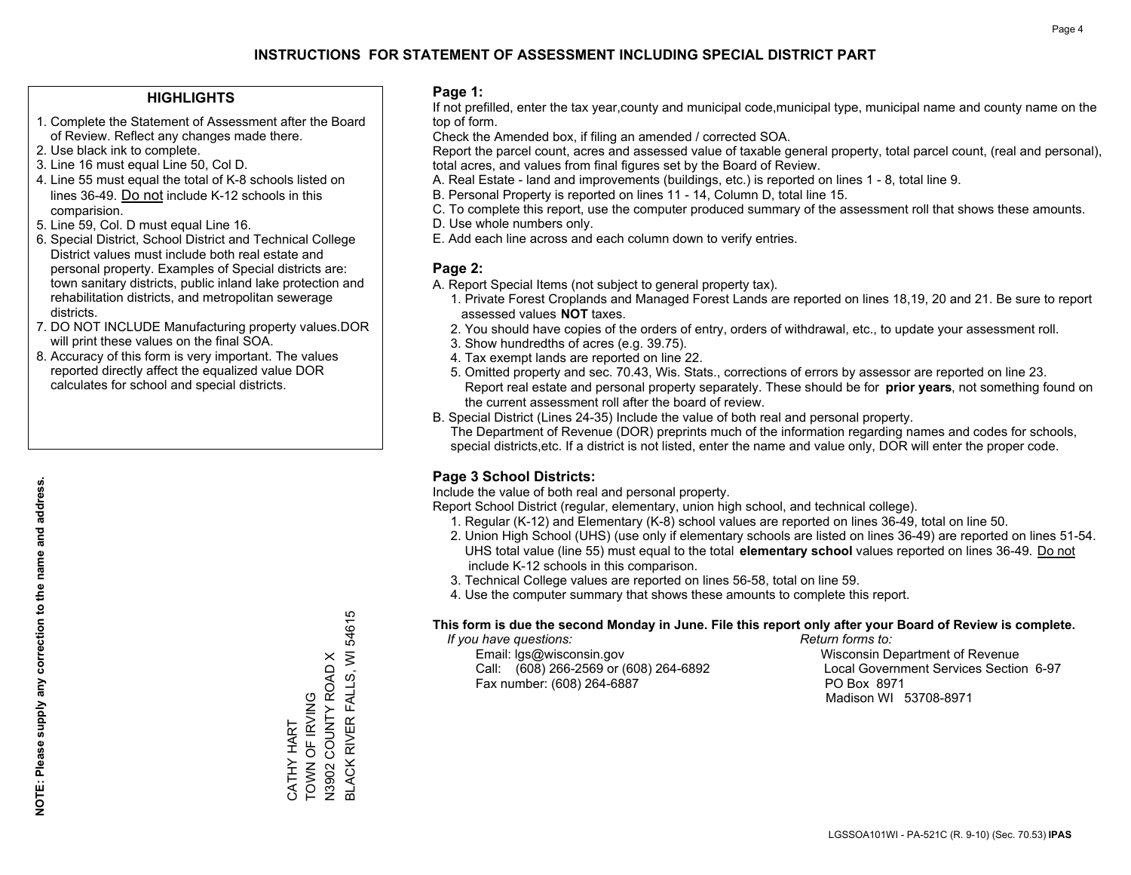#### **HIGHLIGHTS**

- 1. Complete the Statement of Assessment after the Board of Review. Reflect any changes made there.
- 2. Use black ink to complete.
- 3. Line 16 must equal Line 50, Col D.
- 4. Line 55 must equal the total of K-8 schools listed on lines 36-49. Do not include K-12 schools in this comparision.
- 5. Line 59, Col. D must equal Line 16.
- 6. Special District, School District and Technical College District values must include both real estate and personal property. Examples of Special districts are: town sanitary districts, public inland lake protection and rehabilitation districts, and metropolitan sewerage districts.
- 7. DO NOT INCLUDE Manufacturing property values.DOR will print these values on the final SOA.

CATHY HART TOWN OF IRVING N3902 COUNTY ROAD X

CATHY HART<br>TOWN OF IRVING

BLACK RIVER FALLS, WI 54615

BLACK RIVER FALLS, WI 54615

N3902 COUNTY ROAD X

 8. Accuracy of this form is very important. The values reported directly affect the equalized value DOR calculates for school and special districts.

#### **Page 1:**

 If not prefilled, enter the tax year,county and municipal code,municipal type, municipal name and county name on the top of form.

Check the Amended box, if filing an amended / corrected SOA.

 Report the parcel count, acres and assessed value of taxable general property, total parcel count, (real and personal), total acres, and values from final figures set by the Board of Review.

- A. Real Estate land and improvements (buildings, etc.) is reported on lines 1 8, total line 9.
- B. Personal Property is reported on lines 11 14, Column D, total line 15.
- C. To complete this report, use the computer produced summary of the assessment roll that shows these amounts.
- D. Use whole numbers only.
- E. Add each line across and each column down to verify entries.

#### **Page 2:**

- A. Report Special Items (not subject to general property tax).
- 1. Private Forest Croplands and Managed Forest Lands are reported on lines 18,19, 20 and 21. Be sure to report assessed values **NOT** taxes.
- 2. You should have copies of the orders of entry, orders of withdrawal, etc., to update your assessment roll.
	- 3. Show hundredths of acres (e.g. 39.75).
- 4. Tax exempt lands are reported on line 22.
- 5. Omitted property and sec. 70.43, Wis. Stats., corrections of errors by assessor are reported on line 23. Report real estate and personal property separately. These should be for **prior years**, not something found on the current assessment roll after the board of review.
- B. Special District (Lines 24-35) Include the value of both real and personal property.
- The Department of Revenue (DOR) preprints much of the information regarding names and codes for schools, special districts,etc. If a district is not listed, enter the name and value only, DOR will enter the proper code.

### **Page 3 School Districts:**

Include the value of both real and personal property.

Report School District (regular, elementary, union high school, and technical college).

- 1. Regular (K-12) and Elementary (K-8) school values are reported on lines 36-49, total on line 50.
- 2. Union High School (UHS) (use only if elementary schools are listed on lines 36-49) are reported on lines 51-54. UHS total value (line 55) must equal to the total **elementary school** values reported on lines 36-49. Do notinclude K-12 schools in this comparison.
- 3. Technical College values are reported on lines 56-58, total on line 59.
- 4. Use the computer summary that shows these amounts to complete this report.

#### **This form is due the second Monday in June. File this report only after your Board of Review is complete.**

 *If you have questions: Return forms to:*

 Email: lgs@wisconsin.gov Wisconsin Department of RevenueCall:  $(608)$  266-2569 or  $(608)$  264-6892 Fax number: (608) 264-6887 PO Box 8971

Local Government Services Section 6-97 Madison WI 53708-8971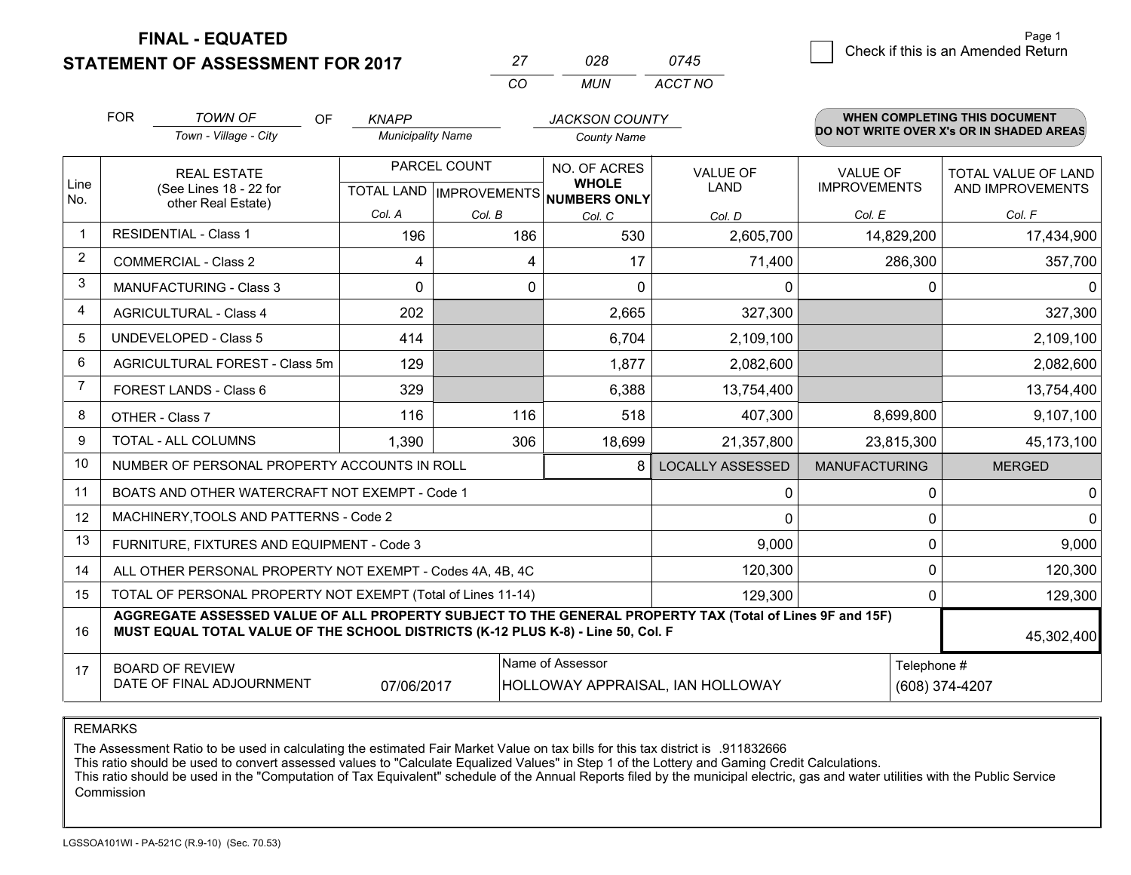**FINAL - EQUATED**

**STATEMENT OF ASSESSMENT FOR 2017** 

|          | 028. | 0745    |
|----------|------|---------|
| $\cdots$ | MUN  | ACCT NO |

|             | <b>FOR</b><br><b>TOWN OF</b><br><b>OF</b><br>Town - Village - City                                                                                                                           |                                                | <b>KNAPP</b> |                          | <b>JACKSON COUNTY</b><br><b>County Name</b>          |                         |                      | WHEN COMPLETING THIS DOCUMENT<br>DO NOT WRITE OVER X's OR IN SHADED AREAS |  |
|-------------|----------------------------------------------------------------------------------------------------------------------------------------------------------------------------------------------|------------------------------------------------|--------------|--------------------------|------------------------------------------------------|-------------------------|----------------------|---------------------------------------------------------------------------|--|
|             |                                                                                                                                                                                              |                                                |              | <b>Municipality Name</b> |                                                      |                         |                      |                                                                           |  |
|             |                                                                                                                                                                                              | PARCEL COUNT<br><b>REAL ESTATE</b>             |              |                          | NO. OF ACRES                                         | <b>VALUE OF</b>         | <b>VALUE OF</b>      | <b>TOTAL VALUE OF LAND</b>                                                |  |
| Line<br>No. |                                                                                                                                                                                              | (See Lines 18 - 22 for<br>other Real Estate)   |              |                          | <b>WHOLE</b><br>TOTAL LAND IMPROVEMENTS NUMBERS ONLY | LAND                    | <b>IMPROVEMENTS</b>  | AND IMPROVEMENTS                                                          |  |
|             |                                                                                                                                                                                              |                                                | Col. A       | Col. B                   | Col. C                                               | Col. D                  | Col. E               | Col. F                                                                    |  |
|             |                                                                                                                                                                                              | <b>RESIDENTIAL - Class 1</b>                   | 196          | 186                      | 530                                                  | 2,605,700               | 14,829,200           | 17,434,900                                                                |  |
| 2           |                                                                                                                                                                                              | <b>COMMERCIAL - Class 2</b>                    | 4            | 4                        | 17                                                   | 71,400                  | 286,300              | 357,700                                                                   |  |
| 3           |                                                                                                                                                                                              | <b>MANUFACTURING - Class 3</b>                 | $\Omega$     | 0                        | $\Omega$                                             | 0                       | $\Omega$             | $\mathbf{0}$                                                              |  |
| 4           |                                                                                                                                                                                              | <b>AGRICULTURAL - Class 4</b>                  | 202          |                          | 2,665                                                | 327,300                 |                      | 327,300                                                                   |  |
| 5           |                                                                                                                                                                                              | <b>UNDEVELOPED - Class 5</b>                   | 414          |                          | 6,704                                                | 2,109,100               |                      | 2,109,100                                                                 |  |
| 6           |                                                                                                                                                                                              | AGRICULTURAL FOREST - Class 5m                 | 129          |                          | 1,877                                                | 2,082,600               |                      | 2,082,600                                                                 |  |
| 7           |                                                                                                                                                                                              | FOREST LANDS - Class 6                         | 329          |                          | 6,388                                                | 13,754,400              |                      | 13,754,400                                                                |  |
| 8           |                                                                                                                                                                                              | OTHER - Class 7                                | 116          | 116                      | 518                                                  | 407,300                 | 8,699,800            | 9,107,100                                                                 |  |
| 9           |                                                                                                                                                                                              | TOTAL - ALL COLUMNS                            | 1,390        | 306                      | 18,699                                               | 21,357,800              | 23,815,300           | 45,173,100                                                                |  |
| 10          |                                                                                                                                                                                              | NUMBER OF PERSONAL PROPERTY ACCOUNTS IN ROLL   |              |                          | 8                                                    | <b>LOCALLY ASSESSED</b> | <b>MANUFACTURING</b> | <b>MERGED</b>                                                             |  |
| 11          |                                                                                                                                                                                              | BOATS AND OTHER WATERCRAFT NOT EXEMPT - Code 1 |              |                          |                                                      | 0                       | 0                    | $\mathbf 0$                                                               |  |
| 12          |                                                                                                                                                                                              | MACHINERY, TOOLS AND PATTERNS - Code 2         |              |                          |                                                      | $\Omega$                | $\Omega$             | $\Omega$                                                                  |  |
| 13          |                                                                                                                                                                                              | FURNITURE, FIXTURES AND EQUIPMENT - Code 3     |              |                          |                                                      | 9,000                   | $\Omega$             | 9,000                                                                     |  |
| 14          | ALL OTHER PERSONAL PROPERTY NOT EXEMPT - Codes 4A, 4B, 4C                                                                                                                                    | 0                                              | 120,300      |                          |                                                      |                         |                      |                                                                           |  |
| 15          | TOTAL OF PERSONAL PROPERTY NOT EXEMPT (Total of Lines 11-14)<br>129,300                                                                                                                      |                                                |              |                          |                                                      |                         | 0                    | 129,300                                                                   |  |
| 16          | AGGREGATE ASSESSED VALUE OF ALL PROPERTY SUBJECT TO THE GENERAL PROPERTY TAX (Total of Lines 9F and 15F)<br>MUST EQUAL TOTAL VALUE OF THE SCHOOL DISTRICTS (K-12 PLUS K-8) - Line 50, Col. F |                                                |              |                          |                                                      |                         | 45,302,400           |                                                                           |  |
| 17          | Name of Assessor<br>Telephone #<br><b>BOARD OF REVIEW</b><br>DATE OF FINAL ADJOURNMENT<br>07/06/2017<br>HOLLOWAY APPRAISAL, IAN HOLLOWAY                                                     |                                                |              |                          |                                                      |                         | (608) 374-4207       |                                                                           |  |

REMARKS

The Assessment Ratio to be used in calculating the estimated Fair Market Value on tax bills for this tax district is .911832666

This ratio should be used to convert assessed values to "Calculate Equalized Values" in Step 1 of the Lottery and Gaming Credit Calculations.<br>This ratio should be used in the "Computation of Tax Equivalent" schedule of the Commission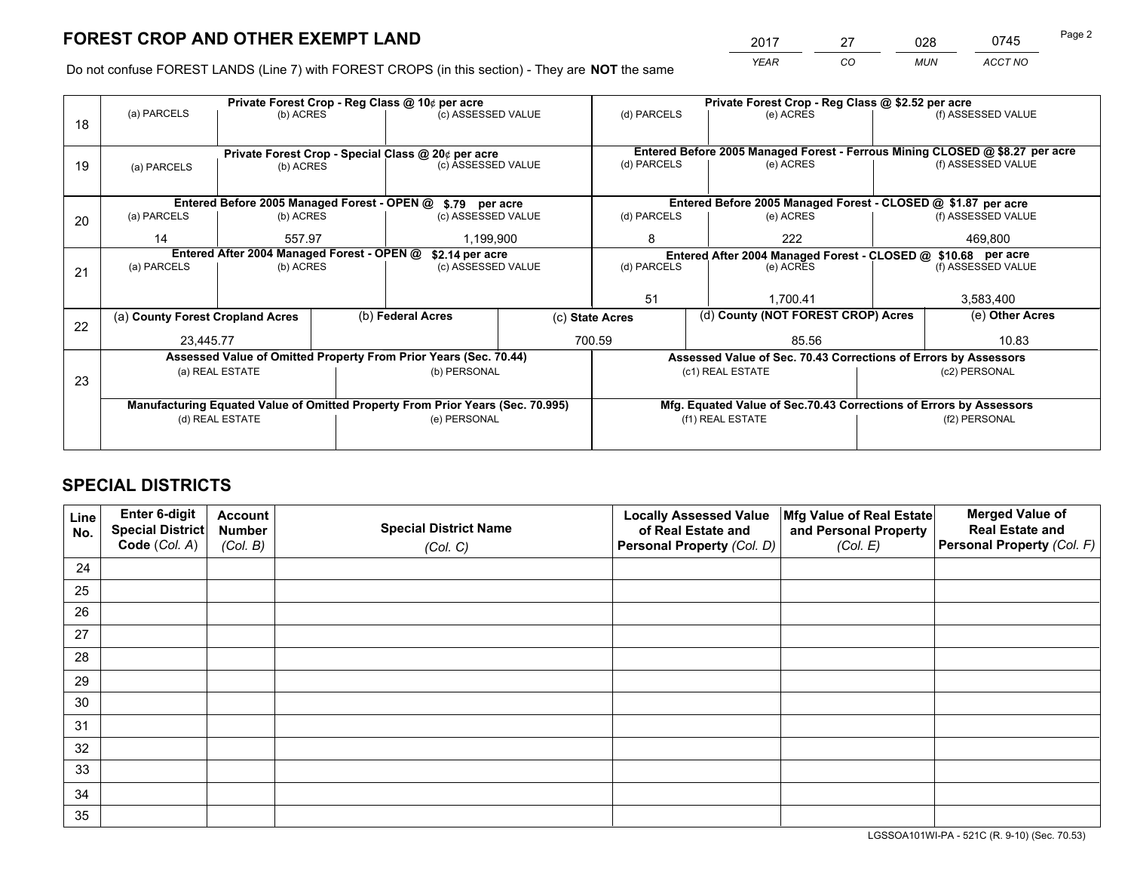*YEAR CO MUN ACCT NO* 2017 27 028 0745 Page 2

Do not confuse FOREST LANDS (Line 7) with FOREST CROPS (in this section) - They are **NOT** the same

|    |                                                                                |                                             |  | Private Forest Crop - Reg Class @ 10¢ per acre                   |  | Private Forest Crop - Reg Class @ \$2.52 per acre                                   |                                                                              |               |                    |  |
|----|--------------------------------------------------------------------------------|---------------------------------------------|--|------------------------------------------------------------------|--|-------------------------------------------------------------------------------------|------------------------------------------------------------------------------|---------------|--------------------|--|
| 18 | (a) PARCELS                                                                    | (b) ACRES                                   |  | (c) ASSESSED VALUE                                               |  | (d) PARCELS                                                                         | (e) ACRES                                                                    |               | (f) ASSESSED VALUE |  |
|    |                                                                                |                                             |  |                                                                  |  |                                                                                     |                                                                              |               |                    |  |
|    |                                                                                |                                             |  | Private Forest Crop - Special Class @ 20¢ per acre               |  |                                                                                     | Entered Before 2005 Managed Forest - Ferrous Mining CLOSED @ \$8.27 per acre |               |                    |  |
| 19 | (a) PARCELS                                                                    | (b) ACRES                                   |  | (c) ASSESSED VALUE                                               |  | (d) PARCELS                                                                         | (e) ACRES                                                                    |               | (f) ASSESSED VALUE |  |
|    |                                                                                |                                             |  |                                                                  |  |                                                                                     |                                                                              |               |                    |  |
|    |                                                                                | Entered Before 2005 Managed Forest - OPEN @ |  | \$.79 per acre                                                   |  |                                                                                     | Entered Before 2005 Managed Forest - CLOSED @ \$1.87 per acre                |               |                    |  |
| 20 | (a) PARCELS                                                                    | (b) ACRES                                   |  | (c) ASSESSED VALUE                                               |  | (d) PARCELS                                                                         | (e) ACRES                                                                    |               | (f) ASSESSED VALUE |  |
|    | 14                                                                             | 557.97                                      |  | 1,199,900                                                        |  | 8                                                                                   | 222                                                                          |               | 469,800            |  |
|    | Entered After 2004 Managed Forest - OPEN @                                     |                                             |  | \$2.14 per acre                                                  |  | Entered After 2004 Managed Forest - CLOSED @ \$10.68 per acre<br>(f) ASSESSED VALUE |                                                                              |               |                    |  |
| 21 | (a) PARCELS                                                                    | (b) ACRES                                   |  | (c) ASSESSED VALUE                                               |  | (d) PARCELS                                                                         | (e) ACRES                                                                    |               |                    |  |
|    |                                                                                |                                             |  |                                                                  |  |                                                                                     |                                                                              |               |                    |  |
|    |                                                                                |                                             |  |                                                                  |  | 51                                                                                  | 1.700.41                                                                     |               | 3,583,400          |  |
| 22 | (a) County Forest Cropland Acres                                               |                                             |  | (b) Federal Acres                                                |  | (c) State Acres                                                                     | (d) County (NOT FOREST CROP) Acres                                           |               | (e) Other Acres    |  |
|    | 23.445.77                                                                      |                                             |  |                                                                  |  | 700.59<br>85.56                                                                     |                                                                              |               | 10.83              |  |
|    |                                                                                |                                             |  | Assessed Value of Omitted Property From Prior Years (Sec. 70.44) |  |                                                                                     | Assessed Value of Sec. 70.43 Corrections of Errors by Assessors              |               |                    |  |
| 23 |                                                                                | (a) REAL ESTATE                             |  | (b) PERSONAL                                                     |  |                                                                                     | (c1) REAL ESTATE                                                             |               | (c2) PERSONAL      |  |
|    |                                                                                |                                             |  |                                                                  |  |                                                                                     |                                                                              |               |                    |  |
|    | Manufacturing Equated Value of Omitted Property From Prior Years (Sec. 70.995) |                                             |  |                                                                  |  | Mfg. Equated Value of Sec.70.43 Corrections of Errors by Assessors                  |                                                                              |               |                    |  |
|    | (d) REAL ESTATE                                                                |                                             |  | (e) PERSONAL                                                     |  | (f1) REAL ESTATE                                                                    |                                                                              | (f2) PERSONAL |                    |  |
|    |                                                                                |                                             |  |                                                                  |  |                                                                                     |                                                                              |               |                    |  |

## **SPECIAL DISTRICTS**

| Line<br>No. | Enter 6-digit<br><b>Special District</b> | <b>Account</b><br><b>Number</b> | <b>Special District Name</b> | <b>Locally Assessed Value</b><br>of Real Estate and | Mfg Value of Real Estate<br>and Personal Property | <b>Merged Value of</b><br><b>Real Estate and</b> |
|-------------|------------------------------------------|---------------------------------|------------------------------|-----------------------------------------------------|---------------------------------------------------|--------------------------------------------------|
|             | Code (Col. A)                            | (Col. B)                        | (Col. C)                     | Personal Property (Col. D)                          | (Col. E)                                          | Personal Property (Col. F)                       |
| 24          |                                          |                                 |                              |                                                     |                                                   |                                                  |
| 25          |                                          |                                 |                              |                                                     |                                                   |                                                  |
| 26          |                                          |                                 |                              |                                                     |                                                   |                                                  |
| 27          |                                          |                                 |                              |                                                     |                                                   |                                                  |
| 28          |                                          |                                 |                              |                                                     |                                                   |                                                  |
| 29          |                                          |                                 |                              |                                                     |                                                   |                                                  |
| 30          |                                          |                                 |                              |                                                     |                                                   |                                                  |
| 31          |                                          |                                 |                              |                                                     |                                                   |                                                  |
| 32          |                                          |                                 |                              |                                                     |                                                   |                                                  |
| 33          |                                          |                                 |                              |                                                     |                                                   |                                                  |
| 34          |                                          |                                 |                              |                                                     |                                                   |                                                  |
| 35          |                                          |                                 |                              |                                                     |                                                   |                                                  |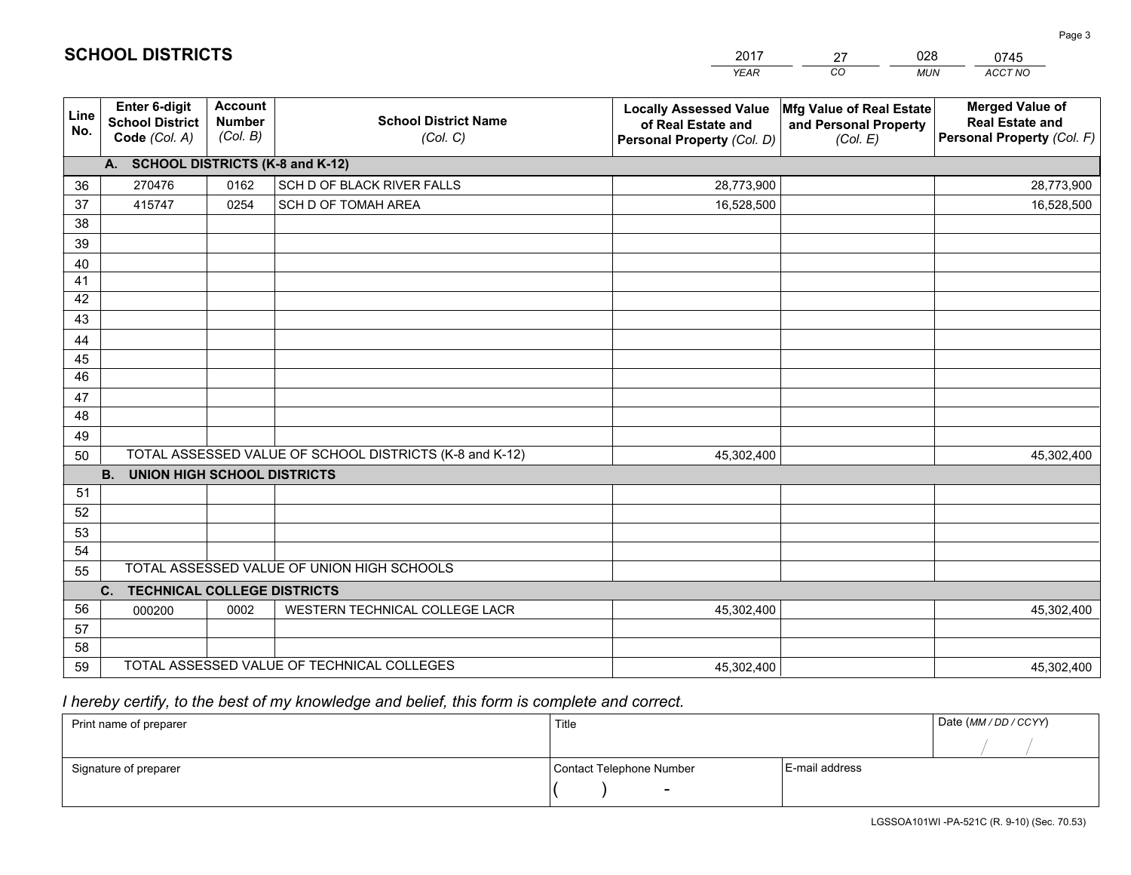|             |                                                          |                                             |                                                         | <b>YEAR</b>                                                                       | CO<br><b>MUN</b>                                              | ACCT NO                                                                        |
|-------------|----------------------------------------------------------|---------------------------------------------|---------------------------------------------------------|-----------------------------------------------------------------------------------|---------------------------------------------------------------|--------------------------------------------------------------------------------|
| Line<br>No. | Enter 6-digit<br><b>School District</b><br>Code (Col. A) | <b>Account</b><br><b>Number</b><br>(Col. B) | <b>School District Name</b><br>(Col. C)                 | <b>Locally Assessed Value</b><br>of Real Estate and<br>Personal Property (Col. D) | Mfg Value of Real Estate<br>and Personal Property<br>(Col. E) | <b>Merged Value of</b><br><b>Real Estate and</b><br>Personal Property (Col. F) |
|             | A. SCHOOL DISTRICTS (K-8 and K-12)                       |                                             |                                                         |                                                                                   |                                                               |                                                                                |
| 36          | 270476                                                   | 0162                                        | SCH D OF BLACK RIVER FALLS                              | 28,773,900                                                                        |                                                               | 28,773,900                                                                     |
| 37          | 415747                                                   | 0254                                        | SCH D OF TOMAH AREA                                     | 16,528,500                                                                        |                                                               | 16,528,500                                                                     |
| 38          |                                                          |                                             |                                                         |                                                                                   |                                                               |                                                                                |
| 39          |                                                          |                                             |                                                         |                                                                                   |                                                               |                                                                                |
| 40          |                                                          |                                             |                                                         |                                                                                   |                                                               |                                                                                |
| 41          |                                                          |                                             |                                                         |                                                                                   |                                                               |                                                                                |
| 42          |                                                          |                                             |                                                         |                                                                                   |                                                               |                                                                                |
| 43          |                                                          |                                             |                                                         |                                                                                   |                                                               |                                                                                |
| 44<br>45    |                                                          |                                             |                                                         |                                                                                   |                                                               |                                                                                |
| 46          |                                                          |                                             |                                                         |                                                                                   |                                                               |                                                                                |
| 47          |                                                          |                                             |                                                         |                                                                                   |                                                               |                                                                                |
| 48          |                                                          |                                             |                                                         |                                                                                   |                                                               |                                                                                |
| 49          |                                                          |                                             |                                                         |                                                                                   |                                                               |                                                                                |
| 50          |                                                          |                                             | TOTAL ASSESSED VALUE OF SCHOOL DISTRICTS (K-8 and K-12) | 45,302,400                                                                        |                                                               | 45,302,400                                                                     |
|             | <b>B.</b><br><b>UNION HIGH SCHOOL DISTRICTS</b>          |                                             |                                                         |                                                                                   |                                                               |                                                                                |
| 51          |                                                          |                                             |                                                         |                                                                                   |                                                               |                                                                                |
| 52          |                                                          |                                             |                                                         |                                                                                   |                                                               |                                                                                |
| 53          |                                                          |                                             |                                                         |                                                                                   |                                                               |                                                                                |
| 54          |                                                          |                                             |                                                         |                                                                                   |                                                               |                                                                                |
| 55          |                                                          |                                             | TOTAL ASSESSED VALUE OF UNION HIGH SCHOOLS              |                                                                                   |                                                               |                                                                                |
|             | C.<br><b>TECHNICAL COLLEGE DISTRICTS</b>                 |                                             |                                                         |                                                                                   |                                                               |                                                                                |
| 56          | 000200                                                   | 0002                                        | WESTERN TECHNICAL COLLEGE LACR                          | 45,302,400                                                                        |                                                               | 45,302,400                                                                     |
| 57          |                                                          |                                             |                                                         |                                                                                   |                                                               |                                                                                |
| 58          |                                                          |                                             |                                                         |                                                                                   |                                                               |                                                                                |
| 59          |                                                          |                                             | TOTAL ASSESSED VALUE OF TECHNICAL COLLEGES              | 45,302,400                                                                        |                                                               | 45,302,400                                                                     |

 *I hereby certify, to the best of my knowledge and belief, this form is complete and correct.*

| Print name of preparer | Title                    |                | Date (MM / DD / CCYY) |
|------------------------|--------------------------|----------------|-----------------------|
|                        |                          |                |                       |
| Signature of preparer  | Contact Telephone Number | E-mail address |                       |
|                        | $\sim$                   |                |                       |

| <b>SCHOOL DISTRICTS</b> |  |
|-------------------------|--|
|-------------------------|--|

201727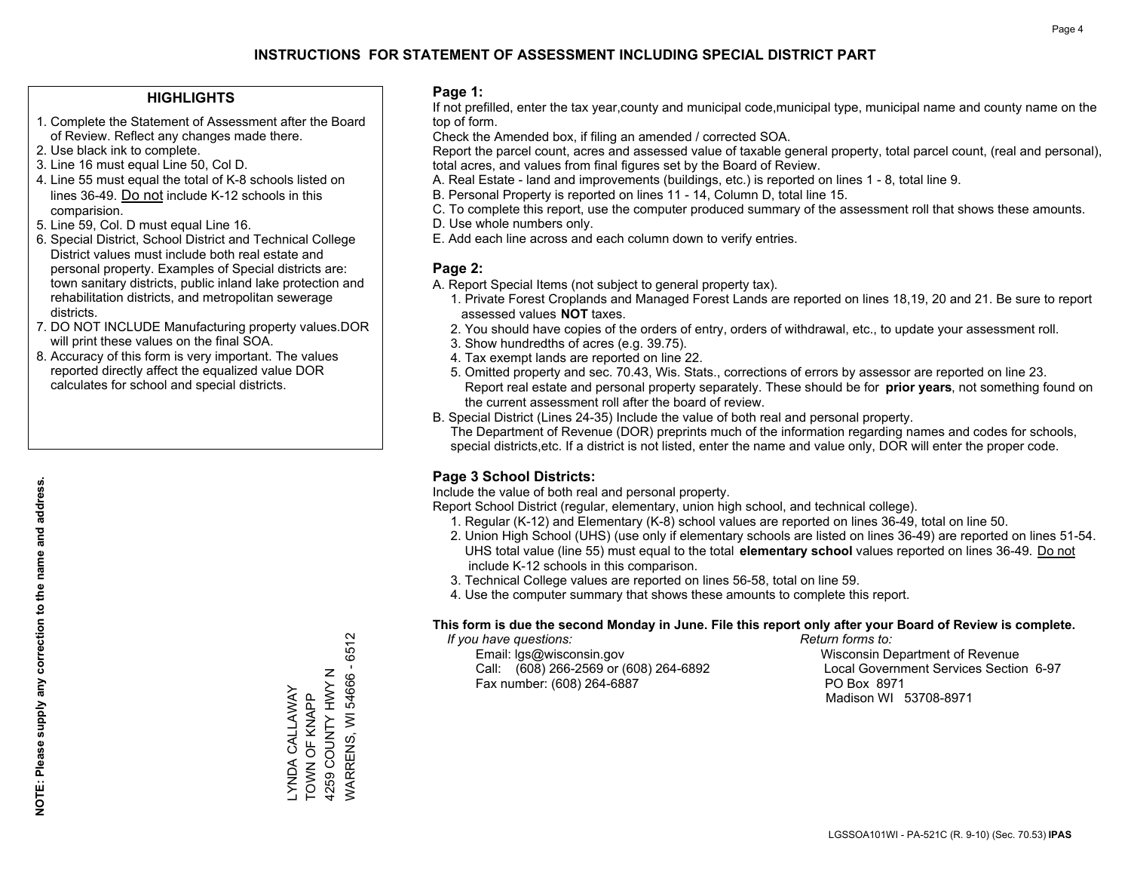#### **HIGHLIGHTS**

- 1. Complete the Statement of Assessment after the Board of Review. Reflect any changes made there.
- 2. Use black ink to complete.
- 3. Line 16 must equal Line 50, Col D.
- 4. Line 55 must equal the total of K-8 schools listed on lines 36-49. Do not include K-12 schools in this comparision.
- 5. Line 59, Col. D must equal Line 16.
- 6. Special District, School District and Technical College District values must include both real estate and personal property. Examples of Special districts are: town sanitary districts, public inland lake protection and rehabilitation districts, and metropolitan sewerage districts.
- 7. DO NOT INCLUDE Manufacturing property values.DOR will print these values on the final SOA.

LYNDA CALLAWAY TOWN OF KNAPP 4259 COUNTY HWY N WARRENS, WI 54666 - 6512

WARRENS, WI 54666 - 6512 4259 COUNTY HWY N \_YNDA CALLAWAY<br>TOWN OF KNAPP

 8. Accuracy of this form is very important. The values reported directly affect the equalized value DOR calculates for school and special districts.

#### **Page 1:**

 If not prefilled, enter the tax year,county and municipal code,municipal type, municipal name and county name on the top of form.

Check the Amended box, if filing an amended / corrected SOA.

 Report the parcel count, acres and assessed value of taxable general property, total parcel count, (real and personal), total acres, and values from final figures set by the Board of Review.

- A. Real Estate land and improvements (buildings, etc.) is reported on lines 1 8, total line 9.
- B. Personal Property is reported on lines 11 14, Column D, total line 15.
- C. To complete this report, use the computer produced summary of the assessment roll that shows these amounts.
- D. Use whole numbers only.
- E. Add each line across and each column down to verify entries.

### **Page 2:**

- A. Report Special Items (not subject to general property tax).
- 1. Private Forest Croplands and Managed Forest Lands are reported on lines 18,19, 20 and 21. Be sure to report assessed values **NOT** taxes.
- 2. You should have copies of the orders of entry, orders of withdrawal, etc., to update your assessment roll.
	- 3. Show hundredths of acres (e.g. 39.75).
- 4. Tax exempt lands are reported on line 22.
- 5. Omitted property and sec. 70.43, Wis. Stats., corrections of errors by assessor are reported on line 23. Report real estate and personal property separately. These should be for **prior years**, not something found on the current assessment roll after the board of review.
- B. Special District (Lines 24-35) Include the value of both real and personal property.

 The Department of Revenue (DOR) preprints much of the information regarding names and codes for schools, special districts,etc. If a district is not listed, enter the name and value only, DOR will enter the proper code.

### **Page 3 School Districts:**

Include the value of both real and personal property.

Report School District (regular, elementary, union high school, and technical college).

- 1. Regular (K-12) and Elementary (K-8) school values are reported on lines 36-49, total on line 50.
- 2. Union High School (UHS) (use only if elementary schools are listed on lines 36-49) are reported on lines 51-54. UHS total value (line 55) must equal to the total **elementary school** values reported on lines 36-49. Do notinclude K-12 schools in this comparison.
- 3. Technical College values are reported on lines 56-58, total on line 59.
- 4. Use the computer summary that shows these amounts to complete this report.

#### **This form is due the second Monday in June. File this report only after your Board of Review is complete.**

 *If you have questions: Return forms to:*

 Email: lgs@wisconsin.gov Wisconsin Department of RevenueCall:  $(608)$  266-2569 or  $(608)$  264-6892 Fax number: (608) 264-6887 PO Box 8971

Local Government Services Section 6-97

Madison WI 53708-8971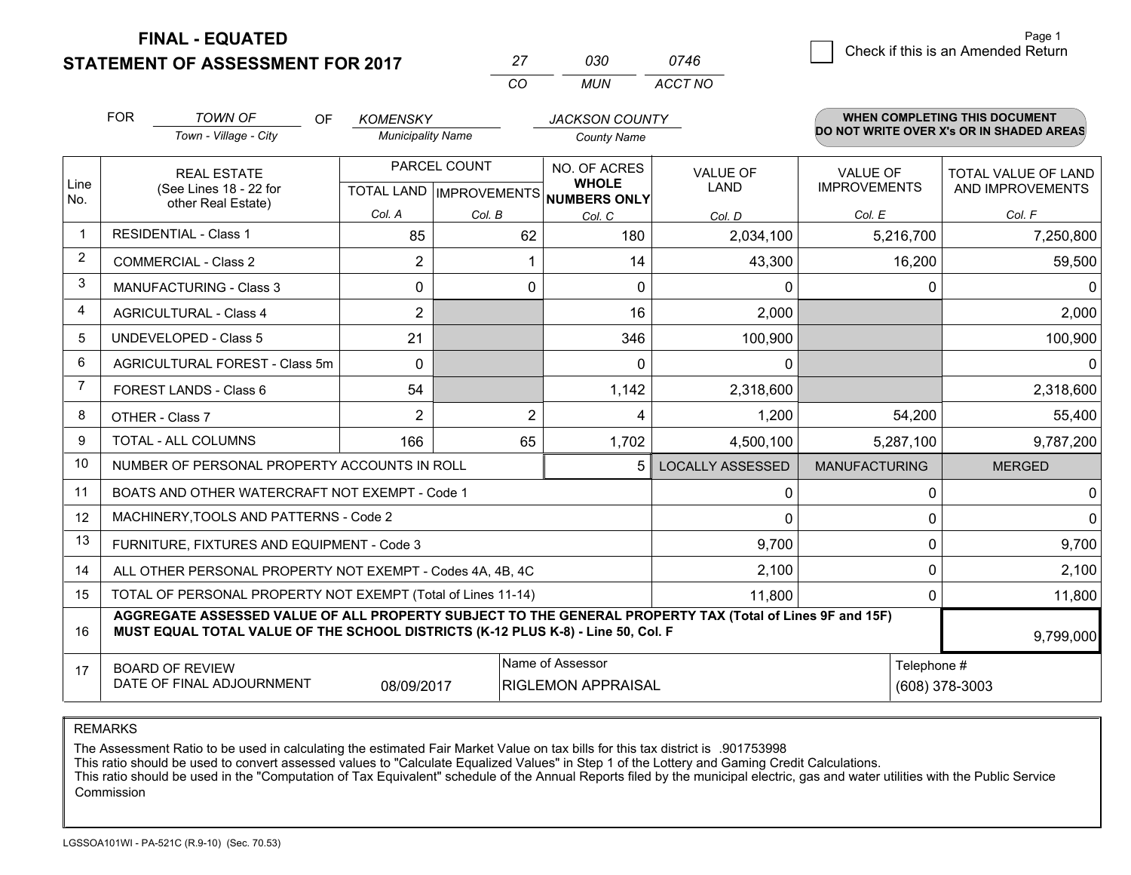**STATEMENT OF ASSESSMENT FOR 2017 FINAL - EQUATED**

<u> 1989 - Johann Stoff, deutscher Stoffen und der Stoffen und der Stoffen und der Stoffen und der Stoffen und de</u>

| 27  | റദറ | 0746    |
|-----|-----|---------|
| CO. | MUN | ACCT NO |

|                | <b>FOR</b>                                                                                                                                          | <b>TOWN OF</b><br><b>OF</b>                                                                                                                                                                  | <b>KOMENSKY</b>                                           |                | <b>JACKSON COUNTY</b>         |                         |                                        | <b>WHEN COMPLETING THIS DOCUMENT</b>     |
|----------------|-----------------------------------------------------------------------------------------------------------------------------------------------------|----------------------------------------------------------------------------------------------------------------------------------------------------------------------------------------------|-----------------------------------------------------------|----------------|-------------------------------|-------------------------|----------------------------------------|------------------------------------------|
|                |                                                                                                                                                     | Town - Village - City                                                                                                                                                                        | <b>Municipality Name</b>                                  |                | <b>County Name</b>            |                         |                                        | DO NOT WRITE OVER X's OR IN SHADED AREAS |
| Line           |                                                                                                                                                     | <b>REAL ESTATE</b><br>(See Lines 18 - 22 for                                                                                                                                                 | PARCEL COUNT<br><b>WHOLE</b><br>TOTAL LAND   IMPROVEMENTS |                | NO. OF ACRES                  | VALUE OF<br>LAND        | <b>VALUE OF</b><br><b>IMPROVEMENTS</b> | TOTAL VALUE OF LAND<br>AND IMPROVEMENTS  |
| No.            | other Real Estate)                                                                                                                                  |                                                                                                                                                                                              | Col. A                                                    | Col. B         | <b>NUMBERS ONLY</b><br>Col. C | Col. D                  | Col. E                                 | Col. F                                   |
| $\mathbf{1}$   |                                                                                                                                                     | <b>RESIDENTIAL - Class 1</b>                                                                                                                                                                 | 85                                                        | 62             | 180                           | 2,034,100               | 5,216,700                              | 7,250,800                                |
| 2              |                                                                                                                                                     | <b>COMMERCIAL - Class 2</b>                                                                                                                                                                  | $\overline{2}$                                            |                | 14                            | 43,300                  | 16,200                                 | 59,500                                   |
| $\mathbf{3}$   |                                                                                                                                                     | <b>MANUFACTURING - Class 3</b>                                                                                                                                                               | $\Omega$                                                  | 0              | 0                             | 0                       | $\Omega$                               |                                          |
| 4              |                                                                                                                                                     | <b>AGRICULTURAL - Class 4</b>                                                                                                                                                                | $\overline{2}$                                            |                | 16                            | 2,000                   |                                        | 2,000                                    |
| 5              |                                                                                                                                                     | <b>UNDEVELOPED - Class 5</b>                                                                                                                                                                 | 21                                                        |                | 346                           | 100,900                 |                                        | 100,900                                  |
| 6              |                                                                                                                                                     | AGRICULTURAL FOREST - Class 5m                                                                                                                                                               | $\Omega$                                                  |                | $\Omega$                      | 0                       |                                        |                                          |
| $\overline{7}$ |                                                                                                                                                     | FOREST LANDS - Class 6                                                                                                                                                                       | 54                                                        |                | 1,142                         | 2,318,600               |                                        | 2,318,600                                |
| 8              |                                                                                                                                                     | OTHER - Class 7                                                                                                                                                                              | 2                                                         | $\overline{2}$ | 4                             | 1,200                   | 54,200                                 | 55,400                                   |
| 9              |                                                                                                                                                     | TOTAL - ALL COLUMNS                                                                                                                                                                          | 166                                                       | 65             | 1,702                         | 4,500,100               | 5,287,100                              | 9,787,200                                |
| 10             |                                                                                                                                                     | NUMBER OF PERSONAL PROPERTY ACCOUNTS IN ROLL                                                                                                                                                 |                                                           |                | 5                             | <b>LOCALLY ASSESSED</b> | <b>MANUFACTURING</b>                   | <b>MERGED</b>                            |
| 11             |                                                                                                                                                     | BOATS AND OTHER WATERCRAFT NOT EXEMPT - Code 1                                                                                                                                               |                                                           |                |                               | 0                       | 0                                      |                                          |
| 12             |                                                                                                                                                     | MACHINERY, TOOLS AND PATTERNS - Code 2                                                                                                                                                       |                                                           |                |                               | $\Omega$                | 0                                      |                                          |
| 13             |                                                                                                                                                     | FURNITURE, FIXTURES AND EQUIPMENT - Code 3                                                                                                                                                   |                                                           |                |                               | 9,700                   | 0                                      | 9,700                                    |
| 14             | 2,100<br>0<br>ALL OTHER PERSONAL PROPERTY NOT EXEMPT - Codes 4A, 4B, 4C                                                                             |                                                                                                                                                                                              |                                                           |                |                               |                         |                                        | 2,100                                    |
| 15             | TOTAL OF PERSONAL PROPERTY NOT EXEMPT (Total of Lines 11-14)<br>11,800<br>0                                                                         |                                                                                                                                                                                              |                                                           |                |                               |                         | 11,800                                 |                                          |
| 16             |                                                                                                                                                     | AGGREGATE ASSESSED VALUE OF ALL PROPERTY SUBJECT TO THE GENERAL PROPERTY TAX (Total of Lines 9F and 15F)<br>MUST EQUAL TOTAL VALUE OF THE SCHOOL DISTRICTS (K-12 PLUS K-8) - Line 50, Col. F |                                                           |                |                               |                         |                                        | 9,799,000                                |
| 17             | Name of Assessor<br>Telephone #<br><b>BOARD OF REVIEW</b><br>DATE OF FINAL ADJOURNMENT<br><b>RIGLEMON APPRAISAL</b><br>(608) 378-3003<br>08/09/2017 |                                                                                                                                                                                              |                                                           |                |                               |                         |                                        |                                          |

REMARKS

The Assessment Ratio to be used in calculating the estimated Fair Market Value on tax bills for this tax district is .901753998<br>This ratio should be used to convert assessed values to "Calculate Equalized Values" in Step 1 Commission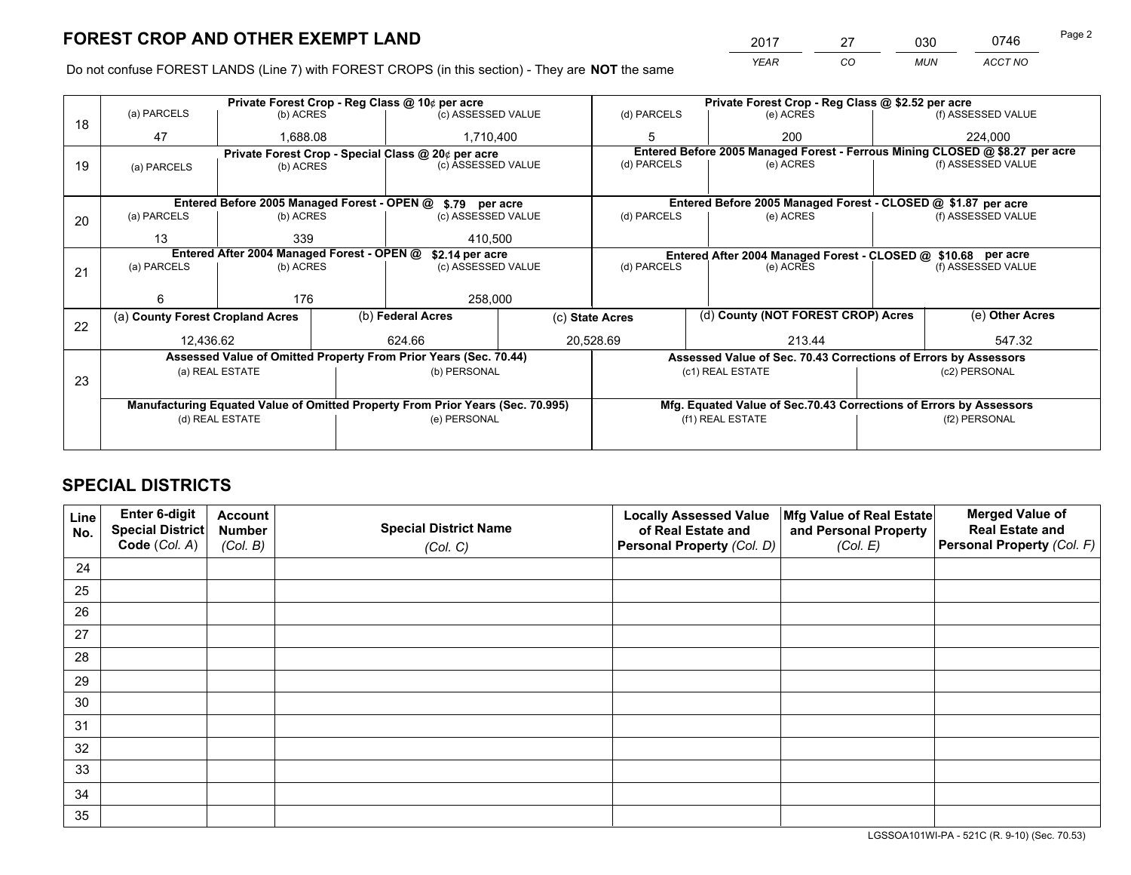*YEAR CO MUN ACCT NO* 2017 27 030 0746

Do not confuse FOREST LANDS (Line 7) with FOREST CROPS (in this section) - They are **NOT** the same

|    |                                                                                |                                            |  | Private Forest Crop - Reg Class @ 10¢ per acre                   |             | Private Forest Crop - Reg Class @ \$2.52 per acre                                         |                  |                                                                 |                                                                    |                                                                              |  |
|----|--------------------------------------------------------------------------------|--------------------------------------------|--|------------------------------------------------------------------|-------------|-------------------------------------------------------------------------------------------|------------------|-----------------------------------------------------------------|--------------------------------------------------------------------|------------------------------------------------------------------------------|--|
| 18 | (a) PARCELS                                                                    | (b) ACRES                                  |  | (c) ASSESSED VALUE                                               |             | (d) PARCELS                                                                               |                  | (e) ACRES                                                       |                                                                    | (f) ASSESSED VALUE                                                           |  |
|    | 47                                                                             | 1,688.08                                   |  | 1,710,400                                                        |             | 5                                                                                         |                  | 200                                                             |                                                                    | 224.000                                                                      |  |
|    |                                                                                |                                            |  | Private Forest Crop - Special Class @ 20¢ per acre               |             |                                                                                           |                  |                                                                 |                                                                    | Entered Before 2005 Managed Forest - Ferrous Mining CLOSED @ \$8.27 per acre |  |
| 19 | (a) PARCELS                                                                    | (c) ASSESSED VALUE<br>(b) ACRES            |  |                                                                  | (d) PARCELS |                                                                                           | (e) ACRES        |                                                                 | (f) ASSESSED VALUE                                                 |                                                                              |  |
|    |                                                                                |                                            |  |                                                                  |             |                                                                                           |                  |                                                                 |                                                                    |                                                                              |  |
|    |                                                                                |                                            |  | Entered Before 2005 Managed Forest - OPEN @ \$.79 per acre       |             |                                                                                           |                  | Entered Before 2005 Managed Forest - CLOSED @ \$1.87 per acre   |                                                                    |                                                                              |  |
| 20 | (a) PARCELS                                                                    | (b) ACRES                                  |  | (c) ASSESSED VALUE                                               |             | (d) PARCELS                                                                               |                  | (e) ACRES                                                       |                                                                    | (f) ASSESSED VALUE                                                           |  |
|    | 13                                                                             | 339                                        |  | 410.500                                                          |             |                                                                                           |                  |                                                                 |                                                                    |                                                                              |  |
|    |                                                                                | Entered After 2004 Managed Forest - OPEN @ |  |                                                                  |             |                                                                                           |                  |                                                                 |                                                                    |                                                                              |  |
|    | (a) PARCELS                                                                    | (b) ACRES                                  |  | \$2.14 per acre<br>(c) ASSESSED VALUE                            |             | Entered After 2004 Managed Forest - CLOSED @ \$10.68 per acre<br>(d) PARCELS<br>(e) ACRES |                  |                                                                 | (f) ASSESSED VALUE                                                 |                                                                              |  |
| 21 |                                                                                |                                            |  |                                                                  |             |                                                                                           |                  |                                                                 |                                                                    |                                                                              |  |
|    | 6                                                                              | 176                                        |  |                                                                  |             |                                                                                           |                  |                                                                 |                                                                    |                                                                              |  |
|    |                                                                                |                                            |  | 258,000                                                          |             |                                                                                           |                  |                                                                 |                                                                    |                                                                              |  |
| 22 | (a) County Forest Cropland Acres                                               |                                            |  | (b) Federal Acres                                                |             | (d) County (NOT FOREST CROP) Acres<br>(c) State Acres                                     |                  |                                                                 | (e) Other Acres                                                    |                                                                              |  |
|    | 12,436.62                                                                      |                                            |  | 20,528.69<br>624.66                                              |             | 213.44                                                                                    |                  |                                                                 | 547.32                                                             |                                                                              |  |
|    |                                                                                |                                            |  | Assessed Value of Omitted Property From Prior Years (Sec. 70.44) |             |                                                                                           |                  | Assessed Value of Sec. 70.43 Corrections of Errors by Assessors |                                                                    |                                                                              |  |
|    |                                                                                | (a) REAL ESTATE                            |  | (b) PERSONAL                                                     |             |                                                                                           | (c1) REAL ESTATE |                                                                 | (c2) PERSONAL                                                      |                                                                              |  |
| 23 |                                                                                |                                            |  |                                                                  |             |                                                                                           |                  |                                                                 |                                                                    |                                                                              |  |
|    | Manufacturing Equated Value of Omitted Property From Prior Years (Sec. 70.995) |                                            |  |                                                                  |             |                                                                                           |                  |                                                                 | Mfg. Equated Value of Sec.70.43 Corrections of Errors by Assessors |                                                                              |  |
|    | (d) REAL ESTATE                                                                |                                            |  | (e) PERSONAL                                                     |             | (f1) REAL ESTATE                                                                          |                  |                                                                 | (f2) PERSONAL                                                      |                                                                              |  |
|    |                                                                                |                                            |  |                                                                  |             |                                                                                           |                  |                                                                 |                                                                    |                                                                              |  |
|    |                                                                                |                                            |  |                                                                  |             |                                                                                           |                  |                                                                 |                                                                    |                                                                              |  |

## **SPECIAL DISTRICTS**

| Line<br>No. | Enter 6-digit<br>Special District<br>Code (Col. A) | <b>Account</b><br><b>Number</b> | <b>Special District Name</b> | <b>Locally Assessed Value</b><br>of Real Estate and | Mfg Value of Real Estate<br>and Personal Property | <b>Merged Value of</b><br><b>Real Estate and</b><br>Personal Property (Col. F) |
|-------------|----------------------------------------------------|---------------------------------|------------------------------|-----------------------------------------------------|---------------------------------------------------|--------------------------------------------------------------------------------|
|             |                                                    | (Col. B)                        | (Col. C)                     | Personal Property (Col. D)                          | (Col. E)                                          |                                                                                |
| 24          |                                                    |                                 |                              |                                                     |                                                   |                                                                                |
| 25          |                                                    |                                 |                              |                                                     |                                                   |                                                                                |
| 26          |                                                    |                                 |                              |                                                     |                                                   |                                                                                |
| 27          |                                                    |                                 |                              |                                                     |                                                   |                                                                                |
| 28          |                                                    |                                 |                              |                                                     |                                                   |                                                                                |
| 29          |                                                    |                                 |                              |                                                     |                                                   |                                                                                |
| 30          |                                                    |                                 |                              |                                                     |                                                   |                                                                                |
| 31          |                                                    |                                 |                              |                                                     |                                                   |                                                                                |
| 32          |                                                    |                                 |                              |                                                     |                                                   |                                                                                |
| 33          |                                                    |                                 |                              |                                                     |                                                   |                                                                                |
| 34          |                                                    |                                 |                              |                                                     |                                                   |                                                                                |
| 35          |                                                    |                                 |                              |                                                     |                                                   |                                                                                |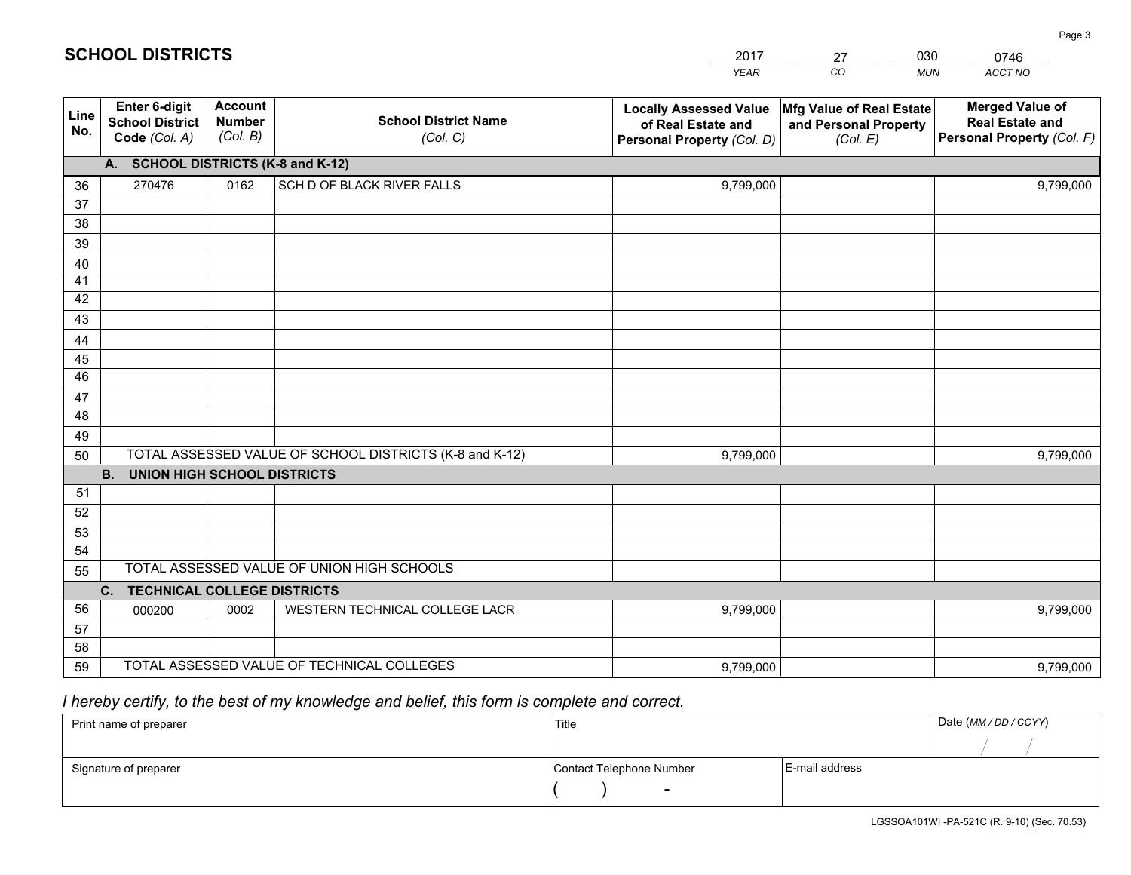|             |                                                          |                                             |                                                         | <b>YEAR</b>                                                                       | CO<br><b>MUN</b>                                              | ACCT NO                                                                        |
|-------------|----------------------------------------------------------|---------------------------------------------|---------------------------------------------------------|-----------------------------------------------------------------------------------|---------------------------------------------------------------|--------------------------------------------------------------------------------|
| Line<br>No. | Enter 6-digit<br><b>School District</b><br>Code (Col. A) | <b>Account</b><br><b>Number</b><br>(Col. B) | <b>School District Name</b><br>(Col. C)                 | <b>Locally Assessed Value</b><br>of Real Estate and<br>Personal Property (Col. D) | Mfg Value of Real Estate<br>and Personal Property<br>(Col. E) | <b>Merged Value of</b><br><b>Real Estate and</b><br>Personal Property (Col. F) |
|             | A. SCHOOL DISTRICTS (K-8 and K-12)                       |                                             |                                                         |                                                                                   |                                                               |                                                                                |
| 36          | 270476                                                   | 0162                                        | SCH D OF BLACK RIVER FALLS                              | 9,799,000                                                                         |                                                               | 9,799,000                                                                      |
| 37          |                                                          |                                             |                                                         |                                                                                   |                                                               |                                                                                |
| 38          |                                                          |                                             |                                                         |                                                                                   |                                                               |                                                                                |
| 39          |                                                          |                                             |                                                         |                                                                                   |                                                               |                                                                                |
| 40          |                                                          |                                             |                                                         |                                                                                   |                                                               |                                                                                |
| 41          |                                                          |                                             |                                                         |                                                                                   |                                                               |                                                                                |
| 42          |                                                          |                                             |                                                         |                                                                                   |                                                               |                                                                                |
| 43          |                                                          |                                             |                                                         |                                                                                   |                                                               |                                                                                |
| 44          |                                                          |                                             |                                                         |                                                                                   |                                                               |                                                                                |
| 45<br>46    |                                                          |                                             |                                                         |                                                                                   |                                                               |                                                                                |
|             |                                                          |                                             |                                                         |                                                                                   |                                                               |                                                                                |
| 47<br>48    |                                                          |                                             |                                                         |                                                                                   |                                                               |                                                                                |
| 49          |                                                          |                                             |                                                         |                                                                                   |                                                               |                                                                                |
| 50          |                                                          |                                             | TOTAL ASSESSED VALUE OF SCHOOL DISTRICTS (K-8 and K-12) | 9,799,000                                                                         |                                                               | 9,799,000                                                                      |
|             | <b>B.</b><br><b>UNION HIGH SCHOOL DISTRICTS</b>          |                                             |                                                         |                                                                                   |                                                               |                                                                                |
| 51          |                                                          |                                             |                                                         |                                                                                   |                                                               |                                                                                |
| 52          |                                                          |                                             |                                                         |                                                                                   |                                                               |                                                                                |
| 53          |                                                          |                                             |                                                         |                                                                                   |                                                               |                                                                                |
| 54          |                                                          |                                             |                                                         |                                                                                   |                                                               |                                                                                |
| 55          |                                                          |                                             | TOTAL ASSESSED VALUE OF UNION HIGH SCHOOLS              |                                                                                   |                                                               |                                                                                |
|             | C. TECHNICAL COLLEGE DISTRICTS                           |                                             |                                                         |                                                                                   |                                                               |                                                                                |
| 56          | 000200                                                   | 0002                                        | WESTERN TECHNICAL COLLEGE LACR                          | 9,799,000                                                                         |                                                               | 9,799,000                                                                      |
| 57          |                                                          |                                             |                                                         |                                                                                   |                                                               |                                                                                |
| 58          |                                                          |                                             |                                                         |                                                                                   |                                                               |                                                                                |
| 59          |                                                          |                                             | TOTAL ASSESSED VALUE OF TECHNICAL COLLEGES              | 9,799,000                                                                         |                                                               | 9,799,000                                                                      |

27

030

## *I hereby certify, to the best of my knowledge and belief, this form is complete and correct.*

**SCHOOL DISTRICTS**

| Print name of preparer | Title                    |                | Date (MM / DD / CCYY) |
|------------------------|--------------------------|----------------|-----------------------|
|                        |                          |                |                       |
| Signature of preparer  | Contact Telephone Number | E-mail address |                       |
|                        | $\overline{\phantom{0}}$ |                |                       |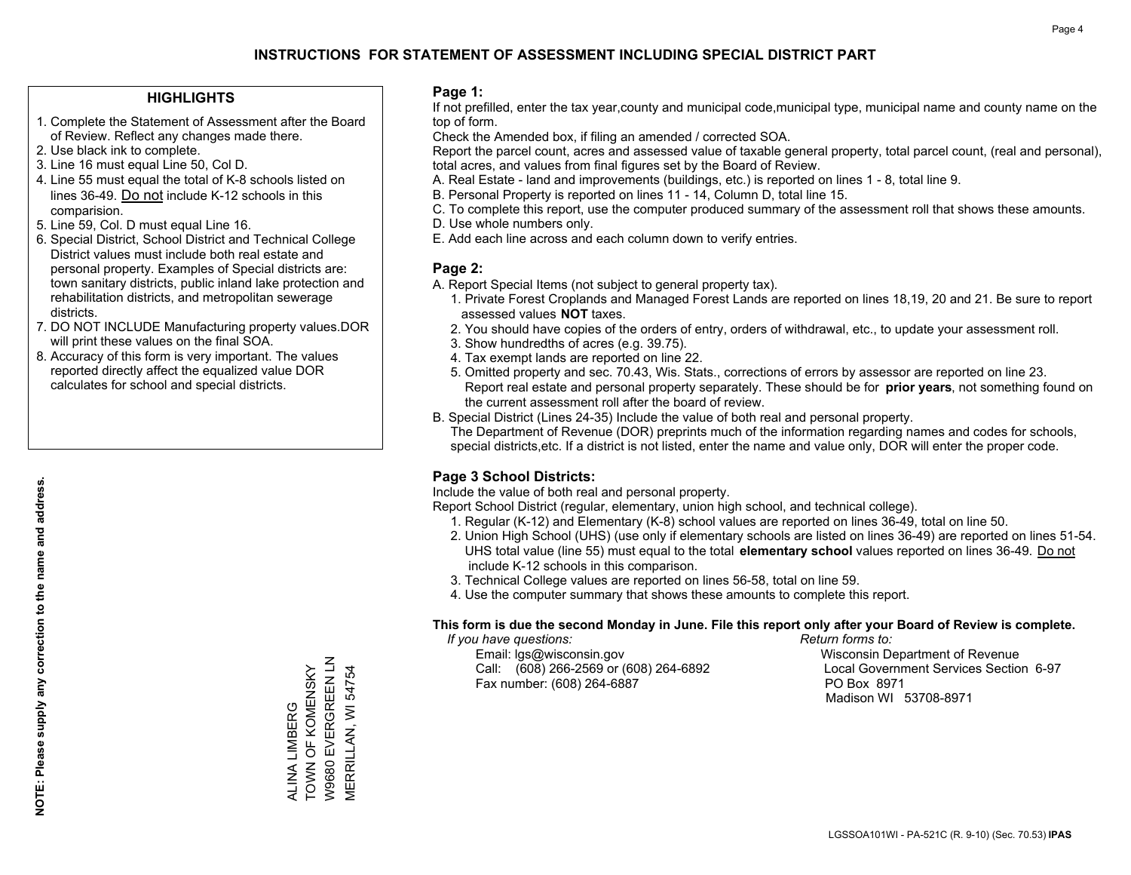#### **HIGHLIGHTS**

- 1. Complete the Statement of Assessment after the Board of Review. Reflect any changes made there.
- 2. Use black ink to complete.
- 3. Line 16 must equal Line 50, Col D.
- 4. Line 55 must equal the total of K-8 schools listed on lines 36-49. Do not include K-12 schools in this comparision.
- 5. Line 59, Col. D must equal Line 16.
- 6. Special District, School District and Technical College District values must include both real estate and personal property. Examples of Special districts are: town sanitary districts, public inland lake protection and rehabilitation districts, and metropolitan sewerage districts.
- 7. DO NOT INCLUDE Manufacturing property values.DOR will print these values on the final SOA.

ALINA LIMBERG TOWN OF KOMENSKY W9680 EVERGREEN LN MERRILLAN, WI 54754

W9680 EVERGREEN LN ALINA LIMBERG<br>TOWN OF KOMENSKY

**MERRILLAN, WI 54754** 

 8. Accuracy of this form is very important. The values reported directly affect the equalized value DOR calculates for school and special districts.

#### **Page 1:**

 If not prefilled, enter the tax year,county and municipal code,municipal type, municipal name and county name on the top of form.

Check the Amended box, if filing an amended / corrected SOA.

 Report the parcel count, acres and assessed value of taxable general property, total parcel count, (real and personal), total acres, and values from final figures set by the Board of Review.

- A. Real Estate land and improvements (buildings, etc.) is reported on lines 1 8, total line 9.
- B. Personal Property is reported on lines 11 14, Column D, total line 15.
- C. To complete this report, use the computer produced summary of the assessment roll that shows these amounts.
- D. Use whole numbers only.
- E. Add each line across and each column down to verify entries.

### **Page 2:**

- A. Report Special Items (not subject to general property tax).
- 1. Private Forest Croplands and Managed Forest Lands are reported on lines 18,19, 20 and 21. Be sure to report assessed values **NOT** taxes.
- 2. You should have copies of the orders of entry, orders of withdrawal, etc., to update your assessment roll.
	- 3. Show hundredths of acres (e.g. 39.75).
- 4. Tax exempt lands are reported on line 22.
- 5. Omitted property and sec. 70.43, Wis. Stats., corrections of errors by assessor are reported on line 23. Report real estate and personal property separately. These should be for **prior years**, not something found on the current assessment roll after the board of review.
- B. Special District (Lines 24-35) Include the value of both real and personal property.

 The Department of Revenue (DOR) preprints much of the information regarding names and codes for schools, special districts,etc. If a district is not listed, enter the name and value only, DOR will enter the proper code.

### **Page 3 School Districts:**

Include the value of both real and personal property.

Report School District (regular, elementary, union high school, and technical college).

- 1. Regular (K-12) and Elementary (K-8) school values are reported on lines 36-49, total on line 50.
- 2. Union High School (UHS) (use only if elementary schools are listed on lines 36-49) are reported on lines 51-54. UHS total value (line 55) must equal to the total **elementary school** values reported on lines 36-49. Do notinclude K-12 schools in this comparison.
- 3. Technical College values are reported on lines 56-58, total on line 59.
- 4. Use the computer summary that shows these amounts to complete this report.

#### **This form is due the second Monday in June. File this report only after your Board of Review is complete.**

 *If you have questions: Return forms to:*

 Email: lgs@wisconsin.gov Wisconsin Department of RevenueCall:  $(608)$  266-2569 or  $(608)$  264-6892 Fax number: (608) 264-6887 PO Box 8971

Local Government Services Section 6-97 Madison WI 53708-8971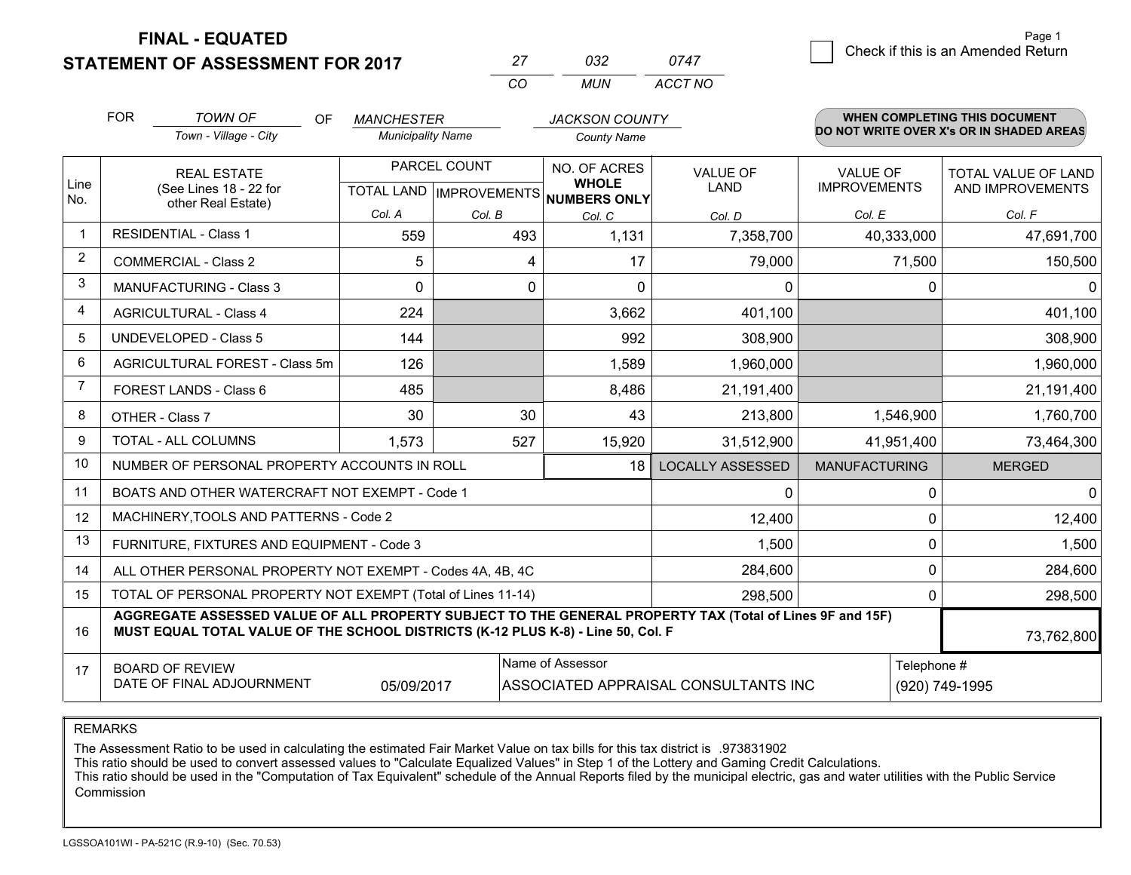**FINAL - EQUATED**

**STATEMENT OF ASSESSMENT FOR 2017** 

|          | 7132  | 0747    |
|----------|-------|---------|
| $\cdots$ | MI IN | ACCT NO |

|                | <b>FOR</b>                                                                                                                                                                                   | <b>TOWN OF</b><br><b>OF</b>                    | <b>MANCHESTER</b>        |                              | <b>JACKSON COUNTY</b>          |                                        |                                         | WHEN COMPLETING THIS DOCUMENT            |
|----------------|----------------------------------------------------------------------------------------------------------------------------------------------------------------------------------------------|------------------------------------------------|--------------------------|------------------------------|--------------------------------|----------------------------------------|-----------------------------------------|------------------------------------------|
|                |                                                                                                                                                                                              | Town - Village - City                          | <b>Municipality Name</b> |                              | <b>County Name</b>             |                                        |                                         | DO NOT WRITE OVER X's OR IN SHADED AREAS |
| Line<br>No.    | PARCEL COUNT<br><b>REAL ESTATE</b><br>(See Lines 18 - 22 for<br>TOTAL LAND IMPROVEMENTS NUMBERS ONLY                                                                                         |                                                |                          | NO. OF ACRES<br><b>WHOLE</b> | <b>VALUE OF</b><br><b>LAND</b> | <b>VALUE OF</b><br><b>IMPROVEMENTS</b> | TOTAL VALUE OF LAND<br>AND IMPROVEMENTS |                                          |
|                |                                                                                                                                                                                              | other Real Estate)                             | Col. A                   | Col. B                       | Col. C                         | Col. D                                 | Col. E                                  | Col. F                                   |
|                |                                                                                                                                                                                              | <b>RESIDENTIAL - Class 1</b>                   | 559                      | 493                          | 1,131                          | 7,358,700                              | 40,333,000                              | 47,691,700                               |
| 2              |                                                                                                                                                                                              | <b>COMMERCIAL - Class 2</b>                    | 5                        | 4                            | 17                             | 79,000                                 | 71,500                                  | 150,500                                  |
| 3              |                                                                                                                                                                                              | <b>MANUFACTURING - Class 3</b>                 | $\mathbf 0$              | 0                            | $\Omega$                       | 0                                      |                                         | $\mathbf 0$<br>$\Omega$                  |
| 4              |                                                                                                                                                                                              | <b>AGRICULTURAL - Class 4</b>                  | 224                      |                              | 3,662                          | 401,100                                |                                         | 401,100                                  |
| 5              |                                                                                                                                                                                              | UNDEVELOPED - Class 5                          | 144                      |                              | 992                            | 308,900                                |                                         | 308,900                                  |
| 6              |                                                                                                                                                                                              | AGRICULTURAL FOREST - Class 5m                 | 126                      |                              | 1,589                          | 1,960,000                              |                                         | 1,960,000                                |
| $\overline{7}$ |                                                                                                                                                                                              | FOREST LANDS - Class 6                         | 485                      |                              | 8,486                          | 21,191,400                             |                                         | 21,191,400                               |
| 8              |                                                                                                                                                                                              | OTHER - Class 7                                | 30                       | 30                           | 43                             | 213,800                                | 1,546,900                               | 1,760,700                                |
| 9              |                                                                                                                                                                                              | TOTAL - ALL COLUMNS                            | 1,573                    | 527                          | 15,920                         | 31,512,900                             | 41,951,400                              | 73,464,300                               |
| 10             |                                                                                                                                                                                              | NUMBER OF PERSONAL PROPERTY ACCOUNTS IN ROLL   |                          |                              | 18                             | <b>LOCALLY ASSESSED</b>                | <b>MANUFACTURING</b>                    | <b>MERGED</b>                            |
| 11             |                                                                                                                                                                                              | BOATS AND OTHER WATERCRAFT NOT EXEMPT - Code 1 |                          |                              |                                | 0                                      |                                         | $\Omega$<br>$\Omega$                     |
| 12             |                                                                                                                                                                                              | MACHINERY, TOOLS AND PATTERNS - Code 2         |                          |                              |                                | 12,400                                 |                                         | 12,400<br>0                              |
| 13             |                                                                                                                                                                                              | FURNITURE, FIXTURES AND EQUIPMENT - Code 3     |                          |                              |                                | 1,500                                  |                                         | $\mathbf 0$<br>1,500                     |
| 14             | ALL OTHER PERSONAL PROPERTY NOT EXEMPT - Codes 4A, 4B, 4C                                                                                                                                    |                                                |                          |                              |                                | 284,600                                |                                         | 284,600<br>0                             |
| 15             | TOTAL OF PERSONAL PROPERTY NOT EXEMPT (Total of Lines 11-14)                                                                                                                                 |                                                |                          |                              |                                | 298,500                                |                                         | 298,500<br>$\Omega$                      |
| 16             | AGGREGATE ASSESSED VALUE OF ALL PROPERTY SUBJECT TO THE GENERAL PROPERTY TAX (Total of Lines 9F and 15F)<br>MUST EQUAL TOTAL VALUE OF THE SCHOOL DISTRICTS (K-12 PLUS K-8) - Line 50, Col. F |                                                |                          |                              |                                |                                        |                                         | 73,762,800                               |
| 17             | Name of Assessor<br><b>BOARD OF REVIEW</b><br>DATE OF FINAL ADJOURNMENT<br>05/09/2017<br>ASSOCIATED APPRAISAL CONSULTANTS INC                                                                |                                                |                          |                              |                                | Telephone #<br>(920) 749-1995          |                                         |                                          |

REMARKS

The Assessment Ratio to be used in calculating the estimated Fair Market Value on tax bills for this tax district is .973831902

This ratio should be used to convert assessed values to "Calculate Equalized Values" in Step 1 of the Lottery and Gaming Credit Calculations.<br>This ratio should be used in the "Computation of Tax Equivalent" schedule of the Commission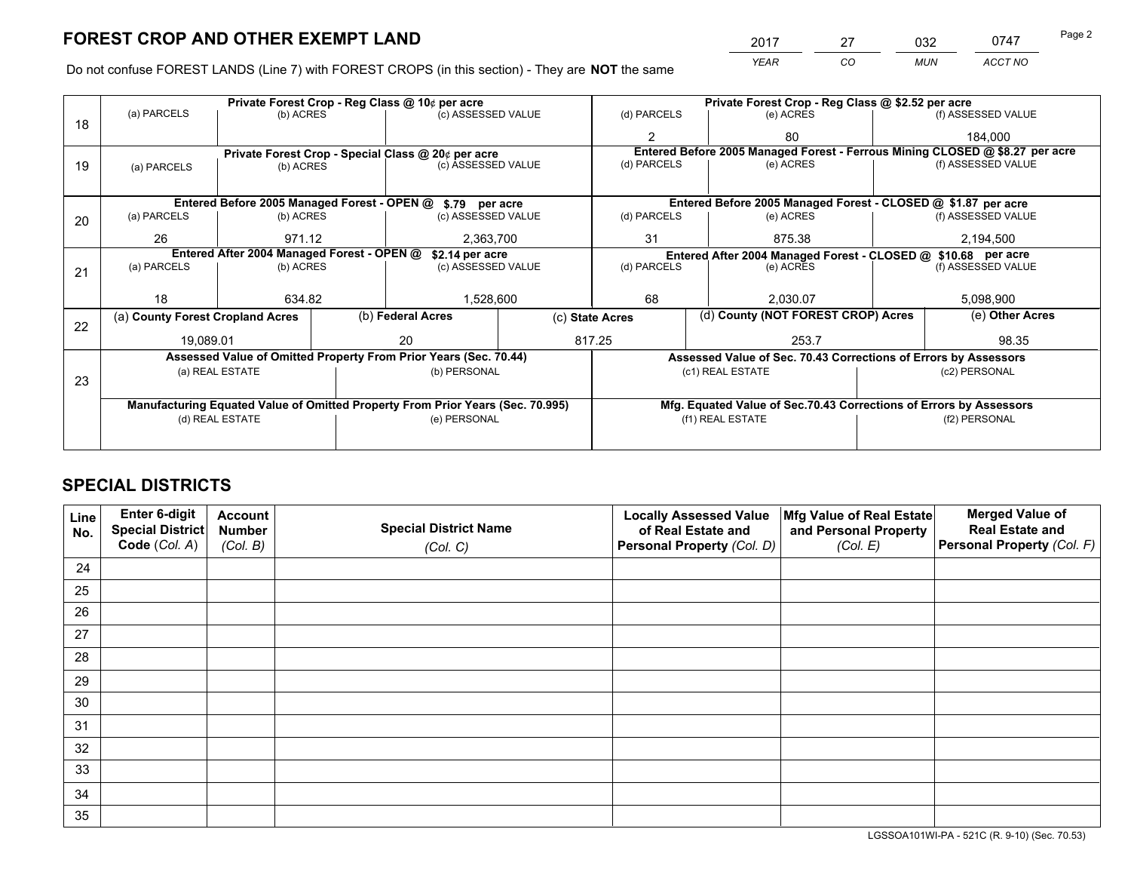*YEAR CO MUN ACCT NO* 2017 27 032 0747 Page 2

Do not confuse FOREST LANDS (Line 7) with FOREST CROPS (in this section) - They are **NOT** the same

|    |                                            |                                  |                                                                  | Private Forest Crop - Reg Class @ 10¢ per acre                                 |                 |                                                               | Private Forest Crop - Reg Class @ \$2.52 per acre                            |                                                                 |                                                                    |                    |
|----|--------------------------------------------|----------------------------------|------------------------------------------------------------------|--------------------------------------------------------------------------------|-----------------|---------------------------------------------------------------|------------------------------------------------------------------------------|-----------------------------------------------------------------|--------------------------------------------------------------------|--------------------|
| 18 | (a) PARCELS                                | (b) ACRES                        |                                                                  | (c) ASSESSED VALUE                                                             |                 | (d) PARCELS                                                   |                                                                              | (e) ACRES                                                       |                                                                    | (f) ASSESSED VALUE |
|    |                                            |                                  |                                                                  |                                                                                |                 | $\mathfrak{p}$                                                |                                                                              | 80                                                              |                                                                    | 184.000            |
|    |                                            |                                  |                                                                  | Private Forest Crop - Special Class @ 20¢ per acre                             |                 |                                                               | Entered Before 2005 Managed Forest - Ferrous Mining CLOSED @ \$8.27 per acre |                                                                 |                                                                    |                    |
| 19 | (a) PARCELS                                | (b) ACRES                        |                                                                  | (c) ASSESSED VALUE                                                             |                 | (d) PARCELS                                                   |                                                                              | (e) ACRES                                                       |                                                                    | (f) ASSESSED VALUE |
|    |                                            |                                  |                                                                  |                                                                                |                 |                                                               |                                                                              |                                                                 |                                                                    |                    |
|    |                                            |                                  |                                                                  | Entered Before 2005 Managed Forest - OPEN @ \$.79 per acre                     |                 |                                                               |                                                                              | Entered Before 2005 Managed Forest - CLOSED @ \$1.87 per acre   |                                                                    |                    |
| 20 | (a) PARCELS                                | (b) ACRES                        |                                                                  | (c) ASSESSED VALUE                                                             |                 | (d) PARCELS                                                   |                                                                              | (e) ACRES                                                       |                                                                    | (f) ASSESSED VALUE |
|    | 26                                         | 971.12                           |                                                                  | 2,363,700                                                                      |                 | 31                                                            |                                                                              | 875.38                                                          |                                                                    | 2,194,500          |
|    | Entered After 2004 Managed Forest - OPEN @ |                                  |                                                                  | \$2.14 per acre                                                                |                 | Entered After 2004 Managed Forest - CLOSED @ \$10.68 per acre |                                                                              |                                                                 |                                                                    |                    |
| 21 | (a) PARCELS                                | (b) ACRES                        |                                                                  | (c) ASSESSED VALUE                                                             |                 | (d) PARCELS                                                   |                                                                              | (e) ACRES                                                       |                                                                    | (f) ASSESSED VALUE |
|    |                                            |                                  |                                                                  |                                                                                |                 |                                                               |                                                                              |                                                                 |                                                                    |                    |
|    | 18                                         | 634.82                           |                                                                  | 1,528,600                                                                      |                 | 68                                                            |                                                                              | 2,030.07                                                        |                                                                    | 5,098,900          |
| 22 |                                            | (a) County Forest Cropland Acres |                                                                  | (b) Federal Acres                                                              | (c) State Acres |                                                               |                                                                              | (d) County (NOT FOREST CROP) Acres                              |                                                                    | (e) Other Acres    |
|    | 19.089.01                                  |                                  |                                                                  | 817.25<br>20                                                                   |                 |                                                               | 253.7                                                                        |                                                                 |                                                                    | 98.35              |
|    |                                            |                                  | Assessed Value of Omitted Property From Prior Years (Sec. 70.44) |                                                                                |                 |                                                               |                                                                              | Assessed Value of Sec. 70.43 Corrections of Errors by Assessors |                                                                    |                    |
|    |                                            | (a) REAL ESTATE                  |                                                                  | (b) PERSONAL                                                                   |                 |                                                               |                                                                              | (c1) REAL ESTATE                                                |                                                                    | (c2) PERSONAL      |
| 23 |                                            |                                  |                                                                  |                                                                                |                 |                                                               |                                                                              |                                                                 |                                                                    |                    |
|    |                                            |                                  |                                                                  | Manufacturing Equated Value of Omitted Property From Prior Years (Sec. 70.995) |                 |                                                               |                                                                              |                                                                 | Mfg. Equated Value of Sec.70.43 Corrections of Errors by Assessors |                    |
|    |                                            | (d) REAL ESTATE                  |                                                                  | (e) PERSONAL                                                                   |                 |                                                               |                                                                              | (f1) REAL ESTATE                                                |                                                                    | (f2) PERSONAL      |
|    |                                            |                                  |                                                                  |                                                                                |                 |                                                               |                                                                              |                                                                 |                                                                    |                    |

## **SPECIAL DISTRICTS**

| Line<br>No. | Enter 6-digit<br>Special District<br>Code (Col. A) | <b>Account</b><br><b>Number</b><br>(Col. B) | <b>Special District Name</b><br>(Col. C) | <b>Locally Assessed Value</b><br>of Real Estate and<br>Personal Property (Col. D) | Mfg Value of Real Estate<br>and Personal Property<br>(Col. E) | <b>Merged Value of</b><br><b>Real Estate and</b><br>Personal Property (Col. F) |
|-------------|----------------------------------------------------|---------------------------------------------|------------------------------------------|-----------------------------------------------------------------------------------|---------------------------------------------------------------|--------------------------------------------------------------------------------|
| 24          |                                                    |                                             |                                          |                                                                                   |                                                               |                                                                                |
| 25          |                                                    |                                             |                                          |                                                                                   |                                                               |                                                                                |
| 26          |                                                    |                                             |                                          |                                                                                   |                                                               |                                                                                |
| 27          |                                                    |                                             |                                          |                                                                                   |                                                               |                                                                                |
| 28          |                                                    |                                             |                                          |                                                                                   |                                                               |                                                                                |
| 29          |                                                    |                                             |                                          |                                                                                   |                                                               |                                                                                |
| 30          |                                                    |                                             |                                          |                                                                                   |                                                               |                                                                                |
| 31          |                                                    |                                             |                                          |                                                                                   |                                                               |                                                                                |
| 32          |                                                    |                                             |                                          |                                                                                   |                                                               |                                                                                |
| 33          |                                                    |                                             |                                          |                                                                                   |                                                               |                                                                                |
| 34          |                                                    |                                             |                                          |                                                                                   |                                                               |                                                                                |
| 35          |                                                    |                                             |                                          |                                                                                   |                                                               |                                                                                |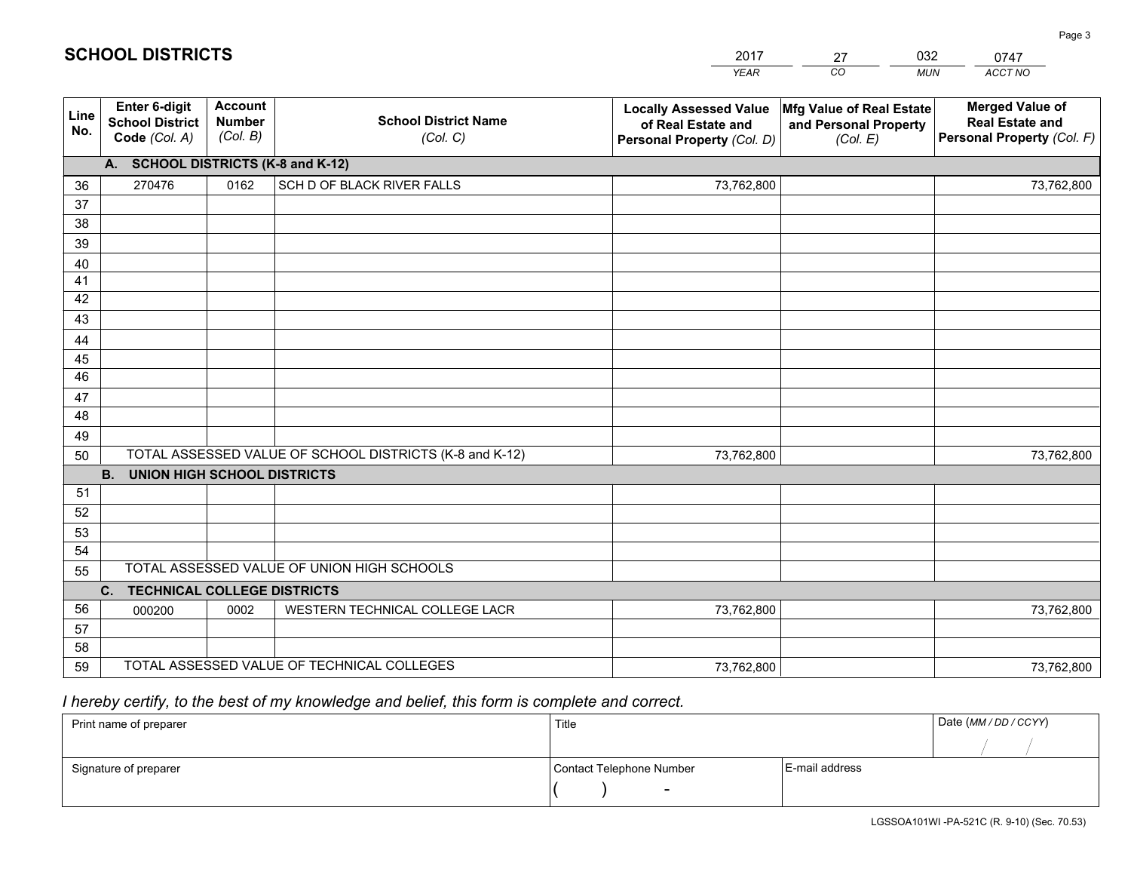|             |                                                          |                                             |                                                         | <b>YEAR</b>                                                                       | CO<br><b>MUN</b>                                              | ACCT NO                                                                        |
|-------------|----------------------------------------------------------|---------------------------------------------|---------------------------------------------------------|-----------------------------------------------------------------------------------|---------------------------------------------------------------|--------------------------------------------------------------------------------|
| Line<br>No. | Enter 6-digit<br><b>School District</b><br>Code (Col. A) | <b>Account</b><br><b>Number</b><br>(Col. B) | <b>School District Name</b><br>(Col. C)                 | <b>Locally Assessed Value</b><br>of Real Estate and<br>Personal Property (Col. D) | Mfg Value of Real Estate<br>and Personal Property<br>(Col. E) | <b>Merged Value of</b><br><b>Real Estate and</b><br>Personal Property (Col. F) |
|             | A. SCHOOL DISTRICTS (K-8 and K-12)                       |                                             |                                                         |                                                                                   |                                                               |                                                                                |
| 36          | 270476                                                   | 0162                                        | SCH D OF BLACK RIVER FALLS                              | 73,762,800                                                                        |                                                               | 73,762,800                                                                     |
| 37          |                                                          |                                             |                                                         |                                                                                   |                                                               |                                                                                |
| 38          |                                                          |                                             |                                                         |                                                                                   |                                                               |                                                                                |
| 39          |                                                          |                                             |                                                         |                                                                                   |                                                               |                                                                                |
| 40          |                                                          |                                             |                                                         |                                                                                   |                                                               |                                                                                |
| 41          |                                                          |                                             |                                                         |                                                                                   |                                                               |                                                                                |
| 42          |                                                          |                                             |                                                         |                                                                                   |                                                               |                                                                                |
| 43          |                                                          |                                             |                                                         |                                                                                   |                                                               |                                                                                |
| 44          |                                                          |                                             |                                                         |                                                                                   |                                                               |                                                                                |
| 45<br>46    |                                                          |                                             |                                                         |                                                                                   |                                                               |                                                                                |
|             |                                                          |                                             |                                                         |                                                                                   |                                                               |                                                                                |
| 47<br>48    |                                                          |                                             |                                                         |                                                                                   |                                                               |                                                                                |
| 49          |                                                          |                                             |                                                         |                                                                                   |                                                               |                                                                                |
| 50          |                                                          |                                             | TOTAL ASSESSED VALUE OF SCHOOL DISTRICTS (K-8 and K-12) | 73,762,800                                                                        |                                                               | 73,762,800                                                                     |
|             | <b>UNION HIGH SCHOOL DISTRICTS</b><br><b>B.</b>          |                                             |                                                         |                                                                                   |                                                               |                                                                                |
| 51          |                                                          |                                             |                                                         |                                                                                   |                                                               |                                                                                |
| 52          |                                                          |                                             |                                                         |                                                                                   |                                                               |                                                                                |
| 53          |                                                          |                                             |                                                         |                                                                                   |                                                               |                                                                                |
| 54          |                                                          |                                             |                                                         |                                                                                   |                                                               |                                                                                |
| 55          |                                                          |                                             | TOTAL ASSESSED VALUE OF UNION HIGH SCHOOLS              |                                                                                   |                                                               |                                                                                |
|             | C. TECHNICAL COLLEGE DISTRICTS                           |                                             |                                                         |                                                                                   |                                                               |                                                                                |
| 56          | 000200                                                   | 0002                                        | WESTERN TECHNICAL COLLEGE LACR                          | 73,762,800                                                                        |                                                               | 73,762,800                                                                     |
| 57          |                                                          |                                             |                                                         |                                                                                   |                                                               |                                                                                |
| 58          |                                                          |                                             |                                                         |                                                                                   |                                                               |                                                                                |
| 59          |                                                          |                                             | TOTAL ASSESSED VALUE OF TECHNICAL COLLEGES              | 73,762,800                                                                        |                                                               | 73,762,800                                                                     |

27

032

## *I hereby certify, to the best of my knowledge and belief, this form is complete and correct.*

**SCHOOL DISTRICTS**

| Print name of preparer | Title                    |                  | Date (MM / DD / CCYY) |
|------------------------|--------------------------|------------------|-----------------------|
|                        |                          |                  |                       |
| Signature of preparer  | Contact Telephone Number | l E-mail address |                       |
|                        | $\overline{\phantom{0}}$ |                  |                       |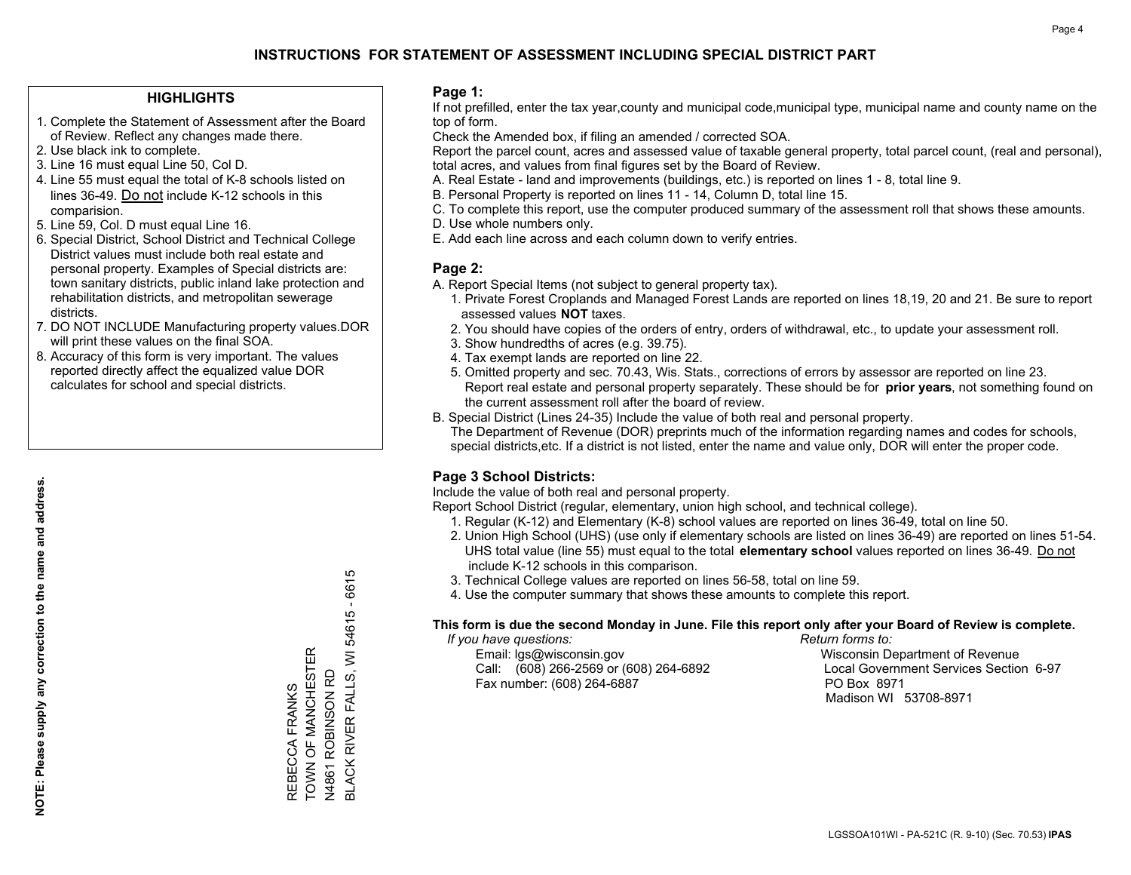#### **HIGHLIGHTS**

- 1. Complete the Statement of Assessment after the Board of Review. Reflect any changes made there.
- 2. Use black ink to complete.
- 3. Line 16 must equal Line 50, Col D.
- 4. Line 55 must equal the total of K-8 schools listed on lines 36-49. Do not include K-12 schools in this comparision.
- 5. Line 59, Col. D must equal Line 16.
- 6. Special District, School District and Technical College District values must include both real estate and personal property. Examples of Special districts are: town sanitary districts, public inland lake protection and rehabilitation districts, and metropolitan sewerage districts.
- 7. DO NOT INCLUDE Manufacturing property values.DOR will print these values on the final SOA.
- 8. Accuracy of this form is very important. The values reported directly affect the equalized value DOR calculates for school and special districts.

#### **Page 1:**

 If not prefilled, enter the tax year,county and municipal code,municipal type, municipal name and county name on the top of form.

Check the Amended box, if filing an amended / corrected SOA.

 Report the parcel count, acres and assessed value of taxable general property, total parcel count, (real and personal), total acres, and values from final figures set by the Board of Review.

- A. Real Estate land and improvements (buildings, etc.) is reported on lines 1 8, total line 9.
- B. Personal Property is reported on lines 11 14, Column D, total line 15.
- C. To complete this report, use the computer produced summary of the assessment roll that shows these amounts.
- D. Use whole numbers only.
- E. Add each line across and each column down to verify entries.

### **Page 2:**

- A. Report Special Items (not subject to general property tax).
- 1. Private Forest Croplands and Managed Forest Lands are reported on lines 18,19, 20 and 21. Be sure to report assessed values **NOT** taxes.
- 2. You should have copies of the orders of entry, orders of withdrawal, etc., to update your assessment roll.
	- 3. Show hundredths of acres (e.g. 39.75).
- 4. Tax exempt lands are reported on line 22.
- 5. Omitted property and sec. 70.43, Wis. Stats., corrections of errors by assessor are reported on line 23. Report real estate and personal property separately. These should be for **prior years**, not something found on the current assessment roll after the board of review.
- B. Special District (Lines 24-35) Include the value of both real and personal property.

 The Department of Revenue (DOR) preprints much of the information regarding names and codes for schools, special districts,etc. If a district is not listed, enter the name and value only, DOR will enter the proper code.

### **Page 3 School Districts:**

Include the value of both real and personal property.

Report School District (regular, elementary, union high school, and technical college).

- 1. Regular (K-12) and Elementary (K-8) school values are reported on lines 36-49, total on line 50.
- 2. Union High School (UHS) (use only if elementary schools are listed on lines 36-49) are reported on lines 51-54. UHS total value (line 55) must equal to the total **elementary school** values reported on lines 36-49. Do notinclude K-12 schools in this comparison.
- 3. Technical College values are reported on lines 56-58, total on line 59.
- 4. Use the computer summary that shows these amounts to complete this report.

#### **This form is due the second Monday in June. File this report only after your Board of Review is complete.**

 *If you have questions: Return forms to:*

 Email: lgs@wisconsin.gov Wisconsin Department of RevenueCall:  $(608)$  266-2569 or  $(608)$  264-6892 Fax number: (608) 264-6887 PO Box 8971

Local Government Services Section 6-97 Madison WI 53708-8971

BLACK RIVER FALLS, WI 54615 - 6615 BLACK RIVER FALLS, WI 54615 -TOWN OF MANCHESTER REBECCA FRANKS<br>TOWN OF MANCHESTER N4861 ROBINSON RD<br>N4861 ROBINSON RD N4861 ROBINSON RD REBECCA FRANKS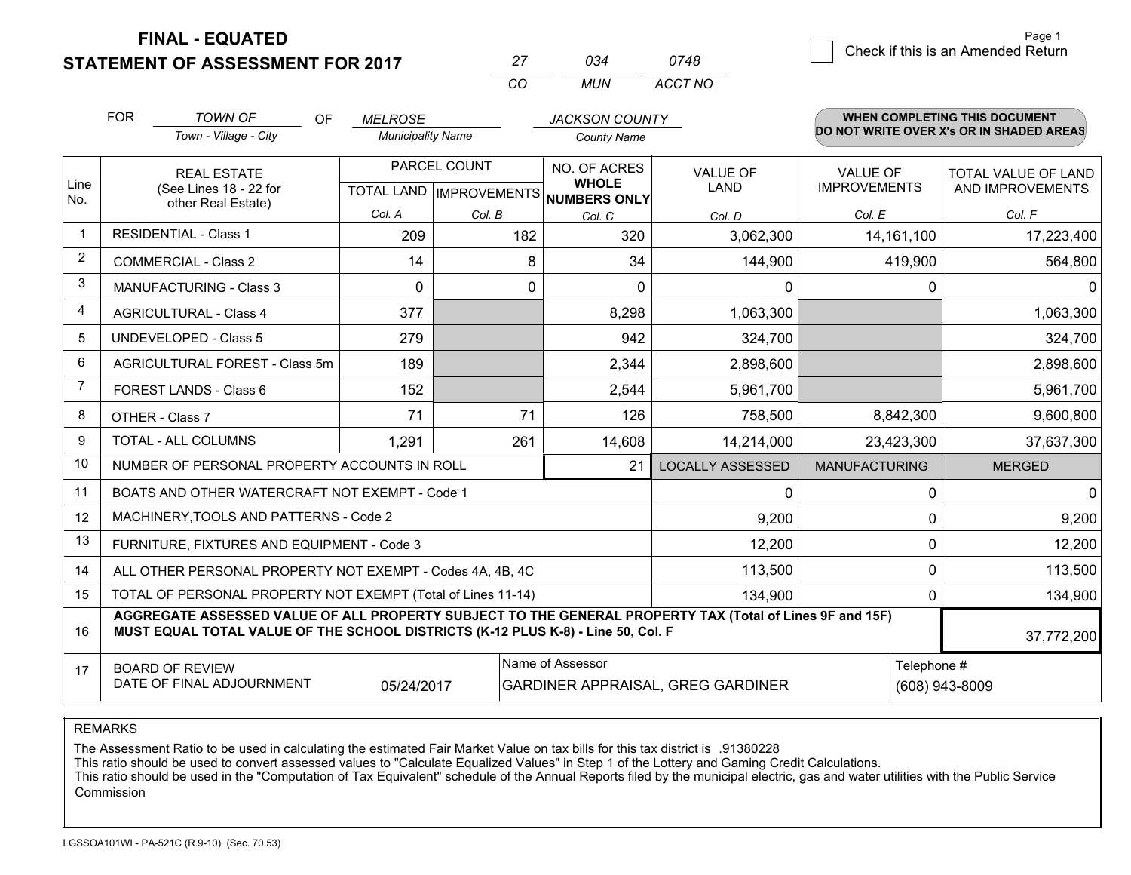**FINAL - EQUATED**

**STATEMENT OF ASSESSMENT FOR 2017** 

| 27  | กว⊿ | 0748    |
|-----|-----|---------|
| CO. | MUN | ACCT NO |

|      | <b>FOR</b>                                                                                                                                                                                   | TOWN OF<br><b>OF</b><br>Town - Village - City             | <b>MELROSE</b><br><b>Municipality Name</b> |          | <b>JACKSON COUNTY</b><br><b>County Name</b>             |                         |                                        | <b>WHEN COMPLETING THIS DOCUMENT</b><br>DO NOT WRITE OVER X's OR IN SHADED AREAS |
|------|----------------------------------------------------------------------------------------------------------------------------------------------------------------------------------------------|-----------------------------------------------------------|--------------------------------------------|----------|---------------------------------------------------------|-------------------------|----------------------------------------|----------------------------------------------------------------------------------|
| Line |                                                                                                                                                                                              | <b>REAL ESTATE</b><br>(See Lines 18 - 22 for              | PARCEL COUNT                               |          | NO. OF ACRES<br><b>VALUE OF</b><br><b>WHOLE</b><br>LAND |                         | <b>VALUE OF</b><br><b>IMPROVEMENTS</b> | <b>TOTAL VALUE OF LAND</b><br>AND IMPROVEMENTS                                   |
| No.  |                                                                                                                                                                                              | other Real Estate)                                        | Col. A                                     | Col. B   | TOTAL LAND IMPROVEMENTS NUMBERS ONLY<br>Col. C          | Col. D                  | Col. E                                 | Col. F                                                                           |
|      |                                                                                                                                                                                              | <b>RESIDENTIAL - Class 1</b>                              | 209                                        | 182      | 320                                                     | 3,062,300               | 14, 161, 100                           | 17,223,400                                                                       |
| 2    |                                                                                                                                                                                              | <b>COMMERCIAL - Class 2</b>                               | 14                                         | 8        | 34                                                      | 144,900                 | 419,900                                | 564,800                                                                          |
| 3    |                                                                                                                                                                                              | <b>MANUFACTURING - Class 3</b>                            | $\Omega$                                   | $\Omega$ | $\Omega$                                                | 0                       | $\Omega$                               | 0                                                                                |
| 4    |                                                                                                                                                                                              | <b>AGRICULTURAL - Class 4</b>                             | 377                                        |          | 8,298                                                   | 1,063,300               |                                        | 1,063,300                                                                        |
| 5    |                                                                                                                                                                                              | <b>UNDEVELOPED - Class 5</b>                              | 279                                        |          | 942                                                     | 324,700                 |                                        | 324,700                                                                          |
| 6    |                                                                                                                                                                                              | AGRICULTURAL FOREST - Class 5m                            | 189                                        |          | 2,344                                                   | 2,898,600               |                                        | 2,898,600                                                                        |
| 7    |                                                                                                                                                                                              | FOREST LANDS - Class 6                                    | 152                                        |          | 2,544                                                   | 5,961,700               |                                        | 5,961,700                                                                        |
| 8    |                                                                                                                                                                                              | OTHER - Class 7                                           | 71                                         | 71       | 126                                                     | 758,500                 | 8,842,300                              | 9,600,800                                                                        |
| 9    |                                                                                                                                                                                              | TOTAL - ALL COLUMNS                                       | 1,291                                      | 261      | 14,608                                                  | 14,214,000              | 23,423,300                             | 37,637,300                                                                       |
| 10   |                                                                                                                                                                                              | NUMBER OF PERSONAL PROPERTY ACCOUNTS IN ROLL              |                                            |          | 21                                                      | <b>LOCALLY ASSESSED</b> | <b>MANUFACTURING</b>                   | <b>MERGED</b>                                                                    |
| 11   |                                                                                                                                                                                              | BOATS AND OTHER WATERCRAFT NOT EXEMPT - Code 1            |                                            |          |                                                         | 0                       | $\Omega$                               | $\mathbf{0}$                                                                     |
| 12   |                                                                                                                                                                                              | MACHINERY, TOOLS AND PATTERNS - Code 2                    |                                            |          |                                                         | 9,200                   | $\Omega$                               | 9,200                                                                            |
| 13   |                                                                                                                                                                                              | FURNITURE, FIXTURES AND EQUIPMENT - Code 3                |                                            |          |                                                         | 12,200                  | $\mathbf 0$                            | 12,200                                                                           |
| 14   |                                                                                                                                                                                              | ALL OTHER PERSONAL PROPERTY NOT EXEMPT - Codes 4A, 4B, 4C |                                            |          |                                                         | 113,500                 | $\mathbf 0$                            | 113,500                                                                          |
| 15   | TOTAL OF PERSONAL PROPERTY NOT EXEMPT (Total of Lines 11-14)<br>134,900                                                                                                                      |                                                           |                                            |          |                                                         |                         |                                        | 134,900                                                                          |
| 16   | AGGREGATE ASSESSED VALUE OF ALL PROPERTY SUBJECT TO THE GENERAL PROPERTY TAX (Total of Lines 9F and 15F)<br>MUST EQUAL TOTAL VALUE OF THE SCHOOL DISTRICTS (K-12 PLUS K-8) - Line 50, Col. F |                                                           |                                            |          |                                                         |                         |                                        | 37,772,200                                                                       |
| 17   | Name of Assessor<br><b>BOARD OF REVIEW</b><br>DATE OF FINAL ADJOURNMENT<br>05/24/2017<br>GARDINER APPRAISAL, GREG GARDINER                                                                   |                                                           |                                            |          |                                                         |                         | Telephone #                            | (608) 943-8009                                                                   |

REMARKS

The Assessment Ratio to be used in calculating the estimated Fair Market Value on tax bills for this tax district is .91380228<br>This ratio should be used to convert assessed values to "Calculate Equalized Values" in Step 1 Commission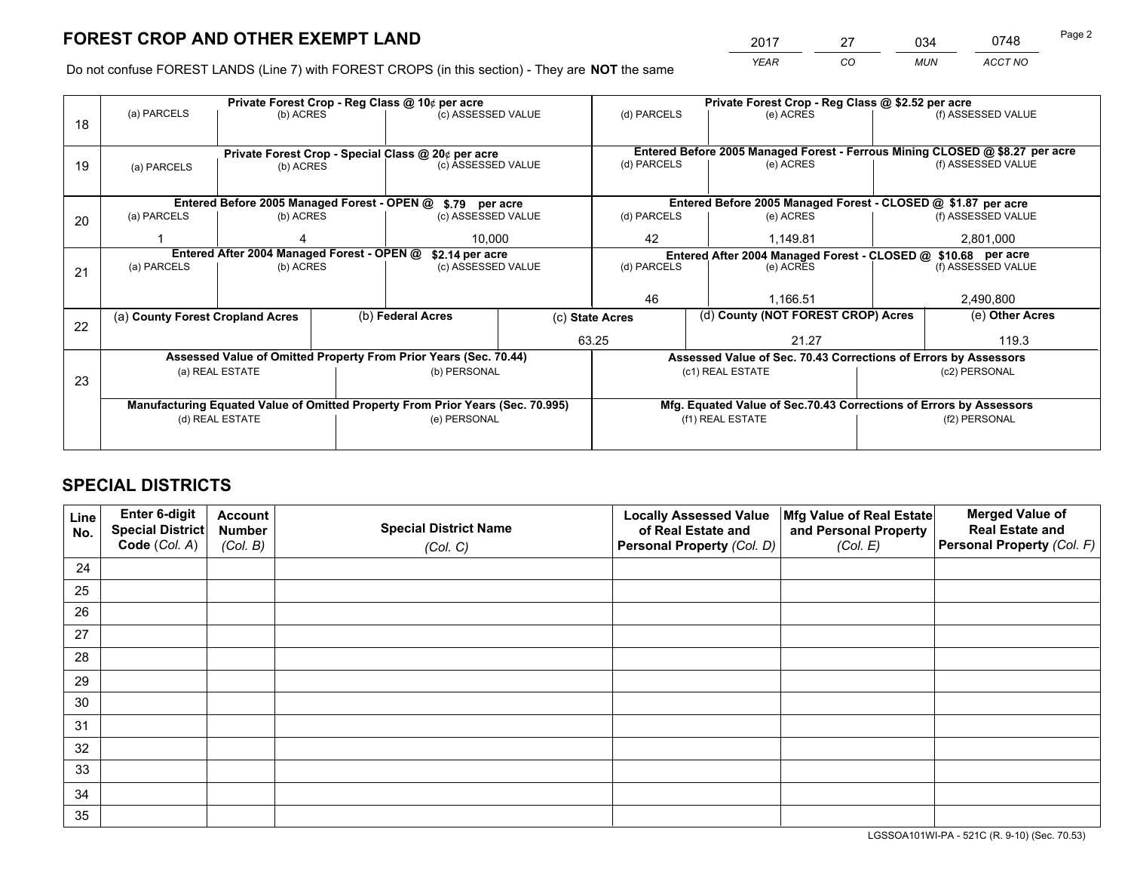*YEAR CO MUN ACCT NO* 2017 27 034 0748

Do not confuse FOREST LANDS (Line 7) with FOREST CROPS (in this section) - They are **NOT** the same

| (f) ASSESSED VALUE<br>Entered Before 2005 Managed Forest - Ferrous Mining CLOSED @ \$8.27 per acre<br>(f) ASSESSED VALUE<br>Entered Before 2005 Managed Forest - CLOSED @ \$1.87 per acre |  |
|-------------------------------------------------------------------------------------------------------------------------------------------------------------------------------------------|--|
|                                                                                                                                                                                           |  |
|                                                                                                                                                                                           |  |
|                                                                                                                                                                                           |  |
|                                                                                                                                                                                           |  |
|                                                                                                                                                                                           |  |
|                                                                                                                                                                                           |  |
| (f) ASSESSED VALUE                                                                                                                                                                        |  |
| 2,801,000                                                                                                                                                                                 |  |
| Entered After 2004 Managed Forest - CLOSED @ \$10.68 per acre                                                                                                                             |  |
| (f) ASSESSED VALUE                                                                                                                                                                        |  |
|                                                                                                                                                                                           |  |
| 2,490,800                                                                                                                                                                                 |  |
| (e) Other Acres                                                                                                                                                                           |  |
| 119.3                                                                                                                                                                                     |  |
| Assessed Value of Sec. 70.43 Corrections of Errors by Assessors                                                                                                                           |  |
| (c2) PERSONAL                                                                                                                                                                             |  |
|                                                                                                                                                                                           |  |
| Mfg. Equated Value of Sec.70.43 Corrections of Errors by Assessors                                                                                                                        |  |
| (f2) PERSONAL                                                                                                                                                                             |  |
|                                                                                                                                                                                           |  |
|                                                                                                                                                                                           |  |

## **SPECIAL DISTRICTS**

| Line<br>No. | Enter 6-digit<br><b>Special District</b> | <b>Account</b><br><b>Number</b> | <b>Special District Name</b> | <b>Locally Assessed Value</b><br>of Real Estate and | Mfg Value of Real Estate<br>and Personal Property | <b>Merged Value of</b><br><b>Real Estate and</b> |
|-------------|------------------------------------------|---------------------------------|------------------------------|-----------------------------------------------------|---------------------------------------------------|--------------------------------------------------|
|             | Code (Col. A)                            | (Col. B)                        | (Col. C)                     | Personal Property (Col. D)                          | (Col. E)                                          | Personal Property (Col. F)                       |
| 24          |                                          |                                 |                              |                                                     |                                                   |                                                  |
| 25          |                                          |                                 |                              |                                                     |                                                   |                                                  |
| 26          |                                          |                                 |                              |                                                     |                                                   |                                                  |
| 27          |                                          |                                 |                              |                                                     |                                                   |                                                  |
| 28          |                                          |                                 |                              |                                                     |                                                   |                                                  |
| 29          |                                          |                                 |                              |                                                     |                                                   |                                                  |
| 30          |                                          |                                 |                              |                                                     |                                                   |                                                  |
| 31          |                                          |                                 |                              |                                                     |                                                   |                                                  |
| 32          |                                          |                                 |                              |                                                     |                                                   |                                                  |
| 33          |                                          |                                 |                              |                                                     |                                                   |                                                  |
| 34          |                                          |                                 |                              |                                                     |                                                   |                                                  |
| 35          |                                          |                                 |                              |                                                     |                                                   |                                                  |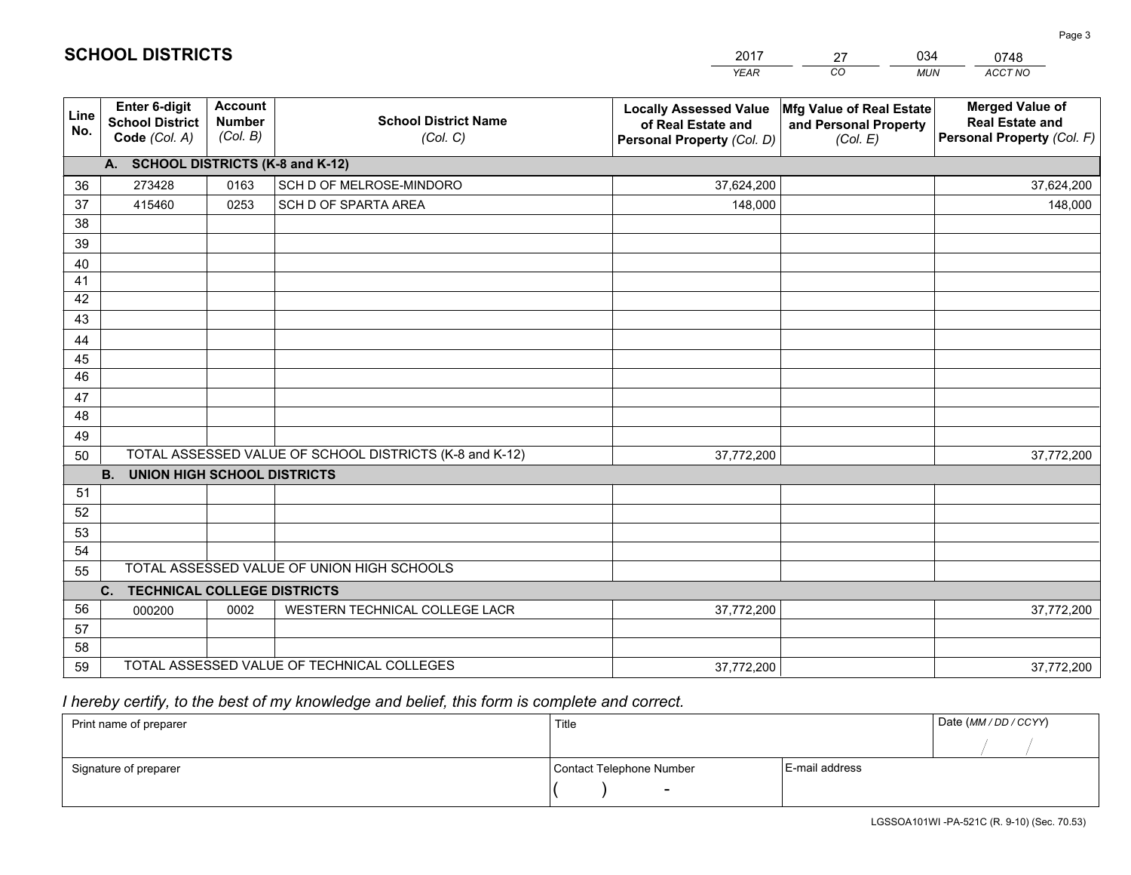|             |                                                          |                                             |                                                         | <b>YEAR</b>                                                                       | CO<br><b>MUN</b>                                              | ACCT NO                                                                        |
|-------------|----------------------------------------------------------|---------------------------------------------|---------------------------------------------------------|-----------------------------------------------------------------------------------|---------------------------------------------------------------|--------------------------------------------------------------------------------|
| Line<br>No. | Enter 6-digit<br><b>School District</b><br>Code (Col. A) | <b>Account</b><br><b>Number</b><br>(Col. B) | <b>School District Name</b><br>(Col. C)                 | <b>Locally Assessed Value</b><br>of Real Estate and<br>Personal Property (Col. D) | Mfg Value of Real Estate<br>and Personal Property<br>(Col. E) | <b>Merged Value of</b><br><b>Real Estate and</b><br>Personal Property (Col. F) |
|             | A. SCHOOL DISTRICTS (K-8 and K-12)                       |                                             |                                                         |                                                                                   |                                                               |                                                                                |
| 36          | 273428                                                   | 0163                                        | SCH D OF MELROSE-MINDORO                                | 37,624,200                                                                        |                                                               | 37,624,200                                                                     |
| 37          | 415460                                                   | 0253                                        | SCH D OF SPARTA AREA                                    | 148,000                                                                           |                                                               | 148,000                                                                        |
| 38          |                                                          |                                             |                                                         |                                                                                   |                                                               |                                                                                |
| 39          |                                                          |                                             |                                                         |                                                                                   |                                                               |                                                                                |
| 40          |                                                          |                                             |                                                         |                                                                                   |                                                               |                                                                                |
| 41          |                                                          |                                             |                                                         |                                                                                   |                                                               |                                                                                |
| 42          |                                                          |                                             |                                                         |                                                                                   |                                                               |                                                                                |
| 43          |                                                          |                                             |                                                         |                                                                                   |                                                               |                                                                                |
| 44          |                                                          |                                             |                                                         |                                                                                   |                                                               |                                                                                |
| 45<br>46    |                                                          |                                             |                                                         |                                                                                   |                                                               |                                                                                |
| 47          |                                                          |                                             |                                                         |                                                                                   |                                                               |                                                                                |
| 48          |                                                          |                                             |                                                         |                                                                                   |                                                               |                                                                                |
| 49          |                                                          |                                             |                                                         |                                                                                   |                                                               |                                                                                |
| 50          |                                                          |                                             | TOTAL ASSESSED VALUE OF SCHOOL DISTRICTS (K-8 and K-12) | 37,772,200                                                                        |                                                               | 37,772,200                                                                     |
|             | <b>B.</b><br><b>UNION HIGH SCHOOL DISTRICTS</b>          |                                             |                                                         |                                                                                   |                                                               |                                                                                |
| 51          |                                                          |                                             |                                                         |                                                                                   |                                                               |                                                                                |
| 52          |                                                          |                                             |                                                         |                                                                                   |                                                               |                                                                                |
| 53          |                                                          |                                             |                                                         |                                                                                   |                                                               |                                                                                |
| 54          |                                                          |                                             |                                                         |                                                                                   |                                                               |                                                                                |
| 55          |                                                          |                                             | TOTAL ASSESSED VALUE OF UNION HIGH SCHOOLS              |                                                                                   |                                                               |                                                                                |
|             | C.<br><b>TECHNICAL COLLEGE DISTRICTS</b>                 |                                             |                                                         |                                                                                   |                                                               |                                                                                |
| 56          | 000200                                                   | 0002                                        | WESTERN TECHNICAL COLLEGE LACR                          | 37,772,200                                                                        |                                                               | 37,772,200                                                                     |
| 57          |                                                          |                                             |                                                         |                                                                                   |                                                               |                                                                                |
| 58          |                                                          |                                             |                                                         |                                                                                   |                                                               |                                                                                |
| 59          |                                                          |                                             | TOTAL ASSESSED VALUE OF TECHNICAL COLLEGES              | 37,772,200                                                                        |                                                               | 37,772,200                                                                     |

27

034

 *I hereby certify, to the best of my knowledge and belief, this form is complete and correct.*

**SCHOOL DISTRICTS**

| Print name of preparer | Title                    |                | Date (MM/DD/CCYY) |
|------------------------|--------------------------|----------------|-------------------|
|                        |                          |                |                   |
| Signature of preparer  | Contact Telephone Number | E-mail address |                   |
|                        | $\overline{\phantom{0}}$ |                |                   |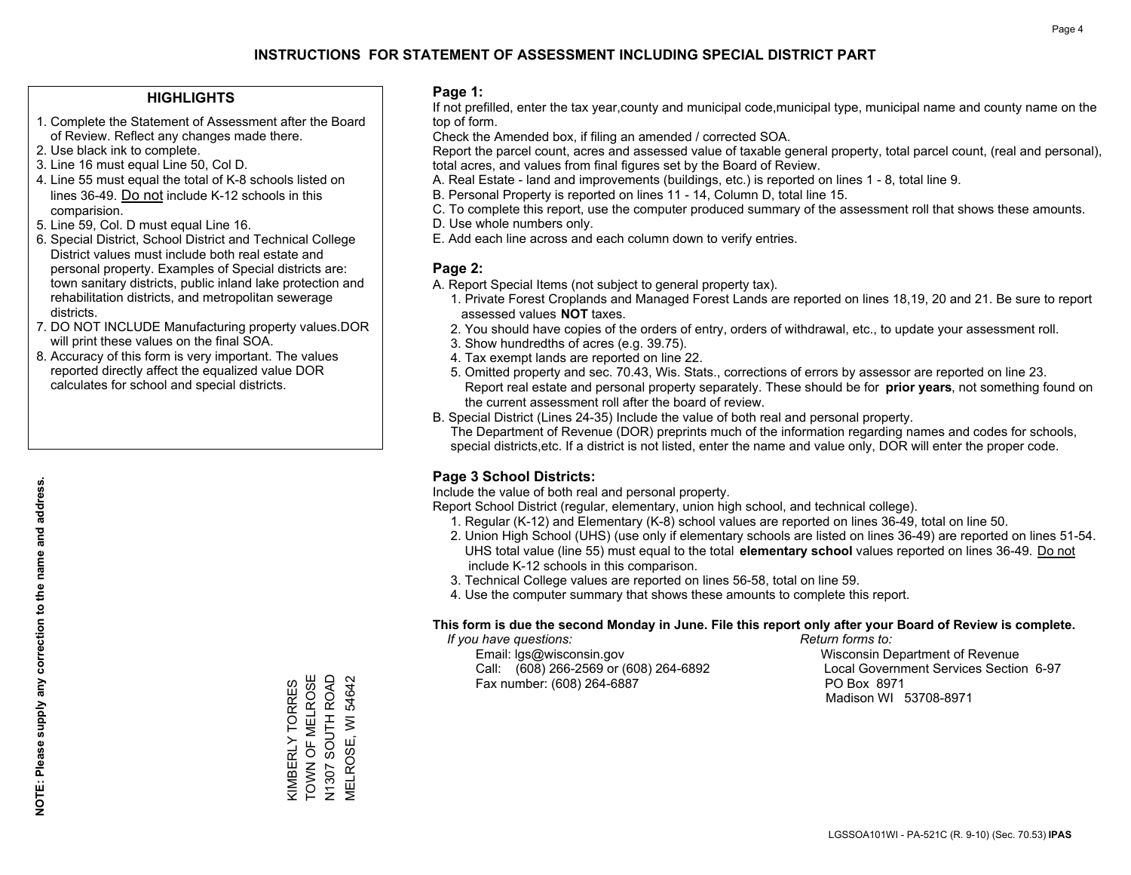#### **HIGHLIGHTS**

- 1. Complete the Statement of Assessment after the Board of Review. Reflect any changes made there.
- 2. Use black ink to complete.
- 3. Line 16 must equal Line 50, Col D.
- 4. Line 55 must equal the total of K-8 schools listed on lines 36-49. Do not include K-12 schools in this comparision.
- 5. Line 59, Col. D must equal Line 16.
- 6. Special District, School District and Technical College District values must include both real estate and personal property. Examples of Special districts are: town sanitary districts, public inland lake protection and rehabilitation districts, and metropolitan sewerage districts.
- 7. DO NOT INCLUDE Manufacturing property values.DOR will print these values on the final SOA.

KIMBERLY TORRES TOWN OF MELROSE N1307 SOUTH ROAD MELROSE, WI 54642

KIMBERLY TORRES<br>TOWN OF MELROSE

N1307 SOUTH ROAD<br>MELROSE, WI 54642

 8. Accuracy of this form is very important. The values reported directly affect the equalized value DOR calculates for school and special districts.

#### **Page 1:**

 If not prefilled, enter the tax year,county and municipal code,municipal type, municipal name and county name on the top of form.

Check the Amended box, if filing an amended / corrected SOA.

 Report the parcel count, acres and assessed value of taxable general property, total parcel count, (real and personal), total acres, and values from final figures set by the Board of Review.

- A. Real Estate land and improvements (buildings, etc.) is reported on lines 1 8, total line 9.
- B. Personal Property is reported on lines 11 14, Column D, total line 15.
- C. To complete this report, use the computer produced summary of the assessment roll that shows these amounts.
- D. Use whole numbers only.
- E. Add each line across and each column down to verify entries.

#### **Page 2:**

- A. Report Special Items (not subject to general property tax).
- 1. Private Forest Croplands and Managed Forest Lands are reported on lines 18,19, 20 and 21. Be sure to report assessed values **NOT** taxes.
- 2. You should have copies of the orders of entry, orders of withdrawal, etc., to update your assessment roll.
	- 3. Show hundredths of acres (e.g. 39.75).
- 4. Tax exempt lands are reported on line 22.
- 5. Omitted property and sec. 70.43, Wis. Stats., corrections of errors by assessor are reported on line 23. Report real estate and personal property separately. These should be for **prior years**, not something found on the current assessment roll after the board of review.
- B. Special District (Lines 24-35) Include the value of both real and personal property.
- The Department of Revenue (DOR) preprints much of the information regarding names and codes for schools, special districts,etc. If a district is not listed, enter the name and value only, DOR will enter the proper code.

### **Page 3 School Districts:**

Include the value of both real and personal property.

Report School District (regular, elementary, union high school, and technical college).

- 1. Regular (K-12) and Elementary (K-8) school values are reported on lines 36-49, total on line 50.
- 2. Union High School (UHS) (use only if elementary schools are listed on lines 36-49) are reported on lines 51-54. UHS total value (line 55) must equal to the total **elementary school** values reported on lines 36-49. Do notinclude K-12 schools in this comparison.
- 3. Technical College values are reported on lines 56-58, total on line 59.
- 4. Use the computer summary that shows these amounts to complete this report.

#### **This form is due the second Monday in June. File this report only after your Board of Review is complete.**

 *If you have questions: Return forms to:*

 Email: lgs@wisconsin.gov Wisconsin Department of RevenueCall:  $(608)$  266-2569 or  $(608)$  264-6892 Fax number: (608) 264-6887 PO Box 8971

Local Government Services Section 6-97 Madison WI 53708-8971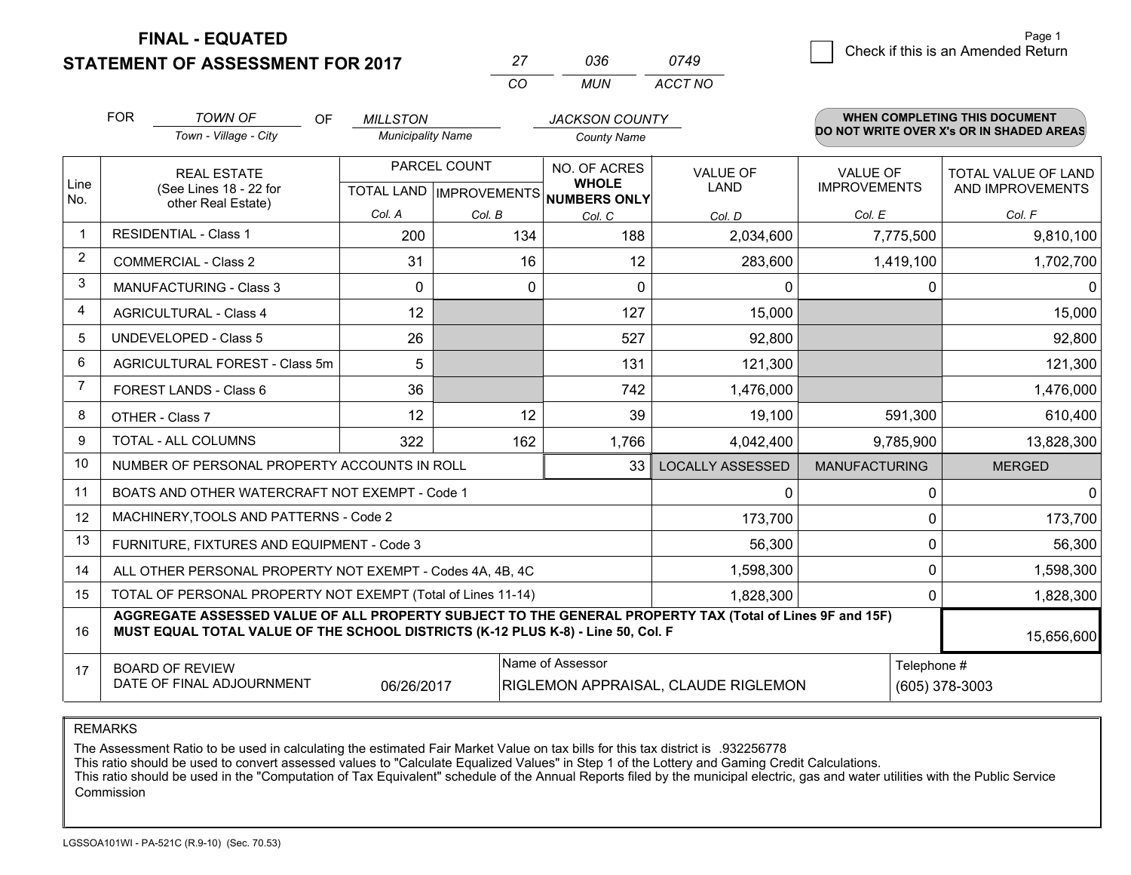**FINAL - EQUATED**

### **STATEMENT OF ASSESSMENT FOR 2017**

| 27 | การค | 0749    |  |
|----|------|---------|--|
| rη | MUN  | ACCT NO |  |

|                | <b>FOR</b>                                                                                                                                                                                   | <b>TOWN OF</b><br>OF                           | <b>MILLSTON</b>          |                           | <b>JACKSON COUNTY</b>        |                         |                      | <b>WHEN COMPLETING THIS DOCUMENT</b>     |
|----------------|----------------------------------------------------------------------------------------------------------------------------------------------------------------------------------------------|------------------------------------------------|--------------------------|---------------------------|------------------------------|-------------------------|----------------------|------------------------------------------|
|                |                                                                                                                                                                                              | Town - Village - City                          | <b>Municipality Name</b> |                           | <b>County Name</b>           |                         |                      | DO NOT WRITE OVER X's OR IN SHADED AREAS |
|                |                                                                                                                                                                                              | <b>REAL ESTATE</b>                             |                          | PARCEL COUNT              |                              | <b>VALUE OF</b>         | <b>VALUE OF</b>      | TOTAL VALUE OF LAND                      |
| Line<br>No.    |                                                                                                                                                                                              | (See Lines 18 - 22 for<br>other Real Estate)   |                          | TOTAL LAND   IMPROVEMENTS | <b>WHOLE</b><br>NUMBERS ONLY | LAND                    | <b>IMPROVEMENTS</b>  | AND IMPROVEMENTS                         |
|                |                                                                                                                                                                                              |                                                | Col. A                   | Col. B                    | Col. C                       | Col. D                  | Col. E               | Col. F                                   |
| $\mathbf{1}$   |                                                                                                                                                                                              | <b>RESIDENTIAL - Class 1</b>                   | 200                      | 134                       | 188                          | 2,034,600               | 7,775,500            | 9,810,100                                |
| 2              |                                                                                                                                                                                              | <b>COMMERCIAL - Class 2</b>                    | 31                       | 16                        | 12                           | 283,600                 | 1,419,100            | 1,702,700                                |
| 3              |                                                                                                                                                                                              | <b>MANUFACTURING - Class 3</b>                 | $\Omega$                 | $\Omega$                  | $\Omega$                     | 0                       | $\Omega$             | $\Omega$                                 |
| $\overline{4}$ |                                                                                                                                                                                              | <b>AGRICULTURAL - Class 4</b>                  | 12                       |                           | 127                          | 15,000                  |                      | 15,000                                   |
| 5              |                                                                                                                                                                                              | <b>UNDEVELOPED - Class 5</b>                   | 26                       |                           | 527                          | 92,800                  |                      | 92,800                                   |
| 6              |                                                                                                                                                                                              | AGRICULTURAL FOREST - Class 5m                 | 5                        |                           | 131                          | 121,300                 |                      | 121,300                                  |
| $\overline{7}$ |                                                                                                                                                                                              | FOREST LANDS - Class 6                         | 36                       |                           | 742                          | 1,476,000               |                      | 1,476,000                                |
| 8              |                                                                                                                                                                                              | OTHER - Class 7                                | 12                       | 12                        | 39                           | 19,100                  | 591,300              | 610,400                                  |
| 9              | <b>TOTAL - ALL COLUMNS</b>                                                                                                                                                                   |                                                | 322                      | 162                       | 1,766                        | 4,042,400               | 9,785,900            | 13,828,300                               |
| 10             |                                                                                                                                                                                              | NUMBER OF PERSONAL PROPERTY ACCOUNTS IN ROLL   |                          |                           | 33                           | <b>LOCALLY ASSESSED</b> | <b>MANUFACTURING</b> | <b>MERGED</b>                            |
| 11             |                                                                                                                                                                                              | BOATS AND OTHER WATERCRAFT NOT EXEMPT - Code 1 |                          |                           |                              | 0                       | 0                    | $\mathbf{0}$                             |
| 12             |                                                                                                                                                                                              | MACHINERY, TOOLS AND PATTERNS - Code 2         |                          |                           |                              | 173,700                 | $\mathbf 0$          | 173,700                                  |
| 13             |                                                                                                                                                                                              | FURNITURE, FIXTURES AND EQUIPMENT - Code 3     |                          |                           |                              | 56,300                  | 0                    | 56,300                                   |
| 14             | ALL OTHER PERSONAL PROPERTY NOT EXEMPT - Codes 4A, 4B, 4C                                                                                                                                    |                                                |                          |                           | 1,598,300                    | 0                       | 1,598,300            |                                          |
| 15             | TOTAL OF PERSONAL PROPERTY NOT EXEMPT (Total of Lines 11-14)                                                                                                                                 |                                                |                          | 1,828,300                 | 0                            | 1,828,300               |                      |                                          |
| 16             | AGGREGATE ASSESSED VALUE OF ALL PROPERTY SUBJECT TO THE GENERAL PROPERTY TAX (Total of Lines 9F and 15F)<br>MUST EQUAL TOTAL VALUE OF THE SCHOOL DISTRICTS (K-12 PLUS K-8) - Line 50, Col. F |                                                |                          |                           |                              | 15,656,600              |                      |                                          |
| 17             | Name of Assessor<br><b>BOARD OF REVIEW</b>                                                                                                                                                   |                                                |                          |                           | Telephone #                  |                         |                      |                                          |
|                | DATE OF FINAL ADJOURNMENT<br>06/26/2017<br>RIGLEMON APPRAISAL, CLAUDE RIGLEMON                                                                                                               |                                                |                          |                           |                              | (605) 378-3003          |                      |                                          |

REMARKS

The Assessment Ratio to be used in calculating the estimated Fair Market Value on tax bills for this tax district is .932256778<br>This ratio should be used to convert assessed values to "Calculate Equalized Values" in Step 1 Commission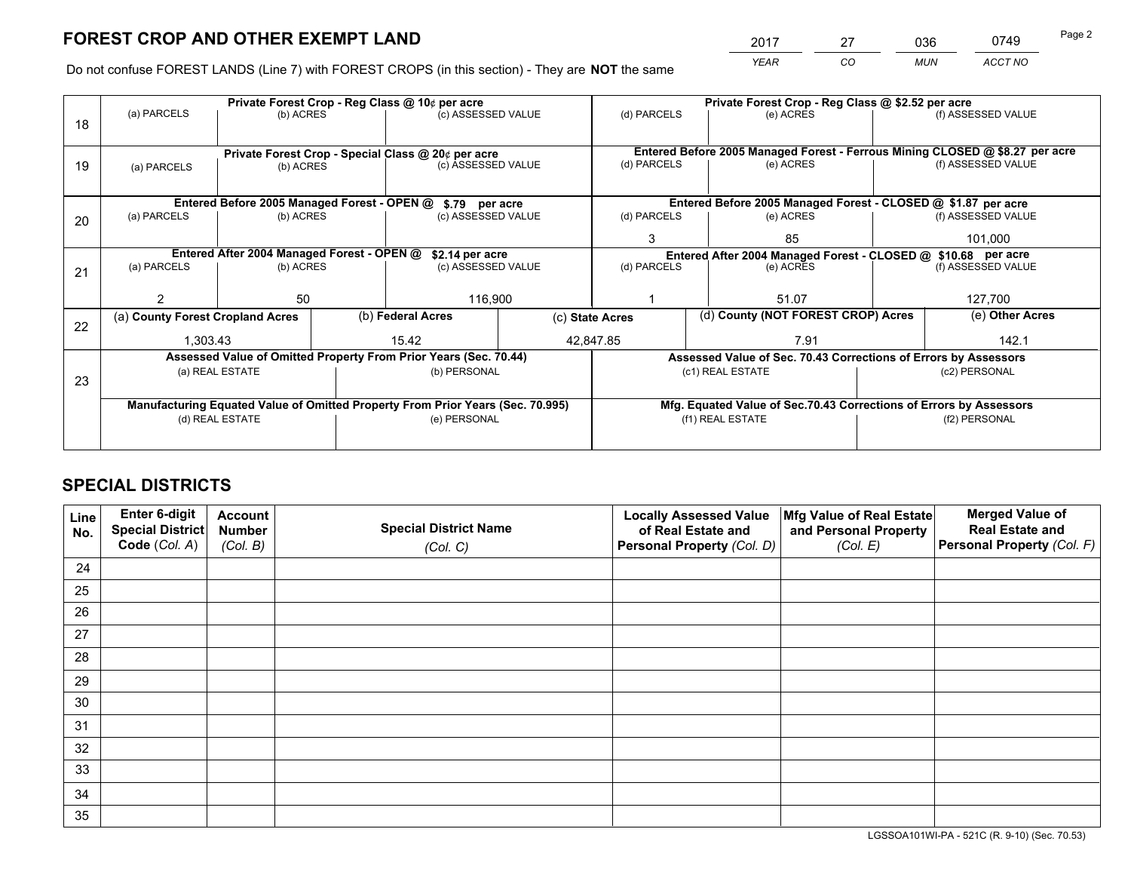*YEAR CO MUN ACCT NO* <sup>2017</sup> <sup>27</sup> <sup>036</sup> <sup>0749</sup>

Do not confuse FOREST LANDS (Line 7) with FOREST CROPS (in this section) - They are **NOT** the same

|    | Private Forest Crop - Reg Class @ 10¢ per acre                                 |                                             |  |                                                                    |                                                               | Private Forest Crop - Reg Class @ \$2.52 per acre                            |                                    |               |                    |  |
|----|--------------------------------------------------------------------------------|---------------------------------------------|--|--------------------------------------------------------------------|---------------------------------------------------------------|------------------------------------------------------------------------------|------------------------------------|---------------|--------------------|--|
| 18 | (a) PARCELS                                                                    | (b) ACRES                                   |  | (c) ASSESSED VALUE                                                 |                                                               | (d) PARCELS                                                                  | (e) ACRES                          |               | (f) ASSESSED VALUE |  |
|    |                                                                                |                                             |  |                                                                    |                                                               |                                                                              |                                    |               |                    |  |
|    |                                                                                |                                             |  | Private Forest Crop - Special Class @ 20¢ per acre                 |                                                               | Entered Before 2005 Managed Forest - Ferrous Mining CLOSED @ \$8.27 per acre |                                    |               |                    |  |
| 19 | (a) PARCELS                                                                    | (b) ACRES                                   |  | (c) ASSESSED VALUE                                                 |                                                               | (d) PARCELS                                                                  | (e) ACRES                          |               | (f) ASSESSED VALUE |  |
|    |                                                                                |                                             |  |                                                                    |                                                               |                                                                              |                                    |               |                    |  |
|    |                                                                                | Entered Before 2005 Managed Forest - OPEN @ |  | \$.79 per acre                                                     |                                                               | Entered Before 2005 Managed Forest - CLOSED @ \$1.87 per acre                |                                    |               |                    |  |
| 20 | (a) PARCELS<br>(b) ACRES                                                       |                                             |  | (c) ASSESSED VALUE                                                 |                                                               | (d) PARCELS                                                                  | (e) ACRES                          |               |                    |  |
|    |                                                                                |                                             |  |                                                                    |                                                               | 3<br>85                                                                      |                                    |               | 101.000            |  |
|    | Entered After 2004 Managed Forest - OPEN @<br>\$2.14 per acre                  |                                             |  |                                                                    | Entered After 2004 Managed Forest - CLOSED @ \$10.68 per acre |                                                                              |                                    |               |                    |  |
| 21 | (a) PARCELS                                                                    | (c) ASSESSED VALUE<br>(b) ACRES             |  |                                                                    | (d) PARCELS                                                   | (e) ACRES                                                                    |                                    |               |                    |  |
|    |                                                                                |                                             |  |                                                                    |                                                               |                                                                              |                                    |               |                    |  |
|    |                                                                                | 50                                          |  | 116,900                                                            |                                                               | 51.07                                                                        |                                    |               | 127,700            |  |
| 22 | (a) County Forest Cropland Acres                                               |                                             |  | (b) Federal Acres                                                  |                                                               | (c) State Acres                                                              | (d) County (NOT FOREST CROP) Acres |               | (e) Other Acres    |  |
|    | 1,303.43                                                                       |                                             |  | 15.42<br>42,847.85                                                 |                                                               |                                                                              | 7.91                               |               | 142.1              |  |
|    | Assessed Value of Omitted Property From Prior Years (Sec. 70.44)               |                                             |  |                                                                    |                                                               | Assessed Value of Sec. 70.43 Corrections of Errors by Assessors              |                                    |               |                    |  |
| 23 | (a) REAL ESTATE                                                                |                                             |  | (b) PERSONAL                                                       |                                                               | (c1) REAL ESTATE                                                             |                                    | (c2) PERSONAL |                    |  |
|    |                                                                                |                                             |  |                                                                    |                                                               |                                                                              |                                    |               |                    |  |
|    | Manufacturing Equated Value of Omitted Property From Prior Years (Sec. 70.995) |                                             |  | Mfg. Equated Value of Sec.70.43 Corrections of Errors by Assessors |                                                               |                                                                              |                                    |               |                    |  |
|    | (d) REAL ESTATE                                                                |                                             |  | (e) PERSONAL                                                       |                                                               | (f1) REAL ESTATE                                                             |                                    |               | (f2) PERSONAL      |  |
|    |                                                                                |                                             |  |                                                                    |                                                               |                                                                              |                                    |               |                    |  |

## **SPECIAL DISTRICTS**

| Line<br>No. | Enter 6-digit<br>Special District<br>Code (Col. A) | <b>Account</b><br><b>Number</b><br>(Col. B) | <b>Special District Name</b><br>(Col. C) | <b>Locally Assessed Value</b><br>of Real Estate and<br>Personal Property (Col. D) | Mfg Value of Real Estate<br>and Personal Property<br>(Col. E) | <b>Merged Value of</b><br><b>Real Estate and</b><br>Personal Property (Col. F) |
|-------------|----------------------------------------------------|---------------------------------------------|------------------------------------------|-----------------------------------------------------------------------------------|---------------------------------------------------------------|--------------------------------------------------------------------------------|
| 24          |                                                    |                                             |                                          |                                                                                   |                                                               |                                                                                |
| 25          |                                                    |                                             |                                          |                                                                                   |                                                               |                                                                                |
| 26          |                                                    |                                             |                                          |                                                                                   |                                                               |                                                                                |
| 27          |                                                    |                                             |                                          |                                                                                   |                                                               |                                                                                |
| 28          |                                                    |                                             |                                          |                                                                                   |                                                               |                                                                                |
| 29          |                                                    |                                             |                                          |                                                                                   |                                                               |                                                                                |
| 30          |                                                    |                                             |                                          |                                                                                   |                                                               |                                                                                |
| 31          |                                                    |                                             |                                          |                                                                                   |                                                               |                                                                                |
| 32          |                                                    |                                             |                                          |                                                                                   |                                                               |                                                                                |
| 33          |                                                    |                                             |                                          |                                                                                   |                                                               |                                                                                |
| 34          |                                                    |                                             |                                          |                                                                                   |                                                               |                                                                                |
| 35          |                                                    |                                             |                                          |                                                                                   |                                                               |                                                                                |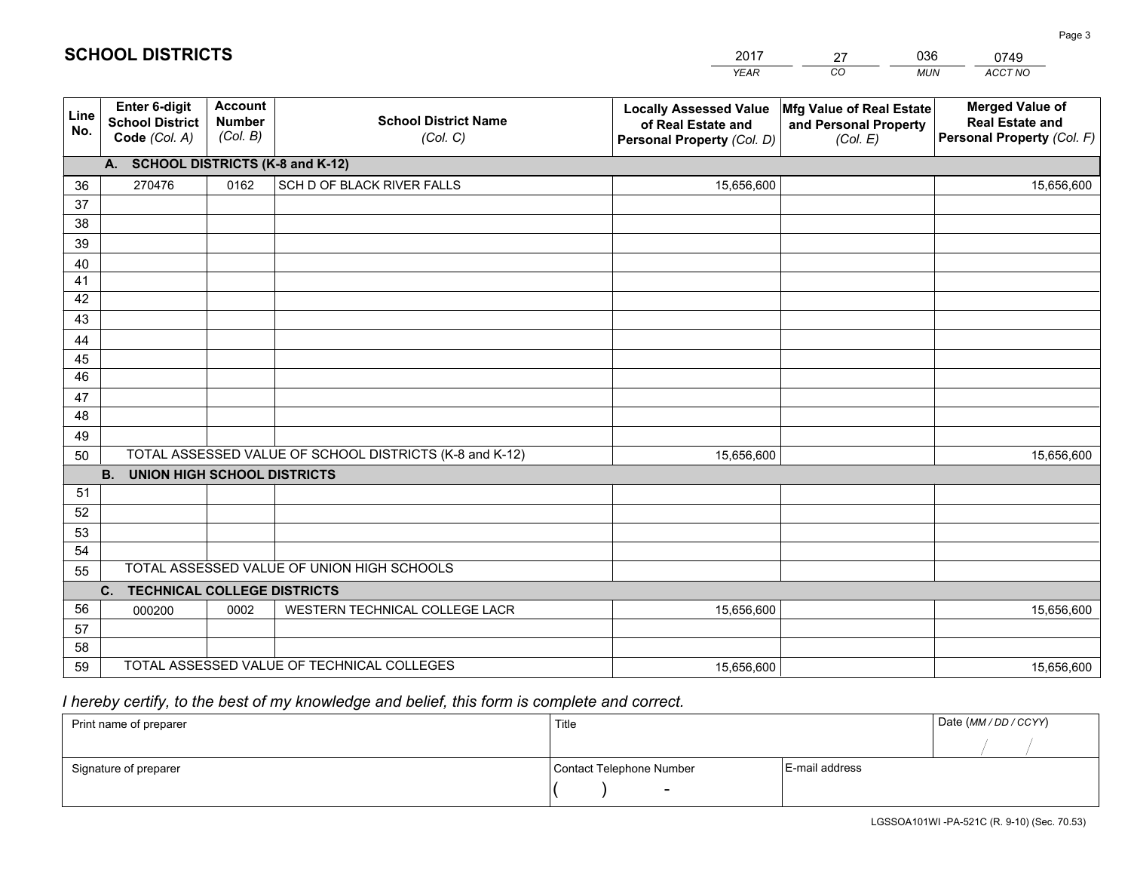|             |                                                          |                                             |                                                         | <b>YEAR</b>                                                                       | CO<br><b>MUN</b>                                              | ACCT NO                                                                        |
|-------------|----------------------------------------------------------|---------------------------------------------|---------------------------------------------------------|-----------------------------------------------------------------------------------|---------------------------------------------------------------|--------------------------------------------------------------------------------|
| Line<br>No. | Enter 6-digit<br><b>School District</b><br>Code (Col. A) | <b>Account</b><br><b>Number</b><br>(Col. B) | <b>School District Name</b><br>(Col. C)                 | <b>Locally Assessed Value</b><br>of Real Estate and<br>Personal Property (Col. D) | Mfg Value of Real Estate<br>and Personal Property<br>(Col. E) | <b>Merged Value of</b><br><b>Real Estate and</b><br>Personal Property (Col. F) |
|             | A. SCHOOL DISTRICTS (K-8 and K-12)                       |                                             |                                                         |                                                                                   |                                                               |                                                                                |
| 36          | 270476                                                   | 0162                                        | SCH D OF BLACK RIVER FALLS                              | 15,656,600                                                                        |                                                               | 15,656,600                                                                     |
| 37          |                                                          |                                             |                                                         |                                                                                   |                                                               |                                                                                |
| 38          |                                                          |                                             |                                                         |                                                                                   |                                                               |                                                                                |
| 39          |                                                          |                                             |                                                         |                                                                                   |                                                               |                                                                                |
| 40          |                                                          |                                             |                                                         |                                                                                   |                                                               |                                                                                |
| 41          |                                                          |                                             |                                                         |                                                                                   |                                                               |                                                                                |
| 42          |                                                          |                                             |                                                         |                                                                                   |                                                               |                                                                                |
| 43          |                                                          |                                             |                                                         |                                                                                   |                                                               |                                                                                |
| 44          |                                                          |                                             |                                                         |                                                                                   |                                                               |                                                                                |
| 45<br>46    |                                                          |                                             |                                                         |                                                                                   |                                                               |                                                                                |
|             |                                                          |                                             |                                                         |                                                                                   |                                                               |                                                                                |
| 47<br>48    |                                                          |                                             |                                                         |                                                                                   |                                                               |                                                                                |
| 49          |                                                          |                                             |                                                         |                                                                                   |                                                               |                                                                                |
| 50          |                                                          |                                             | TOTAL ASSESSED VALUE OF SCHOOL DISTRICTS (K-8 and K-12) | 15,656,600                                                                        |                                                               | 15,656,600                                                                     |
|             | <b>B.</b><br><b>UNION HIGH SCHOOL DISTRICTS</b>          |                                             |                                                         |                                                                                   |                                                               |                                                                                |
| 51          |                                                          |                                             |                                                         |                                                                                   |                                                               |                                                                                |
| 52          |                                                          |                                             |                                                         |                                                                                   |                                                               |                                                                                |
| 53          |                                                          |                                             |                                                         |                                                                                   |                                                               |                                                                                |
| 54          |                                                          |                                             |                                                         |                                                                                   |                                                               |                                                                                |
| 55          |                                                          |                                             | TOTAL ASSESSED VALUE OF UNION HIGH SCHOOLS              |                                                                                   |                                                               |                                                                                |
|             | C. TECHNICAL COLLEGE DISTRICTS                           |                                             |                                                         |                                                                                   |                                                               |                                                                                |
| 56          | 000200                                                   | 0002                                        | WESTERN TECHNICAL COLLEGE LACR                          | 15,656,600                                                                        |                                                               | 15,656,600                                                                     |
| 57          |                                                          |                                             |                                                         |                                                                                   |                                                               |                                                                                |
| 58          |                                                          |                                             |                                                         |                                                                                   |                                                               |                                                                                |
| 59          |                                                          |                                             | TOTAL ASSESSED VALUE OF TECHNICAL COLLEGES              | 15,656,600                                                                        |                                                               | 15,656,600                                                                     |

27

036

## *I hereby certify, to the best of my knowledge and belief, this form is complete and correct.*

**SCHOOL DISTRICTS**

| Print name of preparer | Title                    | Date (MM / DD / CCYY) |  |
|------------------------|--------------------------|-----------------------|--|
|                        |                          |                       |  |
| Signature of preparer  | Contact Telephone Number | l E-mail address      |  |
|                        | $\overline{\phantom{0}}$ |                       |  |

Page 3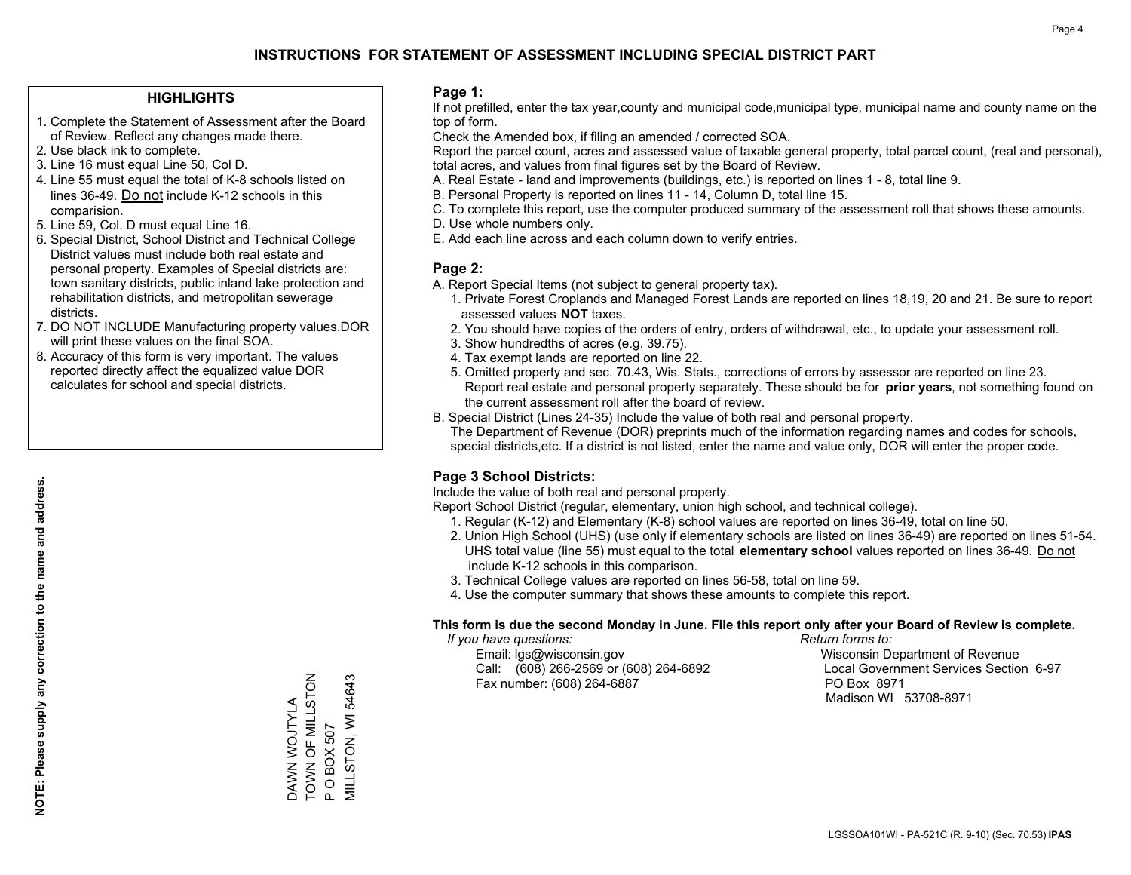#### **HIGHLIGHTS**

- 1. Complete the Statement of Assessment after the Board of Review. Reflect any changes made there.
- 2. Use black ink to complete.
- 3. Line 16 must equal Line 50, Col D.
- 4. Line 55 must equal the total of K-8 schools listed on lines 36-49. Do not include K-12 schools in this comparision.
- 5. Line 59, Col. D must equal Line 16.
- 6. Special District, School District and Technical College District values must include both real estate and personal property. Examples of Special districts are: town sanitary districts, public inland lake protection and rehabilitation districts, and metropolitan sewerage districts.
- 7. DO NOT INCLUDE Manufacturing property values.DOR will print these values on the final SOA.

DAWN WOJTYLA TOWN OF MILLSTON

DAWN WOJTYLA<br>TOWN OF MILLSTON

P O BOX 507

P O BOX 507

MILLSTON, WI 54643

VILLSTON, WI 54643

 8. Accuracy of this form is very important. The values reported directly affect the equalized value DOR calculates for school and special districts.

#### **Page 1:**

 If not prefilled, enter the tax year,county and municipal code,municipal type, municipal name and county name on the top of form.

Check the Amended box, if filing an amended / corrected SOA.

 Report the parcel count, acres and assessed value of taxable general property, total parcel count, (real and personal), total acres, and values from final figures set by the Board of Review.

- A. Real Estate land and improvements (buildings, etc.) is reported on lines 1 8, total line 9.
- B. Personal Property is reported on lines 11 14, Column D, total line 15.
- C. To complete this report, use the computer produced summary of the assessment roll that shows these amounts.
- D. Use whole numbers only.
- E. Add each line across and each column down to verify entries.

#### **Page 2:**

- A. Report Special Items (not subject to general property tax).
- 1. Private Forest Croplands and Managed Forest Lands are reported on lines 18,19, 20 and 21. Be sure to report assessed values **NOT** taxes.
- 2. You should have copies of the orders of entry, orders of withdrawal, etc., to update your assessment roll.
	- 3. Show hundredths of acres (e.g. 39.75).
- 4. Tax exempt lands are reported on line 22.
- 5. Omitted property and sec. 70.43, Wis. Stats., corrections of errors by assessor are reported on line 23. Report real estate and personal property separately. These should be for **prior years**, not something found on the current assessment roll after the board of review.
- B. Special District (Lines 24-35) Include the value of both real and personal property.

 The Department of Revenue (DOR) preprints much of the information regarding names and codes for schools, special districts,etc. If a district is not listed, enter the name and value only, DOR will enter the proper code.

### **Page 3 School Districts:**

Include the value of both real and personal property.

Report School District (regular, elementary, union high school, and technical college).

- 1. Regular (K-12) and Elementary (K-8) school values are reported on lines 36-49, total on line 50.
- 2. Union High School (UHS) (use only if elementary schools are listed on lines 36-49) are reported on lines 51-54. UHS total value (line 55) must equal to the total **elementary school** values reported on lines 36-49. Do notinclude K-12 schools in this comparison.
- 3. Technical College values are reported on lines 56-58, total on line 59.
- 4. Use the computer summary that shows these amounts to complete this report.

#### **This form is due the second Monday in June. File this report only after your Board of Review is complete.**

 *If you have questions: Return forms to:*

 Email: lgs@wisconsin.gov Wisconsin Department of RevenueCall:  $(608)$  266-2569 or  $(608)$  264-6892 Fax number: (608) 264-6887 PO Box 8971

Local Government Services Section 6-97 Madison WI 53708-8971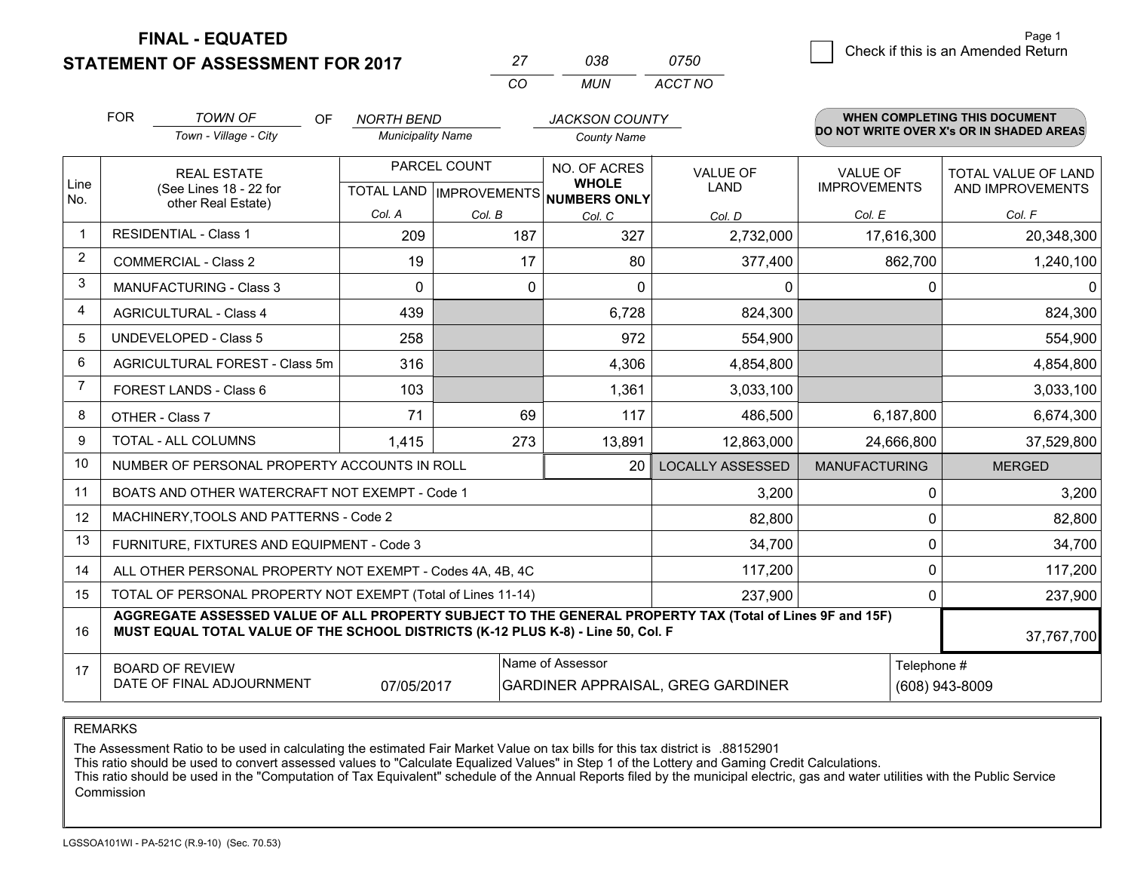**FINAL - EQUATED**

**STATEMENT OF ASSESSMENT FOR 2017** 

|          | กวล | 0750    |
|----------|-----|---------|
| $\cdots$ | MUN | ACCT NO |

|      | <b>FOR</b><br><b>TOWN OF</b><br><b>OF</b><br><b>NORTH BEND</b>                                                                                                                               |                                                              | <b>JACKSON COUNTY</b>    |                                                      |                    | WHEN COMPLETING THIS DOCUMENT |                                        |                                                |
|------|----------------------------------------------------------------------------------------------------------------------------------------------------------------------------------------------|--------------------------------------------------------------|--------------------------|------------------------------------------------------|--------------------|-------------------------------|----------------------------------------|------------------------------------------------|
|      |                                                                                                                                                                                              | Town - Village - City                                        | <b>Municipality Name</b> |                                                      | <b>County Name</b> |                               |                                        | DO NOT WRITE OVER X's OR IN SHADED AREAS       |
| Line |                                                                                                                                                                                              | <b>REAL ESTATE</b><br>(See Lines 18 - 22 for                 |                          | PARCEL COUNT<br>TOTAL LAND IMPROVEMENTS NUMBERS ONLY |                    | <b>VALUE OF</b><br>LAND       | <b>VALUE OF</b><br><b>IMPROVEMENTS</b> | <b>TOTAL VALUE OF LAND</b><br>AND IMPROVEMENTS |
| No.  |                                                                                                                                                                                              | other Real Estate)                                           | Col. A                   | Col. B                                               | Col. C             | Col. D                        | Col. E                                 | Col. F                                         |
| -1   |                                                                                                                                                                                              | <b>RESIDENTIAL - Class 1</b>                                 | 209                      | 187                                                  | 327                | 2,732,000                     | 17,616,300                             | 20,348,300                                     |
| 2    |                                                                                                                                                                                              | <b>COMMERCIAL - Class 2</b>                                  | 19                       | 17                                                   | 80                 | 377,400                       | 862,700                                | 1,240,100                                      |
| 3    |                                                                                                                                                                                              | <b>MANUFACTURING - Class 3</b>                               | $\Omega$                 | $\mathbf 0$                                          | $\Omega$           | 0                             | 0                                      | $\mathbf{0}$                                   |
| 4    |                                                                                                                                                                                              | <b>AGRICULTURAL - Class 4</b>                                | 439                      |                                                      | 6,728              | 824,300                       |                                        | 824,300                                        |
| 5    |                                                                                                                                                                                              | UNDEVELOPED - Class 5                                        | 258                      |                                                      | 972                | 554,900                       |                                        | 554,900                                        |
| 6    |                                                                                                                                                                                              | AGRICULTURAL FOREST - Class 5m                               | 316                      |                                                      | 4,306              | 4,854,800                     |                                        | 4,854,800                                      |
| 7    |                                                                                                                                                                                              | FOREST LANDS - Class 6                                       | 103                      |                                                      | 1,361              | 3,033,100                     |                                        | 3,033,100                                      |
| 8    |                                                                                                                                                                                              | OTHER - Class 7                                              | 71                       | 69                                                   | 117                | 486,500                       | 6,187,800                              | 6,674,300                                      |
| 9    |                                                                                                                                                                                              | TOTAL - ALL COLUMNS                                          | 1,415                    | 273                                                  | 13,891             | 12,863,000                    | 24,666,800                             | 37,529,800                                     |
| 10   |                                                                                                                                                                                              | NUMBER OF PERSONAL PROPERTY ACCOUNTS IN ROLL                 |                          |                                                      | 20                 | <b>LOCALLY ASSESSED</b>       | <b>MANUFACTURING</b>                   | <b>MERGED</b>                                  |
| 11   |                                                                                                                                                                                              | BOATS AND OTHER WATERCRAFT NOT EXEMPT - Code 1               |                          |                                                      |                    | 3,200                         | $\Omega$                               | 3,200                                          |
| 12   |                                                                                                                                                                                              | MACHINERY, TOOLS AND PATTERNS - Code 2                       |                          |                                                      |                    | 82,800                        | $\mathbf 0$                            | 82,800                                         |
| 13   |                                                                                                                                                                                              | FURNITURE, FIXTURES AND EQUIPMENT - Code 3                   |                          |                                                      |                    | 34,700                        | $\Omega$                               | 34,700                                         |
| 14   |                                                                                                                                                                                              | ALL OTHER PERSONAL PROPERTY NOT EXEMPT - Codes 4A, 4B, 4C    |                          |                                                      |                    | 117,200                       | $\mathbf 0$                            | 117,200                                        |
| 15   |                                                                                                                                                                                              | TOTAL OF PERSONAL PROPERTY NOT EXEMPT (Total of Lines 11-14) |                          | 237,900                                              | 0                  | 237,900                       |                                        |                                                |
| 16   | AGGREGATE ASSESSED VALUE OF ALL PROPERTY SUBJECT TO THE GENERAL PROPERTY TAX (Total of Lines 9F and 15F)<br>MUST EQUAL TOTAL VALUE OF THE SCHOOL DISTRICTS (K-12 PLUS K-8) - Line 50, Col. F |                                                              |                          |                                                      |                    |                               | 37,767,700                             |                                                |
| 17   | Name of Assessor<br>Telephone #<br><b>BOARD OF REVIEW</b><br>DATE OF FINAL ADJOURNMENT<br>07/05/2017<br>GARDINER APPRAISAL, GREG GARDINER                                                    |                                                              |                          |                                                      |                    |                               | (608) 943-8009                         |                                                |

REMARKS

The Assessment Ratio to be used in calculating the estimated Fair Market Value on tax bills for this tax district is .88152901

This ratio should be used to convert assessed values to "Calculate Equalized Values" in Step 1 of the Lottery and Gaming Credit Calculations.<br>This ratio should be used in the "Computation of Tax Equivalent" schedule of the Commission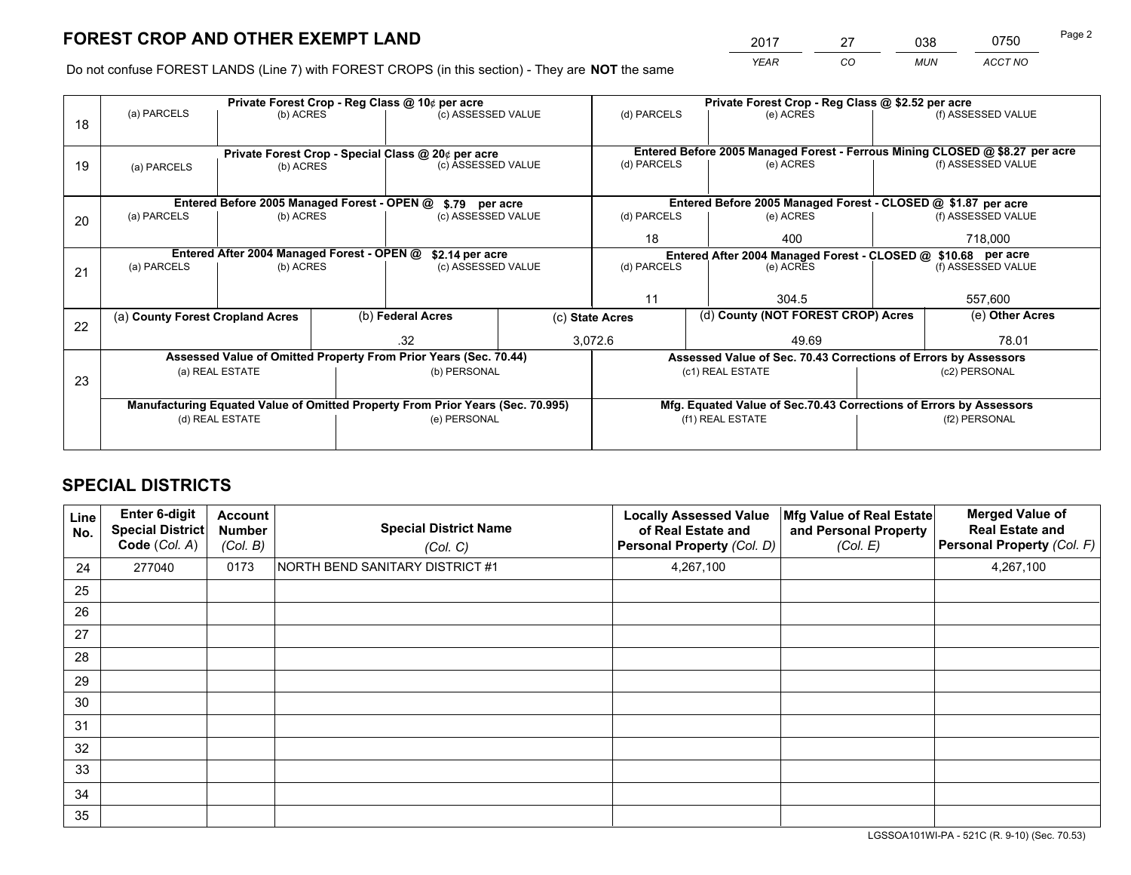*YEAR CO MUN ACCT NO* 2017 27 038 0750

Do not confuse FOREST LANDS (Line 7) with FOREST CROPS (in this section) - They are **NOT** the same

|    |                                                               |                                             |  | Private Forest Crop - Reg Class @ 10¢ per acre                                 |  | Private Forest Crop - Reg Class @ \$2.52 per acre     |                                                                              |               |                    |
|----|---------------------------------------------------------------|---------------------------------------------|--|--------------------------------------------------------------------------------|--|-------------------------------------------------------|------------------------------------------------------------------------------|---------------|--------------------|
| 18 | (a) PARCELS                                                   | (b) ACRES                                   |  | (c) ASSESSED VALUE                                                             |  | (d) PARCELS                                           | (e) ACRES                                                                    |               | (f) ASSESSED VALUE |
|    |                                                               |                                             |  |                                                                                |  |                                                       |                                                                              |               |                    |
|    |                                                               |                                             |  | Private Forest Crop - Special Class @ 20¢ per acre                             |  |                                                       | Entered Before 2005 Managed Forest - Ferrous Mining CLOSED @ \$8.27 per acre |               |                    |
| 19 | (a) PARCELS                                                   | (b) ACRES                                   |  | (c) ASSESSED VALUE                                                             |  | (d) PARCELS                                           | (e) ACRES                                                                    |               | (f) ASSESSED VALUE |
|    |                                                               |                                             |  |                                                                                |  |                                                       |                                                                              |               |                    |
|    |                                                               | Entered Before 2005 Managed Forest - OPEN @ |  | \$.79 per acre                                                                 |  |                                                       | Entered Before 2005 Managed Forest - CLOSED @ \$1.87 per acre                |               |                    |
| 20 | (a) PARCELS                                                   | (b) ACRES                                   |  | (c) ASSESSED VALUE                                                             |  | (d) PARCELS                                           | (e) ACRES                                                                    |               | (f) ASSESSED VALUE |
|    |                                                               |                                             |  |                                                                                |  | 18                                                    | 400                                                                          |               | 718.000            |
|    | Entered After 2004 Managed Forest - OPEN @<br>\$2.14 per acre |                                             |  |                                                                                |  |                                                       | Entered After 2004 Managed Forest - CLOSED @ \$10.68 per acre                |               |                    |
| 21 | (a) PARCELS                                                   | (b) ACRES                                   |  | (c) ASSESSED VALUE                                                             |  | (d) PARCELS                                           | (e) ACRES                                                                    |               |                    |
|    |                                                               |                                             |  |                                                                                |  |                                                       |                                                                              |               |                    |
|    |                                                               |                                             |  |                                                                                |  | 11                                                    | 304.5                                                                        |               | 557,600            |
| 22 | (a) County Forest Cropland Acres                              |                                             |  | (b) Federal Acres                                                              |  | (d) County (NOT FOREST CROP) Acres<br>(c) State Acres |                                                                              |               | (e) Other Acres    |
|    |                                                               |                                             |  | .32                                                                            |  | 3,072.6<br>49.69                                      |                                                                              |               | 78.01              |
|    |                                                               |                                             |  | Assessed Value of Omitted Property From Prior Years (Sec. 70.44)               |  |                                                       | Assessed Value of Sec. 70.43 Corrections of Errors by Assessors              |               |                    |
| 23 |                                                               | (a) REAL ESTATE                             |  | (b) PERSONAL                                                                   |  |                                                       | (c1) REAL ESTATE                                                             |               | (c2) PERSONAL      |
|    |                                                               |                                             |  |                                                                                |  |                                                       |                                                                              |               |                    |
|    |                                                               |                                             |  | Manufacturing Equated Value of Omitted Property From Prior Years (Sec. 70.995) |  |                                                       | Mfg. Equated Value of Sec.70.43 Corrections of Errors by Assessors           |               |                    |
|    | (d) REAL ESTATE                                               |                                             |  | (e) PERSONAL                                                                   |  | (f1) REAL ESTATE                                      |                                                                              | (f2) PERSONAL |                    |
|    |                                                               |                                             |  |                                                                                |  |                                                       |                                                                              |               |                    |

## **SPECIAL DISTRICTS**

| Line<br>No. | Enter 6-digit<br><b>Special District</b><br>Code (Col. A) | <b>Account</b><br><b>Number</b><br>(Col. B) | <b>Special District Name</b><br>(Col. C) | <b>Locally Assessed Value</b><br>of Real Estate and<br>Personal Property (Col. D) | Mfg Value of Real Estate<br>and Personal Property<br>(Col. E) | <b>Merged Value of</b><br><b>Real Estate and</b><br>Personal Property (Col. F) |
|-------------|-----------------------------------------------------------|---------------------------------------------|------------------------------------------|-----------------------------------------------------------------------------------|---------------------------------------------------------------|--------------------------------------------------------------------------------|
| 24          | 277040                                                    | 0173                                        | NORTH BEND SANITARY DISTRICT #1          | 4,267,100                                                                         |                                                               | 4,267,100                                                                      |
| 25          |                                                           |                                             |                                          |                                                                                   |                                                               |                                                                                |
| 26          |                                                           |                                             |                                          |                                                                                   |                                                               |                                                                                |
| 27          |                                                           |                                             |                                          |                                                                                   |                                                               |                                                                                |
| 28          |                                                           |                                             |                                          |                                                                                   |                                                               |                                                                                |
| 29          |                                                           |                                             |                                          |                                                                                   |                                                               |                                                                                |
| 30          |                                                           |                                             |                                          |                                                                                   |                                                               |                                                                                |
| 31          |                                                           |                                             |                                          |                                                                                   |                                                               |                                                                                |
| 32          |                                                           |                                             |                                          |                                                                                   |                                                               |                                                                                |
| 33          |                                                           |                                             |                                          |                                                                                   |                                                               |                                                                                |
| 34          |                                                           |                                             |                                          |                                                                                   |                                                               |                                                                                |
| 35          |                                                           |                                             |                                          |                                                                                   |                                                               |                                                                                |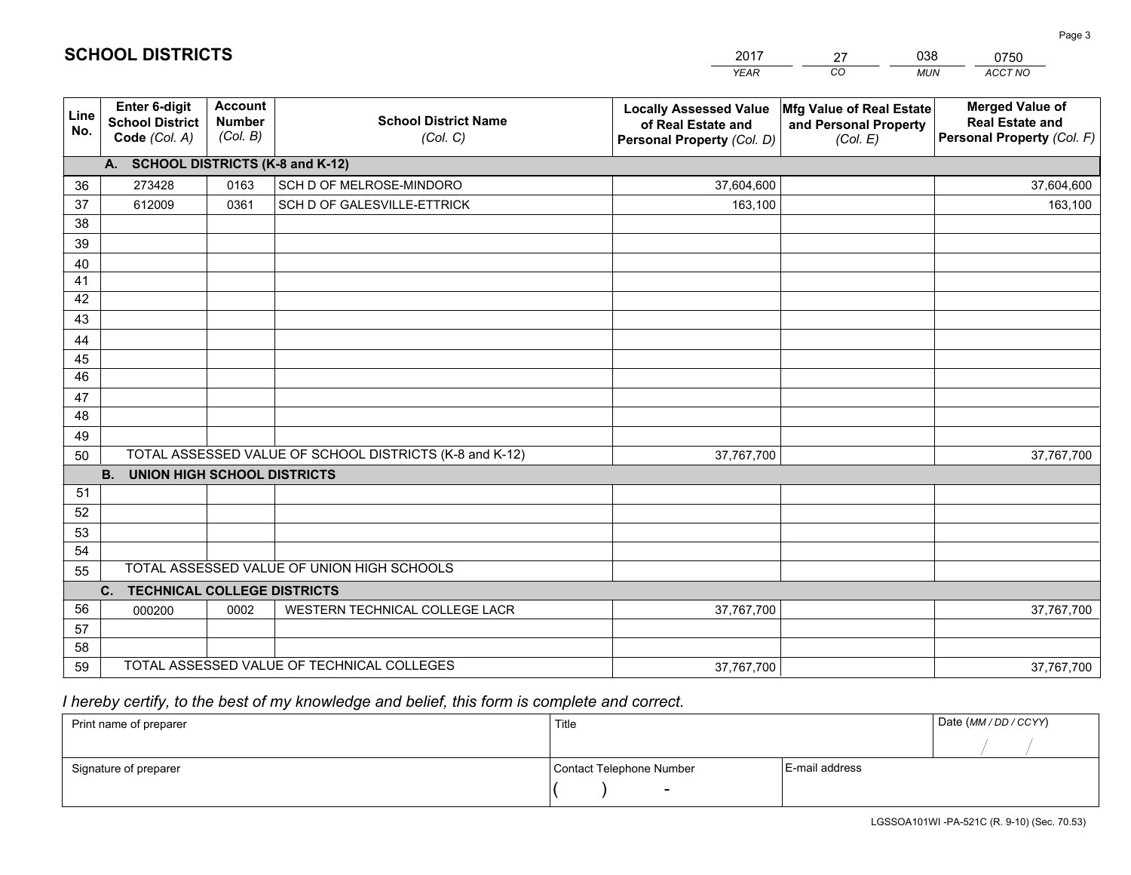|                 |                                                                 |                                             |                                                         | <b>YEAR</b>                                                                       | CO<br><b>MUN</b>                                              | ACCT NO                                                                        |
|-----------------|-----------------------------------------------------------------|---------------------------------------------|---------------------------------------------------------|-----------------------------------------------------------------------------------|---------------------------------------------------------------|--------------------------------------------------------------------------------|
| Line<br>No.     | <b>Enter 6-digit</b><br><b>School District</b><br>Code (Col. A) | <b>Account</b><br><b>Number</b><br>(Col. B) | <b>School District Name</b><br>(Col. C)                 | <b>Locally Assessed Value</b><br>of Real Estate and<br>Personal Property (Col. D) | Mfg Value of Real Estate<br>and Personal Property<br>(Col. E) | <b>Merged Value of</b><br><b>Real Estate and</b><br>Personal Property (Col. F) |
|                 | A. SCHOOL DISTRICTS (K-8 and K-12)                              |                                             |                                                         |                                                                                   |                                                               |                                                                                |
| 36              | 273428                                                          | 0163                                        | SCH D OF MELROSE-MINDORO                                | 37,604,600                                                                        |                                                               | 37,604,600                                                                     |
| 37              | 612009                                                          | 0361                                        | SCH D OF GALESVILLE-ETTRICK                             | 163,100                                                                           |                                                               | 163,100                                                                        |
| 38              |                                                                 |                                             |                                                         |                                                                                   |                                                               |                                                                                |
| 39              |                                                                 |                                             |                                                         |                                                                                   |                                                               |                                                                                |
| 40              |                                                                 |                                             |                                                         |                                                                                   |                                                               |                                                                                |
| 41              |                                                                 |                                             |                                                         |                                                                                   |                                                               |                                                                                |
| 42              |                                                                 |                                             |                                                         |                                                                                   |                                                               |                                                                                |
| 43              |                                                                 |                                             |                                                         |                                                                                   |                                                               |                                                                                |
| 44<br>45        |                                                                 |                                             |                                                         |                                                                                   |                                                               |                                                                                |
| $\overline{46}$ |                                                                 |                                             |                                                         |                                                                                   |                                                               |                                                                                |
| 47              |                                                                 |                                             |                                                         |                                                                                   |                                                               |                                                                                |
| 48              |                                                                 |                                             |                                                         |                                                                                   |                                                               |                                                                                |
| 49              |                                                                 |                                             |                                                         |                                                                                   |                                                               |                                                                                |
| 50              |                                                                 |                                             | TOTAL ASSESSED VALUE OF SCHOOL DISTRICTS (K-8 and K-12) | 37,767,700                                                                        |                                                               | 37,767,700                                                                     |
|                 | <b>B.</b><br><b>UNION HIGH SCHOOL DISTRICTS</b>                 |                                             |                                                         |                                                                                   |                                                               |                                                                                |
| 51              |                                                                 |                                             |                                                         |                                                                                   |                                                               |                                                                                |
| 52              |                                                                 |                                             |                                                         |                                                                                   |                                                               |                                                                                |
| 53              |                                                                 |                                             |                                                         |                                                                                   |                                                               |                                                                                |
| 54              |                                                                 |                                             |                                                         |                                                                                   |                                                               |                                                                                |
| 55              |                                                                 |                                             | TOTAL ASSESSED VALUE OF UNION HIGH SCHOOLS              |                                                                                   |                                                               |                                                                                |
|                 | C.<br><b>TECHNICAL COLLEGE DISTRICTS</b>                        |                                             |                                                         |                                                                                   |                                                               |                                                                                |
| 56              | 000200                                                          | 0002                                        | WESTERN TECHNICAL COLLEGE LACR                          | 37,767,700                                                                        |                                                               | 37,767,700                                                                     |
| 57              |                                                                 |                                             |                                                         |                                                                                   |                                                               |                                                                                |
| 58              |                                                                 |                                             |                                                         |                                                                                   |                                                               |                                                                                |
| 59              |                                                                 |                                             | TOTAL ASSESSED VALUE OF TECHNICAL COLLEGES              | 37,767,700                                                                        |                                                               | 37,767,700                                                                     |

27

038

 *I hereby certify, to the best of my knowledge and belief, this form is complete and correct.*

**SCHOOL DISTRICTS**

| Print name of preparer | Title                    |                | Date (MM / DD / CCYY) |
|------------------------|--------------------------|----------------|-----------------------|
|                        |                          |                |                       |
| Signature of preparer  | Contact Telephone Number | E-mail address |                       |
|                        | $\sim$                   |                |                       |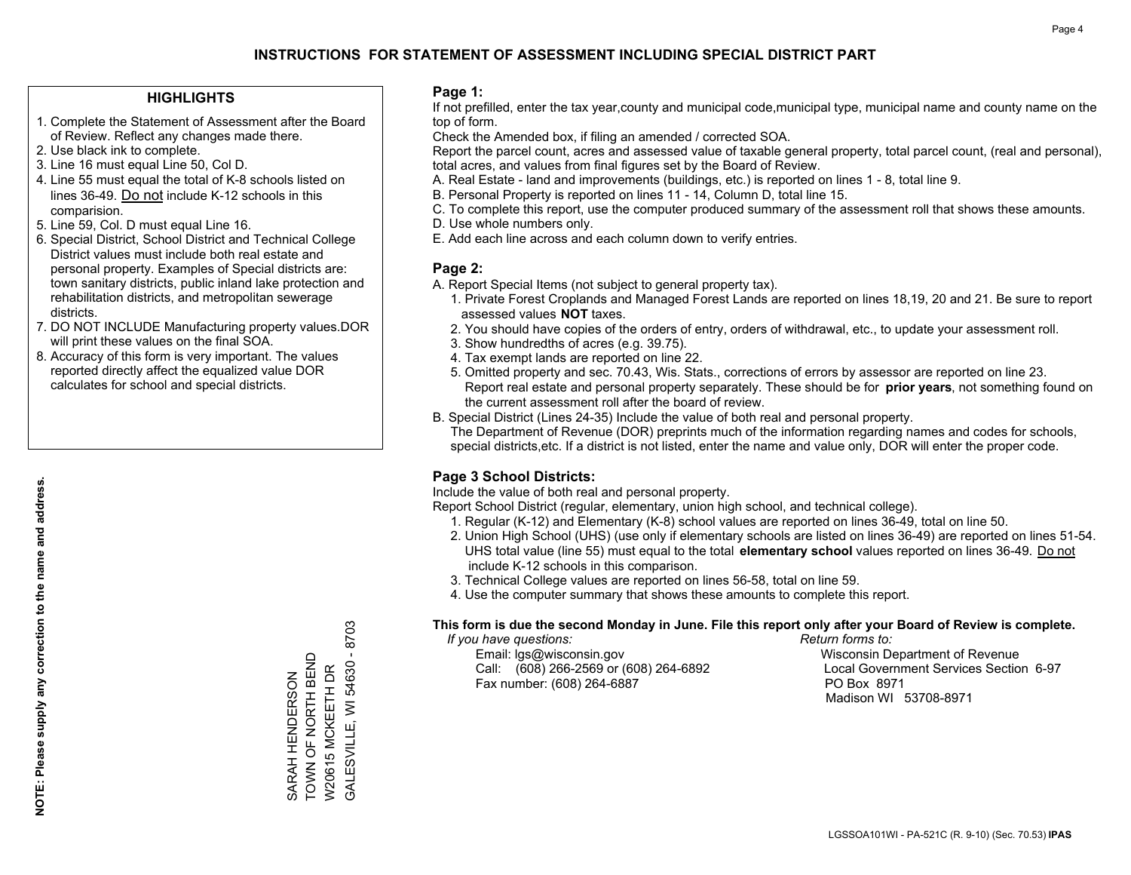### **HIGHLIGHTS**

- 1. Complete the Statement of Assessment after the Board of Review. Reflect any changes made there.
- 2. Use black ink to complete.
- 3. Line 16 must equal Line 50, Col D.
- 4. Line 55 must equal the total of K-8 schools listed on lines 36-49. Do not include K-12 schools in this comparision.
- 5. Line 59, Col. D must equal Line 16.
- 6. Special District, School District and Technical College District values must include both real estate and personal property. Examples of Special districts are: town sanitary districts, public inland lake protection and rehabilitation districts, and metropolitan sewerage districts.
- 7. DO NOT INCLUDE Manufacturing property values.DOR will print these values on the final SOA.

SARAH HENDERSON TOWN OF NORTH BEND W20615 MCKEETH DR

SARAH HENDERSON<br>TOWN OF NORTH BEND

GALESVILLE, WI 54630 - 8703

W20615 MCKEETH DR GALESVILLE, WI

54630

8703

 8. Accuracy of this form is very important. The values reported directly affect the equalized value DOR calculates for school and special districts.

### **Page 1:**

 If not prefilled, enter the tax year,county and municipal code,municipal type, municipal name and county name on the top of form.

Check the Amended box, if filing an amended / corrected SOA.

 Report the parcel count, acres and assessed value of taxable general property, total parcel count, (real and personal), total acres, and values from final figures set by the Board of Review.

- A. Real Estate land and improvements (buildings, etc.) is reported on lines 1 8, total line 9.
- B. Personal Property is reported on lines 11 14, Column D, total line 15.
- C. To complete this report, use the computer produced summary of the assessment roll that shows these amounts.
- D. Use whole numbers only.
- E. Add each line across and each column down to verify entries.

### **Page 2:**

- A. Report Special Items (not subject to general property tax).
- 1. Private Forest Croplands and Managed Forest Lands are reported on lines 18,19, 20 and 21. Be sure to report assessed values **NOT** taxes.
- 2. You should have copies of the orders of entry, orders of withdrawal, etc., to update your assessment roll.
	- 3. Show hundredths of acres (e.g. 39.75).
- 4. Tax exempt lands are reported on line 22.
- 5. Omitted property and sec. 70.43, Wis. Stats., corrections of errors by assessor are reported on line 23. Report real estate and personal property separately. These should be for **prior years**, not something found on the current assessment roll after the board of review.
- B. Special District (Lines 24-35) Include the value of both real and personal property.

 The Department of Revenue (DOR) preprints much of the information regarding names and codes for schools, special districts,etc. If a district is not listed, enter the name and value only, DOR will enter the proper code.

## **Page 3 School Districts:**

Include the value of both real and personal property.

Report School District (regular, elementary, union high school, and technical college).

- 1. Regular (K-12) and Elementary (K-8) school values are reported on lines 36-49, total on line 50.
- 2. Union High School (UHS) (use only if elementary schools are listed on lines 36-49) are reported on lines 51-54. UHS total value (line 55) must equal to the total **elementary school** values reported on lines 36-49. Do notinclude K-12 schools in this comparison.
- 3. Technical College values are reported on lines 56-58, total on line 59.
- 4. Use the computer summary that shows these amounts to complete this report.

#### **This form is due the second Monday in June. File this report only after your Board of Review is complete.**

 *If you have questions: Return forms to:*

 Email: lgs@wisconsin.gov Wisconsin Department of RevenueCall:  $(608)$  266-2569 or  $(608)$  264-6892 Fax number: (608) 264-6887 PO Box 8971

Local Government Services Section 6-97 Madison WI 53708-8971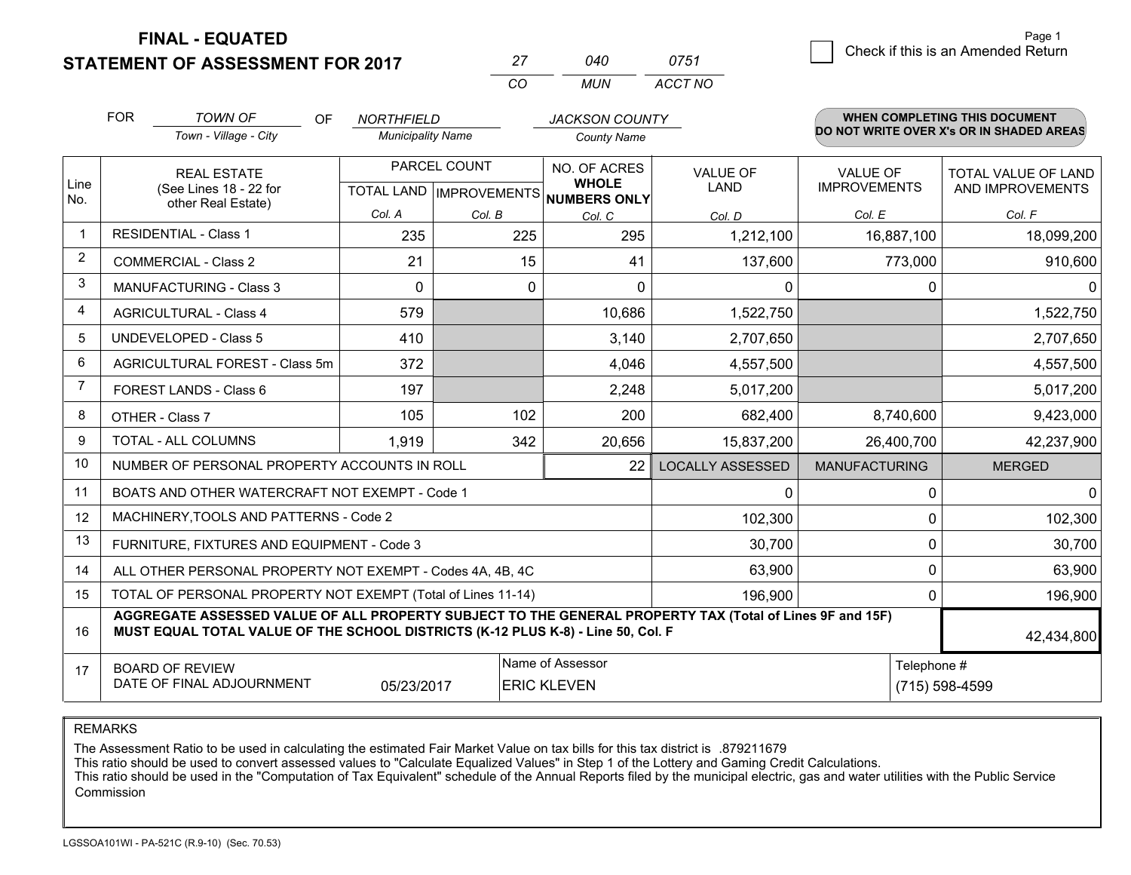**FINAL - EQUATED**

**STATEMENT OF ASSESSMENT FOR 2017** 

|          | ∩⊿∩  | 0751    |
|----------|------|---------|
| $\cdots$ | MUN. | ACCT NO |

|                | <b>FOR</b>                                                                                                                                                                                   | <b>TOWN OF</b><br>OF                                      | <b>NORTHFIELD</b>                         |          | <b>JACKSON COUNTY</b>        |                                |                                        | WHEN COMPLETING THIS DOCUMENT            |
|----------------|----------------------------------------------------------------------------------------------------------------------------------------------------------------------------------------------|-----------------------------------------------------------|-------------------------------------------|----------|------------------------------|--------------------------------|----------------------------------------|------------------------------------------|
|                |                                                                                                                                                                                              | Town - Village - City                                     | <b>Municipality Name</b>                  |          | <b>County Name</b>           |                                |                                        | DO NOT WRITE OVER X's OR IN SHADED AREAS |
| Line           | <b>REAL ESTATE</b><br>(See Lines 18 - 22 for                                                                                                                                                 |                                                           | PARCEL COUNT<br>TOTAL LAND   IMPROVEMENTS |          | NO. OF ACRES<br><b>WHOLE</b> | <b>VALUE OF</b><br><b>LAND</b> | <b>VALUE OF</b><br><b>IMPROVEMENTS</b> | TOTAL VALUE OF LAND<br>AND IMPROVEMENTS  |
| No.            |                                                                                                                                                                                              | other Real Estate)                                        | Col. A                                    | Col. B   | NUMBERS ONLY<br>Col. C       | Col. D                         | Col. E                                 | Col. F                                   |
| $\mathbf 1$    |                                                                                                                                                                                              | <b>RESIDENTIAL - Class 1</b>                              | 235                                       | 225      | 295                          | 1,212,100                      | 16,887,100                             | 18,099,200                               |
| $\overline{2}$ |                                                                                                                                                                                              | <b>COMMERCIAL - Class 2</b>                               | 21                                        | 15       | 41                           | 137,600                        | 773,000                                | 910,600                                  |
| 3              |                                                                                                                                                                                              | <b>MANUFACTURING - Class 3</b>                            | $\Omega$                                  | $\Omega$ | $\Omega$                     | 0                              |                                        | 0<br>0                                   |
| 4              |                                                                                                                                                                                              | <b>AGRICULTURAL - Class 4</b>                             | 579                                       |          | 10,686                       | 1,522,750                      |                                        | 1,522,750                                |
| 5              |                                                                                                                                                                                              | <b>UNDEVELOPED - Class 5</b>                              | 410                                       |          | 3,140                        | 2,707,650                      |                                        | 2,707,650                                |
| 6              |                                                                                                                                                                                              | AGRICULTURAL FOREST - Class 5m                            | 372                                       |          | 4,046                        | 4,557,500                      |                                        | 4,557,500                                |
| $\overline{7}$ |                                                                                                                                                                                              | FOREST LANDS - Class 6                                    | 197                                       |          | 2,248                        | 5,017,200                      |                                        | 5,017,200                                |
| 8              |                                                                                                                                                                                              | OTHER - Class 7                                           | 105                                       | 102      | 200                          | 682,400                        | 8,740,600                              | 9,423,000                                |
| 9              |                                                                                                                                                                                              | TOTAL - ALL COLUMNS                                       | 1,919                                     | 342      | 20,656                       | 15,837,200                     | 26,400,700                             | 42,237,900                               |
| 10             |                                                                                                                                                                                              | NUMBER OF PERSONAL PROPERTY ACCOUNTS IN ROLL              |                                           |          | 22                           | <b>LOCALLY ASSESSED</b>        | <b>MANUFACTURING</b>                   | <b>MERGED</b>                            |
| 11             |                                                                                                                                                                                              | BOATS AND OTHER WATERCRAFT NOT EXEMPT - Code 1            |                                           |          |                              | $\mathbf 0$                    |                                        | $\Omega$<br>$\Omega$                     |
| 12             |                                                                                                                                                                                              | MACHINERY, TOOLS AND PATTERNS - Code 2                    |                                           |          |                              | 102,300                        |                                        | 102,300<br>$\Omega$                      |
| 13             |                                                                                                                                                                                              | FURNITURE, FIXTURES AND EQUIPMENT - Code 3                |                                           |          |                              | 30,700                         |                                        | 30,700<br>0                              |
| 14             |                                                                                                                                                                                              | ALL OTHER PERSONAL PROPERTY NOT EXEMPT - Codes 4A, 4B, 4C |                                           |          |                              | 63,900                         |                                        | 63,900<br>0                              |
| 15             | TOTAL OF PERSONAL PROPERTY NOT EXEMPT (Total of Lines 11-14)<br>196,900                                                                                                                      |                                                           |                                           |          |                              |                                |                                        | 196,900<br>$\mathbf{0}$                  |
| 16             | AGGREGATE ASSESSED VALUE OF ALL PROPERTY SUBJECT TO THE GENERAL PROPERTY TAX (Total of Lines 9F and 15F)<br>MUST EQUAL TOTAL VALUE OF THE SCHOOL DISTRICTS (K-12 PLUS K-8) - Line 50, Col. F |                                                           |                                           |          |                              |                                | 42,434,800                             |                                          |
| 17             | Name of Assessor<br>Telephone #<br><b>BOARD OF REVIEW</b><br>DATE OF FINAL ADJOURNMENT<br>(715) 598-4599<br>05/23/2017<br><b>ERIC KLEVEN</b>                                                 |                                                           |                                           |          |                              |                                |                                        |                                          |

REMARKS

The Assessment Ratio to be used in calculating the estimated Fair Market Value on tax bills for this tax district is .879211679<br>This ratio should be used to convert assessed values to "Calculate Equalized Values" in Step 1 Commission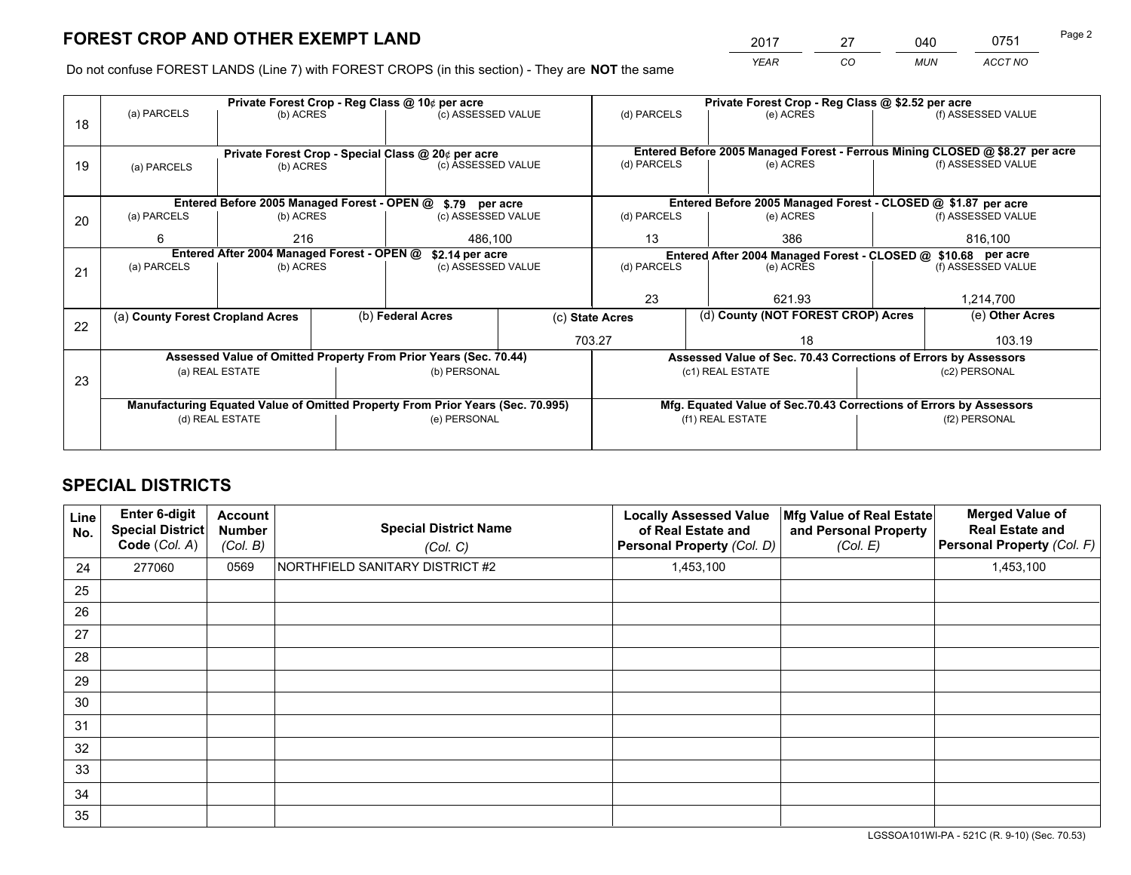*YEAR CO MUN ACCT NO* 2017 27 040 0751 Page 2

Do not confuse FOREST LANDS (Line 7) with FOREST CROPS (in this section) - They are **NOT** the same

|    |                                            |                                                    |                   | Private Forest Crop - Reg Class @ 10¢ per acre                                 |  | Private Forest Crop - Reg Class @ \$2.52 per acre                            |                                                                    |  |                    |  |
|----|--------------------------------------------|----------------------------------------------------|-------------------|--------------------------------------------------------------------------------|--|------------------------------------------------------------------------------|--------------------------------------------------------------------|--|--------------------|--|
| 18 | (a) PARCELS                                | (b) ACRES                                          |                   | (c) ASSESSED VALUE                                                             |  | (d) PARCELS                                                                  | (e) ACRES                                                          |  | (f) ASSESSED VALUE |  |
|    |                                            | Private Forest Crop - Special Class @ 20¢ per acre |                   |                                                                                |  | Entered Before 2005 Managed Forest - Ferrous Mining CLOSED @ \$8.27 per acre |                                                                    |  |                    |  |
| 19 | (a) PARCELS                                | (b) ACRES                                          |                   | (c) ASSESSED VALUE                                                             |  | (d) PARCELS                                                                  | (e) ACRES                                                          |  | (f) ASSESSED VALUE |  |
|    |                                            |                                                    |                   |                                                                                |  |                                                                              |                                                                    |  |                    |  |
|    |                                            | Entered Before 2005 Managed Forest - OPEN @        |                   | \$.79 per acre                                                                 |  |                                                                              | Entered Before 2005 Managed Forest - CLOSED @ \$1.87 per acre      |  |                    |  |
| 20 | (a) PARCELS                                | (b) ACRES                                          |                   | (c) ASSESSED VALUE                                                             |  | (d) PARCELS                                                                  | (e) ACRES                                                          |  | (f) ASSESSED VALUE |  |
|    | 6                                          | 216                                                |                   | 486,100                                                                        |  | 386<br>13                                                                    |                                                                    |  | 816,100            |  |
|    | Entered After 2004 Managed Forest - OPEN @ |                                                    |                   | \$2.14 per acre                                                                |  |                                                                              | Entered After 2004 Managed Forest - CLOSED @ \$10.68 per acre      |  |                    |  |
| 21 | (a) PARCELS                                | (b) ACRES                                          |                   | (c) ASSESSED VALUE                                                             |  | (d) PARCELS                                                                  | (e) ACRES                                                          |  | (f) ASSESSED VALUE |  |
|    |                                            |                                                    |                   |                                                                                |  |                                                                              |                                                                    |  |                    |  |
|    |                                            |                                                    |                   |                                                                                |  | 23                                                                           | 621.93                                                             |  | 1,214,700          |  |
|    | (a) County Forest Cropland Acres           |                                                    | (b) Federal Acres |                                                                                |  | (d) County (NOT FOREST CROP) Acres<br>(c) State Acres                        |                                                                    |  | (e) Other Acres    |  |
| 22 |                                            |                                                    |                   |                                                                                |  |                                                                              |                                                                    |  |                    |  |
|    |                                            |                                                    |                   |                                                                                |  | 703.27                                                                       | 18                                                                 |  | 103.19             |  |
|    |                                            |                                                    |                   | Assessed Value of Omitted Property From Prior Years (Sec. 70.44)               |  |                                                                              | Assessed Value of Sec. 70.43 Corrections of Errors by Assessors    |  |                    |  |
| 23 |                                            | (a) REAL ESTATE                                    |                   | (b) PERSONAL                                                                   |  |                                                                              | (c1) REAL ESTATE                                                   |  | (c2) PERSONAL      |  |
|    |                                            |                                                    |                   |                                                                                |  |                                                                              |                                                                    |  |                    |  |
|    |                                            |                                                    |                   | Manufacturing Equated Value of Omitted Property From Prior Years (Sec. 70.995) |  |                                                                              | Mfg. Equated Value of Sec.70.43 Corrections of Errors by Assessors |  |                    |  |
|    |                                            | (d) REAL ESTATE                                    |                   | (e) PERSONAL                                                                   |  | (f1) REAL ESTATE                                                             |                                                                    |  | (f2) PERSONAL      |  |
|    |                                            |                                                    |                   |                                                                                |  |                                                                              |                                                                    |  |                    |  |

## **SPECIAL DISTRICTS**

| <b>Line</b><br>No. | Enter 6-digit<br><b>Special District</b><br>Code (Col. A) | <b>Account</b><br><b>Number</b><br>(Col. B) | <b>Special District Name</b><br>(Col. C) | <b>Locally Assessed Value</b><br>of Real Estate and<br>Personal Property (Col. D) | Mfg Value of Real Estate<br>and Personal Property<br>(Col. E) | <b>Merged Value of</b><br><b>Real Estate and</b><br>Personal Property (Col. F) |
|--------------------|-----------------------------------------------------------|---------------------------------------------|------------------------------------------|-----------------------------------------------------------------------------------|---------------------------------------------------------------|--------------------------------------------------------------------------------|
| 24                 | 277060                                                    | 0569                                        | NORTHFIELD SANITARY DISTRICT #2          | 1,453,100                                                                         |                                                               | 1,453,100                                                                      |
| 25                 |                                                           |                                             |                                          |                                                                                   |                                                               |                                                                                |
| 26                 |                                                           |                                             |                                          |                                                                                   |                                                               |                                                                                |
| 27                 |                                                           |                                             |                                          |                                                                                   |                                                               |                                                                                |
| 28                 |                                                           |                                             |                                          |                                                                                   |                                                               |                                                                                |
| 29                 |                                                           |                                             |                                          |                                                                                   |                                                               |                                                                                |
| 30                 |                                                           |                                             |                                          |                                                                                   |                                                               |                                                                                |
| 31                 |                                                           |                                             |                                          |                                                                                   |                                                               |                                                                                |
| 32                 |                                                           |                                             |                                          |                                                                                   |                                                               |                                                                                |
| 33                 |                                                           |                                             |                                          |                                                                                   |                                                               |                                                                                |
| 34                 |                                                           |                                             |                                          |                                                                                   |                                                               |                                                                                |
| 35                 |                                                           |                                             |                                          |                                                                                   |                                                               |                                                                                |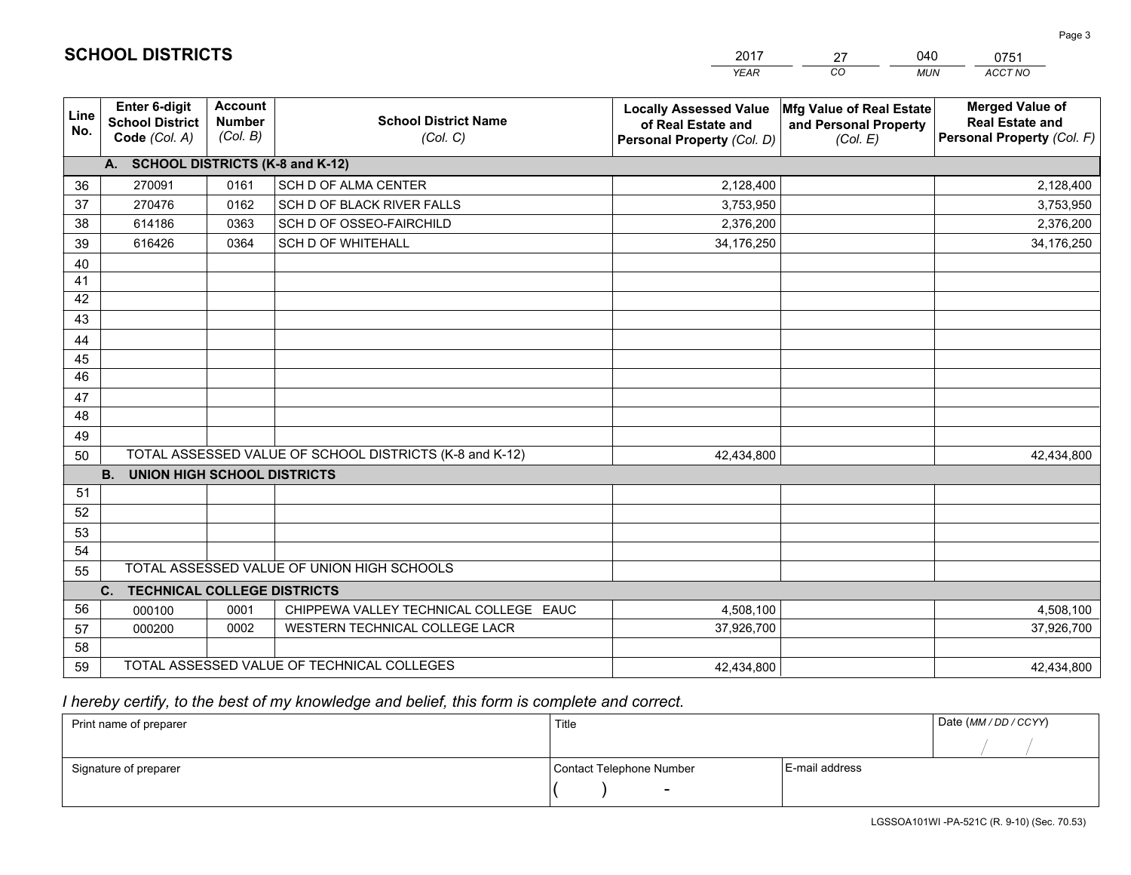|                 |                                                          |                                             |                                                         | YEAR                                                                              | CO.<br><b>MUN</b>                                             | ACCT NO                                                                        |
|-----------------|----------------------------------------------------------|---------------------------------------------|---------------------------------------------------------|-----------------------------------------------------------------------------------|---------------------------------------------------------------|--------------------------------------------------------------------------------|
| Line<br>No.     | Enter 6-digit<br><b>School District</b><br>Code (Col. A) | <b>Account</b><br><b>Number</b><br>(Col. B) | <b>School District Name</b><br>(Col. C)                 | <b>Locally Assessed Value</b><br>of Real Estate and<br>Personal Property (Col. D) | Mfg Value of Real Estate<br>and Personal Property<br>(Col. E) | <b>Merged Value of</b><br><b>Real Estate and</b><br>Personal Property (Col. F) |
|                 | A. SCHOOL DISTRICTS (K-8 and K-12)                       |                                             |                                                         |                                                                                   |                                                               |                                                                                |
| 36              | 270091                                                   | 0161                                        | SCH D OF ALMA CENTER                                    | 2,128,400                                                                         |                                                               | 2,128,400                                                                      |
| 37              | 270476                                                   | 0162                                        | SCH D OF BLACK RIVER FALLS                              | 3,753,950                                                                         |                                                               | 3,753,950                                                                      |
| 38              | 614186                                                   | 0363                                        | SCH D OF OSSEO-FAIRCHILD                                | 2,376,200                                                                         |                                                               | 2,376,200                                                                      |
| 39              | 616426                                                   | 0364                                        | <b>SCH D OF WHITEHALL</b>                               | 34,176,250                                                                        |                                                               | 34,176,250                                                                     |
| 40              |                                                          |                                             |                                                         |                                                                                   |                                                               |                                                                                |
| 41              |                                                          |                                             |                                                         |                                                                                   |                                                               |                                                                                |
| 42              |                                                          |                                             |                                                         |                                                                                   |                                                               |                                                                                |
| 43              |                                                          |                                             |                                                         |                                                                                   |                                                               |                                                                                |
| 44              |                                                          |                                             |                                                         |                                                                                   |                                                               |                                                                                |
| 45              |                                                          |                                             |                                                         |                                                                                   |                                                               |                                                                                |
| $\overline{46}$ |                                                          |                                             |                                                         |                                                                                   |                                                               |                                                                                |
| 47              |                                                          |                                             |                                                         |                                                                                   |                                                               |                                                                                |
| 48              |                                                          |                                             |                                                         |                                                                                   |                                                               |                                                                                |
| 49              |                                                          |                                             |                                                         |                                                                                   |                                                               |                                                                                |
| 50              |                                                          |                                             | TOTAL ASSESSED VALUE OF SCHOOL DISTRICTS (K-8 and K-12) | 42,434,800                                                                        |                                                               | 42,434,800                                                                     |
|                 | <b>B.</b><br><b>UNION HIGH SCHOOL DISTRICTS</b>          |                                             |                                                         |                                                                                   |                                                               |                                                                                |
| 51              |                                                          |                                             |                                                         |                                                                                   |                                                               |                                                                                |
| 52              |                                                          |                                             |                                                         |                                                                                   |                                                               |                                                                                |
| 53              |                                                          |                                             |                                                         |                                                                                   |                                                               |                                                                                |
| 54              |                                                          |                                             |                                                         |                                                                                   |                                                               |                                                                                |
| 55              |                                                          |                                             | TOTAL ASSESSED VALUE OF UNION HIGH SCHOOLS              |                                                                                   |                                                               |                                                                                |
|                 | C.<br><b>TECHNICAL COLLEGE DISTRICTS</b>                 |                                             |                                                         |                                                                                   |                                                               |                                                                                |
| 56              | 000100                                                   | 0001                                        | CHIPPEWA VALLEY TECHNICAL COLLEGE EAUC                  | 4,508,100                                                                         |                                                               | 4,508,100                                                                      |
| 57              | 000200                                                   | 0002                                        | WESTERN TECHNICAL COLLEGE LACR                          | 37,926,700                                                                        |                                                               | 37,926,700                                                                     |
| 58              |                                                          |                                             |                                                         |                                                                                   |                                                               |                                                                                |
| 59              |                                                          |                                             | TOTAL ASSESSED VALUE OF TECHNICAL COLLEGES              | 42,434,800                                                                        |                                                               | 42,434,800                                                                     |

27

040

# *I hereby certify, to the best of my knowledge and belief, this form is complete and correct.*

**SCHOOL DISTRICTS**

| Print name of preparer | Title                    |                | Date (MM / DD / CCYY) |
|------------------------|--------------------------|----------------|-----------------------|
|                        |                          |                |                       |
| Signature of preparer  | Contact Telephone Number | E-mail address |                       |
|                        | $\sim$                   |                |                       |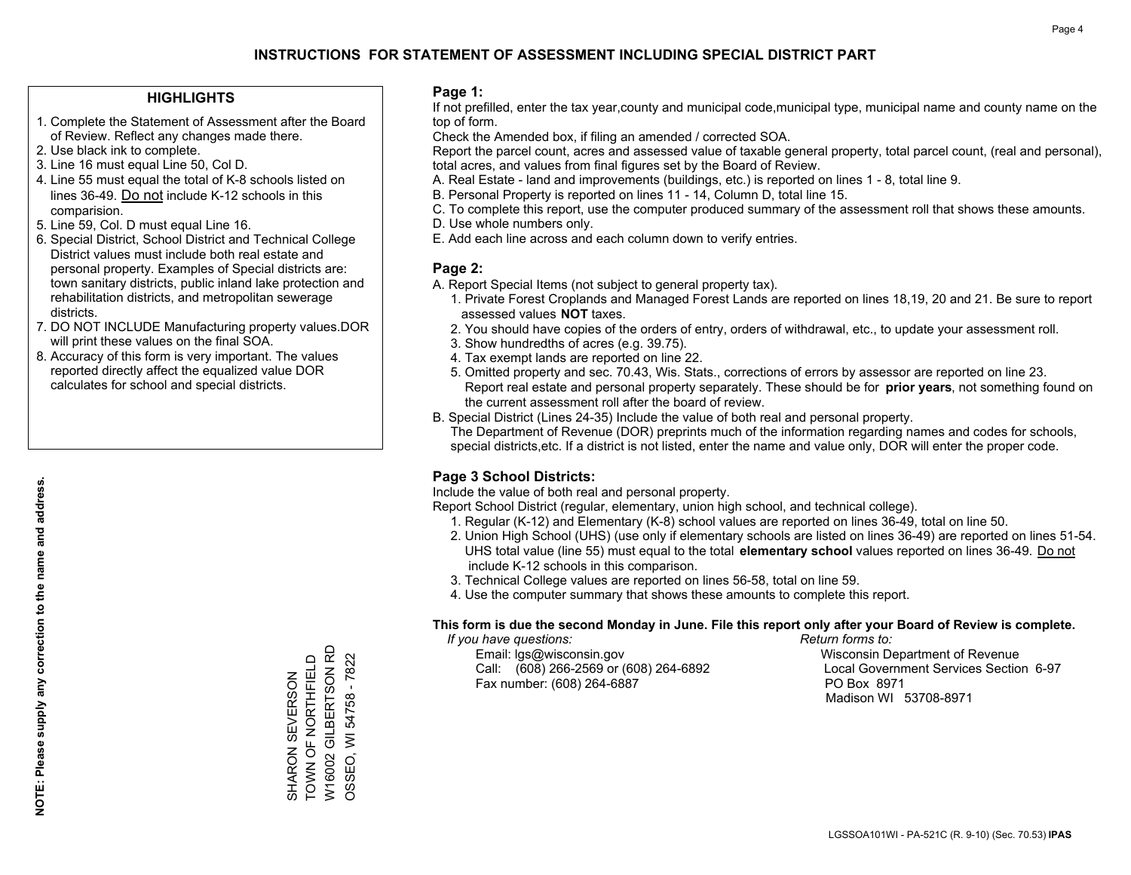### **HIGHLIGHTS**

- 1. Complete the Statement of Assessment after the Board of Review. Reflect any changes made there.
- 2. Use black ink to complete.
- 3. Line 16 must equal Line 50, Col D.
- 4. Line 55 must equal the total of K-8 schools listed on lines 36-49. Do not include K-12 schools in this comparision.
- 5. Line 59, Col. D must equal Line 16.
- 6. Special District, School District and Technical College District values must include both real estate and personal property. Examples of Special districts are: town sanitary districts, public inland lake protection and rehabilitation districts, and metropolitan sewerage districts.
- 7. DO NOT INCLUDE Manufacturing property values.DOR will print these values on the final SOA.
- 8. Accuracy of this form is very important. The values reported directly affect the equalized value DOR calculates for school and special districts.

### **Page 1:**

 If not prefilled, enter the tax year,county and municipal code,municipal type, municipal name and county name on the top of form.

Check the Amended box, if filing an amended / corrected SOA.

 Report the parcel count, acres and assessed value of taxable general property, total parcel count, (real and personal), total acres, and values from final figures set by the Board of Review.

- A. Real Estate land and improvements (buildings, etc.) is reported on lines 1 8, total line 9.
- B. Personal Property is reported on lines 11 14, Column D, total line 15.
- C. To complete this report, use the computer produced summary of the assessment roll that shows these amounts.
- D. Use whole numbers only.
- E. Add each line across and each column down to verify entries.

### **Page 2:**

- A. Report Special Items (not subject to general property tax).
- 1. Private Forest Croplands and Managed Forest Lands are reported on lines 18,19, 20 and 21. Be sure to report assessed values **NOT** taxes.
- 2. You should have copies of the orders of entry, orders of withdrawal, etc., to update your assessment roll.
	- 3. Show hundredths of acres (e.g. 39.75).
- 4. Tax exempt lands are reported on line 22.
- 5. Omitted property and sec. 70.43, Wis. Stats., corrections of errors by assessor are reported on line 23. Report real estate and personal property separately. These should be for **prior years**, not something found on the current assessment roll after the board of review.
- B. Special District (Lines 24-35) Include the value of both real and personal property.

 The Department of Revenue (DOR) preprints much of the information regarding names and codes for schools, special districts,etc. If a district is not listed, enter the name and value only, DOR will enter the proper code.

## **Page 3 School Districts:**

Include the value of both real and personal property.

Report School District (regular, elementary, union high school, and technical college).

- 1. Regular (K-12) and Elementary (K-8) school values are reported on lines 36-49, total on line 50.
- 2. Union High School (UHS) (use only if elementary schools are listed on lines 36-49) are reported on lines 51-54. UHS total value (line 55) must equal to the total **elementary school** values reported on lines 36-49. Do notinclude K-12 schools in this comparison.
- 3. Technical College values are reported on lines 56-58, total on line 59.
- 4. Use the computer summary that shows these amounts to complete this report.

#### **This form is due the second Monday in June. File this report only after your Board of Review is complete.**

 *If you have questions: Return forms to:*

 Email: lgs@wisconsin.gov Wisconsin Department of RevenueCall:  $(608)$  266-2569 or  $(608)$  264-6892 Fax number: (608) 264-6887 PO Box 8971

Local Government Services Section 6-97 Madison WI 53708-8971

W16002 GILBERTSON RD<br>OSSEO, WI 54758 - 7822 W16002 GILBERTSON RD SHARON SEVERSON<br>TOWN OF NORTHFIELD TOWN OF NORTHFIELD OSSEO, WI 54758 - 7822 SHARON SEVERSON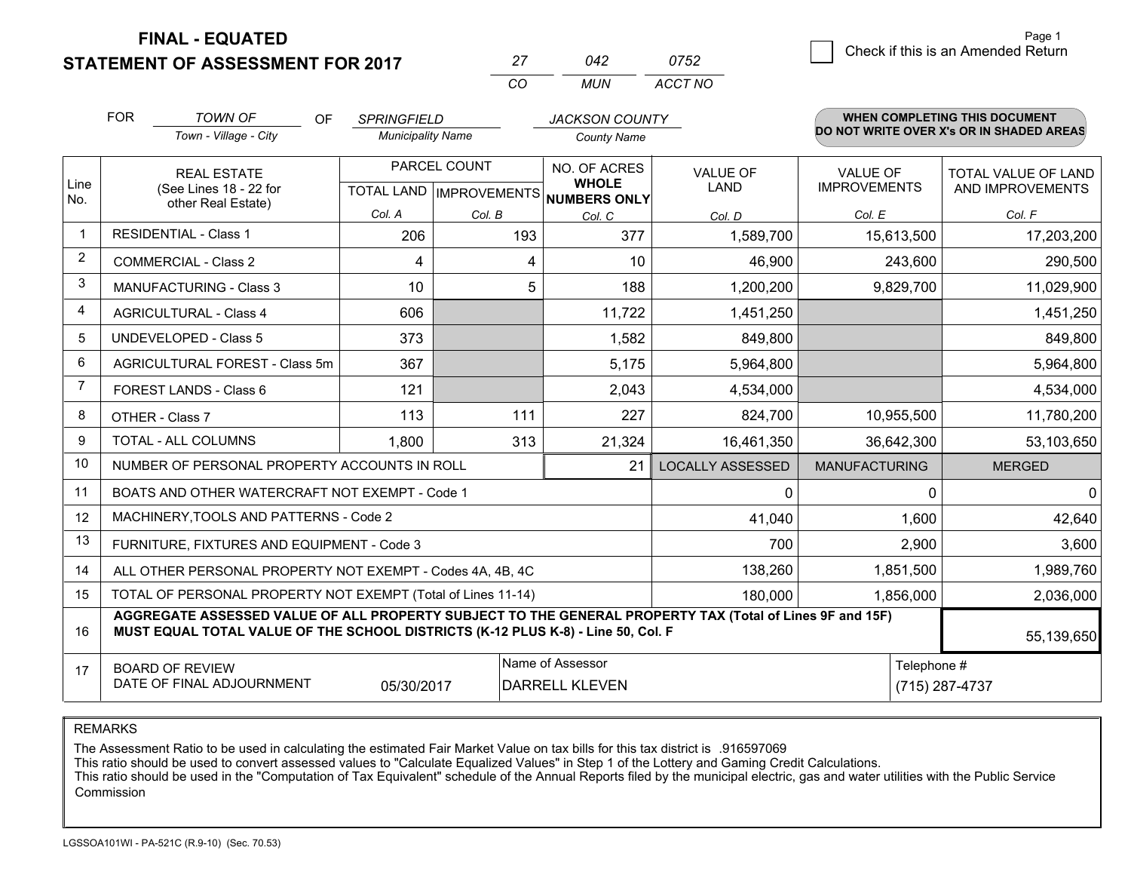**FINAL - EQUATED**

**STATEMENT OF ASSESSMENT FOR 2017** 

*CO MUN <sup>27</sup> <sup>042</sup> ACCT NO0752*

 $\overline{2}$  Check if this is an Amended Return Page 1

|                                                                                                                                                                                                    | <b>FOR</b> | <b>TOWN OF</b><br>OF                                         | <b>SPRINGFIELD</b>       |                                           | <b>JACKSON COUNTY</b>                     |                                |                                        | <b>WHEN COMPLETING THIS DOCUMENT</b>     |
|----------------------------------------------------------------------------------------------------------------------------------------------------------------------------------------------------|------------|--------------------------------------------------------------|--------------------------|-------------------------------------------|-------------------------------------------|--------------------------------|----------------------------------------|------------------------------------------|
|                                                                                                                                                                                                    |            | Town - Village - City                                        | <b>Municipality Name</b> |                                           | <b>County Name</b>                        |                                |                                        | DO NOT WRITE OVER X's OR IN SHADED AREAS |
| Line                                                                                                                                                                                               |            | <b>REAL ESTATE</b><br>(See Lines 18 - 22 for                 |                          | PARCEL COUNT<br>TOTAL LAND   IMPROVEMENTS | NO. OF ACRES<br><b>WHOLE</b>              | <b>VALUE OF</b><br><b>LAND</b> | <b>VALUE OF</b><br><b>IMPROVEMENTS</b> | TOTAL VALUE OF LAND<br>AND IMPROVEMENTS  |
| No.                                                                                                                                                                                                |            | other Real Estate)                                           | Col. A                   | Col. B                                    | <b>NUMBERS ONLY</b>                       | Col. D                         | Col. E                                 | Col. F                                   |
| $\mathbf{1}$                                                                                                                                                                                       |            | <b>RESIDENTIAL - Class 1</b>                                 | 206                      | 193                                       | Col. C<br>377                             | 1,589,700                      | 15,613,500                             | 17,203,200                               |
| 2                                                                                                                                                                                                  |            | <b>COMMERCIAL - Class 2</b>                                  | 4                        | 4                                         | 10                                        | 46,900                         | 243,600                                | 290,500                                  |
| 3                                                                                                                                                                                                  |            | MANUFACTURING - Class 3                                      | 10                       | 5                                         | 188                                       | 1,200,200                      | 9,829,700                              | 11,029,900                               |
| 4                                                                                                                                                                                                  |            | <b>AGRICULTURAL - Class 4</b>                                | 606                      |                                           | 11,722                                    | 1,451,250                      |                                        | 1,451,250                                |
| 5                                                                                                                                                                                                  |            | <b>UNDEVELOPED - Class 5</b>                                 | 373                      |                                           | 1,582                                     | 849,800                        |                                        | 849,800                                  |
| 6                                                                                                                                                                                                  |            | AGRICULTURAL FOREST - Class 5m                               | 367                      |                                           | 5,175                                     | 5,964,800                      |                                        | 5,964,800                                |
| 7                                                                                                                                                                                                  |            | FOREST LANDS - Class 6                                       | 121                      |                                           | 2,043                                     | 4,534,000                      |                                        | 4,534,000                                |
| 8                                                                                                                                                                                                  |            | OTHER - Class 7                                              | 113                      | 111                                       | 227                                       | 824,700                        | 10,955,500                             | 11,780,200                               |
| 9                                                                                                                                                                                                  |            | TOTAL - ALL COLUMNS                                          | 1,800                    | 313                                       | 21,324                                    | 16,461,350                     | 36,642,300                             | 53,103,650                               |
| 10                                                                                                                                                                                                 |            | NUMBER OF PERSONAL PROPERTY ACCOUNTS IN ROLL                 |                          |                                           | 21                                        | <b>LOCALLY ASSESSED</b>        | <b>MANUFACTURING</b>                   | <b>MERGED</b>                            |
| 11                                                                                                                                                                                                 |            | BOATS AND OTHER WATERCRAFT NOT EXEMPT - Code 1               |                          |                                           |                                           | $\mathbf{0}$                   | $\Omega$                               | $\mathbf 0$                              |
| 12                                                                                                                                                                                                 |            | MACHINERY, TOOLS AND PATTERNS - Code 2                       |                          |                                           |                                           | 41,040                         | 1,600                                  | 42,640                                   |
| 13                                                                                                                                                                                                 |            | FURNITURE, FIXTURES AND EQUIPMENT - Code 3                   |                          |                                           |                                           | 700                            | 2,900                                  | 3,600                                    |
| 14                                                                                                                                                                                                 |            | ALL OTHER PERSONAL PROPERTY NOT EXEMPT - Codes 4A, 4B, 4C    |                          |                                           |                                           | 138,260                        | 1,851,500                              | 1,989,760                                |
| 15                                                                                                                                                                                                 |            | TOTAL OF PERSONAL PROPERTY NOT EXEMPT (Total of Lines 11-14) |                          |                                           | 180,000                                   | 1,856,000                      | 2,036,000                              |                                          |
| AGGREGATE ASSESSED VALUE OF ALL PROPERTY SUBJECT TO THE GENERAL PROPERTY TAX (Total of Lines 9F and 15F)<br>MUST EQUAL TOTAL VALUE OF THE SCHOOL DISTRICTS (K-12 PLUS K-8) - Line 50, Col. F<br>16 |            |                                                              |                          |                                           |                                           |                                |                                        | 55,139,650                               |
| 17                                                                                                                                                                                                 |            | <b>BOARD OF REVIEW</b><br>DATE OF FINAL ADJOURNMENT          | 05/30/2017               |                                           | Name of Assessor<br><b>DARRELL KLEVEN</b> |                                | Telephone #                            | (715) 287-4737                           |

REMARKS

The Assessment Ratio to be used in calculating the estimated Fair Market Value on tax bills for this tax district is .916597069<br>This ratio should be used to convert assessed values to "Calculate Equalized Values" in Step 1 Commission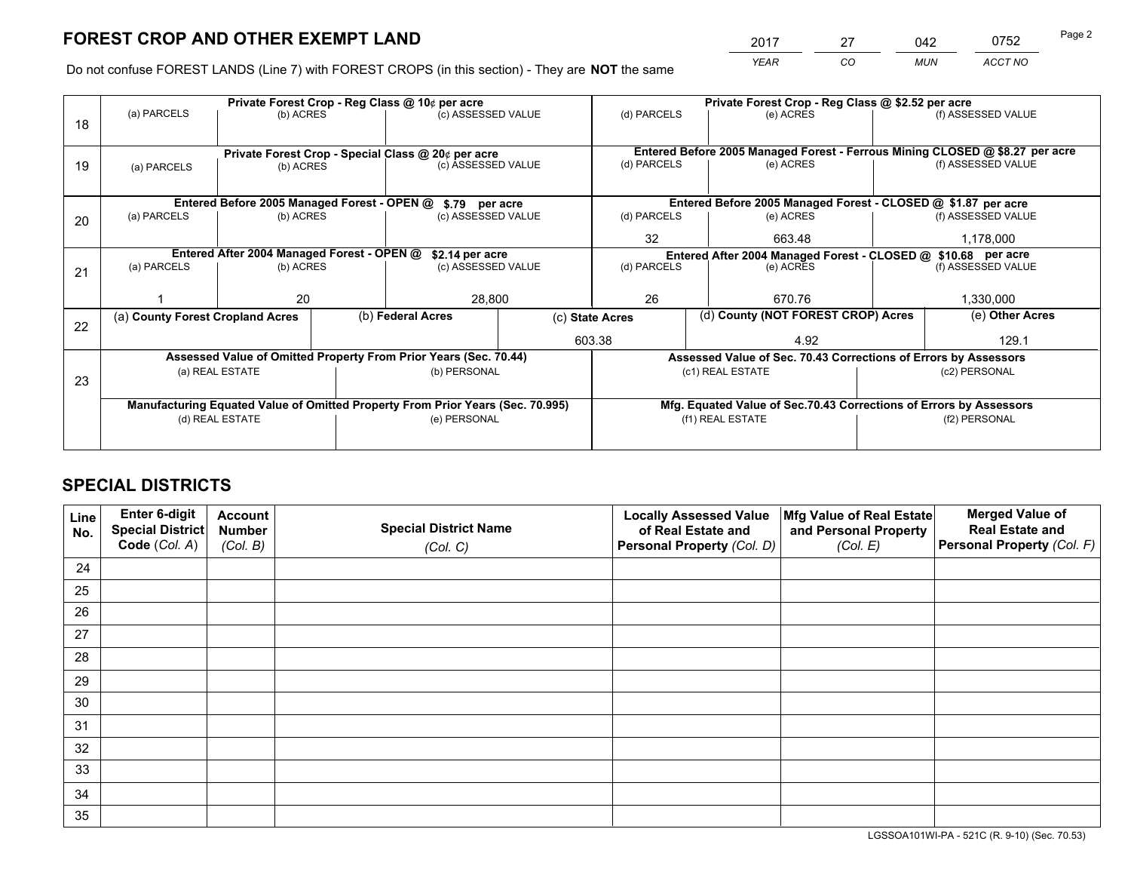*YEAR CO MUN ACCT NO* 2017 27 042 0752

Do not confuse FOREST LANDS (Line 7) with FOREST CROPS (in this section) - They are **NOT** the same

| Private Forest Crop - Reg Class @ 10¢ per acre                |                            |                                                     |                                                  |                                                                  | Private Forest Crop - Reg Class @ \$2.52 per acre                                                                                                                                                                                                                                                                                                            |                                                                              |               |                                                                                                                                                                                                                                                                                                               |  |
|---------------------------------------------------------------|----------------------------|-----------------------------------------------------|--------------------------------------------------|------------------------------------------------------------------|--------------------------------------------------------------------------------------------------------------------------------------------------------------------------------------------------------------------------------------------------------------------------------------------------------------------------------------------------------------|------------------------------------------------------------------------------|---------------|---------------------------------------------------------------------------------------------------------------------------------------------------------------------------------------------------------------------------------------------------------------------------------------------------------------|--|
|                                                               |                            |                                                     |                                                  |                                                                  |                                                                                                                                                                                                                                                                                                                                                              | (e) ACRES                                                                    |               | (f) ASSESSED VALUE                                                                                                                                                                                                                                                                                            |  |
|                                                               |                            |                                                     |                                                  |                                                                  |                                                                                                                                                                                                                                                                                                                                                              |                                                                              |               |                                                                                                                                                                                                                                                                                                               |  |
|                                                               |                            |                                                     |                                                  |                                                                  |                                                                                                                                                                                                                                                                                                                                                              | Entered Before 2005 Managed Forest - Ferrous Mining CLOSED @ \$8.27 per acre |               |                                                                                                                                                                                                                                                                                                               |  |
| (a) PARCELS                                                   |                            |                                                     |                                                  |                                                                  | (d) PARCELS                                                                                                                                                                                                                                                                                                                                                  | (e) ACRES                                                                    |               | (f) ASSESSED VALUE                                                                                                                                                                                                                                                                                            |  |
|                                                               |                            |                                                     |                                                  |                                                                  |                                                                                                                                                                                                                                                                                                                                                              |                                                                              |               |                                                                                                                                                                                                                                                                                                               |  |
|                                                               |                            |                                                     |                                                  |                                                                  |                                                                                                                                                                                                                                                                                                                                                              |                                                                              |               |                                                                                                                                                                                                                                                                                                               |  |
| (a) PARCELS                                                   |                            |                                                     |                                                  |                                                                  | (d) PARCELS                                                                                                                                                                                                                                                                                                                                                  | (e) ACRES                                                                    |               | (f) ASSESSED VALUE                                                                                                                                                                                                                                                                                            |  |
|                                                               |                            |                                                     |                                                  |                                                                  | 32                                                                                                                                                                                                                                                                                                                                                           | 663.48                                                                       |               | 1,178,000                                                                                                                                                                                                                                                                                                     |  |
| Entered After 2004 Managed Forest - OPEN @<br>\$2.14 per acre |                            |                                                     |                                                  |                                                                  |                                                                                                                                                                                                                                                                                                                                                              |                                                                              |               |                                                                                                                                                                                                                                                                                                               |  |
|                                                               |                            |                                                     |                                                  |                                                                  |                                                                                                                                                                                                                                                                                                                                                              |                                                                              |               | (f) ASSESSED VALUE                                                                                                                                                                                                                                                                                            |  |
|                                                               |                            |                                                     |                                                  |                                                                  |                                                                                                                                                                                                                                                                                                                                                              |                                                                              |               |                                                                                                                                                                                                                                                                                                               |  |
|                                                               | 20                         |                                                     |                                                  |                                                                  | 670.76                                                                                                                                                                                                                                                                                                                                                       |                                                                              | 1,330,000     |                                                                                                                                                                                                                                                                                                               |  |
|                                                               |                            |                                                     |                                                  |                                                                  |                                                                                                                                                                                                                                                                                                                                                              |                                                                              |               | (e) Other Acres                                                                                                                                                                                                                                                                                               |  |
|                                                               |                            |                                                     |                                                  |                                                                  | 4.92                                                                                                                                                                                                                                                                                                                                                         |                                                                              |               | 129.1                                                                                                                                                                                                                                                                                                         |  |
|                                                               |                            |                                                     |                                                  |                                                                  |                                                                                                                                                                                                                                                                                                                                                              |                                                                              |               |                                                                                                                                                                                                                                                                                                               |  |
|                                                               |                            |                                                     |                                                  |                                                                  | (c1) REAL ESTATE                                                                                                                                                                                                                                                                                                                                             |                                                                              |               | (c2) PERSONAL                                                                                                                                                                                                                                                                                                 |  |
|                                                               |                            |                                                     |                                                  |                                                                  |                                                                                                                                                                                                                                                                                                                                                              |                                                                              |               |                                                                                                                                                                                                                                                                                                               |  |
|                                                               |                            |                                                     |                                                  |                                                                  |                                                                                                                                                                                                                                                                                                                                                              |                                                                              |               |                                                                                                                                                                                                                                                                                                               |  |
| (d) REAL ESTATE                                               |                            |                                                     |                                                  |                                                                  | (f1) REAL ESTATE                                                                                                                                                                                                                                                                                                                                             |                                                                              | (f2) PERSONAL |                                                                                                                                                                                                                                                                                                               |  |
|                                                               |                            |                                                     |                                                  |                                                                  |                                                                                                                                                                                                                                                                                                                                                              |                                                                              |               |                                                                                                                                                                                                                                                                                                               |  |
|                                                               | (a) PARCELS<br>(a) PARCELS | (a) County Forest Cropland Acres<br>(a) REAL ESTATE | (b) ACRES<br>(b) ACRES<br>(b) ACRES<br>(b) ACRES | Entered Before 2005 Managed Forest - OPEN @<br>(b) Federal Acres | (c) ASSESSED VALUE<br>Private Forest Crop - Special Class @ 20¢ per acre<br>(c) ASSESSED VALUE<br>\$.79 per acre<br>(c) ASSESSED VALUE<br>(c) ASSESSED VALUE<br>28,800<br>Assessed Value of Omitted Property From Prior Years (Sec. 70.44)<br>(b) PERSONAL<br>Manufacturing Equated Value of Omitted Property From Prior Years (Sec. 70.995)<br>(e) PERSONAL | (d) PARCELS<br>(d) PARCELS<br>26<br>(c) State Acres<br>603.38                | (e) ACRES     | Entered Before 2005 Managed Forest - CLOSED @ \$1.87 per acre<br>Entered After 2004 Managed Forest - CLOSED @ \$10.68 per acre<br>(d) County (NOT FOREST CROP) Acres<br>Assessed Value of Sec. 70.43 Corrections of Errors by Assessors<br>Mfg. Equated Value of Sec.70.43 Corrections of Errors by Assessors |  |

## **SPECIAL DISTRICTS**

| Line<br>No. | Enter 6-digit<br>Special District<br>Code (Col. A) | <b>Account</b><br><b>Number</b><br>(Col. B) | <b>Special District Name</b><br>(Col. C) | <b>Locally Assessed Value</b><br>of Real Estate and<br>Personal Property (Col. D) | Mfg Value of Real Estate<br>and Personal Property<br>(Col. E) | <b>Merged Value of</b><br><b>Real Estate and</b><br>Personal Property (Col. F) |
|-------------|----------------------------------------------------|---------------------------------------------|------------------------------------------|-----------------------------------------------------------------------------------|---------------------------------------------------------------|--------------------------------------------------------------------------------|
| 24          |                                                    |                                             |                                          |                                                                                   |                                                               |                                                                                |
| 25          |                                                    |                                             |                                          |                                                                                   |                                                               |                                                                                |
| 26          |                                                    |                                             |                                          |                                                                                   |                                                               |                                                                                |
| 27          |                                                    |                                             |                                          |                                                                                   |                                                               |                                                                                |
| 28          |                                                    |                                             |                                          |                                                                                   |                                                               |                                                                                |
| 29          |                                                    |                                             |                                          |                                                                                   |                                                               |                                                                                |
| 30          |                                                    |                                             |                                          |                                                                                   |                                                               |                                                                                |
| 31          |                                                    |                                             |                                          |                                                                                   |                                                               |                                                                                |
| 32          |                                                    |                                             |                                          |                                                                                   |                                                               |                                                                                |
| 33          |                                                    |                                             |                                          |                                                                                   |                                                               |                                                                                |
| 34          |                                                    |                                             |                                          |                                                                                   |                                                               |                                                                                |
| 35          |                                                    |                                             |                                          |                                                                                   |                                                               |                                                                                |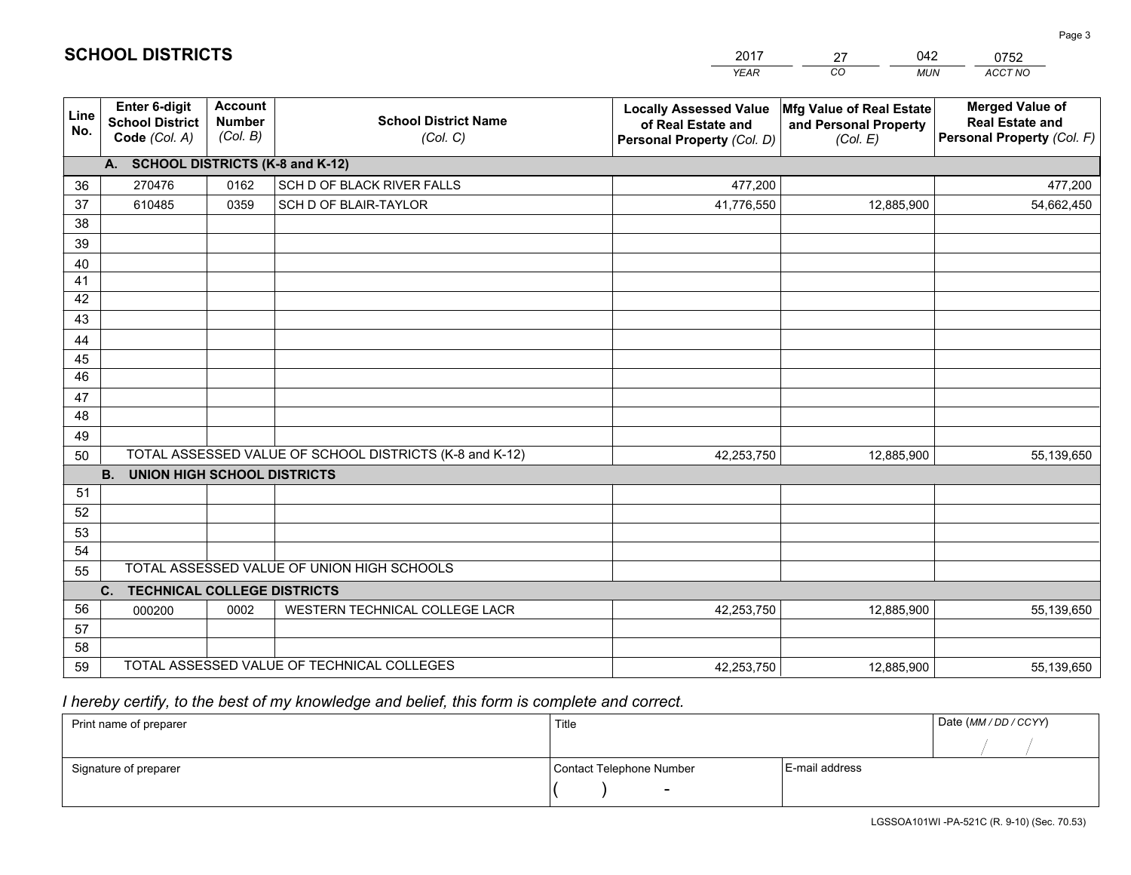|             |                                                          |                                             |                                                         | YEAR                                                                              | CO.<br><b>MUN</b>                                             | ACCT NO                                                                        |
|-------------|----------------------------------------------------------|---------------------------------------------|---------------------------------------------------------|-----------------------------------------------------------------------------------|---------------------------------------------------------------|--------------------------------------------------------------------------------|
| Line<br>No. | Enter 6-digit<br><b>School District</b><br>Code (Col. A) | <b>Account</b><br><b>Number</b><br>(Col. B) | <b>School District Name</b><br>(Col. C)                 | <b>Locally Assessed Value</b><br>of Real Estate and<br>Personal Property (Col. D) | Mfg Value of Real Estate<br>and Personal Property<br>(Col. E) | <b>Merged Value of</b><br><b>Real Estate and</b><br>Personal Property (Col. F) |
|             | A. SCHOOL DISTRICTS (K-8 and K-12)                       |                                             |                                                         |                                                                                   |                                                               |                                                                                |
| 36          | 270476                                                   | 0162                                        | SCH D OF BLACK RIVER FALLS                              | 477,200                                                                           |                                                               | 477,200                                                                        |
| 37          | 610485                                                   | 0359                                        | SCH D OF BLAIR-TAYLOR                                   | 41,776,550                                                                        | 12,885,900                                                    | 54,662,450                                                                     |
| 38          |                                                          |                                             |                                                         |                                                                                   |                                                               |                                                                                |
| 39          |                                                          |                                             |                                                         |                                                                                   |                                                               |                                                                                |
| 40          |                                                          |                                             |                                                         |                                                                                   |                                                               |                                                                                |
| 41          |                                                          |                                             |                                                         |                                                                                   |                                                               |                                                                                |
| 42          |                                                          |                                             |                                                         |                                                                                   |                                                               |                                                                                |
| 43          |                                                          |                                             |                                                         |                                                                                   |                                                               |                                                                                |
| 44<br>45    |                                                          |                                             |                                                         |                                                                                   |                                                               |                                                                                |
| 46          |                                                          |                                             |                                                         |                                                                                   |                                                               |                                                                                |
| 47          |                                                          |                                             |                                                         |                                                                                   |                                                               |                                                                                |
| 48          |                                                          |                                             |                                                         |                                                                                   |                                                               |                                                                                |
| 49          |                                                          |                                             |                                                         |                                                                                   |                                                               |                                                                                |
| 50          |                                                          |                                             | TOTAL ASSESSED VALUE OF SCHOOL DISTRICTS (K-8 and K-12) | 42,253,750                                                                        | 12,885,900                                                    | 55,139,650                                                                     |
|             | <b>B.</b><br><b>UNION HIGH SCHOOL DISTRICTS</b>          |                                             |                                                         |                                                                                   |                                                               |                                                                                |
| 51          |                                                          |                                             |                                                         |                                                                                   |                                                               |                                                                                |
| 52          |                                                          |                                             |                                                         |                                                                                   |                                                               |                                                                                |
| 53          |                                                          |                                             |                                                         |                                                                                   |                                                               |                                                                                |
| 54          |                                                          |                                             |                                                         |                                                                                   |                                                               |                                                                                |
| 55          |                                                          |                                             | TOTAL ASSESSED VALUE OF UNION HIGH SCHOOLS              |                                                                                   |                                                               |                                                                                |
|             | C.<br><b>TECHNICAL COLLEGE DISTRICTS</b>                 |                                             |                                                         |                                                                                   |                                                               |                                                                                |
| 56          | 000200                                                   | 0002                                        | WESTERN TECHNICAL COLLEGE LACR                          | 42,253,750                                                                        | 12,885,900                                                    | 55,139,650                                                                     |
| 57<br>58    |                                                          |                                             |                                                         |                                                                                   |                                                               |                                                                                |
| 59          |                                                          |                                             | TOTAL ASSESSED VALUE OF TECHNICAL COLLEGES              | 42,253,750                                                                        |                                                               |                                                                                |
|             |                                                          |                                             |                                                         |                                                                                   | 12,885,900                                                    | 55,139,650                                                                     |

27

042

 *I hereby certify, to the best of my knowledge and belief, this form is complete and correct.*

**SCHOOL DISTRICTS**

| Print name of preparer | Title                    |                | Date (MM/DD/CCYY) |
|------------------------|--------------------------|----------------|-------------------|
|                        |                          |                |                   |
| Signature of preparer  | Contact Telephone Number | E-mail address |                   |
|                        | $\overline{\phantom{a}}$ |                |                   |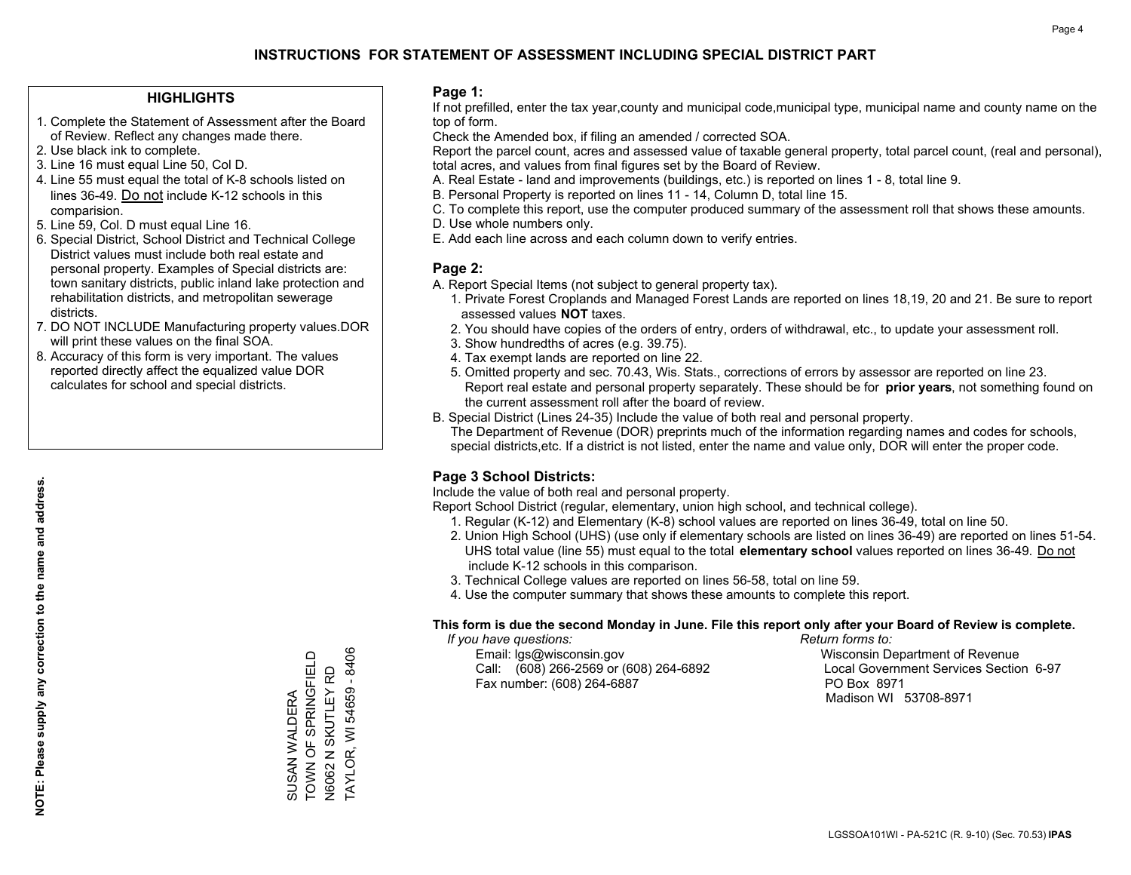### **HIGHLIGHTS**

- 1. Complete the Statement of Assessment after the Board of Review. Reflect any changes made there.
- 2. Use black ink to complete.
- 3. Line 16 must equal Line 50, Col D.
- 4. Line 55 must equal the total of K-8 schools listed on lines 36-49. Do not include K-12 schools in this comparision.
- 5. Line 59, Col. D must equal Line 16.
- 6. Special District, School District and Technical College District values must include both real estate and personal property. Examples of Special districts are: town sanitary districts, public inland lake protection and rehabilitation districts, and metropolitan sewerage districts.
- 7. DO NOT INCLUDE Manufacturing property values.DOR will print these values on the final SOA.

SUSAN WALDERA TOWN OF SPRINGFIELD N6062 N SKUTLEY RD TAYLOR, WI 54659 - 8406

SUSAN WALDERA<br>TOWN OF SPRINGFIELD N6062 N SKUTLEY RD

**TAYLOR, WI 54659 - 8406** 

 8. Accuracy of this form is very important. The values reported directly affect the equalized value DOR calculates for school and special districts.

### **Page 1:**

 If not prefilled, enter the tax year,county and municipal code,municipal type, municipal name and county name on the top of form.

Check the Amended box, if filing an amended / corrected SOA.

 Report the parcel count, acres and assessed value of taxable general property, total parcel count, (real and personal), total acres, and values from final figures set by the Board of Review.

- A. Real Estate land and improvements (buildings, etc.) is reported on lines 1 8, total line 9.
- B. Personal Property is reported on lines 11 14, Column D, total line 15.
- C. To complete this report, use the computer produced summary of the assessment roll that shows these amounts.
- D. Use whole numbers only.
- E. Add each line across and each column down to verify entries.

### **Page 2:**

- A. Report Special Items (not subject to general property tax).
- 1. Private Forest Croplands and Managed Forest Lands are reported on lines 18,19, 20 and 21. Be sure to report assessed values **NOT** taxes.
- 2. You should have copies of the orders of entry, orders of withdrawal, etc., to update your assessment roll.
	- 3. Show hundredths of acres (e.g. 39.75).
- 4. Tax exempt lands are reported on line 22.
- 5. Omitted property and sec. 70.43, Wis. Stats., corrections of errors by assessor are reported on line 23. Report real estate and personal property separately. These should be for **prior years**, not something found on the current assessment roll after the board of review.
- B. Special District (Lines 24-35) Include the value of both real and personal property.
- The Department of Revenue (DOR) preprints much of the information regarding names and codes for schools, special districts,etc. If a district is not listed, enter the name and value only, DOR will enter the proper code.

## **Page 3 School Districts:**

Include the value of both real and personal property.

Report School District (regular, elementary, union high school, and technical college).

- 1. Regular (K-12) and Elementary (K-8) school values are reported on lines 36-49, total on line 50.
- 2. Union High School (UHS) (use only if elementary schools are listed on lines 36-49) are reported on lines 51-54. UHS total value (line 55) must equal to the total **elementary school** values reported on lines 36-49. Do notinclude K-12 schools in this comparison.
- 3. Technical College values are reported on lines 56-58, total on line 59.
- 4. Use the computer summary that shows these amounts to complete this report.

#### **This form is due the second Monday in June. File this report only after your Board of Review is complete.**

 *If you have questions: Return forms to:*

 Email: lgs@wisconsin.gov Wisconsin Department of RevenueCall:  $(608)$  266-2569 or  $(608)$  264-6892 Fax number: (608) 264-6887 PO Box 8971

Local Government Services Section 6-97 Madison WI 53708-8971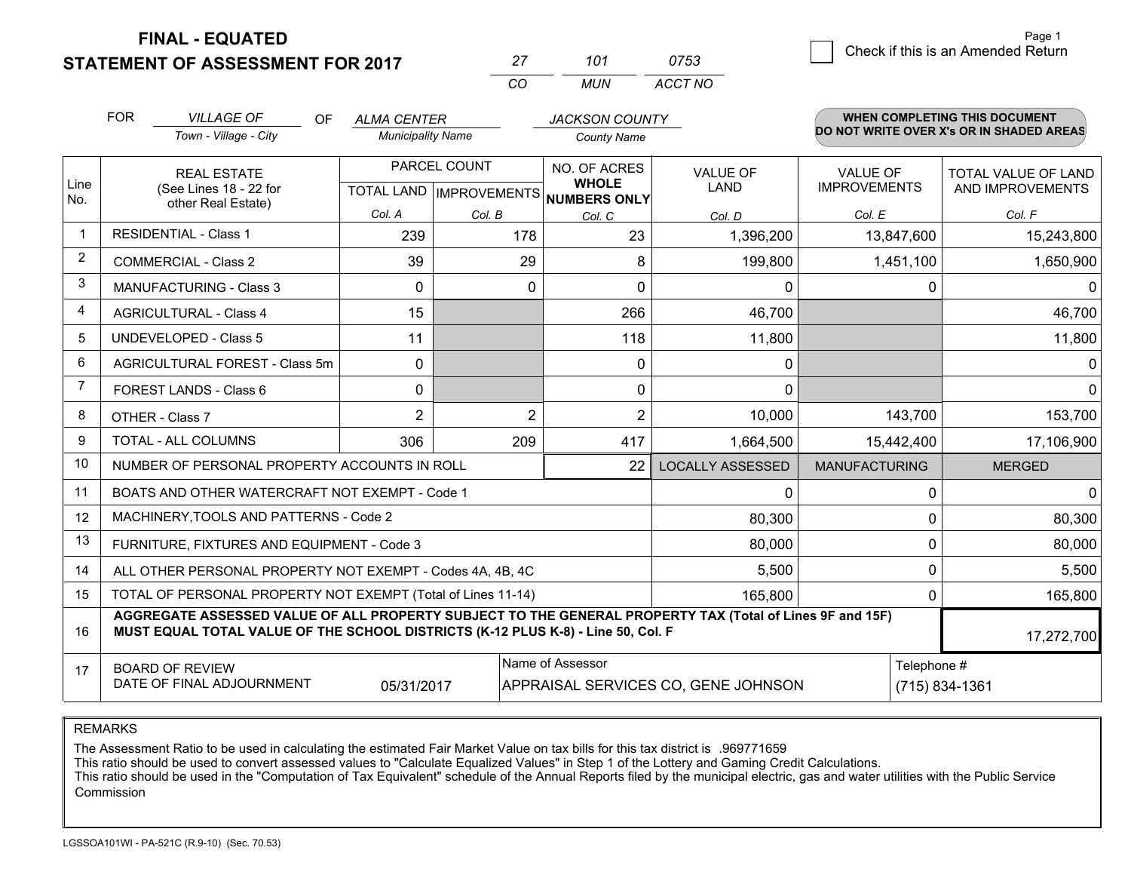**STATEMENT OF ASSESSMENT FOR 2017** 

**FINAL - EQUATED**

| 27  | 101 | 0753    |
|-----|-----|---------|
| CO. | MUN | ACCT NO |

|                | <b>FOR</b>         | <b>VILLAGE OF</b><br>OF                                                                                                                                                                      | <b>ALMA CENTER</b>           |                | <b>JACKSON COUNTY</b>                                |                         |                            | WHEN COMPLETING THIS DOCUMENT<br>DO NOT WRITE OVER X's OR IN SHADED AREAS |  |
|----------------|--------------------|----------------------------------------------------------------------------------------------------------------------------------------------------------------------------------------------|------------------------------|----------------|------------------------------------------------------|-------------------------|----------------------------|---------------------------------------------------------------------------|--|
|                |                    | Town - Village - City                                                                                                                                                                        | <b>Municipality Name</b>     |                | <b>County Name</b>                                   |                         |                            |                                                                           |  |
|                | <b>REAL ESTATE</b> |                                                                                                                                                                                              | PARCEL COUNT<br>NO. OF ACRES |                | <b>VALUE OF</b>                                      | <b>VALUE OF</b>         | <b>TOTAL VALUE OF LAND</b> |                                                                           |  |
| Line<br>No.    |                    | (See Lines 18 - 22 for<br>other Real Estate)                                                                                                                                                 |                              |                | <b>WHOLE</b><br>TOTAL LAND IMPROVEMENTS NUMBERS ONLY | LAND                    | <b>IMPROVEMENTS</b>        | AND IMPROVEMENTS                                                          |  |
|                |                    |                                                                                                                                                                                              | Col. A                       | Col. B         | Col. C                                               | Col. D                  | Col. E                     | Col. F                                                                    |  |
| -1             |                    | <b>RESIDENTIAL - Class 1</b>                                                                                                                                                                 | 239                          | 178            | 23                                                   | 1,396,200               | 13,847,600                 | 15,243,800                                                                |  |
| $\overline{2}$ |                    | <b>COMMERCIAL - Class 2</b>                                                                                                                                                                  | 39                           | 29             | 8                                                    | 199,800                 | 1,451,100                  | 1,650,900                                                                 |  |
| 3              |                    | MANUFACTURING - Class 3                                                                                                                                                                      | $\Omega$                     | 0              | $\Omega$                                             | 0                       | 0                          | $\Omega$                                                                  |  |
| 4              |                    | <b>AGRICULTURAL - Class 4</b>                                                                                                                                                                | 15                           |                | 266                                                  | 46,700                  |                            | 46,700                                                                    |  |
| 5              |                    | <b>UNDEVELOPED - Class 5</b>                                                                                                                                                                 | 11                           |                | 118                                                  | 11,800                  |                            | 11,800                                                                    |  |
| 6              |                    | AGRICULTURAL FOREST - Class 5m                                                                                                                                                               | $\Omega$                     |                | $\Omega$                                             | 0                       |                            | $\mathbf{0}$                                                              |  |
| 7              |                    | FOREST LANDS - Class 6                                                                                                                                                                       | $\mathbf{0}$                 |                | $\Omega$                                             | $\Omega$                |                            | $\mathbf 0$                                                               |  |
| 8              |                    | OTHER - Class 7                                                                                                                                                                              | $\overline{2}$               | $\overline{2}$ | $\overline{2}$                                       | 10,000                  | 143,700                    | 153,700                                                                   |  |
| 9              |                    | TOTAL - ALL COLUMNS                                                                                                                                                                          | 306                          | 209            | 417                                                  | 1,664,500               | 15,442,400                 | 17,106,900                                                                |  |
| 10             |                    | NUMBER OF PERSONAL PROPERTY ACCOUNTS IN ROLL                                                                                                                                                 |                              |                | 22                                                   | <b>LOCALLY ASSESSED</b> | <b>MANUFACTURING</b>       | <b>MERGED</b>                                                             |  |
| 11             |                    | BOATS AND OTHER WATERCRAFT NOT EXEMPT - Code 1                                                                                                                                               |                              |                |                                                      | 0                       | $\Omega$                   | $\Omega$                                                                  |  |
| 12             |                    | MACHINERY, TOOLS AND PATTERNS - Code 2                                                                                                                                                       |                              |                |                                                      | 80,300                  | $\Omega$                   | 80,300                                                                    |  |
| 13             |                    | FURNITURE, FIXTURES AND EQUIPMENT - Code 3                                                                                                                                                   |                              |                |                                                      | 80,000                  | $\mathbf 0$                | 80,000                                                                    |  |
| 14             |                    | ALL OTHER PERSONAL PROPERTY NOT EXEMPT - Codes 4A, 4B, 4C                                                                                                                                    |                              |                |                                                      | 5,500                   | $\mathbf 0$                | 5,500                                                                     |  |
| 15             |                    | TOTAL OF PERSONAL PROPERTY NOT EXEMPT (Total of Lines 11-14)                                                                                                                                 |                              |                | 165,800                                              | $\mathbf{0}$            | 165,800                    |                                                                           |  |
| 16             |                    | AGGREGATE ASSESSED VALUE OF ALL PROPERTY SUBJECT TO THE GENERAL PROPERTY TAX (Total of Lines 9F and 15F)<br>MUST EQUAL TOTAL VALUE OF THE SCHOOL DISTRICTS (K-12 PLUS K-8) - Line 50, Col. F |                              |                |                                                      |                         | 17,272,700                 |                                                                           |  |
| 17             |                    | <b>BOARD OF REVIEW</b>                                                                                                                                                                       |                              |                | Name of Assessor                                     |                         | Telephone #                |                                                                           |  |
|                |                    | DATE OF FINAL ADJOURNMENT                                                                                                                                                                    | 05/31/2017                   |                | APPRAISAL SERVICES CO, GENE JOHNSON                  |                         |                            | (715) 834-1361                                                            |  |

REMARKS

The Assessment Ratio to be used in calculating the estimated Fair Market Value on tax bills for this tax district is .969771659

This ratio should be used to convert assessed values to "Calculate Equalized Values" in Step 1 of the Lottery and Gaming Credit Calculations.

 This ratio should be used in the "Computation of Tax Equivalent" schedule of the Annual Reports filed by the municipal electric, gas and water utilities with the Public Service Commission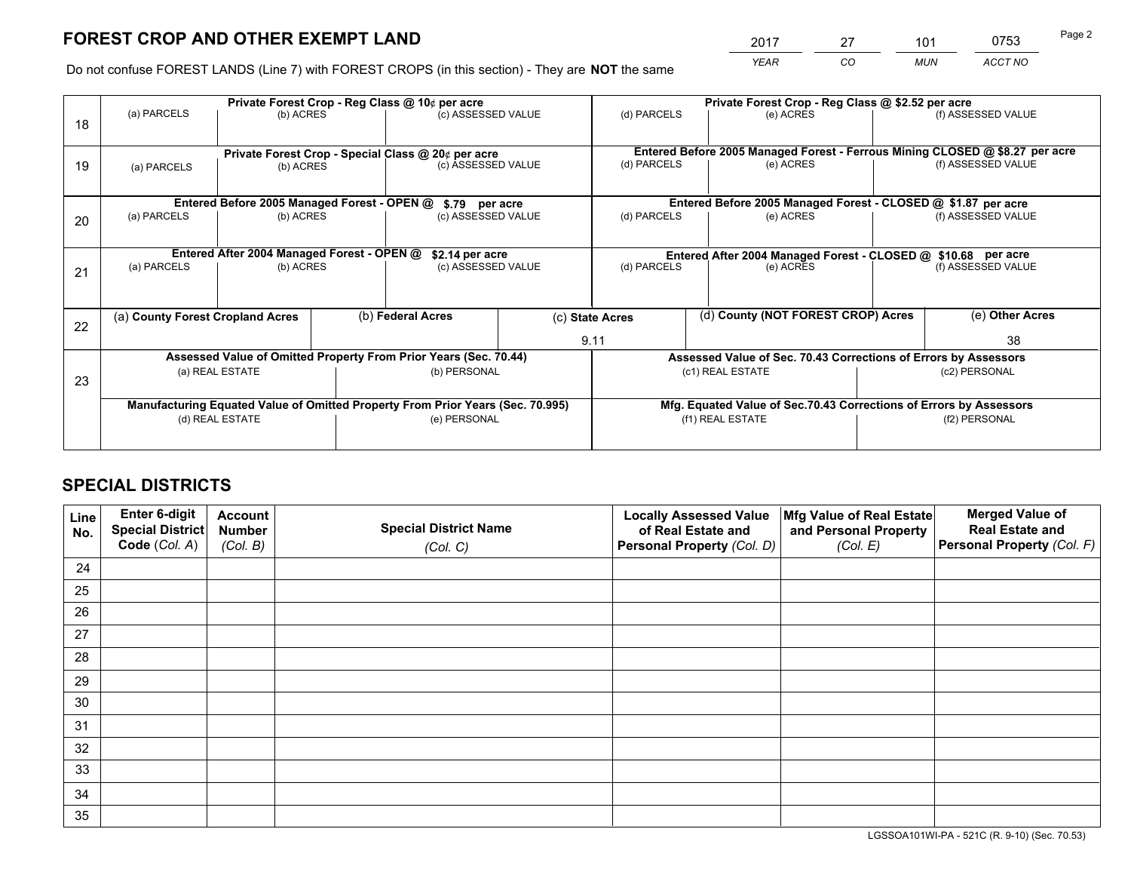*YEAR CO MUN ACCT NO* <sup>2017</sup> <sup>27</sup> <sup>101</sup> <sup>0753</sup>

Do not confuse FOREST LANDS (Line 7) with FOREST CROPS (in this section) - They are **NOT** the same

|    |                                                                                |                                             |                   | Private Forest Crop - Reg Class @ 10¢ per acre                   |                 | Private Forest Crop - Reg Class @ \$2.52 per acre                  |                                                                              |                 |                    |
|----|--------------------------------------------------------------------------------|---------------------------------------------|-------------------|------------------------------------------------------------------|-----------------|--------------------------------------------------------------------|------------------------------------------------------------------------------|-----------------|--------------------|
| 18 | (a) PARCELS                                                                    | (b) ACRES                                   |                   | (c) ASSESSED VALUE                                               |                 | (d) PARCELS                                                        | (e) ACRES                                                                    |                 | (f) ASSESSED VALUE |
|    |                                                                                |                                             |                   | Private Forest Crop - Special Class @ 20¢ per acre               |                 |                                                                    | Entered Before 2005 Managed Forest - Ferrous Mining CLOSED @ \$8.27 per acre |                 |                    |
| 19 | (a) PARCELS                                                                    | (b) ACRES                                   |                   | (c) ASSESSED VALUE                                               |                 | (d) PARCELS                                                        | (e) ACRES                                                                    |                 | (f) ASSESSED VALUE |
|    |                                                                                | Entered Before 2005 Managed Forest - OPEN @ |                   | \$.79 per acre                                                   |                 |                                                                    | Entered Before 2005 Managed Forest - CLOSED @ \$1.87 per acre                |                 |                    |
|    | (a) PARCELS                                                                    | (b) ACRES                                   |                   | (c) ASSESSED VALUE                                               |                 | (d) PARCELS                                                        | (e) ACRES                                                                    |                 | (f) ASSESSED VALUE |
| 20 |                                                                                |                                             |                   |                                                                  |                 |                                                                    |                                                                              |                 |                    |
|    | Entered After 2004 Managed Forest - OPEN @<br>\$2.14 per acre                  |                                             |                   |                                                                  |                 | Entered After 2004 Managed Forest - CLOSED @ \$10.68 per acre      |                                                                              |                 |                    |
| 21 | (a) PARCELS                                                                    | (b) ACRES                                   |                   | (c) ASSESSED VALUE                                               |                 | (d) PARCELS                                                        | (e) ACRES                                                                    |                 | (f) ASSESSED VALUE |
|    |                                                                                |                                             |                   |                                                                  |                 |                                                                    |                                                                              |                 |                    |
| 22 | (a) County Forest Cropland Acres                                               |                                             | (b) Federal Acres |                                                                  | (c) State Acres | (d) County (NOT FOREST CROP) Acres                                 |                                                                              | (e) Other Acres |                    |
|    |                                                                                |                                             |                   |                                                                  |                 | 9.11                                                               |                                                                              |                 | 38                 |
|    |                                                                                |                                             |                   | Assessed Value of Omitted Property From Prior Years (Sec. 70.44) |                 |                                                                    | Assessed Value of Sec. 70.43 Corrections of Errors by Assessors              |                 |                    |
| 23 |                                                                                | (a) REAL ESTATE                             |                   |                                                                  | (b) PERSONAL    | (c1) REAL ESTATE                                                   |                                                                              |                 | (c2) PERSONAL      |
|    |                                                                                |                                             |                   |                                                                  |                 |                                                                    |                                                                              |                 |                    |
|    | Manufacturing Equated Value of Omitted Property From Prior Years (Sec. 70.995) |                                             |                   |                                                                  |                 | Mfg. Equated Value of Sec.70.43 Corrections of Errors by Assessors |                                                                              |                 |                    |
|    | (d) REAL ESTATE                                                                |                                             |                   | (e) PERSONAL                                                     |                 | (f1) REAL ESTATE                                                   |                                                                              | (f2) PERSONAL   |                    |
|    |                                                                                |                                             |                   |                                                                  |                 |                                                                    |                                                                              |                 |                    |

## **SPECIAL DISTRICTS**

| Line<br>No. | Enter 6-digit<br>Special District<br>Code (Col. A) | <b>Account</b><br><b>Number</b><br>(Col. B) | <b>Special District Name</b><br>(Col. C) | <b>Locally Assessed Value</b><br>of Real Estate and<br>Personal Property (Col. D) | Mfg Value of Real Estate<br>and Personal Property<br>(Col. E) | <b>Merged Value of</b><br><b>Real Estate and</b><br>Personal Property (Col. F) |
|-------------|----------------------------------------------------|---------------------------------------------|------------------------------------------|-----------------------------------------------------------------------------------|---------------------------------------------------------------|--------------------------------------------------------------------------------|
| 24          |                                                    |                                             |                                          |                                                                                   |                                                               |                                                                                |
| 25          |                                                    |                                             |                                          |                                                                                   |                                                               |                                                                                |
| 26          |                                                    |                                             |                                          |                                                                                   |                                                               |                                                                                |
| 27          |                                                    |                                             |                                          |                                                                                   |                                                               |                                                                                |
| 28          |                                                    |                                             |                                          |                                                                                   |                                                               |                                                                                |
| 29          |                                                    |                                             |                                          |                                                                                   |                                                               |                                                                                |
| 30          |                                                    |                                             |                                          |                                                                                   |                                                               |                                                                                |
| 31          |                                                    |                                             |                                          |                                                                                   |                                                               |                                                                                |
| 32          |                                                    |                                             |                                          |                                                                                   |                                                               |                                                                                |
| 33          |                                                    |                                             |                                          |                                                                                   |                                                               |                                                                                |
| 34          |                                                    |                                             |                                          |                                                                                   |                                                               |                                                                                |
| 35          |                                                    |                                             |                                          |                                                                                   |                                                               |                                                                                |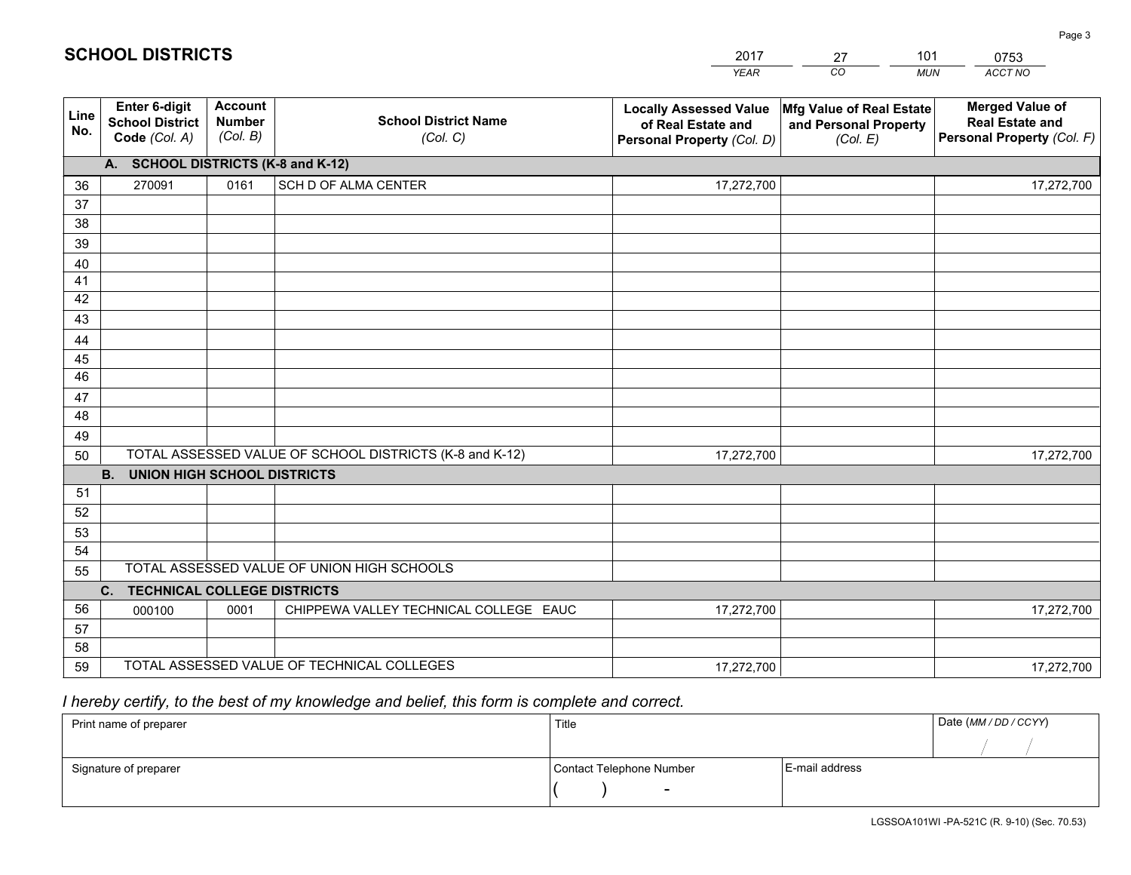|             |                                                          |                                             |                                                         | <b>YEAR</b>                                                                       | CO<br><b>MUN</b>                                              | ACCT NO                                                                        |
|-------------|----------------------------------------------------------|---------------------------------------------|---------------------------------------------------------|-----------------------------------------------------------------------------------|---------------------------------------------------------------|--------------------------------------------------------------------------------|
| Line<br>No. | Enter 6-digit<br><b>School District</b><br>Code (Col. A) | <b>Account</b><br><b>Number</b><br>(Col. B) | <b>School District Name</b><br>(Col. C)                 | <b>Locally Assessed Value</b><br>of Real Estate and<br>Personal Property (Col. D) | Mfg Value of Real Estate<br>and Personal Property<br>(Col. E) | <b>Merged Value of</b><br><b>Real Estate and</b><br>Personal Property (Col. F) |
|             | A. SCHOOL DISTRICTS (K-8 and K-12)                       |                                             |                                                         |                                                                                   |                                                               |                                                                                |
| 36          | 270091                                                   | 0161                                        | SCH D OF ALMA CENTER                                    | 17,272,700                                                                        |                                                               | 17,272,700                                                                     |
| 37          |                                                          |                                             |                                                         |                                                                                   |                                                               |                                                                                |
| 38          |                                                          |                                             |                                                         |                                                                                   |                                                               |                                                                                |
| 39          |                                                          |                                             |                                                         |                                                                                   |                                                               |                                                                                |
| 40          |                                                          |                                             |                                                         |                                                                                   |                                                               |                                                                                |
| 41          |                                                          |                                             |                                                         |                                                                                   |                                                               |                                                                                |
| 42<br>43    |                                                          |                                             |                                                         |                                                                                   |                                                               |                                                                                |
|             |                                                          |                                             |                                                         |                                                                                   |                                                               |                                                                                |
| 44<br>45    |                                                          |                                             |                                                         |                                                                                   |                                                               |                                                                                |
| 46          |                                                          |                                             |                                                         |                                                                                   |                                                               |                                                                                |
| 47          |                                                          |                                             |                                                         |                                                                                   |                                                               |                                                                                |
| 48          |                                                          |                                             |                                                         |                                                                                   |                                                               |                                                                                |
| 49          |                                                          |                                             |                                                         |                                                                                   |                                                               |                                                                                |
| 50          |                                                          |                                             | TOTAL ASSESSED VALUE OF SCHOOL DISTRICTS (K-8 and K-12) | 17,272,700                                                                        |                                                               | 17,272,700                                                                     |
|             | <b>B.</b><br><b>UNION HIGH SCHOOL DISTRICTS</b>          |                                             |                                                         |                                                                                   |                                                               |                                                                                |
| 51          |                                                          |                                             |                                                         |                                                                                   |                                                               |                                                                                |
| 52          |                                                          |                                             |                                                         |                                                                                   |                                                               |                                                                                |
| 53          |                                                          |                                             |                                                         |                                                                                   |                                                               |                                                                                |
| 54          |                                                          |                                             |                                                         |                                                                                   |                                                               |                                                                                |
| 55          |                                                          |                                             | TOTAL ASSESSED VALUE OF UNION HIGH SCHOOLS              |                                                                                   |                                                               |                                                                                |
|             | $C_{1}$<br>TECHNICAL COLLEGE DISTRICTS                   |                                             |                                                         |                                                                                   |                                                               |                                                                                |
| 56          | 000100                                                   | 0001                                        | CHIPPEWA VALLEY TECHNICAL COLLEGE EAUC                  | 17,272,700                                                                        |                                                               | 17,272,700                                                                     |
| 57          |                                                          |                                             |                                                         |                                                                                   |                                                               |                                                                                |
| 58          |                                                          |                                             |                                                         |                                                                                   |                                                               |                                                                                |
| 59          |                                                          |                                             | TOTAL ASSESSED VALUE OF TECHNICAL COLLEGES              | 17,272,700                                                                        |                                                               | 17,272,700                                                                     |

27

101

 *I hereby certify, to the best of my knowledge and belief, this form is complete and correct.*

**SCHOOL DISTRICTS**

| Print name of preparer | Title                    |                | Date (MM / DD / CCYY) |
|------------------------|--------------------------|----------------|-----------------------|
|                        |                          |                |                       |
| Signature of preparer  | Contact Telephone Number | E-mail address |                       |
|                        | $\sim$                   |                |                       |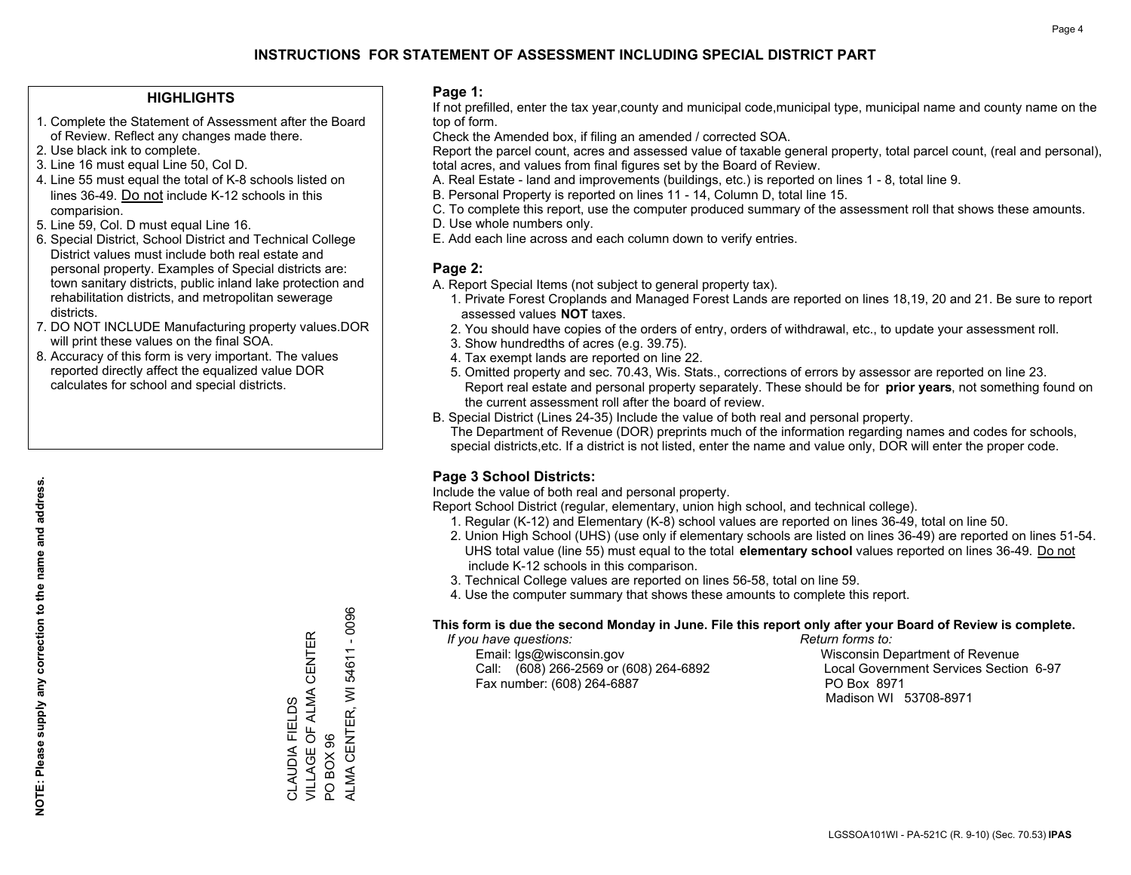### **HIGHLIGHTS**

- 1. Complete the Statement of Assessment after the Board of Review. Reflect any changes made there.
- 2. Use black ink to complete.
- 3. Line 16 must equal Line 50, Col D.
- 4. Line 55 must equal the total of K-8 schools listed on lines 36-49. Do not include K-12 schools in this comparision.
- 5. Line 59, Col. D must equal Line 16.
- 6. Special District, School District and Technical College District values must include both real estate and personal property. Examples of Special districts are: town sanitary districts, public inland lake protection and rehabilitation districts, and metropolitan sewerage districts.
- 7. DO NOT INCLUDE Manufacturing property values.DOR will print these values on the final SOA.
- 8. Accuracy of this form is very important. The values reported directly affect the equalized value DOR calculates for school and special districts.

### **Page 1:**

 If not prefilled, enter the tax year,county and municipal code,municipal type, municipal name and county name on the top of form.

Check the Amended box, if filing an amended / corrected SOA.

 Report the parcel count, acres and assessed value of taxable general property, total parcel count, (real and personal), total acres, and values from final figures set by the Board of Review.

- A. Real Estate land and improvements (buildings, etc.) is reported on lines 1 8, total line 9.
- B. Personal Property is reported on lines 11 14, Column D, total line 15.
- C. To complete this report, use the computer produced summary of the assessment roll that shows these amounts.
- D. Use whole numbers only.
- E. Add each line across and each column down to verify entries.

### **Page 2:**

- A. Report Special Items (not subject to general property tax).
- 1. Private Forest Croplands and Managed Forest Lands are reported on lines 18,19, 20 and 21. Be sure to report assessed values **NOT** taxes.
- 2. You should have copies of the orders of entry, orders of withdrawal, etc., to update your assessment roll.
	- 3. Show hundredths of acres (e.g. 39.75).
- 4. Tax exempt lands are reported on line 22.
- 5. Omitted property and sec. 70.43, Wis. Stats., corrections of errors by assessor are reported on line 23. Report real estate and personal property separately. These should be for **prior years**, not something found on the current assessment roll after the board of review.
- B. Special District (Lines 24-35) Include the value of both real and personal property.

 The Department of Revenue (DOR) preprints much of the information regarding names and codes for schools, special districts,etc. If a district is not listed, enter the name and value only, DOR will enter the proper code.

## **Page 3 School Districts:**

Include the value of both real and personal property.

Report School District (regular, elementary, union high school, and technical college).

- 1. Regular (K-12) and Elementary (K-8) school values are reported on lines 36-49, total on line 50.
- 2. Union High School (UHS) (use only if elementary schools are listed on lines 36-49) are reported on lines 51-54. UHS total value (line 55) must equal to the total **elementary school** values reported on lines 36-49. Do notinclude K-12 schools in this comparison.
- 3. Technical College values are reported on lines 56-58, total on line 59.
- 4. Use the computer summary that shows these amounts to complete this report.

#### **This form is due the second Monday in June. File this report only after your Board of Review is complete.**

 *If you have questions: Return forms to:*

 Email: lgs@wisconsin.gov Wisconsin Department of RevenueCall:  $(608)$  266-2569 or  $(608)$  264-6892 Fax number: (608) 264-6887 PO Box 8971

Local Government Services Section 6-97 Madison WI 53708-8971

 $-0096$ ALMA CENTER, WI 54611 - 0096 VILLAGE OF ALMA CENTER CLAUDIA FIELDS<br>VILLAGE OF ALMA CENTER ALMA CENTER, WI 54611 CLAUDIA FIELDS PO BOX 96 PO BOX 96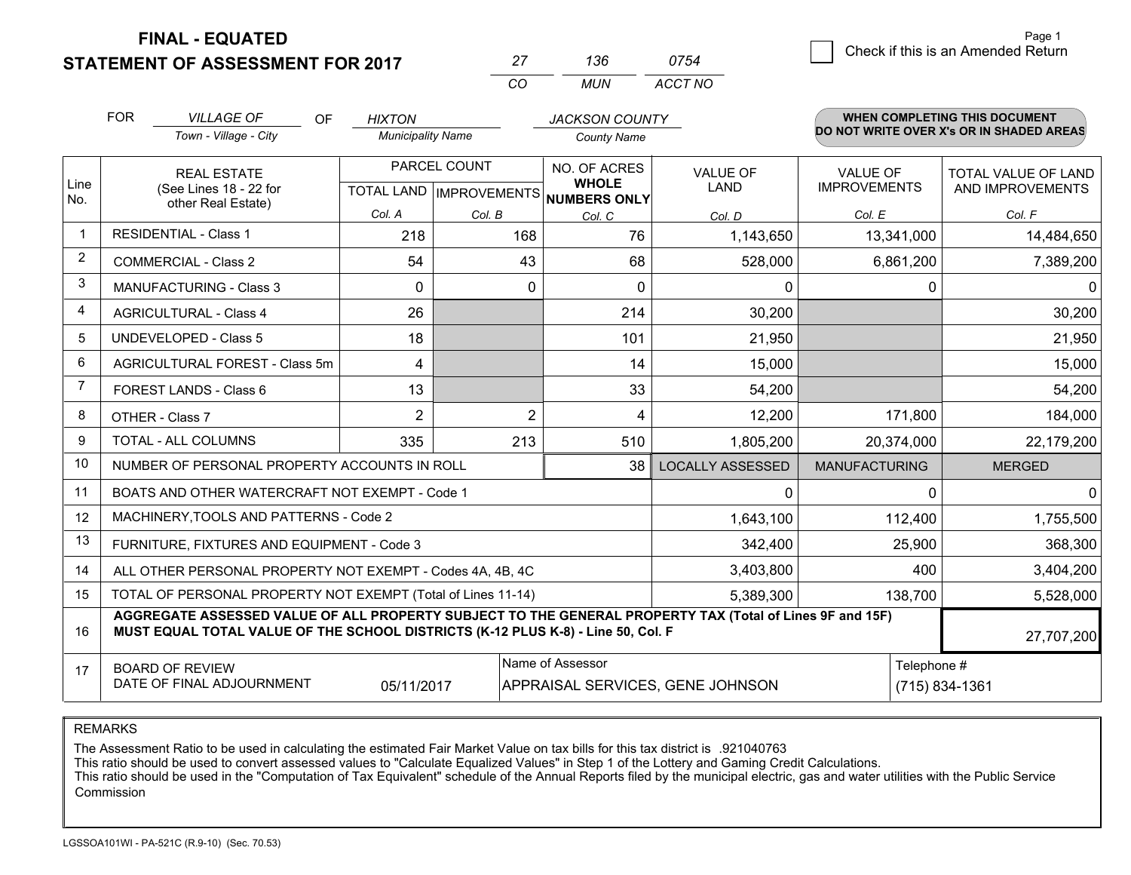**FINAL - EQUATED**

**STATEMENT OF ASSESSMENT FOR 2017** 

|          | 136  | 0754    |
|----------|------|---------|
| $\cdots$ | MUN. | ACCT NO |

|             | <b>FOR</b>                                                                                                                                                 | <b>VILLAGE OF</b><br>OF.                                                                                                                                                                     | <b>HIXTON</b>                             |                | <b>JACKSON COUNTY</b>                               |                         |                                        | <b>WHEN COMPLETING THIS DOCUMENT</b>           |  |  |
|-------------|------------------------------------------------------------------------------------------------------------------------------------------------------------|----------------------------------------------------------------------------------------------------------------------------------------------------------------------------------------------|-------------------------------------------|----------------|-----------------------------------------------------|-------------------------|----------------------------------------|------------------------------------------------|--|--|
|             |                                                                                                                                                            | Town - Village - City                                                                                                                                                                        | <b>Municipality Name</b>                  |                | <b>County Name</b>                                  |                         |                                        | DO NOT WRITE OVER X's OR IN SHADED AREAS       |  |  |
| Line<br>No. | <b>REAL ESTATE</b><br>(See Lines 18 - 22 for<br>other Real Estate)                                                                                         |                                                                                                                                                                                              | PARCEL COUNT<br>TOTAL LAND   IMPROVEMENTS |                | NO. OF ACRES<br><b>WHOLE</b><br><b>NUMBERS ONLY</b> | <b>VALUE OF</b><br>LAND | <b>VALUE OF</b><br><b>IMPROVEMENTS</b> | <b>TOTAL VALUE OF LAND</b><br>AND IMPROVEMENTS |  |  |
|             |                                                                                                                                                            |                                                                                                                                                                                              | Col. A                                    | Col. B         | Col. C                                              | Col. D                  | Col. E                                 | Col. F                                         |  |  |
|             |                                                                                                                                                            | <b>RESIDENTIAL - Class 1</b>                                                                                                                                                                 | 218                                       | 168            | 76                                                  | 1,143,650               | 13,341,000                             | 14,484,650                                     |  |  |
| 2           |                                                                                                                                                            | <b>COMMERCIAL - Class 2</b>                                                                                                                                                                  | 54                                        | 43             | 68                                                  | 528,000                 | 6,861,200                              | 7,389,200                                      |  |  |
| 3           |                                                                                                                                                            | <b>MANUFACTURING - Class 3</b>                                                                                                                                                               | $\Omega$                                  | 0              | $\Omega$                                            | 0                       | 0                                      |                                                |  |  |
| 4           |                                                                                                                                                            | <b>AGRICULTURAL - Class 4</b>                                                                                                                                                                | 26                                        |                | 214                                                 | 30,200                  |                                        | 30,200                                         |  |  |
| 5           |                                                                                                                                                            | <b>UNDEVELOPED - Class 5</b>                                                                                                                                                                 | 18                                        |                | 101                                                 | 21,950                  |                                        | 21,950                                         |  |  |
| 6           |                                                                                                                                                            | AGRICULTURAL FOREST - Class 5m                                                                                                                                                               | 4                                         |                | 14                                                  | 15,000                  |                                        | 15,000                                         |  |  |
| 7           |                                                                                                                                                            | <b>FOREST LANDS - Class 6</b>                                                                                                                                                                | 13                                        |                | 33                                                  | 54,200                  |                                        | 54,200                                         |  |  |
| 8           |                                                                                                                                                            | OTHER - Class 7                                                                                                                                                                              | $\overline{2}$                            | $\overline{2}$ | 4                                                   | 12,200                  | 171,800                                | 184,000                                        |  |  |
| 9           |                                                                                                                                                            | TOTAL - ALL COLUMNS                                                                                                                                                                          | 335                                       | 213            | 510                                                 | 1,805,200               | 20,374,000                             | 22,179,200                                     |  |  |
| 10          |                                                                                                                                                            | NUMBER OF PERSONAL PROPERTY ACCOUNTS IN ROLL                                                                                                                                                 |                                           |                | 38                                                  | <b>LOCALLY ASSESSED</b> | <b>MANUFACTURING</b>                   | <b>MERGED</b>                                  |  |  |
| 11          |                                                                                                                                                            | BOATS AND OTHER WATERCRAFT NOT EXEMPT - Code 1                                                                                                                                               |                                           |                |                                                     | 0                       | $\Omega$                               |                                                |  |  |
| 12          |                                                                                                                                                            | MACHINERY, TOOLS AND PATTERNS - Code 2                                                                                                                                                       |                                           |                |                                                     | 1,643,100               | 112,400                                | 1,755,500                                      |  |  |
| 13          |                                                                                                                                                            | FURNITURE, FIXTURES AND EQUIPMENT - Code 3                                                                                                                                                   |                                           |                |                                                     | 342,400                 | 25,900                                 | 368,300                                        |  |  |
| 14          |                                                                                                                                                            | ALL OTHER PERSONAL PROPERTY NOT EXEMPT - Codes 4A, 4B, 4C                                                                                                                                    |                                           |                |                                                     | 3,403,800               | 400                                    | 3,404,200                                      |  |  |
| 15          |                                                                                                                                                            | TOTAL OF PERSONAL PROPERTY NOT EXEMPT (Total of Lines 11-14)                                                                                                                                 |                                           |                |                                                     | 5,389,300               | 138,700                                | 5,528,000                                      |  |  |
| 16          |                                                                                                                                                            | AGGREGATE ASSESSED VALUE OF ALL PROPERTY SUBJECT TO THE GENERAL PROPERTY TAX (Total of Lines 9F and 15F)<br>MUST EQUAL TOTAL VALUE OF THE SCHOOL DISTRICTS (K-12 PLUS K-8) - Line 50, Col. F |                                           |                |                                                     |                         |                                        | 27,707,200                                     |  |  |
| 17          | Name of Assessor<br>Telephone #<br><b>BOARD OF REVIEW</b><br>DATE OF FINAL ADJOURNMENT<br>(715) 834-1361<br>05/11/2017<br>APPRAISAL SERVICES, GENE JOHNSON |                                                                                                                                                                                              |                                           |                |                                                     |                         |                                        |                                                |  |  |

REMARKS

The Assessment Ratio to be used in calculating the estimated Fair Market Value on tax bills for this tax district is .921040763<br>This ratio should be used to convert assessed values to "Calculate Equalized Values" in Step 1 Commission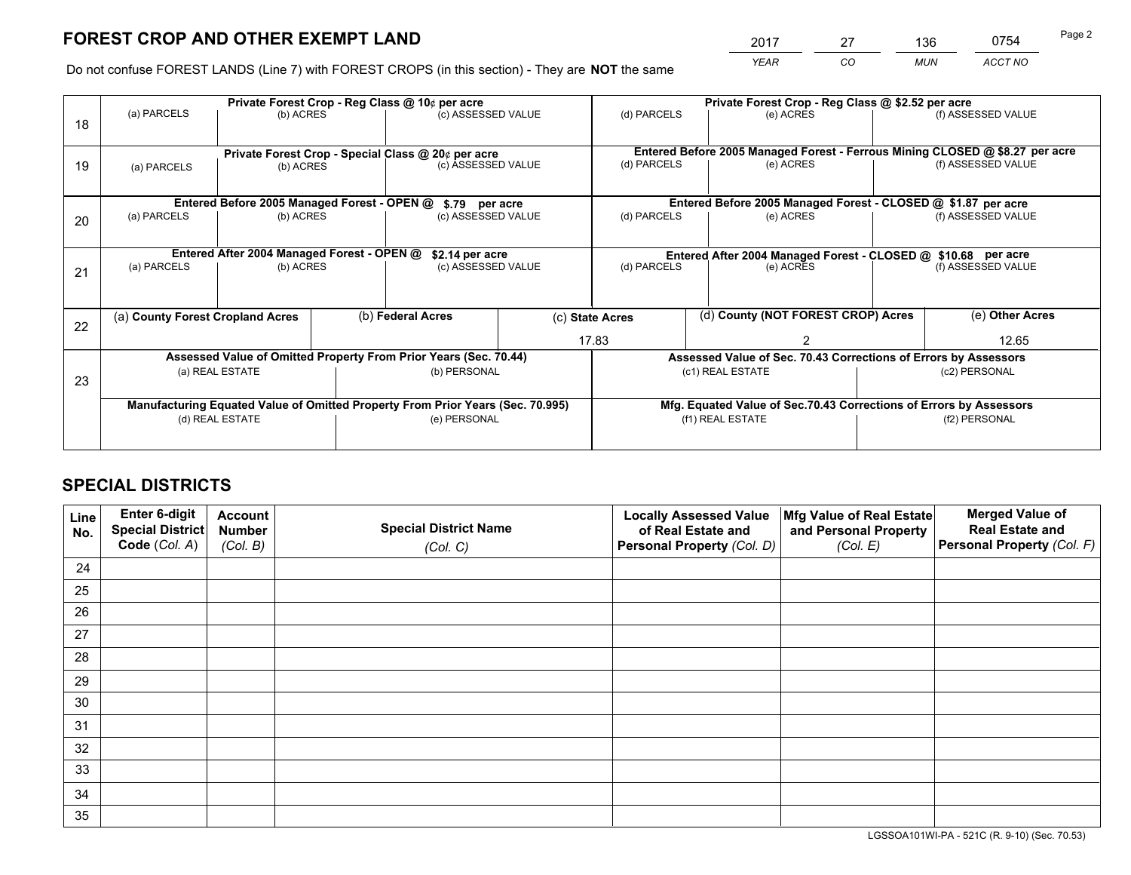*YEAR CO MUN ACCT NO* 2017 27 136 0754

Do not confuse FOREST LANDS (Line 7) with FOREST CROPS (in this section) - They are **NOT** the same

|    |                                  |                                             |  | Private Forest Crop - Reg Class @ 10¢ per acre                                 |  |                                                       | Private Forest Crop - Reg Class @ \$2.52 per acre                            |                    |  |  |
|----|----------------------------------|---------------------------------------------|--|--------------------------------------------------------------------------------|--|-------------------------------------------------------|------------------------------------------------------------------------------|--------------------|--|--|
| 18 | (a) PARCELS                      | (b) ACRES                                   |  | (c) ASSESSED VALUE                                                             |  | (d) PARCELS                                           | (e) ACRES                                                                    | (f) ASSESSED VALUE |  |  |
|    |                                  |                                             |  |                                                                                |  |                                                       |                                                                              |                    |  |  |
|    |                                  |                                             |  | Private Forest Crop - Special Class @ 20¢ per acre                             |  |                                                       | Entered Before 2005 Managed Forest - Ferrous Mining CLOSED @ \$8.27 per acre |                    |  |  |
| 19 | (a) PARCELS                      | (b) ACRES                                   |  | (c) ASSESSED VALUE                                                             |  | (d) PARCELS                                           | (e) ACRES                                                                    | (f) ASSESSED VALUE |  |  |
|    |                                  |                                             |  |                                                                                |  |                                                       |                                                                              |                    |  |  |
|    |                                  | Entered Before 2005 Managed Forest - OPEN @ |  | \$.79 per acre                                                                 |  |                                                       | Entered Before 2005 Managed Forest - CLOSED @ \$1.87 per acre                |                    |  |  |
| 20 | (a) PARCELS<br>(b) ACRES         |                                             |  | (c) ASSESSED VALUE                                                             |  | (d) PARCELS                                           | (e) ACRES                                                                    | (f) ASSESSED VALUE |  |  |
|    |                                  |                                             |  |                                                                                |  |                                                       |                                                                              |                    |  |  |
|    |                                  | Entered After 2004 Managed Forest - OPEN @  |  | \$2.14 per acre                                                                |  |                                                       | Entered After 2004 Managed Forest - CLOSED @ \$10.68 per acre                |                    |  |  |
| 21 | (a) PARCELS                      | (b) ACRES                                   |  | (c) ASSESSED VALUE                                                             |  | (d) PARCELS                                           | (e) ACRES                                                                    | (f) ASSESSED VALUE |  |  |
|    |                                  |                                             |  |                                                                                |  |                                                       |                                                                              |                    |  |  |
|    |                                  |                                             |  |                                                                                |  |                                                       |                                                                              |                    |  |  |
| 22 | (a) County Forest Cropland Acres |                                             |  | (b) Federal Acres                                                              |  | (d) County (NOT FOREST CROP) Acres<br>(c) State Acres |                                                                              | (e) Other Acres    |  |  |
|    |                                  |                                             |  |                                                                                |  | 17.83                                                 |                                                                              | 12.65              |  |  |
|    |                                  |                                             |  | Assessed Value of Omitted Property From Prior Years (Sec. 70.44)               |  |                                                       | Assessed Value of Sec. 70.43 Corrections of Errors by Assessors              |                    |  |  |
| 23 |                                  | (a) REAL ESTATE                             |  | (b) PERSONAL                                                                   |  |                                                       | (c1) REAL ESTATE                                                             | (c2) PERSONAL      |  |  |
|    |                                  |                                             |  |                                                                                |  |                                                       |                                                                              |                    |  |  |
|    |                                  |                                             |  | Manufacturing Equated Value of Omitted Property From Prior Years (Sec. 70.995) |  |                                                       | Mfg. Equated Value of Sec.70.43 Corrections of Errors by Assessors           |                    |  |  |
|    |                                  | (d) REAL ESTATE                             |  | (e) PERSONAL                                                                   |  |                                                       | (f1) REAL ESTATE                                                             | (f2) PERSONAL      |  |  |
|    |                                  |                                             |  |                                                                                |  |                                                       |                                                                              |                    |  |  |

## **SPECIAL DISTRICTS**

| Line<br>No. | Enter 6-digit<br>Special District<br>Code (Col. A) | <b>Account</b><br><b>Number</b> | <b>Special District Name</b> | <b>Locally Assessed Value</b><br>of Real Estate and | Mfg Value of Real Estate<br>and Personal Property | <b>Merged Value of</b><br><b>Real Estate and</b><br>Personal Property (Col. F) |
|-------------|----------------------------------------------------|---------------------------------|------------------------------|-----------------------------------------------------|---------------------------------------------------|--------------------------------------------------------------------------------|
|             |                                                    | (Col. B)                        | (Col. C)                     | Personal Property (Col. D)                          | (Col. E)                                          |                                                                                |
| 24          |                                                    |                                 |                              |                                                     |                                                   |                                                                                |
| 25          |                                                    |                                 |                              |                                                     |                                                   |                                                                                |
| 26          |                                                    |                                 |                              |                                                     |                                                   |                                                                                |
| 27          |                                                    |                                 |                              |                                                     |                                                   |                                                                                |
| 28          |                                                    |                                 |                              |                                                     |                                                   |                                                                                |
| 29          |                                                    |                                 |                              |                                                     |                                                   |                                                                                |
| 30          |                                                    |                                 |                              |                                                     |                                                   |                                                                                |
| 31          |                                                    |                                 |                              |                                                     |                                                   |                                                                                |
| 32          |                                                    |                                 |                              |                                                     |                                                   |                                                                                |
| 33          |                                                    |                                 |                              |                                                     |                                                   |                                                                                |
| 34          |                                                    |                                 |                              |                                                     |                                                   |                                                                                |
| 35          |                                                    |                                 |                              |                                                     |                                                   |                                                                                |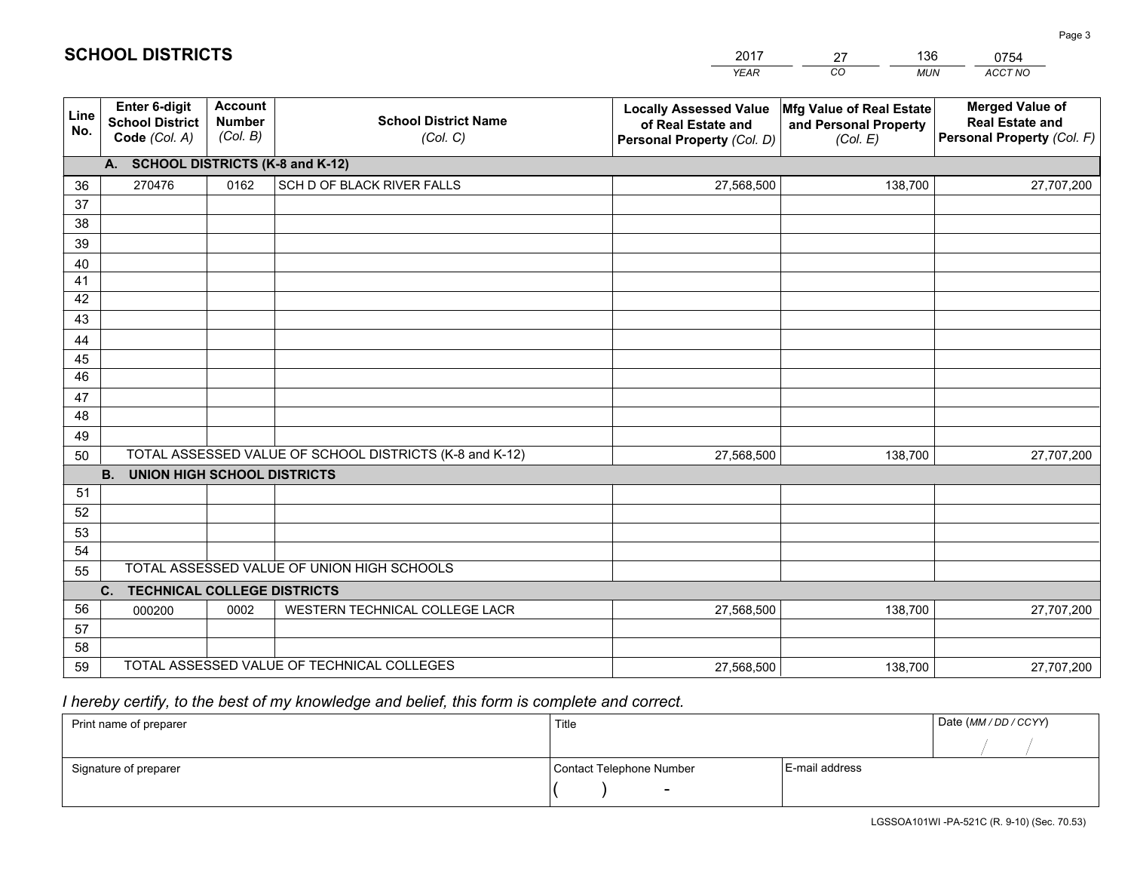|             |                                                          |                                             |                                                         | <b>YEAR</b>                                                                       | CO<br><b>MUN</b>                                              | ACCT NO                                                                        |
|-------------|----------------------------------------------------------|---------------------------------------------|---------------------------------------------------------|-----------------------------------------------------------------------------------|---------------------------------------------------------------|--------------------------------------------------------------------------------|
| Line<br>No. | Enter 6-digit<br><b>School District</b><br>Code (Col. A) | <b>Account</b><br><b>Number</b><br>(Col. B) | <b>School District Name</b><br>(Col. C)                 | <b>Locally Assessed Value</b><br>of Real Estate and<br>Personal Property (Col. D) | Mfg Value of Real Estate<br>and Personal Property<br>(Col. E) | <b>Merged Value of</b><br><b>Real Estate and</b><br>Personal Property (Col. F) |
|             | <b>SCHOOL DISTRICTS (K-8 and K-12)</b><br>A.             |                                             |                                                         |                                                                                   |                                                               |                                                                                |
| 36          | 270476                                                   | 0162                                        | SCH D OF BLACK RIVER FALLS                              | 27,568,500                                                                        | 138,700                                                       | 27,707,200                                                                     |
| 37          |                                                          |                                             |                                                         |                                                                                   |                                                               |                                                                                |
| 38          |                                                          |                                             |                                                         |                                                                                   |                                                               |                                                                                |
| 39          |                                                          |                                             |                                                         |                                                                                   |                                                               |                                                                                |
| 40          |                                                          |                                             |                                                         |                                                                                   |                                                               |                                                                                |
| 41<br>42    |                                                          |                                             |                                                         |                                                                                   |                                                               |                                                                                |
| 43          |                                                          |                                             |                                                         |                                                                                   |                                                               |                                                                                |
| 44          |                                                          |                                             |                                                         |                                                                                   |                                                               |                                                                                |
| 45          |                                                          |                                             |                                                         |                                                                                   |                                                               |                                                                                |
| 46          |                                                          |                                             |                                                         |                                                                                   |                                                               |                                                                                |
| 47          |                                                          |                                             |                                                         |                                                                                   |                                                               |                                                                                |
| 48          |                                                          |                                             |                                                         |                                                                                   |                                                               |                                                                                |
| 49          |                                                          |                                             |                                                         |                                                                                   |                                                               |                                                                                |
| 50          |                                                          |                                             | TOTAL ASSESSED VALUE OF SCHOOL DISTRICTS (K-8 and K-12) | 27,568,500                                                                        | 138,700                                                       | 27,707,200                                                                     |
|             | <b>B.</b><br><b>UNION HIGH SCHOOL DISTRICTS</b>          |                                             |                                                         |                                                                                   |                                                               |                                                                                |
| 51          |                                                          |                                             |                                                         |                                                                                   |                                                               |                                                                                |
| 52          |                                                          |                                             |                                                         |                                                                                   |                                                               |                                                                                |
| 53<br>54    |                                                          |                                             |                                                         |                                                                                   |                                                               |                                                                                |
| 55          |                                                          |                                             | TOTAL ASSESSED VALUE OF UNION HIGH SCHOOLS              |                                                                                   |                                                               |                                                                                |
|             | C <sub>1</sub><br><b>TECHNICAL COLLEGE DISTRICTS</b>     |                                             |                                                         |                                                                                   |                                                               |                                                                                |
| 56          | 000200                                                   | 0002                                        | WESTERN TECHNICAL COLLEGE LACR                          | 27,568,500                                                                        | 138,700                                                       | 27,707,200                                                                     |
| 57          |                                                          |                                             |                                                         |                                                                                   |                                                               |                                                                                |
| 58          |                                                          |                                             |                                                         |                                                                                   |                                                               |                                                                                |
| 59          |                                                          |                                             | TOTAL ASSESSED VALUE OF TECHNICAL COLLEGES              | 27,568,500                                                                        | 138,700                                                       | 27,707,200                                                                     |

27

136

 *I hereby certify, to the best of my knowledge and belief, this form is complete and correct.*

**SCHOOL DISTRICTS**

| Print name of preparer | Title                    |                | Date (MM / DD / CCYY) |
|------------------------|--------------------------|----------------|-----------------------|
|                        |                          |                |                       |
| Signature of preparer  | Contact Telephone Number | E-mail address |                       |
|                        | $\sim$                   |                |                       |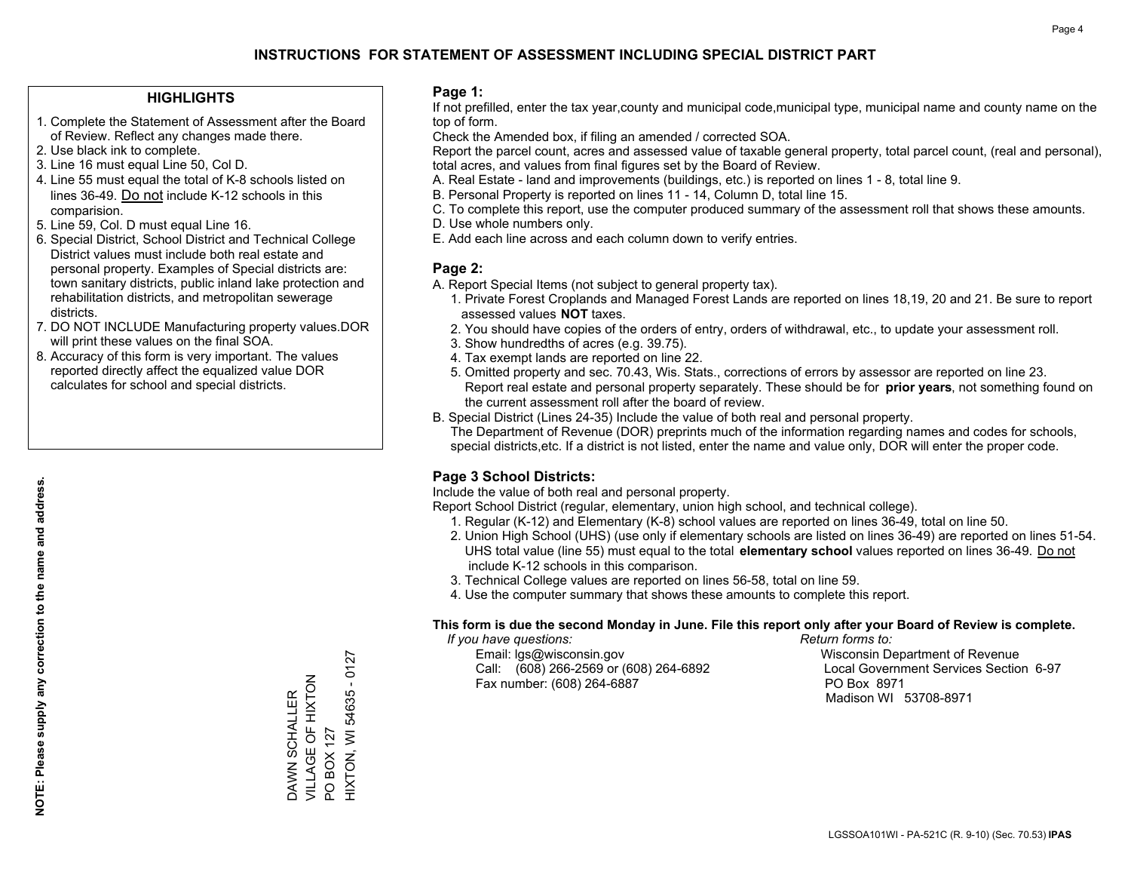### **HIGHLIGHTS**

- 1. Complete the Statement of Assessment after the Board of Review. Reflect any changes made there.
- 2. Use black ink to complete.
- 3. Line 16 must equal Line 50, Col D.
- 4. Line 55 must equal the total of K-8 schools listed on lines 36-49. Do not include K-12 schools in this comparision.
- 5. Line 59, Col. D must equal Line 16.
- 6. Special District, School District and Technical College District values must include both real estate and personal property. Examples of Special districts are: town sanitary districts, public inland lake protection and rehabilitation districts, and metropolitan sewerage districts.
- 7. DO NOT INCLUDE Manufacturing property values.DOR will print these values on the final SOA.

DAWN SCHALLER VILLAGE OF HIXTON

DAWN SCHALLER<br>VILLAGE OF HIXTON

PO BOX 127

PO BOX 127

HIXTON, WI 54635 - 0127

HIXTON, WI 54635 - 0127

 8. Accuracy of this form is very important. The values reported directly affect the equalized value DOR calculates for school and special districts.

### **Page 1:**

 If not prefilled, enter the tax year,county and municipal code,municipal type, municipal name and county name on the top of form.

Check the Amended box, if filing an amended / corrected SOA.

 Report the parcel count, acres and assessed value of taxable general property, total parcel count, (real and personal), total acres, and values from final figures set by the Board of Review.

- A. Real Estate land and improvements (buildings, etc.) is reported on lines 1 8, total line 9.
- B. Personal Property is reported on lines 11 14, Column D, total line 15.
- C. To complete this report, use the computer produced summary of the assessment roll that shows these amounts.
- D. Use whole numbers only.
- E. Add each line across and each column down to verify entries.

### **Page 2:**

- A. Report Special Items (not subject to general property tax).
- 1. Private Forest Croplands and Managed Forest Lands are reported on lines 18,19, 20 and 21. Be sure to report assessed values **NOT** taxes.
- 2. You should have copies of the orders of entry, orders of withdrawal, etc., to update your assessment roll.
	- 3. Show hundredths of acres (e.g. 39.75).
- 4. Tax exempt lands are reported on line 22.
- 5. Omitted property and sec. 70.43, Wis. Stats., corrections of errors by assessor are reported on line 23. Report real estate and personal property separately. These should be for **prior years**, not something found on the current assessment roll after the board of review.
- B. Special District (Lines 24-35) Include the value of both real and personal property.

 The Department of Revenue (DOR) preprints much of the information regarding names and codes for schools, special districts,etc. If a district is not listed, enter the name and value only, DOR will enter the proper code.

## **Page 3 School Districts:**

Include the value of both real and personal property.

Report School District (regular, elementary, union high school, and technical college).

- 1. Regular (K-12) and Elementary (K-8) school values are reported on lines 36-49, total on line 50.
- 2. Union High School (UHS) (use only if elementary schools are listed on lines 36-49) are reported on lines 51-54. UHS total value (line 55) must equal to the total **elementary school** values reported on lines 36-49. Do notinclude K-12 schools in this comparison.
- 3. Technical College values are reported on lines 56-58, total on line 59.
- 4. Use the computer summary that shows these amounts to complete this report.

#### **This form is due the second Monday in June. File this report only after your Board of Review is complete.**

 *If you have questions: Return forms to:*

 Email: lgs@wisconsin.gov Wisconsin Department of RevenueCall:  $(608)$  266-2569 or  $(608)$  264-6892 Fax number: (608) 264-6887 PO Box 8971

Local Government Services Section 6-97 Madison WI 53708-8971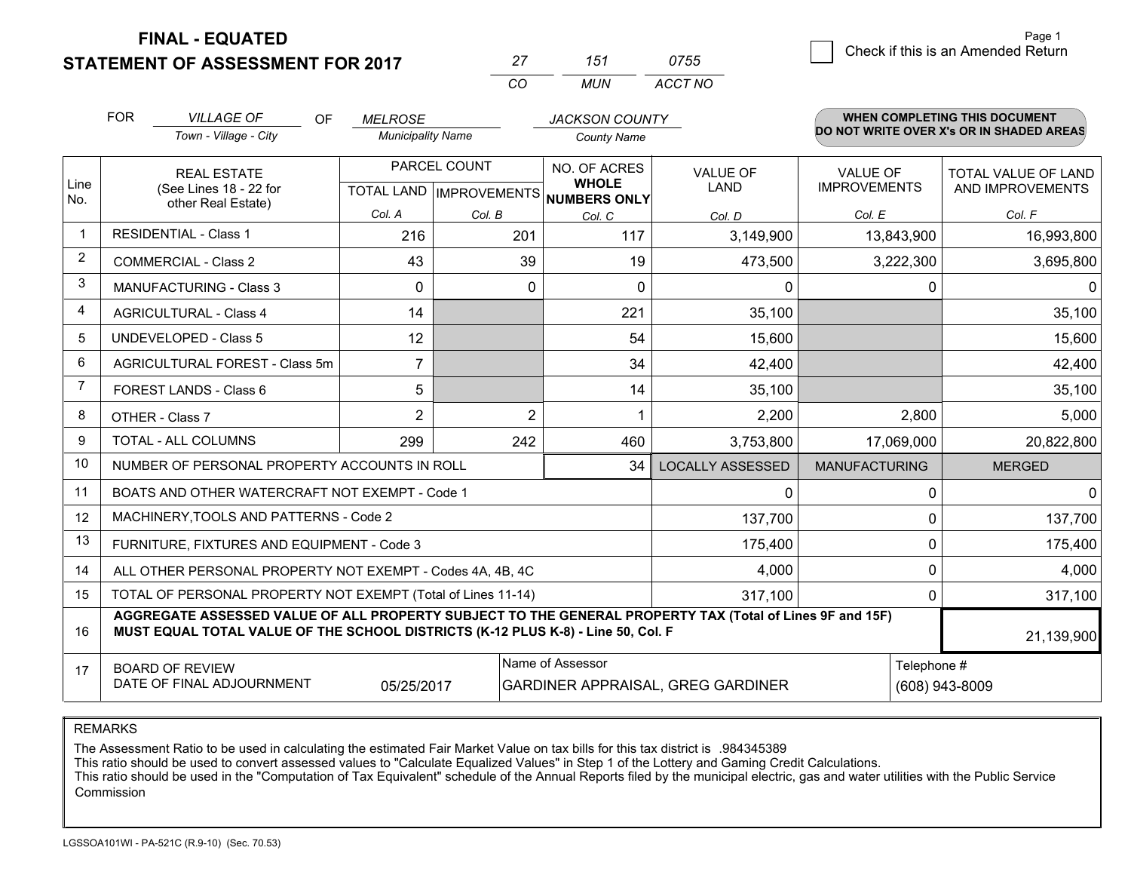**FINAL - EQUATED**

**STATEMENT OF ASSESSMENT FOR 2017** 

| 27 | 151 | 0755    |
|----|-----|---------|
| rη | MUN | ACCT NO |

|             | <b>FOR</b>                                   | <b>VILLAGE OF</b><br><b>OF</b><br>Town - Village - City                                                                                                                                      | <b>MELROSE</b><br><b>Municipality Name</b> |              | <b>JACKSON COUNTY</b><br><b>County Name</b> |                                   |                      | WHEN COMPLETING THIS DOCUMENT<br>DO NOT WRITE OVER X's OR IN SHADED AREAS |  |
|-------------|----------------------------------------------|----------------------------------------------------------------------------------------------------------------------------------------------------------------------------------------------|--------------------------------------------|--------------|---------------------------------------------|-----------------------------------|----------------------|---------------------------------------------------------------------------|--|
|             |                                              |                                                                                                                                                                                              |                                            |              |                                             |                                   |                      |                                                                           |  |
|             |                                              | <b>REAL ESTATE</b>                                                                                                                                                                           |                                            | PARCEL COUNT | NO. OF ACRES<br><b>WHOLE</b>                | <b>VALUE OF</b>                   | <b>VALUE OF</b>      | TOTAL VALUE OF LAND                                                       |  |
| Line<br>No. | (See Lines 18 - 22 for<br>other Real Estate) |                                                                                                                                                                                              |                                            |              | TOTAL LAND IMPROVEMENTS NUMBERS ONLY        | <b>LAND</b>                       | <b>IMPROVEMENTS</b>  | AND IMPROVEMENTS                                                          |  |
|             |                                              |                                                                                                                                                                                              | Col. A                                     | Col. B       | Col. C                                      | Col. D                            | Col. E               | Col. F                                                                    |  |
|             |                                              | <b>RESIDENTIAL - Class 1</b>                                                                                                                                                                 | 216                                        | 201          | 117                                         | 3,149,900                         | 13,843,900           | 16,993,800                                                                |  |
| 2           |                                              | <b>COMMERCIAL - Class 2</b>                                                                                                                                                                  | 43                                         | 39           | 19                                          | 473,500                           | 3,222,300            | 3,695,800                                                                 |  |
| 3           |                                              | <b>MANUFACTURING - Class 3</b>                                                                                                                                                               | $\Omega$                                   | $\Omega$     | $\Omega$                                    | 0                                 | $\Omega$             | $\mathbf{0}$                                                              |  |
| 4           |                                              | <b>AGRICULTURAL - Class 4</b>                                                                                                                                                                | 14                                         |              | 221                                         | 35,100                            |                      | 35,100                                                                    |  |
| 5           |                                              | <b>UNDEVELOPED - Class 5</b>                                                                                                                                                                 | 12                                         |              | 54                                          | 15,600                            |                      | 15,600                                                                    |  |
| 6           |                                              | AGRICULTURAL FOREST - Class 5m                                                                                                                                                               | $\overline{7}$                             |              | 34                                          | 42,400                            |                      | 42,400                                                                    |  |
| 7           |                                              | <b>FOREST LANDS - Class 6</b>                                                                                                                                                                | 5                                          |              | 14                                          | 35,100                            |                      | 35,100                                                                    |  |
| 8           |                                              | OTHER - Class 7                                                                                                                                                                              | $\overline{2}$                             | 2            |                                             | 2,200                             | 2,800                | 5,000                                                                     |  |
| 9           |                                              | TOTAL - ALL COLUMNS                                                                                                                                                                          | 299                                        | 242          | 460                                         | 3,753,800                         | 17,069,000           | 20,822,800                                                                |  |
| 10          |                                              | NUMBER OF PERSONAL PROPERTY ACCOUNTS IN ROLL                                                                                                                                                 |                                            |              | 34                                          | <b>LOCALLY ASSESSED</b>           | <b>MANUFACTURING</b> | <b>MERGED</b>                                                             |  |
| 11          |                                              | BOATS AND OTHER WATERCRAFT NOT EXEMPT - Code 1                                                                                                                                               |                                            |              |                                             | 0                                 | $\Omega$             | 0                                                                         |  |
| 12          |                                              | MACHINERY, TOOLS AND PATTERNS - Code 2                                                                                                                                                       |                                            |              |                                             | 137,700                           | $\Omega$             | 137,700                                                                   |  |
| 13          |                                              | FURNITURE, FIXTURES AND EQUIPMENT - Code 3                                                                                                                                                   |                                            |              |                                             | 175,400                           | 0                    | 175,400                                                                   |  |
| 14          |                                              | ALL OTHER PERSONAL PROPERTY NOT EXEMPT - Codes 4A, 4B, 4C                                                                                                                                    |                                            |              |                                             | 4,000                             | $\mathbf{0}$         | 4,000                                                                     |  |
| 15          |                                              | TOTAL OF PERSONAL PROPERTY NOT EXEMPT (Total of Lines 11-14)                                                                                                                                 |                                            |              |                                             | 317,100                           | $\mathbf 0$          | 317,100                                                                   |  |
| 16          |                                              | AGGREGATE ASSESSED VALUE OF ALL PROPERTY SUBJECT TO THE GENERAL PROPERTY TAX (Total of Lines 9F and 15F)<br>MUST EQUAL TOTAL VALUE OF THE SCHOOL DISTRICTS (K-12 PLUS K-8) - Line 50, Col. F |                                            |              |                                             |                                   |                      | 21,139,900                                                                |  |
| 17          |                                              | <b>BOARD OF REVIEW</b>                                                                                                                                                                       |                                            |              | Name of Assessor                            |                                   | Telephone #          |                                                                           |  |
|             |                                              | DATE OF FINAL ADJOURNMENT                                                                                                                                                                    | 05/25/2017                                 |              |                                             | GARDINER APPRAISAL, GREG GARDINER |                      | (608) 943-8009                                                            |  |

REMARKS

The Assessment Ratio to be used in calculating the estimated Fair Market Value on tax bills for this tax district is .984345389<br>This ratio should be used to convert assessed values to "Calculate Equalized Values" in Step 1 Commission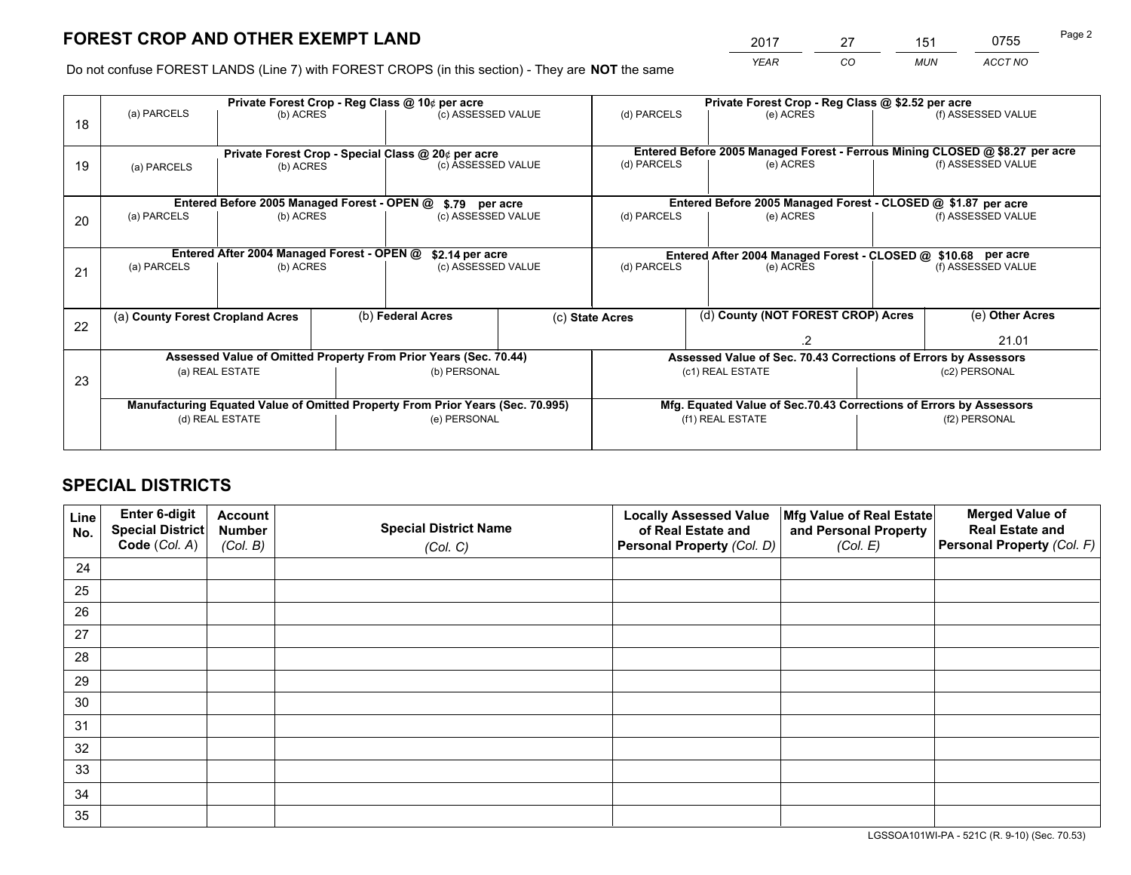*YEAR CO MUN ACCT NO* <sup>2017</sup> <sup>27</sup> <sup>151</sup> <sup>0755</sup>

Do not confuse FOREST LANDS (Line 7) with FOREST CROPS (in this section) - They are **NOT** the same

|    |                                  |                                             |  | Private Forest Crop - Reg Class @ 10¢ per acre                                 |  |                                                               | Private Forest Crop - Reg Class @ \$2.52 per acre                            |               |                    |  |
|----|----------------------------------|---------------------------------------------|--|--------------------------------------------------------------------------------|--|---------------------------------------------------------------|------------------------------------------------------------------------------|---------------|--------------------|--|
| 18 | (a) PARCELS                      | (b) ACRES                                   |  | (c) ASSESSED VALUE                                                             |  | (d) PARCELS                                                   | (e) ACRES                                                                    |               | (f) ASSESSED VALUE |  |
|    |                                  |                                             |  |                                                                                |  |                                                               |                                                                              |               |                    |  |
|    |                                  |                                             |  | Private Forest Crop - Special Class @ 20¢ per acre                             |  |                                                               | Entered Before 2005 Managed Forest - Ferrous Mining CLOSED @ \$8.27 per acre |               |                    |  |
| 19 | (a) PARCELS                      | (b) ACRES                                   |  | (c) ASSESSED VALUE                                                             |  | (d) PARCELS                                                   | (e) ACRES                                                                    |               | (f) ASSESSED VALUE |  |
|    |                                  |                                             |  |                                                                                |  |                                                               |                                                                              |               |                    |  |
|    |                                  | Entered Before 2005 Managed Forest - OPEN @ |  | \$.79 per acre                                                                 |  | Entered Before 2005 Managed Forest - CLOSED @ \$1.87 per acre |                                                                              |               |                    |  |
| 20 | (a) PARCELS<br>(b) ACRES         |                                             |  | (c) ASSESSED VALUE                                                             |  | (d) PARCELS                                                   | (e) ACRES                                                                    |               | (f) ASSESSED VALUE |  |
|    |                                  |                                             |  |                                                                                |  |                                                               |                                                                              |               |                    |  |
|    |                                  | Entered After 2004 Managed Forest - OPEN @  |  | \$2.14 per acre                                                                |  |                                                               | Entered After 2004 Managed Forest - CLOSED @ \$10.68 per acre                |               |                    |  |
| 21 | (a) PARCELS<br>(b) ACRES         |                                             |  | (c) ASSESSED VALUE                                                             |  | (d) PARCELS                                                   | (e) ACRES                                                                    |               | (f) ASSESSED VALUE |  |
|    |                                  |                                             |  |                                                                                |  |                                                               |                                                                              |               |                    |  |
|    |                                  |                                             |  |                                                                                |  |                                                               | (d) County (NOT FOREST CROP) Acres                                           |               | (e) Other Acres    |  |
| 22 | (a) County Forest Cropland Acres |                                             |  | (b) Federal Acres                                                              |  | (c) State Acres                                               |                                                                              |               |                    |  |
|    |                                  |                                             |  |                                                                                |  |                                                               |                                                                              |               | 21.01              |  |
|    |                                  |                                             |  | Assessed Value of Omitted Property From Prior Years (Sec. 70.44)               |  |                                                               | Assessed Value of Sec. 70.43 Corrections of Errors by Assessors              |               |                    |  |
| 23 |                                  | (a) REAL ESTATE                             |  | (b) PERSONAL                                                                   |  |                                                               | (c1) REAL ESTATE                                                             |               | (c2) PERSONAL      |  |
|    |                                  |                                             |  |                                                                                |  |                                                               |                                                                              |               |                    |  |
|    |                                  |                                             |  | Manufacturing Equated Value of Omitted Property From Prior Years (Sec. 70.995) |  |                                                               | Mfg. Equated Value of Sec.70.43 Corrections of Errors by Assessors           |               |                    |  |
|    |                                  | (d) REAL ESTATE                             |  | (e) PERSONAL                                                                   |  |                                                               | (f1) REAL ESTATE                                                             | (f2) PERSONAL |                    |  |
|    |                                  |                                             |  |                                                                                |  |                                                               |                                                                              |               |                    |  |

## **SPECIAL DISTRICTS**

| Line<br>No. | Enter 6-digit<br>Special District<br>Code (Col. A) | <b>Account</b><br><b>Number</b> | <b>Special District Name</b> | <b>Locally Assessed Value</b><br>of Real Estate and | Mfg Value of Real Estate<br>and Personal Property | <b>Merged Value of</b><br><b>Real Estate and</b><br>Personal Property (Col. F) |
|-------------|----------------------------------------------------|---------------------------------|------------------------------|-----------------------------------------------------|---------------------------------------------------|--------------------------------------------------------------------------------|
|             |                                                    | (Col. B)                        | (Col. C)                     | Personal Property (Col. D)                          | (Col. E)                                          |                                                                                |
| 24          |                                                    |                                 |                              |                                                     |                                                   |                                                                                |
| 25          |                                                    |                                 |                              |                                                     |                                                   |                                                                                |
| 26          |                                                    |                                 |                              |                                                     |                                                   |                                                                                |
| 27          |                                                    |                                 |                              |                                                     |                                                   |                                                                                |
| 28          |                                                    |                                 |                              |                                                     |                                                   |                                                                                |
| 29          |                                                    |                                 |                              |                                                     |                                                   |                                                                                |
| 30          |                                                    |                                 |                              |                                                     |                                                   |                                                                                |
| 31          |                                                    |                                 |                              |                                                     |                                                   |                                                                                |
| 32          |                                                    |                                 |                              |                                                     |                                                   |                                                                                |
| 33          |                                                    |                                 |                              |                                                     |                                                   |                                                                                |
| 34          |                                                    |                                 |                              |                                                     |                                                   |                                                                                |
| 35          |                                                    |                                 |                              |                                                     |                                                   |                                                                                |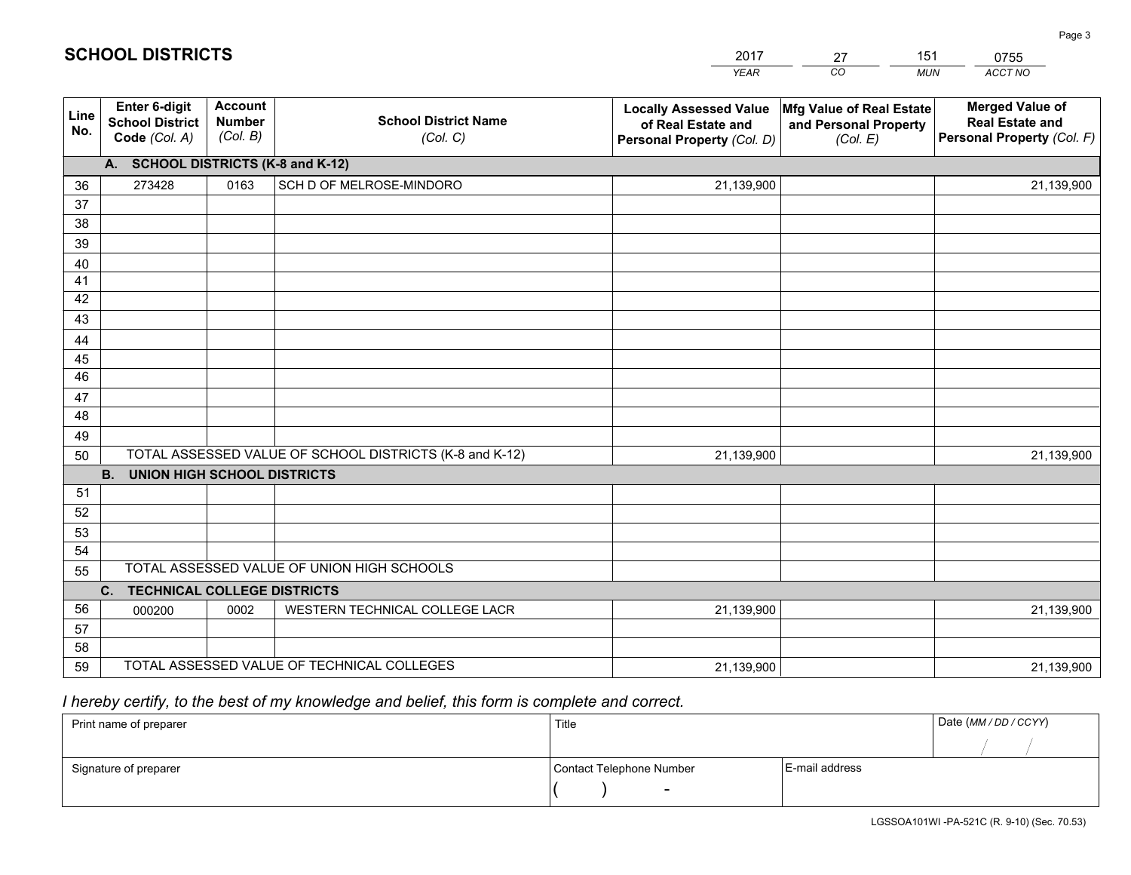|             |                                                          |                                             |                                                         | <b>YEAR</b>                                                                       | CO<br><b>MUN</b>                                              | ACCT NO                                                                        |
|-------------|----------------------------------------------------------|---------------------------------------------|---------------------------------------------------------|-----------------------------------------------------------------------------------|---------------------------------------------------------------|--------------------------------------------------------------------------------|
| Line<br>No. | Enter 6-digit<br><b>School District</b><br>Code (Col. A) | <b>Account</b><br><b>Number</b><br>(Col. B) | <b>School District Name</b><br>(Col. C)                 | <b>Locally Assessed Value</b><br>of Real Estate and<br>Personal Property (Col. D) | Mfg Value of Real Estate<br>and Personal Property<br>(Col. E) | <b>Merged Value of</b><br><b>Real Estate and</b><br>Personal Property (Col. F) |
|             | A. SCHOOL DISTRICTS (K-8 and K-12)                       |                                             |                                                         |                                                                                   |                                                               |                                                                                |
| 36          | 273428                                                   | 0163                                        | SCH D OF MELROSE-MINDORO                                | 21,139,900                                                                        |                                                               | 21,139,900                                                                     |
| 37          |                                                          |                                             |                                                         |                                                                                   |                                                               |                                                                                |
| 38          |                                                          |                                             |                                                         |                                                                                   |                                                               |                                                                                |
| 39          |                                                          |                                             |                                                         |                                                                                   |                                                               |                                                                                |
| 40          |                                                          |                                             |                                                         |                                                                                   |                                                               |                                                                                |
| 41<br>42    |                                                          |                                             |                                                         |                                                                                   |                                                               |                                                                                |
| 43          |                                                          |                                             |                                                         |                                                                                   |                                                               |                                                                                |
| 44          |                                                          |                                             |                                                         |                                                                                   |                                                               |                                                                                |
| 45          |                                                          |                                             |                                                         |                                                                                   |                                                               |                                                                                |
| 46          |                                                          |                                             |                                                         |                                                                                   |                                                               |                                                                                |
| 47          |                                                          |                                             |                                                         |                                                                                   |                                                               |                                                                                |
| 48          |                                                          |                                             |                                                         |                                                                                   |                                                               |                                                                                |
| 49          |                                                          |                                             |                                                         |                                                                                   |                                                               |                                                                                |
| 50          |                                                          |                                             | TOTAL ASSESSED VALUE OF SCHOOL DISTRICTS (K-8 and K-12) | 21,139,900                                                                        |                                                               | 21,139,900                                                                     |
|             | <b>B.</b><br><b>UNION HIGH SCHOOL DISTRICTS</b>          |                                             |                                                         |                                                                                   |                                                               |                                                                                |
| 51          |                                                          |                                             |                                                         |                                                                                   |                                                               |                                                                                |
| 52          |                                                          |                                             |                                                         |                                                                                   |                                                               |                                                                                |
| 53          |                                                          |                                             |                                                         |                                                                                   |                                                               |                                                                                |
| 54          |                                                          |                                             | TOTAL ASSESSED VALUE OF UNION HIGH SCHOOLS              |                                                                                   |                                                               |                                                                                |
| 55          |                                                          |                                             |                                                         |                                                                                   |                                                               |                                                                                |
| 56          | C. TECHNICAL COLLEGE DISTRICTS                           |                                             | WESTERN TECHNICAL COLLEGE LACR                          |                                                                                   |                                                               |                                                                                |
| 57          | 000200                                                   | 0002                                        |                                                         | 21,139,900                                                                        |                                                               | 21,139,900                                                                     |
| 58          |                                                          |                                             |                                                         |                                                                                   |                                                               |                                                                                |
| 59          |                                                          |                                             | TOTAL ASSESSED VALUE OF TECHNICAL COLLEGES              | 21,139,900                                                                        |                                                               | 21,139,900                                                                     |

# *I hereby certify, to the best of my knowledge and belief, this form is complete and correct.*

| Print name of preparer | Title                    |                | Date (MM / DD / CCYY) |
|------------------------|--------------------------|----------------|-----------------------|
|                        |                          |                |                       |
| Signature of preparer  | Contact Telephone Number | E-mail address |                       |
|                        | $\sim$                   |                |                       |

Page 3

| <b>SCHOOL DISTRICTS</b> |  |  |  |  |  |  |  |  |  |  |  |  |  |
|-------------------------|--|--|--|--|--|--|--|--|--|--|--|--|--|
|-------------------------|--|--|--|--|--|--|--|--|--|--|--|--|--|

201727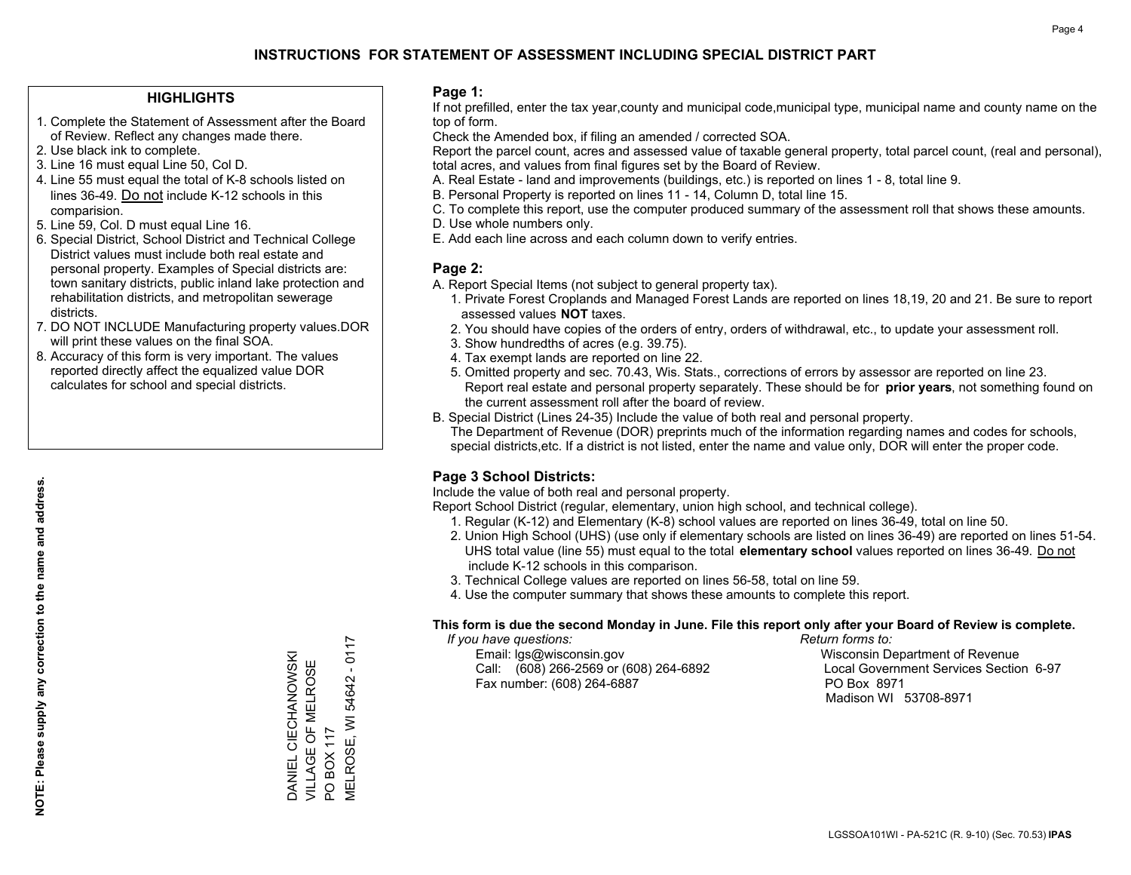### **HIGHLIGHTS**

- 1. Complete the Statement of Assessment after the Board of Review. Reflect any changes made there.
- 2. Use black ink to complete.
- 3. Line 16 must equal Line 50, Col D.
- 4. Line 55 must equal the total of K-8 schools listed on lines 36-49. Do not include K-12 schools in this comparision.
- 5. Line 59, Col. D must equal Line 16.
- 6. Special District, School District and Technical College District values must include both real estate and personal property. Examples of Special districts are: town sanitary districts, public inland lake protection and rehabilitation districts, and metropolitan sewerage districts.
- 7. DO NOT INCLUDE Manufacturing property values.DOR will print these values on the final SOA.

DANIEL CIECHANOWSKI VILLAGE OF MELROSE

DANIEL CIECHANOWSKI VILLAGE OF MELROSE

PO BOX 117

 $\overline{S}$ 

MELROSE, WI 54642 - 0117

VELROSE, WI **BOX 117** 

54642

 $-0117$ 

 8. Accuracy of this form is very important. The values reported directly affect the equalized value DOR calculates for school and special districts.

### **Page 1:**

 If not prefilled, enter the tax year,county and municipal code,municipal type, municipal name and county name on the top of form.

Check the Amended box, if filing an amended / corrected SOA.

 Report the parcel count, acres and assessed value of taxable general property, total parcel count, (real and personal), total acres, and values from final figures set by the Board of Review.

- A. Real Estate land and improvements (buildings, etc.) is reported on lines 1 8, total line 9.
- B. Personal Property is reported on lines 11 14, Column D, total line 15.
- C. To complete this report, use the computer produced summary of the assessment roll that shows these amounts.
- D. Use whole numbers only.
- E. Add each line across and each column down to verify entries.

### **Page 2:**

- A. Report Special Items (not subject to general property tax).
- 1. Private Forest Croplands and Managed Forest Lands are reported on lines 18,19, 20 and 21. Be sure to report assessed values **NOT** taxes.
- 2. You should have copies of the orders of entry, orders of withdrawal, etc., to update your assessment roll.
	- 3. Show hundredths of acres (e.g. 39.75).
- 4. Tax exempt lands are reported on line 22.
- 5. Omitted property and sec. 70.43, Wis. Stats., corrections of errors by assessor are reported on line 23. Report real estate and personal property separately. These should be for **prior years**, not something found on the current assessment roll after the board of review.
- B. Special District (Lines 24-35) Include the value of both real and personal property.

 The Department of Revenue (DOR) preprints much of the information regarding names and codes for schools, special districts,etc. If a district is not listed, enter the name and value only, DOR will enter the proper code.

## **Page 3 School Districts:**

Include the value of both real and personal property.

Report School District (regular, elementary, union high school, and technical college).

- 1. Regular (K-12) and Elementary (K-8) school values are reported on lines 36-49, total on line 50.
- 2. Union High School (UHS) (use only if elementary schools are listed on lines 36-49) are reported on lines 51-54. UHS total value (line 55) must equal to the total **elementary school** values reported on lines 36-49. Do notinclude K-12 schools in this comparison.
- 3. Technical College values are reported on lines 56-58, total on line 59.
- 4. Use the computer summary that shows these amounts to complete this report.

#### **This form is due the second Monday in June. File this report only after your Board of Review is complete.**

 *If you have questions: Return forms to:*

 Email: lgs@wisconsin.gov Wisconsin Department of RevenueCall:  $(608)$  266-2569 or  $(608)$  264-6892 Fax number: (608) 264-6887 PO Box 8971

Local Government Services Section 6-97 Madison WI 53708-8971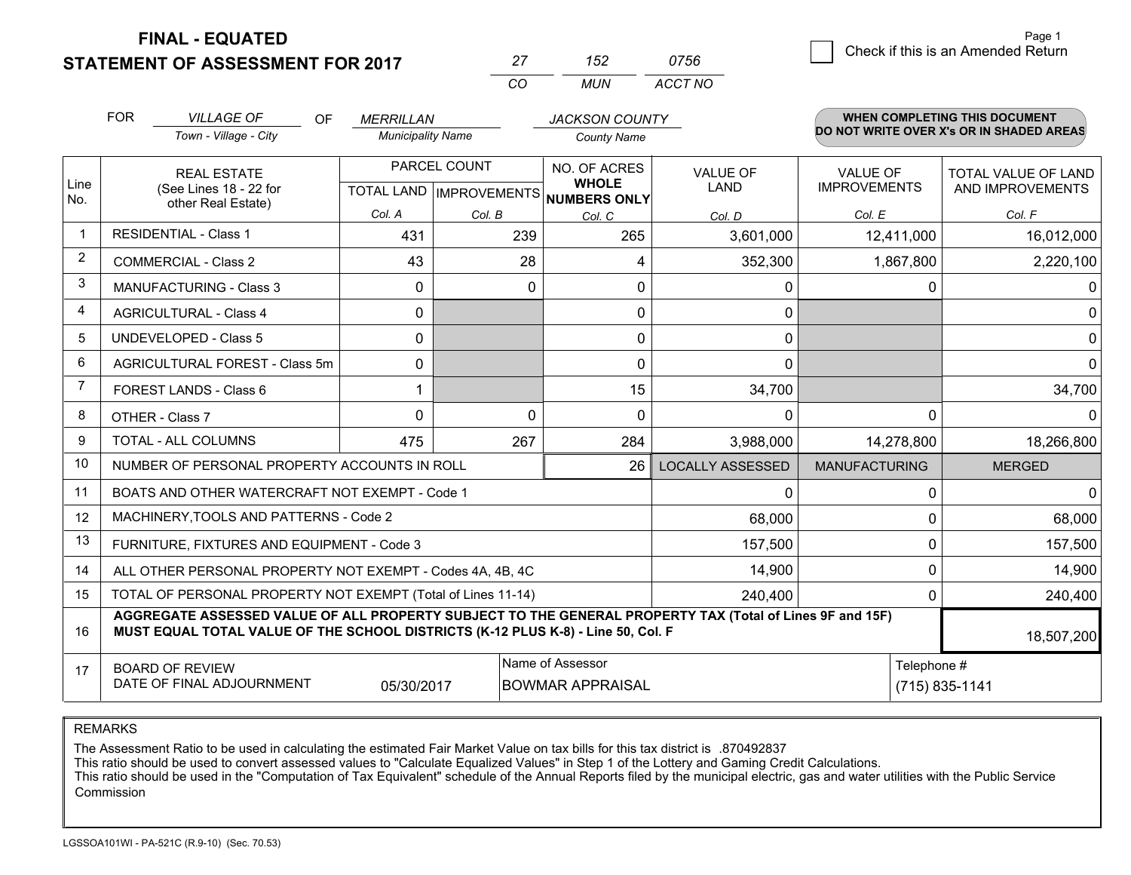**FINAL - EQUATED**

|          | 152 | 0756    |
|----------|-----|---------|
| $\cdots$ | MUN | ACCT NO |

|             | <b>FOR</b>                                                                                                                                                                                   | <b>VILLAGE OF</b><br>OF                                   | <b>MERRILLAN</b>                                                               |          | <b>JACKSON COUNTY</b> |                              |                         | WHEN COMPLETING THIS DOCUMENT            |                                         |
|-------------|----------------------------------------------------------------------------------------------------------------------------------------------------------------------------------------------|-----------------------------------------------------------|--------------------------------------------------------------------------------|----------|-----------------------|------------------------------|-------------------------|------------------------------------------|-----------------------------------------|
|             |                                                                                                                                                                                              | Town - Village - City                                     | <b>Municipality Name</b>                                                       |          | <b>County Name</b>    |                              |                         | DO NOT WRITE OVER X's OR IN SHADED AREAS |                                         |
| Line        | <b>REAL ESTATE</b>                                                                                                                                                                           |                                                           | PARCEL COUNT<br>(See Lines 18 - 22 for<br>TOTAL LAND IMPROVEMENTS NUMBERS ONLY |          |                       | NO. OF ACRES<br><b>WHOLE</b> | VALUE OF<br><b>LAND</b> | <b>VALUE OF</b><br><b>IMPROVEMENTS</b>   | TOTAL VALUE OF LAND<br>AND IMPROVEMENTS |
| No.         |                                                                                                                                                                                              | other Real Estate)                                        | Col. A                                                                         | Col. B   | Col. C                | Col. D                       | Col. E                  | Col. F                                   |                                         |
| $\mathbf 1$ |                                                                                                                                                                                              | <b>RESIDENTIAL - Class 1</b>                              | 431                                                                            | 239      | 265                   | 3,601,000                    | 12,411,000              | 16,012,000                               |                                         |
| 2           |                                                                                                                                                                                              | <b>COMMERCIAL - Class 2</b>                               | 43                                                                             | 28       | 4                     | 352,300                      | 1,867,800               | 2,220,100                                |                                         |
| 3           |                                                                                                                                                                                              | <b>MANUFACTURING - Class 3</b>                            | $\Omega$                                                                       | 0        | 0                     | $\mathbf 0$                  | 0                       | 0                                        |                                         |
| 4           |                                                                                                                                                                                              | <b>AGRICULTURAL - Class 4</b>                             | 0                                                                              |          | 0                     | $\mathbf 0$                  |                         | $\Omega$                                 |                                         |
| 5           |                                                                                                                                                                                              | <b>UNDEVELOPED - Class 5</b>                              | $\Omega$                                                                       |          | 0                     | $\mathbf{0}$                 |                         | $\Omega$                                 |                                         |
| 6           |                                                                                                                                                                                              | AGRICULTURAL FOREST - Class 5m                            | 0                                                                              |          | 0                     | $\mathbf 0$                  |                         | $\Omega$                                 |                                         |
| 7           |                                                                                                                                                                                              | FOREST LANDS - Class 6                                    |                                                                                |          | 15                    | 34,700                       |                         | 34,700                                   |                                         |
| 8           |                                                                                                                                                                                              | OTHER - Class 7                                           | $\Omega$                                                                       | $\Omega$ | $\Omega$              | $\Omega$                     | $\Omega$                | 0                                        |                                         |
| 9           |                                                                                                                                                                                              | TOTAL - ALL COLUMNS                                       | 475                                                                            | 267      | 284                   | 3,988,000                    | 14,278,800              | 18,266,800                               |                                         |
| 10          |                                                                                                                                                                                              | NUMBER OF PERSONAL PROPERTY ACCOUNTS IN ROLL              |                                                                                |          | 26                    | <b>LOCALLY ASSESSED</b>      | <b>MANUFACTURING</b>    | <b>MERGED</b>                            |                                         |
| 11          |                                                                                                                                                                                              | BOATS AND OTHER WATERCRAFT NOT EXEMPT - Code 1            |                                                                                |          |                       | $\mathbf 0$                  | 0                       | $\Omega$                                 |                                         |
| 12          |                                                                                                                                                                                              | MACHINERY, TOOLS AND PATTERNS - Code 2                    |                                                                                |          |                       | 68,000                       | $\Omega$                | 68,000                                   |                                         |
| 13          |                                                                                                                                                                                              | FURNITURE, FIXTURES AND EQUIPMENT - Code 3                |                                                                                |          |                       | 157,500                      | 0                       | 157,500                                  |                                         |
| 14          |                                                                                                                                                                                              | ALL OTHER PERSONAL PROPERTY NOT EXEMPT - Codes 4A, 4B, 4C |                                                                                |          |                       | 14,900                       | 0                       | 14,900                                   |                                         |
| 15          | TOTAL OF PERSONAL PROPERTY NOT EXEMPT (Total of Lines 11-14)<br>240,400                                                                                                                      |                                                           |                                                                                |          |                       |                              |                         | 240,400<br>0                             |                                         |
| 16          | AGGREGATE ASSESSED VALUE OF ALL PROPERTY SUBJECT TO THE GENERAL PROPERTY TAX (Total of Lines 9F and 15F)<br>MUST EQUAL TOTAL VALUE OF THE SCHOOL DISTRICTS (K-12 PLUS K-8) - Line 50, Col. F |                                                           |                                                                                |          |                       |                              |                         | 18,507,200                               |                                         |
| 17          |                                                                                                                                                                                              | <b>BOARD OF REVIEW</b>                                    |                                                                                |          | Name of Assessor      |                              | Telephone #             |                                          |                                         |
|             | DATE OF FINAL ADJOURNMENT<br><b>BOWMAR APPRAISAL</b><br>05/30/2017                                                                                                                           |                                                           |                                                                                |          |                       |                              |                         | (715) 835-1141                           |                                         |

REMARKS

The Assessment Ratio to be used in calculating the estimated Fair Market Value on tax bills for this tax district is .870492837

This ratio should be used to convert assessed values to "Calculate Equalized Values" in Step 1 of the Lottery and Gaming Credit Calculations.<br>This ratio should be used in the "Computation of Tax Equivalent" schedule of the Commission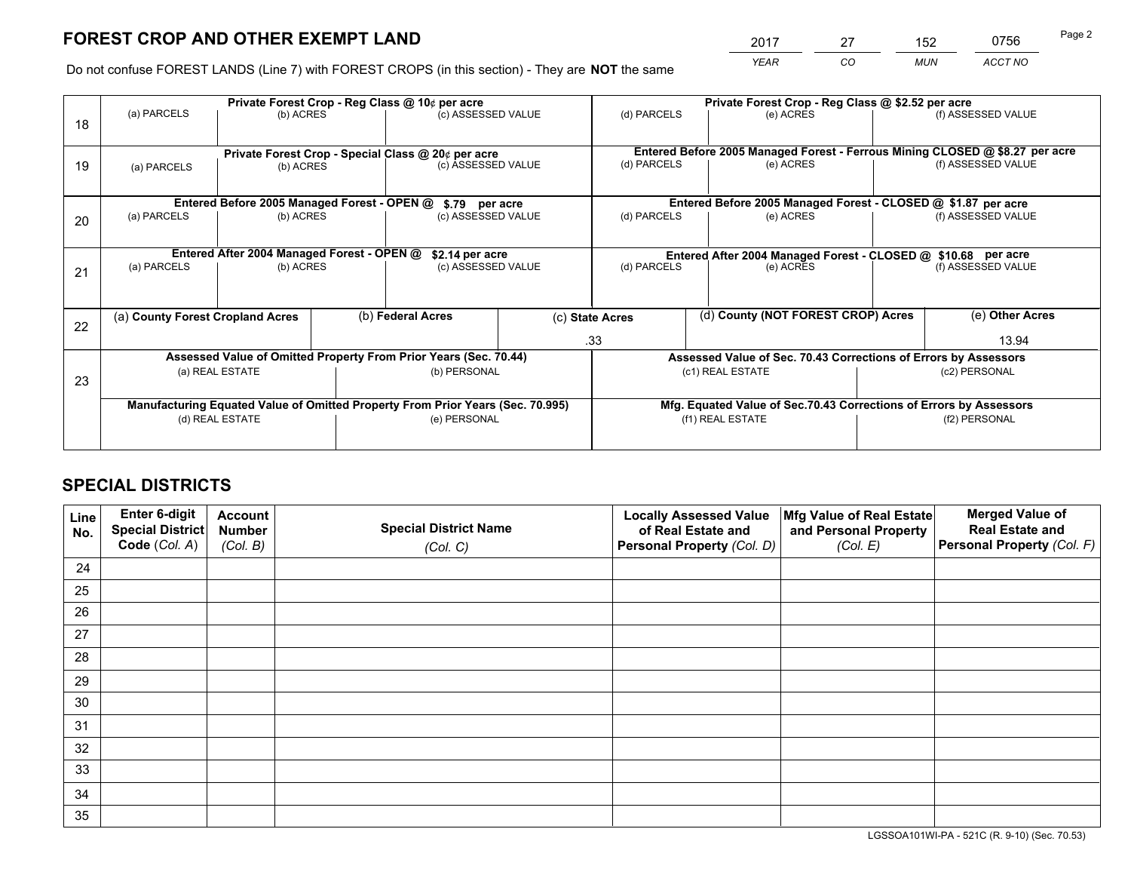*YEAR CO MUN ACCT NO* <sup>2017</sup> <sup>27</sup> <sup>152</sup> <sup>0756</sup> Page 2

Do not confuse FOREST LANDS (Line 7) with FOREST CROPS (in this section) - They are **NOT** the same

|    |                                                                  |                                             |  | Private Forest Crop - Reg Class @ 10¢ per acre                                 |  |                                                               | Private Forest Crop - Reg Class @ \$2.52 per acre                            |               |                                                                    |  |
|----|------------------------------------------------------------------|---------------------------------------------|--|--------------------------------------------------------------------------------|--|---------------------------------------------------------------|------------------------------------------------------------------------------|---------------|--------------------------------------------------------------------|--|
| 18 | (a) PARCELS                                                      | (b) ACRES                                   |  | (c) ASSESSED VALUE                                                             |  | (d) PARCELS                                                   | (e) ACRES                                                                    |               | (f) ASSESSED VALUE                                                 |  |
|    |                                                                  |                                             |  |                                                                                |  |                                                               |                                                                              |               |                                                                    |  |
|    |                                                                  |                                             |  | Private Forest Crop - Special Class @ 20¢ per acre                             |  |                                                               | Entered Before 2005 Managed Forest - Ferrous Mining CLOSED @ \$8.27 per acre |               |                                                                    |  |
| 19 | (a) PARCELS                                                      | (b) ACRES                                   |  | (c) ASSESSED VALUE                                                             |  | (d) PARCELS                                                   | (e) ACRES                                                                    |               | (f) ASSESSED VALUE                                                 |  |
|    |                                                                  |                                             |  |                                                                                |  |                                                               |                                                                              |               |                                                                    |  |
|    |                                                                  | Entered Before 2005 Managed Forest - OPEN @ |  | \$.79 per acre                                                                 |  |                                                               | Entered Before 2005 Managed Forest - CLOSED @ \$1.87 per acre                |               |                                                                    |  |
| 20 | (a) PARCELS                                                      | (b) ACRES                                   |  | (c) ASSESSED VALUE                                                             |  | (d) PARCELS                                                   | (e) ACRES                                                                    |               | (f) ASSESSED VALUE                                                 |  |
|    |                                                                  |                                             |  |                                                                                |  |                                                               |                                                                              |               |                                                                    |  |
|    |                                                                  | Entered After 2004 Managed Forest - OPEN @  |  | \$2.14 per acre                                                                |  | Entered After 2004 Managed Forest - CLOSED @ \$10.68 per acre |                                                                              |               |                                                                    |  |
| 21 | (a) PARCELS                                                      | (b) ACRES                                   |  | (c) ASSESSED VALUE                                                             |  | (d) PARCELS<br>(e) ACRES                                      |                                                                              |               | (f) ASSESSED VALUE                                                 |  |
|    |                                                                  |                                             |  |                                                                                |  |                                                               |                                                                              |               |                                                                    |  |
|    | (a) County Forest Cropland Acres                                 |                                             |  | (b) Federal Acres                                                              |  |                                                               | (d) County (NOT FOREST CROP) Acres                                           |               | (e) Other Acres                                                    |  |
| 22 |                                                                  |                                             |  |                                                                                |  | (c) State Acres                                               |                                                                              |               |                                                                    |  |
|    |                                                                  |                                             |  |                                                                                |  | .33                                                           |                                                                              |               | 13.94                                                              |  |
|    | Assessed Value of Omitted Property From Prior Years (Sec. 70.44) |                                             |  |                                                                                |  |                                                               | Assessed Value of Sec. 70.43 Corrections of Errors by Assessors              |               |                                                                    |  |
| 23 |                                                                  | (a) REAL ESTATE                             |  | (b) PERSONAL                                                                   |  | (c1) REAL ESTATE                                              |                                                                              | (c2) PERSONAL |                                                                    |  |
|    |                                                                  |                                             |  |                                                                                |  |                                                               |                                                                              |               |                                                                    |  |
|    |                                                                  |                                             |  | Manufacturing Equated Value of Omitted Property From Prior Years (Sec. 70.995) |  |                                                               |                                                                              |               | Mfg. Equated Value of Sec.70.43 Corrections of Errors by Assessors |  |
|    | (d) REAL ESTATE                                                  |                                             |  | (e) PERSONAL                                                                   |  |                                                               | (f1) REAL ESTATE                                                             |               | (f2) PERSONAL                                                      |  |
|    |                                                                  |                                             |  |                                                                                |  |                                                               |                                                                              |               |                                                                    |  |

## **SPECIAL DISTRICTS**

| Line<br>No. | Enter 6-digit<br>Special District<br>Code (Col. A) | <b>Account</b><br><b>Number</b> | <b>Special District Name</b> | <b>Locally Assessed Value</b><br>of Real Estate and | Mfg Value of Real Estate<br>and Personal Property | <b>Merged Value of</b><br><b>Real Estate and</b><br>Personal Property (Col. F) |
|-------------|----------------------------------------------------|---------------------------------|------------------------------|-----------------------------------------------------|---------------------------------------------------|--------------------------------------------------------------------------------|
|             |                                                    | (Col. B)                        | (Col. C)                     | Personal Property (Col. D)                          | (Col. E)                                          |                                                                                |
| 24          |                                                    |                                 |                              |                                                     |                                                   |                                                                                |
| 25          |                                                    |                                 |                              |                                                     |                                                   |                                                                                |
| 26          |                                                    |                                 |                              |                                                     |                                                   |                                                                                |
| 27          |                                                    |                                 |                              |                                                     |                                                   |                                                                                |
| 28          |                                                    |                                 |                              |                                                     |                                                   |                                                                                |
| 29          |                                                    |                                 |                              |                                                     |                                                   |                                                                                |
| 30          |                                                    |                                 |                              |                                                     |                                                   |                                                                                |
| 31          |                                                    |                                 |                              |                                                     |                                                   |                                                                                |
| 32          |                                                    |                                 |                              |                                                     |                                                   |                                                                                |
| 33          |                                                    |                                 |                              |                                                     |                                                   |                                                                                |
| 34          |                                                    |                                 |                              |                                                     |                                                   |                                                                                |
| 35          |                                                    |                                 |                              |                                                     |                                                   |                                                                                |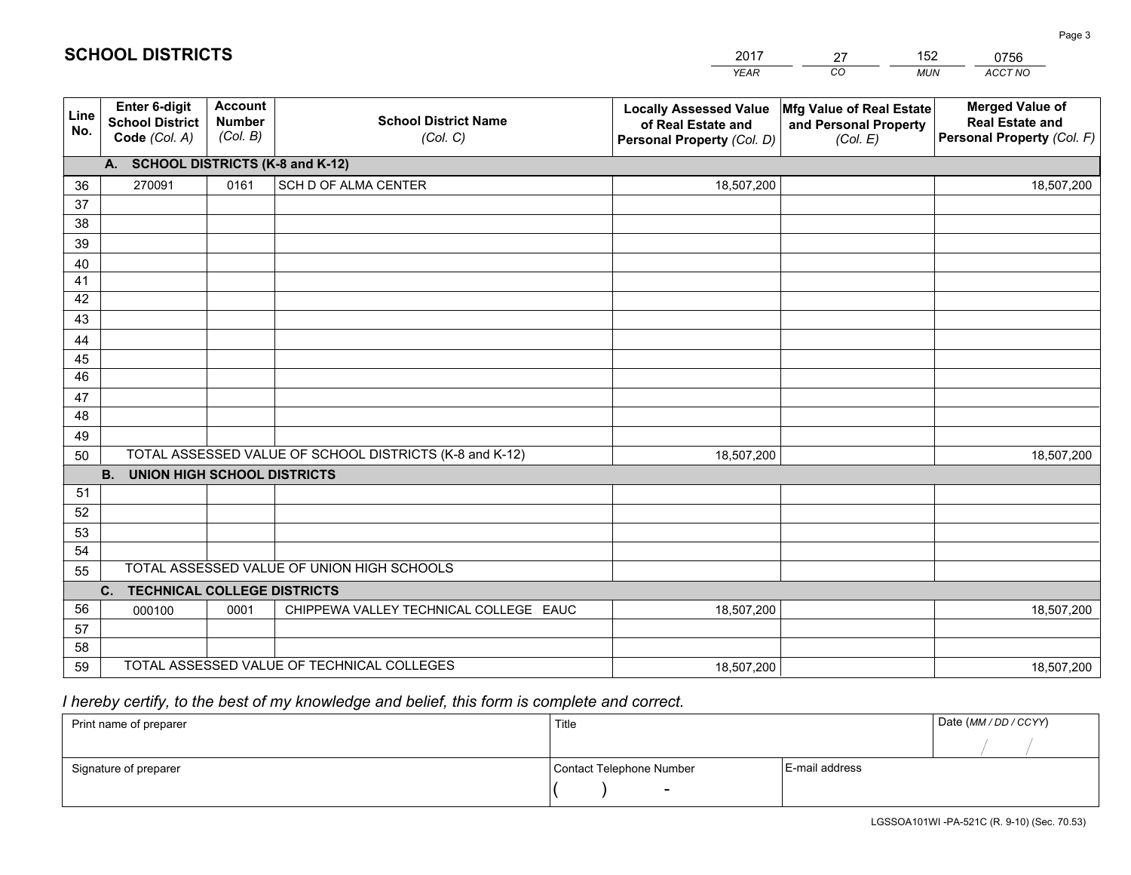|             |                                                                        |                                             |                                                         | <b>YEAR</b>                                                                       | CO<br><b>MUN</b>                                              | ACCT NO                                                                        |  |  |
|-------------|------------------------------------------------------------------------|---------------------------------------------|---------------------------------------------------------|-----------------------------------------------------------------------------------|---------------------------------------------------------------|--------------------------------------------------------------------------------|--|--|
| Line<br>No. | <b>Enter 6-digit</b><br><b>School District</b><br>Code (Col. A)        | <b>Account</b><br><b>Number</b><br>(Col. B) | <b>School District Name</b><br>(Col. C)                 | <b>Locally Assessed Value</b><br>of Real Estate and<br>Personal Property (Col. D) | Mfg Value of Real Estate<br>and Personal Property<br>(Col. E) | <b>Merged Value of</b><br><b>Real Estate and</b><br>Personal Property (Col. F) |  |  |
|             | A. SCHOOL DISTRICTS (K-8 and K-12)                                     |                                             |                                                         |                                                                                   |                                                               |                                                                                |  |  |
| 36          | 270091                                                                 | 0161                                        | SCH D OF ALMA CENTER                                    | 18,507,200                                                                        |                                                               | 18,507,200                                                                     |  |  |
| 37          |                                                                        |                                             |                                                         |                                                                                   |                                                               |                                                                                |  |  |
| 38          |                                                                        |                                             |                                                         |                                                                                   |                                                               |                                                                                |  |  |
| 39          |                                                                        |                                             |                                                         |                                                                                   |                                                               |                                                                                |  |  |
| 40          |                                                                        |                                             |                                                         |                                                                                   |                                                               |                                                                                |  |  |
| 41          |                                                                        |                                             |                                                         |                                                                                   |                                                               |                                                                                |  |  |
| 42          |                                                                        |                                             |                                                         |                                                                                   |                                                               |                                                                                |  |  |
| 43          |                                                                        |                                             |                                                         |                                                                                   |                                                               |                                                                                |  |  |
| 44<br>45    |                                                                        |                                             |                                                         |                                                                                   |                                                               |                                                                                |  |  |
| 46          |                                                                        |                                             |                                                         |                                                                                   |                                                               |                                                                                |  |  |
| 47          |                                                                        |                                             |                                                         |                                                                                   |                                                               |                                                                                |  |  |
| 48          |                                                                        |                                             |                                                         |                                                                                   |                                                               |                                                                                |  |  |
| 49          |                                                                        |                                             |                                                         |                                                                                   |                                                               |                                                                                |  |  |
| 50          |                                                                        |                                             | TOTAL ASSESSED VALUE OF SCHOOL DISTRICTS (K-8 and K-12) | 18,507,200                                                                        |                                                               | 18,507,200                                                                     |  |  |
|             | <b>B.</b><br><b>UNION HIGH SCHOOL DISTRICTS</b>                        |                                             |                                                         |                                                                                   |                                                               |                                                                                |  |  |
| 51          |                                                                        |                                             |                                                         |                                                                                   |                                                               |                                                                                |  |  |
| 52          |                                                                        |                                             |                                                         |                                                                                   |                                                               |                                                                                |  |  |
| 53          |                                                                        |                                             |                                                         |                                                                                   |                                                               |                                                                                |  |  |
| 54          |                                                                        |                                             |                                                         |                                                                                   |                                                               |                                                                                |  |  |
| 55          |                                                                        |                                             | TOTAL ASSESSED VALUE OF UNION HIGH SCHOOLS              |                                                                                   |                                                               |                                                                                |  |  |
|             | C.<br><b>TECHNICAL COLLEGE DISTRICTS</b>                               |                                             |                                                         |                                                                                   |                                                               |                                                                                |  |  |
| 56          | 000100                                                                 | 0001                                        | CHIPPEWA VALLEY TECHNICAL COLLEGE EAUC                  | 18,507,200                                                                        |                                                               | 18,507,200                                                                     |  |  |
| 57          |                                                                        |                                             |                                                         |                                                                                   |                                                               |                                                                                |  |  |
| 58          |                                                                        |                                             |                                                         |                                                                                   |                                                               |                                                                                |  |  |
| 59          | TOTAL ASSESSED VALUE OF TECHNICAL COLLEGES<br>18,507,200<br>18,507,200 |                                             |                                                         |                                                                                   |                                                               |                                                                                |  |  |

27

152

 *I hereby certify, to the best of my knowledge and belief, this form is complete and correct.*

**SCHOOL DISTRICTS**

| Print name of preparer | Title                    |                | Date (MM / DD / CCYY) |
|------------------------|--------------------------|----------------|-----------------------|
|                        |                          |                |                       |
| Signature of preparer  | Contact Telephone Number | E-mail address |                       |
|                        | $\overline{\phantom{a}}$ |                |                       |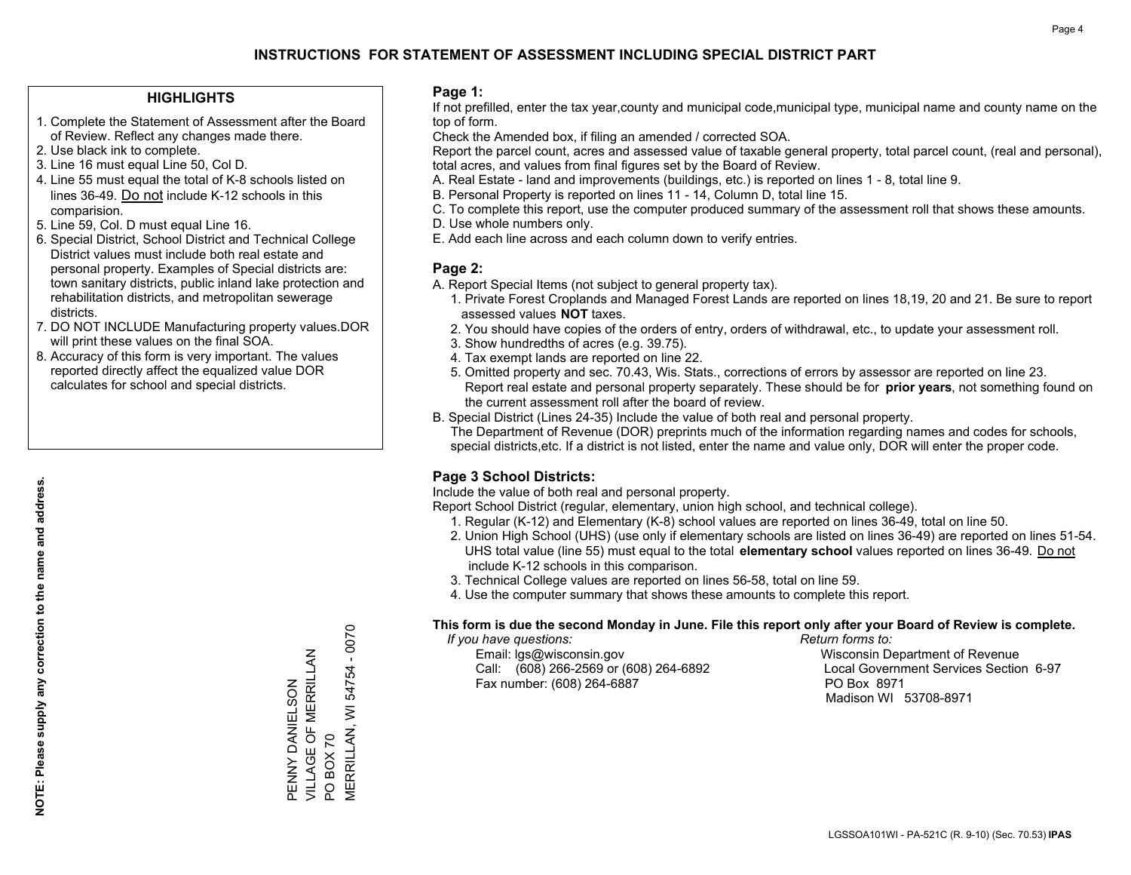### **HIGHLIGHTS**

- 1. Complete the Statement of Assessment after the Board of Review. Reflect any changes made there.
- 2. Use black ink to complete.
- 3. Line 16 must equal Line 50, Col D.
- 4. Line 55 must equal the total of K-8 schools listed on lines 36-49. Do not include K-12 schools in this comparision.
- 5. Line 59, Col. D must equal Line 16.
- 6. Special District, School District and Technical College District values must include both real estate and personal property. Examples of Special districts are: town sanitary districts, public inland lake protection and rehabilitation districts, and metropolitan sewerage districts.
- 7. DO NOT INCLUDE Manufacturing property values.DOR will print these values on the final SOA.

PENNY DANIELSON VILLAGE OF MERRILLAN

PENNY DANIELSON<br>VILLAGE OF MERRILLAN

PO BOX 70

 $\overline{S}$ 

BOX 70

MERRILLAN, WI 54754 - 0070

**VIERRILLAN, WI 54754** 

 $-0070$ 

 8. Accuracy of this form is very important. The values reported directly affect the equalized value DOR calculates for school and special districts.

### **Page 1:**

 If not prefilled, enter the tax year,county and municipal code,municipal type, municipal name and county name on the top of form.

Check the Amended box, if filing an amended / corrected SOA.

 Report the parcel count, acres and assessed value of taxable general property, total parcel count, (real and personal), total acres, and values from final figures set by the Board of Review.

- A. Real Estate land and improvements (buildings, etc.) is reported on lines 1 8, total line 9.
- B. Personal Property is reported on lines 11 14, Column D, total line 15.
- C. To complete this report, use the computer produced summary of the assessment roll that shows these amounts.
- D. Use whole numbers only.
- E. Add each line across and each column down to verify entries.

### **Page 2:**

- A. Report Special Items (not subject to general property tax).
- 1. Private Forest Croplands and Managed Forest Lands are reported on lines 18,19, 20 and 21. Be sure to report assessed values **NOT** taxes.
- 2. You should have copies of the orders of entry, orders of withdrawal, etc., to update your assessment roll.
	- 3. Show hundredths of acres (e.g. 39.75).
- 4. Tax exempt lands are reported on line 22.
- 5. Omitted property and sec. 70.43, Wis. Stats., corrections of errors by assessor are reported on line 23. Report real estate and personal property separately. These should be for **prior years**, not something found on the current assessment roll after the board of review.
- B. Special District (Lines 24-35) Include the value of both real and personal property.

 The Department of Revenue (DOR) preprints much of the information regarding names and codes for schools, special districts,etc. If a district is not listed, enter the name and value only, DOR will enter the proper code.

## **Page 3 School Districts:**

Include the value of both real and personal property.

Report School District (regular, elementary, union high school, and technical college).

- 1. Regular (K-12) and Elementary (K-8) school values are reported on lines 36-49, total on line 50.
- 2. Union High School (UHS) (use only if elementary schools are listed on lines 36-49) are reported on lines 51-54. UHS total value (line 55) must equal to the total **elementary school** values reported on lines 36-49. Do notinclude K-12 schools in this comparison.
- 3. Technical College values are reported on lines 56-58, total on line 59.
- 4. Use the computer summary that shows these amounts to complete this report.

#### **This form is due the second Monday in June. File this report only after your Board of Review is complete.**

 *If you have questions: Return forms to:*

 Email: lgs@wisconsin.gov Wisconsin Department of RevenueCall:  $(608)$  266-2569 or  $(608)$  264-6892 Fax number: (608) 264-6887 PO Box 8971

Local Government Services Section 6-97 Madison WI 53708-8971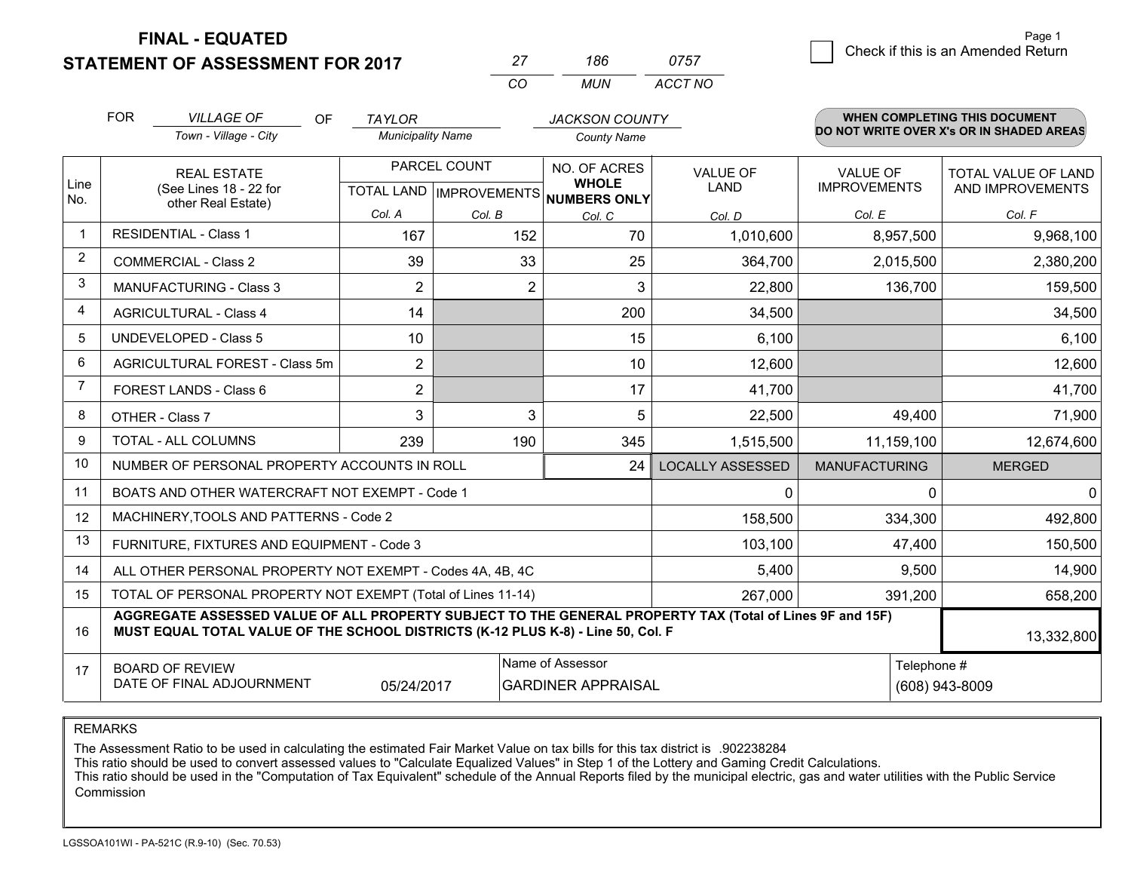**FINAL - EQUATED**

**STATEMENT OF ASSESSMENT FOR 2017** 

| י כי | 186.  | 0757    |
|------|-------|---------|
| rη   | MI IN | ACCT NO |

|             | <b>FOR</b>                                                                                                                                                                                   | <b>VILLAGE OF</b><br>OF.                       | <b>TAYLOR</b>            |                           | <b>JACKSON COUNTY</b>               |                         |                      | <b>WHEN COMPLETING THIS DOCUMENT</b>     |
|-------------|----------------------------------------------------------------------------------------------------------------------------------------------------------------------------------------------|------------------------------------------------|--------------------------|---------------------------|-------------------------------------|-------------------------|----------------------|------------------------------------------|
|             |                                                                                                                                                                                              | Town - Village - City                          | <b>Municipality Name</b> |                           | <b>County Name</b>                  |                         |                      | DO NOT WRITE OVER X's OR IN SHADED AREAS |
|             |                                                                                                                                                                                              | <b>REAL ESTATE</b>                             |                          | PARCEL COUNT              | NO. OF ACRES                        | <b>VALUE OF</b>         | <b>VALUE OF</b>      | TOTAL VALUE OF LAND                      |
| Line<br>No. |                                                                                                                                                                                              | (See Lines 18 - 22 for<br>other Real Estate)   |                          | TOTAL LAND   IMPROVEMENTS | <b>WHOLE</b><br><b>NUMBERS ONLY</b> | <b>LAND</b>             | <b>IMPROVEMENTS</b>  | AND IMPROVEMENTS                         |
|             |                                                                                                                                                                                              |                                                | Col. A                   | Col. B                    | Col. C                              | Col. D                  | Col. E               | Col. F                                   |
| -1          |                                                                                                                                                                                              | <b>RESIDENTIAL - Class 1</b>                   | 167                      | 152                       | 70                                  | 1,010,600               | 8,957,500            | 9,968,100                                |
| 2           |                                                                                                                                                                                              | <b>COMMERCIAL - Class 2</b>                    | 39                       | 33                        | 25                                  | 364,700                 | 2,015,500            | 2,380,200                                |
| 3           |                                                                                                                                                                                              | <b>MANUFACTURING - Class 3</b>                 | $\overline{2}$           | $\overline{2}$            | 3                                   | 22,800                  | 136,700              | 159,500                                  |
| 4           |                                                                                                                                                                                              | <b>AGRICULTURAL - Class 4</b>                  | 14                       |                           | 200                                 | 34,500                  |                      | 34,500                                   |
| 5           |                                                                                                                                                                                              | <b>UNDEVELOPED - Class 5</b>                   | 10                       |                           | 15                                  | 6,100                   |                      | 6,100                                    |
| 6           |                                                                                                                                                                                              | AGRICULTURAL FOREST - Class 5m                 | $\overline{2}$           |                           | 10                                  | 12,600                  |                      | 12,600                                   |
| 7           |                                                                                                                                                                                              | FOREST LANDS - Class 6                         | $\overline{2}$           |                           | 17                                  | 41,700                  |                      | 41,700                                   |
| 8           |                                                                                                                                                                                              | OTHER - Class 7                                | 3                        | 3                         | 5                                   | 22,500                  | 49,400               | 71,900                                   |
| 9           |                                                                                                                                                                                              | TOTAL - ALL COLUMNS                            | 239                      | 190                       | 345                                 | 1,515,500               | 11,159,100           | 12,674,600                               |
| 10          |                                                                                                                                                                                              | NUMBER OF PERSONAL PROPERTY ACCOUNTS IN ROLL   |                          |                           | 24                                  | <b>LOCALLY ASSESSED</b> | <b>MANUFACTURING</b> | <b>MERGED</b>                            |
| 11          |                                                                                                                                                                                              | BOATS AND OTHER WATERCRAFT NOT EXEMPT - Code 1 |                          |                           |                                     | 0                       | $\Omega$             | $\overline{0}$                           |
| 12          |                                                                                                                                                                                              | MACHINERY, TOOLS AND PATTERNS - Code 2         |                          |                           |                                     | 158,500                 | 334,300              | 492,800                                  |
| 13          |                                                                                                                                                                                              | FURNITURE, FIXTURES AND EQUIPMENT - Code 3     |                          |                           |                                     | 103,100                 | 47,400               | 150,500                                  |
| 14          | 5,400<br>ALL OTHER PERSONAL PROPERTY NOT EXEMPT - Codes 4A, 4B, 4C                                                                                                                           |                                                |                          |                           |                                     |                         |                      | 14,900                                   |
| 15          | TOTAL OF PERSONAL PROPERTY NOT EXEMPT (Total of Lines 11-14)<br>267,000                                                                                                                      |                                                |                          |                           |                                     |                         | 391,200              | 658,200                                  |
| 16          | AGGREGATE ASSESSED VALUE OF ALL PROPERTY SUBJECT TO THE GENERAL PROPERTY TAX (Total of Lines 9F and 15F)<br>MUST EQUAL TOTAL VALUE OF THE SCHOOL DISTRICTS (K-12 PLUS K-8) - Line 50, Col. F |                                                |                          |                           |                                     |                         |                      | 13,332,800                               |
| 17          |                                                                                                                                                                                              | <b>BOARD OF REVIEW</b>                         |                          |                           | Name of Assessor                    |                         | Telephone #          |                                          |
|             |                                                                                                                                                                                              | DATE OF FINAL ADJOURNMENT                      | 05/24/2017               |                           | <b>GARDINER APPRAISAL</b>           |                         |                      | (608) 943-8009                           |

REMARKS

The Assessment Ratio to be used in calculating the estimated Fair Market Value on tax bills for this tax district is .902238284

This ratio should be used to convert assessed values to "Calculate Equalized Values" in Step 1 of the Lottery and Gaming Credit Calculations.<br>This ratio should be used in the "Computation of Tax Equivalent" schedule of the Commission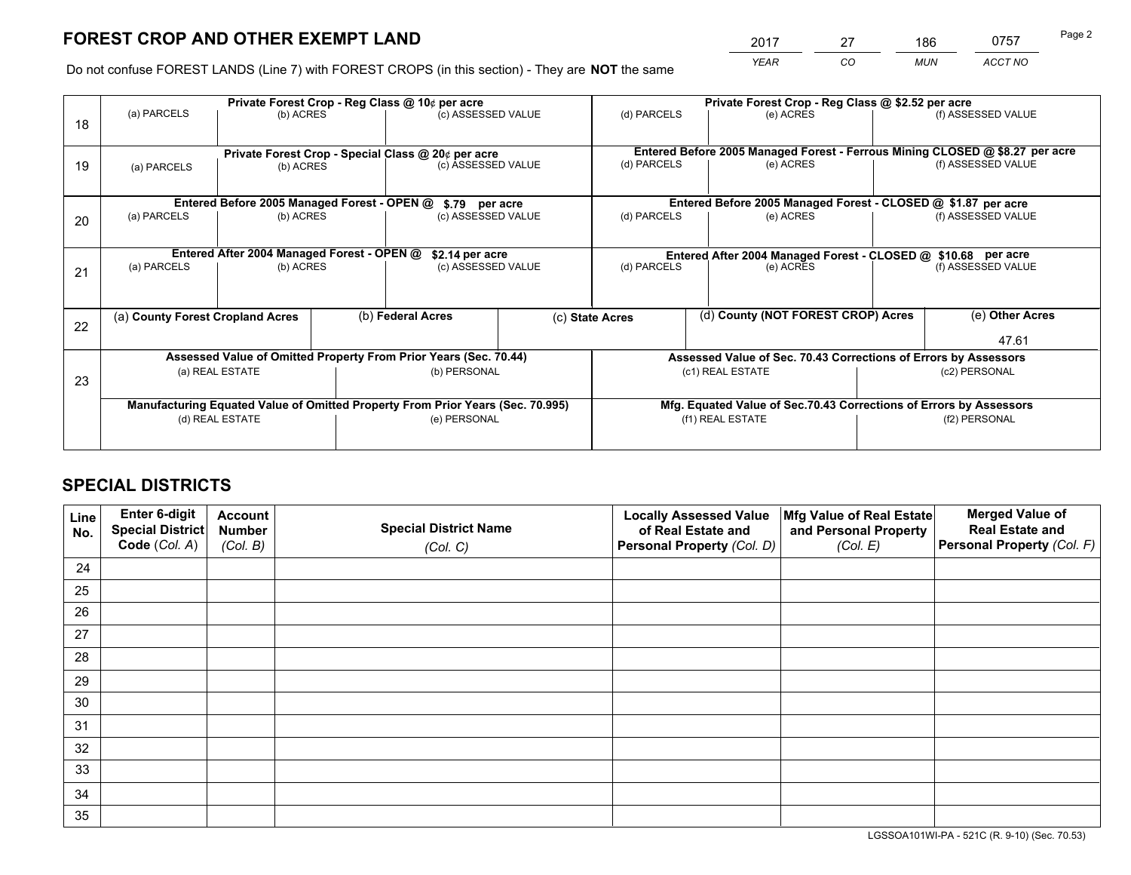*YEAR CO MUN ACCT NO* <sup>2017</sup> <sup>27</sup> <sup>186</sup> <sup>0757</sup> Page 2

Do not confuse FOREST LANDS (Line 7) with FOREST CROPS (in this section) - They are **NOT** the same

|    |                                                                  |                                                                                |  | Private Forest Crop - Reg Class @ 10¢ per acre                           |  |                                                                 | Private Forest Crop - Reg Class @ \$2.52 per acre                                         |                    |                    |  |
|----|------------------------------------------------------------------|--------------------------------------------------------------------------------|--|--------------------------------------------------------------------------|--|-----------------------------------------------------------------|-------------------------------------------------------------------------------------------|--------------------|--------------------|--|
| 18 | (a) PARCELS                                                      | (b) ACRES                                                                      |  | (c) ASSESSED VALUE                                                       |  | (d) PARCELS                                                     | (e) ACRES                                                                                 |                    | (f) ASSESSED VALUE |  |
|    |                                                                  |                                                                                |  |                                                                          |  |                                                                 |                                                                                           |                    |                    |  |
|    |                                                                  |                                                                                |  | Private Forest Crop - Special Class @ 20¢ per acre<br>(c) ASSESSED VALUE |  | (d) PARCELS                                                     | Entered Before 2005 Managed Forest - Ferrous Mining CLOSED @ \$8.27 per acre<br>(e) ACRES |                    | (f) ASSESSED VALUE |  |
| 19 | (a) PARCELS                                                      | (b) ACRES                                                                      |  |                                                                          |  |                                                                 |                                                                                           |                    |                    |  |
|    |                                                                  |                                                                                |  |                                                                          |  |                                                                 |                                                                                           |                    |                    |  |
|    |                                                                  | Entered Before 2005 Managed Forest - OPEN @                                    |  | \$.79 per acre                                                           |  |                                                                 | Entered Before 2005 Managed Forest - CLOSED @ \$1.87 per acre                             |                    |                    |  |
| 20 | (a) PARCELS                                                      | (b) ACRES                                                                      |  | (c) ASSESSED VALUE                                                       |  | (d) PARCELS                                                     | (e) ACRES                                                                                 |                    | (f) ASSESSED VALUE |  |
|    |                                                                  |                                                                                |  |                                                                          |  |                                                                 |                                                                                           |                    |                    |  |
|    |                                                                  |                                                                                |  |                                                                          |  |                                                                 |                                                                                           |                    |                    |  |
|    |                                                                  | Entered After 2004 Managed Forest - OPEN @                                     |  | \$2.14 per acre                                                          |  | Entered After 2004 Managed Forest - CLOSED @ \$10.68 per acre   |                                                                                           | (f) ASSESSED VALUE |                    |  |
| 21 | (a) PARCELS                                                      | (b) ACRES                                                                      |  | (c) ASSESSED VALUE                                                       |  | (d) PARCELS<br>(e) ACRES                                        |                                                                                           |                    |                    |  |
|    |                                                                  |                                                                                |  |                                                                          |  |                                                                 |                                                                                           |                    |                    |  |
|    | (a) County Forest Cropland Acres                                 |                                                                                |  | (b) Federal Acres                                                        |  | (c) State Acres                                                 | (d) County (NOT FOREST CROP) Acres                                                        |                    | (e) Other Acres    |  |
| 22 |                                                                  |                                                                                |  |                                                                          |  |                                                                 |                                                                                           |                    |                    |  |
|    |                                                                  |                                                                                |  |                                                                          |  |                                                                 |                                                                                           |                    | 47.61              |  |
|    | Assessed Value of Omitted Property From Prior Years (Sec. 70.44) |                                                                                |  |                                                                          |  | Assessed Value of Sec. 70.43 Corrections of Errors by Assessors |                                                                                           |                    |                    |  |
| 23 |                                                                  | (a) REAL ESTATE                                                                |  | (b) PERSONAL                                                             |  | (c1) REAL ESTATE                                                |                                                                                           | (c2) PERSONAL      |                    |  |
|    |                                                                  |                                                                                |  |                                                                          |  |                                                                 |                                                                                           |                    |                    |  |
|    |                                                                  | Manufacturing Equated Value of Omitted Property From Prior Years (Sec. 70.995) |  |                                                                          |  |                                                                 | Mfg. Equated Value of Sec.70.43 Corrections of Errors by Assessors                        |                    |                    |  |
|    | (d) REAL ESTATE                                                  |                                                                                |  | (e) PERSONAL                                                             |  |                                                                 | (f1) REAL ESTATE                                                                          | (f2) PERSONAL      |                    |  |
|    |                                                                  |                                                                                |  |                                                                          |  |                                                                 |                                                                                           |                    |                    |  |
|    |                                                                  |                                                                                |  |                                                                          |  |                                                                 |                                                                                           |                    |                    |  |

## **SPECIAL DISTRICTS**

| Line<br>No. | Enter 6-digit<br>Special District<br>Code (Col. A) | <b>Account</b><br><b>Number</b><br>(Col. B) | <b>Special District Name</b><br>(Col. C) | <b>Locally Assessed Value</b><br>of Real Estate and<br>Personal Property (Col. D) | Mfg Value of Real Estate<br>and Personal Property<br>(Col. E) | <b>Merged Value of</b><br><b>Real Estate and</b><br>Personal Property (Col. F) |
|-------------|----------------------------------------------------|---------------------------------------------|------------------------------------------|-----------------------------------------------------------------------------------|---------------------------------------------------------------|--------------------------------------------------------------------------------|
| 24          |                                                    |                                             |                                          |                                                                                   |                                                               |                                                                                |
| 25          |                                                    |                                             |                                          |                                                                                   |                                                               |                                                                                |
| 26          |                                                    |                                             |                                          |                                                                                   |                                                               |                                                                                |
| 27          |                                                    |                                             |                                          |                                                                                   |                                                               |                                                                                |
| 28          |                                                    |                                             |                                          |                                                                                   |                                                               |                                                                                |
| 29          |                                                    |                                             |                                          |                                                                                   |                                                               |                                                                                |
| 30          |                                                    |                                             |                                          |                                                                                   |                                                               |                                                                                |
| 31          |                                                    |                                             |                                          |                                                                                   |                                                               |                                                                                |
| 32          |                                                    |                                             |                                          |                                                                                   |                                                               |                                                                                |
| 33          |                                                    |                                             |                                          |                                                                                   |                                                               |                                                                                |
| 34          |                                                    |                                             |                                          |                                                                                   |                                                               |                                                                                |
| 35          |                                                    |                                             |                                          |                                                                                   |                                                               |                                                                                |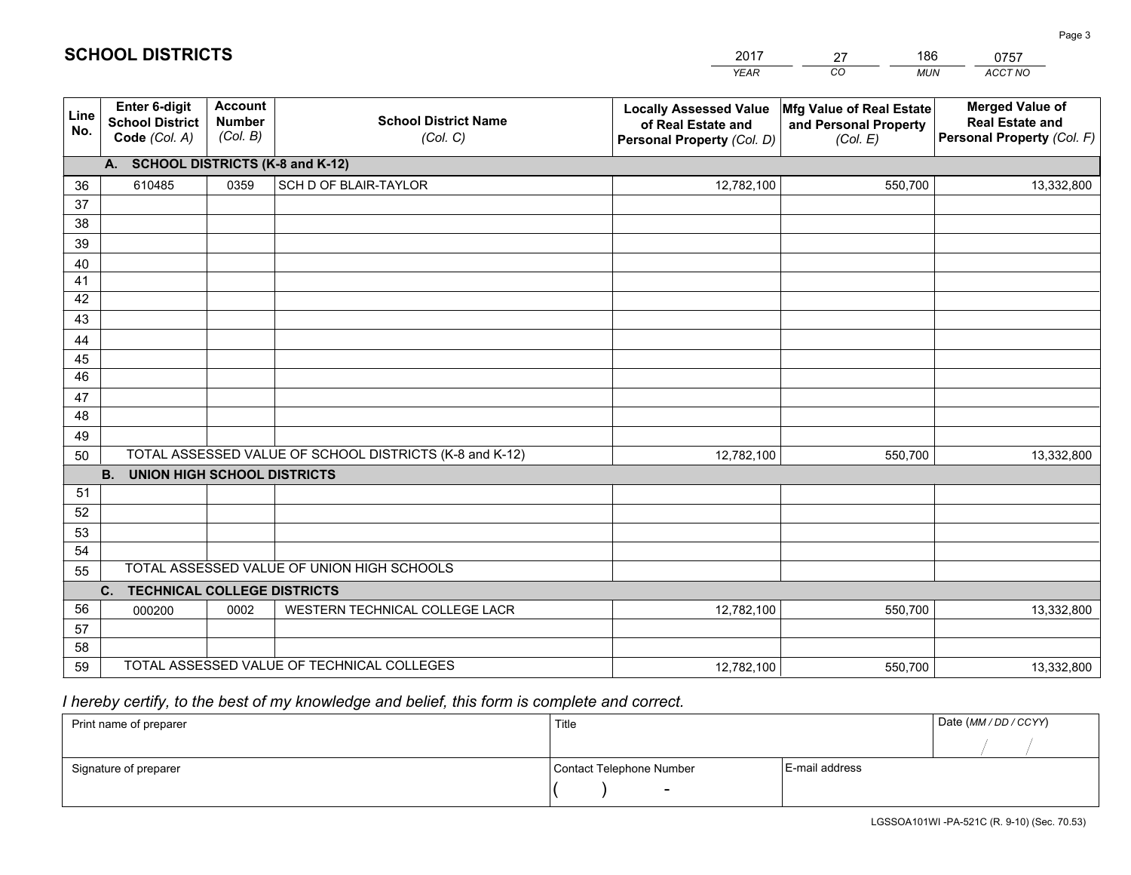|             |                                                          |                                             |                                                         | YEAR                                                                              | CO.<br><b>MUN</b>                                             | ACCT NO                                                                        |
|-------------|----------------------------------------------------------|---------------------------------------------|---------------------------------------------------------|-----------------------------------------------------------------------------------|---------------------------------------------------------------|--------------------------------------------------------------------------------|
| Line<br>No. | Enter 6-digit<br><b>School District</b><br>Code (Col. A) | <b>Account</b><br><b>Number</b><br>(Col. B) | <b>School District Name</b><br>(Col. C)                 | <b>Locally Assessed Value</b><br>of Real Estate and<br>Personal Property (Col. D) | Mfg Value of Real Estate<br>and Personal Property<br>(Col. E) | <b>Merged Value of</b><br><b>Real Estate and</b><br>Personal Property (Col. F) |
|             | A. SCHOOL DISTRICTS (K-8 and K-12)                       |                                             |                                                         |                                                                                   |                                                               |                                                                                |
| 36          | 610485                                                   | 0359                                        | SCH D OF BLAIR-TAYLOR                                   | 12,782,100                                                                        | 550,700                                                       | 13,332,800                                                                     |
| 37          |                                                          |                                             |                                                         |                                                                                   |                                                               |                                                                                |
| 38          |                                                          |                                             |                                                         |                                                                                   |                                                               |                                                                                |
| 39          |                                                          |                                             |                                                         |                                                                                   |                                                               |                                                                                |
| 40          |                                                          |                                             |                                                         |                                                                                   |                                                               |                                                                                |
| 41<br>42    |                                                          |                                             |                                                         |                                                                                   |                                                               |                                                                                |
| 43          |                                                          |                                             |                                                         |                                                                                   |                                                               |                                                                                |
| 44          |                                                          |                                             |                                                         |                                                                                   |                                                               |                                                                                |
| 45          |                                                          |                                             |                                                         |                                                                                   |                                                               |                                                                                |
| 46          |                                                          |                                             |                                                         |                                                                                   |                                                               |                                                                                |
| 47          |                                                          |                                             |                                                         |                                                                                   |                                                               |                                                                                |
| 48          |                                                          |                                             |                                                         |                                                                                   |                                                               |                                                                                |
| 49          |                                                          |                                             |                                                         |                                                                                   |                                                               |                                                                                |
| 50          |                                                          |                                             | TOTAL ASSESSED VALUE OF SCHOOL DISTRICTS (K-8 and K-12) | 12,782,100                                                                        | 550,700                                                       | 13,332,800                                                                     |
|             | <b>B. UNION HIGH SCHOOL DISTRICTS</b>                    |                                             |                                                         |                                                                                   |                                                               |                                                                                |
| 51          |                                                          |                                             |                                                         |                                                                                   |                                                               |                                                                                |
| 52          |                                                          |                                             |                                                         |                                                                                   |                                                               |                                                                                |
| 53<br>54    |                                                          |                                             |                                                         |                                                                                   |                                                               |                                                                                |
| 55          |                                                          |                                             | TOTAL ASSESSED VALUE OF UNION HIGH SCHOOLS              |                                                                                   |                                                               |                                                                                |
|             | C.<br><b>TECHNICAL COLLEGE DISTRICTS</b>                 |                                             |                                                         |                                                                                   |                                                               |                                                                                |
| 56          | 000200                                                   | 0002                                        | WESTERN TECHNICAL COLLEGE LACR                          | 12,782,100                                                                        | 550,700                                                       | 13,332,800                                                                     |
| 57          |                                                          |                                             |                                                         |                                                                                   |                                                               |                                                                                |
| 58          |                                                          |                                             |                                                         |                                                                                   |                                                               |                                                                                |
| 59          |                                                          |                                             | TOTAL ASSESSED VALUE OF TECHNICAL COLLEGES              | 12,782,100                                                                        | 550,700                                                       | 13,332,800                                                                     |

27

186

 *I hereby certify, to the best of my knowledge and belief, this form is complete and correct.*

**SCHOOL DISTRICTS**

| Print name of preparer | Title                    |                | Date (MM / DD / CCYY) |
|------------------------|--------------------------|----------------|-----------------------|
|                        |                          |                |                       |
| Signature of preparer  | Contact Telephone Number | E-mail address |                       |
|                        | $\sim$                   |                |                       |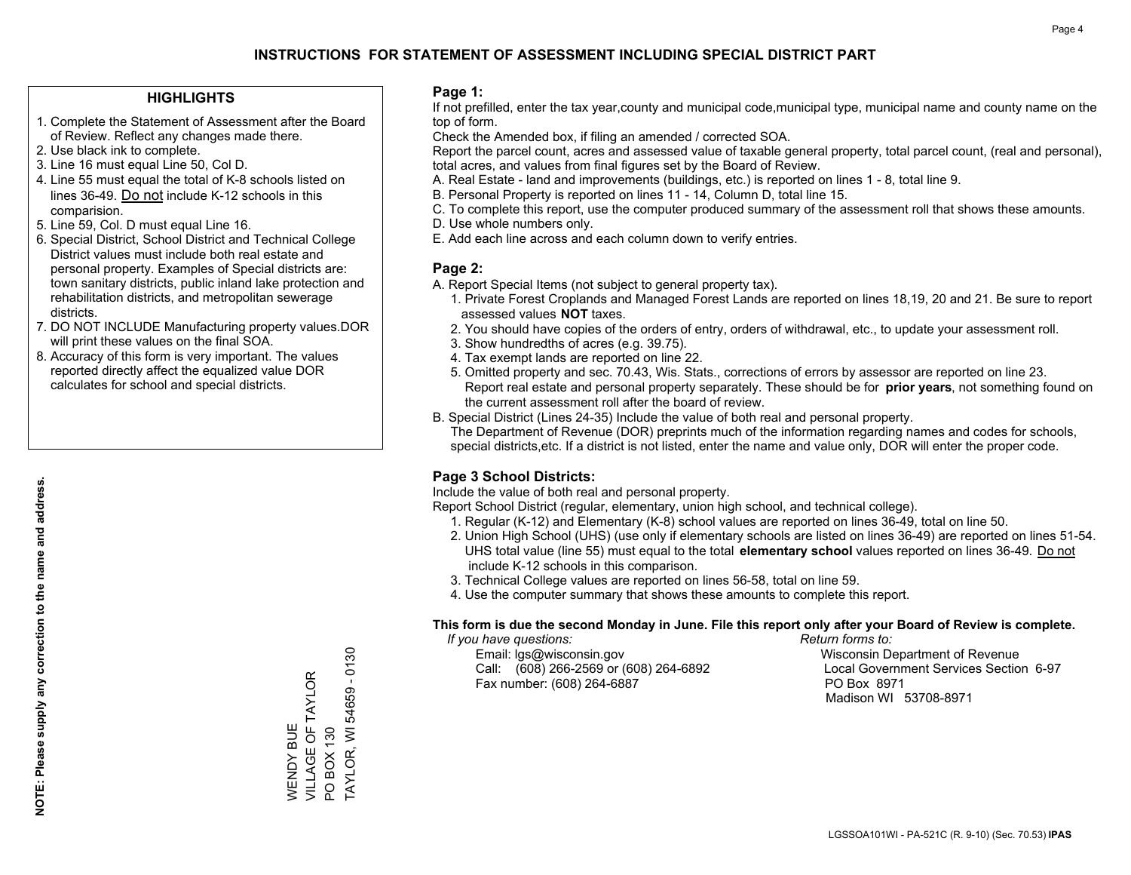### **HIGHLIGHTS**

- 1. Complete the Statement of Assessment after the Board of Review. Reflect any changes made there.
- 2. Use black ink to complete.
- 3. Line 16 must equal Line 50, Col D.
- 4. Line 55 must equal the total of K-8 schools listed on lines 36-49. Do not include K-12 schools in this comparision.
- 5. Line 59, Col. D must equal Line 16.
- 6. Special District, School District and Technical College District values must include both real estate and personal property. Examples of Special districts are: town sanitary districts, public inland lake protection and rehabilitation districts, and metropolitan sewerage districts.
- 7. DO NOT INCLUDE Manufacturing property values.DOR will print these values on the final SOA.

WENDY BUE

**NENDY BUE** 

VILLAGE OF TAYLOR

VILLAGE OF TAYLOR

PO BOX 130

PO BOX 130

TAYLOR, WI 54659 - 0130

**TAYLOR, WI 54659** 

 $-0130$ 

 8. Accuracy of this form is very important. The values reported directly affect the equalized value DOR calculates for school and special districts.

### **Page 1:**

 If not prefilled, enter the tax year,county and municipal code,municipal type, municipal name and county name on the top of form.

Check the Amended box, if filing an amended / corrected SOA.

 Report the parcel count, acres and assessed value of taxable general property, total parcel count, (real and personal), total acres, and values from final figures set by the Board of Review.

- A. Real Estate land and improvements (buildings, etc.) is reported on lines 1 8, total line 9.
- B. Personal Property is reported on lines 11 14, Column D, total line 15.
- C. To complete this report, use the computer produced summary of the assessment roll that shows these amounts.
- D. Use whole numbers only.
- E. Add each line across and each column down to verify entries.

### **Page 2:**

- A. Report Special Items (not subject to general property tax).
- 1. Private Forest Croplands and Managed Forest Lands are reported on lines 18,19, 20 and 21. Be sure to report assessed values **NOT** taxes.
- 2. You should have copies of the orders of entry, orders of withdrawal, etc., to update your assessment roll.
	- 3. Show hundredths of acres (e.g. 39.75).
- 4. Tax exempt lands are reported on line 22.
- 5. Omitted property and sec. 70.43, Wis. Stats., corrections of errors by assessor are reported on line 23. Report real estate and personal property separately. These should be for **prior years**, not something found on the current assessment roll after the board of review.
- B. Special District (Lines 24-35) Include the value of both real and personal property.

 The Department of Revenue (DOR) preprints much of the information regarding names and codes for schools, special districts,etc. If a district is not listed, enter the name and value only, DOR will enter the proper code.

## **Page 3 School Districts:**

Include the value of both real and personal property.

Report School District (regular, elementary, union high school, and technical college).

- 1. Regular (K-12) and Elementary (K-8) school values are reported on lines 36-49, total on line 50.
- 2. Union High School (UHS) (use only if elementary schools are listed on lines 36-49) are reported on lines 51-54. UHS total value (line 55) must equal to the total **elementary school** values reported on lines 36-49. Do notinclude K-12 schools in this comparison.
- 3. Technical College values are reported on lines 56-58, total on line 59.
- 4. Use the computer summary that shows these amounts to complete this report.

#### **This form is due the second Monday in June. File this report only after your Board of Review is complete.**

 *If you have questions: Return forms to:*

 Email: lgs@wisconsin.gov Wisconsin Department of RevenueCall:  $(608)$  266-2569 or  $(608)$  264-6892 Fax number: (608) 264-6887 PO Box 8971

Local Government Services Section 6-97 Madison WI 53708-8971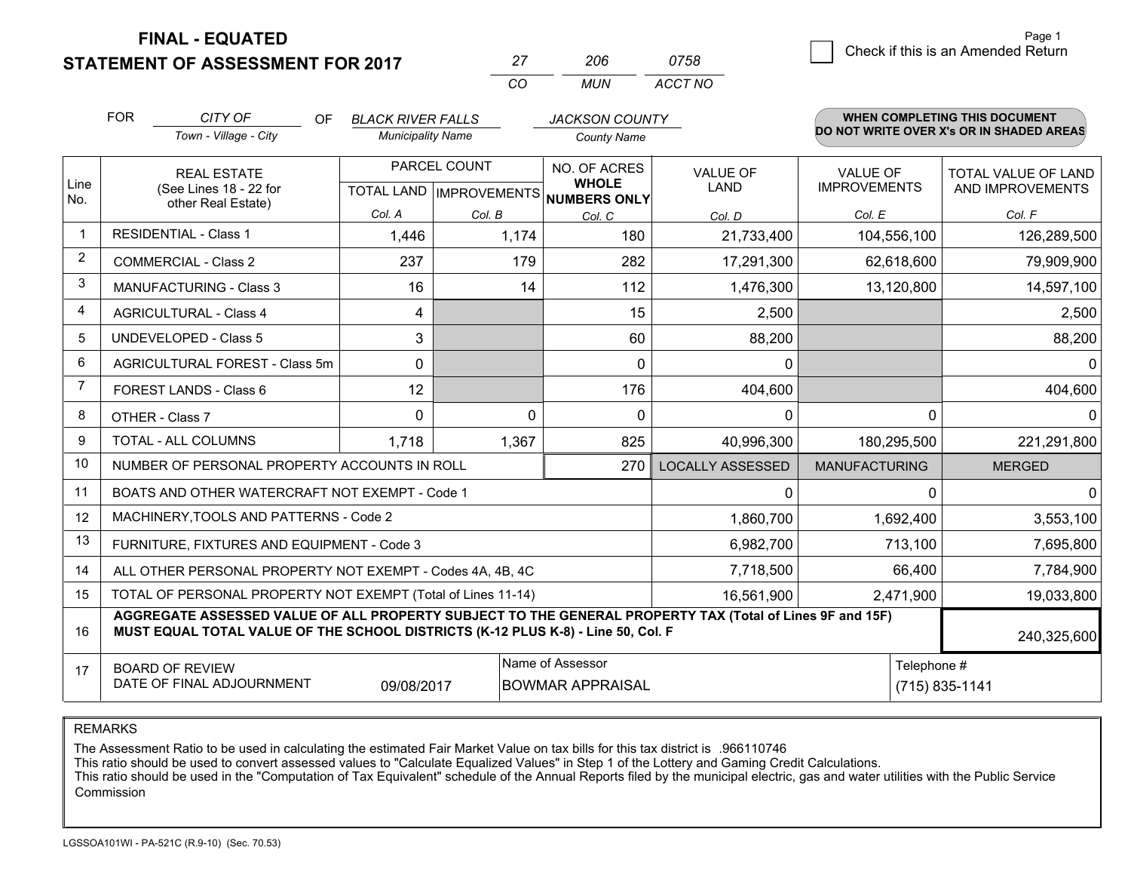**STATEMENT OF ASSESSMENT FOR 2017** 

**FINAL - EQUATED**

|                | <b>FOR</b><br>CITY OF<br>Town - Village - City                                                                                                                                               | <b>OF</b><br><b>BLACK RIVER FALLS</b><br><b>Municipality Name</b> |                                                  | <b>JACKSON COUNTY</b><br><b>County Name</b> |                                |                                        | <b>WHEN COMPLETING THIS DOCUMENT</b><br>DO NOT WRITE OVER X's OR IN SHADED AREAS |
|----------------|----------------------------------------------------------------------------------------------------------------------------------------------------------------------------------------------|-------------------------------------------------------------------|--------------------------------------------------|---------------------------------------------|--------------------------------|----------------------------------------|----------------------------------------------------------------------------------|
| Line           | <b>REAL ESTATE</b><br>(See Lines 18 - 22 for                                                                                                                                                 |                                                                   | PARCEL COUNT<br><b>TOTAL LAND   IMPROVEMENTS</b> | NO. OF ACRES<br><b>WHOLE</b>                | <b>VALUE OF</b><br><b>LAND</b> | <b>VALUE OF</b><br><b>IMPROVEMENTS</b> | TOTAL VALUE OF LAND<br>AND IMPROVEMENTS                                          |
| No.            | other Real Estate)                                                                                                                                                                           | Col. A                                                            | Col. B                                           | <b>NUMBERS ONLY</b><br>Col. C               | Col. D                         | Col. E                                 | Col. F                                                                           |
| $\mathbf 1$    | <b>RESIDENTIAL - Class 1</b>                                                                                                                                                                 | 1,446                                                             | 1,174                                            | 180                                         | 21,733,400                     | 104,556,100                            | 126,289,500                                                                      |
| $\overline{2}$ | <b>COMMERCIAL - Class 2</b>                                                                                                                                                                  | 237                                                               | 179                                              | 282                                         | 17,291,300                     | 62,618,600                             | 79,909,900                                                                       |
| 3              | <b>MANUFACTURING - Class 3</b>                                                                                                                                                               | 16                                                                | 14                                               | 112                                         | 1,476,300                      | 13,120,800                             | 14,597,100                                                                       |
| $\overline{4}$ | <b>AGRICULTURAL - Class 4</b>                                                                                                                                                                | 4                                                                 |                                                  | 15                                          | 2,500                          |                                        | 2,500                                                                            |
| 5              | UNDEVELOPED - Class 5                                                                                                                                                                        | 3                                                                 |                                                  | 60                                          | 88,200                         |                                        | 88,200                                                                           |
| 6              | AGRICULTURAL FOREST - Class 5m                                                                                                                                                               | $\Omega$                                                          |                                                  | $\Omega$                                    | $\mathbf{0}$                   |                                        | $\Omega$                                                                         |
| $\overline{7}$ | FOREST LANDS - Class 6                                                                                                                                                                       | 12                                                                |                                                  | 176                                         | 404,600                        |                                        | 404,600                                                                          |
| 8              | OTHER - Class 7                                                                                                                                                                              | $\Omega$                                                          | $\Omega$                                         | $\Omega$                                    | $\Omega$                       | 0                                      | $\Omega$                                                                         |
| 9              | TOTAL - ALL COLUMNS                                                                                                                                                                          | 1,718                                                             | 1,367                                            | 825                                         | 40,996,300                     | 180,295,500                            | 221,291,800                                                                      |
| 10             | NUMBER OF PERSONAL PROPERTY ACCOUNTS IN ROLL                                                                                                                                                 |                                                                   |                                                  | <b>LOCALLY ASSESSED</b>                     | <b>MANUFACTURING</b>           | <b>MERGED</b>                          |                                                                                  |
| 11             | BOATS AND OTHER WATERCRAFT NOT EXEMPT - Code 1                                                                                                                                               |                                                                   |                                                  |                                             | $\Omega$                       | $\Omega$                               | $\Omega$                                                                         |
| 12             | MACHINERY, TOOLS AND PATTERNS - Code 2                                                                                                                                                       |                                                                   |                                                  |                                             | 1,860,700                      | 1,692,400                              | 3,553,100                                                                        |
| 13             | FURNITURE, FIXTURES AND EQUIPMENT - Code 3                                                                                                                                                   |                                                                   |                                                  |                                             | 6,982,700                      | 713,100                                | 7,695,800                                                                        |
| 14             | ALL OTHER PERSONAL PROPERTY NOT EXEMPT - Codes 4A, 4B, 4C                                                                                                                                    |                                                                   |                                                  | 7,718,500                                   | 66,400                         | 7,784,900                              |                                                                                  |
| 15             | TOTAL OF PERSONAL PROPERTY NOT EXEMPT (Total of Lines 11-14)                                                                                                                                 |                                                                   | 16,561,900                                       | 2,471,900                                   | 19,033,800                     |                                        |                                                                                  |
| 16             | AGGREGATE ASSESSED VALUE OF ALL PROPERTY SUBJECT TO THE GENERAL PROPERTY TAX (Total of Lines 9F and 15F)<br>MUST EQUAL TOTAL VALUE OF THE SCHOOL DISTRICTS (K-12 PLUS K-8) - Line 50, Col. F |                                                                   |                                                  |                                             |                                |                                        | 240,325,600                                                                      |
| 17             | Name of Assessor<br><b>BOARD OF REVIEW</b><br>DATE OF FINAL ADJOURNMENT<br>09/08/2017<br><b>BOWMAR APPRAISAL</b>                                                                             |                                                                   |                                                  |                                             | Telephone #                    | (715) 835-1141                         |                                                                                  |

*CO*

*MUN*

*ACCT NO0758*

*<sup>27</sup> <sup>206</sup>*

REMARKS

The Assessment Ratio to be used in calculating the estimated Fair Market Value on tax bills for this tax district is .966110746<br>This ratio should be used to convert assessed values to "Calculate Equalized Values" in Step 1 Commission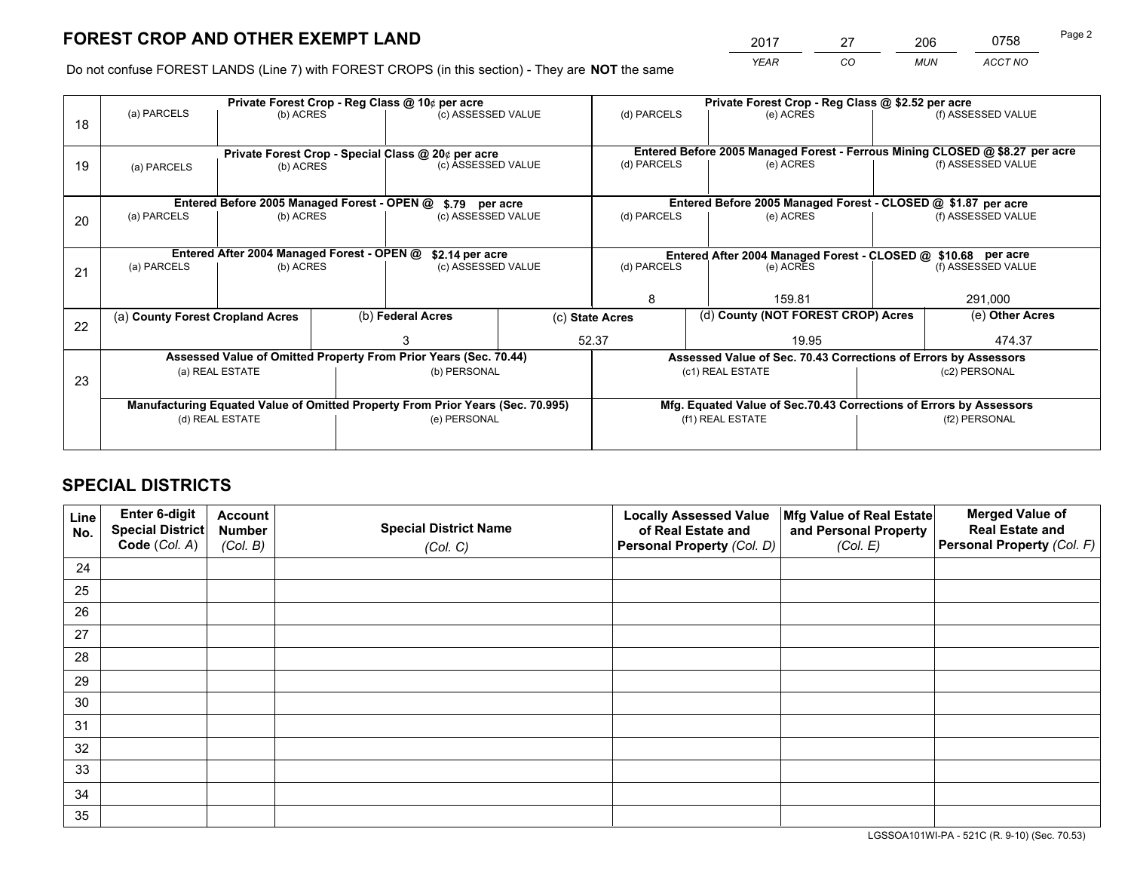*YEAR CO MUN ACCT NO* <sup>2017</sup> <sup>27</sup> <sup>206</sup> <sup>0758</sup>

Do not confuse FOREST LANDS (Line 7) with FOREST CROPS (in this section) - They are **NOT** the same

|    | Private Forest Crop - Reg Class @ 10¢ per acre                                 |                                             |  |                                                                  |  | Private Forest Crop - Reg Class @ \$2.52 per acre                  |                                                                              |           |               |                    |  |
|----|--------------------------------------------------------------------------------|---------------------------------------------|--|------------------------------------------------------------------|--|--------------------------------------------------------------------|------------------------------------------------------------------------------|-----------|---------------|--------------------|--|
| 18 | (a) PARCELS<br>(b) ACRES                                                       |                                             |  | (c) ASSESSED VALUE                                               |  | (d) PARCELS                                                        | (e) ACRES                                                                    |           |               | (f) ASSESSED VALUE |  |
|    |                                                                                |                                             |  |                                                                  |  |                                                                    |                                                                              |           |               |                    |  |
|    |                                                                                |                                             |  | Private Forest Crop - Special Class @ 20¢ per acre               |  |                                                                    | Entered Before 2005 Managed Forest - Ferrous Mining CLOSED @ \$8.27 per acre |           |               |                    |  |
| 19 | (a) PARCELS<br>(b) ACRES                                                       |                                             |  | (c) ASSESSED VALUE                                               |  | (d) PARCELS                                                        |                                                                              | (e) ACRES |               | (f) ASSESSED VALUE |  |
|    |                                                                                |                                             |  |                                                                  |  |                                                                    |                                                                              |           |               |                    |  |
|    |                                                                                | Entered Before 2005 Managed Forest - OPEN @ |  | \$.79 per acre                                                   |  |                                                                    | Entered Before 2005 Managed Forest - CLOSED @ \$1.87 per acre                |           |               |                    |  |
| 20 | (a) PARCELS                                                                    | (b) ACRES                                   |  | (c) ASSESSED VALUE                                               |  | (d) PARCELS                                                        | (e) ACRES                                                                    |           |               | (f) ASSESSED VALUE |  |
|    |                                                                                |                                             |  |                                                                  |  |                                                                    |                                                                              |           |               |                    |  |
|    |                                                                                | Entered After 2004 Managed Forest - OPEN @  |  | \$2.14 per acre                                                  |  | Entered After 2004 Managed Forest - CLOSED @ \$10.68 per acre      |                                                                              |           |               |                    |  |
| 21 | (a) PARCELS                                                                    | (b) ACRES                                   |  | (c) ASSESSED VALUE                                               |  | (d) PARCELS                                                        |                                                                              | (e) ACRES |               | (f) ASSESSED VALUE |  |
|    |                                                                                |                                             |  |                                                                  |  |                                                                    |                                                                              |           |               |                    |  |
|    |                                                                                |                                             |  |                                                                  |  | 8                                                                  | 159.81                                                                       |           |               | 291,000            |  |
| 22 | (a) County Forest Cropland Acres                                               |                                             |  | (b) Federal Acres                                                |  | (d) County (NOT FOREST CROP) Acres<br>(c) State Acres              |                                                                              |           |               | (e) Other Acres    |  |
|    |                                                                                |                                             |  |                                                                  |  | 52.37<br>19.95                                                     |                                                                              |           | 474.37        |                    |  |
|    |                                                                                |                                             |  | Assessed Value of Omitted Property From Prior Years (Sec. 70.44) |  |                                                                    | Assessed Value of Sec. 70.43 Corrections of Errors by Assessors              |           |               |                    |  |
| 23 | (a) REAL ESTATE                                                                |                                             |  | (b) PERSONAL                                                     |  | (c1) REAL ESTATE                                                   |                                                                              |           | (c2) PERSONAL |                    |  |
|    |                                                                                |                                             |  |                                                                  |  |                                                                    |                                                                              |           |               |                    |  |
|    | Manufacturing Equated Value of Omitted Property From Prior Years (Sec. 70.995) |                                             |  |                                                                  |  | Mfg. Equated Value of Sec.70.43 Corrections of Errors by Assessors |                                                                              |           |               |                    |  |
|    | (d) REAL ESTATE                                                                |                                             |  | (e) PERSONAL                                                     |  | (f1) REAL ESTATE                                                   |                                                                              |           | (f2) PERSONAL |                    |  |
|    |                                                                                |                                             |  |                                                                  |  |                                                                    |                                                                              |           |               |                    |  |

## **SPECIAL DISTRICTS**

| Line<br>No. | Enter 6-digit<br>Special District<br>Code (Col. A) | <b>Account</b><br><b>Number</b><br>(Col. B) | <b>Special District Name</b><br>(Col. C) | <b>Locally Assessed Value</b><br>of Real Estate and<br>Personal Property (Col. D) | Mfg Value of Real Estate<br>and Personal Property<br>(Col. E) | <b>Merged Value of</b><br><b>Real Estate and</b><br>Personal Property (Col. F) |
|-------------|----------------------------------------------------|---------------------------------------------|------------------------------------------|-----------------------------------------------------------------------------------|---------------------------------------------------------------|--------------------------------------------------------------------------------|
| 24          |                                                    |                                             |                                          |                                                                                   |                                                               |                                                                                |
| 25          |                                                    |                                             |                                          |                                                                                   |                                                               |                                                                                |
| 26          |                                                    |                                             |                                          |                                                                                   |                                                               |                                                                                |
| 27          |                                                    |                                             |                                          |                                                                                   |                                                               |                                                                                |
| 28          |                                                    |                                             |                                          |                                                                                   |                                                               |                                                                                |
| 29          |                                                    |                                             |                                          |                                                                                   |                                                               |                                                                                |
| 30          |                                                    |                                             |                                          |                                                                                   |                                                               |                                                                                |
| 31          |                                                    |                                             |                                          |                                                                                   |                                                               |                                                                                |
| 32          |                                                    |                                             |                                          |                                                                                   |                                                               |                                                                                |
| 33          |                                                    |                                             |                                          |                                                                                   |                                                               |                                                                                |
| 34          |                                                    |                                             |                                          |                                                                                   |                                                               |                                                                                |
| 35          |                                                    |                                             |                                          |                                                                                   |                                                               |                                                                                |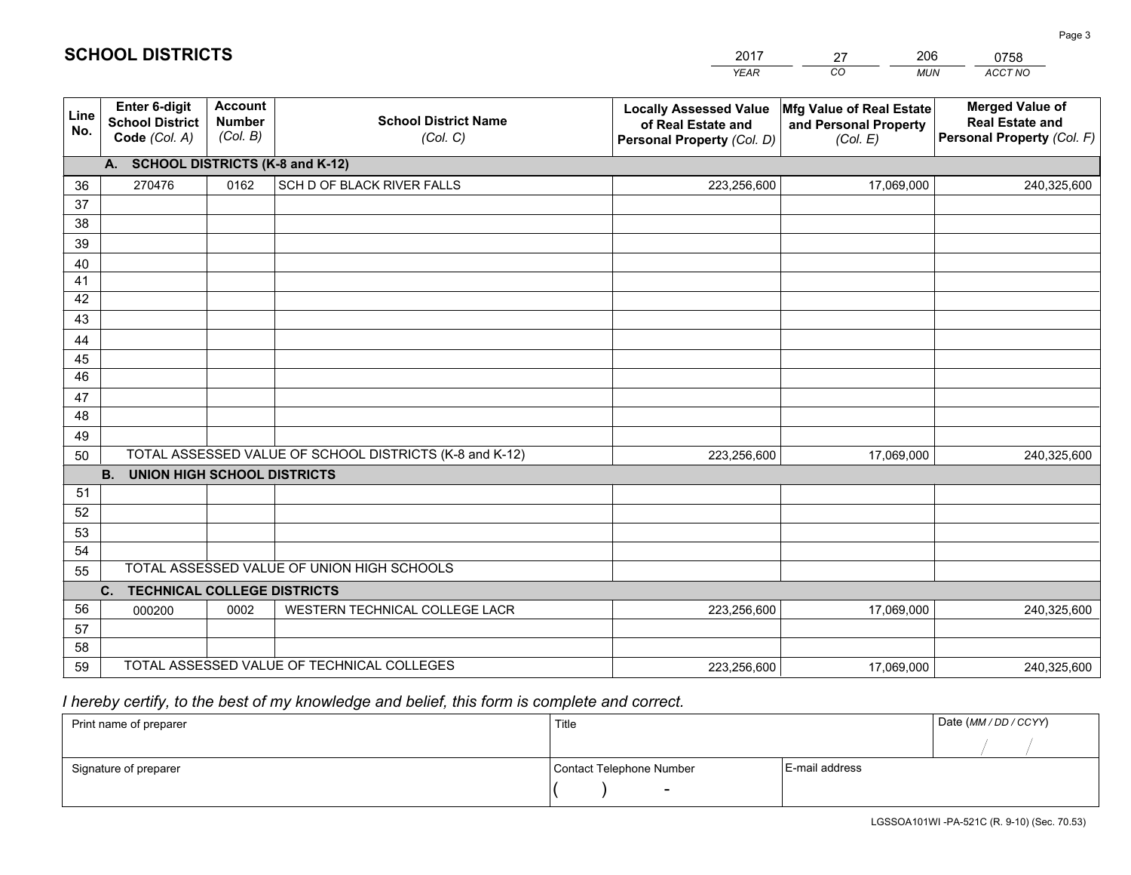|             |                                                          |                                             |                                                         | <b>YEAR</b>                                                                       | CO<br><b>MUN</b>                                              | ACCT NO                                                                        |
|-------------|----------------------------------------------------------|---------------------------------------------|---------------------------------------------------------|-----------------------------------------------------------------------------------|---------------------------------------------------------------|--------------------------------------------------------------------------------|
| Line<br>No. | Enter 6-digit<br><b>School District</b><br>Code (Col. A) | <b>Account</b><br><b>Number</b><br>(Col. B) | <b>School District Name</b><br>(Col. C)                 | <b>Locally Assessed Value</b><br>of Real Estate and<br>Personal Property (Col. D) | Mfg Value of Real Estate<br>and Personal Property<br>(Col. E) | <b>Merged Value of</b><br><b>Real Estate and</b><br>Personal Property (Col. F) |
|             | A. SCHOOL DISTRICTS (K-8 and K-12)                       |                                             |                                                         |                                                                                   |                                                               |                                                                                |
| 36          | 270476                                                   | 0162                                        | SCH D OF BLACK RIVER FALLS                              | 223,256,600                                                                       | 17,069,000                                                    | 240,325,600                                                                    |
| 37          |                                                          |                                             |                                                         |                                                                                   |                                                               |                                                                                |
| 38          |                                                          |                                             |                                                         |                                                                                   |                                                               |                                                                                |
| 39          |                                                          |                                             |                                                         |                                                                                   |                                                               |                                                                                |
| 40          |                                                          |                                             |                                                         |                                                                                   |                                                               |                                                                                |
| 41<br>42    |                                                          |                                             |                                                         |                                                                                   |                                                               |                                                                                |
| 43          |                                                          |                                             |                                                         |                                                                                   |                                                               |                                                                                |
| 44          |                                                          |                                             |                                                         |                                                                                   |                                                               |                                                                                |
| 45          |                                                          |                                             |                                                         |                                                                                   |                                                               |                                                                                |
| 46          |                                                          |                                             |                                                         |                                                                                   |                                                               |                                                                                |
| 47          |                                                          |                                             |                                                         |                                                                                   |                                                               |                                                                                |
| 48          |                                                          |                                             |                                                         |                                                                                   |                                                               |                                                                                |
| 49          |                                                          |                                             |                                                         |                                                                                   |                                                               |                                                                                |
| 50          |                                                          |                                             | TOTAL ASSESSED VALUE OF SCHOOL DISTRICTS (K-8 and K-12) | 223,256,600                                                                       | 17,069,000                                                    | 240,325,600                                                                    |
|             | <b>B.</b><br><b>UNION HIGH SCHOOL DISTRICTS</b>          |                                             |                                                         |                                                                                   |                                                               |                                                                                |
| 51          |                                                          |                                             |                                                         |                                                                                   |                                                               |                                                                                |
| 52          |                                                          |                                             |                                                         |                                                                                   |                                                               |                                                                                |
| 53          |                                                          |                                             |                                                         |                                                                                   |                                                               |                                                                                |
| 54          |                                                          |                                             | TOTAL ASSESSED VALUE OF UNION HIGH SCHOOLS              |                                                                                   |                                                               |                                                                                |
| 55          |                                                          |                                             |                                                         |                                                                                   |                                                               |                                                                                |
| 56          | C <sub>1</sub><br><b>TECHNICAL COLLEGE DISTRICTS</b>     |                                             | WESTERN TECHNICAL COLLEGE LACR                          |                                                                                   |                                                               |                                                                                |
| 57          | 000200                                                   | 0002                                        |                                                         | 223,256,600                                                                       | 17,069,000                                                    | 240,325,600                                                                    |
| 58          |                                                          |                                             |                                                         |                                                                                   |                                                               |                                                                                |
| 59          |                                                          |                                             | TOTAL ASSESSED VALUE OF TECHNICAL COLLEGES              | 223,256,600                                                                       | 17,069,000                                                    | 240,325,600                                                                    |

27

206

# *I hereby certify, to the best of my knowledge and belief, this form is complete and correct.*

**SCHOOL DISTRICTS**

| Print name of preparer | Title                    |                | Date (MM / DD / CCYY) |
|------------------------|--------------------------|----------------|-----------------------|
|                        |                          |                |                       |
| Signature of preparer  | Contact Telephone Number | E-mail address |                       |
|                        | $\sim$                   |                |                       |